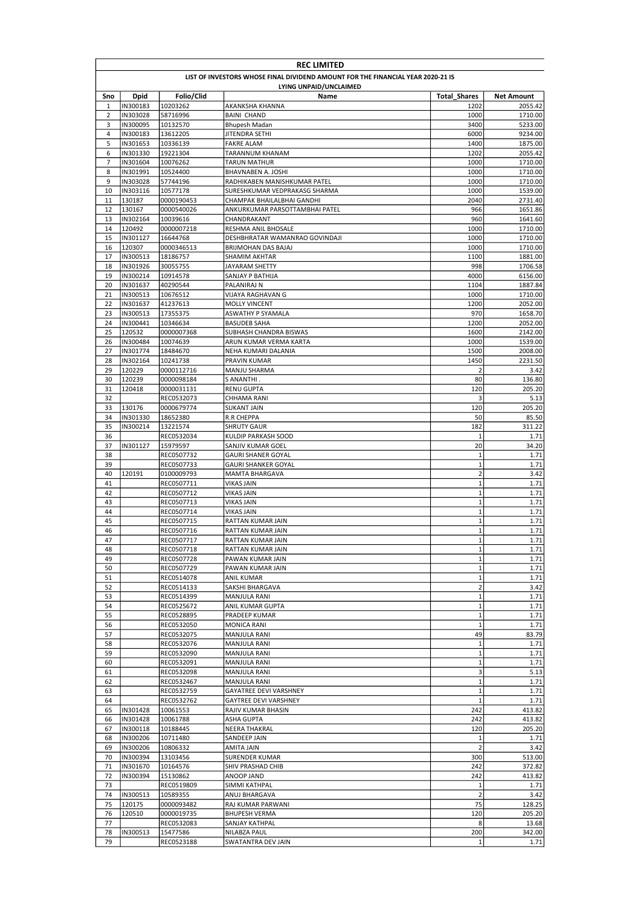|          | <b>REC LIMITED</b>   |                          |                                                                                 |                               |                    |  |
|----------|----------------------|--------------------------|---------------------------------------------------------------------------------|-------------------------------|--------------------|--|
|          |                      |                          | LIST OF INVESTORS WHOSE FINAL DIVIDEND AMOUNT FOR THE FINANCIAL YEAR 2020-21 IS |                               |                    |  |
|          |                      |                          | LYING UNPAID/UNCLAIMED                                                          |                               |                    |  |
| Sno      | <b>Dpid</b>          | Folio/Clid               | Name                                                                            | <b>Total Shares</b>           | <b>Net Amount</b>  |  |
| 1        | IN300183             | 10203262                 | AKANKSHA KHANNA                                                                 | 1202                          | 2055.42            |  |
| 2        | IN303028             | 58716996                 | <b>BAINI CHAND</b>                                                              | 1000                          | 1710.00            |  |
| 3        | IN300095<br>IN300183 | 10132570                 | <b>Bhupesh Madan</b>                                                            | 3400                          | 5233.00            |  |
| 4        |                      | 13612205                 | JITENDRA SETHI                                                                  | 6000                          | 9234.00            |  |
| 5<br>6   | IN301653<br>IN301330 | 10336139<br>19221304     | <b>FAKRE ALAM</b><br>TARANNUM KHANAM                                            | 1400<br>1202                  | 1875.00<br>2055.42 |  |
| 7        | IN301604             | 10076262                 | <b>TARUN MATHUR</b>                                                             | 1000                          | 1710.00            |  |
| 8        | IN301991             | 10524400                 | BHAVNABEN A. JOSHI                                                              | 1000                          | 1710.00            |  |
| 9        | IN303028             | 57744196                 | RADHIKABEN MANISHKUMAR PATEL                                                    | 1000                          | 1710.00            |  |
| 10       | IN303116             | 10577178                 | SURESHKUMAR VEDPRAKASG SHARMA                                                   | 1000                          | 1539.00            |  |
| 11       | 130187               | 0000190453               | CHAMPAK BHAILALBHAI GANDHI                                                      | 2040                          | 2731.40            |  |
| 12       | 130167               | 0000540026               | ANKURKUMAR PARSOTTAMBHAI PATEL                                                  | 966                           | 1651.86            |  |
| 13       | IN302164             | 10039616                 | CHANDRAKANT                                                                     | 960                           | 1641.60            |  |
| 14       | 120492               | 0000007218               | RESHMA ANIL BHOSALE                                                             | 1000                          | 1710.00            |  |
| 15       | IN301127             | 16644768                 | DESHBHRATAR WAMANRAO GOVINDAJI                                                  | 1000                          | 1710.00            |  |
| 16       | 120307               | 0000346513               | BRIJMOHAN DAS BAJAJ                                                             | 1000                          | 1710.00            |  |
| 17       | IN300513             | 18186757                 | SHAMIM AKHTAR                                                                   | 1100                          | 1881.00            |  |
| 18       | IN301926             | 30055755                 | JAYARAM SHETTY                                                                  | 998                           | 1706.58            |  |
| 19       | IN300214             | 10914578                 | SANJAY P BATHIJA                                                                | 4000                          | 6156.00            |  |
| 20       | IN301637             | 40290544                 | PALANIRAJ N                                                                     | 1104                          | 1887.84            |  |
| 21       | IN300513             | 10676512                 | VIJAYA RAGHAVAN G                                                               | 1000                          | 1710.00            |  |
| 22       | IN301637             | 41237613                 | <b>MOLLY VINCENT</b>                                                            | 1200                          | 2052.00            |  |
| 23       | IN300513             | 17355375                 | <b>ASWATHY P SYAMALA</b>                                                        | 970                           | 1658.70            |  |
| 24       | IN300441             | 10346634                 | <b>BASUDEB SAHA</b>                                                             | 1200                          | 2052.00            |  |
| 25       | 120532               | 0000007368               | SUBHASH CHANDRA BISWAS                                                          | 1600                          | 2142.00            |  |
| 26       | IN300484             | 10074639                 | ARUN KUMAR VERMA KARTA                                                          | 1000                          | 1539.00            |  |
| 27       | IN301774             | 18484670                 | NEHA KUMARI DALANIA                                                             | 1500                          | 2008.00            |  |
| 28       | IN302164             | 10241738                 | PRAVIN KUMAR                                                                    | 1450                          | 2231.50            |  |
| 29       | 120229               | 0000112716               | MANJU SHARMA                                                                    | $\overline{2}$                | 3.42               |  |
| 30       | 120239               | 0000098184               | S ANANTHI.                                                                      | 80                            | 136.80             |  |
| 31       | 120418               | 0000031131               | <b>RENU GUPTA</b>                                                               | 120                           | 205.20             |  |
| 32       |                      | REC0532073               | CHHAMA RANI                                                                     | 3                             | 5.13               |  |
| 33       | 130176               | 0000679774               | <b>SUKANT JAIN</b>                                                              | 120                           | 205.20             |  |
| 34       | IN301330             | 18652380                 | <b>R.R CHEPPA</b>                                                               | 50                            | 85.50              |  |
| 35       | IN300214             | 13221574                 | <b>SHRUTY GAUR</b>                                                              | 182                           | 311.22             |  |
| 36       |                      | REC0532034               | KULDIP PARKASH SOOD                                                             | $\mathbf{1}$                  | 1.71               |  |
| 37       | IN301127             | 15979597                 | SANJIV KUMAR GOEL                                                               | 20                            | 34.20              |  |
| 38<br>39 |                      | REC0507732               | <b>GAURI SHANER GOYAL</b>                                                       | $\mathbf 1$<br>$\mathbf 1$    | 1.71<br>1.71       |  |
|          |                      | REC0507733               | <b>GAURI SHANKER GOYAL</b>                                                      |                               |                    |  |
| 40<br>41 | 120191               | 0100009793<br>REC0507711 | MAMTA BHARGAVA<br><b>VIKAS JAIN</b>                                             | $\mathbf 2$<br>$\mathbf 1$    | 3.42<br>1.71       |  |
| 42       |                      | REC0507712               | <b>VIKAS JAIN</b>                                                               | $\mathbf 1$                   | 1.71               |  |
| 43       |                      | REC0507713               | <b>VIKAS JAIN</b>                                                               | $\mathbf 1$                   | 1.71               |  |
| 44       |                      | REC0507714               | <b>VIKAS JAIN</b>                                                               | $\mathbf 1$                   | 1.71               |  |
| 45       |                      | REC0507715               | RATTAN KUMAR JAIN                                                               | $\mathbf{1}$                  | 1.71               |  |
| 46       |                      | REC0507716               | RATTAN KUMAR JAIN                                                               | $\mathbf 1$                   | 1.71               |  |
| 47       |                      | REC0507717               | RATTAN KUMAR JAIN                                                               | $\mathbf{1}$                  | 1.71               |  |
| 48       |                      | REC0507718               | RATTAN KUMAR JAIN                                                               | $\mathbf 1$                   | 1.71               |  |
| 49       |                      | REC0507728               | PAWAN KUMAR JAIN                                                                | $\mathbf 1$                   | 1.71               |  |
| 50       |                      | REC0507729               | PAWAN KUMAR JAIN                                                                | $\mathbf 1$                   | 1.71               |  |
| 51       |                      | REC0514078               | <b>ANIL KUMAR</b>                                                               | $\mathbf 1$                   | 1.71               |  |
| 52       |                      | REC0514133               | SAKSHI BHARGAVA                                                                 | $\mathbf 2$                   | 3.42               |  |
| 53       |                      | REC0514399               | MANJULA RANI                                                                    | $\mathbf{1}$                  | 1.71               |  |
| 54       |                      | REC0525672               | ANIL KUMAR GUPTA                                                                | $\mathbf 1$                   | 1.71               |  |
| 55       |                      | REC0528895               | PRADEEP KUMAR                                                                   | $\mathbf 1$                   | 1.71               |  |
| 56       |                      | REC0532050               | <b>MONICA RANI</b>                                                              | $\mathbf 1$                   | 1.71               |  |
| 57       |                      | REC0532075               | MANJULA RANI                                                                    | 49                            | 83.79              |  |
| 58       |                      | REC0532076               | MANJULA RANI                                                                    | $\mathbf 1$                   | 1.71               |  |
| 59       |                      | REC0532090               | MANJULA RANI                                                                    | $\mathbf 1$                   | 1.71               |  |
| 60       |                      | REC0532091               | <b>MANJULA RANI</b>                                                             | $\mathbf 1$                   | 1.71               |  |
| 61       |                      | REC0532098               | MANJULA RANI                                                                    | 3                             | 5.13               |  |
| 62       |                      | REC0532467               | <b>MANJULA RANI</b>                                                             | $\mathbf 1$                   | 1.71               |  |
| 63       |                      | REC0532759               | GAYATREE DEVI VARSHNEY                                                          | $\mathbf 1$                   | 1.71               |  |
| 64       |                      | REC0532762               | GAYTREE DEVI VARSHNEY                                                           | $\mathbf 1$                   | 1.71               |  |
| 65       | IN301428             | 10061553                 | RAJIV KUMAR BHASIN                                                              | 242                           | 413.82             |  |
| 66       | IN301428             | 10061788                 | <b>ASHA GUPTA</b>                                                               | 242                           | 413.82             |  |
| 67       | IN300118             | 10188445                 | NEERA THAKRAL                                                                   | 120                           | 205.20             |  |
| 68       | IN300206             | 10711480                 | SANDEEP JAIN                                                                    | 1                             | 1.71               |  |
| 69       | IN300206             | 10806332                 | AMITA JAIN                                                                      | $\overline{2}$                | 3.42               |  |
| 70       | IN300394             | 13103456                 | SURENDER KUMAR                                                                  | 300                           | 513.00             |  |
| 71       | IN301670             | 10164576                 | SHIV PRASHAD CHIB                                                               | 242                           | 372.82             |  |
| 72       | IN300394             | 15130862                 | ANOOP JAND                                                                      | 242                           | 413.82             |  |
| 73       | IN300513             | REC0519809               | SIMMI KATHPAL                                                                   | $\mathbf 1$<br>$\overline{2}$ | 1.71<br>3.42       |  |
| 74       |                      | 10589355                 | ANUJ BHARGAVA                                                                   | 75                            |                    |  |
| 75<br>76 | 120175<br>120510     | 0000093482<br>0000019735 | RAJ KUMAR PARWANI<br><b>BHUPESH VERMA</b>                                       | 120                           | 128.25<br>205.20   |  |
| 77       |                      | REC0532083               | SANJAY KATHPAL                                                                  | 8                             | 13.68              |  |
| 78       | IN300513             | 15477586                 | NILABZA PAUL                                                                    | 200                           | 342.00             |  |
| 79       |                      | REC0523188               | SWATANTRA DEV JAIN                                                              | $\mathbf{1}$                  | 1.71               |  |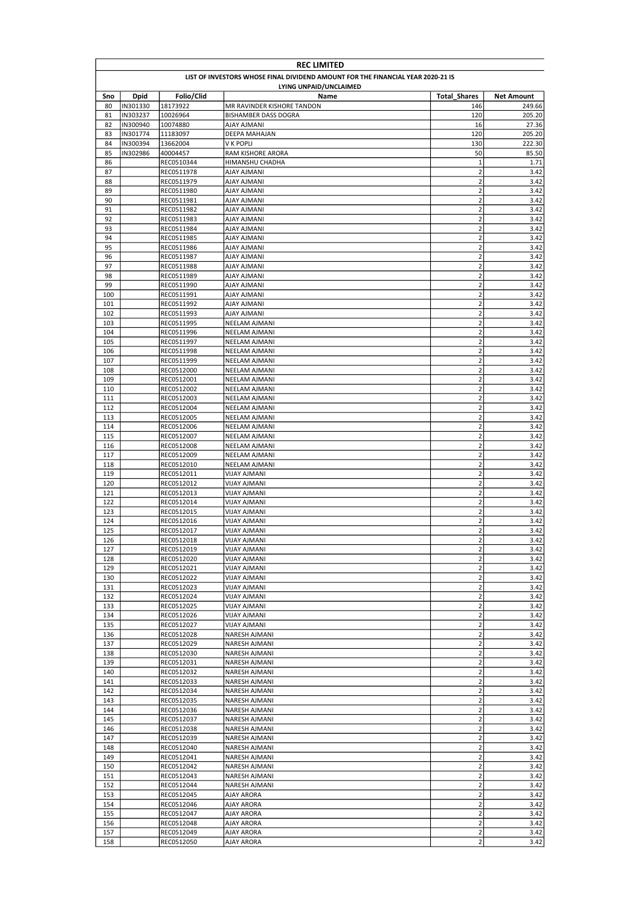|            | <b>REC LIMITED</b> |                          |                                                                                 |                                           |                   |
|------------|--------------------|--------------------------|---------------------------------------------------------------------------------|-------------------------------------------|-------------------|
|            |                    |                          | LIST OF INVESTORS WHOSE FINAL DIVIDEND AMOUNT FOR THE FINANCIAL YEAR 2020-21 IS |                                           |                   |
|            |                    |                          | LYING UNPAID/UNCLAIMED                                                          |                                           |                   |
| Sno        | <b>Dpid</b>        | Folio/Clid               | Name                                                                            | <b>Total Shares</b>                       | <b>Net Amount</b> |
| 80         | IN301330           | 18173922                 | MR RAVINDER KISHORE TANDON                                                      | 146                                       | 249.66            |
| 81         | IN303237           | 10026964                 | <b>BISHAMBER DASS DOGRA</b>                                                     | 120                                       | 205.20            |
| 82         | IN300940           | 10074880                 | <b>AJAY AJMANI</b>                                                              | 16                                        | 27.36             |
| 83         | IN301774           | 11183097                 | DEEPA MAHAJAN                                                                   | 120                                       | 205.20            |
| 84<br>85   | IN300394           | 13662004                 | V K POPLI                                                                       | 130<br>50                                 | 222.30            |
| 86         | IN302986           | 40004457<br>REC0510344   | RAM KISHORE ARORA<br>HIMANSHU CHADHA                                            | 1                                         | 85.50<br>1.71     |
| 87         |                    | REC0511978               | <b>AJAY AJMANI</b>                                                              | $\mathbf 2$                               | 3.42              |
| 88         |                    | REC0511979               | AJAY AJMANI                                                                     | $\mathbf 2$                               | 3.42              |
| 89         |                    | REC0511980               | <b>AJAY AJMANI</b>                                                              | $\overline{2}$                            | 3.42              |
| 90         |                    | REC0511981               | <b>AJAY AJMANI</b>                                                              | $\mathbf 2$                               | 3.42              |
| 91         |                    | REC0511982               | <b>AJAY AJMANI</b>                                                              | $\mathbf 2$                               | 3.42              |
| 92         |                    | REC0511983               | AJAY AJMANI                                                                     | $\overline{2}$                            | 3.42              |
| 93         |                    | REC0511984               | <b>AJAY AJMANI</b>                                                              | $\mathbf 2$                               | 3.42              |
| 94         |                    | REC0511985               | <b>AJAY AJMANI</b>                                                              | $\mathbf 2$                               | 3.42              |
| 95         |                    | REC0511986               | <b>AJAY AJMANI</b>                                                              | $\mathbf 2$                               | 3.42              |
| 96         |                    | REC0511987               | AJAY AJMANI                                                                     | $\mathbf 2$                               | 3.42              |
| 97         |                    | REC0511988               | AJAY AJMANI                                                                     | $\mathbf 2$                               | 3.42              |
| 98         |                    | REC0511989               | AJAY AJMANI                                                                     | $\mathbf 2$                               | 3.42              |
| 99         |                    | REC0511990               | AJAY AJMANI                                                                     | $\mathbf 2$                               | 3.42              |
| 100        |                    | REC0511991               | <b>AJAY AJMANI</b>                                                              | $\overline{\mathbf{c}}$                   | 3.42              |
| 101        |                    | REC0511992               | AJAY AJMANI                                                                     | $\overline{\mathbf{c}}$                   | 3.42              |
| 102        |                    | REC0511993               | <b>AJAY AJMANI</b>                                                              | $\overline{\mathbf{c}}$                   | 3.42              |
| 103        |                    | REC0511995               | NEELAM AJMANI                                                                   | $\overline{\mathbf{c}}$                   | 3.42              |
| 104        |                    | REC0511996               | NEELAM AJMANI                                                                   | $\overline{\mathbf{c}}$                   | 3.42              |
| 105        |                    | REC0511997               | NEELAM AJMANI                                                                   | $\overline{2}$                            | 3.42              |
| 106        |                    | REC0511998               | NEELAM AJMANI                                                                   | $\overline{\mathbf{c}}$                   | 3.42              |
| 107        |                    | REC0511999               | NEELAM AJMANI                                                                   | $\overline{2}$                            | 3.42              |
| 108        |                    | REC0512000               | NEELAM AJMANI                                                                   | $\mathbf 2$                               | 3.42              |
| 109<br>110 |                    | REC0512001               | NEELAM AJMANI                                                                   | $\overline{\mathbf{c}}$<br>$\overline{2}$ | 3.42<br>3.42      |
| 111        |                    | REC0512002               | NEELAM AJMANI<br>NEELAM AJMANI                                                  | $\overline{2}$                            | 3.42              |
| 112        |                    | REC0512003<br>REC0512004 | NEELAM AJMANI                                                                   | $\overline{\mathbf{c}}$                   | 3.42              |
| 113        |                    | REC0512005               | NEELAM AJMANI                                                                   | $\overline{\mathbf{c}}$                   | 3.42              |
| 114        |                    | REC0512006               | NEELAM AJMANI                                                                   | $\overline{\mathbf{c}}$                   | 3.42              |
| 115        |                    | REC0512007               | NEELAM AJMANI                                                                   | $\overline{\mathbf{c}}$                   | 3.42              |
| 116        |                    | REC0512008               | NEELAM AJMANI                                                                   | $\overline{\mathbf{c}}$                   | 3.42              |
| 117        |                    | REC0512009               | NEELAM AJMANI                                                                   | $\overline{\mathbf{c}}$                   | 3.42              |
| 118        |                    | REC0512010               | NEELAM AJMANI                                                                   | $\overline{2}$                            | 3.42              |
| 119        |                    | REC0512011               | <b>VIJAY AJMANI</b>                                                             | $\mathbf 2$                               | 3.42              |
| 120        |                    | REC0512012               | <b>VIJAY AJMANI</b>                                                             | $\mathbf 2$                               | 3.42              |
| 121        |                    | REC0512013               | VIJAY AJMANI                                                                    | $\mathbf 2$                               | 3.42              |
| 122        |                    | REC0512014               | <b>VIJAY AJMANI</b>                                                             | $\overline{\mathbf{c}}$                   | 3.42              |
| 123        |                    | REC0512015               | VIJAY AJMANI                                                                    | $\overline{2}$                            | 3.42              |
| 124        |                    | REC0512016               | VIJAY AJMANI                                                                    | $\overline{2}$                            | 3.42              |
| 125        |                    | REC0512017               | VIJAY AJMANI                                                                    | $\mathbf 2$                               | 3.42              |
| 126        |                    | REC0512018               | VIJAY AJMANI                                                                    | $\overline{2}$                            | 3.42              |
| 127        |                    | REC0512019               | <b>VIJAY AJMANI</b>                                                             | $\mathbf 2$                               | 3.42              |
| 128        |                    | REC0512020               | VIJAY AJMANI                                                                    | $\mathbf 2$                               | 3.42              |
| 129        |                    | REC0512021               | <b>VIJAY AJMANI</b>                                                             | $\mathbf 2$                               | 3.42              |
| 130        |                    | REC0512022               | <b>VIJAY AJMANI</b>                                                             | $\mathbf 2$                               | 3.42              |
| 131        |                    | REC0512023               | VIJAY AJMANI                                                                    | $\mathbf 2$                               | 3.42              |
| 132        |                    | REC0512024               | VIJAY AJMANI                                                                    | $\mathbf 2$                               | 3.42              |
| 133        |                    | REC0512025               | <b>VIJAY AJMANI</b>                                                             | $\mathbf 2$                               | 3.42              |
| 134<br>135 |                    | REC0512026<br>REC0512027 | VIJAY AJMANI                                                                    | $\mathbf 2$<br>$\mathbf 2$                | 3.42<br>3.42      |
| 136        |                    | REC0512028               | VIJAY AJMANI<br>NARESH AJMANI                                                   | $\mathbf 2$                               | 3.42              |
| 137        |                    | REC0512029               | NARESH AJMANI                                                                   | $\mathbf 2$                               | 3.42              |
| 138        |                    | REC0512030               | NARESH AJMANI                                                                   | $\mathbf 2$                               | 3.42              |
| 139        |                    | REC0512031               | <b>NARESH AJMANI</b>                                                            | $\mathbf 2$                               | 3.42              |
| 140        |                    | REC0512032               | NARESH AJMANI                                                                   | $\mathbf 2$                               | 3.42              |
| 141        |                    | REC0512033               | NARESH AJMANI                                                                   | $\mathbf 2$                               | 3.42              |
| 142        |                    | REC0512034               | NARESH AJMANI                                                                   | $\mathbf 2$                               | 3.42              |
| 143        |                    | REC0512035               | NARESH AJMANI                                                                   | $\mathbf 2$                               | 3.42              |
| 144        |                    | REC0512036               | NARESH AJMANI                                                                   | $\mathbf 2$                               | 3.42              |
| 145        |                    | REC0512037               | NARESH AJMANI                                                                   | $\mathbf 2$                               | 3.42              |
| 146        |                    | REC0512038               | NARESH AJMANI                                                                   | $\mathbf 2$                               | 3.42              |
| 147        |                    | REC0512039               | NARESH AJMANI                                                                   | $\overline{2}$                            | 3.42              |
| 148        |                    | REC0512040               | NARESH AJMANI                                                                   | $\mathbf 2$                               | 3.42              |
| 149        |                    | REC0512041               | NARESH AJMANI                                                                   | $\mathbf 2$                               | 3.42              |
| 150        |                    | REC0512042               | NARESH AJMANI                                                                   | $\mathbf 2$                               | 3.42              |
| 151        |                    | REC0512043               | NARESH AJMANI                                                                   | $\mathbf 2$                               | 3.42              |
| 152        |                    | REC0512044               | NARESH AJMANI                                                                   | $\mathbf 2$                               | 3.42              |
| 153        |                    | REC0512045               | AJAY ARORA                                                                      | $\mathbf 2$                               | 3.42              |
| 154        |                    | REC0512046               | AJAY ARORA                                                                      | $\mathbf 2$                               | 3.42              |
| 155        |                    | REC0512047               | AJAY ARORA                                                                      | $\mathbf 2$                               | 3.42              |
| 156        |                    | REC0512048               | AJAY ARORA                                                                      | $\mathbf 2$                               | 3.42              |
| 157        |                    | REC0512049               | AJAY ARORA                                                                      | $\overline{2}$                            | 3.42              |
| 158        |                    | REC0512050               | AJAY ARORA                                                                      | $\overline{2}$                            | 3.42              |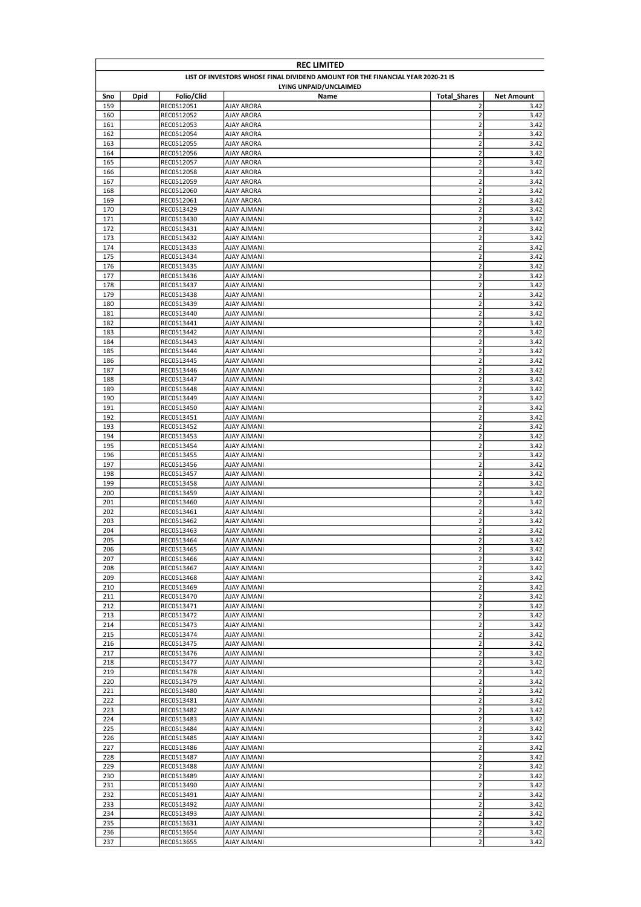| <b>REC LIMITED</b> |                                                                                 |                          |                                        |                                                    |                   |  |  |
|--------------------|---------------------------------------------------------------------------------|--------------------------|----------------------------------------|----------------------------------------------------|-------------------|--|--|
|                    | LIST OF INVESTORS WHOSE FINAL DIVIDEND AMOUNT FOR THE FINANCIAL YEAR 2020-21 IS |                          |                                        |                                                    |                   |  |  |
|                    |                                                                                 |                          | LYING UNPAID/UNCLAIMED                 |                                                    |                   |  |  |
| Sno                | <b>Dpid</b>                                                                     | Folio/Clid               | Name                                   | <b>Total Shares</b>                                | <b>Net Amount</b> |  |  |
| 159                |                                                                                 | REC0512051               | AJAY ARORA                             | $\overline{2}$                                     | 3.42              |  |  |
| 160                |                                                                                 | REC0512052               | <b>AJAY ARORA</b><br><b>AJAY ARORA</b> | $\overline{2}$<br>$\mathbf 2$                      | 3.42              |  |  |
| 161<br>162         |                                                                                 | REC0512053<br>REC0512054 | AJAY ARORA                             | $\mathbf 2$                                        | 3.42<br>3.42      |  |  |
| 163                |                                                                                 | REC0512055               | <b>AJAY ARORA</b>                      | $\mathbf 2$                                        | 3.42              |  |  |
| 164                |                                                                                 | REC0512056               | AJAY ARORA                             | $\mathbf 2$                                        | 3.42              |  |  |
| 165                |                                                                                 | REC0512057               | AJAY ARORA                             | $\overline{2}$                                     | 3.42              |  |  |
| 166                |                                                                                 | REC0512058               | <b>AJAY ARORA</b>                      | $\mathbf 2$                                        | 3.42              |  |  |
| 167                |                                                                                 | REC0512059               | AJAY ARORA                             | $\mathbf 2$                                        | 3.42              |  |  |
| 168                |                                                                                 | REC0512060               | AJAY ARORA                             | $\mathbf 2$                                        | 3.42              |  |  |
| 169                |                                                                                 | REC0512061               | AJAY ARORA                             | $\mathbf 2$                                        | 3.42              |  |  |
| 170                |                                                                                 | REC0513429               | <b>AJAY AJMANI</b>                     | $\overline{\mathbf{c}}$                            | 3.42              |  |  |
| 171                |                                                                                 | REC0513430               | AJAY AJMANI                            | $\overline{\mathbf{c}}$                            | 3.42              |  |  |
| 172                |                                                                                 | REC0513431               | AJAY AJMANI                            | $\overline{\mathbf{c}}$                            | 3.42              |  |  |
| 173                |                                                                                 | REC0513432               | <b>AJAY AJMANI</b>                     | $\overline{2}$                                     | 3.42              |  |  |
| 174                |                                                                                 | REC0513433               | <b>AJAY AJMANI</b>                     | $\overline{\mathbf{c}}$                            | 3.42              |  |  |
| 175                |                                                                                 | REC0513434               | <b>AJAY AJMANI</b>                     | $\overline{2}$                                     | 3.42              |  |  |
| 176                |                                                                                 | REC0513435               | <b>AJAY AJMANI</b>                     | $\overline{2}$                                     | 3.42              |  |  |
| 177                |                                                                                 | REC0513436               | AJAY AJMANI                            | $\mathbf 2$                                        | 3.42              |  |  |
| 178                |                                                                                 | REC0513437               | AJAY AJMANI                            | $\mathbf 2$                                        | 3.42              |  |  |
| 179                |                                                                                 | REC0513438               | AJAY AJMANI                            | $\overline{\mathbf{c}}$<br>$\overline{\mathbf{c}}$ | 3.42              |  |  |
| 180<br>181         |                                                                                 | REC0513439<br>REC0513440 | AJAY AJMANI<br>AJAY AJMANI             | $\overline{\mathbf{c}}$                            | 3.42<br>3.42      |  |  |
| 182                |                                                                                 | REC0513441               | AJAY AJMANI                            | $\overline{\mathbf{c}}$                            | 3.42              |  |  |
| 183                |                                                                                 | REC0513442               | <b>AJAY AJMANI</b>                     | $\overline{\mathbf{c}}$                            | 3.42              |  |  |
| 184                |                                                                                 | REC0513443               | <b>AJAY AJMANI</b>                     | $\overline{2}$                                     | 3.42              |  |  |
| 185                |                                                                                 | REC0513444               | AJAY AJMANI                            | $\overline{\mathbf{c}}$                            | 3.42              |  |  |
| 186                |                                                                                 | REC0513445               | <b>AJAY AJMANI</b>                     | $\overline{2}$                                     | 3.42              |  |  |
| 187                |                                                                                 | REC0513446               | <b>AJAY AJMANI</b>                     | $\overline{\mathbf{c}}$                            | 3.42              |  |  |
| 188                |                                                                                 | REC0513447               | AJAY AJMANI                            | $\mathbf 2$                                        | 3.42              |  |  |
| 189                |                                                                                 | REC0513448               | AJAY AJMANI                            | $\overline{\mathbf{c}}$                            | 3.42              |  |  |
| 190                |                                                                                 | REC0513449               | <b>AJAY AJMANI</b>                     | $\overline{\mathbf{c}}$                            | 3.42              |  |  |
| 191                |                                                                                 | REC0513450               | AJAY AJMANI                            | $\overline{2}$                                     | 3.42              |  |  |
| 192                |                                                                                 | REC0513451               | <b>AJAY AJMANI</b>                     | $\overline{2}$                                     | 3.42              |  |  |
| 193                |                                                                                 | REC0513452               | AJAY AJMANI                            | $\overline{\mathbf{c}}$                            | 3.42              |  |  |
| 194                |                                                                                 | REC0513453               | <b>AJAY AJMANI</b>                     | $\overline{\mathbf{c}}$                            | 3.42              |  |  |
| 195                |                                                                                 | REC0513454               | AJAY AJMANI                            | $\overline{2}$                                     | 3.42              |  |  |
| 196                |                                                                                 | REC0513455               | <b>AJAY AJMANI</b>                     | $\overline{\mathbf{c}}$                            | 3.42              |  |  |
| 197                |                                                                                 | REC0513456               | AJAY AJMANI                            | $\overline{2}$                                     | 3.42              |  |  |
| 198                |                                                                                 | REC0513457               | AJAY AJMANI                            | $\overline{\mathbf{c}}$                            | 3.42              |  |  |
| 199                |                                                                                 | REC0513458               | <b>AJAY AJMANI</b>                     | $\overline{2}$                                     | 3.42              |  |  |
| 200                |                                                                                 | REC0513459               | <b>AJAY AJMANI</b>                     | $\overline{\mathbf{c}}$                            | 3.42              |  |  |
| 201                |                                                                                 | REC0513460               | <b>AJAY AJMANI</b>                     | $\overline{2}$                                     | 3.42              |  |  |
| 202                |                                                                                 | REC0513461               | AJAY AJMANI                            | $\overline{2}$                                     | 3.42              |  |  |
| 203                |                                                                                 | REC0513462               | AJAY AJMANI                            | $\overline{\mathbf{c}}$                            | 3.42              |  |  |
| 204                |                                                                                 | REC0513463               | AJAY AJMANI                            | $\overline{2}$                                     | 3.42              |  |  |
| 205                |                                                                                 | REC0513464               | AJAY AJMANI                            | $\overline{2}$                                     | 3.42              |  |  |
| 206                |                                                                                 | REC0513465               | <b>AJAY AJMANI</b>                     | $\overline{2}$                                     | 3.42              |  |  |
| 207                |                                                                                 | REC0513466               | AJAY AJMANI                            | $\overline{2}$                                     | 3.42              |  |  |
| 208                |                                                                                 | REC0513467               | <b>AJAY AJMANI</b>                     | $\mathbf 2$                                        | 3.42              |  |  |
| 209                |                                                                                 | REC0513468               | AJAY AJMANI                            | $\overline{2}$                                     | 3.42              |  |  |
| 210                |                                                                                 | REC0513469               | AJAY AJMANI                            | $\mathbf 2$                                        | 3.42              |  |  |
| 211                |                                                                                 | REC0513470               | AJAY AJMANI                            | $\overline{2}$                                     | 3.42              |  |  |
| 212                |                                                                                 | REC0513471               | <b>AJAY AJMANI</b>                     | $\mathbf 2$                                        | 3.42              |  |  |
| 213                |                                                                                 | REC0513472               | <b>AJAY AJMANI</b>                     | $\mathbf{2}$                                       | 3.42              |  |  |
| 214                |                                                                                 | REC0513473<br>REC0513474 | AJAY AJMANI                            | $\mathbf 2$<br>$\mathbf{2}$                        | 3.42<br>3.42      |  |  |
| 215<br>216         |                                                                                 | REC0513475               | AJAY AJMANI<br>AJAY AJMANI             | $\mathbf 2$                                        | 3.42              |  |  |
| 217                |                                                                                 | REC0513476               | <b>AJAY AJMANI</b>                     | $\mathbf 2$                                        | 3.42              |  |  |
| 218                |                                                                                 | REC0513477               | AJAY AJMANI                            | $\mathbf 2$                                        | 3.42              |  |  |
| 219                |                                                                                 | REC0513478               | <b>AJAY AJMANI</b>                     | $\overline{\mathbf{c}}$                            | 3.42              |  |  |
| 220                |                                                                                 | REC0513479               | AJAY AJMANI                            | $\overline{\mathbf{c}}$                            | 3.42              |  |  |
| 221                |                                                                                 | REC0513480               | <b>AJAY AJMANI</b>                     | $\overline{\mathbf{c}}$                            | 3.42              |  |  |
| 222                |                                                                                 | REC0513481               | AJAY AJMANI                            | $\overline{\mathbf{c}}$                            | 3.42              |  |  |
| 223                |                                                                                 | REC0513482               | AJAY AJMANI                            | $\mathbf 2$                                        | 3.42              |  |  |
| 224                |                                                                                 | REC0513483               | AJAY AJMANI                            | $\mathbf 2$                                        | 3.42              |  |  |
| 225                |                                                                                 | REC0513484               | <b>AJAY AJMANI</b>                     | $\mathbf 2$                                        | 3.42              |  |  |
| 226                |                                                                                 | REC0513485               | <b>AJAY AJMANI</b>                     | $\mathbf{2}$                                       | 3.42              |  |  |
| 227                |                                                                                 | REC0513486               | AJAY AJMANI                            | $\overline{\mathbf{c}}$                            | 3.42              |  |  |
| 228                |                                                                                 | REC0513487               | AJAY AJMANI                            | $\mathbf{2}$                                       | 3.42              |  |  |
| 229                |                                                                                 | REC0513488               | AJAY AJMANI                            | $\mathbf 2$                                        | 3.42              |  |  |
| 230                |                                                                                 | REC0513489               | AJAY AJMANI                            | $\mathbf 2$                                        | 3.42              |  |  |
| 231                |                                                                                 | REC0513490               | AJAY AJMANI                            | $\overline{\mathbf{c}}$                            | 3.42              |  |  |
| 232                |                                                                                 | REC0513491               | AJAY AJMANI                            | $\overline{\mathbf{c}}$                            | 3.42              |  |  |
| 233                |                                                                                 | REC0513492               | AJAY AJMANI                            | $\overline{\mathbf{c}}$                            | 3.42              |  |  |
| 234                |                                                                                 | REC0513493               | AJAY AJMANI                            | $\overline{2}$                                     | 3.42              |  |  |
| 235                |                                                                                 | REC0513631               | <b>AJAY AJMANI</b>                     | $\overline{2}$                                     | 3.42              |  |  |
| 236                |                                                                                 | REC0513654               | <b>AJAY AJMANI</b>                     | $\mathbf 2$                                        | 3.42              |  |  |
| 237                |                                                                                 | REC0513655               | AJAY AJMANI                            | 2                                                  | 3.42              |  |  |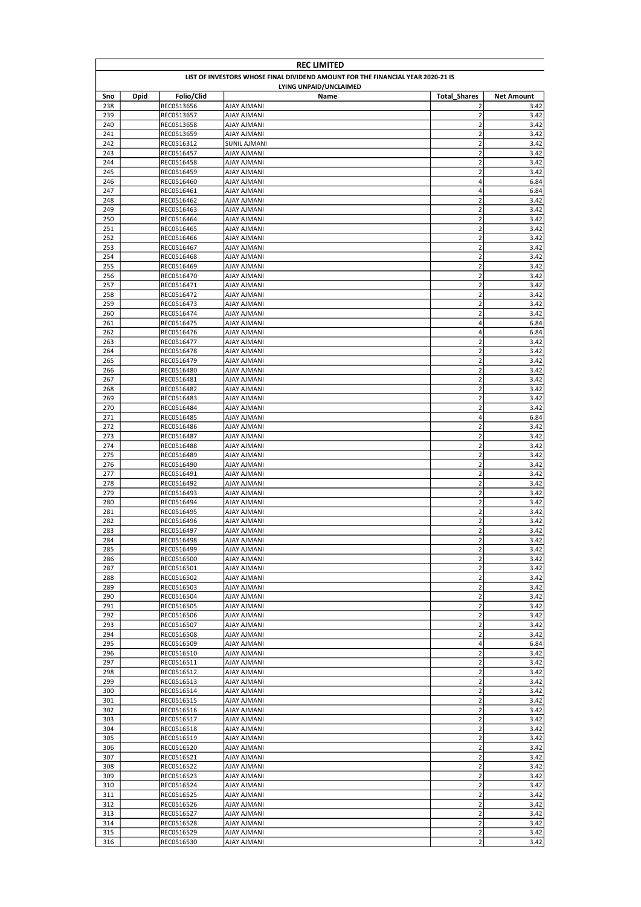| <b>REC LIMITED</b> |                                                                                 |                          |                                          |                                                    |                   |  |  |
|--------------------|---------------------------------------------------------------------------------|--------------------------|------------------------------------------|----------------------------------------------------|-------------------|--|--|
|                    | LIST OF INVESTORS WHOSE FINAL DIVIDEND AMOUNT FOR THE FINANCIAL YEAR 2020-21 IS |                          |                                          |                                                    |                   |  |  |
|                    |                                                                                 |                          | LYING UNPAID/UNCLAIMED                   |                                                    |                   |  |  |
| Sno                | <b>Dpid</b>                                                                     | Folio/Clid               | Name                                     | <b>Total Shares</b>                                | <b>Net Amount</b> |  |  |
| 238                |                                                                                 | REC0513656               | AJAY AJMANI                              | $\overline{2}$                                     | 3.42              |  |  |
| 239                |                                                                                 | REC0513657               | AJAY AJMANI                              | $\overline{2}$<br>$\overline{\mathbf{c}}$          | 3.42              |  |  |
| 240<br>241         |                                                                                 | REC0513658<br>REC0513659 | <b>AJAY AJMANI</b><br><b>AJAY AJMANI</b> | $\overline{2}$                                     | 3.42<br>3.42      |  |  |
| 242                |                                                                                 | REC0516312               | <b>SUNIL AJMANI</b>                      | $\mathbf 2$                                        | 3.42              |  |  |
| 243                |                                                                                 | REC0516457               | AJAY AJMANI                              | $\overline{\mathbf{c}}$                            | 3.42              |  |  |
| 244                |                                                                                 | REC0516458               | AJAY AJMANI                              | $\overline{2}$                                     | 3.42              |  |  |
| 245                |                                                                                 | REC0516459               | <b>AJAY AJMANI</b>                       | $\overline{2}$                                     | 3.42              |  |  |
| 246                |                                                                                 | REC0516460               | AJAY AJMANI                              | 4                                                  | 6.84              |  |  |
| 247                |                                                                                 | REC0516461               | <b>AJAY AJMANI</b>                       | 4                                                  | 6.84              |  |  |
| 248                |                                                                                 | REC0516462               | AJAY AJMANI                              | $\overline{\mathbf{c}}$                            | 3.42              |  |  |
| 249                |                                                                                 | REC0516463               | <b>AJAY AJMANI</b>                       | $\overline{\mathbf{c}}$                            | 3.42              |  |  |
| 250                |                                                                                 | REC0516464               | AJAY AJMANI                              | $\overline{\mathbf{c}}$                            | 3.42              |  |  |
| 251                |                                                                                 | REC0516465               | AJAY AJMANI                              | $\overline{\mathbf{c}}$                            | 3.42              |  |  |
| 252                |                                                                                 | REC0516466               | <b>AJAY AJMANI</b>                       | $\overline{2}$                                     | 3.42              |  |  |
| 253                |                                                                                 | REC0516467               | <b>AJAY AJMANI</b>                       | $\overline{\mathbf{c}}$                            | 3.42              |  |  |
| 254                |                                                                                 | REC0516468               | <b>AJAY AJMANI</b>                       | $\overline{2}$                                     | 3.42              |  |  |
| 255                |                                                                                 | REC0516469               | AJAY AJMANI                              | $\overline{2}$                                     | 3.42              |  |  |
| 256                |                                                                                 | REC0516470               | AJAY AJMANI                              | $\mathbf 2$                                        | 3.42              |  |  |
| 257                |                                                                                 | REC0516471               | AJAY AJMANI                              | $\mathbf 2$                                        | 3.42              |  |  |
| 258                |                                                                                 | REC0516472               | AJAY AJMANI                              | $\overline{\mathbf{c}}$                            | 3.42              |  |  |
| 259                |                                                                                 | REC0516473<br>REC0516474 | <b>AJAY AJMANI</b>                       | $\overline{\mathbf{c}}$<br>$\overline{\mathbf{c}}$ | 3.42<br>3.42      |  |  |
| 260                |                                                                                 |                          | AJAY AJMANI                              | 4                                                  |                   |  |  |
| 261<br>262         |                                                                                 | REC0516475               | AJAY AJMANI<br><b>AJAY AJMANI</b>        | 4                                                  | 6.84<br>6.84      |  |  |
| 263                |                                                                                 | REC0516476<br>REC0516477 | AJAY AJMANI                              | $\overline{2}$                                     | 3.42              |  |  |
| 264                |                                                                                 | REC0516478               | AJAY AJMANI                              | $\overline{\mathbf{c}}$                            | 3.42              |  |  |
| 265                |                                                                                 | REC0516479               | <b>AJAY AJMANI</b>                       | $\overline{2}$                                     | 3.42              |  |  |
| 266                |                                                                                 | REC0516480               | <b>AJAY AJMANI</b>                       | $\overline{\mathbf{c}}$                            | 3.42              |  |  |
| 267                |                                                                                 | REC0516481               | AJAY AJMANI                              | $\mathbf 2$                                        | 3.42              |  |  |
| 268                |                                                                                 | REC0516482               | AJAY AJMANI                              | $\overline{\mathbf{c}}$                            | 3.42              |  |  |
| 269                |                                                                                 | REC0516483               | <b>AJAY AJMANI</b>                       | $\overline{\mathbf{c}}$                            | 3.42              |  |  |
| 270                |                                                                                 | REC0516484               | AJAY AJMANI                              | $\overline{2}$                                     | 3.42              |  |  |
| 271                |                                                                                 | REC0516485               | <b>AJAY AJMANI</b>                       | 4                                                  | 6.84              |  |  |
| 272                |                                                                                 | REC0516486               | AJAY AJMANI                              | $\overline{\mathbf{c}}$                            | 3.42              |  |  |
| 273                |                                                                                 | REC0516487               | <b>AJAY AJMANI</b>                       | $\overline{\mathbf{c}}$                            | 3.42              |  |  |
| 274                |                                                                                 | REC0516488               | AJAY AJMANI                              | $\overline{2}$                                     | 3.42              |  |  |
| 275                |                                                                                 | REC0516489               | <b>AJAY AJMANI</b>                       | $\overline{\mathbf{c}}$                            | 3.42              |  |  |
| 276                |                                                                                 | REC0516490               | AJAY AJMANI                              | $\overline{2}$                                     | 3.42              |  |  |
| 277                |                                                                                 | REC0516491               | AJAY AJMANI                              | $\overline{\mathbf{c}}$                            | 3.42              |  |  |
| 278                |                                                                                 | REC0516492               | <b>AJAY AJMANI</b>                       | $\overline{2}$                                     | 3.42              |  |  |
| 279                |                                                                                 | REC0516493               | <b>AJAY AJMANI</b>                       | $\overline{\mathbf{c}}$                            | 3.42              |  |  |
| 280                |                                                                                 | REC0516494               | <b>AJAY AJMANI</b>                       | $\overline{2}$                                     | 3.42              |  |  |
| 281                |                                                                                 | REC0516495               | AJAY AJMANI                              | $\overline{2}$                                     | 3.42              |  |  |
| 282                |                                                                                 | REC0516496               | <b>AJAY AJMANI</b>                       | $\overline{\mathbf{c}}$                            | 3.42              |  |  |
| 283                |                                                                                 | REC0516497               | AJAY AJMANI                              | $\overline{2}$                                     | 3.42              |  |  |
| 284                |                                                                                 | REC0516498               | AJAY AJMANI                              | $\overline{2}$                                     | 3.42              |  |  |
| 285                |                                                                                 | REC0516499               | <b>AJAY AJMANI</b>                       | $\overline{2}$                                     | 3.42              |  |  |
| 286                |                                                                                 | REC0516500               | AJAY AJMANI                              | $\mathbf 2$                                        | 3.42              |  |  |
| 287                |                                                                                 | REC0516501               | AJAY AJMANI                              | $\mathbf 2$                                        | 3.42              |  |  |
| 288                |                                                                                 | REC0516502               | <b>AJAY AJMANI</b>                       | $\overline{2}$                                     | 3.42              |  |  |
| 289                |                                                                                 | REC0516503               | <b>AJAY AJMANI</b>                       | $\mathbf 2$                                        | 3.42              |  |  |
| 290                |                                                                                 | REC0516504               | AJAY AJMANI                              | $\overline{\mathbf{c}}$                            | 3.42              |  |  |
| 291                |                                                                                 | REC0516505               | <b>AJAY AJMANI</b>                       | $\mathbf 2$                                        | 3.42              |  |  |
| 292                |                                                                                 | REC0516506<br>REC0516507 | <b>AJAY AJMANI</b>                       | $\mathbf 2$<br>$\mathbf 2$                         | 3.42              |  |  |
| 293<br>294         |                                                                                 | REC0516508               | AJAY AJMANI<br>AJAY AJMANI               | $\overline{\mathbf{c}}$                            | 3.42<br>3.42      |  |  |
| 295                |                                                                                 | REC0516509               | AJAY AJMANI                              | $\overline{\mathbf{4}}$                            | 6.84              |  |  |
| 296                |                                                                                 | REC0516510               | AJAY AJMANI                              | $\mathbf 2$                                        | 3.42              |  |  |
| 297                |                                                                                 | REC0516511               | AJAY AJMANI                              | $\mathbf 2$                                        | 3.42              |  |  |
| 298                |                                                                                 | REC0516512               | AJAY AJMANI                              | $\overline{\mathbf{c}}$                            | 3.42              |  |  |
| 299                |                                                                                 | REC0516513               | AJAY AJMANI                              | $\overline{\mathbf{c}}$                            | 3.42              |  |  |
| 300                |                                                                                 | REC0516514               | <b>AJAY AJMANI</b>                       | $\overline{\mathbf{c}}$                            | 3.42              |  |  |
| 301                |                                                                                 | REC0516515               | <b>AJAY AJMANI</b>                       | $\overline{\mathbf{c}}$                            | 3.42              |  |  |
| 302                |                                                                                 | REC0516516               | AJAY AJMANI                              | $\mathbf 2$                                        | 3.42              |  |  |
| 303                |                                                                                 | REC0516517               | AJAY AJMANI                              | $\mathbf 2$                                        | 3.42              |  |  |
| 304                |                                                                                 | REC0516518               | <b>AJAY AJMANI</b>                       | $\mathbf 2$                                        | 3.42              |  |  |
| 305                |                                                                                 | REC0516519               | <b>AJAY AJMANI</b>                       | $\mathbf 2$                                        | 3.42              |  |  |
| 306                |                                                                                 | REC0516520               | AJAY AJMANI                              | $\overline{\mathbf{c}}$                            | 3.42              |  |  |
| 307                |                                                                                 | REC0516521               | AJAY AJMANI                              | $\overline{2}$                                     | 3.42              |  |  |
| 308                |                                                                                 | REC0516522               | AJAY AJMANI                              | $\mathbf 2$                                        | 3.42              |  |  |
| 309                |                                                                                 | REC0516523               | AJAY AJMANI                              | $\mathbf 2$                                        | 3.42              |  |  |
| 310                |                                                                                 | REC0516524               | AJAY AJMANI                              | $\overline{\mathbf{c}}$                            | 3.42              |  |  |
| 311                |                                                                                 | REC0516525               | AJAY AJMANI                              | $\overline{\mathbf{c}}$                            | 3.42              |  |  |
| 312                |                                                                                 | REC0516526               | AJAY AJMANI                              | $\overline{\mathbf{c}}$                            | 3.42              |  |  |
| 313                |                                                                                 | REC0516527               | AJAY AJMANI                              | $\overline{2}$                                     | 3.42              |  |  |
| 314                |                                                                                 | REC0516528               | <b>AJAY AJMANI</b>                       | $\overline{\mathbf{c}}$                            | 3.42              |  |  |
| 315                |                                                                                 | REC0516529               | <b>AJAY AJMANI</b>                       | $\overline{\mathbf{c}}$                            | 3.42              |  |  |
| 316                |                                                                                 | REC0516530               | AJAY AJMANI                              | $\overline{\mathbf{c}}$                            | 3.42              |  |  |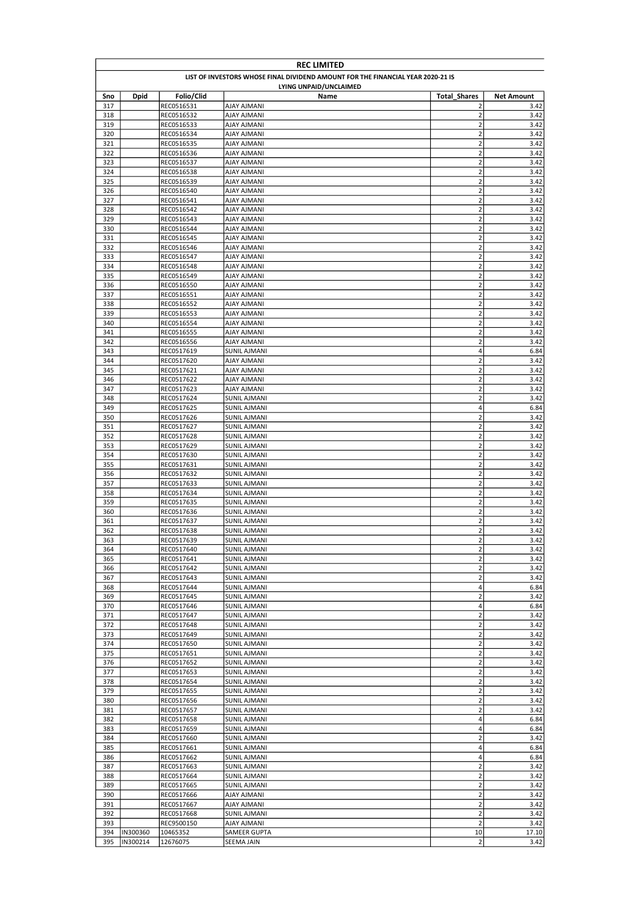|            | <b>REC LIMITED</b>                                                              |                          |                                          |                                                    |                   |  |
|------------|---------------------------------------------------------------------------------|--------------------------|------------------------------------------|----------------------------------------------------|-------------------|--|
|            | LIST OF INVESTORS WHOSE FINAL DIVIDEND AMOUNT FOR THE FINANCIAL YEAR 2020-21 IS |                          |                                          |                                                    |                   |  |
|            |                                                                                 |                          | LYING UNPAID/UNCLAIMED                   |                                                    |                   |  |
| Sno        | <b>Dpid</b>                                                                     | Folio/Clid               | Name                                     | <b>Total Shares</b>                                | <b>Net Amount</b> |  |
| 317        |                                                                                 | REC0516531               | AJAY AJMANI                              | $\overline{2}$                                     | 3.42              |  |
| 318        |                                                                                 | REC0516532               | AJAY AJMANI                              | $\overline{2}$<br>$\overline{\mathbf{c}}$          | 3.42              |  |
| 319<br>320 |                                                                                 | REC0516533<br>REC0516534 | <b>AJAY AJMANI</b><br><b>AJAY AJMANI</b> | $\overline{2}$                                     | 3.42<br>3.42      |  |
| 321        |                                                                                 | REC0516535               | <b>AJAY AJMANI</b>                       | $\overline{\mathbf{c}}$                            | 3.42              |  |
| 322        |                                                                                 | REC0516536               | AJAY AJMANI                              | $\overline{\mathbf{c}}$                            | 3.42              |  |
| 323        |                                                                                 | REC0516537               | AJAY AJMANI                              | $\overline{2}$                                     | 3.42              |  |
| 324        |                                                                                 | REC0516538               | <b>AJAY AJMANI</b>                       | $\overline{2}$                                     | 3.42              |  |
| 325        |                                                                                 | REC0516539               | AJAY AJMANI                              | $\overline{\mathbf{c}}$                            | 3.42              |  |
| 326        |                                                                                 | REC0516540               | <b>AJAY AJMANI</b>                       | $\overline{\mathbf{c}}$                            | 3.42              |  |
| 327        |                                                                                 | REC0516541               | AJAY AJMANI                              | $\overline{\mathbf{c}}$                            | 3.42              |  |
| 328        |                                                                                 | REC0516542               | <b>AJAY AJMANI</b>                       | $\overline{\mathbf{c}}$                            | 3.42              |  |
| 329        |                                                                                 | REC0516543               | AJAY AJMANI                              | $\overline{\mathbf{c}}$                            | 3.42              |  |
| 330        |                                                                                 | REC0516544               | AJAY AJMANI                              | $\overline{\mathbf{c}}$                            | 3.42              |  |
| 331        |                                                                                 | REC0516545               | <b>AJAY AJMANI</b>                       | $\overline{2}$                                     | 3.42              |  |
| 332        |                                                                                 | REC0516546               | <b>AJAY AJMANI</b>                       | $\overline{\mathbf{c}}$                            | 3.42              |  |
| 333        |                                                                                 | REC0516547               | <b>AJAY AJMANI</b>                       | $\overline{2}$                                     | 3.42              |  |
| 334        |                                                                                 | REC0516548               | AJAY AJMANI                              | $\overline{2}$                                     | 3.42              |  |
| 335        |                                                                                 | REC0516549               | AJAY AJMANI                              | $\overline{\mathbf{c}}$                            | 3.42              |  |
| 336        |                                                                                 | REC0516550               | AJAY AJMANI                              | $\overline{2}$                                     | 3.42              |  |
| 337        |                                                                                 | REC0516551               | <b>AJAY AJMANI</b><br><b>AJAY AJMANI</b> | $\overline{\mathbf{c}}$<br>$\overline{\mathbf{c}}$ | 3.42              |  |
| 338<br>339 |                                                                                 | REC0516552<br>REC0516553 | AJAY AJMANI                              | $\overline{\mathbf{c}}$                            | 3.42<br>3.42      |  |
| 340        |                                                                                 |                          | AJAY AJMANI                              | $\overline{\mathbf{c}}$                            |                   |  |
| 341        |                                                                                 | REC0516554<br>REC0516555 | <b>AJAY AJMANI</b>                       | $\overline{\mathbf{c}}$                            | 3.42<br>3.42      |  |
| 342        |                                                                                 | REC0516556               | AJAY AJMANI                              | $\overline{2}$                                     | 3.42              |  |
| 343        |                                                                                 | REC0517619               | SUNIL AJMANI                             | 4                                                  | 6.84              |  |
| 344        |                                                                                 | REC0517620               | <b>AJAY AJMANI</b>                       | $\overline{2}$                                     | 3.42              |  |
| 345        |                                                                                 | REC0517621               | <b>AJAY AJMANI</b>                       | $\overline{\mathbf{c}}$                            | 3.42              |  |
| 346        |                                                                                 | REC0517622               | AJAY AJMANI                              | $\overline{2}$                                     | 3.42              |  |
| 347        |                                                                                 | REC0517623               | AJAY AJMANI                              | $\overline{\mathbf{c}}$                            | 3.42              |  |
| 348        |                                                                                 | REC0517624               | SUNIL AJMANI                             | $\overline{\mathbf{c}}$                            | 3.42              |  |
| 349        |                                                                                 | REC0517625               | SUNIL AJMANI                             | $\overline{\mathbf{4}}$                            | 6.84              |  |
| 350        |                                                                                 | REC0517626               | SUNIL AJMANI                             | $\mathbf 2$                                        | 3.42              |  |
| 351        |                                                                                 | REC0517627               | SUNIL AJMANI                             | $\mathbf 2$                                        | 3.42              |  |
| 352        |                                                                                 | REC0517628               | <b>SUNIL AJMANI</b>                      | $\mathbf 2$                                        | 3.42              |  |
| 353        |                                                                                 | REC0517629               | <b>SUNIL AJMANI</b>                      | $\overline{2}$                                     | 3.42              |  |
| 354        |                                                                                 | REC0517630               | <b>SUNIL AJMANI</b>                      | $\overline{\mathbf{c}}$                            | 3.42              |  |
| 355        |                                                                                 | REC0517631               | SUNIL AJMANI                             | $\overline{2}$                                     | 3.42              |  |
| 356        |                                                                                 | REC0517632               | <b>SUNIL AJMANI</b>                      | $\mathbf 2$                                        | 3.42              |  |
| 357        |                                                                                 | REC0517633               | <b>SUNIL AJMANI</b>                      | $\overline{2}$                                     | 3.42              |  |
| 358        |                                                                                 | REC0517634               | <b>SUNIL AJMANI</b>                      | $\mathbf 2$                                        | 3.42              |  |
| 359        |                                                                                 | REC0517635               | <b>SUNIL AJMANI</b>                      | $\mathbf 2$                                        | 3.42              |  |
| 360        |                                                                                 | REC0517636               | SUNIL AJMANI                             | $\mathbf 2$                                        | 3.42              |  |
| 361        |                                                                                 | REC0517637               | SUNIL AJMANI                             | $\mathbf 2$                                        | 3.42              |  |
| 362        |                                                                                 | REC0517638               | SUNIL AJMANI                             | $\overline{2}$                                     | 3.42              |  |
| 363        |                                                                                 | REC0517639               | <b>SUNIL AJMANI</b>                      | $\overline{2}$                                     | 3.42              |  |
| 364        |                                                                                 | REC0517640               | <b>SUNIL AJMANI</b>                      | $\overline{2}$                                     | 3.42              |  |
| 365        |                                                                                 | REC0517641               | SUNIL AJMANI                             | $\mathbf 2$                                        | 3.42              |  |
| 366        |                                                                                 | REC0517642               | SUNIL AJMANI                             | $\mathbf 2$                                        | 3.42              |  |
| 367        |                                                                                 | REC0517643               | SUNIL AJMANI                             | $\overline{2}$                                     | 3.42              |  |
| 368        |                                                                                 | REC0517644               | SUNIL AJMANI                             | $\sqrt{4}$                                         | 6.84              |  |
| 369        |                                                                                 | REC0517645               | <b>SUNIL AJMANI</b>                      | $\mathbf 2$                                        | 3.42              |  |
| 370        |                                                                                 | REC0517646               | SUNIL AJMANI                             | $\pmb{4}$                                          | 6.84              |  |
| 371        |                                                                                 | REC0517647               | SUNIL AJMANI                             | $\mathbf 2$                                        | 3.42              |  |
| 372<br>373 |                                                                                 | REC0517648               | <b>SUNIL AJMANI</b>                      | $\mathbf 2$<br>$\mathbf 2$                         | 3.42<br>3.42      |  |
| 374        |                                                                                 | REC0517649<br>REC0517650 | SUNIL AJMANI<br>SUNIL AJMANI             | $\mathbf 2$                                        | 3.42              |  |
| 375        |                                                                                 | REC0517651               | SUNIL AJMANI                             | $\mathbf 2$                                        | 3.42              |  |
| 376        |                                                                                 | REC0517652               | SUNIL AJMANI                             | $\mathbf 2$                                        | 3.42              |  |
| 377        |                                                                                 | REC0517653               | SUNIL AJMANI                             | $\overline{\mathbf{c}}$                            | 3.42              |  |
| 378        |                                                                                 | REC0517654               | SUNIL AJMANI                             | $\mathbf 2$                                        | 3.42              |  |
| 379        |                                                                                 | REC0517655               | <b>SUNIL AJMANI</b>                      | $\mathbf 2$                                        | 3.42              |  |
| 380        |                                                                                 | REC0517656               | SUNIL AJMANI                             | $\overline{\mathbf{c}}$                            | 3.42              |  |
| 381        |                                                                                 | REC0517657               | <b>SUNIL AJMANI</b>                      | $\mathbf 2$                                        | 3.42              |  |
| 382        |                                                                                 | REC0517658               | <b>SUNIL AJMANI</b>                      | 4                                                  | 6.84              |  |
| 383        |                                                                                 | REC0517659               | <b>SUNIL AJMANI</b>                      | $\overline{\mathbf{r}}$                            | 6.84              |  |
| 384        |                                                                                 | REC0517660               | <b>SUNIL AJMANI</b>                      | $\mathbf 2$                                        | 3.42              |  |
| 385        |                                                                                 | REC0517661               | SUNIL AJMANI                             | $\overline{\mathbf{4}}$                            | 6.84              |  |
| 386        |                                                                                 | REC0517662               | SUNIL AJMANI                             | $\overline{\mathbf{4}}$                            | 6.84              |  |
| 387        |                                                                                 | REC0517663               | SUNIL AJMANI                             | $\mathbf 2$                                        | 3.42              |  |
| 388        |                                                                                 | REC0517664               | <b>SUNIL AJMANI</b>                      | $\mathbf 2$                                        | 3.42              |  |
| 389        |                                                                                 | REC0517665               | SUNIL AJMANI                             | $\mathbf 2$                                        | 3.42              |  |
| 390        |                                                                                 | REC0517666               | AJAY AJMANI                              | $\overline{\mathbf{c}}$                            | 3.42              |  |
| 391        |                                                                                 | REC0517667               | AJAY AJMANI                              | $\overline{\mathbf{c}}$                            | 3.42              |  |
| 392        |                                                                                 | REC0517668               | <b>SUNIL AJMANI</b>                      | $\mathbf 2$                                        | 3.42              |  |
| 393        |                                                                                 | REC9500150               | <b>AJAY AJMANI</b>                       | $\mathbf 2$                                        | 3.42              |  |
| 394        | IN300360                                                                        | 10465352                 | SAMEER GUPTA                             | 10                                                 | 17.10             |  |
| 395        | IN300214                                                                        | 12676075                 | SEEMA JAIN                               | $\overline{2}$                                     | 3.42              |  |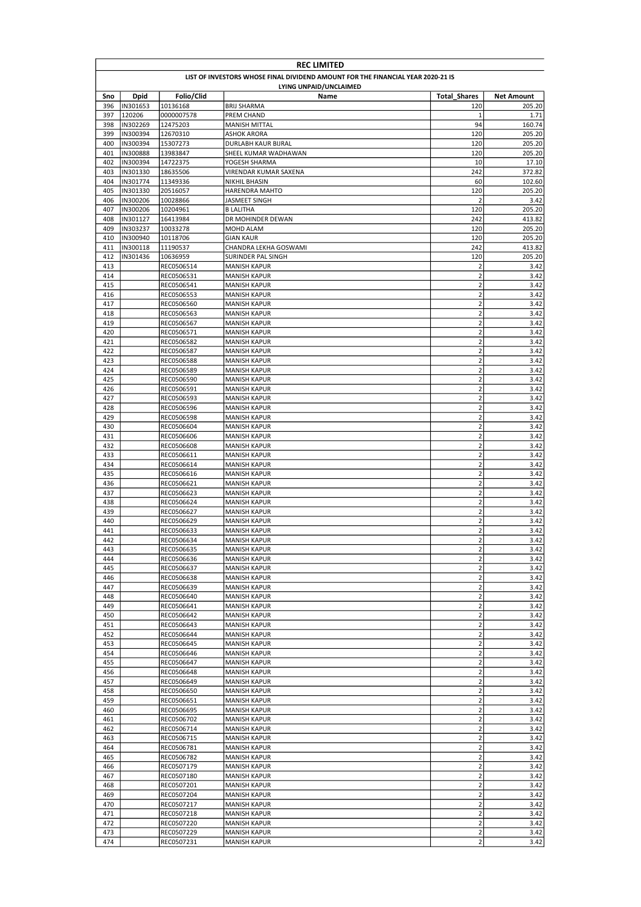|            | <b>REC LIMITED</b>                                                              |                          |                                            |                                        |                   |  |
|------------|---------------------------------------------------------------------------------|--------------------------|--------------------------------------------|----------------------------------------|-------------------|--|
|            | LIST OF INVESTORS WHOSE FINAL DIVIDEND AMOUNT FOR THE FINANCIAL YEAR 2020-21 IS |                          |                                            |                                        |                   |  |
|            |                                                                                 |                          | LYING UNPAID/UNCLAIMED                     |                                        |                   |  |
| Sno        | Dpid                                                                            | Folio/Clid               | Name                                       | <b>Total Shares</b>                    | <b>Net Amount</b> |  |
| 396        | IN301653<br>120206                                                              | 10136168                 | <b>BRIJ SHARMA</b>                         | 120                                    | 205.20            |  |
| 397<br>398 | IN302269                                                                        | 0000007578<br>12475203   | PREM CHAND<br><b>MANISH MITTAL</b>         | 1<br>94                                | 1.71<br>160.74    |  |
| 399        | IN300394                                                                        | 12670310                 | <b>ASHOK ARORA</b>                         | 120                                    | 205.20            |  |
| 400        | IN300394                                                                        | 15307273                 | DURLABH KAUR BIJRAL                        | 120                                    | 205.20            |  |
| 401        | IN300888                                                                        | 13983847                 | SHEEL KUMAR WADHAWAN                       | 120                                    | 205.20            |  |
| 402        | IN300394                                                                        | 14722375                 | YOGESH SHARMA                              | 10                                     | 17.10             |  |
| 403        | IN301330                                                                        | 18635506                 | VIRENDAR KUMAR SAXENA                      | 242                                    | 372.82            |  |
| 404        | IN301774                                                                        | 11349336                 | NIKHIL BHASIN                              | 60                                     | 102.60            |  |
| 405<br>406 | IN301330<br>IN300206                                                            | 20516057<br>10028866     | HARENDRA MAHTO                             | 120<br>$\overline{2}$                  | 205.20<br>3.42    |  |
| 407        | IN300206                                                                        | 10204961                 | JASMEET SINGH<br><b>B LALITHA</b>          | 120                                    | 205.20            |  |
| 408        | IN301127                                                                        | 16413984                 | DR MOHINDER DEWAN                          | 242                                    | 413.82            |  |
| 409        | IN303237                                                                        | 10033278                 | MOHD ALAM                                  | 120                                    | 205.20            |  |
| 410        | IN300940                                                                        | 10118706                 | <b>GIAN KAUR</b>                           | 120                                    | 205.20            |  |
| 411        | IN300118                                                                        | 11190537                 | CHANDRA LEKHA GOSWAMI                      | 242                                    | 413.82            |  |
| 412        | IN301436                                                                        | 10636959                 | SURINDER PAL SINGH                         | 120                                    | 205.20            |  |
| 413        |                                                                                 | REC0506514               | <b>MANISH KAPUR</b>                        | $\overline{2}$                         | 3.42              |  |
| 414        |                                                                                 | REC0506531               | <b>MANISH KAPUR</b>                        | $\overline{2}$                         | 3.42              |  |
| 415        |                                                                                 | REC0506541               | <b>MANISH KAPUR</b>                        | $\mathbf 2$                            | 3.42              |  |
| 416<br>417 |                                                                                 | REC0506553<br>REC0506560 | <b>MANISH KAPUR</b><br><b>MANISH KAPUR</b> | $\mathbf 2$<br>$\mathbf 2$             | 3.42<br>3.42      |  |
| 418        |                                                                                 | REC0506563               | <b>MANISH KAPUR</b>                        | $\overline{2}$                         | 3.42              |  |
| 419        |                                                                                 | REC0506567               | <b>MANISH KAPUR</b>                        | $\overline{\mathbf{c}}$                | 3.42              |  |
| 420        |                                                                                 | REC0506571               | <b>MANISH KAPUR</b>                        | $\mathbf 2$                            | 3.42              |  |
| 421        |                                                                                 | REC0506582               | <b>MANISH KAPUR</b>                        | $\mathbf 2$                            | 3.42              |  |
| 422        |                                                                                 | REC0506587               | <b>MANISH KAPUR</b>                        | $\mathbf 2$                            | 3.42              |  |
| 423        |                                                                                 | REC0506588               | <b>MANISH KAPUR</b>                        | $\overline{2}$                         | 3.42              |  |
| 424        |                                                                                 | REC0506589               | <b>MANISH KAPUR</b>                        | $\mathbf 2$                            | 3.42              |  |
| 425        |                                                                                 | REC0506590               | <b>MANISH KAPUR</b>                        | $\mathbf 2$                            | 3.42              |  |
| 426        |                                                                                 | REC0506591               | <b>MANISH KAPUR</b>                        | $\mathbf 2$<br>$\overline{2}$          | 3.42              |  |
| 427<br>428 |                                                                                 | REC0506593<br>REC0506596 | <b>MANISH KAPUR</b><br><b>MANISH KAPUR</b> | $\overline{2}$                         | 3.42<br>3.42      |  |
| 429        |                                                                                 | REC0506598               | <b>MANISH KAPUR</b>                        | $\overline{2}$                         | 3.42              |  |
| 430        |                                                                                 | REC0506604               | <b>MANISH KAPUR</b>                        | $\mathbf 2$                            | 3.42              |  |
| 431        |                                                                                 | REC0506606               | <b>MANISH KAPUR</b>                        | $\overline{2}$                         | 3.42              |  |
| 432        |                                                                                 | REC0506608               | <b>MANISH KAPUR</b>                        | $\mathbf 2$                            | 3.42              |  |
| 433        |                                                                                 | REC0506611               | <b>MANISH KAPUR</b>                        | $\mathbf 2$                            | 3.42              |  |
| 434        |                                                                                 | REC0506614               | <b>MANISH KAPUR</b>                        | $\mathbf 2$                            | 3.42              |  |
| 435        |                                                                                 | REC0506616               | <b>MANISH KAPUR</b>                        | $\mathbf 2$                            | 3.42              |  |
| 436        |                                                                                 | REC0506621               | <b>MANISH KAPUR</b>                        | $\mathbf 2$                            | 3.42              |  |
| 437        |                                                                                 | REC0506623               | <b>MANISH KAPUR</b>                        | $\overline{\mathbf{c}}$                | 3.42              |  |
| 438<br>439 |                                                                                 | REC0506624<br>REC0506627 | <b>MANISH KAPUR</b><br><b>MANISH KAPUR</b> | $\overline{\mathbf{c}}$<br>$\mathbf 2$ | 3.42<br>3.42      |  |
| 440        |                                                                                 | REC0506629               | <b>MANISH KAPUR</b>                        | $\overline{2}$                         | 3.42              |  |
| 441        |                                                                                 | REC0506633               | <b>MANISH KAPUR</b>                        | $\overline{\mathbf{c}}$                | 3.42              |  |
| 442        |                                                                                 | REC0506634               | <b>MANISH KAPUR</b>                        | $\overline{2}$                         | 3.42              |  |
| 443        |                                                                                 | REC0506635               | <b>MANISH KAPUR</b>                        | $\mathbf 2$                            | 3.42              |  |
| 444        |                                                                                 | REC0506636               | <b>MANISH KAPUR</b>                        | $\overline{\mathbf{c}}$                | 3.42              |  |
| 445        |                                                                                 | REC0506637               | <b>MANISH KAPUR</b>                        | $\mathbf 2$                            | 3.42              |  |
| 446        |                                                                                 | REC0506638               | <b>MANISH KAPUR</b>                        | $\mathbf 2$                            | 3.42              |  |
| 447        |                                                                                 | REC0506639               | <b>MANISH KAPUR</b>                        | $\overline{2}$                         | 3.42              |  |
| 448<br>449 |                                                                                 | REC0506640<br>REC0506641 | <b>MANISH KAPUR</b><br><b>MANISH KAPUR</b> | $\mathbf 2$<br>$\mathbf 2$             | 3.42<br>3.42      |  |
| 450        |                                                                                 | REC0506642               | <b>MANISH KAPUR</b>                        | $\mathbf 2$                            | 3.42              |  |
| 451        |                                                                                 | REC0506643               | <b>MANISH KAPUR</b>                        | $\mathbf 2$                            | 3.42              |  |
| 452        |                                                                                 | REC0506644               | <b>MANISH KAPUR</b>                        | $\mathbf 2$                            | 3.42              |  |
| 453        |                                                                                 | REC0506645               | <b>MANISH KAPUR</b>                        | $\overline{\mathbf{c}}$                | 3.42              |  |
| 454        |                                                                                 | REC0506646               | <b>MANISH KAPUR</b>                        | $\mathbf 2$                            | 3.42              |  |
| 455        |                                                                                 | REC0506647               | <b>MANISH KAPUR</b>                        | $\overline{2}$                         | 3.42              |  |
| 456        |                                                                                 | REC0506648               | <b>MANISH KAPUR</b>                        | $\mathbf 2$                            | 3.42              |  |
| 457        |                                                                                 | REC0506649               | <b>MANISH KAPUR</b>                        | $\overline{2}$                         | 3.42              |  |
| 458<br>459 |                                                                                 | REC0506650<br>REC0506651 | <b>MANISH KAPUR</b><br><b>MANISH KAPUR</b> | $\mathbf 2$<br>$\mathbf 2$             | 3.42<br>3.42      |  |
| 460        |                                                                                 | REC0506695               | <b>MANISH KAPUR</b>                        | $\overline{\mathbf{c}}$                | 3.42              |  |
| 461        |                                                                                 | REC0506702               | <b>MANISH KAPUR</b>                        | $\mathbf 2$                            | 3.42              |  |
| 462        |                                                                                 | REC0506714               | <b>MANISH KAPUR</b>                        | $\mathbf 2$                            | 3.42              |  |
| 463        |                                                                                 | REC0506715               | <b>MANISH KAPUR</b>                        | $\mathbf 2$                            | 3.42              |  |
| 464        |                                                                                 | REC0506781               | <b>MANISH KAPUR</b>                        | $\mathbf 2$                            | 3.42              |  |
| 465        |                                                                                 | REC0506782               | <b>MANISH KAPUR</b>                        | $\mathbf 2$                            | 3.42              |  |
| 466        |                                                                                 | REC0507179               | <b>MANISH KAPUR</b>                        | $\overline{\mathbf{c}}$                | 3.42              |  |
| 467        |                                                                                 | REC0507180               | <b>MANISH KAPUR</b>                        | $\mathbf 2$                            | 3.42              |  |
| 468        |                                                                                 | REC0507201               | <b>MANISH KAPUR</b>                        | $\overline{\mathbf{c}}$                | 3.42              |  |
| 469<br>470 |                                                                                 | REC0507204               | <b>MANISH KAPUR</b>                        | $\mathbf 2$<br>$\overline{\mathbf{c}}$ | 3.42<br>3.42      |  |
| 471        |                                                                                 | REC0507217<br>REC0507218 | <b>MANISH KAPUR</b><br><b>MANISH KAPUR</b> | $\mathbf 2$                            | 3.42              |  |
| 472        |                                                                                 | REC0507220               | <b>MANISH KAPUR</b>                        | $\mathbf 2$                            | 3.42              |  |
| 473        |                                                                                 | REC0507229               | <b>MANISH KAPUR</b>                        | $\mathbf 2$                            | 3.42              |  |
| 474        |                                                                                 | REC0507231               | MANISH KAPUR                               | $\mathbf 2$                            | 3.42              |  |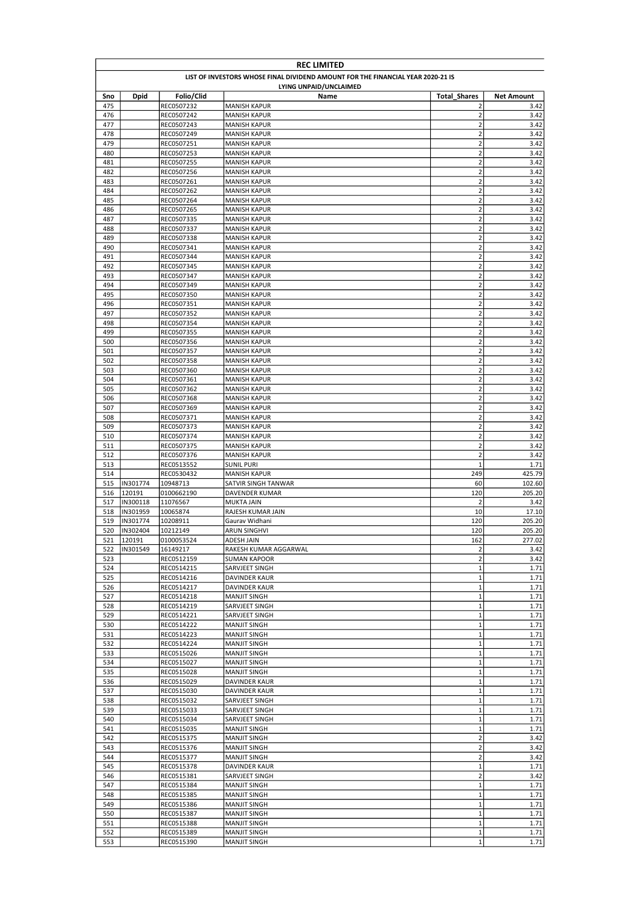|            | <b>REC LIMITED</b>                                                              |                          |                                            |                                  |                   |  |  |
|------------|---------------------------------------------------------------------------------|--------------------------|--------------------------------------------|----------------------------------|-------------------|--|--|
|            | LIST OF INVESTORS WHOSE FINAL DIVIDEND AMOUNT FOR THE FINANCIAL YEAR 2020-21 IS |                          |                                            |                                  |                   |  |  |
|            |                                                                                 |                          | LYING UNPAID/UNCLAIMED                     |                                  |                   |  |  |
| Sno        | <b>Dpid</b>                                                                     | Folio/Clid               | Name                                       | <b>Total Shares</b>              | <b>Net Amount</b> |  |  |
| 475        |                                                                                 | REC0507232               | <b>MANISH KAPUR</b>                        | 2                                | 3.42              |  |  |
| 476<br>477 |                                                                                 | REC0507242<br>REC0507243 | <b>MANISH KAPUR</b><br><b>MANISH KAPUR</b> | $\overline{2}$<br>$\overline{2}$ | 3.42<br>3.42      |  |  |
| 478        |                                                                                 | REC0507249               | MANISH KAPUR                               | $\overline{2}$                   | 3.42              |  |  |
| 479        |                                                                                 | REC0507251               | <b>MANISH KAPUR</b>                        | $\mathbf 2$                      | 3.42              |  |  |
| 480        |                                                                                 | REC0507253               | MANISH KAPUR                               | $\overline{2}$                   | 3.42              |  |  |
| 481        |                                                                                 | REC0507255               | <b>MANISH KAPUR</b>                        | $\overline{2}$                   | 3.42              |  |  |
| 482        |                                                                                 | REC0507256               | <b>MANISH KAPUR</b>                        | $\mathbf 2$                      | 3.42              |  |  |
| 483        |                                                                                 | REC0507261               | <b>MANISH KAPUR</b>                        | $\mathbf 2$                      | 3.42              |  |  |
| 484        |                                                                                 | REC0507262               | <b>MANISH KAPUR</b>                        | $\overline{2}$                   | 3.42              |  |  |
| 485<br>486 |                                                                                 | REC0507264               | <b>MANISH KAPUR</b>                        | $\mathbf 2$<br>$\overline{2}$    | 3.42<br>3.42      |  |  |
| 487        |                                                                                 | REC0507265<br>REC0507335 | <b>MANISH KAPUR</b><br><b>MANISH KAPUR</b> | $\overline{2}$                   | 3.42              |  |  |
| 488        |                                                                                 | REC0507337               | <b>MANISH KAPUR</b>                        | $\mathbf 2$                      | 3.42              |  |  |
| 489        |                                                                                 | REC0507338               | <b>MANISH KAPUR</b>                        | $\mathbf 2$                      | 3.42              |  |  |
| 490        |                                                                                 | REC0507341               | <b>MANISH KAPUR</b>                        | $\mathbf 2$                      | 3.42              |  |  |
| 491        |                                                                                 | REC0507344               | MANISH KAPUR                               | $\mathbf 2$                      | 3.42              |  |  |
| 492        |                                                                                 | REC0507345               | MANISH KAPUR                               | $\mathbf 2$                      | 3.42              |  |  |
| 493        |                                                                                 | REC0507347               | MANISH KAPUR                               | $\mathbf 2$                      | 3.42              |  |  |
| 494        |                                                                                 | REC0507349               | <b>MANISH KAPUR</b>                        | $\mathbf 2$                      | 3.42              |  |  |
| 495<br>496 |                                                                                 | REC0507350               | <b>MANISH KAPUR</b><br><b>MANISH KAPUR</b> | $\mathbf 2$<br>$\mathbf 2$       | 3.42              |  |  |
| 497        |                                                                                 | REC0507351<br>REC0507352 | <b>MANISH KAPUR</b>                        | $\overline{2}$                   | 3.42<br>3.42      |  |  |
| 498        |                                                                                 | REC0507354               | <b>MANISH KAPUR</b>                        | $\overline{\mathbf{c}}$          | 3.42              |  |  |
| 499        |                                                                                 | REC0507355               | <b>MANISH KAPUR</b>                        | $\mathbf 2$                      | 3.42              |  |  |
| 500        |                                                                                 | REC0507356               | <b>MANISH KAPUR</b>                        | $\overline{2}$                   | 3.42              |  |  |
| 501        |                                                                                 | REC0507357               | <b>MANISH KAPUR</b>                        | $\mathbf 2$                      | 3.42              |  |  |
| 502        |                                                                                 | REC0507358               | <b>MANISH KAPUR</b>                        | $\overline{2}$                   | 3.42              |  |  |
| 503        |                                                                                 | REC0507360               | <b>MANISH KAPUR</b>                        | $\mathbf 2$                      | 3.42              |  |  |
| 504        |                                                                                 | REC0507361               | MANISH KAPUR                               | $\mathbf 2$                      | 3.42              |  |  |
| 505        |                                                                                 | REC0507362               | MANISH KAPUR                               | $\overline{2}$                   | 3.42              |  |  |
| 506<br>507 |                                                                                 | REC0507368<br>REC0507369 | <b>MANISH KAPUR</b><br><b>MANISH KAPUR</b> | $\overline{2}$<br>$\mathbf 2$    | 3.42<br>3.42      |  |  |
| 508        |                                                                                 | REC0507371               | <b>MANISH KAPUR</b>                        | $\overline{2}$                   | 3.42              |  |  |
| 509        |                                                                                 | REC0507373               | <b>MANISH KAPUR</b>                        | $\mathbf 2$                      | 3.42              |  |  |
| 510        |                                                                                 | REC0507374               | <b>MANISH KAPUR</b>                        | $\mathbf 2$                      | 3.42              |  |  |
| 511        |                                                                                 | REC0507375               | <b>MANISH KAPUR</b>                        | $\mathbf 2$                      | 3.42              |  |  |
| 512        |                                                                                 | REC0507376               | <b>MANISH KAPUR</b>                        | $\mathbf 2$                      | 3.42              |  |  |
| 513        |                                                                                 | REC0513552               | <b>SUNIL PURI</b>                          | $\mathbf{1}$                     | 1.71              |  |  |
| 514        |                                                                                 | REC0530432               | <b>MANISH KAPUR</b>                        | 249                              | 425.79            |  |  |
| 515        | IN301774                                                                        | 10948713                 | SATVIR SINGH TANWAR                        | 60                               | 102.60            |  |  |
| 516        | 120191                                                                          | 0100662190               | DAVENDER KUMAR                             | 120                              | 205.20            |  |  |
| 517<br>518 | IN300118<br>IN301959                                                            | 11076567<br>10065874     | <b>MUKTA JAIN</b><br>RAJESH KUMAR JAIN     | $\overline{2}$<br>10             | 3.42<br>17.10     |  |  |
| 519        | IN301774                                                                        | 10208911                 | Gaurav Widhani                             | 120                              | 205.20            |  |  |
| 520        | IN302404                                                                        | 10212149                 | <b>ARUN SINGHVI</b>                        | 120                              | 205.20            |  |  |
| 521        | 120191                                                                          | 0100053524               | <b>ADESH JAIN</b>                          | 162                              | 277.02            |  |  |
| 522        | IN301549                                                                        | 16149217                 | RAKESH KUMAR AGGARWAL                      | $\mathbf 2$                      | 3.42              |  |  |
| 523        |                                                                                 | REC0512159               | <b>SUMAN KAPOOR</b>                        | $\mathbf 2$                      | 3.42              |  |  |
| 524        |                                                                                 | REC0514215               | SARVJEET SINGH                             | $\mathbf 1$                      | 1.71              |  |  |
| 525        |                                                                                 | REC0514216               | DAVINDER KAUR                              | 1                                | 1.71              |  |  |
| 526        |                                                                                 | REC0514217               | DAVINDER KAUR                              | $\mathbf 1$                      | 1.71              |  |  |
| 527<br>528 |                                                                                 | REC0514218<br>REC0514219 | <b>MANJIT SINGH</b><br>SARVJEET SINGH      | 1<br>$\mathbf 1$                 | 1.71<br>1.71      |  |  |
| 529        |                                                                                 | REC0514221               | SARVJEET SINGH                             | $\mathbf 1$                      | 1.71              |  |  |
| 530        |                                                                                 | REC0514222               | <b>MANJIT SINGH</b>                        | $\mathbf 1$                      | 1.71              |  |  |
| 531        |                                                                                 | REC0514223               | <b>MANJIT SINGH</b>                        | $1\,$                            | 1.71              |  |  |
| 532        |                                                                                 | REC0514224               | <b>MANJIT SINGH</b>                        | $\mathbf{1}$                     | 1.71              |  |  |
| 533        |                                                                                 | REC0515026               | MANJIT SINGH                               | $\mathbf 1$                      | 1.71              |  |  |
| 534        |                                                                                 | REC0515027               | <b>MANJIT SINGH</b>                        | $\mathbf 1$                      | 1.71              |  |  |
| 535        |                                                                                 | REC0515028               | <b>MANJIT SINGH</b>                        | $\mathbf 1$                      | 1.71              |  |  |
| 536<br>537 |                                                                                 | REC0515029<br>REC0515030 | DAVINDER KAUR<br>DAVINDER KAUR             | $\mathbf 1$<br>$\mathbf 1$       | 1.71<br>1.71      |  |  |
| 538        |                                                                                 | REC0515032               | SARVJEET SINGH                             | $\mathbf 1$                      | 1.71              |  |  |
| 539        |                                                                                 | REC0515033               | SARVJEET SINGH                             | $\mathbf 1$                      | 1.71              |  |  |
| 540        |                                                                                 | REC0515034               | SARVJEET SINGH                             | $\mathbf 1$                      | 1.71              |  |  |
| 541        |                                                                                 | REC0515035               | <b>MANJIT SINGH</b>                        | $\mathbf 1$                      | 1.71              |  |  |
| 542        |                                                                                 | REC0515375               | <b>MANJIT SINGH</b>                        | $\mathbf 2$                      | 3.42              |  |  |
| 543        |                                                                                 | REC0515376               | MANJIT SINGH                               | $\mathbf 2$                      | 3.42              |  |  |
| 544        |                                                                                 | REC0515377               | <b>MANJIT SINGH</b>                        | $\mathbf 2$                      | 3.42              |  |  |
| 545        |                                                                                 | REC0515378               | DAVINDER KAUR                              | $\mathbf 1$                      | 1.71              |  |  |
| 546        |                                                                                 | REC0515381               | SARVJEET SINGH                             | $\mathbf 2$                      | 3.42              |  |  |
| 547<br>548 |                                                                                 | REC0515384<br>REC0515385 | <b>MANJIT SINGH</b><br><b>MANJIT SINGH</b> | $\mathbf{1}$<br>$\mathbf 1$      | 1.71<br>1.71      |  |  |
| 549        |                                                                                 | REC0515386               | <b>MANJIT SINGH</b>                        | $\mathbf 1$                      | 1.71              |  |  |
| 550        |                                                                                 | REC0515387               | <b>MANJIT SINGH</b>                        | $\mathbf 1$                      | 1.71              |  |  |
| 551        |                                                                                 | REC0515388               | <b>MANJIT SINGH</b>                        | $\mathbf 1$                      | 1.71              |  |  |
| 552        |                                                                                 | REC0515389               | <b>MANJIT SINGH</b>                        | $\mathbf 1$                      | 1.71              |  |  |
| 553        |                                                                                 | REC0515390               | MANJIT SINGH                               | 1                                | 1.71              |  |  |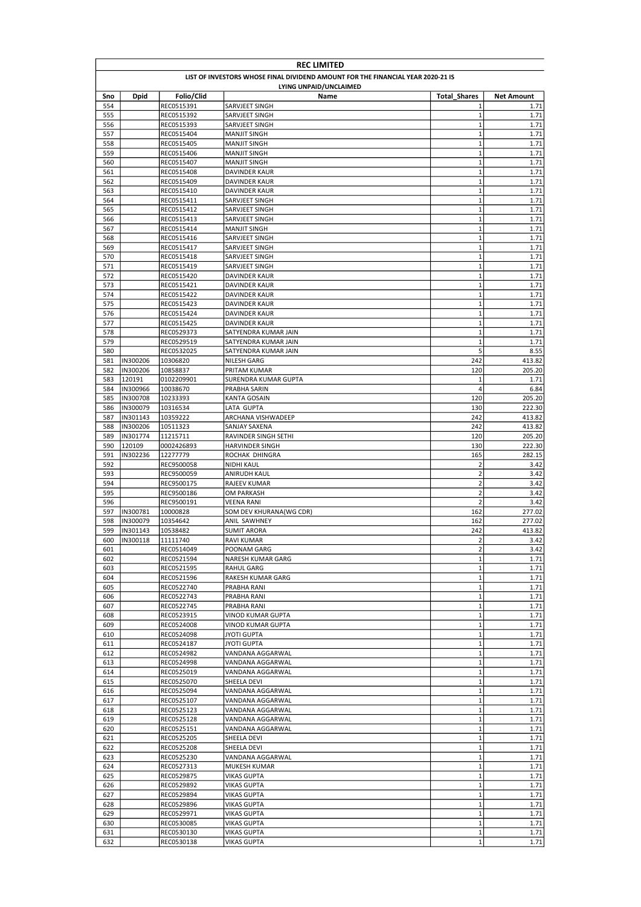|            | <b>REC LIMITED</b>                                                              |                          |                                            |                            |                   |  |
|------------|---------------------------------------------------------------------------------|--------------------------|--------------------------------------------|----------------------------|-------------------|--|
|            | LIST OF INVESTORS WHOSE FINAL DIVIDEND AMOUNT FOR THE FINANCIAL YEAR 2020-21 IS |                          |                                            |                            |                   |  |
|            |                                                                                 |                          | LYING UNPAID/UNCLAIMED                     |                            |                   |  |
| Sno        | <b>Dpid</b>                                                                     | Folio/Clid               | Name                                       | <b>Total Shares</b>        | <b>Net Amount</b> |  |
| 554        |                                                                                 | REC0515391               | SARVJEET SINGH                             | 1                          | 1.71              |  |
| 555        |                                                                                 | REC0515392               | SARVJEET SINGH                             | $\mathbf 1$                | 1.71              |  |
| 556        |                                                                                 | REC0515393               | SARVJEET SINGH                             | $\mathbf 1$                | 1.71              |  |
| 557        |                                                                                 | REC0515404               | <b>MANJIT SINGH</b>                        | $\mathbf 1$<br>$\mathbf 1$ | 1.71              |  |
| 558<br>559 |                                                                                 | REC0515405<br>REC0515406 | <b>MANJIT SINGH</b>                        | $\mathbf 1$                | 1.71<br>1.71      |  |
| 560        |                                                                                 | REC0515407               | <b>MANJIT SINGH</b><br><b>MANJIT SINGH</b> | $\mathbf 1$                | 1.71              |  |
| 561        |                                                                                 | REC0515408               | DAVINDER KAUR                              | $\mathbf 1$                | 1.71              |  |
| 562        |                                                                                 | REC0515409               | <b>DAVINDER KAUR</b>                       | $\mathbf 1$                | 1.71              |  |
| 563        |                                                                                 | REC0515410               | <b>DAVINDER KAUR</b>                       | $\mathbf{1}$               | 1.71              |  |
| 564        |                                                                                 | REC0515411               | SARVJEET SINGH                             | $\mathbf 1$                | 1.71              |  |
| 565        |                                                                                 | REC0515412               | SARVJEET SINGH                             | $\mathbf 1$                | 1.71              |  |
| 566        |                                                                                 | REC0515413               | SARVJEET SINGH                             | $\mathbf 1$                | 1.71              |  |
| 567        |                                                                                 | REC0515414               | <b>MANJIT SINGH</b>                        | $\mathbf 1$                | 1.71              |  |
| 568        |                                                                                 | REC0515416               | SARVJEET SINGH                             | $\mathbf 1$                | 1.71              |  |
| 569        |                                                                                 | REC0515417               | SARVJEET SINGH                             | $\mathbf 1$                | 1.71              |  |
| 570        |                                                                                 | REC0515418               | SARVJEET SINGH                             | $\mathbf 1$                | 1.71              |  |
| 571        |                                                                                 | REC0515419               | SARVJEET SINGH                             | $\mathbf 1$                | 1.71              |  |
| 572        |                                                                                 | REC0515420               | DAVINDER KAUR                              | $\mathbf 1$                | 1.71              |  |
| 573        |                                                                                 | REC0515421               | DAVINDER KAUR                              | $\mathbf 1$                | 1.71              |  |
| 574        |                                                                                 | REC0515422               | DAVINDER KAUR                              | $\mathbf 1$                | 1.71              |  |
| 575        |                                                                                 | REC0515423               | <b>DAVINDER KAUR</b>                       | $\mathbf 1$                | 1.71              |  |
| 576        |                                                                                 | REC0515424               | <b>DAVINDER KAUR</b>                       | $\mathbf 1$                | 1.71              |  |
| 577        |                                                                                 | REC0515425               | DAVINDER KAUR                              | $\mathbf 1$                | 1.71              |  |
| 578        |                                                                                 | REC0529373               | SATYENDRA KUMAR JAIN                       | $\mathbf 1$                | 1.71              |  |
| 579        |                                                                                 | REC0529519               | SATYENDRA KUMAR JAIN                       | $\mathbf 1$                | 1.71              |  |
| 580        |                                                                                 | REC0532025               | SATYENDRA KUMAR JAIN                       | 5                          | 8.55              |  |
| 581        | IN300206                                                                        | 10306820                 | <b>NILESH GARG</b>                         | 242                        | 413.82            |  |
| 582        | IN300206                                                                        | 10858837                 | PRITAM KUMAR                               | 120                        | 205.20            |  |
| 583        | 120191                                                                          | 0102209901               | SURENDRA KUMAR GUPTA                       | $\mathbf 1$                | 1.71              |  |
| 584        | IN300966                                                                        | 10038670                 | PRABHA SARIN                               | 4                          | 6.84              |  |
| 585        | IN300708<br>IN300079                                                            | 10233393                 | KANTA GOSAIN                               | 120<br>130                 | 205.20            |  |
| 586<br>587 | IN301143                                                                        | 10316534<br>10359222     | LATA GUPTA<br>ARCHANA VISHWADEEP           | 242                        | 222.30<br>413.82  |  |
| 588        | IN300206                                                                        | 10511323                 | SANJAY SAXENA                              | 242                        | 413.82            |  |
| 589        | IN301774                                                                        | 11215711                 | RAVINDER SINGH SETHI                       | 120                        | 205.20            |  |
| 590        | 120109                                                                          | 0002426893               | HARVINDER SINGH                            | 130                        | 222.30            |  |
| 591        | IN302236                                                                        | 12277779                 | ROCHAK DHINGRA                             | 165                        | 282.15            |  |
| 592        |                                                                                 | REC9500058               | <b>NIDHI KAUL</b>                          | $\overline{2}$             | 3.42              |  |
| 593        |                                                                                 | REC9500059               | ANIRUDH KAUL                               | $\overline{2}$             | 3.42              |  |
| 594        |                                                                                 | REC9500175               | RAJEEV KUMAR                               | $\overline{2}$             | 3.42              |  |
| 595        |                                                                                 | REC9500186               | OM PARKASH                                 | $\overline{2}$             | 3.42              |  |
| 596        |                                                                                 | REC9500191               | <b>VEENA RANI</b>                          | $\overline{2}$             | 3.42              |  |
| 597        | IN300781                                                                        | 10000828                 | SOM DEV KHURANA(WG CDR)                    | 162                        | 277.02            |  |
| 598        | IN300079                                                                        | 10354642                 | ANIL SAWHNEY                               | 162                        | 277.02            |  |
| 599        | IN301143                                                                        | 10538482                 | <b>SUMIT ARORA</b>                         | 242                        | 413.82            |  |
| 600        | IN300118                                                                        | 11111740                 | <b>RAVI KUMAR</b>                          | $\overline{2}$             | 3.42              |  |
| 601        |                                                                                 | REC0514049               | POONAM GARG                                | $\mathbf 2$                | 3.42              |  |
| 602        |                                                                                 | REC0521594               | NARESH KUMAR GARG                          | $\mathbf 1$                | 1.71              |  |
| 603        |                                                                                 | REC0521595               | RAHUL GARG                                 | $\mathbf 1$                | 1.71              |  |
| 604        |                                                                                 | REC0521596               | RAKESH KUMAR GARG                          | $\mathbf 1$                | 1.71              |  |
| 605        |                                                                                 | REC0522740               | PRABHA RANI                                | $\mathbf 1$                | 1.71              |  |
| 606        |                                                                                 | REC0522743               | PRABHA RANI                                | $\mathbf 1$                | 1.71              |  |
| 607        |                                                                                 | REC0522745               | PRABHA RANI                                | $\mathbf 1$                | 1.71              |  |
| 608        |                                                                                 | REC0523915               | VINOD KUMAR GUPTA                          | $\mathbf 1$                | 1.71              |  |
| 609        |                                                                                 | REC0524008               | <b>VINOD KUMAR GUPTA</b>                   | $\mathbf 1$                | 1.71              |  |
| 610        |                                                                                 | REC0524098               | JYOTI GUPTA                                | $\mathbf 1$<br>$\mathbf 1$ | 1.71              |  |
| 611        |                                                                                 | REC0524187               | JYOTI GUPTA                                |                            | 1.71              |  |
| 612<br>613 |                                                                                 | REC0524982<br>REC0524998 | VANDANA AGGARWAL<br>VANDANA AGGARWAL       | $\mathbf 1$<br>$\mathbf 1$ | 1.71<br>1.71      |  |
| 614        |                                                                                 | REC0525019               | VANDANA AGGARWAL                           | $\mathbf 1$                | 1.71              |  |
| 615        |                                                                                 | REC0525070               | SHEELA DEVI                                | $\mathbf 1$                | 1.71              |  |
| 616        |                                                                                 | REC0525094               | VANDANA AGGARWAL                           | $\mathbf 1$                | 1.71              |  |
| 617        |                                                                                 | REC0525107               | VANDANA AGGARWAL                           | $\mathbf 1$                | 1.71              |  |
| 618        |                                                                                 | REC0525123               | VANDANA AGGARWAL                           | $\mathbf 1$                | 1.71              |  |
| 619        |                                                                                 | REC0525128               | VANDANA AGGARWAL                           | $\mathbf 1$                | 1.71              |  |
| 620        |                                                                                 | REC0525151               | VANDANA AGGARWAL                           | $\mathbf 1$                | 1.71              |  |
| 621        |                                                                                 | REC0525205               | SHEELA DEVI                                | $\mathbf 1$                | 1.71              |  |
| 622        |                                                                                 | REC0525208               | SHEELA DEVI                                | $\mathbf 1$                | 1.71              |  |
| 623        |                                                                                 | REC0525230               | VANDANA AGGARWAL                           | $\mathbf 1$                | 1.71              |  |
| 624        |                                                                                 | REC0527313               | MUKESH KUMAR                               | $\mathbf 1$                | 1.71              |  |
| 625        |                                                                                 | REC0529875               | VIKAS GUPTA                                | $\mathbf 1$                | 1.71              |  |
| 626        |                                                                                 | REC0529892               | <b>VIKAS GUPTA</b>                         | $\mathbf 1$                | 1.71              |  |
| 627        |                                                                                 | REC0529894               | <b>VIKAS GUPTA</b>                         | $\mathbf 1$                | 1.71              |  |
| 628        |                                                                                 | REC0529896               | <b>VIKAS GUPTA</b>                         | $\mathbf 1$                | 1.71              |  |
| 629        |                                                                                 | REC0529971               | <b>VIKAS GUPTA</b>                         | $\mathbf 1$                | 1.71              |  |
| 630        |                                                                                 | REC0530085               | <b>VIKAS GUPTA</b>                         | $\mathbf 1$                | 1.71              |  |
| 631        |                                                                                 | REC0530130               | <b>VIKAS GUPTA</b>                         | $\mathbf 1$                | 1.71              |  |
| 632        |                                                                                 | REC0530138               | VIKAS GUPTA                                | $\mathbf 1$                | 1.71              |  |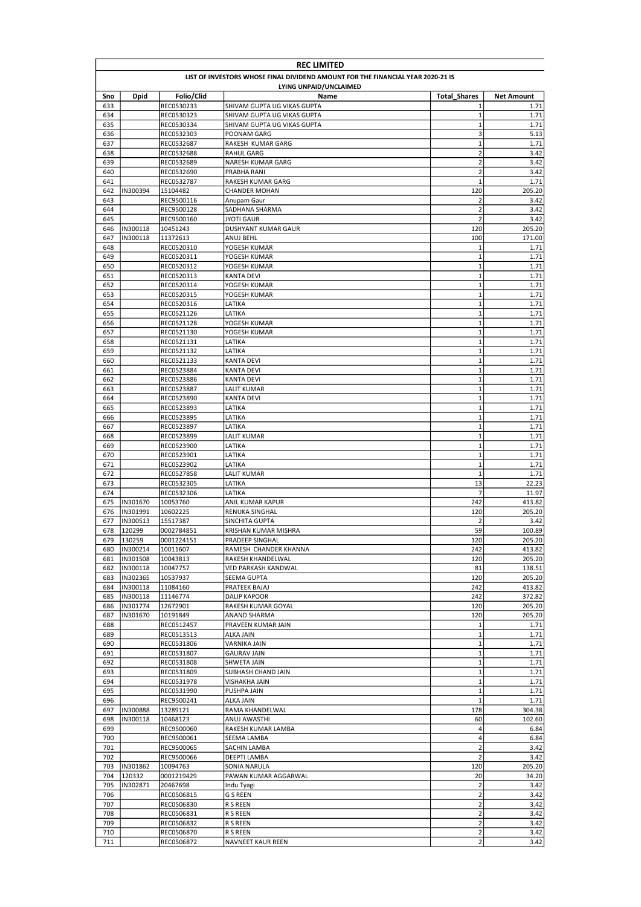|            | <b>REC LIMITED</b>                                                              |                          |                                        |                            |                   |  |  |
|------------|---------------------------------------------------------------------------------|--------------------------|----------------------------------------|----------------------------|-------------------|--|--|
|            | LIST OF INVESTORS WHOSE FINAL DIVIDEND AMOUNT FOR THE FINANCIAL YEAR 2020-21 IS |                          |                                        |                            |                   |  |  |
|            |                                                                                 |                          | LYING UNPAID/UNCLAIMED                 |                            |                   |  |  |
| Sno        | <b>Dpid</b>                                                                     | Folio/Clid               | Name                                   | <b>Total Shares</b>        | <b>Net Amount</b> |  |  |
| 633        |                                                                                 | REC0530233               | SHIVAM GUPTA UG VIKAS GUPTA            | 1                          | 1.71              |  |  |
| 634        |                                                                                 | REC0530323               | SHIVAM GUPTA UG VIKAS GUPTA            | $\mathbf 1$                | 1.71              |  |  |
| 635        |                                                                                 | REC0530334               | SHIVAM GUPTA UG VIKAS GUPTA            | $\mathbf 1$<br>3           | 1.71<br>5.13      |  |  |
| 636<br>637 |                                                                                 | REC0532303               | POONAM GARG                            | $\mathbf 1$                | 1.71              |  |  |
| 638        |                                                                                 | REC0532687<br>REC0532688 | RAKESH KUMAR GARG<br><b>RAHUL GARG</b> | $\overline{\mathbf{c}}$    | 3.42              |  |  |
| 639        |                                                                                 | REC0532689               | NARESH KUMAR GARG                      | $\overline{2}$             | 3.42              |  |  |
| 640        |                                                                                 | REC0532690               | PRABHA RANI                            | $\overline{2}$             | 3.42              |  |  |
| 641        |                                                                                 | REC0532787               | RAKESH KUMAR GARG                      | $\mathbf 1$                | 1.71              |  |  |
| 642        | IN300394                                                                        | 15104482                 | <b>CHANDER MOHAN</b>                   | 120                        | 205.20            |  |  |
| 643        |                                                                                 | REC9500116               | Anupam Gaur                            | $\overline{2}$             | 3.42              |  |  |
| 644        |                                                                                 | REC9500128               | SADHANA SHARMA                         | $\mathbf 2$                | 3.42              |  |  |
| 645        |                                                                                 | REC9500160               | <b>JYOTI GAUR</b>                      | $\overline{2}$             | 3.42              |  |  |
| 646        | IN300118                                                                        | 10451243                 | DUSHYANT KUMAR GAUR                    | 120                        | 205.20            |  |  |
| 647        | IN300118                                                                        | 11372613                 | ANUJ BEHL                              | 100                        | 171.00            |  |  |
| 648        |                                                                                 | REC0520310               | YOGESH KUMAR                           | $\mathbf 1$                | 1.71              |  |  |
| 649        |                                                                                 | REC0520311               | YOGESH KUMAR                           | $\mathbf 1$                | 1.71              |  |  |
| 650        |                                                                                 | REC0520312               | YOGESH KUMAR                           | $\mathbf 1$                | 1.71              |  |  |
| 651        |                                                                                 | REC0520313               | <b>KANTA DEVI</b>                      | $\mathbf 1$                | 1.71              |  |  |
| 652        |                                                                                 | REC0520314               | YOGESH KUMAR                           | $\mathbf 1$                | 1.71              |  |  |
| 653        |                                                                                 | REC0520315               | YOGESH KUMAR                           | $\mathbf 1$                | 1.71              |  |  |
| 654        |                                                                                 | REC0520316               | LATIKA                                 | $\mathbf 1$                | 1.71              |  |  |
| 655        |                                                                                 | REC0521126               | LATIKA                                 | $\mathbf 1$                | 1.71              |  |  |
| 656        |                                                                                 | REC0521128               | YOGESH KUMAR                           | $\mathbf 1$                | 1.71              |  |  |
| 657        |                                                                                 | REC0521130               | YOGESH KUMAR                           | $\mathbf 1$                | 1.71              |  |  |
| 658        |                                                                                 | REC0521131               | LATIKA                                 | $\mathbf 1$                | 1.71              |  |  |
| 659        |                                                                                 | REC0521132               | LATIKA                                 | $\mathbf 1$                | 1.71              |  |  |
| 660        |                                                                                 | REC0521133               | KANTA DEVI                             | $\mathbf 1$<br>$\mathbf 1$ | 1.71              |  |  |
| 661<br>662 |                                                                                 | REC0523884               | KANTA DEVI<br><b>KANTA DEVI</b>        | $\mathbf 1$                | 1.71<br>1.71      |  |  |
| 663        |                                                                                 | REC0523886<br>REC0523887 | LALIT KUMAR                            | $\mathbf 1$                | 1.71              |  |  |
| 664        |                                                                                 | REC0523890               | KANTA DEVI                             | $\mathbf 1$                | 1.71              |  |  |
| 665        |                                                                                 | REC0523893               | LATIKA                                 | $\mathbf 1$                | 1.71              |  |  |
| 666        |                                                                                 | REC0523895               | LATIKA                                 | $\mathbf 1$                | 1.71              |  |  |
| 667        |                                                                                 | REC0523897               | LATIKA                                 | $\mathbf 1$                | 1.71              |  |  |
| 668        |                                                                                 | REC0523899               | LALIT KUMAR                            | $\mathbf 1$                | 1.71              |  |  |
| 669        |                                                                                 | REC0523900               | LATIKA                                 | $\mathbf 1$                | 1.71              |  |  |
| 670        |                                                                                 | REC0523901               | LATIKA                                 | $\mathbf 1$                | 1.71              |  |  |
| 671        |                                                                                 | REC0523902               | LATIKA                                 | $\mathbf 1$                | 1.71              |  |  |
| 672        |                                                                                 | REC0527858               | LALIT KUMAR                            | $\mathbf 1$                | 1.71              |  |  |
| 673        |                                                                                 | REC0532305               | LATIKA                                 | 13                         | 22.23             |  |  |
| 674        |                                                                                 | REC0532306               | LATIKA                                 | 7                          | 11.97             |  |  |
| 675        | IN301670                                                                        | 10053760                 | ANIL KUMAR KAPUR                       | 242                        | 413.82            |  |  |
| 676        | IN301991                                                                        | 10602225                 | RENUKA SINGHAL                         | 120                        | 205.20            |  |  |
| 677        | IN300513                                                                        | 15517387                 | SINCHITA GUPTA                         | $\overline{2}$             | 3.42              |  |  |
| 678        | 120299                                                                          | 0002784851               | KRISHAN KUMAR MISHRA                   | 59                         | 100.89            |  |  |
| 679        | 130259                                                                          | 0001224151               | PRADEEP SINGHAL                        | 120                        | 205.20            |  |  |
| 680        | IN300214                                                                        | 10011607                 | RAMESH CHANDER KHANNA                  | 242                        | 413.82            |  |  |
| 681        | IN301508                                                                        | 10043813                 | RAKESH KHANDELWAL                      | 120                        | 205.20            |  |  |
| 682        | IN300118                                                                        | 10047757                 | VED PARKASH KANDWAL                    | 81                         | 138.51            |  |  |
| 683        | IN302365                                                                        | 10537937                 | SEEMA GUPTA                            | 120                        | 205.20            |  |  |
| 684        | IN300118                                                                        | 11084160                 | PRATEEK BAJAJ                          | 242                        | 413.82            |  |  |
| 685        | IN300118                                                                        | 11146774                 | DALIP KAPOOR                           | 242                        | 372.82            |  |  |
| 686        | IN301774                                                                        | 12672901                 | RAKESH KUMAR GOYAL                     | 120                        | 205.20            |  |  |
| 687        | IN301670                                                                        | 10191849                 | ANAND SHARMA                           | 120                        | 205.20            |  |  |
| 688        |                                                                                 | REC0512457               | PRAVEEN KUMAR JAIN                     | $1\,$                      | 1.71              |  |  |
| 689<br>690 |                                                                                 | REC0513513<br>REC0531806 | ALKA JAIN<br>VARNIKA JAIN              | $\mathbf 1$<br>$\mathbf 1$ | 1.71<br>1.71      |  |  |
| 691        |                                                                                 | REC0531807               | <b>GAURAV JAIN</b>                     | $\mathbf 1$                | 1.71              |  |  |
| 692        |                                                                                 | REC0531808               | SHWETA JAIN                            | $\mathbf 1$                | 1.71              |  |  |
| 693        |                                                                                 | REC0531809               | SUBHASH CHAND JAIN                     | $\mathbf 1$                | 1.71              |  |  |
| 694        |                                                                                 | REC0531978               | VISHAKHA JAIN                          | $\mathbf 1$                | 1.71              |  |  |
| 695        |                                                                                 | REC0531990               | PUSHPA JAIN                            | $\mathbf 1$                | 1.71              |  |  |
| 696        |                                                                                 | REC9500241               | <b>ALKA JAIN</b>                       | $\mathbf 1$                | 1.71              |  |  |
| 697        | IN300888                                                                        | 13289121                 | RAMA KHANDELWAL                        | 178                        | 304.38            |  |  |
| 698        | IN300118                                                                        | 10468123                 | ANUJ AWASTHI                           | 60                         | 102.60            |  |  |
| 699        |                                                                                 | REC9500060               | RAKESH KUMAR LAMBA                     | 4                          | 6.84              |  |  |
| 700        |                                                                                 | REC9500061               | SEEMA LAMBA                            | 4                          | 6.84              |  |  |
| 701        |                                                                                 | REC9500065               | SACHIN LAMBA                           | $\mathbf 2$                | 3.42              |  |  |
| 702        |                                                                                 | REC9500066               | DEEPTI LAMBA                           | $\mathbf 2$                | 3.42              |  |  |
| 703        | IN301862                                                                        | 10094763                 | SONIA NARULA                           | 120                        | 205.20            |  |  |
| 704        | 120332                                                                          | 0001219429               | PAWAN KUMAR AGGARWAL                   | 20                         | 34.20             |  |  |
| 705        | IN302871                                                                        | 20467698                 | Indu Tyagi                             | $\mathbf 2$                | 3.42              |  |  |
| 706        |                                                                                 | REC0506815               | G S REEN                               | $\mathbf 2$                | 3.42              |  |  |
| 707        |                                                                                 | REC0506830               | R S REEN                               | $\mathbf 2$                | 3.42              |  |  |
| 708        |                                                                                 | REC0506831               | R S REEN                               | $\mathbf 2$                | 3.42              |  |  |
| 709        |                                                                                 | REC0506832               | R S REEN                               | $\mathbf 2$                | 3.42              |  |  |
| 710        |                                                                                 | REC0506870               | R S REEN                               | $\mathbf 2$                | 3.42              |  |  |
| 711        |                                                                                 | REC0506872               | NAVNEET KAUR REEN                      | $\overline{2}$             | 3.42              |  |  |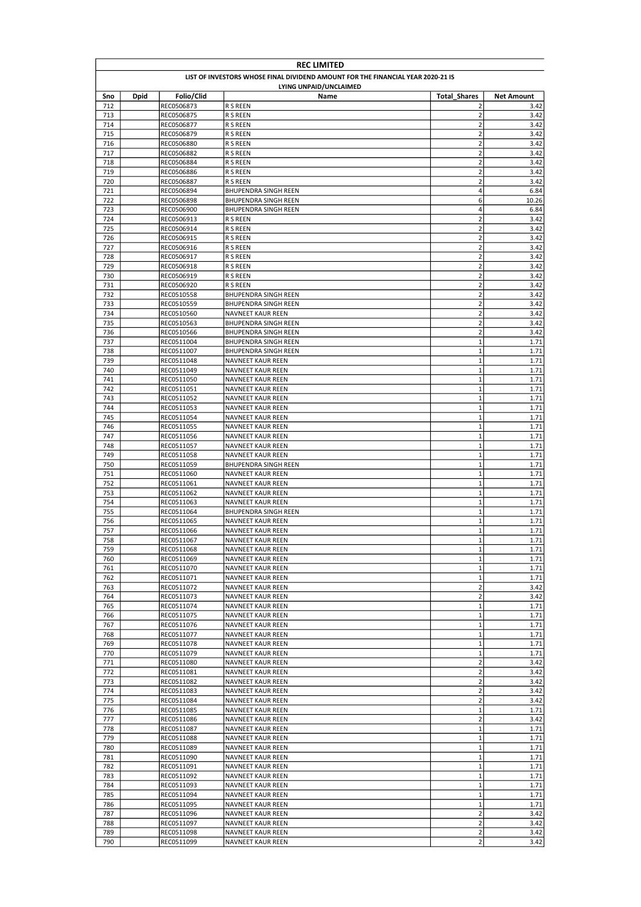| <b>REC LIMITED</b> |                                                                                 |                          |                                                         |                                           |                   |  |  |
|--------------------|---------------------------------------------------------------------------------|--------------------------|---------------------------------------------------------|-------------------------------------------|-------------------|--|--|
|                    | LIST OF INVESTORS WHOSE FINAL DIVIDEND AMOUNT FOR THE FINANCIAL YEAR 2020-21 IS |                          |                                                         |                                           |                   |  |  |
|                    |                                                                                 |                          | LYING UNPAID/UNCLAIMED                                  |                                           |                   |  |  |
| Sno                | Dpid                                                                            | Folio/Clid               | Name                                                    | <b>Total Shares</b>                       | <b>Net Amount</b> |  |  |
| 712                |                                                                                 | REC0506873               | R S REEN                                                | 2                                         | 3.42              |  |  |
| 713<br>714         |                                                                                 | REC0506875<br>REC0506877 | R S REEN<br>R S REEN                                    | $\mathbf 2$<br>$\overline{2}$             | 3.42<br>3.42      |  |  |
| 715                |                                                                                 | REC0506879               | <b>R S REEN</b>                                         | $\overline{2}$                            | 3.42              |  |  |
| 716                |                                                                                 | REC0506880               | R S REEN                                                | $\overline{\mathbf{c}}$                   | 3.42              |  |  |
| 717                |                                                                                 | REC0506882               | R S REEN                                                | $\overline{2}$                            | 3.42              |  |  |
| 718                |                                                                                 | REC0506884               | R S REEN                                                | $\overline{2}$                            | 3.42              |  |  |
| 719                |                                                                                 | REC0506886               | R S REEN                                                | $\overline{2}$                            | 3.42              |  |  |
| 720                |                                                                                 | REC0506887               | R S REEN                                                | $\overline{\mathbf{c}}$                   | 3.42              |  |  |
| 721                |                                                                                 | REC0506894               | <b>BHUPENDRA SINGH REEN</b>                             | 4                                         | 6.84              |  |  |
| 722                |                                                                                 | REC0506898               | BHUPENDRA SINGH REEN                                    | 6                                         | 10.26             |  |  |
| 723<br>724         |                                                                                 | REC0506900<br>REC0506913 | <b>BHUPENDRA SINGH REEN</b><br><b>R S REEN</b>          | 4<br>$\overline{2}$                       | 6.84<br>3.42      |  |  |
| 725                |                                                                                 | REC0506914               | R S REEN                                                | $\mathbf 2$                               | 3.42              |  |  |
| 726                |                                                                                 | REC0506915               | <b>R S REEN</b>                                         | $\mathbf 2$                               | 3.42              |  |  |
| 727                |                                                                                 | REC0506916               | R S REEN                                                | $\mathbf 2$                               | 3.42              |  |  |
| 728                |                                                                                 | REC0506917               | R S REEN                                                | $\mathbf 2$                               | 3.42              |  |  |
| 729                |                                                                                 | REC0506918               | R S REEN                                                | $\mathbf 2$                               | 3.42              |  |  |
| 730                |                                                                                 | REC0506919               | R S REEN                                                | $\mathbf 2$                               | 3.42              |  |  |
| 731                |                                                                                 | REC0506920               | R S REEN                                                | $\mathbf 2$                               | 3.42              |  |  |
| 732                |                                                                                 | REC0510558               | BHUPENDRA SINGH REEN                                    | $\overline{\mathbf{c}}$                   | 3.42              |  |  |
| 733<br>734         |                                                                                 | REC0510559<br>REC0510560 | <b>BHUPENDRA SINGH REEN</b><br><b>NAVNEET KAUR REEN</b> | $\overline{\mathbf{c}}$<br>$\overline{2}$ | 3.42<br>3.42      |  |  |
| 735                |                                                                                 | REC0510563               | BHUPENDRA SINGH REEN                                    | $\overline{\mathbf{c}}$                   | 3.42              |  |  |
| 736                |                                                                                 | REC0510566               | <b>BHUPENDRA SINGH REEN</b>                             | $\overline{\mathbf{c}}$                   | 3.42              |  |  |
| 737                |                                                                                 | REC0511004               | <b>BHUPENDRA SINGH REEN</b>                             | $\mathbf 1$                               | 1.71              |  |  |
| 738                |                                                                                 | REC0511007               | <b>BHUPENDRA SINGH REEN</b>                             | $\mathbf 1$                               | 1.71              |  |  |
| 739                |                                                                                 | REC0511048               | NAVNEET KAUR REEN                                       | $\mathbf 1$                               | 1.71              |  |  |
| 740                |                                                                                 | REC0511049               | <b>NAVNEET KAUR REEN</b>                                | $\mathbf 1$                               | 1.71              |  |  |
| 741                |                                                                                 | REC0511050               | NAVNEET KAUR REEN                                       | $\mathbf 1$                               | 1.71              |  |  |
| 742                |                                                                                 | REC0511051               | NAVNEET KAUR REEN                                       | $\mathbf 1$                               | 1.71              |  |  |
| 743                |                                                                                 | REC0511052               | <b>NAVNEET KAUR REEN</b>                                | $\mathbf{1}$                              | 1.71              |  |  |
| 744<br>745         |                                                                                 | REC0511053<br>REC0511054 | NAVNEET KAUR REEN<br><b>NAVNEET KAUR REEN</b>           | $\mathbf{1}$<br>$\mathbf{1}$              | 1.71<br>1.71      |  |  |
| 746                |                                                                                 | REC0511055               | <b>NAVNEET KAUR REEN</b>                                | $\mathbf 1$                               | 1.71              |  |  |
| 747                |                                                                                 | REC0511056               | <b>NAVNEET KAUR REEN</b>                                | $\mathbf 1$                               | 1.71              |  |  |
| 748                |                                                                                 | REC0511057               | <b>NAVNEET KAUR REEN</b>                                | $\mathbf 1$                               | 1.71              |  |  |
| 749                |                                                                                 | REC0511058               | NAVNEET KAUR REEN                                       | $\mathbf 1$                               | 1.71              |  |  |
| 750                |                                                                                 | REC0511059               | BHUPENDRA SINGH REEN                                    | $\mathbf 1$                               | 1.71              |  |  |
| 751                |                                                                                 | REC0511060               | NAVNEET KAUR REEN                                       | $\mathbf 1$                               | 1.71              |  |  |
| 752                |                                                                                 | REC0511061               | NAVNEET KAUR REEN                                       | $\mathbf 1$                               | 1.71              |  |  |
| 753                |                                                                                 | REC0511062               | NAVNEET KAUR REEN                                       | $\mathbf 1$                               | 1.71              |  |  |
| 754                |                                                                                 | REC0511063               | NAVNEET KAUR REEN                                       | $\mathbf 1$                               | 1.71              |  |  |
| 755<br>756         |                                                                                 | REC0511064<br>REC0511065 | BHUPENDRA SINGH REEN<br>NAVNEET KAUR REEN               | $\mathbf 1$<br>$\mathbf{1}$               | 1.71<br>1.71      |  |  |
| 757                |                                                                                 | REC0511066               | NAVNEET KAUR REEN                                       | $\mathbf{1}$                              | 1.71              |  |  |
| 758                |                                                                                 | REC0511067               | <b>NAVNEET KAUR REEN</b>                                | $\mathbf{1}$                              | 1.71              |  |  |
| 759                |                                                                                 | REC0511068               | NAVNEET KAUR REEN                                       | 1                                         | 1.71              |  |  |
| 760                |                                                                                 | REC0511069               | <b>NAVNEET KAUR REEN</b>                                | $\mathbf{1}$                              | 1.71              |  |  |
| 761                |                                                                                 | REC0511070               | NAVNEET KAUR REEN                                       | $\mathbf 1$                               | 1.71              |  |  |
| 762                |                                                                                 | REC0511071               | NAVNEET KAUR REEN                                       | $\mathbf{1}$                              | 1.71              |  |  |
| 763                |                                                                                 | REC0511072               | NAVNEET KAUR REEN                                       | $\mathbf 2$                               | 3.42              |  |  |
| 764                |                                                                                 | REC0511073               | NAVNEET KAUR REEN                                       | $\mathbf 2$                               | 3.42              |  |  |
| 765<br>766         |                                                                                 | REC0511074<br>REC0511075 | NAVNEET KAUR REEN<br>NAVNEET KAUR REEN                  | $\mathbf 1$<br>$\mathbf 1$                | 1.71<br>1.71      |  |  |
| 767                |                                                                                 | REC0511076               | <b>NAVNEET KAUR REEN</b>                                | $\mathbf 1$                               | 1.71              |  |  |
| 768                |                                                                                 | REC0511077               | <b>NAVNEET KAUR REEN</b>                                | $\mathbf 1$                               | 1.71              |  |  |
| 769                |                                                                                 | REC0511078               | NAVNEET KAUR REEN                                       | $\mathbf{1}$                              | 1.71              |  |  |
| 770                |                                                                                 | REC0511079               | NAVNEET KAUR REEN                                       | $\mathbf 1$                               | 1.71              |  |  |
| 771                |                                                                                 | REC0511080               | <b>NAVNEET KAUR REEN</b>                                | $\overline{\mathbf{c}}$                   | 3.42              |  |  |
| 772                |                                                                                 | REC0511081               | NAVNEET KAUR REEN                                       | $\overline{2}$                            | 3.42              |  |  |
| 773                |                                                                                 | REC0511082               | <b>NAVNEET KAUR REEN</b>                                | $\overline{\mathbf{c}}$                   | 3.42              |  |  |
| 774                |                                                                                 | REC0511083               | NAVNEET KAUR REEN                                       | $\mathbf 2$                               | 3.42              |  |  |
| 775                |                                                                                 | REC0511084               | NAVNEET KAUR REEN                                       | $\mathbf 2$                               | 3.42              |  |  |
| 776<br>777         |                                                                                 | REC0511085<br>REC0511086 | NAVNEET KAUR REEN<br>NAVNEET KAUR REEN                  | $\mathbf 1$<br>$\mathbf 2$                | 1.71<br>3.42      |  |  |
| 778                |                                                                                 | REC0511087               | NAVNEET KAUR REEN                                       | $\mathbf 1$                               | 1.71              |  |  |
| 779                |                                                                                 | REC0511088               | NAVNEET KAUR REEN                                       | $\mathbf 1$                               | 1.71              |  |  |
| 780                |                                                                                 | REC0511089               | NAVNEET KAUR REEN                                       | $\mathbf{1}$                              | 1.71              |  |  |
| 781                |                                                                                 | REC0511090               | NAVNEET KAUR REEN                                       | $\mathbf 1$                               | 1.71              |  |  |
| 782                |                                                                                 | REC0511091               | NAVNEET KAUR REEN                                       | $\mathbf{1}$                              | 1.71              |  |  |
| 783                |                                                                                 | REC0511092               | NAVNEET KAUR REEN                                       | $\mathbf{1}$                              | 1.71              |  |  |
| 784                |                                                                                 | REC0511093               | <b>NAVNEET KAUR REEN</b>                                | $\mathbf{1}$                              | 1.71              |  |  |
| 785                |                                                                                 | REC0511094               | NAVNEET KAUR REEN                                       | $\mathbf 1$                               | 1.71              |  |  |
| 786                |                                                                                 | REC0511095               | <b>NAVNEET KAUR REEN</b>                                | $\mathbf 1$<br>$\mathbf 2$                | 1.71              |  |  |
| 787<br>788         |                                                                                 | REC0511096<br>REC0511097 | NAVNEET KAUR REEN<br>NAVNEET KAUR REEN                  | $\overline{\mathbf{c}}$                   | 3.42<br>3.42      |  |  |
| 789                |                                                                                 | REC0511098               | NAVNEET KAUR REEN                                       | $\mathbf{2}$                              | 3.42              |  |  |
| 790                |                                                                                 | REC0511099               | NAVNEET KAUR REEN                                       | $\overline{2}$                            | 3.42              |  |  |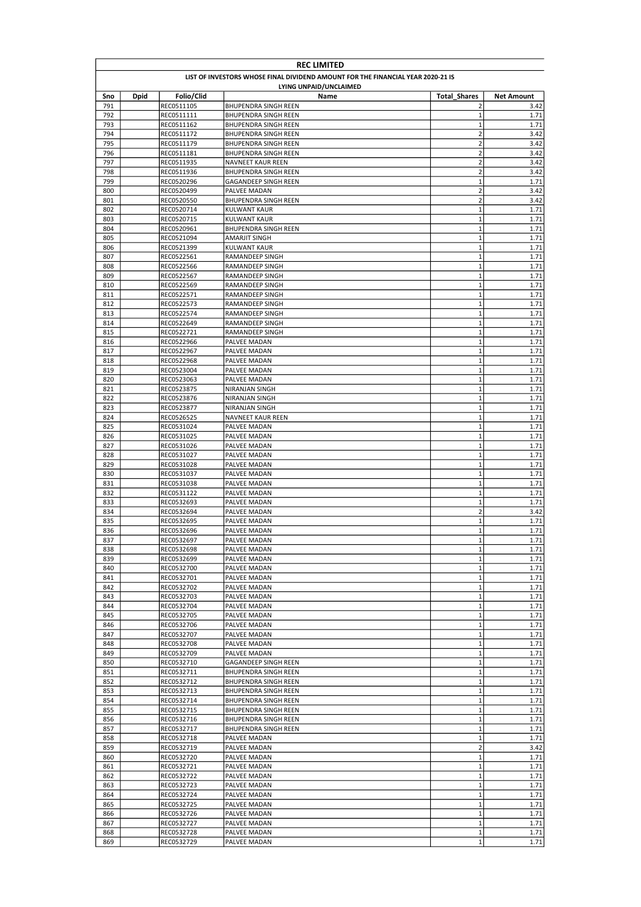| <b>REC LIMITED</b> |                                                                                 |                          |                                                     |                            |                   |  |  |
|--------------------|---------------------------------------------------------------------------------|--------------------------|-----------------------------------------------------|----------------------------|-------------------|--|--|
|                    | LIST OF INVESTORS WHOSE FINAL DIVIDEND AMOUNT FOR THE FINANCIAL YEAR 2020-21 IS |                          |                                                     |                            |                   |  |  |
|                    |                                                                                 |                          | LYING UNPAID/UNCLAIMED                              |                            |                   |  |  |
| Sno                | <b>Dpid</b>                                                                     | Folio/Clid               | Name                                                | <b>Total Shares</b>        | <b>Net Amount</b> |  |  |
| 791                |                                                                                 | REC0511105               | <b>BHUPENDRA SINGH REEN</b>                         | 2                          | 3.42              |  |  |
| 792<br>793         |                                                                                 | REC0511111<br>REC0511162 | BHUPENDRA SINGH REEN<br><b>BHUPENDRA SINGH REEN</b> | $\mathbf 1$<br>1           | 1.71<br>1.71      |  |  |
| 794                |                                                                                 | REC0511172               | <b>BHUPENDRA SINGH REEN</b>                         | $\overline{2}$             | 3.42              |  |  |
| 795                |                                                                                 | REC0511179               | BHUPENDRA SINGH REEN                                | $\mathbf 2$                | 3.42              |  |  |
| 796                |                                                                                 | REC0511181               | BHUPENDRA SINGH REEN                                | $\overline{2}$             | 3.42              |  |  |
| 797                |                                                                                 | REC0511935               | NAVNEET KAUR REEN                                   | $\overline{2}$             | 3.42              |  |  |
| 798                |                                                                                 | REC0511936               | <b>BHUPENDRA SINGH REEN</b>                         | $\overline{\mathbf{c}}$    | 3.42              |  |  |
| 799                |                                                                                 | REC0520296               | GAGANDEEP SINGH REEN                                | $\mathbf 1$                | 1.71              |  |  |
| 800                |                                                                                 | REC0520499               | PALVEE MADAN                                        | $\overline{2}$             | 3.42              |  |  |
| 801                |                                                                                 | REC0520550               | <b>BHUPENDRA SINGH REEN</b>                         | $\overline{2}$             | 3.42              |  |  |
| 802                |                                                                                 | REC0520714               | <b>KULWANT KAUR</b>                                 | $\mathbf 1$                | 1.71              |  |  |
| 803                |                                                                                 | REC0520715               | <b>KULWANT KAUR</b>                                 | $\mathbf 1$                | 1.71              |  |  |
| 804<br>805         |                                                                                 | REC0520961<br>REC0521094 | BHUPENDRA SINGH REEN<br>AMARJIT SINGH               | $\mathbf 1$<br>$\mathbf 1$ | 1.71<br>1.71      |  |  |
| 806                |                                                                                 | REC0521399               | <b>KULWANT KAUR</b>                                 | $\mathbf 1$                | 1.71              |  |  |
| 807                |                                                                                 | REC0522561               | RAMANDEEP SINGH                                     | $\mathbf 1$                | 1.71              |  |  |
| 808                |                                                                                 | REC0522566               | RAMANDEEP SINGH                                     | $\mathbf 1$                | 1.71              |  |  |
| 809                |                                                                                 | REC0522567               | RAMANDEEP SINGH                                     | $\mathbf 1$                | 1.71              |  |  |
| 810                |                                                                                 | REC0522569               | RAMANDEEP SINGH                                     | $\mathbf 1$                | 1.71              |  |  |
| 811                |                                                                                 | REC0522571               | RAMANDEEP SINGH                                     | $\mathbf 1$                | 1.71              |  |  |
| 812                |                                                                                 | REC0522573               | RAMANDEEP SINGH                                     | $\mathbf 1$                | 1.71              |  |  |
| 813                |                                                                                 | REC0522574               | <b>RAMANDEEP SINGH</b>                              | $\mathbf 1$                | 1.71              |  |  |
| 814                |                                                                                 | REC0522649               | RAMANDEEP SINGH                                     | $\mathbf 1$                | 1.71              |  |  |
| 815                |                                                                                 | REC0522721               | RAMANDEEP SINGH                                     | $\mathbf 1$                | 1.71              |  |  |
| 816                |                                                                                 | REC0522966               | PALVEE MADAN                                        | $\mathbf 1$                | 1.71              |  |  |
| 817                |                                                                                 | REC0522967               | PALVEE MADAN                                        | $\mathbf 1$                | 1.71              |  |  |
| 818<br>819         |                                                                                 | REC0522968               | PALVEE MADAN<br>PALVEE MADAN                        | $\mathbf 1$<br>$\mathbf 1$ | 1.71              |  |  |
| 820                |                                                                                 | REC0523004<br>REC0523063 | PALVEE MADAN                                        | $\mathbf 1$                | 1.71<br>1.71      |  |  |
| 821                |                                                                                 | REC0523875               | NIRANJAN SINGH                                      | $\mathbf 1$                | 1.71              |  |  |
| 822                |                                                                                 | REC0523876               | NIRANJAN SINGH                                      | $\mathbf 1$                | 1.71              |  |  |
| 823                |                                                                                 | REC0523877               | NIRANJAN SINGH                                      | $\mathbf 1$                | 1.71              |  |  |
| 824                |                                                                                 | REC0526525               | <b>NAVNEET KAUR REEN</b>                            | $\mathbf 1$                | 1.71              |  |  |
| 825                |                                                                                 | REC0531024               | PALVEE MADAN                                        | $\mathbf 1$                | 1.71              |  |  |
| 826                |                                                                                 | REC0531025               | PALVEE MADAN                                        | $\mathbf 1$                | 1.71              |  |  |
| 827                |                                                                                 | REC0531026               | PALVEE MADAN                                        | $\mathbf 1$                | 1.71              |  |  |
| 828                |                                                                                 | REC0531027               | PALVEE MADAN                                        | $\mathbf 1$                | 1.71              |  |  |
| 829                |                                                                                 | REC0531028               | PALVEE MADAN                                        | $\mathbf 1$                | 1.71              |  |  |
| 830                |                                                                                 | REC0531037               | PALVEE MADAN                                        | $\mathbf 1$                | 1.71              |  |  |
| 831                |                                                                                 | REC0531038               | PALVEE MADAN                                        | $\mathbf 1$                | 1.71              |  |  |
| 832                |                                                                                 | REC0531122               | PALVEE MADAN<br><b>PALVEE MADAN</b>                 | $\mathbf 1$<br>$\mathbf 1$ | 1.71<br>1.71      |  |  |
| 833<br>834         |                                                                                 | REC0532693<br>REC0532694 | PALVEE MADAN                                        | $\overline{2}$             | 3.42              |  |  |
| 835                |                                                                                 | REC0532695               | PALVEE MADAN                                        | $\mathbf 1$                | 1.71              |  |  |
| 836                |                                                                                 | REC0532696               | PALVEE MADAN                                        | $\mathbf 1$                | 1.71              |  |  |
| 837                |                                                                                 | REC0532697               | PALVEE MADAN                                        | $\mathbf{1}$               | 1.71              |  |  |
| 838                |                                                                                 | REC0532698               | PALVEE MADAN                                        | $\mathbf 1$                | 1.71              |  |  |
| 839                |                                                                                 | REC0532699               | PALVEE MADAN                                        | $\mathbf 1$                | 1.71              |  |  |
| 840                |                                                                                 | REC0532700               | PALVEE MADAN                                        | $\mathbf 1$                | 1.71              |  |  |
| 841                |                                                                                 | REC0532701               | PALVEE MADAN                                        | $\mathbf 1$                | 1.71              |  |  |
| 842                |                                                                                 | REC0532702               | PALVEE MADAN                                        | $\mathbf 1$                | 1.71              |  |  |
| 843                |                                                                                 | REC0532703               | PALVEE MADAN                                        | $\mathbf 1$                | 1.71              |  |  |
| 844                |                                                                                 | REC0532704               | PALVEE MADAN                                        | $\mathbf 1$                | 1.71              |  |  |
| 845<br>846         |                                                                                 | REC0532705<br>REC0532706 | PALVEE MADAN                                        | $\mathbf 1$<br>$\mathbf 1$ | 1.71<br>1.71      |  |  |
| 847                |                                                                                 | REC0532707               | PALVEE MADAN<br>PALVEE MADAN                        | $\mathbf 1$                | 1.71              |  |  |
| 848                |                                                                                 | REC0532708               | PALVEE MADAN                                        | $\mathbf 1$                | 1.71              |  |  |
| 849                |                                                                                 | REC0532709               | PALVEE MADAN                                        | $\mathbf 1$                | 1.71              |  |  |
| 850                |                                                                                 | REC0532710               | GAGANDEEP SINGH REEN                                | $\mathbf 1$                | 1.71              |  |  |
| 851                |                                                                                 | REC0532711               | BHUPENDRA SINGH REEN                                | $\mathbf 1$                | 1.71              |  |  |
| 852                |                                                                                 | REC0532712               | BHUPENDRA SINGH REEN                                | $\mathbf 1$                | 1.71              |  |  |
| 853                |                                                                                 | REC0532713               | BHUPENDRA SINGH REEN                                | $\mathbf 1$                | 1.71              |  |  |
| 854                |                                                                                 | REC0532714               | BHUPENDRA SINGH REEN                                | $\mathbf 1$                | 1.71              |  |  |
| 855                |                                                                                 | REC0532715               | BHUPENDRA SINGH REEN                                | $\mathbf 1$                | 1.71              |  |  |
| 856                |                                                                                 | REC0532716               | BHUPENDRA SINGH REEN                                | $\mathbf 1$                | 1.71              |  |  |
| 857                |                                                                                 | REC0532717               | BHUPENDRA SINGH REEN                                | $\mathbf 1$<br>$\mathbf 1$ | 1.71              |  |  |
| 858<br>859         |                                                                                 | REC0532718<br>REC0532719 | PALVEE MADAN<br>PALVEE MADAN                        | $\overline{2}$             | 1.71<br>3.42      |  |  |
| 860                |                                                                                 | REC0532720               | PALVEE MADAN                                        | $\mathbf 1$                | 1.71              |  |  |
| 861                |                                                                                 | REC0532721               | PALVEE MADAN                                        | $\mathbf 1$                | 1.71              |  |  |
| 862                |                                                                                 | REC0532722               | PALVEE MADAN                                        | $\mathbf 1$                | 1.71              |  |  |
| 863                |                                                                                 | REC0532723               | PALVEE MADAN                                        | $\mathbf 1$                | 1.71              |  |  |
| 864                |                                                                                 | REC0532724               | PALVEE MADAN                                        | $\mathbf 1$                | 1.71              |  |  |
| 865                |                                                                                 | REC0532725               | PALVEE MADAN                                        | $\mathbf 1$                | 1.71              |  |  |
| 866                |                                                                                 | REC0532726               | PALVEE MADAN                                        | $\mathbf 1$                | 1.71              |  |  |
| 867                |                                                                                 | REC0532727               | PALVEE MADAN                                        | $\mathbf 1$                | 1.71              |  |  |
| 868                |                                                                                 | REC0532728               | PALVEE MADAN                                        | $\mathbf 1$                | 1.71              |  |  |
| 869                |                                                                                 | REC0532729               | PALVEE MADAN                                        | $\mathbf 1$                | 1.71              |  |  |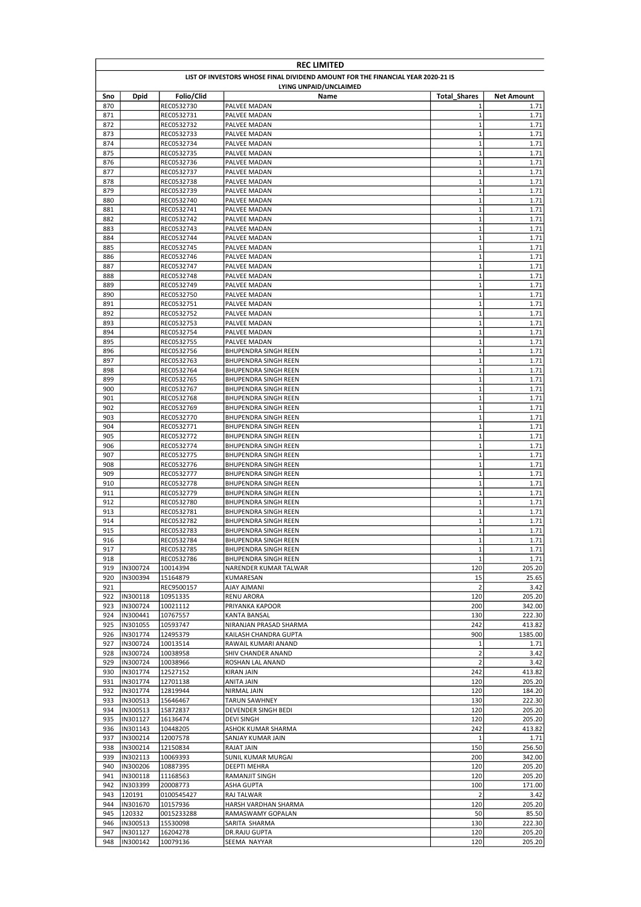| <b>REC LIMITED</b> |                                                                                 |                          |                                                     |                            |                   |  |  |
|--------------------|---------------------------------------------------------------------------------|--------------------------|-----------------------------------------------------|----------------------------|-------------------|--|--|
|                    | LIST OF INVESTORS WHOSE FINAL DIVIDEND AMOUNT FOR THE FINANCIAL YEAR 2020-21 IS |                          |                                                     |                            |                   |  |  |
|                    |                                                                                 |                          | LYING UNPAID/UNCLAIMED                              |                            |                   |  |  |
| Sno                | <b>Dpid</b>                                                                     | Folio/Clid               | Name                                                | <b>Total Shares</b>        | <b>Net Amount</b> |  |  |
| 870                |                                                                                 | REC0532730               | PALVEE MADAN                                        | 1                          | 1.71              |  |  |
| 871                |                                                                                 | REC0532731               | PALVEE MADAN                                        | $\mathbf 1$                | 1.71              |  |  |
| 872                |                                                                                 | REC0532732               | PALVEE MADAN                                        | 1                          | 1.71              |  |  |
| 873                |                                                                                 | REC0532733               | PALVEE MADAN                                        | $\mathbf 1$<br>$\mathbf 1$ | 1.71              |  |  |
| 874<br>875         |                                                                                 | REC0532734               | PALVEE MADAN                                        | $\mathbf 1$                | 1.71<br>1.71      |  |  |
| 876                |                                                                                 | REC0532735<br>REC0532736 | PALVEE MADAN<br>PALVEE MADAN                        | $\mathbf{1}$               | 1.71              |  |  |
| 877                |                                                                                 | REC0532737               | PALVEE MADAN                                        | $\mathbf 1$                | 1.71              |  |  |
| 878                |                                                                                 | REC0532738               | PALVEE MADAN                                        | $\mathbf{1}$               | 1.71              |  |  |
| 879                |                                                                                 | REC0532739               | PALVEE MADAN                                        | $\mathbf{1}$               | 1.71              |  |  |
| 880                |                                                                                 | REC0532740               | PALVEE MADAN                                        | $\mathbf 1$                | 1.71              |  |  |
| 881                |                                                                                 | REC0532741               | PALVEE MADAN                                        | $\mathbf 1$                | 1.71              |  |  |
| 882                |                                                                                 | REC0532742               | PALVEE MADAN                                        | $\mathbf 1$                | 1.71              |  |  |
| 883                |                                                                                 | REC0532743               | PALVEE MADAN                                        | $\mathbf 1$                | 1.71              |  |  |
| 884                |                                                                                 | REC0532744               | PALVEE MADAN                                        | $\mathbf 1$                | 1.71              |  |  |
| 885                |                                                                                 | REC0532745               | PALVEE MADAN                                        | $\mathbf 1$                | 1.71              |  |  |
| 886                |                                                                                 | REC0532746               | PALVEE MADAN                                        | $\mathbf 1$                | 1.71              |  |  |
| 887                |                                                                                 | REC0532747               | PALVEE MADAN                                        | $\mathbf 1$                | 1.71              |  |  |
| 888                |                                                                                 | REC0532748               | PALVEE MADAN                                        | $\mathbf{1}$               | 1.71              |  |  |
| 889                |                                                                                 | REC0532749               | PALVEE MADAN                                        | $\mathbf 1$                | 1.71              |  |  |
| 890                |                                                                                 | REC0532750               | PALVEE MADAN                                        | $\mathbf 1$                | 1.71              |  |  |
| 891                |                                                                                 | REC0532751               | PALVEE MADAN                                        | $\mathbf{1}$               | 1.71              |  |  |
| 892                |                                                                                 | REC0532752               | PALVEE MADAN                                        | $\mathbf{1}$               | 1.71              |  |  |
| 893                |                                                                                 | REC0532753               | PALVEE MADAN                                        | $\mathbf 1$                | 1.71              |  |  |
| 894                |                                                                                 | REC0532754               | PALVEE MADAN                                        | $\mathbf 1$                | 1.71              |  |  |
| 895                |                                                                                 | REC0532755               | PALVEE MADAN                                        | $\mathbf 1$                | 1.71              |  |  |
| 896                |                                                                                 | REC0532756               | BHUPENDRA SINGH REEN                                | $\mathbf 1$                | 1.71              |  |  |
| 897                |                                                                                 | REC0532763               | <b>BHUPENDRA SINGH REEN</b>                         | $\mathbf 1$                | 1.71              |  |  |
| 898                |                                                                                 | REC0532764               | <b>BHUPENDRA SINGH REEN</b>                         | $\mathbf 1$                | 1.71              |  |  |
| 899<br>900         |                                                                                 | REC0532765               | BHUPENDRA SINGH REEN                                | $\mathbf 1$<br>$\mathbf 1$ | 1.71              |  |  |
| 901                |                                                                                 | REC0532767<br>REC0532768 | BHUPENDRA SINGH REEN<br><b>BHUPENDRA SINGH REEN</b> | $\mathbf{1}$               | 1.71<br>1.71      |  |  |
| 902                |                                                                                 | REC0532769               | BHUPENDRA SINGH REEN                                | $\mathbf 1$                | 1.71              |  |  |
| 903                |                                                                                 | REC0532770               | <b>BHUPENDRA SINGH REEN</b>                         | $\mathbf{1}$               | 1.71              |  |  |
| 904                |                                                                                 | REC0532771               | <b>BHUPENDRA SINGH REEN</b>                         | $\mathbf 1$                | 1.71              |  |  |
| 905                |                                                                                 | REC0532772               | <b>BHUPENDRA SINGH REEN</b>                         | $\mathbf 1$                | 1.71              |  |  |
| 906                |                                                                                 | REC0532774               | <b>BHUPENDRA SINGH REEN</b>                         | $\mathbf 1$                | 1.71              |  |  |
| 907                |                                                                                 | REC0532775               | <b>BHUPENDRA SINGH REEN</b>                         | $\mathbf 1$                | 1.71              |  |  |
| 908                |                                                                                 | REC0532776               | <b>BHUPENDRA SINGH REEN</b>                         | $\mathbf 1$                | 1.71              |  |  |
| 909                |                                                                                 | REC0532777               | BHUPENDRA SINGH REEN                                | $\mathbf 1$                | 1.71              |  |  |
| 910                |                                                                                 | REC0532778               | <b>BHUPENDRA SINGH REEN</b>                         | $\mathbf 1$                | 1.71              |  |  |
| 911                |                                                                                 | REC0532779               | BHUPENDRA SINGH REEN                                | $\mathbf 1$                | 1.71              |  |  |
| 912                |                                                                                 | REC0532780               | <b>BHUPENDRA SINGH REEN</b>                         | $\mathbf 1$                | 1.71              |  |  |
| 913                |                                                                                 | REC0532781               | BHUPENDRA SINGH REEN                                | $\mathbf 1$                | 1.71              |  |  |
| 914                |                                                                                 | REC0532782               | <b>BHUPENDRA SINGH REEN</b>                         | $\mathbf{1}$               | 1.71              |  |  |
| 915                |                                                                                 | REC0532783               | <b>BHUPENDRA SINGH REEN</b>                         | $\mathbf 1$                | 1.71              |  |  |
| 916                |                                                                                 | REC0532784               | BHUPENDRA SINGH REEN                                | $\mathbf{1}$               | 1.71              |  |  |
| 917                |                                                                                 | REC0532785               | BHUPENDRA SINGH REEN                                | $\mathbf 1$                | 1.71              |  |  |
| 918                |                                                                                 | REC0532786               | BHUPENDRA SINGH REEN                                | $\mathbf 1$                | 1.71              |  |  |
| 919                | IN300724                                                                        | 10014394                 | NARENDER KUMAR TALWAR                               | 120                        | 205.20            |  |  |
| 920                | IN300394                                                                        | 15164879                 | KUMARESAN                                           | 15                         | 25.65             |  |  |
| 921                |                                                                                 | REC9500157               | <b>AJAY AJMANI</b>                                  | $\overline{2}$             | 3.42              |  |  |
| 922                | IN300118                                                                        | 10951335                 | RENU ARORA                                          | 120                        | 205.20            |  |  |
| 923                | IN300724                                                                        | 10021112                 | PRIYANKA KAPOOR                                     | 200                        | 342.00            |  |  |
| 924<br>925         | IN300441<br>IN301055                                                            | 10767557                 | KANTA BANSAL<br>NIRANJAN PRASAD SHARMA              | 130<br>242                 | 222.30<br>413.82  |  |  |
| 926                | IN301774                                                                        | 10593747<br>12495379     | KAILASH CHANDRA GUPTA                               | 900                        | 1385.00           |  |  |
| 927                | IN300724                                                                        | 10013514                 | RAWAIL KUMARI ANAND                                 | 1                          | 1.71              |  |  |
| 928                | IN300724                                                                        | 10038958                 | SHIV CHANDER ANAND                                  | $\overline{2}$             | 3.42              |  |  |
| 929                | IN300724                                                                        | 10038966                 | ROSHAN LAL ANAND                                    | $\overline{2}$             | 3.42              |  |  |
| 930                | IN301774                                                                        | 12527152                 | <b>KIRAN JAIN</b>                                   | 242                        | 413.82            |  |  |
| 931                | IN301774                                                                        | 12701138                 | ANITA JAIN                                          | 120                        | 205.20            |  |  |
| 932                | IN301774                                                                        | 12819944                 | NIRMAL JAIN                                         | 120                        | 184.20            |  |  |
| 933                | IN300513                                                                        | 15646467                 | <b>TARUN SAWHNEY</b>                                | 130                        | 222.30            |  |  |
| 934                | IN300513                                                                        | 15872837                 | DEVENDER SINGH BEDI                                 | 120                        | 205.20            |  |  |
| 935                | IN301127                                                                        | 16136474                 | <b>DEVI SINGH</b>                                   | 120                        | 205.20            |  |  |
| 936                | IN301143                                                                        | 10448205                 | ASHOK KUMAR SHARMA                                  | 242                        | 413.82            |  |  |
| 937                | IN300214                                                                        | 12007578                 | SANJAY KUMAR JAIN                                   | 1                          | 1.71              |  |  |
| 938                | IN300214                                                                        | 12150834                 | RAJAT JAIN                                          | 150                        | 256.50            |  |  |
| 939                | IN302113                                                                        | 10069393                 | SUNIL KUMAR MURGAI                                  | 200                        | 342.00            |  |  |
| 940                | IN300206                                                                        | 10887395                 | DEEPTI MEHRA                                        | 120                        | 205.20            |  |  |
| 941                | IN300118                                                                        | 11168563                 | RAMANJIT SINGH                                      | 120                        | 205.20            |  |  |
| 942                | IN303399                                                                        | 20008773                 | ASHA GUPTA                                          | 100                        | 171.00            |  |  |
| 943                | 120191                                                                          | 0100545427               | RAJ TALWAR                                          | $\overline{2}$             | 3.42              |  |  |
| 944                | IN301670                                                                        | 10157936                 | HARSH VARDHAN SHARMA                                | 120                        | 205.20            |  |  |
| 945                | 120332                                                                          | 0015233288               | RAMASWAMY GOPALAN                                   | 50                         | 85.50             |  |  |
| 946                | IN300513                                                                        | 15530098                 | SARITA SHARMA                                       | 130                        | 222.30            |  |  |
| 947                | IN301127                                                                        | 16204278                 | DR.RAJU GUPTA                                       | 120                        | 205.20            |  |  |
| 948                | IN300142                                                                        | 10079136                 | SEEMA NAYYAR                                        | 120                        | 205.20            |  |  |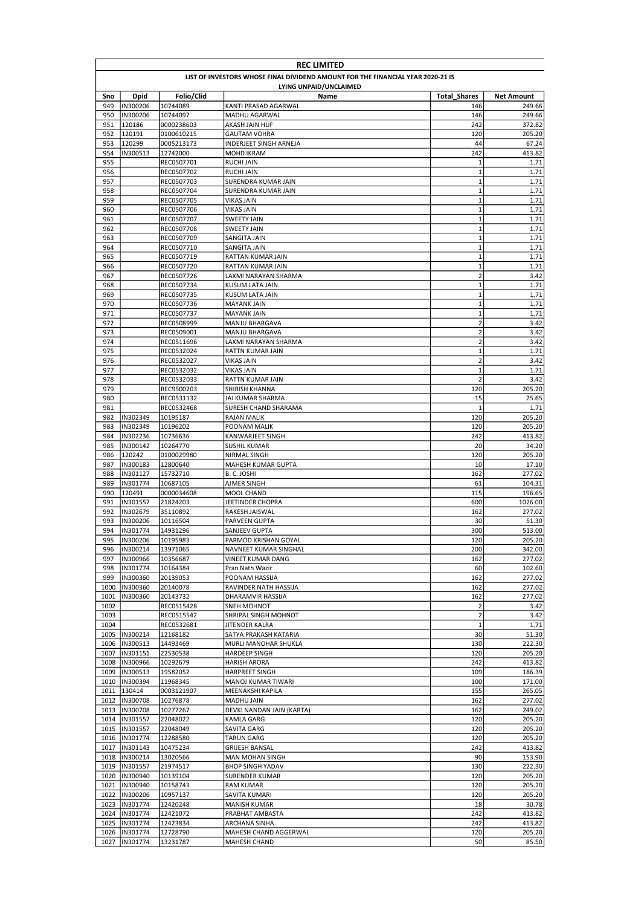|              | <b>REC LIMITED</b>                                                              |                          |                                      |                               |                   |  |  |
|--------------|---------------------------------------------------------------------------------|--------------------------|--------------------------------------|-------------------------------|-------------------|--|--|
|              | LIST OF INVESTORS WHOSE FINAL DIVIDEND AMOUNT FOR THE FINANCIAL YEAR 2020-21 IS |                          |                                      |                               |                   |  |  |
|              |                                                                                 |                          | LYING UNPAID/UNCLAIMED               |                               |                   |  |  |
| Sno          | <b>Dpid</b>                                                                     | Folio/Clid               | Name                                 | <b>Total Shares</b>           | <b>Net Amount</b> |  |  |
| 949          | IN300206                                                                        | 10744089                 | KANTI PRASAD AGARWAL                 | 146                           | 249.66            |  |  |
| 950          | IN300206                                                                        | 10744097                 | MADHU AGARWAL                        | 146                           | 249.66            |  |  |
| 951          | 120186                                                                          | 0000238603               | <b>AKASH JAIN HUF</b>                | 242                           | 372.82            |  |  |
| 952          | 120191                                                                          | 0100610215               | <b>GAUTAM VOHRA</b>                  | 120                           | 205.20            |  |  |
| 953<br>954   | 120299<br>IN300513                                                              | 0005213173               | INDERJEET SINGH ARNEJA<br>MOHD IKRAM | 44<br>242                     | 67.24<br>413.82   |  |  |
| 955          |                                                                                 | 12742000<br>REC0507701   | <b>RUCHI JAIN</b>                    | $\mathbf{1}$                  | 1.71              |  |  |
| 956          |                                                                                 | REC0507702               | <b>RUCHI JAIN</b>                    | $\mathbf 1$                   | 1.71              |  |  |
| 957          |                                                                                 | REC0507703               | SURENDRA KUMAR JAIN                  | $\mathbf{1}$                  | 1.71              |  |  |
| 958          |                                                                                 | REC0507704               | SURENDRA KUMAR JAIN                  | $\overline{1}$                | 1.71              |  |  |
| 959          |                                                                                 | REC0507705               | <b>VIKAS JAIN</b>                    | $\mathbf 1$                   | 1.71              |  |  |
| 960          |                                                                                 | REC0507706               | <b>VIKAS JAIN</b>                    | $\mathbf 1$                   | 1.71              |  |  |
| 961          |                                                                                 | REC0507707               | <b>SWEETY JAIN</b>                   | $\mathbf{1}$                  | 1.71              |  |  |
| 962          |                                                                                 | REC0507708               | SWEETY JAIN                          | $\mathbf 1$                   | 1.71              |  |  |
| 963          |                                                                                 | REC0507709               | SANGITA JAIN                         | $\mathbf 1$                   | 1.71              |  |  |
| 964          |                                                                                 | REC0507710               | SANGITA JAIN                         | $\mathbf 1$                   | 1.71              |  |  |
| 965          |                                                                                 | REC0507719               | RATTAN KUMAR JAIN                    | $\mathbf 1$                   | 1.71              |  |  |
| 966          |                                                                                 | REC0507720               | RATTAN KUMAR JAIN                    | $\mathbf 1$                   | 1.71              |  |  |
| 967          |                                                                                 | REC0507726               | LAXMI NARAYAN SHARMA                 | $\overline{2}$                | 3.42              |  |  |
| 968          |                                                                                 | REC0507734               | KUSUM LATA JAIN                      | $\mathbf 1$                   | 1.71              |  |  |
| 969          |                                                                                 | REC0507735               | <b>KUSUM LATA JAIN</b>               | $\mathbf 1$                   | 1.71              |  |  |
| 970          |                                                                                 | REC0507736               | <b>MAYANK JAIN</b>                   | $\mathbf{1}$                  | 1.71              |  |  |
| 971          |                                                                                 | REC0507737               | <b>MAYANK JAIN</b>                   | $\mathbf{1}$                  | 1.71              |  |  |
| 972          |                                                                                 | REC0508999               | MANJU BHARGAVA                       | $\mathbf 2$                   | 3.42              |  |  |
| 973          |                                                                                 | REC0509001               | <b>MANJU BHARGAVA</b>                | $\mathbf 2$                   | 3.42              |  |  |
| 974          |                                                                                 | REC0511696               | LAXMI NARAYAN SHARMA                 | $\mathbf 2$                   | 3.42              |  |  |
| 975          |                                                                                 | REC0532024               | RATTN KUMAR JAIN                     | $\mathbf 1$                   | 1.71              |  |  |
| 976          |                                                                                 | REC0532027               | <b>VIKAS JAIN</b>                    | $\overline{2}$                | 3.42              |  |  |
| 977          |                                                                                 | REC0532032               | VIKAS JAIN                           | $\mathbf 1$<br>$\overline{2}$ | 1.71              |  |  |
| 978<br>979   |                                                                                 | REC0532033               | RATTN KUMAR JAIN<br>SHIRISH KHANNA   | 120                           | 3.42              |  |  |
| 980          |                                                                                 | REC9500203<br>REC0531132 | JAI KUMAR SHARMA                     | 15                            | 205.20<br>25.65   |  |  |
| 981          |                                                                                 | REC0532468               | SURESH CHAND SHARAMA                 | $\mathbf{1}$                  | 1.71              |  |  |
| 982          | IN302349                                                                        | 10195187                 | <b>RAJAN MALIK</b>                   | 120                           | 205.20            |  |  |
| 983          | IN302349                                                                        | 10196202                 | POONAM MALIK                         | 120                           | 205.20            |  |  |
| 984          | IN302236                                                                        | 10736636                 | KANWARJEET SINGH                     | 242                           | 413.82            |  |  |
| 985          | IN300142                                                                        | 10264770                 | SUSHIL KUMAR                         | 20                            | 34.20             |  |  |
| 986          | 120242                                                                          | 0100029980               | NIRMAL SINGH                         | 120                           | 205.20            |  |  |
| 987          | IN300183                                                                        | 12800640                 | MAHESH KUMAR GUPTA                   | 10                            | 17.10             |  |  |
| 988          | IN301127                                                                        | 15732710                 | B. C. JOSHI                          | 162                           | 277.02            |  |  |
| 989          | IN301774                                                                        | 10687105                 | AJMER SINGH                          | 61                            | 104.31            |  |  |
| 990          | 120491                                                                          | 0000034608               | <b>MOOL CHAND</b>                    | 115                           | 196.65            |  |  |
| 991          | IN301557                                                                        | 21824203                 | JEETINDER CHOPRA                     | 600                           | 1026.00           |  |  |
| 992          | IN302679                                                                        | 35110892                 | RAKESH JAISWAL                       | 162                           | 277.02            |  |  |
| 993          | IN300206                                                                        | 10116504                 | PARVEEN GUPTA                        | 30                            | 51.30             |  |  |
| 994          | IN301774                                                                        | 14931296                 | SANJEEV GUPTA                        | 300                           | 513.00            |  |  |
| 995          | IN300206                                                                        | 10195983                 | PARMOD KRISHAN GOYAL                 | 120                           | 205.20            |  |  |
| 996          | IN300214                                                                        | 13971065                 | NAVNEET KUMAR SINGHAL                | 200                           | 342.00            |  |  |
| 997          | IN300966                                                                        | 10356687                 | VINEET KUMAR DANG                    | 162                           | 277.02            |  |  |
| 998          | IN301774                                                                        | 10164384                 | Pran Nath Wazir                      | 60                            | 102.60            |  |  |
| 999          | IN300360                                                                        | 20139053                 | POONAM HASSIJA                       | 162                           | 277.02            |  |  |
| 1000         | IN300360                                                                        | 20140078                 | RAVINDER NATH HASSIJA                | 162                           | 277.02            |  |  |
| 1001         | IN300360                                                                        | 20143732                 | DHARAMVIR HASSIJA                    | 162                           | 277.02            |  |  |
| 1002         |                                                                                 | REC0515428               | SNEH MOHNOT                          | $\overline{2}$                | 3.42              |  |  |
| 1003         |                                                                                 | REC0515542               | SHRIPAL SINGH MOHNOT                 | $\mathbf 2$                   | 3.42              |  |  |
| 1004         |                                                                                 | REC0532681               | JITENDER KALRA                       | $\mathbf 1$                   | 1.71              |  |  |
|              | 1005  IN300214                                                                  | 12168182                 | SATYA PRAKASH KATARIA                | 30                            | 51.30             |  |  |
| 1006<br>1007 | IN300513<br>IN301151                                                            | 14493469<br>22530538     | MURLI MANOHAR SHUKLA                 | 130<br>120                    | 222.30<br>205.20  |  |  |
| 1008         | IN300966                                                                        | 10292679                 | HARDEEP SINGH<br><b>HARISH ARORA</b> | 242                           | 413.82            |  |  |
| 1009         | IN300513                                                                        | 19582052                 | HARPREET SINGH                       | 109                           | 186.39            |  |  |
| 1010         | IN300394                                                                        | 11968345                 | MANOJ KUMAR TIWARI                   | 100                           | 171.00            |  |  |
| 1011         | 130414                                                                          | 0003121907               | MEENAKSHI KAPILA                     | 155                           | 265.05            |  |  |
| 1012         | IN300708                                                                        | 10276878                 | MADHU JAIN                           | 162                           | 277.02            |  |  |
|              | 1013  IN300708                                                                  | 10277267                 | DEVKI NANDAN JAIN (KARTA)            | 162                           | 249.02            |  |  |
| 1014         | IN301557                                                                        | 22048022                 | KAMLA GARG                           | 120                           | 205.20            |  |  |
| 1015         | IN301557                                                                        | 22048049                 | SAVITA GARG                          | 120                           | 205.20            |  |  |
|              | 1016  IN301774                                                                  | 12288580                 | TARUN GARG                           | 120                           | 205.20            |  |  |
|              | 1017  IN301143                                                                  | 10475234                 | <b>GRIJESH BANSAL</b>                | 242                           | 413.82            |  |  |
| 1018         | IN300214                                                                        | 13020566                 | MAN MOHAN SINGH                      | 90                            | 153.90            |  |  |
| 1019         | IN301557                                                                        | 21974517                 | <b>BHOP SINGH YADAV</b>              | 130                           | 222.30            |  |  |
| 1020         | IN300940                                                                        | 10139104                 | SURENDER KUMAR                       | 120                           | 205.20            |  |  |
| 1021         | IN300940                                                                        | 10158743                 | <b>RAM KUMAR</b>                     | 120                           | 205.20            |  |  |
| 1022         | IN300206                                                                        | 10957137                 | SAVITA KUMARI                        | 120                           | 205.20            |  |  |
| 1023         | IN301774                                                                        | 12420248                 | <b>MANISH KUMAR</b>                  | 18                            | 30.78             |  |  |
|              | 1024  IN301774                                                                  | 12421072                 | PRABHAT AMBASTA                      | 242                           | 413.82            |  |  |
| 1025         | IN301774                                                                        | 12423834                 | ARCHANA SINHA                        | 242                           | 413.82            |  |  |
|              | 1026  IN301774                                                                  | 12728790                 | MAHESH CHAND AGGERWAL                | 120                           | 205.20            |  |  |
| 1027         | IN301774                                                                        | 13231787                 | MAHESH CHAND                         | 50                            | 85.50             |  |  |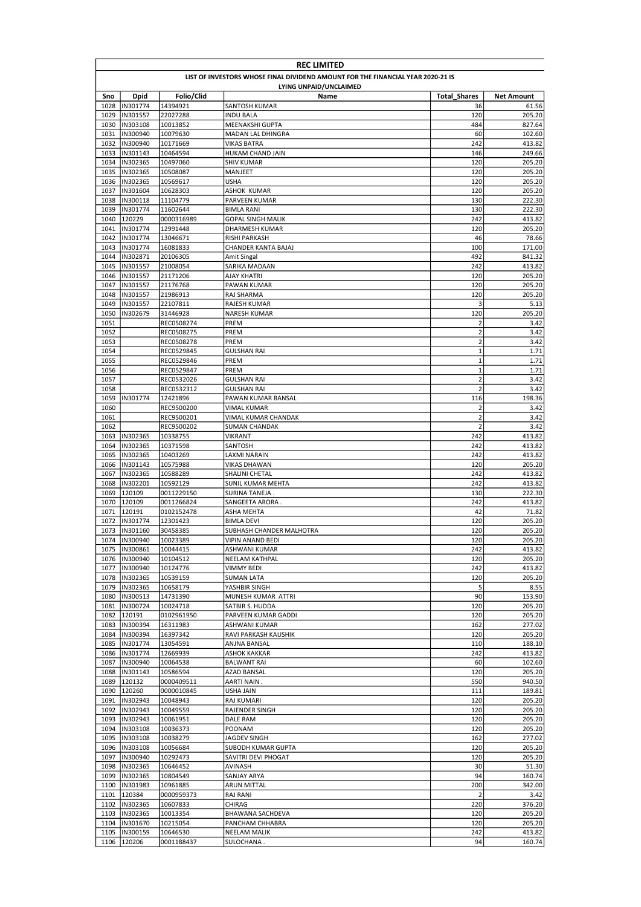|              | <b>REC LIMITED</b>                                                              |                          |                                      |                                        |                   |  |  |
|--------------|---------------------------------------------------------------------------------|--------------------------|--------------------------------------|----------------------------------------|-------------------|--|--|
|              | LIST OF INVESTORS WHOSE FINAL DIVIDEND AMOUNT FOR THE FINANCIAL YEAR 2020-21 IS |                          |                                      |                                        |                   |  |  |
|              |                                                                                 |                          | LYING UNPAID/UNCLAIMED               |                                        |                   |  |  |
| Sno          | <b>Dpid</b>                                                                     | Folio/Clid               | Name                                 | <b>Total Shares</b>                    | <b>Net Amount</b> |  |  |
| 1028         | IN301774                                                                        | 14394921                 | SANTOSH KUMAR                        | 36                                     | 61.56             |  |  |
| 1029         | IN301557                                                                        | 22027288                 | <b>INDU BALA</b>                     | 120                                    | 205.20            |  |  |
| 1030         | IN303108                                                                        | 10013852                 | MEENAKSHI GUPTA                      | 484                                    | 827.64            |  |  |
| 1031<br>1032 | IN300940<br>IN300940                                                            | 10079630                 | MADAN LAL DHINGRA                    | 60<br>242                              | 102.60<br>413.82  |  |  |
| 1033         | IN301143                                                                        | 10171669<br>10464594     | VIKAS BATRA<br>HUKAM CHAND JAIN      | 146                                    | 249.66            |  |  |
| 1034         | IN302365                                                                        | 10497060                 | SHIV KUMAR                           | 120                                    | 205.20            |  |  |
| 1035         | IN302365                                                                        | 10508087                 | MANJEET                              | 120                                    | 205.20            |  |  |
| 1036         | IN302365                                                                        | 10569617                 | <b>USHA</b>                          | 120                                    | 205.20            |  |  |
| 1037         | IN301604                                                                        | 10628303                 | ASHOK KUMAR                          | 120                                    | 205.20            |  |  |
| 1038         | IN300118                                                                        | 11104779                 | PARVEEN KUMAR                        | 130                                    | 222.30            |  |  |
| 1039         | IN301774                                                                        | 11602644                 | <b>BIMLA RANI</b>                    | 130                                    | 222.30            |  |  |
| 1040         | 120229                                                                          | 0000316989               | GOPAL SINGH MALIK                    | 242                                    | 413.82            |  |  |
| 1041         | IN301774                                                                        | 12991448                 | DHARMESH KUMAR                       | 120                                    | 205.20            |  |  |
| 1042         | IN301774                                                                        | 13046671                 | RISHI PARKASH                        | 46                                     | 78.66             |  |  |
| 1043         | IN301774                                                                        | 16081833                 | CHANDER KANTA BAJAJ                  | 100                                    | 171.00            |  |  |
| 1044         | IN302871                                                                        | 20106305                 | Amit Singal                          | 492                                    | 841.32            |  |  |
| 1045         | IN301557                                                                        | 21008054                 | SARIKA MADAAN                        | 242                                    | 413.82            |  |  |
| 1046         | IN301557                                                                        | 21171206                 | AJAY KHATRI                          | 120                                    | 205.20            |  |  |
| 1047         | IN301557                                                                        | 21176768                 | PAWAN KUMAR                          | 120                                    | 205.20            |  |  |
| 1048         | IN301557                                                                        | 21986913                 | RAJ SHARMA                           | 120                                    | 205.20            |  |  |
| 1049         | IN301557                                                                        | 22107811                 | <b>RAJESH KUMAR</b>                  | 3                                      | 5.13              |  |  |
| 1050         | IN302679                                                                        | 31446928                 | <b>NARESH KUMAR</b>                  | 120                                    | 205.20            |  |  |
| 1051         |                                                                                 | REC0508274               | PREM                                 | $\overline{2}$                         | 3.42              |  |  |
| 1052         |                                                                                 | REC0508275               | PREM                                 | $\mathbf 2$                            | 3.42              |  |  |
| 1053         |                                                                                 | REC0508278               | PREM                                 | $\mathbf 2$                            | 3.42              |  |  |
| 1054         |                                                                                 | REC0529845               | <b>GULSHAN RAI</b>                   | $\mathbf 1$<br>$\mathbf 1$             | 1.71              |  |  |
| 1055         |                                                                                 | REC0529846               | PREM                                 |                                        | 1.71              |  |  |
| 1056<br>1057 |                                                                                 | REC0529847               | PREM<br><b>GULSHAN RAI</b>           | $\mathbf 1$<br>$\overline{\mathbf{c}}$ | 1.71<br>3.42      |  |  |
| 1058         |                                                                                 | REC0532026<br>REC0532312 | GULSHAN RAI                          | $\overline{2}$                         | 3.42              |  |  |
| 1059         | IN301774                                                                        | 12421896                 | PAWAN KUMAR BANSAL                   | 116                                    | 198.36            |  |  |
| 1060         |                                                                                 | REC9500200               | VIMAL KUMAR                          | $\overline{2}$                         | 3.42              |  |  |
| 1061         |                                                                                 | REC9500201               | VIMAL KUMAR CHANDAK                  | $\overline{2}$                         | 3.42              |  |  |
| 1062         |                                                                                 | REC9500202               | SUMAN CHANDAK                        | $\overline{2}$                         | 3.42              |  |  |
| 1063         | IN302365                                                                        | 10338755                 | <b>VIKRANT</b>                       | 242                                    | 413.82            |  |  |
| 1064         | IN302365                                                                        | 10371598                 | SANTOSH                              | 242                                    | 413.82            |  |  |
| 1065         | IN302365                                                                        | 10403269                 | LAXMI NARAIN                         | 242                                    | 413.82            |  |  |
| 1066         | IN301143                                                                        | 10575988                 | <b>VIKAS DHAWAN</b>                  | 120                                    | 205.20            |  |  |
| 1067         | IN302365                                                                        | 10588289                 | SHALINI CHETAL                       | 242                                    | 413.82            |  |  |
| 1068         | IN302201                                                                        | 10592129                 | SUNIL KUMAR MEHTA                    | 242                                    | 413.82            |  |  |
| 1069         | 120109                                                                          | 0011229150               | SURINA TANEJA .                      | 130                                    | 222.30            |  |  |
| 1070         | 120109                                                                          | 0011266824               | SANGEETA ARORA                       | 242                                    | 413.82            |  |  |
| 1071         | 120191                                                                          | 0102152478               | ASHA MEHTA                           | 42                                     | 71.82             |  |  |
| 1072         | IN301774                                                                        | 12301423                 | <b>BIMLA DEVI</b>                    | 120                                    | 205.20            |  |  |
|              | 1073  IN301160                                                                  | 30458385                 | SUBHASH CHANDER MALHOTRA             | 120                                    | 205.20            |  |  |
|              | 1074  IN300940                                                                  | 10023389                 | <b>VIPIN ANAND BEDI</b>              | 120                                    | 205.20            |  |  |
| 1075         | IN300861                                                                        | 10044415                 | ASHWANI KUMAR                        | 242                                    | 413.82            |  |  |
| 1076         | IN300940                                                                        | 10104512                 | NEELAM KATHPAL                       | 120                                    | 205.20            |  |  |
| 1077         | IN300940                                                                        | 10124776                 | VIMMY BEDI                           | 242                                    | 413.82            |  |  |
| 1078         | IN302365                                                                        | 10539159                 | SUMAN LATA                           | 120                                    | 205.20            |  |  |
| 1079         | IN302365                                                                        | 10658179                 | YASHBIR SINGH                        | 5                                      | 8.55              |  |  |
| 1080         | IN300513                                                                        | 14731390                 | MUNESH KUMAR ATTRI                   | 90                                     | 153.90            |  |  |
| 1081         | IN300724                                                                        | 10024718                 | SATBIR S. HUDDA                      | 120                                    | 205.20            |  |  |
| 1082<br>1083 | 120191<br>IN300394                                                              | 0102961950<br>16311983   | PARVEEN KUMAR GADDI<br>ASHWANI KUMAR | 120<br>162                             | 205.20<br>277.02  |  |  |
| 1084         | IN300394                                                                        | 16397342                 | RAVI PARKASH KAUSHIK                 | 120                                    | 205.20            |  |  |
| 1085         | IN301774                                                                        | 13054591                 | ANJNA BANSAL                         | 110                                    | 188.10            |  |  |
| 1086         | IN301774                                                                        | 12669939                 | ASHOK KAKKAR                         | 242                                    | 413.82            |  |  |
| 1087         | IN300940                                                                        | 10064538                 | <b>BALWANT RAI</b>                   | 60                                     | 102.60            |  |  |
| 1088         | IN301143                                                                        | 10586594                 | AZAD BANSAL                          | 120                                    | 205.20            |  |  |
| 1089         | 120132                                                                          | 0000409511               | AARTI NAIN .                         | 550                                    | 940.50            |  |  |
| 1090         | 120260                                                                          | 0000010845               | USHA JAIN                            | 111                                    | 189.81            |  |  |
| 1091         | IN302943                                                                        | 10048943                 | RAJ KUMARI                           | 120                                    | 205.20            |  |  |
|              | 1092  IN302943                                                                  | 10049559                 | RAJENDER SINGH                       | 120                                    | 205.20            |  |  |
| 1093         | IN302943                                                                        | 10061951                 | DALE RAM                             | 120                                    | 205.20            |  |  |
| 1094         | IN303108                                                                        | 10036373                 | POONAM                               | 120                                    | 205.20            |  |  |
|              | 1095  IN303108                                                                  | 10038279                 | JAGDEV SINGH                         | 162                                    | 277.02            |  |  |
| 1096         | IN303108                                                                        | 10056684                 | SUBODH KUMAR GUPTA                   | 120                                    | 205.20            |  |  |
| 1097         | IN300940                                                                        | 10292473                 | SAVITRI DEVI PHOGAT                  | 120                                    | 205.20            |  |  |
| 1098         | IN302365                                                                        | 10646452                 | AVINASH                              | 30                                     | 51.30             |  |  |
| 1099         | IN302365                                                                        | 10804549                 | SANJAY ARYA                          | 94                                     | 160.74            |  |  |
| 1100         | IN301983                                                                        | 10961885                 | <b>ARUN MITTAL</b>                   | 200                                    | 342.00            |  |  |
| 1101         | 120384                                                                          | 0000959373               | <b>RAJ RANI</b>                      | $\overline{2}$                         | 3.42              |  |  |
| 1102         | IN302365                                                                        | 10607833                 | CHIRAG                               | 220                                    | 376.20            |  |  |
| 1103         | IN302365                                                                        | 10013354                 | BHAWANA SACHDEVA                     | 120                                    | 205.20            |  |  |
| 1104         | IN301670                                                                        | 10215054                 | PANCHAM CHHABRA                      | 120                                    | 205.20            |  |  |
|              | 1105  IN300159                                                                  | 10646530                 | <b>NEELAM MALIK</b>                  | 242                                    | 413.82            |  |  |
|              | 1106 120206                                                                     | 0001188437               | SULOCHANA .                          | 94                                     | 160.74            |  |  |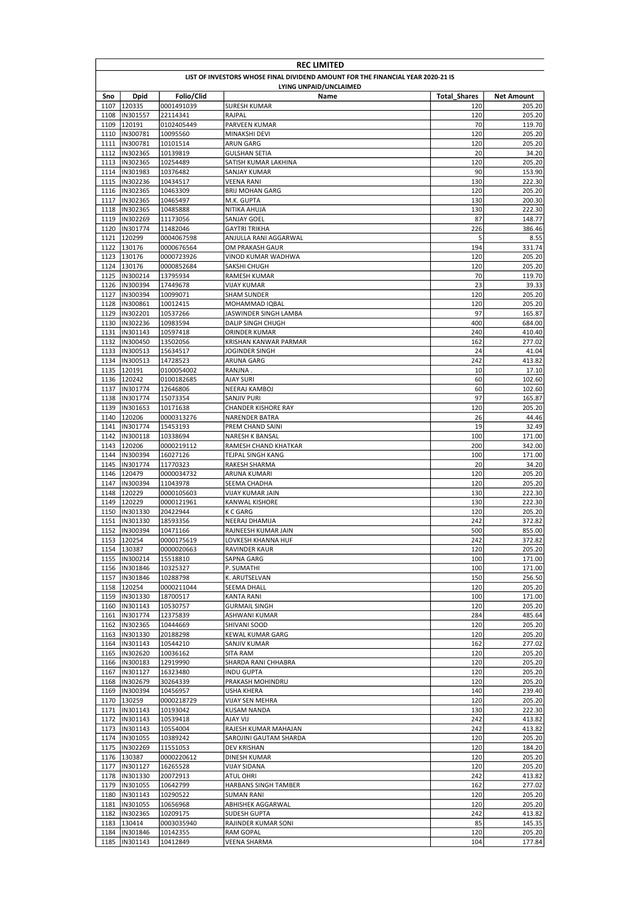|              | <b>REC LIMITED</b>                                                              |                        |                                                   |                     |                   |  |  |
|--------------|---------------------------------------------------------------------------------|------------------------|---------------------------------------------------|---------------------|-------------------|--|--|
|              | LIST OF INVESTORS WHOSE FINAL DIVIDEND AMOUNT FOR THE FINANCIAL YEAR 2020-21 IS |                        |                                                   |                     |                   |  |  |
|              |                                                                                 |                        | LYING UNPAID/UNCLAIMED                            |                     |                   |  |  |
| Sno          | <b>Dpid</b>                                                                     | Folio/Clid             | Name                                              | <b>Total Shares</b> | <b>Net Amount</b> |  |  |
| 1107         | 120335                                                                          | 0001491039             | SURESH KUMAR                                      | 120                 | 205.20            |  |  |
| 1108         | IN301557                                                                        | 22114341               | RAJPAL                                            | 120                 | 205.20            |  |  |
| 1109         | 120191                                                                          | 0102405449             | PARVEEN KUMAR                                     | 70                  | 119.70            |  |  |
| 1111         | 1110  IN300781<br>IN300781                                                      | 10095560<br>10101514   | MINAKSHI DEVI<br>ARUN GARG                        | 120<br>120          | 205.20<br>205.20  |  |  |
| 1112         | IN302365                                                                        | 10139819               | GULSHAN SETIA                                     | 20                  | 34.20             |  |  |
| 1113         | IN302365                                                                        | 10254489               | SATISH KUMAR LAKHINA                              | 120                 | 205.20            |  |  |
| 1114         | IN301983                                                                        | 10376482               | SANJAY KUMAR                                      | 90                  | 153.90            |  |  |
| 1115         | IN302236                                                                        | 10434517               | <b>VEENA RANI</b>                                 | 130                 | 222.30            |  |  |
| 1116         | IN302365                                                                        | 10463309               | <b>BRIJ MOHAN GARG</b>                            | 120                 | 205.20            |  |  |
| 1117         | IN302365                                                                        | 10465497               | M.K. GUPTA                                        | 130                 | 200.30            |  |  |
| 1118         | IN302365                                                                        | 10485888               | NITIKA AHUJA                                      | 130                 | 222.30            |  |  |
| 1119         | IN302269                                                                        | 11173056               | SANJAY GOEL                                       | 87                  | 148.77            |  |  |
| 1120         | IN301774                                                                        | 11482046               | GAYTRI TRIKHA                                     | 226                 | 386.46            |  |  |
| 1121         | 120299                                                                          | 0004067598             | ANJULLA RANI AGGARWAL                             | 5                   | 8.55              |  |  |
|              | 1122 130176                                                                     | 0000676564             | OM PRAKASH GAUR                                   | 194                 | 331.74            |  |  |
|              | 1123 130176                                                                     | 0000723926             | VINOD KUMAR WADHWA                                | 120                 | 205.20            |  |  |
| 1124         | 130176                                                                          | 0000852684             | SAKSHI CHUGH                                      | 120                 | 205.20            |  |  |
| 1125         | IN300214                                                                        | 13795934               | RAMESH KUMAR                                      | 70                  | 119.70            |  |  |
| 1126         | IN300394                                                                        | 17449678               | VIJAY KUMAR                                       | 23                  | 39.33             |  |  |
| 1127         | IN300394                                                                        | 10099071               | <b>SHAM SUNDER</b>                                | 120                 | 205.20            |  |  |
| 1128<br>1129 | IN300861<br>IN302201                                                            | 10012415               | MOHAMMAD IQBAL                                    | 120<br>97           | 205.20            |  |  |
| 1130         | IN302236                                                                        | 10537266<br>10983594   | JASWINDER SINGH LAMBA<br><b>DALIP SINGH CHUGH</b> | 400                 | 165.87<br>684.00  |  |  |
| 1131         | IN301143                                                                        | 10597418               | ORINDER KUMAR                                     | 240                 | 410.40            |  |  |
| 1132         | IN300450                                                                        | 13502056               | KRISHAN KANWAR PARMAR                             | 162                 | 277.02            |  |  |
| 1133         | IN300513                                                                        | 15634517               | JOGINDER SINGH                                    | 24                  | 41.04             |  |  |
| 1134         | IN300513                                                                        | 14728523               | ARUNA GARG                                        | 242                 | 413.82            |  |  |
| 1135         | 120191                                                                          | 0100054002             | RANJNA                                            | 10                  | 17.10             |  |  |
| 1136         | 120242                                                                          | 0100182685             | AJAY SURI                                         | 60                  | 102.60            |  |  |
| 1137         | IN301774                                                                        | 12646806               | NEERAJ KAMBOJ                                     | 60                  | 102.60            |  |  |
| 1138         | IN301774                                                                        | 15073354               | SANJIV PURI                                       | 97                  | 165.87            |  |  |
| 1139         | IN301653                                                                        | 10171638               | CHANDER KISHORE RAY                               | 120                 | 205.20            |  |  |
| 1140         | 120206                                                                          | 0000313276             | NARENDER BATRA                                    | 26                  | 44.46             |  |  |
| 1141         | IN301774                                                                        | 15453193               | PREM CHAND SAINI                                  | 19                  | 32.49             |  |  |
| 1142         | IN300118                                                                        | 10338694               | <b>NARESH K BANSAL</b>                            | 100                 | 171.00            |  |  |
| 1143         | 120206                                                                          | 0000219112             | RAMESH CHAND KHATKAR                              | 200                 | 342.00            |  |  |
| 1144         | IN300394                                                                        | 16027126               | TEJPAL SINGH KANG                                 | 100                 | 171.00            |  |  |
| 1145         | IN301774                                                                        | 11770323               | RAKESH SHARMA                                     | 20                  | 34.20             |  |  |
| 1146         | 120479                                                                          | 0000034732             | ARUNA KUMARI                                      | 120                 | 205.20            |  |  |
| 1147         | IN300394                                                                        | 11043978               | SEEMA CHADHA                                      | 120                 | 205.20            |  |  |
| 1148         | 120229                                                                          | 0000105603             | VIJAY KUMAR JAIN                                  | 130                 | 222.30            |  |  |
| 1149         | 120229                                                                          | 0000121961             | KANWAL KISHORE                                    | 130                 | 222.30            |  |  |
| 1150         | IN301330                                                                        | 20422944               | K C GARG                                          | 120                 | 205.20            |  |  |
| 1151         | IN301330                                                                        | 18593356               | NEERAJ DHAMIJA                                    | 242                 | 372.82            |  |  |
|              | 1152  IN300394<br>1153 120254                                                   | 10471166<br>0000175619 | RAJNEESH KUMAR JAIN<br>LOVKESH KHANNA HUF         | 500<br>242          | 855.00<br>372.82  |  |  |
|              | 1154 130387                                                                     | 0000020663             | RAVINDER KAUR                                     | 120                 | 205.20            |  |  |
|              | 1155  IN300214                                                                  | 15518810               | SAPNA GARG                                        | 100                 | 171.00            |  |  |
|              | 1156  IN301846                                                                  | 10325327               | P. SUMATHI                                        | 100                 | 171.00            |  |  |
|              | 1157  IN301846                                                                  | 10288798               | K. ARUTSELVAN                                     | 150                 | 256.50            |  |  |
| 1158         | 120254                                                                          | 0000211044             | SEEMA DHALL                                       | 120                 | 205.20            |  |  |
| 1159         | IN301330                                                                        | 18700517               | KANTA RANI                                        | 100                 | 171.00            |  |  |
|              | 1160  IN301143                                                                  | 10530757               | <b>GURMAIL SINGH</b>                              | 120                 | 205.20            |  |  |
|              | 1161  IN301774                                                                  | 12375839               | ASHWANI KUMAR                                     | 284                 | 485.64            |  |  |
|              | 1162  IN302365                                                                  | 10444669               | SHIVANI SOOD                                      | 120                 | 205.20            |  |  |
|              | 1163  IN301330                                                                  | 20188298               | KEWAL KUMAR GARG                                  | 120                 | 205.20            |  |  |
|              | 1164  IN301143                                                                  | 10544210               | SANJIV KUMAR                                      | 162                 | 277.02            |  |  |
| 1165         | IN302620                                                                        | 10036162               | SITA RAM                                          | 120                 | 205.20            |  |  |
|              | 1166  IN300183                                                                  | 12919990               | SHARDA RANI CHHABRA                               | 120                 | 205.20            |  |  |
|              | 1167  IN301127                                                                  | 16323480               | INDU GUPTA                                        | 120                 | 205.20            |  |  |
|              | 1168  IN302679                                                                  | 30264339               | PRAKASH MOHINDRU                                  | 120                 | 205.20            |  |  |
| 1169         | IN300394                                                                        | 10456957               | USHA KHERA                                        | 140                 | 239.40            |  |  |
| 1170         | 130259                                                                          | 0000218729             | <b>VIJAY SEN MEHRA</b>                            | 120                 | 205.20            |  |  |
|              | 1171  IN301143                                                                  | 10193042               | <b>KUSAM NANDA</b>                                | 130                 | 222.30            |  |  |
|              | 1172 IN301143                                                                   | 10539418               | LIV YALA                                          | 242                 | 413.82            |  |  |
|              | 1173  IN301143<br>1174  IN301055                                                | 10554004<br>10389242   | RAJESH KUMAR MAHAJAN<br>SAROJINI GAUTAM SHARDA    | 242<br>120          | 413.82<br>205.20  |  |  |
|              | 1175  IN302269                                                                  | 11551053               | DEV KRISHAN                                       | 120                 | 184.20            |  |  |
|              | 1176 130387                                                                     | 0000220612             | DINESH KUMAR                                      | 120                 | 205.20            |  |  |
|              | 1177  IN301127                                                                  | 16265528               | VIJAY SIDANA                                      | 120                 | 205.20            |  |  |
|              | 1178  IN301330                                                                  | 20072913               | ATUL OHRI                                         | 242                 | 413.82            |  |  |
|              | 1179  IN301055                                                                  | 10642799               | HARBANS SINGH TAMBER                              | 162                 | 277.02            |  |  |
|              | 1180  IN301143                                                                  | 10290522               | SUMAN RANI                                        | 120                 | 205.20            |  |  |
| 1181         | IN301055                                                                        | 10656968               | ABHISHEK AGGARWAL                                 | 120                 | 205.20            |  |  |
|              | 1182  IN302365                                                                  | 10209175               | SUDESH GUPTA                                      | 242                 | 413.82            |  |  |
| 1183         | 130414                                                                          | 0003035940             | RAJINDER KUMAR SONI                               | 85                  | 145.35            |  |  |
|              | 1184 IN301846                                                                   | 10142355               | <b>RAM GOPAL</b>                                  | 120                 | 205.20            |  |  |
| 1185         | IN301143                                                                        | 10412849               | VEENA SHARMA                                      | 104                 | 177.84            |  |  |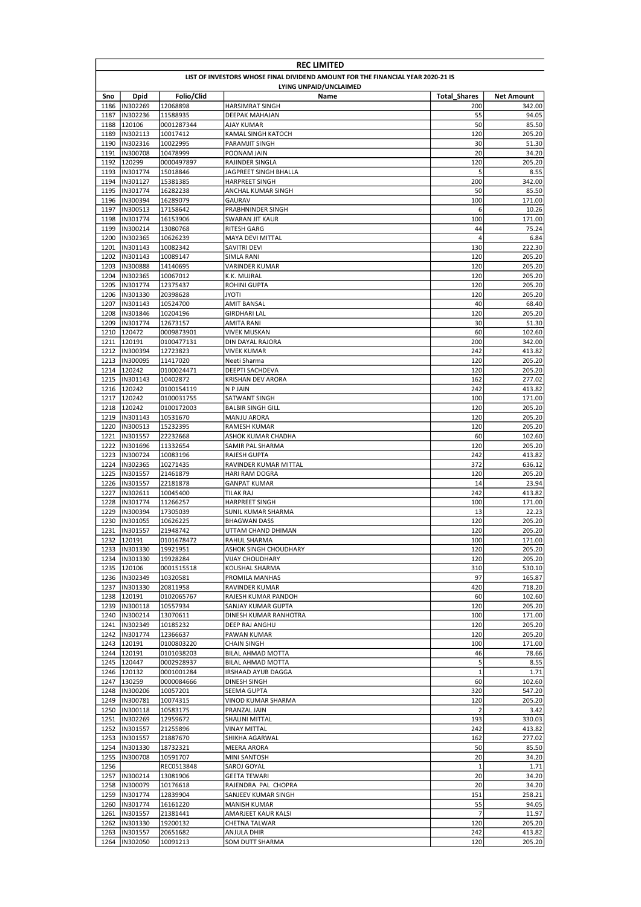| <b>REC LIMITED</b> |                                                                                 |                        |                                          |                     |                   |  |  |
|--------------------|---------------------------------------------------------------------------------|------------------------|------------------------------------------|---------------------|-------------------|--|--|
|                    | LIST OF INVESTORS WHOSE FINAL DIVIDEND AMOUNT FOR THE FINANCIAL YEAR 2020-21 IS |                        |                                          |                     |                   |  |  |
|                    |                                                                                 |                        | LYING UNPAID/UNCLAIMED                   |                     |                   |  |  |
| Sno                | <b>Dpid</b>                                                                     | Folio/Clid             | Name                                     | <b>Total Shares</b> | <b>Net Amount</b> |  |  |
| 1186               | IN302269                                                                        | 12068898               | <b>HARSIMRAT SINGH</b>                   | 200                 | 342.00            |  |  |
| 1187               | IN302236                                                                        | 11588935               | DEEPAK MAHAJAN                           | 55                  | 94.05             |  |  |
| 1188               | 120106                                                                          | 0001287344             | AJAY KUMAR                               | 50                  | 85.50             |  |  |
| 1189<br>1190       | IN302113<br>IN302316                                                            | 10017412               | KAMAL SINGH KATOCH                       | 120<br>30           | 205.20            |  |  |
| 1191               | IN300708                                                                        | 10022995<br>10478999   | PARAMJIT SINGH<br>POONAM JAIN            | 20                  | 51.30<br>34.20    |  |  |
| 1192               | 120299                                                                          | 0000497897             | RAJINDER SINGLA                          | 120                 | 205.20            |  |  |
| 1193               | IN301774                                                                        | 15018846               | JAGPREET SINGH BHALLA                    | 5                   | 8.55              |  |  |
| 1194               | IN301127                                                                        | 15381385               | <b>HARPREET SINGH</b>                    | 200                 | 342.00            |  |  |
| 1195               | IN301774                                                                        | 16282238               | ANCHAL KUMAR SINGH                       | 50                  | 85.50             |  |  |
| 1196               | IN300394                                                                        | 16289079               | GAURAV                                   | 100                 | 171.00            |  |  |
| 1197               | IN300513                                                                        | 17158642               | PRABHNINDER SINGH                        | 6                   | 10.26             |  |  |
| 1198               | IN301774                                                                        | 16153906               | SWARAN JIT KAUR                          | 100                 | 171.00            |  |  |
| 1199               | IN300214                                                                        | 13080768               | <b>RITESH GARG</b>                       | 44                  | 75.24             |  |  |
| 1200               | IN302365                                                                        | 10626239               | MAYA DEVI MITTAL                         | 4                   | 6.84              |  |  |
| 1201               | IN301143                                                                        | 10082342               | SAVITRI DEVI                             | 130                 | 222.30            |  |  |
| 1202               | IN301143                                                                        | 10089147               | SIMLA RANI                               | 120                 | 205.20            |  |  |
| 1203               | IN300888                                                                        | 14140695               | VARINDER KUMAR                           | 120                 | 205.20            |  |  |
| 1204               | IN302365                                                                        | 10067012               | K.K. MUJRAL                              | 120                 | 205.20            |  |  |
| 1205               | IN301774                                                                        | 12375437               | ROHINI GUPTA                             | 120                 | 205.20            |  |  |
| 1206               | IN301330                                                                        | 20398628               | ITOYL                                    | 120                 | 205.20            |  |  |
| 1207               | IN301143                                                                        | 10524700               | <b>AMIT BANSAL</b>                       | 40                  | 68.40             |  |  |
| 1208               | IN301846                                                                        | 10204196               | <b>GIRDHARI LAL</b>                      | 120                 | 205.20            |  |  |
| 1209               | IN301774                                                                        | 12673157               | AMITA RANI                               | 30                  | 51.30             |  |  |
| 1210               | 120472                                                                          | 0009873901             | <b>VIVEK MUSKAN</b>                      | 60                  | 102.60            |  |  |
| 1211               | 120191<br>IN300394                                                              | 0100477131             | <b>DIN DAYAL RAJORA</b>                  | 200                 | 342.00            |  |  |
| 1212<br>1213       | IN300095                                                                        | 12723823<br>11417020   | <b>VIVEK KUMAR</b><br>Neeti Sharma       | 242<br>120          | 413.82<br>205.20  |  |  |
|                    | 1214 120242                                                                     | 0100024471             | DEEPTI SACHDEVA                          | 120                 | 205.20            |  |  |
|                    | 1215  IN301143                                                                  | 10402872               | KRISHAN DEV ARORA                        | 162                 | 277.02            |  |  |
| 1216               | 120242                                                                          | 0100154119             | N P JAIN                                 | 242                 | 413.82            |  |  |
| 1217               | 120242                                                                          | 0100031755             | SATWANT SINGH                            | 100                 | 171.00            |  |  |
| 1218               | 120242                                                                          | 0100172003             | <b>BALBIR SINGH GILL</b>                 | 120                 | 205.20            |  |  |
| 1219               | IN301143                                                                        | 10531670               | MANJU ARORA                              | 120                 | 205.20            |  |  |
| 1220               | IN300513                                                                        | 15232395               | RAMESH KUMAR                             | 120                 | 205.20            |  |  |
| 1221               | IN301557                                                                        | 22232668               | ASHOK KUMAR CHADHA                       | 60                  | 102.60            |  |  |
| 1222               | IN301696                                                                        | 11332654               | SAMIR PAL SHARMA                         | 120                 | 205.20            |  |  |
| 1223               | IN300724                                                                        | 10083196               | RAJESH GUPTA                             | 242                 | 413.82            |  |  |
| 1224               | IN302365                                                                        | 10271435               | RAVINDER KUMAR MITTAL                    | 372                 | 636.12            |  |  |
| 1225               | IN301557                                                                        | 21461879               | HARI RAM DOGRA                           | 120                 | 205.20            |  |  |
|                    | 1226 IN301557                                                                   | 22181878               | <b>GANPAT KUMAR</b>                      | 14                  | 23.94             |  |  |
| 1227               | IN302611                                                                        | 10045400               | TILAK RAJ                                | 242                 | 413.82            |  |  |
| 1228               | IN301774                                                                        | 11266257               | <b>HARPREET SINGH</b>                    | 100                 | 171.00            |  |  |
| 1229               | IN300394                                                                        | 17305039               | SUNIL KUMAR SHARMA                       | 13                  | 22.23             |  |  |
| 1230               | IN301055                                                                        | 10626225               | <b>BHAGWAN DASS</b>                      | 120                 | 205.20            |  |  |
|                    | 1231  IN301557                                                                  | 21948742               | UTTAM CHAND DHIMAN                       | 120                 | 205.20            |  |  |
|                    | 1232 120191                                                                     | 0101678472             | RAHUL SHARMA                             | 100                 | 171.00            |  |  |
|                    | 1233  IN301330                                                                  | 19921951               | ASHOK SINGH CHOUDHARY                    | 120                 | 205.20            |  |  |
|                    | 1234  IN301330<br>1235 120106                                                   | 19928284<br>0001515518 | <b>VIJAY CHOUDHARY</b><br>KOUSHAL SHARMA | 120<br>310          | 205.20<br>530.10  |  |  |
|                    | 1236  IN302349                                                                  | 10320581               | PROMILA MANHAS                           | 97                  | 165.87            |  |  |
|                    | 1237  IN301330                                                                  | 20811958               | RAVINDER KUMAR                           | 420                 | 718.20            |  |  |
|                    | 1238 120191                                                                     | 0102065767             | RAJESH KUMAR PANDOH                      | 60                  | 102.60            |  |  |
|                    | 1239  IN300118                                                                  | 10557934               | SANJAY KUMAR GUPTA                       | 120                 | 205.20            |  |  |
|                    | 1240  IN300214                                                                  | 13070611               | DINESH KUMAR RANHOTRA                    | 100                 | 171.00            |  |  |
|                    | 1241  IN302349                                                                  | 10185232               | DEEP RAJ ANGHU                           | 120                 | 205.20            |  |  |
|                    | 1242  IN301774                                                                  | 12366637               | PAWAN KUMAR                              | 120                 | 205.20            |  |  |
|                    | 1243 120191                                                                     | 0100803220             | CHAIN SINGH                              | 100                 | 171.00            |  |  |
| 1244               | 120191                                                                          | 0101038203             | BILAL AHMAD MOTTA                        | 46                  | 78.66             |  |  |
| 1245               | 120447                                                                          | 0002928937             | BILAL AHMAD MOTTA                        | 5                   | 8.55              |  |  |
|                    | 1246 120132                                                                     | 0001001284             | IRSHAAD AYUB DAGGA                       | $\mathbf 1$         | 1.71              |  |  |
|                    | 1247 130259                                                                     | 0000084666             | DINESH SINGH                             | 60                  | 102.60            |  |  |
|                    | 1248 IN300206                                                                   | 10057201               | SEEMA GUPTA                              | 320                 | 547.20            |  |  |
|                    | 1249  IN300781                                                                  | 10074315               | VINOD KUMAR SHARMA                       | 120                 | 205.20            |  |  |
|                    | 1250  IN300118                                                                  | 10583175               | PRANZAL JAIN                             | $\overline{2}$      | 3.42              |  |  |
|                    | 1251 IN302269                                                                   | 12959672               | SHALINI MITTAL                           | 193                 | 330.03            |  |  |
|                    | 1252 IN301557                                                                   | 21255896               | VINAY MITTAL                             | 242                 | 413.82            |  |  |
|                    | 1253  IN301557                                                                  | 21887670               | SHIKHA AGARWAL                           | 162                 | 277.02            |  |  |
| 1254               | IN301330                                                                        | 18732321               | MEERA ARORA                              | 50                  | 85.50             |  |  |
| 1255<br>1256       | IN300708                                                                        | 10591707<br>REC0513848 | MINI SANTOSH<br>SAROJ GOYAL              | 20<br>$\mathbf 1$   | 34.20<br>1.71     |  |  |
|                    | 1257  IN300214                                                                  | 13081906               | GEETA TEWARI                             | 20                  | 34.20             |  |  |
|                    | 1258 IN300079                                                                   | 10176618               | RAJENDRA PAL CHOPRA                      | 20                  | 34.20             |  |  |
|                    | 1259  IN301774                                                                  | 12839904               | SANJEEV KUMAR SINGH                      | 151                 | 258.21            |  |  |
|                    | 1260  IN301774                                                                  | 16161220               | <b>MANISH KUMAR</b>                      | 55                  | 94.05             |  |  |
| 1261               | IN301557                                                                        | 21381441               | AMARJEET KAUR KALSI                      | 7                   | 11.97             |  |  |
|                    | 1262  IN301330                                                                  | 19200132               | CHETNA TALWAR                            | 120                 | 205.20            |  |  |
|                    | 1263  IN301557                                                                  | 20651682               | ANJULA DHIR                              | 242                 | 413.82            |  |  |
| 1264               | IN302050                                                                        | 10091213               | SOM DUTT SHARMA                          | 120                 | 205.20            |  |  |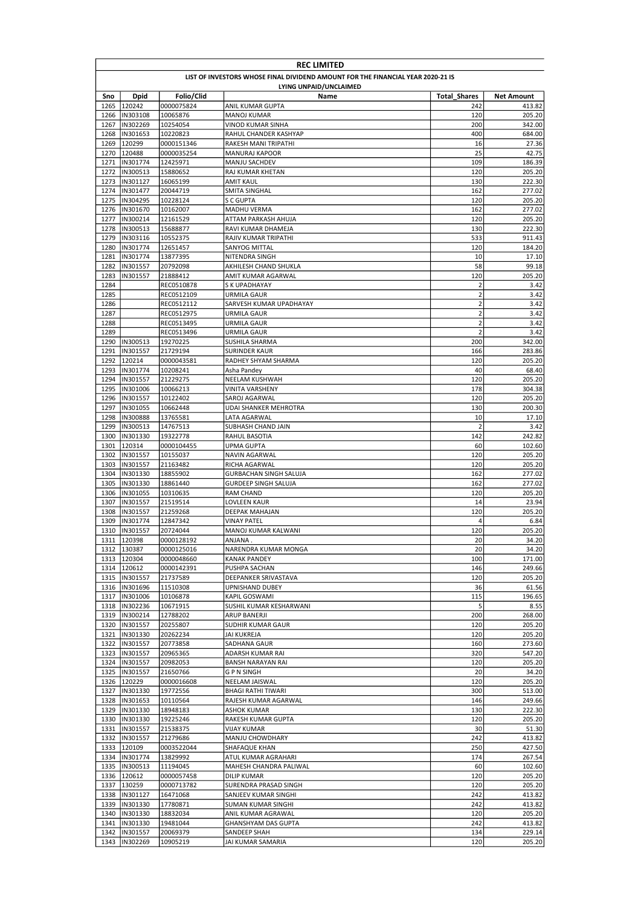| <b>REC LIMITED</b> |                                                                                 |            |                                         |                         |                   |  |  |  |
|--------------------|---------------------------------------------------------------------------------|------------|-----------------------------------------|-------------------------|-------------------|--|--|--|
|                    | LIST OF INVESTORS WHOSE FINAL DIVIDEND AMOUNT FOR THE FINANCIAL YEAR 2020-21 IS |            |                                         |                         |                   |  |  |  |
|                    |                                                                                 |            | LYING UNPAID/UNCLAIMED                  |                         |                   |  |  |  |
| Sno                | <b>Dpid</b>                                                                     | Folio/Clid | Name                                    | <b>Total Shares</b>     | <b>Net Amount</b> |  |  |  |
| 1265               | 120242                                                                          | 0000075824 | ANIL KUMAR GUPTA                        | 242                     | 413.82            |  |  |  |
| 1266               | IN303108                                                                        | 10065876   | <b>MANOJ KUMAR</b>                      | 120                     | 205.20            |  |  |  |
| 1267               | IN302269                                                                        | 10254054   | VINOD KUMAR SINHA                       | 200                     | 342.00            |  |  |  |
| 1268               | IN301653                                                                        | 10220823   | RAHUL CHANDER KASHYAP                   | 400                     | 684.00            |  |  |  |
| 1269               | 120299                                                                          | 0000151346 | RAKESH MANI TRIPATHI                    | 16                      | 27.36             |  |  |  |
| 1270               | 120488                                                                          | 0000035254 | MANURAJ KAPOOR                          | 25                      | 42.75             |  |  |  |
| 1271               | IN301774                                                                        | 12425971   | MANJU SACHDEV                           | 109                     | 186.39            |  |  |  |
| 1272               | IN300513                                                                        | 15880652   | RAJ KUMAR KHETAN                        | 120                     | 205.20            |  |  |  |
|                    | 1273  IN301127                                                                  | 16065199   | AMIT KAUL                               | 130                     | 222.30            |  |  |  |
| 1274               | IN301477                                                                        | 20044719   | SMITA SINGHAL                           | 162                     | 277.02            |  |  |  |
| 1275               | IN304295                                                                        | 10228124   | S C GUPTA                               | 120                     | 205.20            |  |  |  |
| 1276               | IN301670                                                                        | 10162007   | MADHU VERMA                             | 162                     | 277.02            |  |  |  |
| 1277               | IN300214                                                                        | 12161529   | ATTAM PARKASH AHUJA                     | 120                     | 205.20            |  |  |  |
| 1278               | IN300513                                                                        | 15688877   | RAVI KUMAR DHAMEJA                      | 130                     | 222.30            |  |  |  |
| 1279               | IN303116                                                                        | 10552375   | RAJIV KUMAR TRIPATHI                    | 533                     | 911.43            |  |  |  |
| 1280               | IN301774                                                                        | 12651457   | SANYOG MITTAL                           | 120                     | 184.20            |  |  |  |
| 1281               | IN301774                                                                        | 13877395   |                                         | 10                      | 17.10             |  |  |  |
|                    |                                                                                 |            | NITENDRA SINGH                          |                         |                   |  |  |  |
| 1282               | IN301557                                                                        | 20792098   | AKHILESH CHAND SHUKLA                   | 58                      | 99.18             |  |  |  |
| 1283               | IN301557                                                                        | 21888412   | AMIT KUMAR AGARWAL                      | 120                     | 205.20            |  |  |  |
| 1284               |                                                                                 | REC0510878 | S K UPADHAYAY                           | $\overline{2}$          | 3.42              |  |  |  |
| 1285               |                                                                                 | REC0512109 | URMILA GAUR                             | $\mathbf 2$             | 3.42              |  |  |  |
| 1286               |                                                                                 | REC0512112 | SARVESH KUMAR UPADHAYAY                 | $\mathbf 2$             | 3.42              |  |  |  |
| 1287               |                                                                                 | REC0512975 | <b>URMILA GAUR</b>                      | $\overline{2}$          | 3.42              |  |  |  |
| 1288               |                                                                                 | REC0513495 | URMILA GAUR                             | $\mathbf 2$             | 3.42              |  |  |  |
| 1289               |                                                                                 | REC0513496 | URMILA GAUR                             | $\overline{2}$          | 3.42              |  |  |  |
| 1290               | IN300513                                                                        | 19270225   | SUSHILA SHARMA                          | 200                     | 342.00            |  |  |  |
| 1291               | IN301557                                                                        | 21729194   | SURINDER KAUR                           | 166                     | 283.86            |  |  |  |
| 1292               | 120214                                                                          | 0000043581 | RADHEY SHYAM SHARMA                     | 120                     | 205.20            |  |  |  |
| 1293               | IN301774                                                                        | 10208241   | Asha Pandey                             | 40                      | 68.40             |  |  |  |
|                    | 1294 IN301557                                                                   | 21229275   | <b>NEELAM KUSHWAH</b>                   | 120                     | 205.20            |  |  |  |
| 1295               | IN301006                                                                        | 10066213   | <b>VINITA VARSHENY</b>                  | 178                     | 304.38            |  |  |  |
| 1296               | IN301557                                                                        | 10122402   | SAROJ AGARWAL                           | 120                     | 205.20            |  |  |  |
| 1297               | IN301055                                                                        | 10662448   | UDAI SHANKER MEHROTRA                   | 130                     | 200.30            |  |  |  |
| 1298               | IN300888                                                                        | 13765581   | LATA AGARWAL                            | 10                      | 17.10             |  |  |  |
| 1299               | IN300513                                                                        | 14767513   | SUBHASH CHAND JAIN                      | $\overline{2}$          | 3.42              |  |  |  |
| 1300               | IN301330                                                                        | 19322778   | RAHUL BASOTIA                           | 142                     | 242.82            |  |  |  |
| 1301               | 120314                                                                          | 0000104455 | UPMA GUPTA                              | 60                      | 102.60            |  |  |  |
| 1302               | IN301557                                                                        | 10155037   | NAVIN AGARWAL                           | 120                     | 205.20            |  |  |  |
| 1303               | IN301557                                                                        | 21163482   | RICHA AGARWAL                           | 120                     | 205.20            |  |  |  |
| 1304               | IN301330                                                                        | 18855902   | <b>GURBACHAN SINGH SALUJA</b>           | 162                     | 277.02            |  |  |  |
| 1305               | IN301330                                                                        | 18861440   | <b>GURDEEP SINGH SALUJA</b>             | 162                     | 277.02            |  |  |  |
| 1306               | IN301055                                                                        | 10310635   | <b>RAM CHAND</b>                        | 120                     | 205.20            |  |  |  |
| 1307               | IN301557                                                                        | 21519514   | LOVLEEN KAUR                            | 14                      | 23.94             |  |  |  |
| 1308               | IN301557                                                                        | 21259268   | DEEPAK MAHAJAN                          | 120                     | 205.20            |  |  |  |
| 1309               | IN301774                                                                        | 12847342   | <b>VINAY PATEL</b>                      | $\overline{\mathbf{4}}$ | 6.84              |  |  |  |
| 1310               | IN301557                                                                        | 20724044   | MANOJ KUMAR KALWANI                     | 120                     | 205.20            |  |  |  |
|                    | 1311 120398                                                                     | 0000128192 | <b>ANJANA</b>                           | 20                      | 34.20             |  |  |  |
|                    | 1312 130387                                                                     | 0000125016 | NARENDRA KUMAR MONGA                    | 20                      | 34.20             |  |  |  |
|                    | 1313 120304                                                                     | 0000048660 | KANAK PANDEY                            | 100                     | 171.00            |  |  |  |
|                    | 1314 120612                                                                     | 0000142391 | PUSHPA SACHAN                           | 146                     | 249.66            |  |  |  |
|                    | 1315  IN301557                                                                  |            |                                         |                         |                   |  |  |  |
|                    | 1316  IN301696                                                                  | 21737589   | DEEPANKER SRIVASTAVA<br>UPNISHAND DUBEY | 120<br>36               | 205.20<br>61.56   |  |  |  |
|                    |                                                                                 | 11510308   |                                         |                         |                   |  |  |  |
|                    | 1317  IN301006                                                                  | 10106878   | KAPIL GOSWAMI                           | 115                     | 196.65            |  |  |  |
|                    | 1318  IN302236                                                                  | 10671915   | SUSHIL KUMAR KESHARWANI                 | 5                       | 8.55              |  |  |  |
|                    | 1319 IN300214                                                                   | 12788202   | ARUP BANERJI                            | 200                     | 268.00            |  |  |  |
|                    | 1320  IN301557                                                                  | 20255807   | SUDHIR KUMAR GAUR                       | 120                     | 205.20            |  |  |  |
|                    | 1321  IN301330                                                                  | 20262234   | JAI KUKREJA                             | 120                     | 205.20            |  |  |  |
|                    | 1322 IN301557                                                                   | 20773858   | SADHANA GAUR                            | 160                     | 273.60            |  |  |  |
|                    | 1323  IN301557                                                                  | 20965365   | ADARSH KUMAR RAI                        | 320                     | 547.20            |  |  |  |
|                    | 1324  IN301557                                                                  | 20982053   | <b>BANSH NARAYAN RAI</b>                | 120                     | 205.20            |  |  |  |
|                    | 1325  IN301557                                                                  | 21650766   | G P N SINGH                             | 20                      | 34.20             |  |  |  |
|                    | 1326 120229                                                                     | 0000016608 | NEELAM JAISWAL                          | 120                     | 205.20            |  |  |  |
|                    | 1327  IN301330                                                                  | 19772556   | <b>BHAGI RATHI TIWARI</b>               | 300                     | 513.00            |  |  |  |
|                    | 1328  IN301653                                                                  | 10110564   | RAJESH KUMAR AGARWAL                    | 146                     | 249.66            |  |  |  |
|                    | 1329 IN301330                                                                   | 18948183   | <b>ASHOK KUMAR</b>                      | 130                     | 222.30            |  |  |  |
|                    | 1330  IN301330                                                                  | 19225246   | RAKESH KUMAR GUPTA                      | 120                     | 205.20            |  |  |  |
|                    | 1331  IN301557                                                                  | 21538375   | VIJAY KUMAR                             | 30                      | 51.30             |  |  |  |
|                    | 1332 IN301557                                                                   | 21279686   | MANJU CHOWDHARY                         | 242                     | 413.82            |  |  |  |
|                    | 1333 120109                                                                     | 0003522044 | SHAFAQUE KHAN                           | 250                     | 427.50            |  |  |  |
|                    | 1334  IN301774                                                                  | 13829992   | ATUL KUMAR AGRAHARI                     | 174                     | 267.54            |  |  |  |
|                    | 1335  IN300513                                                                  | 11194045   | MAHESH CHANDRA PALIWAL                  | 60                      | 102.60            |  |  |  |
|                    | 1336 120612                                                                     | 0000057458 | <b>DILIP KUMAR</b>                      | 120                     | 205.20            |  |  |  |
| 1337               | 130259                                                                          | 0000713782 | SURENDRA PRASAD SINGH                   | 120                     | 205.20            |  |  |  |
|                    | 1338  IN301127                                                                  | 16471068   | SANJEEV KUMAR SINGHI                    | 242                     | 413.82            |  |  |  |
|                    | 1339  IN301330                                                                  | 17780871   | SUMAN KUMAR SINGHI                      | 242                     | 413.82            |  |  |  |
|                    | 1340  IN301330                                                                  | 18832034   | ANIL KUMAR AGRAWAL                      | 120                     | 205.20            |  |  |  |
| 1341               | IN301330                                                                        | 19481044   | GHANSHYAM DAS GUPTA                     | 242                     | 413.82            |  |  |  |
|                    | 1342  IN301557                                                                  | 20069379   | SANDEEP SHAH                            | 134                     | 229.14            |  |  |  |
| 1343               | IN302269                                                                        | 10905219   | JAI KUMAR SAMARIA                       | 120                     | 205.20            |  |  |  |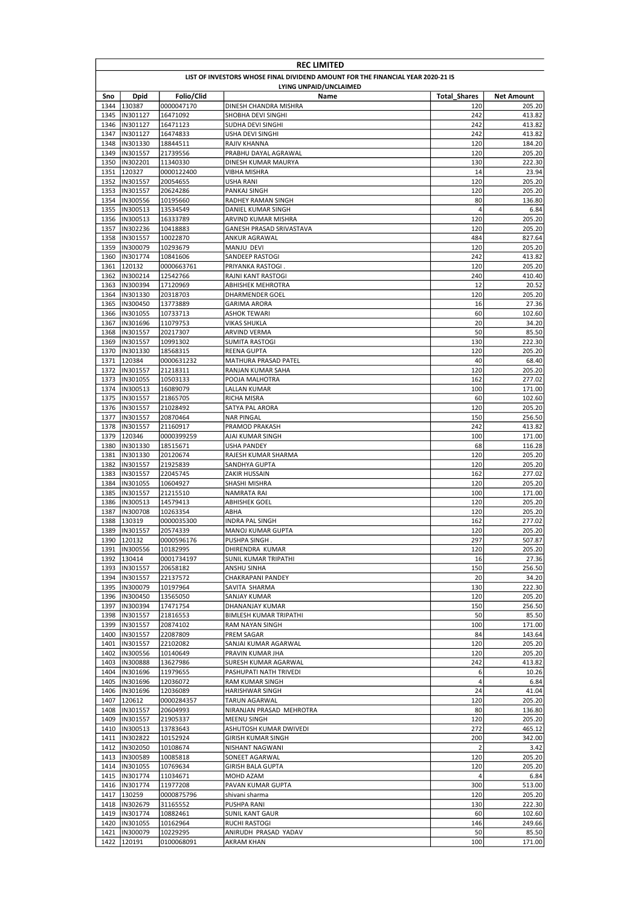|              | <b>REC LIMITED</b>                                                              |                      |                                      |                     |                   |  |  |  |
|--------------|---------------------------------------------------------------------------------|----------------------|--------------------------------------|---------------------|-------------------|--|--|--|
|              | LIST OF INVESTORS WHOSE FINAL DIVIDEND AMOUNT FOR THE FINANCIAL YEAR 2020-21 IS |                      |                                      |                     |                   |  |  |  |
|              |                                                                                 |                      | LYING UNPAID/UNCLAIMED               |                     |                   |  |  |  |
| Sno          | <b>Dpid</b>                                                                     | Folio/Clid           | Name                                 | <b>Total Shares</b> | <b>Net Amount</b> |  |  |  |
| 1344         | 130387                                                                          | 0000047170           | DINESH CHANDRA MISHRA                | 120                 | 205.20            |  |  |  |
| 1345         | IN301127                                                                        | 16471092             | SHOBHA DEVI SINGHI                   | 242                 | 413.82            |  |  |  |
| 1346         | IN301127                                                                        | 16471123             | SUDHA DEVI SINGHI                    | 242                 | 413.82            |  |  |  |
| 1347         | IN301127                                                                        | 16474833             | USHA DEVI SINGHI                     | 242                 | 413.82            |  |  |  |
| 1348<br>1349 | IN301330<br>IN301557                                                            | 18844511<br>21739556 | RAJIV KHANNA<br>PRABHU DAYAL AGRAWAL | 120<br>120          | 184.20<br>205.20  |  |  |  |
| 1350         | IN302201                                                                        | 11340330             | DINESH KUMAR MAURYA                  | 130                 | 222.30            |  |  |  |
| 1351         | 120327                                                                          | 0000122400           | <b>VIBHA MISHRA</b>                  | 14                  | 23.94             |  |  |  |
| 1352         | IN301557                                                                        | 20054655             | USHA RANI                            | 120                 | 205.20            |  |  |  |
| 1353         | IN301557                                                                        | 20624286             | PANKAJ SINGH                         | 120                 | 205.20            |  |  |  |
| 1354         | IN300556                                                                        | 10195660             | RADHEY RAMAN SINGH                   | 80                  | 136.80            |  |  |  |
| 1355         | IN300513                                                                        | 13534549             | DANIEL KUMAR SINGH                   | 4                   | 6.84              |  |  |  |
| 1356         | IN300513                                                                        | 16333789             | ARVIND KUMAR MISHRA                  | 120                 | 205.20            |  |  |  |
| 1357         | IN302236                                                                        | 10418883             | GANESH PRASAD SRIVASTAVA             | 120                 | 205.20            |  |  |  |
| 1358         | IN301557                                                                        | 10022870             | ANKUR AGRAWAL                        | 484                 | 827.64            |  |  |  |
| 1359         | IN300079                                                                        | 10293679             | MANJU DEVI                           | 120                 | 205.20            |  |  |  |
| 1360         | IN301774                                                                        | 10841606             | SANDEEP RASTOGI                      | 242                 | 413.82            |  |  |  |
| 1361         | 120132                                                                          | 0000663761           | PRIYANKA RASTOGI                     | 120                 | 205.20            |  |  |  |
| 1362         | IN300214                                                                        | 12542766             | RAJNI KANT RASTOGI                   | 240                 | 410.40            |  |  |  |
| 1363         | IN300394                                                                        | 17120969             | ABHISHEK MEHROTRA                    | 12                  | 20.52             |  |  |  |
| 1364<br>1365 | IN301330<br>IN300450                                                            | 20318703<br>13773889 | <b>DHARMENDER GOEL</b>               | 120<br>16           | 205.20            |  |  |  |
| 1366         | IN301055                                                                        | 10733713             | GARIMA ARORA<br>ASHOK TEWARI         | 60                  | 27.36<br>102.60   |  |  |  |
| 1367         | IN301696                                                                        | 11079753             | <b>VIKAS SHUKLA</b>                  | 20                  | 34.20             |  |  |  |
| 1368         | IN301557                                                                        | 20217307             | ARVIND VERMA                         | 50                  | 85.50             |  |  |  |
| 1369         | IN301557                                                                        | 10991302             | SUMITA RASTOGI                       | 130                 | 222.30            |  |  |  |
| 1370         | IN301330                                                                        | 18568315             | REENA GUPTA                          | 120                 | 205.20            |  |  |  |
| 1371         | 120384                                                                          | 0000631232           | MATHURA PRASAD PATEL                 | 40                  | 68.40             |  |  |  |
| 1372         | IN301557                                                                        | 21218311             | RANJAN KUMAR SAHA                    | 120                 | 205.20            |  |  |  |
|              | 1373  IN301055                                                                  | 10503133             | POOJA MALHOTRA                       | 162                 | 277.02            |  |  |  |
| 1374         | IN300513                                                                        | 16089079             | LALLAN KUMAR                         | 100                 | 171.00            |  |  |  |
| 1375         | IN301557                                                                        | 21865705             | RICHA MISRA                          | 60                  | 102.60            |  |  |  |
| 1376         | IN301557                                                                        | 21028492             | SATYA PAL ARORA                      | 120                 | 205.20            |  |  |  |
| 1377         | IN301557                                                                        | 20870464             | <b>NAR PINGAL</b>                    | 150                 | 256.50            |  |  |  |
| 1378         | IN301557                                                                        | 21160917             | PRAMOD PRAKASH                       | 242                 | 413.82            |  |  |  |
| 1379         | 120346                                                                          | 0000399259           | AJAI KUMAR SINGH                     | 100                 | 171.00            |  |  |  |
| 1380         | IN301330                                                                        | 18515671             | USHA PANDEY                          | 68                  | 116.28            |  |  |  |
| 1381<br>1382 | IN301330<br>IN301557                                                            | 20120674<br>21925839 | RAJESH KUMAR SHARMA<br>SANDHYA GUPTA | 120<br>120          | 205.20<br>205.20  |  |  |  |
| 1383         | IN301557                                                                        | 22045745             | ZAKIR HUSSAIN                        | 162                 | 277.02            |  |  |  |
| 1384         | IN301055                                                                        | 10604927             | SHASHI MISHRA                        | 120                 | 205.20            |  |  |  |
| 1385         | IN301557                                                                        | 21215510             | NAMRATA RAI                          | 100                 | 171.00            |  |  |  |
| 1386         | IN300513                                                                        | 14579413             | ABHISHEK GOEL                        | 120                 | 205.20            |  |  |  |
| 1387         | IN300708                                                                        | 10263354             | ABHA                                 | 120                 | 205.20            |  |  |  |
| 1388         | 130319                                                                          | 0000035300           | INDRA PAL SINGH                      | 162                 | 277.02            |  |  |  |
| 1389         | IN301557                                                                        | 20574339             | <b>MANOJ KUMAR GUPTA</b>             | 120                 | 205.20            |  |  |  |
|              | 1390 120132                                                                     | 0000596176           | PUSHPA SINGH.                        | 297                 | 507.87            |  |  |  |
|              | 1391  IN300556                                                                  | 10182995             | DHIRENDRA KUMAR                      | 120                 | 205.20            |  |  |  |
| 1392         | 130414                                                                          | 0001734197           | SUNIL KUMAR TRIPATHI                 | 16                  | 27.36             |  |  |  |
| 1393         | IN301557                                                                        | 20658182             | ANSHU SINHA                          | 150                 | 256.50            |  |  |  |
|              | 1394 IN301557                                                                   | 22137572             | CHAKRAPANI PANDEY                    | 20                  | 34.20             |  |  |  |
|              | 1395  IN300079                                                                  | 10197964             | SAVITA SHARMA                        | 130                 | 222.30            |  |  |  |
| 1396         | IN300450                                                                        | 13565050             | SANJAY KUMAR                         | 120                 | 205.20            |  |  |  |
|              | 1397  IN300394                                                                  | 17471754             | DHANANJAY KUMAR                      | 150                 | 256.50            |  |  |  |
|              | 1398  IN301557<br>1399  IN301557                                                | 21816553             | <b>BIMLESH KUMAR TRIPATHI</b>        | 50                  | 85.50             |  |  |  |
|              | 1400  IN301557                                                                  | 20874102<br>22087809 | RAM NAYAN SINGH<br>PREM SAGAR        | 100<br>84           | 171.00<br>143.64  |  |  |  |
|              | 1401  IN301557                                                                  | 22102082             | SANJAI KUMAR AGARWAL                 | 120                 | 205.20            |  |  |  |
| 1402         | IN300556                                                                        | 10140649             | PRAVIN KUMAR JHA                     | 120                 | 205.20            |  |  |  |
| 1403         | IN300888                                                                        | 13627986             | SURESH KUMAR AGARWAL                 | 242                 | 413.82            |  |  |  |
|              | 1404  IN301696                                                                  | 11979655             | PASHUPATI NATH TRIVEDI               | 6                   | 10.26             |  |  |  |
| 1405         | IN301696                                                                        | 12036072             | RAM KUMAR SINGH                      | 4                   | 6.84              |  |  |  |
| 1406         | IN301696                                                                        | 12036089             | HARISHWAR SINGH                      | 24                  | 41.04             |  |  |  |
| 1407         | 120612                                                                          | 0000284357           | TARUN AGARWAL                        | 120                 | 205.20            |  |  |  |
|              | 1408  IN301557                                                                  | 20604993             | NIRANJAN PRASAD MEHROTRA             | 80                  | 136.80            |  |  |  |
| 1409         | IN301557                                                                        | 21905337             | MEENU SINGH                          | 120                 | 205.20            |  |  |  |
|              | 1410  IN300513                                                                  | 13783643             | ASHUTOSH KUMAR DWIVEDI               | 272                 | 465.12            |  |  |  |
|              | 1411  IN302822                                                                  | 10152924             | GIRISH KUMAR SINGH                   | 200                 | 342.00            |  |  |  |
|              | 1412  IN302050                                                                  | 10108674             | NISHANT NAGWANI                      | $\overline{2}$      | 3.42              |  |  |  |
|              | 1413  IN300589                                                                  | 10085818             | SONEET AGARWAL                       | 120                 | 205.20            |  |  |  |
|              | 1414  IN301055                                                                  | 10769634             | GIRISH BALA GUPTA                    | 120                 | 205.20            |  |  |  |
|              | 1415  IN301774                                                                  | 11034671             | MOHD AZAM                            | 4                   | 6.84              |  |  |  |
|              | 1416  IN301774                                                                  | 11977208             | PAVAN KUMAR GUPTA                    | 300                 | 513.00            |  |  |  |
|              | 1417 130259                                                                     | 0000875796           | shivani sharma                       | 120                 | 205.20            |  |  |  |
|              | 1418  IN302679<br>1419  IN301774                                                | 31165552             | PUSHPA RANI<br>SUNIL KANT GAUR       | 130<br>60           | 222.30<br>102.60  |  |  |  |
|              | 1420  IN301055                                                                  | 10882461<br>10162964 | RUCHI RASTOGI                        | 146                 | 249.66            |  |  |  |
|              | 1421  IN300079                                                                  | 10229295             | ANIRUDH PRASAD YADAV                 | 50                  | 85.50             |  |  |  |
|              | 1422 120191                                                                     | 0100068091           | AKRAM KHAN                           | 100                 | 171.00            |  |  |  |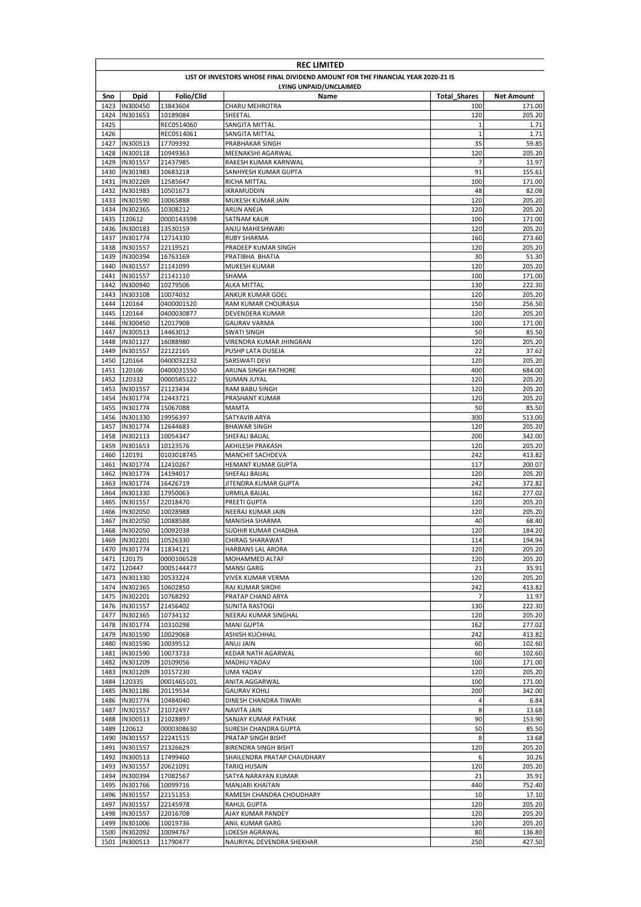|              | <b>REC LIMITED</b>                                                              |                          |                                           |                     |                   |  |  |
|--------------|---------------------------------------------------------------------------------|--------------------------|-------------------------------------------|---------------------|-------------------|--|--|
|              | LIST OF INVESTORS WHOSE FINAL DIVIDEND AMOUNT FOR THE FINANCIAL YEAR 2020-21 IS |                          |                                           |                     |                   |  |  |
|              |                                                                                 |                          | LYING UNPAID/UNCLAIMED                    |                     |                   |  |  |
| Sno          | <b>Dpid</b>                                                                     | Folio/Clid               | Name                                      | <b>Total Shares</b> | <b>Net Amount</b> |  |  |
| 1423         | IN300450                                                                        | 13843604                 | <b>CHARU MEHROTRA</b>                     | 100                 | 171.00            |  |  |
| 1424         | IN301653                                                                        | 10189084                 | SHEETAL                                   | 120                 | 205.20            |  |  |
| 1425         |                                                                                 | REC0514060               | SANGITA MITTAL                            | 1<br>$\mathbf{1}$   | 1.71              |  |  |
| 1426<br>1427 | IN300513                                                                        | REC0514061               | SANGITA MITTAL<br>PRABHAKAR SINGH         | 35                  | 1.71<br>59.85     |  |  |
| 1428         | IN300118                                                                        | 17709392<br>10949363     | MEENAKSHI AGARWAL                         | 120                 | 205.20            |  |  |
| 1429         | IN301557                                                                        | 21437985                 | RAKESH KUMAR KARNWAL                      | 7                   | 11.97             |  |  |
| 1430         | IN301983                                                                        | 10683218                 | SANHYESH KUMAR GUPTA                      | 91                  | 155.61            |  |  |
| 1431         | <b>IN302269</b>                                                                 | 12585647                 | RICHA MITTAL                              | 100                 | 171.00            |  |  |
| 1432         | IN301983                                                                        | 10501673                 | IKRAMUDDIN                                | 48                  | 82.08             |  |  |
| 1433         | IN301590                                                                        | 10065888                 | <b>MUKESH KUMAR JAIN</b>                  | 120                 | 205.20            |  |  |
| 1434         | IN302365                                                                        | 10308212                 | ARUN ANEJA                                | 120                 | 205.20            |  |  |
| 1435         | 120612                                                                          | 0000143598               | SATNAM KAUR                               | 100                 | 171.00            |  |  |
| 1436         | IN300183                                                                        | 13530159                 | ANJU MAHESHWARI                           | 120                 | 205.20            |  |  |
| 1437         | IN301774                                                                        | 12714330                 | <b>RUBY SHARMA</b>                        | 160                 | 273.60            |  |  |
| 1438         | IN301557                                                                        | 22119521                 | PRADEEP KUMAR SINGH                       | 120                 | 205.20            |  |  |
| 1439         | IN300394                                                                        | 16763169                 | PRATIBHA BHATIA                           | 30                  | 51.30             |  |  |
| 1440         | IN301557                                                                        | 21141099                 | <b>MUKESH KUMAR</b>                       | 120                 | 205.20            |  |  |
| 1441         | IN301557                                                                        | 21141110                 | SHAMA                                     | 100                 | 171.00            |  |  |
| 1442         | IN300940                                                                        | 10279506                 | ALKA MITTAL                               | 130                 | 222.30            |  |  |
| 1443         | IN303108                                                                        | 10074032                 | ANKUR KUMAR GOEL                          | 120                 | 205.20            |  |  |
| 1444         | 120164                                                                          | 0400001520               | RAM KUMAR CHOURASIA                       | 150                 | 256.50            |  |  |
| 1445         | 120164                                                                          | 0400030877               | DEVENDERA KUMAR                           | 120                 | 205.20            |  |  |
| 1446         | IN300450                                                                        | 12017908                 | <b>GAURAV VARMA</b>                       | 100                 | 171.00            |  |  |
| 1447         | IN300513                                                                        | 14463012                 | SWATI SINGH                               | 50                  | 85.50             |  |  |
| 1448         | IN301127                                                                        | 16088980                 | VIRENDRA KUMAR JHINGRAN                   | 120                 | 205.20            |  |  |
| 1449         | IN301557                                                                        | 22122165                 | PUSHP LATA DUSEJA                         | 22                  | 37.62             |  |  |
| 1450         | 120164                                                                          | 0400032232               | SARSWATI DEVI                             | 120                 | 205.20            |  |  |
| 1451<br>1452 | 120106<br>120332                                                                | 0400031550<br>0000585122 | ARUNA SINGH RATHORE<br><b>SUMAN JUYAL</b> | 400<br>120          | 684.00<br>205.20  |  |  |
| 1453         | IN301557                                                                        | 21123434                 | RAM BABU SINGH                            | 120                 | 205.20            |  |  |
| 1454         | IN301774                                                                        | 12443721                 | PRASHANT KUMAR                            | 120                 | 205.20            |  |  |
| 1455         | IN301774                                                                        | 15067088                 | <b>MAMTA</b>                              | 50                  | 85.50             |  |  |
| 1456         | IN301330                                                                        | 19956397                 | SATYAVIR ARYA                             | 300                 | 513.00            |  |  |
| 1457         | IN301774                                                                        | 12644683                 | <b>BHAWAR SINGH</b>                       | 120                 | 205.20            |  |  |
| 1458         | IN302113                                                                        | 10054347                 | SHEFALI BAIJAL                            | 200                 | 342.00            |  |  |
| 1459         | IN301653                                                                        | 10123576                 | AKHILESH PRAKASH                          | 120                 | 205.20            |  |  |
| 1460         | 120191                                                                          | 0103018745               | MANCHIT SACHDEVA                          | 242                 | 413.82            |  |  |
| 1461         | IN301774                                                                        | 12410267                 | HEMANT KUMAR GUPTA                        | 117                 | 200.07            |  |  |
| 1462         | IN301774                                                                        | 14194017                 | SHEFALI BAIJAL                            | 120                 | 205.20            |  |  |
| 1463         | IN301774                                                                        | 16426719                 | JITENDRA KUMAR GUPTA                      | 242                 | 372.82            |  |  |
| 1464         | IN301330                                                                        | 17950063                 | URMILA BAIJAL                             | 162                 | 277.02            |  |  |
| 1465         | IN301557                                                                        | 22018470                 | PREETI GUPTA                              | 120                 | 205.20            |  |  |
| 1466         | IN302050                                                                        | 10028988                 | NEERAJ KUMAR JAIN                         | 120                 | 205.20            |  |  |
| 1467         | IN302050                                                                        | 10088588                 | MANISHA SHARMA                            | 40                  | 68.40             |  |  |
| 1468         | IN302050                                                                        | 10092038                 | SUDHIR KUMAR CHADHA                       | 120                 | 184.20            |  |  |
| 1469         | IN302201                                                                        | 10526330                 | <b>CHIRAG SHARAWAT</b>                    | 114                 | 194.94            |  |  |
|              | 1470  IN301774                                                                  | 11834121                 | HARBANS LAL ARORA                         | 120                 | 205.20            |  |  |
| 1471         | 120175                                                                          | 0000106528               | MOHAMMED ALTAF                            | 120                 | 205.20            |  |  |
| 1472         | 120447                                                                          | 0005144477               | <b>MANSI GARG</b>                         | 21                  | 35.91             |  |  |
| 1473         | IN301330                                                                        | 20533224                 | VIVEK KUMAR VERMA                         | 120                 | 205.20            |  |  |
| 1474         | IN302365                                                                        | 10602850                 | RAJ KUMAR SIROHI                          | 242                 | 413.82            |  |  |
| 1475         | IN302201<br>1476  IN301557                                                      | 10768292                 | PRATAP CHAND ARYA                         | 7<br>130            | 11.97             |  |  |
|              | 1477  IN302365                                                                  | 21456402<br>10734132     | SUNITA RASTOGI<br>NEERAJ KUMAR SINGHAL    | 120                 | 222.30<br>205.20  |  |  |
| 1478         | IN301774                                                                        | 10310298                 | <b>MANI GUPTA</b>                         | 162                 | 277.02            |  |  |
| 1479         | IN301590                                                                        | 10029068                 | ASHISH KUCHHAL                            | 242                 | 413.82            |  |  |
| 1480         | IN301590                                                                        | 10039512                 | ANUJ JAIN                                 | 60                  | 102.60            |  |  |
| 1481         | IN301590                                                                        | 10073733                 | KEDAR NATH AGARWAL                        | 60                  | 102.60            |  |  |
| 1482         | IN301209                                                                        | 10109056                 | MADHU YADAV                               | 100                 | 171.00            |  |  |
| 1483         | IN301209                                                                        | 10157230                 | UMA YADAV                                 | 120                 | 205.20            |  |  |
| 1484         | 120335                                                                          | 0001465101               | ANITA AGGARWAL                            | 100                 | 171.00            |  |  |
| 1485         | IN301186                                                                        | 20119534                 | GAURAV KOHLI                              | 200                 | 342.00            |  |  |
| 1486         | IN301774                                                                        | 10484040                 | DINESH CHANDRA TIWARI                     | 4                   | 6.84              |  |  |
| 1487         | IN301557                                                                        | 21072497                 | <b>NAVITA JAIN</b>                        | 8                   | 13.68             |  |  |
| 1488         | IN300513                                                                        | 21028897                 | SANJAY KUMAR PATHAK                       | 90                  | 153.90            |  |  |
|              | 1489 120612                                                                     | 0000308630               | SURESH CHANDRA GUPTA                      | 50                  | 85.50             |  |  |
| 1490         | IN301557                                                                        | 22241515                 | PRATAP SINGH BISHT                        | 8                   | 13.68             |  |  |
| 1491         | IN301557                                                                        | 21326629                 | <b>BIRENDRA SINGH BISHT</b>               | 120                 | 205.20            |  |  |
| 1492         | IN300513                                                                        | 17499460                 | SHAILENDRA PRATAP CHAUDHARY               | 6                   | 10.26             |  |  |
| 1493         | IN301557                                                                        | 20621091                 | <b>TARIQ HUSAIN</b>                       | 120                 | 205.20            |  |  |
| 1494         | IN300394                                                                        | 17082567                 | SATYA NARAYAN KUMAR                       | 21                  | 35.91             |  |  |
| 1495         | IN301766                                                                        | 10099716                 | MANJARI KHAITAN                           | 440                 | 752.40            |  |  |
| 1496         | IN301557                                                                        | 22151353                 | RAMESH CHANDRA CHOUDHARY                  | 10                  | 17.10             |  |  |
| 1497         | IN301557                                                                        | 22145978                 | <b>RAHUL GUPTA</b>                        | 120                 | 205.20            |  |  |
| 1498         | IN301557                                                                        | 22016708                 | AJAY KUMAR PANDEY                         | 120                 | 205.20            |  |  |
| 1499         | IN301006                                                                        | 10019736                 | ANIL KUMAR GARG                           | 120                 | 205.20            |  |  |
| 1500         | IN302092                                                                        | 10094767                 | LOKESH AGRAWAL                            | 80                  | 136.80            |  |  |
| 1501         | IN300513                                                                        | 11790477                 | NAURIYAL DEVENDRA SHEKHAR                 | 250                 | 427.50            |  |  |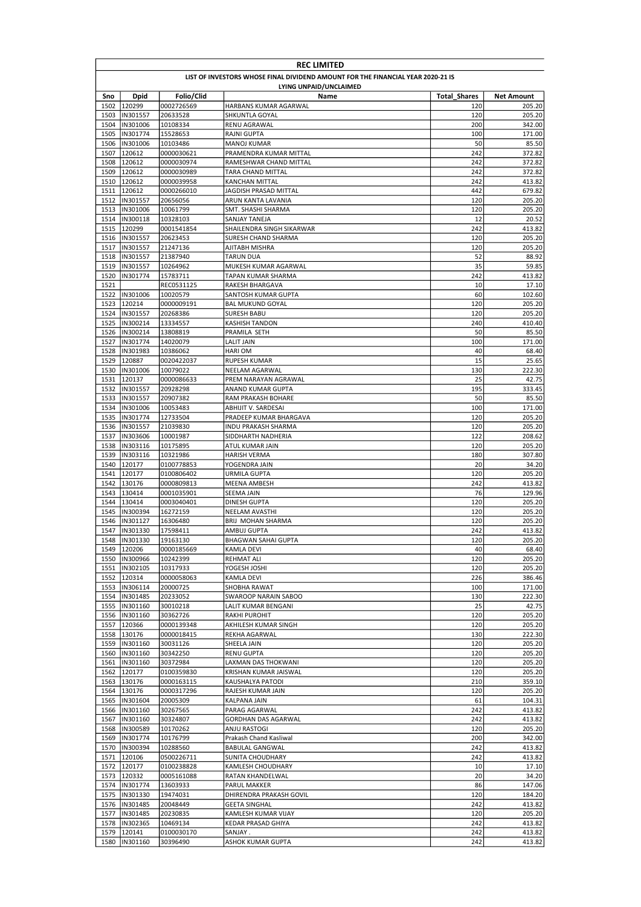|              | <b>REC LIMITED</b>                                                              |                        |                                              |                     |                   |  |  |
|--------------|---------------------------------------------------------------------------------|------------------------|----------------------------------------------|---------------------|-------------------|--|--|
|              | LIST OF INVESTORS WHOSE FINAL DIVIDEND AMOUNT FOR THE FINANCIAL YEAR 2020-21 IS |                        |                                              |                     |                   |  |  |
|              |                                                                                 |                        | LYING UNPAID/UNCLAIMED                       |                     |                   |  |  |
| Sno          | <b>Dpid</b>                                                                     | Folio/Clid             | Name                                         | <b>Total Shares</b> | <b>Net Amount</b> |  |  |
| 1502         | 120299                                                                          | 0002726569             | HARBANS KUMAR AGARWAL                        | 120                 | 205.20            |  |  |
| 1503         | IN301557                                                                        | 20633528               | SHKUNTLA GOYAL                               | 120                 | 205.20            |  |  |
| 1504         | IN301006                                                                        | 10108334               | RENU AGRAWAL                                 | 200                 | 342.00            |  |  |
| 1506         | 1505  IN301774<br>IN301006                                                      | 15528653               | <b>RAJNI GUPTA</b>                           | 100<br>50           | 171.00<br>85.50   |  |  |
| 1507         | 120612                                                                          | 10103486<br>0000030621 | <b>MANOJ KUMAR</b><br>PRAMENDRA KUMAR MITTAL | 242                 | 372.82            |  |  |
| 1508         | 120612                                                                          | 0000030974             | RAMESHWAR CHAND MITTAL                       | 242                 | 372.82            |  |  |
| 1509         | 120612                                                                          | 0000030989             | TARA CHAND MITTAL                            | 242                 | 372.82            |  |  |
| 1510         | 120612                                                                          | 0000039958             | <b>KANCHAN MITTAL</b>                        | 242                 | 413.82            |  |  |
| 1511         | 120612                                                                          | 0000266010             | JAGDISH PRASAD MITTAL                        | 442                 | 679.82            |  |  |
| 1512         | IN301557                                                                        | 20656056               | ARUN KANTA LAVANIA                           | 120                 | 205.20            |  |  |
| 1513         | IN301006                                                                        | 10061799               | SMT. SHASHI SHARMA                           | 120                 | 205.20            |  |  |
| 1514         | IN300118                                                                        | 10328103               | SANJAY TANEJA                                | 12                  | 20.52             |  |  |
| 1515         | 120299                                                                          | 0001541854             | SHAILENDRA SINGH SIKARWAR                    | 242                 | 413.82            |  |  |
| 1516         | IN301557                                                                        | 20623453               | SURESH CHAND SHARMA                          | 120                 | 205.20            |  |  |
| 1517         | IN301557                                                                        | 21247136               | AJITABH MISHRA                               | 120                 | 205.20            |  |  |
|              | 1518  IN301557                                                                  | 21387940               | <b>TARUN DUA</b>                             | 52                  | 88.92             |  |  |
| 1519         | IN301557                                                                        | 10264962               | MUKESH KUMAR AGARWAL                         | 35                  | 59.85             |  |  |
| 1520         | IN301774                                                                        | 15783711               | TAPAN KUMAR SHARMA                           | 242                 | 413.82            |  |  |
| 1521         |                                                                                 | REC0531125             | <b>RAKESH BHARGAVA</b>                       | 10                  | 17.10             |  |  |
| 1522         | IN301006                                                                        | 10020579               | SANTOSH KUMAR GUPTA                          | 60                  | 102.60            |  |  |
| 1523         | 120214                                                                          | 0000009191             | <b>BAL MUKUND GOYAL</b>                      | 120                 | 205.20            |  |  |
| 1524         | IN301557                                                                        | 20268386               | <b>SURESH BABU</b>                           | 120                 | 205.20            |  |  |
| 1525         | IN300214                                                                        | 13334557               | <b>KASHISH TANDON</b>                        | 240                 | 410.40            |  |  |
| 1526         | IN300214                                                                        | 13808819               | PRAMILA SETH                                 | 50                  | 85.50             |  |  |
| 1527         | IN301774                                                                        | 14020079               | <b>LALIT JAIN</b>                            | 100                 | 171.00            |  |  |
|              | 1528  IN301983                                                                  | 10386062               | <b>HARI OM</b>                               | 40                  | 68.40             |  |  |
| 1529         | 120887                                                                          | 0020422037<br>10079022 | RUPESH KUMAR                                 | 15                  | 25.65             |  |  |
| 1530<br>1531 | IN301006<br>120137                                                              |                        | NEELAM AGARWAL                               | 130<br>25           | 222.30            |  |  |
| 1532         | IN301557                                                                        | 0000086633<br>20928298 | PREM NARAYAN AGRAWAL<br>ANAND KUMAR GUPTA    | 195                 | 42.75<br>333.45   |  |  |
| 1533         | IN301557                                                                        | 20907382               | RAM PRAKASH BOHARE                           | 50                  | 85.50             |  |  |
| 1534         | IN301006                                                                        | 10053483               | ABHIJIT V. SARDESAI                          | 100                 | 171.00            |  |  |
| 1535         | IN301774                                                                        | 12733504               | PRADEEP KUMAR BHARGAVA                       | 120                 | 205.20            |  |  |
| 1536         | IN301557                                                                        | 21039830               | <b>INDU PRAKASH SHARMA</b>                   | 120                 | 205.20            |  |  |
| 1537         | IN303606                                                                        | 10001987               | SIDDHARTH NADHERIA                           | 122                 | 208.62            |  |  |
| 1538         | IN303116                                                                        | 10175895               | ATUL KUMAR JAIN                              | 120                 | 205.20            |  |  |
| 1539         | IN303116                                                                        | 10321986               | <b>HARISH VERMA</b>                          | 180                 | 307.80            |  |  |
| 1540         | 120177                                                                          | 0100778853             | YOGENDRA JAIN                                | 20                  | 34.20             |  |  |
| 1541         | 120177                                                                          | 0100806402             | <b>URMILA GUPTA</b>                          | 120                 | 205.20            |  |  |
| 1542         | 130176                                                                          | 0000809813             | <b>MEENA AMBESH</b>                          | 242                 | 413.82            |  |  |
|              | 1543 130414                                                                     | 0001035901             | SEEMA JAIN                                   | 76                  | 129.96            |  |  |
| 1544         | 130414                                                                          | 0003040401             | <b>DINESH GUPTA</b>                          | 120                 | 205.20            |  |  |
| 1545         | IN300394                                                                        | 16272159               | NEELAM AVASTHI                               | 120                 | 205.20            |  |  |
| 1546         | IN301127                                                                        | 16306480               | <b>BRIJ MOHAN SHARMA</b>                     | 120                 | 205.20            |  |  |
| 1547         | IN301330                                                                        | 17598411               | AMBUJ GUPTA                                  | 242                 | 413.82            |  |  |
|              | 1548 IN301330                                                                   | 19163130               | <b>BHAGWAN SAHAI GUPTA</b>                   | 120                 | 205.20            |  |  |
|              | 1549 120206                                                                     | 0000185669             | <b>KAMLA DEVI</b>                            | 40                  | 68.40             |  |  |
|              | 1550  IN300966                                                                  | 10242399               | <b>REHMAT ALI</b>                            | 120                 | 205.20            |  |  |
|              | 1551  IN302105                                                                  | 10317933               | YOGESH JOSHI                                 | 120                 | 205.20            |  |  |
|              | 1552 120314                                                                     | 0000058063             | KAMLA DEVI                                   | 226                 | 386.46            |  |  |
|              | 1553  IN306114                                                                  | 20000725               | SHOBHA RAWAT                                 | 100                 | 171.00            |  |  |
| 1554         | IN301485                                                                        | 20233052               | SWAROOP NARAIN SABOO                         | 130                 | 222.30            |  |  |
|              | 1555  IN301160                                                                  | 30010218               | LALIT KUMAR BENGANI                          | 25                  | 42.75             |  |  |
|              | 1556 IN301160                                                                   | 30362726               | <b>RAKHI PUROHIT</b>                         | 120                 | 205.20            |  |  |
|              | 1557 120366                                                                     | 0000139348             | AKHILESH KUMAR SINGH                         | 120                 | 205.20            |  |  |
|              | 1558 130176                                                                     | 0000018415             | REKHA AGARWAL                                | 130                 | 222.30            |  |  |
|              | 1559  IN301160                                                                  | 30031126               | SHEELA JAIN                                  | 120                 | 205.20            |  |  |
|              | 1560  IN301160                                                                  | 30342250               | <b>RENU GUPTA</b>                            | 120                 | 205.20            |  |  |
| 1561         | IN301160                                                                        | 30372984               | LAXMAN DAS THOKWANI                          | 120                 | 205.20            |  |  |
|              | 1562 120177                                                                     | 0100359830             | KRISHAN KUMAR JAISWAL                        | 120                 | 205.20            |  |  |
|              | 1563 130176                                                                     | 0000163115             | KAUSHALYA PATODI                             | 210                 | 359.10            |  |  |
|              | 1564 130176                                                                     | 0000317296             | RAJESH KUMAR JAIN                            | 120                 | 205.20            |  |  |
|              | 1565  IN301604                                                                  | 20005309               | KALPANA JAIN                                 | 61                  | 104.31            |  |  |
|              | 1566  IN301160                                                                  | 30267565               | PARAG AGARWAL                                | 242                 | 413.82            |  |  |
| 1567         | IN301160                                                                        | 30324807               | GORDHAN DAS AGARWAL                          | 242                 | 413.82            |  |  |
|              | 1568  IN300589                                                                  | 10170262               | ANJU RASTOGI                                 | 120                 | 205.20            |  |  |
|              | 1569 IN301774                                                                   | 10176799               | Prakash Chand Kasliwal                       | 200                 | 342.00            |  |  |
|              | 1570  IN300394                                                                  | 10288560               | <b>BABULAL GANGWAL</b>                       | 242                 | 413.82            |  |  |
|              | 1571 120106                                                                     | 0500226711             | SUNITA CHOUDHARY                             | 242                 | 413.82            |  |  |
|              | 1572 120177                                                                     | 0100238828             | KAMLESH CHOUDHARY                            | 10<br>20            | 17.10             |  |  |
|              | 1573 120332                                                                     | 0005161088             | RATAN KHANDELWAL                             |                     | 34.20             |  |  |
|              | 1574  IN301774                                                                  | 13603933               | <b>PARUL MAKKER</b>                          | 86                  | 147.06            |  |  |
|              | 1575  IN301330                                                                  | 19474031               | DHIRENDRA PRAKASH GOVIL                      | 120                 | 184.20            |  |  |
|              | 1576 IN301485<br>1577  IN301485                                                 | 20048449               | <b>GEETA SINGHAL</b>                         | 242                 | 413.82            |  |  |
|              |                                                                                 | 20230835               | KAMLESH KUMAR VIJAY                          | 120                 | 205.20            |  |  |
|              | 1578  IN302365<br>1579 120141                                                   | 10469134<br>0100030170 | KEDAR PRASAD GHIYA<br>SANJAY.                | 242<br>242          | 413.82<br>413.82  |  |  |
|              | 1580  IN301160                                                                  | 30396490               | ASHOK KUMAR GUPTA                            | 242                 | 413.82            |  |  |
|              |                                                                                 |                        |                                              |                     |                   |  |  |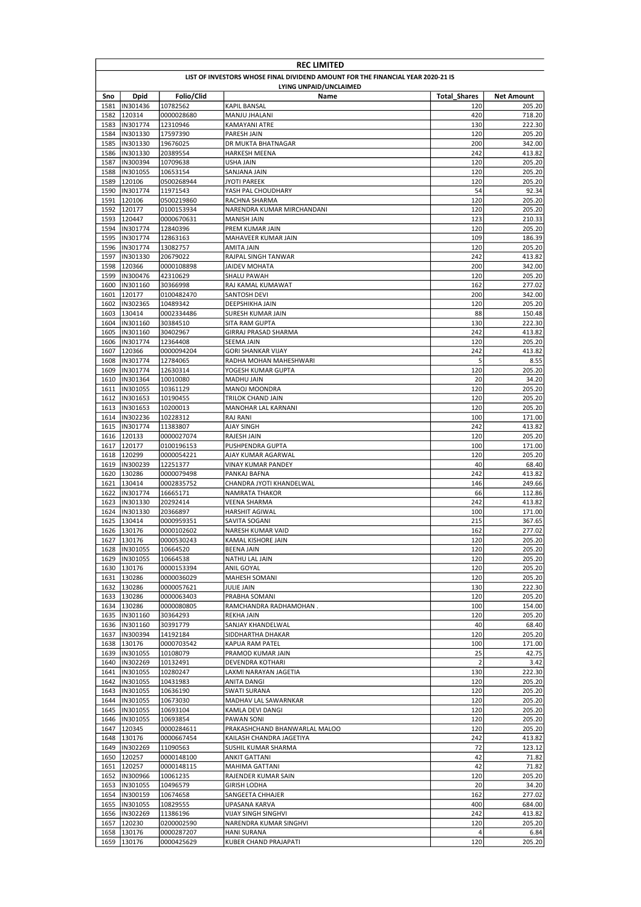|              | <b>REC LIMITED</b>                                                              |                        |                                                 |                     |                   |  |  |
|--------------|---------------------------------------------------------------------------------|------------------------|-------------------------------------------------|---------------------|-------------------|--|--|
|              | LIST OF INVESTORS WHOSE FINAL DIVIDEND AMOUNT FOR THE FINANCIAL YEAR 2020-21 IS |                        |                                                 |                     |                   |  |  |
|              |                                                                                 |                        | LYING UNPAID/UNCLAIMED                          |                     |                   |  |  |
| Sno          | <b>Dpid</b>                                                                     | Folio/Clid             | Name                                            | <b>Total Shares</b> | <b>Net Amount</b> |  |  |
| 1581         | IN301436                                                                        | 10782562               | KAPIL BANSAL                                    | 120                 | 205.20            |  |  |
| 1582         | 120314                                                                          | 0000028680             | MANJU JHALANI                                   | 420                 | 718.20            |  |  |
| 1583         | IN301774                                                                        | 12310946               | KAMAYANI ATRE                                   | 130                 | 222.30            |  |  |
| 1584<br>1585 | IN301330<br>IN301330                                                            | 17597390               | PARESH JAIN                                     | 120<br>200          | 205.20<br>342.00  |  |  |
| 1586         | IN301330                                                                        | 19676025<br>20389554   | DR MUKTA BHATNAGAR<br>HARKESH MEENA             | 242                 | 413.82            |  |  |
| 1587         | IN300394                                                                        | 10709638               | USHA JAIN                                       | 120                 | 205.20            |  |  |
| 1588         | IN301055                                                                        | 10653154               | SANJANA JAIN                                    | 120                 | 205.20            |  |  |
| 1589         | 120106                                                                          | 0500268944             | <b>JYOTI PAREEK</b>                             | 120                 | 205.20            |  |  |
| 1590         | IN301774                                                                        | 11971543               | YASH PAL CHOUDHARY                              | 54                  | 92.34             |  |  |
| 1591         | 120106                                                                          | 0500219860             | RACHNA SHARMA                                   | 120                 | 205.20            |  |  |
| 1592         | 120177                                                                          | 0100153934             | NARENDRA KUMAR MIRCHANDANI                      | 120                 | 205.20            |  |  |
| 1593         | 120447                                                                          | 0000670631             | MANISH JAIN                                     | 123                 | 210.33            |  |  |
| 1594         | IN301774                                                                        | 12840396               | PREM KUMAR JAIN                                 | 120                 | 205.20            |  |  |
| 1595         | IN301774                                                                        | 12863163               | MAHAVEER KUMAR JAIN                             | 109                 | 186.39            |  |  |
| 1596         | IN301774                                                                        | 13082757               | AMITA JAIN                                      | 120                 | 205.20            |  |  |
| 1597         | IN301330                                                                        | 20679022               | RAJPAL SINGH TANWAR                             | 242                 | 413.82            |  |  |
| 1598         | 120366                                                                          | 0000108898             | JAIDEV MOHATA                                   | 200                 | 342.00            |  |  |
| 1599         | IN300476                                                                        | 42310629               | SHALU PAWAH                                     | 120                 | 205.20            |  |  |
| 1600         | IN301160                                                                        | 30366998               | RAJ KAMAL KUMAWAT                               | 162                 | 277.02            |  |  |
| 1601         | 120177                                                                          | 0100482470             | SANTOSH DEVI                                    | 200                 | 342.00            |  |  |
| 1602         | IN302365                                                                        | 10489342               | DEEPSHIKHA JAIN                                 | 120                 | 205.20            |  |  |
| 1603         | 130414                                                                          | 0002334486             | <b>SURESH KUMAR JAIN</b>                        | 88                  | 150.48            |  |  |
| 1604         | IN301160                                                                        | 30384510               | SITA RAM GUPTA                                  | 130                 | 222.30            |  |  |
| 1605         | IN301160                                                                        | 30402967               | GIRRAJ PRASAD SHARMA                            | 242                 | 413.82            |  |  |
| 1606         | IN301774                                                                        | 12364408               | <b>SEEMA JAIN</b>                               | 120                 | 205.20            |  |  |
| 1607<br>1608 | 120366<br>IN301774                                                              | 0000094204             | <b>GORI SHANKAR VIJAY</b>                       | 242<br>5            | 413.82<br>8.55    |  |  |
| 1609         | IN301774                                                                        | 12784065               | RADHA MOHAN MAHESHWARI<br>YOGESH KUMAR GUPTA    | 120                 | 205.20            |  |  |
|              | 1610  IN301364                                                                  | 12630314<br>10010080   | MADHU JAIN                                      | 20                  | 34.20             |  |  |
| 1611         | IN301055                                                                        | 10361129               | MANOJ MOONDRA                                   | 120                 | 205.20            |  |  |
| 1612         | IN301653                                                                        | 10190455               | TRILOK CHAND JAIN                               | 120                 | 205.20            |  |  |
| 1613         | IN301653                                                                        | 10200013               | MANOHAR LAL KARNANI                             | 120                 | 205.20            |  |  |
| 1614         | IN302236                                                                        | 10228312               | RAJ RANI                                        | 100                 | 171.00            |  |  |
| 1615         | IN301774                                                                        | 11383807               | AJAY SINGH                                      | 242                 | 413.82            |  |  |
| 1616         | 120133                                                                          | 0000027074             | RAJESH JAIN                                     | 120                 | 205.20            |  |  |
| 1617         | 120177                                                                          | 0100196153             | PUSHPENDRA GUPTA                                | 100                 | 171.00            |  |  |
| 1618         | 120299                                                                          | 0000054221             | AJAY KUMAR AGARWAL                              | 120                 | 205.20            |  |  |
| 1619         | IN300239                                                                        | 12251377               | VINAY KUMAR PANDEY                              | 40                  | 68.40             |  |  |
| 1620         | 130286                                                                          | 0000079498             | PANKAJ BAFNA                                    | 242                 | 413.82            |  |  |
| 1621         | 130414                                                                          | 0002835752             | CHANDRA JYOTI KHANDELWAL                        | 146                 | 249.66            |  |  |
|              | 1622 IN301774                                                                   | 16665171               | NAMRATA THAKOR                                  | 66                  | 112.86            |  |  |
|              | 1623 IN301330                                                                   | 20292414               | <b>VEENA SHARMA</b>                             | 242                 | 413.82            |  |  |
| 1624         | IN301330                                                                        | 20366897               | HARSHIT AGIWAL                                  | 100                 | 171.00            |  |  |
| 1625         | 130414                                                                          | 0000959351             | SAVITA SOGANI                                   | 215                 | 367.65            |  |  |
|              | 1626 130176                                                                     | 0000102602             | NARESH KUMAR VAID                               | 162                 | 277.02            |  |  |
|              | 1627 130176                                                                     | 0000530243             | KAMAL KISHORE JAIN                              | 120                 | 205.20            |  |  |
|              | 1628  IN301055                                                                  | 10664520               | <b>BEENA JAIN</b>                               | 120                 | 205.20            |  |  |
| 1629<br>1630 | IN301055<br>130176                                                              | 10664538<br>0000153394 | NATHU LAL JAIN<br>ANIL GOYAL                    | 120<br>120          | 205.20<br>205.20  |  |  |
| 1631         | 130286                                                                          | 0000036029             | MAHESH SOMANI                                   | 120                 | 205.20            |  |  |
| 1632         | 130286                                                                          | 0000057621             | <b>JULIE JAIN</b>                               | 130                 | 222.30            |  |  |
|              | 1633 130286                                                                     | 0000063403             | PRABHA SOMANI                                   | 120                 | 205.20            |  |  |
|              | 1634 130286                                                                     | 0000080805             | RAMCHANDRA RADHAMOHAN.                          | 100                 | 154.00            |  |  |
|              | 1635 IN301160                                                                   | 30364293               | <b>REKHA JAIN</b>                               | 120                 | 205.20            |  |  |
|              | 1636  IN301160                                                                  | 30391779               | SANJAY KHANDELWAL                               | 40                  | 68.40             |  |  |
| 1637         | IN300394                                                                        | 14192184               | SIDDHARTHA DHAKAR                               | 120                 | 205.20            |  |  |
| 1638         | 130176                                                                          | 0000703542             | KAPUA RAM PATEL                                 | 100                 | 171.00            |  |  |
| 1639         | IN301055                                                                        | 10108079               | PRAMOD KUMAR JAIN                               | 25                  | 42.75             |  |  |
| 1640         | IN302269                                                                        | 10132491               | DEVENDRA KOTHARI                                | $\mathbf 2$         | 3.42              |  |  |
|              | 1641  IN301055                                                                  | 10280247               | LAXMI NARAYAN JAGETIA                           | 130                 | 222.30            |  |  |
|              | 1642  IN301055                                                                  | 10431983               | ANITA DANGI                                     | 120                 | 205.20            |  |  |
| 1643         | IN301055                                                                        | 10636190               | SWATI SURANA                                    | 120                 | 205.20            |  |  |
| 1644         | IN301055                                                                        | 10673030               | MADHAV LAL SAWARNKAR                            | 120                 | 205.20            |  |  |
|              | 1645  IN301055                                                                  | 10693104               | KAMLA DEVI DANGI                                | 120                 | 205.20            |  |  |
| 1646         | IN301055                                                                        | 10693854               | PAWAN SONI                                      | 120                 | 205.20            |  |  |
|              | 1647 120345                                                                     | 0000284611             | PRAKASHCHAND BHANWARLAL MALOO                   | 120                 | 205.20            |  |  |
|              | 1648 130176<br>1649  IN302269                                                   | 0000667454<br>11090563 | KAILASH CHANDRA JAGETIYA<br>SUSHIL KUMAR SHARMA | 242<br>72           | 413.82<br>123.12  |  |  |
| 1650         | 120257                                                                          | 0000148100             | ANKIT GATTANI                                   | 42                  | 71.82             |  |  |
| 1651         | 120257                                                                          | 0000148115             | MAHIMA GATTANI                                  | 42                  | 71.82             |  |  |
|              | 1652 IN300966                                                                   | 10061235               | RAJENDER KUMAR SAIN                             | 120                 | 205.20            |  |  |
| 1653         | IN301055                                                                        | 10496579               | GIRISH LODHA                                    | 20                  | 34.20             |  |  |
|              | 1654  IN300159                                                                  | 10674658               | SANGEETA CHHAJER                                | 162                 | 277.02            |  |  |
| 1655         | IN301055                                                                        | 10829555               | UPASANA KARVA                                   | 400                 | 684.00            |  |  |
|              | 1656 IN302269                                                                   | 11386196               | VIJAY SINGH SINGHVI                             | 242                 | 413.82            |  |  |
| 1657         | 120230                                                                          | 0200002590             | NARENDRA KUMAR SINGHVI                          | 120                 | 205.20            |  |  |
| 1658         | 130176                                                                          | 0000287207             | <b>HANI SURANA</b>                              | $\overline{4}$      | 6.84              |  |  |
| 1659         | 130176                                                                          | 0000425629             | KUBER CHAND PRAJAPATI                           | 120                 | 205.20            |  |  |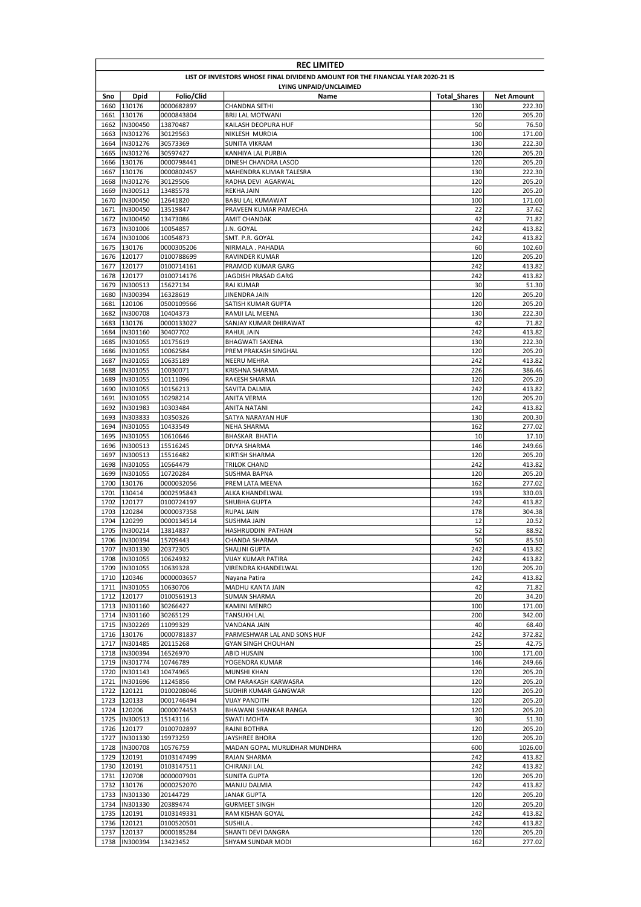| <b>REC LIMITED</b> |                                                                                 |                          |                                              |                     |                   |  |  |  |
|--------------------|---------------------------------------------------------------------------------|--------------------------|----------------------------------------------|---------------------|-------------------|--|--|--|
|                    | LIST OF INVESTORS WHOSE FINAL DIVIDEND AMOUNT FOR THE FINANCIAL YEAR 2020-21 IS |                          |                                              |                     |                   |  |  |  |
|                    |                                                                                 |                          | LYING UNPAID/UNCLAIMED                       |                     |                   |  |  |  |
| Sno                | Dpid                                                                            | Folio/Clid               | Name                                         | <b>Total Shares</b> | <b>Net Amount</b> |  |  |  |
| 1660<br>1661       | 130176<br>130176                                                                | 0000682897<br>0000843804 | CHANDNA SETHI<br><b>BRIJ LAL MOTWANI</b>     | 130<br>120          | 222.30<br>205.20  |  |  |  |
| 1662               | IN300450                                                                        | 13870487                 | KAILASH DEOPURA HUF                          | 50                  | 76.50             |  |  |  |
| 1663               | IN301276                                                                        | 30129563                 | NIKLESH MURDIA                               | 100                 | 171.00            |  |  |  |
| 1664               | IN301276                                                                        | 30573369                 | SUNITA VIKRAM                                | 130                 | 222.30            |  |  |  |
| 1665               | IN301276                                                                        | 30597427                 | KANHIYA LAL PURBIA                           | 120                 | 205.20            |  |  |  |
| 1666               | 130176                                                                          | 0000798441               | DINESH CHANDRA LASOD                         | 120                 | 205.20            |  |  |  |
| 1667               | 130176                                                                          | 0000802457               | <b>MAHENDRA KUMAR TALESRA</b>                | 130                 | 222.30            |  |  |  |
| 1668               | IN301276                                                                        | 30129506                 | RADHA DEVI AGARWAL                           | 120                 | 205.20            |  |  |  |
| 1669<br>1670       | IN300513<br>IN300450                                                            | 13485578<br>12641820     | <b>REKHA JAIN</b><br><b>BABU LAL KUMAWAT</b> | 120<br>100          | 205.20<br>171.00  |  |  |  |
| 1671               | IN300450                                                                        | 13519847                 | PRAVEEN KUMAR PAMECHA                        | 22                  | 37.62             |  |  |  |
| 1672               | IN300450                                                                        | 13473086                 | AMIT CHANDAK                                 | 42                  | 71.82             |  |  |  |
| 1673               | IN301006                                                                        | 10054857                 | J.N. GOYAL                                   | 242                 | 413.82            |  |  |  |
| 1674               | IN301006                                                                        | 10054873                 | SMT. P.R. GOYAL                              | 242                 | 413.82            |  |  |  |
| 1675               | 130176                                                                          | 0000305206               | NIRMALA . PAHADIA                            | 60                  | 102.60            |  |  |  |
| 1676               | 120177                                                                          | 0100788699               | RAVINDER KUMAR                               | 120                 | 205.20            |  |  |  |
| 1677               | 120177                                                                          | 0100714161               | PRAMOD KUMAR GARG                            | 242                 | 413.82            |  |  |  |
| 1678               | 120177                                                                          | 0100714176               | JAGDISH PRASAD GARG                          | 242                 | 413.82            |  |  |  |
| 1679               | IN300513                                                                        | 15627134                 | RAJ KUMAR                                    | 30                  | 51.30             |  |  |  |
| 1680<br>1681       | IN300394<br>120106                                                              | 16328619<br>0500109566   | JINENDRA JAIN<br>SATISH KUMAR GUPTA          | 120<br>120          | 205.20<br>205.20  |  |  |  |
| 1682               | IN300708                                                                        | 10404373                 | RAMJI LAL MEENA                              | 130                 | 222.30            |  |  |  |
| 1683               | 130176                                                                          | 0000133027               | SANJAY KUMAR DHIRAWAT                        | 42                  | 71.82             |  |  |  |
| 1684               | IN301160                                                                        | 30407702                 | RAHUL JAIN                                   | 242                 | 413.82            |  |  |  |
| 1685               | IN301055                                                                        | 10175619                 | BHAGWATI SAXENA                              | 130                 | 222.30            |  |  |  |
| 1686               | IN301055                                                                        | 10062584                 | PREM PRAKASH SINGHAL                         | 120                 | 205.20            |  |  |  |
| 1687               | IN301055                                                                        | 10635189                 | NEERU MEHRA                                  | 242                 | 413.82            |  |  |  |
| 1688               | IN301055                                                                        | 10030071                 | KRISHNA SHARMA                               | 226                 | 386.46            |  |  |  |
| 1689               | IN301055                                                                        | 10111096                 | RAKESH SHARMA                                | 120                 | 205.20            |  |  |  |
| 1690               | IN301055                                                                        | 10156213                 | SAVITA DALMIA                                | 242<br>120          | 413.82            |  |  |  |
| 1691<br>1692       | IN301055<br>IN301983                                                            | 10298214<br>10303484     | ANITA VERMA<br>ANITA NATANI                  | 242                 | 205.20<br>413.82  |  |  |  |
| 1693               | IN303833                                                                        | 10350326                 | SATYA NARAYAN HUF                            | 130                 | 200.30            |  |  |  |
| 1694               | IN301055                                                                        | 10433549                 | NEHA SHARMA                                  | 162                 | 277.02            |  |  |  |
| 1695               | IN301055                                                                        | 10610646                 | <b>BHASKAR BHATIA</b>                        | 10                  | 17.10             |  |  |  |
| 1696               | IN300513                                                                        | 15516245                 | DIVYA SHARMA                                 | 146                 | 249.66            |  |  |  |
| 1697               | IN300513                                                                        | 15516482                 | KIRTISH SHARMA                               | 120                 | 205.20            |  |  |  |
| 1698               | IN301055                                                                        | 10564479                 | TRILOK CHAND                                 | 242                 | 413.82            |  |  |  |
| 1699               | IN301055                                                                        | 10720284                 | SUSHMA BAPNA                                 | 120                 | 205.20            |  |  |  |
| 1700               | 130176                                                                          | 0000032056               | PREM LATA MEENA                              | 162                 | 277.02<br>330.03  |  |  |  |
| 1701<br>1702       | 130414<br>120177                                                                | 0002595843<br>0100724197 | ALKA KHANDELWAL<br>SHUBHA GUPTA              | 193<br>242          | 413.82            |  |  |  |
| 1703               | 120284                                                                          | 0000037358               | <b>RUPAL JAIN</b>                            | 178                 | 304.38            |  |  |  |
| 1704               | 120299                                                                          | 0000134514               | SUSHMA JAIN                                  | 12                  | 20.52             |  |  |  |
| 1705               | IN300214                                                                        | 13814837                 | HASHRUDDIN PATHAN                            | 52                  | 88.92             |  |  |  |
|                    | 1706 IN300394                                                                   | 15709443                 | CHANDA SHARMA                                | 50                  | 85.50             |  |  |  |
|                    | 1707  IN301330                                                                  | 20372305                 | SHALINI GUPTA                                | 242                 | 413.82            |  |  |  |
|                    | 1708 IN301055                                                                   | 10624932                 | <b>VIJAY KUMAR PATIRA</b>                    | 242                 | 413.82            |  |  |  |
|                    | 1709  IN301055<br>1710 120346                                                   | 10639328                 | VIRENDRA KHANDELWAL                          | 120                 | 205.20            |  |  |  |
|                    | 1711  IN301055                                                                  | 0000003657<br>10630706   | Nayana Patira<br>MADHU KANTA JAIN            | 242<br>42           | 413.82<br>71.82   |  |  |  |
|                    | 1712 120177                                                                     | 0100561913               | SUMAN SHARMA                                 | 20                  | 34.20             |  |  |  |
|                    | 1713  IN301160                                                                  | 30266427                 | KAMINI MENRO                                 | 100                 | 171.00            |  |  |  |
|                    | 1714  IN301160                                                                  | 30265129                 | <b>TANSUKH LAL</b>                           | 200                 | 342.00            |  |  |  |
|                    | 1715  IN302269                                                                  | 11099329                 | VANDANA JAIN                                 | 40                  | 68.40             |  |  |  |
|                    | 1716 130176                                                                     | 0000781837               | PARMESHWAR LAL AND SONS HUF                  | 242                 | 372.82            |  |  |  |
|                    | 1717  IN301485                                                                  | 20115268                 | <b>GYAN SINGH CHOUHAN</b>                    | 25                  | 42.75             |  |  |  |
|                    | 1718  IN300394                                                                  | 16526970                 | ABID HUSAIN                                  | 100                 | 171.00            |  |  |  |
|                    | 1719  IN301774<br>1720  IN301143                                                | 10746789<br>10474965     | YOGENDRA KUMAR<br>MUNSHI KHAN                | 146<br>120          | 249.66<br>205.20  |  |  |  |
|                    | 1721  IN301696                                                                  | 11245856                 | OM PARAKASH KARWASRA                         | 120                 | 205.20            |  |  |  |
|                    | 1722 120121                                                                     | 0100208046               | SUDHIR KUMAR GANGWAR                         | 120                 | 205.20            |  |  |  |
|                    | 1723 120133                                                                     | 0001746494               | VIJAY PANDITH                                | 120                 | 205.20            |  |  |  |
|                    | 1724 120206                                                                     | 0000074453               | BHAWANI SHANKAR RANGA                        | 120                 | 205.20            |  |  |  |
|                    | 1725  IN300513                                                                  | 15143116                 | SWATI MOHTA                                  | 30                  | 51.30             |  |  |  |
|                    | 1726 120177                                                                     | 0100702897               | RAJNI BOTHRA                                 | 120                 | 205.20            |  |  |  |
|                    | 1727  IN301330                                                                  | 19973259                 | JAYSHREE BHORA                               | 120                 | 205.20            |  |  |  |
| 1728               | IN300708                                                                        | 10576759                 | MADAN GOPAL MURLIDHAR MUNDHRA                | 600                 | 1026.00           |  |  |  |
| 1729               | 120191                                                                          | 0103147499               | RAJAN SHARMA                                 | 242<br>242          | 413.82            |  |  |  |
|                    | 1730 120191<br>1731 120708                                                      | 0103147511<br>0000007901 | CHIRANJI LAL<br><b>SUNITA GUPTA</b>          | 120                 | 413.82<br>205.20  |  |  |  |
| 1732               | 130176                                                                          | 0000252070               | MANJU DALMIA                                 | 242                 | 413.82            |  |  |  |
|                    | 1733   IN301330                                                                 | 20144729                 | JANAK GUPTA                                  | 120                 | 205.20            |  |  |  |
|                    | 1734 IN301330                                                                   | 20389474                 | <b>GURMEET SINGH</b>                         | 120                 | 205.20            |  |  |  |
|                    | 1735 120191                                                                     | 0103149331               | RAM KISHAN GOYAL                             | 242                 | 413.82            |  |  |  |
|                    | 1736 120121                                                                     | 0100520501               | SUSHILA .                                    | 242                 | 413.82            |  |  |  |
| 1737               | 120137                                                                          | 0000185284               | SHANTI DEVI DANGRA                           | 120                 | 205.20            |  |  |  |
|                    | 1738  IN300394                                                                  | 13423452                 | SHYAM SUNDAR MODI                            | 162                 | 277.02            |  |  |  |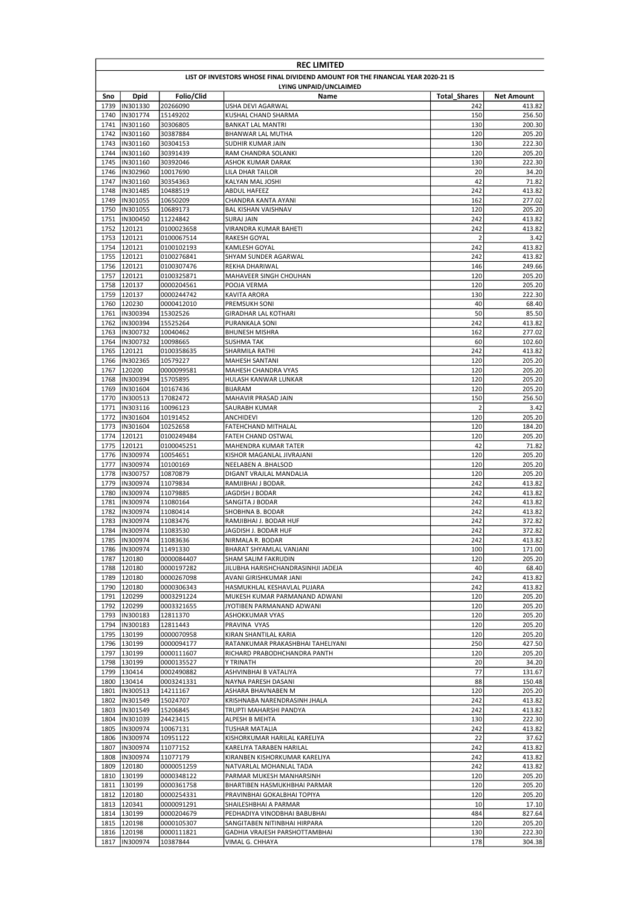| <b>REC LIMITED</b> |                            |                          |                                                                                 |                     |                  |
|--------------------|----------------------------|--------------------------|---------------------------------------------------------------------------------|---------------------|------------------|
|                    |                            |                          | LIST OF INVESTORS WHOSE FINAL DIVIDEND AMOUNT FOR THE FINANCIAL YEAR 2020-21 IS |                     |                  |
|                    |                            |                          | LYING UNPAID/UNCLAIMED                                                          |                     |                  |
| Sno                | <b>Dpid</b>                | Folio/Clid               | Name                                                                            | <b>Total Shares</b> | Net Amount       |
| 1739<br>1740       | IN301330                   | 20266090                 | USHA DEVI AGARWAL                                                               | 242                 | 413.82           |
| 1741               | IN301774<br>IN301160       | 15149202<br>30306805     | KUSHAL CHAND SHARMA<br><b>BANKAT LAL MANTRI</b>                                 | 150<br>130          | 256.50<br>200.30 |
| 1742               | IN301160                   | 30387884                 | BHANWAR LAL MUTHA                                                               | 120                 | 205.20           |
| 1743               | IN301160                   | 30304153                 | SUDHIR KUMAR JAIN                                                               | 130                 | 222.30           |
| 1744               | IN301160                   | 30391439                 | RAM CHANDRA SOLANKI                                                             | 120                 | 205.20           |
| 1745               | IN301160                   | 30392046                 | ASHOK KUMAR DARAK                                                               | 130                 | 222.30           |
| 1746               | IN302960                   | 10017690                 | LILA DHAR TAILOR                                                                | 20                  | 34.20            |
| 1747               | IN301160                   | 30354363                 | KALYAN MAL JOSHI                                                                | 42                  | 71.82            |
| 1748<br>1749       | IN301485<br>IN301055       | 10488519<br>10650209     | <b>ABDUL HAFEEZ</b><br>CHANDRA KANTA AYANI                                      | 242<br>162          | 413.82<br>277.02 |
| 1750               | IN301055                   | 10689173                 | <b>BAL KISHAN VAISHNAV</b>                                                      | 120                 | 205.20           |
| 1751               | IN300450                   | 11224842                 | <b>SURAJ JAIN</b>                                                               | 242                 | 413.82           |
| 1752               | 120121                     | 0100023658               | VIRANDRA KUMAR BAHETI                                                           | 242                 | 413.82           |
| 1753               | 120121                     | 0100067514               | RAKESH GOYAL                                                                    | $\overline{2}$      | 3.42             |
| 1754               | 120121                     | 0100102193               | KAMLESH GOYAL                                                                   | 242                 | 413.82           |
| 1755               | 120121                     | 0100276841               | SHYAM SUNDER AGARWAL                                                            | 242                 | 413.82           |
|                    | 1756 120121                | 0100307476               | REKHA DHARIWAL                                                                  | 146                 | 249.66           |
| 1757               | 120121                     | 0100325871               | MAHAVEER SINGH CHOUHAN                                                          | 120                 | 205.20           |
| 1758<br>1759       | 120137<br>120137           | 0000204561<br>0000244742 | POOJA VERMA<br>KAVITA ARORA                                                     | 120<br>130          | 205.20<br>222.30 |
| 1760               | 120230                     | 0000412010               | PREMSUKH SONI                                                                   | 40                  | 68.40            |
| 1761               | IN300394                   | 15302526                 | GIRADHAR LAL KOTHARI                                                            | 50                  | 85.50            |
| 1762               | IN300394                   | 15525264                 | PURANKALA SONI                                                                  | 242                 | 413.82           |
| 1763               | IN300732                   | 10040462                 | <b>BHUNESH MISHRA</b>                                                           | 162                 | 277.02           |
| 1764               | IN300732                   | 10098665                 | <b>SUSHMA TAK</b>                                                               | 60                  | 102.60           |
| 1765               | 120121                     | 0100358635               | SHARMILA RATHI                                                                  | 242                 | 413.82           |
| 1766               | IN302365                   | 10579227                 | <b>MAHESH SANTANI</b>                                                           | 120                 | 205.20           |
| 1767               | 120200                     | 0000099581               | <b>MAHESH CHANDRA VYAS</b>                                                      | 120                 | 205.20           |
| 1768               | IN300394                   | 15705895                 | HULASH KANWAR LUNKAR                                                            | 120                 | 205.20           |
| 1769<br>1770       | IN301604<br>IN300513       | 10167436<br>17082472     | <b>BIJARAM</b><br>MAHAVIR PRASAD JAIN                                           | 120<br>150          | 205.20<br>256.50 |
| 1771               | IN303116                   | 10096123                 | SAURABH KUMAR                                                                   | $\overline{2}$      | 3.42             |
| 1772               | IN301604                   | 10191452                 | ANCHIDEVI                                                                       | 120                 | 205.20           |
| 1773               | IN301604                   | 10252658                 | FATEHCHAND MITHALAL                                                             | 120                 | 184.20           |
| 1774               | 120121                     | 0100249484               | FATEH CHAND OSTWAL                                                              | 120                 | 205.20           |
| 1775               | 120121                     | 0100045251               | MAHENDRA KUMAR TATER                                                            | 42                  | 71.82            |
| 1776               | IN300974                   | 10054651                 | KISHOR MAGANLAL JIVRAJANI                                                       | 120                 | 205.20           |
| 1777               | IN300974                   | 10100169                 | NEELABEN A .BHALSOD                                                             | 120                 | 205.20           |
| 1778               | IN300757                   | 10870879                 | DIGANT VRAJLAL MANDALIA                                                         | 120                 | 205.20           |
| 1779<br>1780       | IN300974<br>IN300974       | 11079834<br>11079885     | RAMJIBHAI J BODAR.<br>JAGDISH J BODAR                                           | 242<br>242          | 413.82<br>413.82 |
| 1781               | IN300974                   | 11080164                 | SANGITA J BODAR                                                                 | 242                 | 413.82           |
| 1782               | IN300974                   | 11080414                 | SHOBHNA B. BODAR                                                                | 242                 | 413.82           |
| 1783               | IN300974                   | 11083476                 | RAMJIBHAI J. BODAR HUF                                                          | 242                 | 372.82           |
| 1784               | IN300974                   | 11083530                 | JAGDISH J. BODAR HUF                                                            | 242                 | 372.82           |
|                    | 1785  IN300974             | 11083636                 | NIRMALA R. BODAR                                                                | 242                 | 413.82           |
|                    | 1786  IN300974             | 11491330                 | BHARAT SHYAMLAL VANJANI                                                         | 100                 | 171.00           |
| 1787               | 120180                     | 0000084407               | SHAM SALIM FAKRUDIN                                                             | 120                 | 205.20           |
|                    | 1788 120180                | 0000197282               | JILUBHA HARISHCHANDRASINHJI JADEJA                                              | 40                  | 68.40            |
|                    | 1789 120180<br>1790 120180 | 0000267098               | AVANI GIRISHKUMAR JANI                                                          | 242                 | 413.82           |
|                    | 1791 120299                | 0000306343<br>0003291224 | HASMUKHLAL KESHAVLAL PUJARA<br>MUKESH KUMAR PARMANAND ADWANI                    | 242<br>120          | 413.82<br>205.20 |
|                    | 1792 120299                | 0003321655               | JYOTIBEN PARMANAND ADWANI                                                       | 120                 | 205.20           |
|                    | 1793  IN300183             | 12811370                 | ASHOKKUMAR VYAS                                                                 | 120                 | 205.20           |
|                    | 1794  IN300183             | 12811443                 | PRAVINA VYAS                                                                    | 120                 | 205.20           |
|                    | 1795 130199                | 0000070958               | KIRAN SHANTILAL KARIA                                                           | 120                 | 205.20           |
|                    | 1796 130199                | 0000094177               | RATANKUMAR PRAKASHBHAI TAHELIYANI                                               | 250                 | 427.50           |
| 1797               | 130199                     | 0000111607               | RICHARD PRABODHCHANDRA PANTH                                                    | 120                 | 205.20           |
| 1798               | 130199                     | 0000135527               | Y TRINATH                                                                       | 20                  | 34.20            |
|                    | 1799 130414                | 0002490882               | ASHVINBHAI B VATALIYA                                                           | 77                  | 131.67           |
| 1800               | 130414<br>1801  IN300513   | 0003241331<br>14211167   | NAYNA PARESH DASANI<br>ASHARA BHAVNABEN M                                       | 88<br>120           | 150.48<br>205.20 |
|                    | 1802  IN301549             | 15024707                 | KRISHNABA NARENDRASINH JHALA                                                    | 242                 | 413.82           |
|                    | 1803  IN301549             | 15206845                 | TRUPTI MAHARSHI PANDYA                                                          | 242                 | 413.82           |
|                    | 1804  IN301039             | 24423415                 | ALPESH B MEHTA                                                                  | 130                 | 222.30           |
|                    | 1805   IN300974            | 10067131                 | <b>TUSHAR MATALIA</b>                                                           | 242                 | 413.82           |
|                    | 1806  IN300974             | 10951122                 | KISHORKUMAR HARILAL KARELIYA                                                    | 22                  | 37.62            |
|                    | 1807  IN300974             | 11077152                 | KARELIYA TARABEN HARILAL                                                        | 242                 | 413.82           |
|                    | 1808  IN300974             | 11077179                 | KIRANBEN KISHORKUMAR KARELIYA                                                   | 242                 | 413.82           |
| 1809               | 120180                     | 0000051259               | NATVARLAL MOHANLAL TADA                                                         | 242                 | 413.82           |
|                    | 1810 130199                | 0000348122               | PARMAR MUKESH MANHARSINH                                                        | 120                 | 205.20           |
| 1811               | 130199                     | 0000361758               | BHARTIBEN HASMUKHBHAI PARMAR                                                    | 120                 | 205.20           |
|                    | 1812 120180                | 0000254331               | PRAVINBHAI GOKALBHAI TOPIYA                                                     | 120                 | 205.20           |
|                    | 1813 120341<br>1814 130199 | 0000091291<br>0000204679 | SHAILESHBHAI A PARMAR<br>PEDHADIYA VINODBHAI BABUBHAI                           | 10<br>484           | 17.10<br>827.64  |
|                    | 1815 120198                | 0000105307               | SANGITABEN NITINBHAI HIRPARA                                                    | 120                 | 205.20           |
|                    | 1816 120198                | 0000111821               | GADHIA VRAJESH PARSHOTTAMBHAI                                                   | 130                 | 222.30           |
| 1817               | IN300974                   | 10387844                 | VIMAL G. CHHAYA                                                                 | 178                 | 304.38           |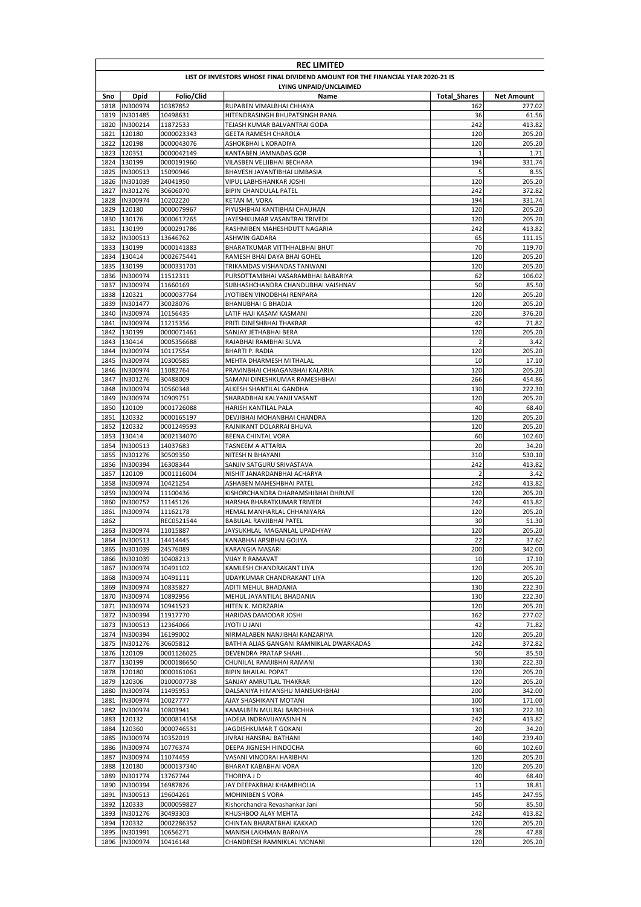|              | <b>REC LIMITED</b>                                                              |                          |                                                                |                     |                  |  |  |
|--------------|---------------------------------------------------------------------------------|--------------------------|----------------------------------------------------------------|---------------------|------------------|--|--|
|              | LIST OF INVESTORS WHOSE FINAL DIVIDEND AMOUNT FOR THE FINANCIAL YEAR 2020-21 IS |                          |                                                                |                     |                  |  |  |
|              |                                                                                 |                          | LYING UNPAID/UNCLAIMED                                         |                     |                  |  |  |
| Sno          | Dpid                                                                            | Folio/Clid               | Name                                                           | <b>Total Shares</b> | Net Amount       |  |  |
|              | 1818  IN300974                                                                  | 10387852                 | RUPABEN VIMALBHAI CHHAYA                                       | 162                 | 277.02           |  |  |
| 1819         | IN301485                                                                        | 10498631                 | HITENDRASINGH BHUPATSINGH RANA                                 | 36                  | 61.56            |  |  |
| 1820         | IN300214                                                                        | 11872533                 | TEJASH KUMAR BALVANTRAI GODA                                   | 242                 | 413.82           |  |  |
| 1821         | 120180                                                                          | 0000023343               | <b>GEETA RAMESH CHAROLA</b>                                    | 120                 | 205.20           |  |  |
| 1822         | 120198                                                                          | 0000043076               | ASHOKBHAI L KORADIYA                                           | 120                 | 205.20           |  |  |
| 1823         | 120351<br>1824 130199                                                           | 0000042149<br>0000191960 | KANTABEN JAMNADAS GOR<br>VILASBEN VELJIBHAI BECHARA            | $\mathbf 1$<br>194  | 1.71<br>331.74   |  |  |
| 1825         | IN300513                                                                        | 15090946                 | BHAVESH JAYANTIBHAI LIMBASIA                                   | 5                   | 8.55             |  |  |
|              | 1826  IN301039                                                                  | 24041950                 | VIPUL LABHSHANKAR JOSHI                                        | 120                 | 205.20           |  |  |
| 1827         | IN301276                                                                        | 30606070                 | BIPIN CHANDULAL PATEL                                          | 242                 | 372.82           |  |  |
| 1828         | IN300974                                                                        | 10202220                 | <b>KETAN M. VORA</b>                                           | 194                 | 331.74           |  |  |
|              | 1829 120180                                                                     | 0000079967               | PIYUSHBHAI KANTIBHAI CHAUHAN                                   | 120                 | 205.20           |  |  |
|              | 1830 130176                                                                     | 0000617265               | JAYESHKUMAR VASANTRAI TRIVEDI                                  | 120                 | 205.20           |  |  |
|              | 1831 130199                                                                     | 0000291786               | RASHMIBEN MAHESHDUTT NAGARIA                                   | 242                 | 413.82           |  |  |
| 1832         | IN300513                                                                        | 13646762                 | ASHWIN GADARA                                                  | 65                  | 111.15           |  |  |
| 1833         | 130199                                                                          | 0000141883               | BHARATKUMAR VITTHHALBHAI BHUT                                  | 70                  | 119.70           |  |  |
| 1834         | 130414                                                                          | 0002675441               | RAMESH BHAI DAYA BHAI GOHEL                                    | 120                 | 205.20           |  |  |
| 1835         | 130199                                                                          | 0000331701               | TRIKAMDAS VISHANDAS TANWANI                                    | 120                 | 205.20           |  |  |
| 1836         | IN300974                                                                        | 11512311                 | PURSOTTAMBHAI VASARAMBHAI BABARIYA                             | 62                  | 106.02           |  |  |
|              | 1837  IN300974                                                                  | 11660169                 | SUBHASHCHANDRA CHANDUBHAI VAISHNAV                             | 50                  | 85.50            |  |  |
| 1838         | 120321                                                                          | 0000037764               | JYOTIBEN VINODBHAI RENPARA                                     | 120                 | 205.20           |  |  |
| 1839         | IN301477                                                                        | 30028076                 | <b>BHANUBHAI G BHADJA</b>                                      | 120                 | 205.20           |  |  |
| 1840         | IN300974                                                                        | 10156435                 | LATIF HAJI KASAM KASMANI                                       | 220                 | 376.20           |  |  |
| 1841         | IN300974                                                                        | 11215356                 | PRITI DINESHBHAI THAKRAR                                       | 42                  | 71.82            |  |  |
| 1842         | 130199                                                                          | 0000071461               | SANJAY JETHABHAI BERA                                          | 120                 | 205.20           |  |  |
|              | 1843 130414                                                                     | 0005356688               | RAJABHAI RAMBHAI SUVA                                          | $\overline{2}$      | 3.42             |  |  |
|              | 1844  IN300974                                                                  | 10117554                 | <b>BHARTI P. RADIA</b>                                         | 120                 | 205.20           |  |  |
| 1845         | IN300974                                                                        | 10300585                 | MEHTA DHARMESH MITHALAL                                        | 10                  | 17.10            |  |  |
| 1846         | IN300974                                                                        | 11082764                 | PRAVINBHAI CHHAGANBHAI KALARIA                                 | 120                 | 205.20           |  |  |
| 1847         | IN301276                                                                        | 30488009                 | SAMANI DINESHKUMAR RAMESHBHAI                                  | 266                 | 454.86           |  |  |
| 1848         | IN300974                                                                        | 10560348                 | ALKESH SHANTILAL GANDHA                                        | 130                 | 222.30           |  |  |
| 1849         | IN300974                                                                        | 10909751                 | SHARADBHAI KALYANJI VASANT                                     | 120                 | 205.20           |  |  |
| 1850         | 120109                                                                          | 0001726088               | HARISH KANTILAL PALA                                           | 40                  | 68.40            |  |  |
| 1851         | 120332                                                                          | 0000165197               | DEVJIBHAI MOHANBHAI CHANDRA                                    | 120                 | 205.20           |  |  |
| 1852         | 120332                                                                          | 0001249593               | RAJNIKANT DOLARRAI BHUVA                                       | 120                 | 205.20           |  |  |
|              | 1853 130414                                                                     | 0002134070               | BEENA CHINTAL VORA                                             | 60                  | 102.60           |  |  |
| 1854         | IN300513                                                                        | 14037683                 | TASNEEM A ATTARIA                                              | 20                  | 34.20            |  |  |
| 1855         | IN301276                                                                        | 30509350                 | NITESH N BHAYANI                                               | 310                 | 530.10           |  |  |
| 1856         | IN300394                                                                        | 16308344                 | SANJIV SATGURU SRIVASTAVA                                      | 242                 | 413.82           |  |  |
| 1857         | 120109                                                                          | 0001116004               | NISHIT JANARDANBHAI ACHARYA                                    | $\overline{2}$      | 3.42             |  |  |
| 1858         | IN300974                                                                        | 10421254                 | ASHABEN MAHESHBHAI PATEL<br>KISHORCHANDRA DHARAMSHIBHAI DHRUVE | 242                 | 413.82           |  |  |
| 1859         | IN300974                                                                        | 11100436                 |                                                                | 120                 | 205.20<br>413.82 |  |  |
| 1860<br>1861 | IN300757<br>IN300974                                                            | 11145126<br>11162178     | HARSHA BHARATKUMAR TRIVEDI<br>HEMAL MANHARLAL CHHANIYARA       | 242<br>120          | 205.20           |  |  |
| 1862         |                                                                                 | REC0521544               | BABULAL RAVJIBHAI PATEL                                        | 30                  | 51.30            |  |  |
| 1863         | IN300974                                                                        | 11015887                 | JAYSUKHLAL MAGANLAL UPADHYAY                                   | 120                 | 205.20           |  |  |
|              | 1864  IN300513                                                                  | 14414445                 | KANABHAI ARSIBHAI GOJIYA                                       | 22                  | 37.62            |  |  |
|              | 1865  IN301039                                                                  | 24576089                 | KARANGIA MASARI                                                | 200                 | 342.00           |  |  |
| 1866         | IN301039                                                                        | 10408213                 | VIJAY R RAMAVAT                                                | 10                  | 17.10            |  |  |
| 1867         | IN300974                                                                        | 10491102                 | KAMLESH CHANDRAKANT LIYA                                       | 120                 | 205.20           |  |  |
|              | 1868  IN300974                                                                  | 10491111                 | UDAYKUMAR CHANDRAKANT LIYA                                     | 120                 | 205.20           |  |  |
| 1869         | IN300974                                                                        | 10835827                 | ADITI MEHUL BHADANIA                                           | 130                 | 222.30           |  |  |
| 1870         | IN300974                                                                        | 10892956                 | MEHUL JAYANTILAL BHADANIA                                      | 130                 | 222.30           |  |  |
| 1871         | IN300974                                                                        | 10941523                 | HITEN K. MORZARIA                                              | 120                 | 205.20           |  |  |
| 1872         | IN300394                                                                        | 11917770                 | HARIDAS DAMODAR JOSHI                                          | 162                 | 277.02           |  |  |
| 1873         | IN300513                                                                        | 12364066                 | INALUITOYL                                                     | 42                  | 71.82            |  |  |
|              | 1874  IN300394                                                                  | 16199002                 | NIRMALABEN NANJIBHAI KANZARIYA                                 | 120                 | 205.20           |  |  |
| 1875         | IN301276                                                                        | 30605812                 | BATHIA ALIAS GANGANI RAMNIKLAL DWARKADAS                       | 242                 | 372.82           |  |  |
|              | 1876 120109                                                                     | 0001126025               | <b>DEVENDRA PRATAP SHAHI</b>                                   | 50                  | 85.50            |  |  |
| 1877         | 130199                                                                          | 0000186650               | CHUNILAL RAMJIBHAI RAMANI                                      | 130                 | 222.30           |  |  |
|              | 1878 120180                                                                     | 0000161061               | <b>BIPIN BHAILAL POPAT</b>                                     | 120                 | 205.20           |  |  |
|              | 1879 120306                                                                     | 0100007738               | SANJAY AMRUTLAL THAKRAR                                        | 120                 | 205.20           |  |  |
| 1880         | IN300974                                                                        | 11495953                 | DALSANIYA HIMANSHU MANSUKHBHAI                                 | 200                 | 342.00           |  |  |
| 1881         | IN300974                                                                        | 10027777                 | AJAY SHASHIKANT MOTANI                                         | 100                 | 171.00           |  |  |
|              | 1882  IN300974                                                                  | 10803941                 | KAMALBEN MULRAJ BARCHHA                                        | 130                 | 222.30           |  |  |
| 1883         | 120132                                                                          | 0000814158               | JADEJA INDRAVIJAYASINH N                                       | 242                 | 413.82           |  |  |
| 1884         | 120360                                                                          | 0000746531               | JAGDISHKUMAR T GOKANI                                          | 20                  | 34.20            |  |  |
| 1885         | IN300974                                                                        | 10352019                 | JIVRAJ HANSRAJ BATHANI                                         | 140                 | 239.40           |  |  |
| 1886         | IN300974                                                                        | 10776374                 | DEEPA JIGNESH HINDOCHA                                         | 60                  | 102.60           |  |  |
| 1887         | IN300974                                                                        | 11074459                 | VASANI VINODRAI HARIBHAI                                       | 120                 | 205.20           |  |  |
| 1888         | 120180                                                                          | 0000137340               | BHARAT KABABHAI VORA                                           | 120                 | 205.20           |  |  |
| 1889         | IN301774                                                                        | 13767744                 | THORIYA J D                                                    | 40                  | 68.40            |  |  |
| 1890         | IN300394                                                                        | 16987826                 | JAY DEEPAKBHAI KHAMBHOLIA                                      | 11                  | 18.81            |  |  |
| 1891         | IN300513                                                                        | 19604261                 | MOHINIBEN S VORA                                               | 145                 | 247.95           |  |  |
| 1892         | 120333                                                                          | 0000059827               | Kishorchandra Revashankar Jani                                 | 50                  | 85.50            |  |  |
|              | 1893  IN301276                                                                  | 30493303                 | KHUSHBOO ALAY MEHTA                                            | 242                 | 413.82           |  |  |
|              | 1894 120332                                                                     | 0002286352               | CHINTAN BHARATBHAI KAKKAD                                      | 120                 | 205.20           |  |  |
| 1895         | IN301991                                                                        | 10656271                 | MANISH LAKHMAN BARAIYA                                         | 28                  | 47.88            |  |  |
| 1896         | IN300974                                                                        | 10416148                 | CHANDRESH RAMNIKLAL MONANI                                     | 120                 | 205.20           |  |  |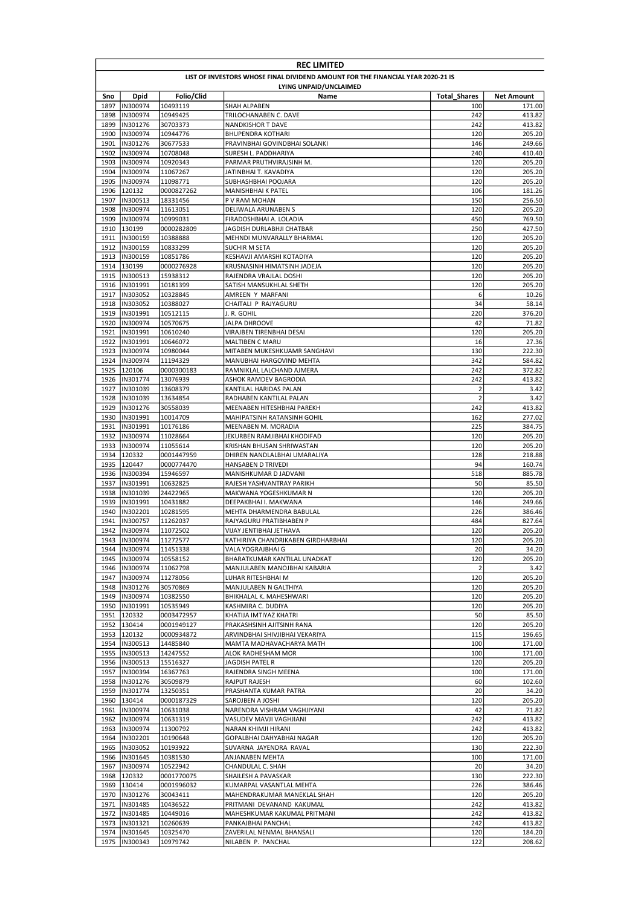|              | <b>REC LIMITED</b>                                                              |                        |                                                       |                     |                  |  |  |
|--------------|---------------------------------------------------------------------------------|------------------------|-------------------------------------------------------|---------------------|------------------|--|--|
|              | LIST OF INVESTORS WHOSE FINAL DIVIDEND AMOUNT FOR THE FINANCIAL YEAR 2020-21 IS |                        |                                                       |                     |                  |  |  |
|              |                                                                                 |                        | LYING UNPAID/UNCLAIMED                                |                     |                  |  |  |
| Sno          | Dpid                                                                            | Folio/Clid             | Name                                                  | <b>Total Shares</b> | Net Amount       |  |  |
| 1897         | IN300974                                                                        | 10493119               | SHAH ALPABEN                                          | 100                 | 171.00           |  |  |
| 1898         | IN300974                                                                        | 10949425               | TRILOCHANABEN C. DAVE                                 | 242                 | 413.82           |  |  |
| 1899         | IN301276                                                                        | 30703373               | <b>NANDKISHOR T DAVE</b>                              | 242                 | 413.82           |  |  |
| 1900<br>1901 | IN300974                                                                        | 10944776               | <b>BHUPENDRA KOTHARI</b>                              | 120<br>146          | 205.20<br>249.66 |  |  |
| 1902         | IN301276<br>IN300974                                                            | 30677533<br>10708048   | PRAVINBHAI GOVINDBHAI SOLANKI<br>SURESH L. PADDHARIYA | 240                 | 410.40           |  |  |
| 1903         | IN300974                                                                        | 10920343               | PARMAR PRUTHVIRAJSINH M.                              | 120                 | 205.20           |  |  |
| 1904         | IN300974                                                                        | 11067267               | JATINBHAI T. KAVADIYA                                 | 120                 | 205.20           |  |  |
| 1905         | IN300974                                                                        | 11098771               | SUBHASHBHAI POOJARA                                   | 120                 | 205.20           |  |  |
| 1906         | 120132                                                                          | 0000827262             | MANISHBHAI K PATEL                                    | 106                 | 181.26           |  |  |
| 1907         | IN300513                                                                        | 18331456               | P V RAM MOHAN                                         | 150                 | 256.50           |  |  |
| 1908         | IN300974                                                                        | 11613051               | DELIWALA ARUNABEN S                                   | 120                 | 205.20           |  |  |
| 1909         | IN300974                                                                        | 10999031               | FIRADOSHBHAI A. LOLADIA                               | 450                 | 769.50           |  |  |
| 1910         | 130199                                                                          | 0000282809             | JAGDISH DURLABHJI CHATBAR                             | 250                 | 427.50           |  |  |
| 1911         | IN300159                                                                        | 10388888               | MEHNDI MUNVARALLY BHARMAL                             | 120                 | 205.20           |  |  |
| 1912         | IN300159                                                                        | 10833299               | SUCHIR M SETA                                         | 120                 | 205.20           |  |  |
| 1913         | IN300159                                                                        | 10851786               | KESHAVJI AMARSHI KOTADIYA                             | 120                 | 205.20           |  |  |
| 1914         | 130199                                                                          | 0000276928             | KRUSNASINH HIMATSINH JADEJA                           | 120                 | 205.20           |  |  |
| 1915         | IN300513                                                                        | 15938312               | RAJENDRA VRAJLAL DOSHI                                | 120                 | 205.20           |  |  |
| 1916         | IN301991                                                                        | 10181399               | SATISH MANSUKHLAL SHETH                               | 120                 | 205.20           |  |  |
| 1917         | IN303052                                                                        | 10328845               | AMREEN Y MARFANI                                      | 6                   | 10.26            |  |  |
| 1918         | IN303052                                                                        | 10388027               | CHAITALI P RAJYAGURU                                  | 34                  | 58.14            |  |  |
| 1919         | IN301991                                                                        | 10512115               | J. R. GOHIL                                           | 220                 | 376.20           |  |  |
| 1920         | IN300974                                                                        | 10570675               | JALPA DHROOVE                                         | 42                  | 71.82            |  |  |
| 1921         | IN301991                                                                        | 10610240               | VIRAJBEN TIRENBHAI DESAI                              | 120                 | 205.20           |  |  |
| 1922         | IN301991                                                                        | 10646072               | MALTIBEN C MARU                                       | 16                  | 27.36            |  |  |
| 1923         | IN300974                                                                        | 10980044               | MITABEN MUKESHKUAMR SANGHAVI                          | 130                 | 222.30           |  |  |
| 1924         | IN300974                                                                        | 11194329<br>0000300183 | <b>MANUBHAI HARGOVIND MEHTA</b>                       | 342                 | 584.82           |  |  |
| 1925<br>1926 | 120106<br>IN301774                                                              |                        | RAMNIKLAL LALCHAND AJMERA                             | 242<br>242          | 372.82<br>413.82 |  |  |
| 1927         | IN301039                                                                        | 13076939<br>13608379   | ASHOK RAMDEV BAGRODIA<br>KANTILAL HARIDAS PALAN       | 2                   | 3.42             |  |  |
| 1928         | IN301039                                                                        | 13634854               | RADHABEN KANTILAL PALAN                               | $\overline{2}$      | 3.42             |  |  |
| 1929         | IN301276                                                                        | 30558039               | MEENABEN HITESHBHAI PAREKH                            | 242                 | 413.82           |  |  |
| 1930         | IN301991                                                                        | 10014709               | MAHIPATSINH RATANSINH GOHIL                           | 162                 | 277.02           |  |  |
| 1931         | IN301991                                                                        | 10176186               | MEENABEN M. MORADIA                                   | 225                 | 384.75           |  |  |
| 1932         | IN300974                                                                        | 11028664               | JEKURBEN RAMJIBHAI KHODIFAD                           | 120                 | 205.20           |  |  |
| 1933         | IN300974                                                                        | 11055614               | KRISHAN BHUSAN SHRIWASTAN                             | 120                 | 205.20           |  |  |
| 1934         | 120332                                                                          | 0001447959             | DHIREN NANDLALBHAI UMARALIYA                          | 128                 | 218.88           |  |  |
| 1935         | 120447                                                                          | 0000774470             | HANSABEN D TRIVEDI                                    | 94                  | 160.74           |  |  |
| 1936         | IN300394                                                                        | 15946597               | MANISHKUMAR D JADVANI                                 | 518                 | 885.78           |  |  |
| 1937         | IN301991                                                                        | 10632825               | RAJESH YASHVANTRAY PARIKH                             | 50                  | 85.50            |  |  |
| 1938         | IN301039                                                                        | 24422965               | MAKWANA YOGESHKUMAR N                                 | 120                 | 205.20           |  |  |
| 1939         | IN301991                                                                        | 10431882               | DEEPAKBHAI I. MAKWANA                                 | 146                 | 249.66           |  |  |
| 1940         | IN302201                                                                        | 10281595               | MEHTA DHARMENDRA BABULAL                              | 226                 | 386.46           |  |  |
| 1941         | IN300757                                                                        | 11262037               | RAJYAGURU PRATIBHABEN P                               | 484                 | 827.64           |  |  |
| 1942         | IN300974                                                                        | 11072502               | VIJAY JENTIBHAI JETHAVA                               | 120                 | 205.20           |  |  |
|              | 1943  IN300974                                                                  | 11272577               | KATHIRIYA CHANDRIKABEN GIRDHARBHAI                    | 120                 | 205.20           |  |  |
|              | 1944  IN300974                                                                  | 11451338               | VALA YOGRAJBHAI G                                     | 20                  | 34.20            |  |  |
| 1945         | IN300974                                                                        | 10558152               | BHARATKUMAR KANTILAL UNADKAT                          | 120                 | 205.20           |  |  |
|              | 1946 IN300974                                                                   | 11062798               | MANJULABEN MANOJBHAI KABARIA                          | $\overline{2}$      | 3.42             |  |  |
| 1947         | IN300974                                                                        | 11278056               | LUHAR RITESHBHAI M                                    | 120                 | 205.20           |  |  |
| 1948         | IN301276                                                                        | 30570869               | MANJULABEN N GALTHIYA                                 | 120                 | 205.20           |  |  |
| 1949         | IN300974                                                                        | 10382550               | BHIKHALAL K. MAHESHWARI                               | 120                 | 205.20           |  |  |
|              | 1950  IN301991                                                                  | 10535949               | KASHMIRA C. DUDIYA                                    | 120                 | 205.20           |  |  |
|              | 1951 120332                                                                     | 0003472957             | KHATIJA IMTIYAZ KHATRI                                | 50                  | 85.50            |  |  |
|              | 1952 130414                                                                     | 0001949127             | PRAKASHSINH AJITSINH RANA                             | 120                 | 205.20           |  |  |
|              | 1953 120132                                                                     | 0000934872             | ARVINDBHAI SHIVJIBHAI VEKARIYA                        | 115                 | 196.65           |  |  |
| 1954         | IN300513                                                                        | 14485840               | MAMTA MADHAVACHARYA MATH                              | 100                 | 171.00           |  |  |
| 1955         | IN300513                                                                        | 14247552               | ALOK RADHESHAM MOR                                    | 100                 | 171.00           |  |  |
|              | 1956  IN300513                                                                  | 15516327               | JAGDISH PATEL R                                       | 120                 | 205.20           |  |  |
|              | 1957  IN300394                                                                  | 16367763               | RAJENDRA SINGH MEENA                                  | 100                 | 171.00           |  |  |
|              | 1958  IN301276                                                                  | 30509879               | <b>RAJPUT RAJESH</b>                                  | 60                  | 102.60           |  |  |
| 1959         | IN301774                                                                        | 13250351               | PRASHANTA KUMAR PATRA                                 | 20                  | 34.20            |  |  |
|              | 1960 130414                                                                     | 0000187329             | SAROJBEN A JOSHI                                      | 120                 | 205.20           |  |  |
|              | 1961   IN300974                                                                 | 10631038               | NARENDRA VISHRAM VAGHJIYANI                           | 42                  | 71.82            |  |  |
| 1962         | IN300974                                                                        | 10631319               | VASUDEV MAVJI VAGHJIANI                               | 242                 | 413.82           |  |  |
|              | 1963  IN300974                                                                  | 11300792               | NARAN KHIMJI HIRANI                                   | 242                 | 413.82           |  |  |
|              | 1964  IN302201                                                                  | 10190648               | GOPALBHAI DAHYABHAI NAGAR                             | 120                 | 205.20           |  |  |
| 1965         | IN303052                                                                        | 10193922               | SUVARNA JAYENDRA RAVAL                                | 130                 | 222.30           |  |  |
| 1967         | 1966  IN301645<br>IN300974                                                      | 10381530               | ANJANABEN MEHTA                                       | 100<br>20           | 171.00<br>34.20  |  |  |
|              | 1968 120332                                                                     | 10522942<br>0001770075 | CHANDULAL C. SHAH<br>SHAILESH A PAVASKAR              | 130                 | 222.30           |  |  |
|              | 1969 130414                                                                     | 0001996032             | KUMARPAL VASANTLAL MEHTA                              | 226                 | 386.46           |  |  |
|              | 1970  IN301276                                                                  | 30043411               | MAHENDRAKUMAR MANEKLAL SHAH                           | 120                 | 205.20           |  |  |
|              | 1971  IN301485                                                                  | 10436522               | PRITMANI DEVANAND KAKUMAL                             | 242                 | 413.82           |  |  |
|              | 1972  IN301485                                                                  | 10449016               | MAHESHKUMAR KAKUMAL PRITMANI                          | 242                 | 413.82           |  |  |
|              | 1973  IN301321                                                                  | 10260639               | PANKAJBHAI PANCHAL                                    | 242                 | 413.82           |  |  |
|              | 1974  IN301645                                                                  | 10325470               | ZAVERILAL NENMAL BHANSALI                             | 120                 | 184.20           |  |  |
| 1975         | IN300343                                                                        | 10979742               | NILABEN P. PANCHAL                                    | 122                 | 208.62           |  |  |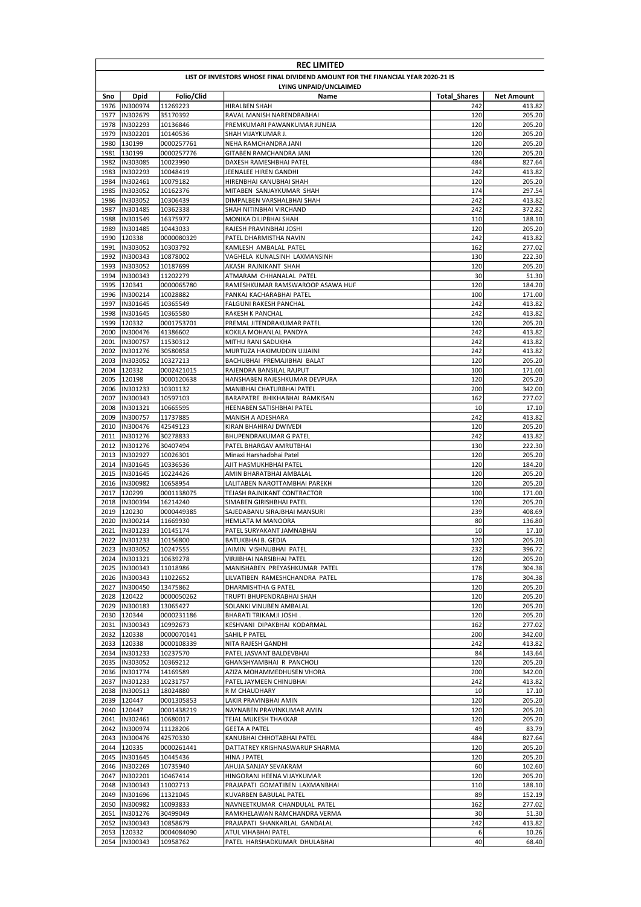|              | <b>REC LIMITED</b>                                                              |                          |                                                             |                            |                      |  |  |  |
|--------------|---------------------------------------------------------------------------------|--------------------------|-------------------------------------------------------------|----------------------------|----------------------|--|--|--|
|              | LIST OF INVESTORS WHOSE FINAL DIVIDEND AMOUNT FOR THE FINANCIAL YEAR 2020-21 IS |                          |                                                             |                            |                      |  |  |  |
|              | LYING UNPAID/UNCLAIMED                                                          |                          |                                                             |                            |                      |  |  |  |
| Sno<br>1976  | Dpid<br>IN300974                                                                | Folio/Clid<br>11269223   | Name<br>HIRALBEN SHAH                                       | <b>Total Shares</b><br>242 | Net Amount<br>413.82 |  |  |  |
| 1977         | IN302679                                                                        | 35170392                 | RAVAL MANISH NARENDRABHAI                                   | 120                        | 205.20               |  |  |  |
| 1978         | IN302293                                                                        | 10136846                 | PREMKUMARI PAWANKUMAR JUNEJA                                | 120                        | 205.20               |  |  |  |
| 1979         | IN302201                                                                        | 10140536                 | SHAH VIJAYKUMAR J.                                          | 120                        | 205.20               |  |  |  |
| 1980         | 130199                                                                          | 0000257761               | NEHA RAMCHANDRA JANI                                        | 120                        | 205.20               |  |  |  |
| 1981         | 130199                                                                          | 0000257776               | GITABEN RAMCHANDRA JANI                                     | 120                        | 205.20               |  |  |  |
| 1982         | IN303085                                                                        | 10023990                 | DAXESH RAMESHBHAI PATEL                                     | 484                        | 827.64               |  |  |  |
| 1983<br>1984 | IN302293<br>IN302461                                                            | 10048419<br>10079182     | JEENALEE HIREN GANDHI<br>HIRENBHAI KANUBHAI SHAH            | 242<br>120                 | 413.82<br>205.20     |  |  |  |
| 1985         | IN303052                                                                        | 10162376                 | MITABEN SANJAYKUMAR SHAH                                    | 174                        | 297.54               |  |  |  |
| 1986         | IN303052                                                                        | 10306439                 | DIMPALBEN VARSHALBHAI SHAH                                  | 242                        | 413.82               |  |  |  |
| 1987         | IN301485                                                                        | 10362338                 | SHAH NITINBHAI VIRCHAND                                     | 242                        | 372.82               |  |  |  |
| 1988         | IN301549                                                                        | 16375977                 | MONIKA DILIPBHAI SHAH                                       | 110                        | 188.10               |  |  |  |
| 1989         | IN301485                                                                        | 10443033                 | RAJESH PRAVINBHAI JOSHI                                     | 120                        | 205.20               |  |  |  |
| 1990         | 120338                                                                          | 0000080329               | PATEL DHARMISTHA NAVIN                                      | 242                        | 413.82               |  |  |  |
| 1991<br>1992 | IN303052                                                                        | 10303792                 | KAMLESH AMBALAL PATEL                                       | 162                        | 277.02<br>222.30     |  |  |  |
| 1993         | IN300343<br>IN303052                                                            | 10878002<br>10187699     | VAGHELA KUNALSINH LAXMANSINH<br>AKASH RAJNIKANT SHAH        | 130<br>120                 | 205.20               |  |  |  |
| 1994         | IN300343                                                                        | 11202279                 | ATMARAM CHHANALAL PATEL                                     | 30                         | 51.30                |  |  |  |
| 1995         | 120341                                                                          | 0000065780               | RAMESHKUMAR RAMSWAROOP ASAWA HUF                            | 120                        | 184.20               |  |  |  |
| 1996         | IN300214                                                                        | 10028882                 | PANKAJ KACHARABHAI PATEL                                    | 100                        | 171.00               |  |  |  |
| 1997         | IN301645                                                                        | 10365549                 | FALGUNI RAKESH PANCHAL                                      | 242                        | 413.82               |  |  |  |
| 1998         | IN301645                                                                        | 10365580                 | RAKESH K PANCHAL                                            | 242                        | 413.82               |  |  |  |
| 1999         | 120332                                                                          | 0001753701               | PREMAL JITENDRAKUMAR PATEL                                  | 120                        | 205.20               |  |  |  |
| 2000         | IN300476                                                                        | 41386602                 | KOKILA MOHANLAL PANDYA                                      | 242                        | 413.82               |  |  |  |
| 2001         | IN300757                                                                        | 11530312                 | MITHU RANI SADUKHA                                          | 242                        | 413.82               |  |  |  |
| 2002         | IN301276                                                                        | 30580858                 | MURTUZA HAKIMUDDIN UJJAINI                                  | 242                        | 413.82               |  |  |  |
| 2003         | IN303052                                                                        | 10327213                 | BACHUBHAI PREMAJIBHAI BALAT                                 | 120                        | 205.20               |  |  |  |
| 2004<br>2005 | 120332<br>120198                                                                | 0002421015<br>0000120638 | RAJENDRA BANSILAL RAJPUT<br>HANSHABEN RAJESHKUMAR DEVPURA   | 100<br>120                 | 171.00<br>205.20     |  |  |  |
| 2006         | IN301233                                                                        | 10301132                 | MANIBHAI CHATURBHAI PATEL                                   | 200                        | 342.00               |  |  |  |
| 2007         | IN300343                                                                        | 10597103                 | BARAPATRE BHIKHABHAI RAMKISAN                               | 162                        | 277.02               |  |  |  |
| 2008         | IN301321                                                                        | 10665595                 | HEENABEN SATISHBHAI PATEL                                   | 10                         | 17.10                |  |  |  |
| 2009         | IN300757                                                                        | 11737885                 | MANISH A ADESHARA                                           | 242                        | 413.82               |  |  |  |
| 2010         | IN300476                                                                        | 42549123                 | KIRAN BHAHIRAJ DWIVEDI                                      | 120                        | 205.20               |  |  |  |
| 2011         | IN301276                                                                        | 30278833                 | BHUPENDRAKUMAR G PATEL                                      | 242                        | 413.82               |  |  |  |
| 2012         | IN301276                                                                        | 30407494                 | PATEL BHARGAV AMRUTBHAI                                     | 130                        | 222.30               |  |  |  |
| 2013<br>2014 | IN302927<br>IN301645                                                            | 10026301                 | Minaxi Harshadbhai Patel                                    | 120<br>120                 | 205.20<br>184.20     |  |  |  |
| 2015         | IN301645                                                                        | 10336536<br>10224426     | AJIT HASMUKHBHAI PATEL<br>AMIN BHARATBHAI AMBALAL           | 120                        | 205.20               |  |  |  |
| 2016         | IN300982                                                                        | 10658954                 | LALITABEN NAROTTAMBHAI PAREKH                               | 120                        | 205.20               |  |  |  |
| 2017         | 120299                                                                          | 0001138075               | TEJASH RAJNIKANT CONTRACTOR                                 | 100                        | 171.00               |  |  |  |
| 2018         | IN300394                                                                        | 16214240                 | SIMABEN GIRISHBHAI PATEL                                    | 120                        | 205.20               |  |  |  |
| 2019         | 120230                                                                          | 0000449385               | SAJEDABANU SIRAJBHAI MANSURI                                | 239                        | 408.69               |  |  |  |
| 2020         | IN300214                                                                        | 11669930                 | <b>HEMLATA M MANOORA</b>                                    | 80                         | 136.80               |  |  |  |
| 2021         | IN301233                                                                        | 10145174                 | PATEL SURYAKANT JAMNABHAI                                   | 10                         | 17.10                |  |  |  |
|              | 2022  IN301233                                                                  | 10156800                 | <b>BATUKBHAI B. GEDIA</b>                                   | 120                        | 205.20               |  |  |  |
|              | 2023  IN303052<br>2024  IN301321                                                | 10247555                 | JAIMIN VISHNUBHAI PATEL<br>VIRJIBHAI NARSIBHAI PATEL        | 232<br>120                 | 396.72<br>205.20     |  |  |  |
|              | 2025  IN300343                                                                  | 10639278<br>11018986     | MANISHABEN PREYASHKUMAR PATEL                               | 178                        | 304.38               |  |  |  |
|              | 2026  IN300343                                                                  | 11022652                 | LILVATIBEN RAMESHCHANDRA PATEL                              | 178                        | 304.38               |  |  |  |
|              | 2027  IN300450                                                                  | 13475862                 | DHARMISHTHA G PATEL                                         | 120                        | 205.20               |  |  |  |
|              | 2028 120422                                                                     | 0000050262               | TRUPTI BHUPENDRABHAI SHAH                                   | 120                        | 205.20               |  |  |  |
|              | 2029  IN300183                                                                  | 13065427                 | SOLANKI VINUBEN AMBALAL                                     | 120                        | 205.20               |  |  |  |
|              | 2030 120344                                                                     | 0000231186               | BHARATI TRIKAMJI JOSHI.                                     | 120                        | 205.20               |  |  |  |
|              | 2031  IN300343                                                                  | 10992673                 | KESHVANI DIPAKBHAI KODARMAL                                 | 162                        | 277.02               |  |  |  |
|              | 2032 120338<br>2033 120338                                                      | 0000070141               | SAHIL P PATEL<br>NITA RAJESH GANDHI                         | 200<br>242                 | 342.00<br>413.82     |  |  |  |
|              | 2034  IN301233                                                                  | 0000108339<br>10237570   | PATEL JASVANT BALDEVBHAI                                    | 84                         | 143.64               |  |  |  |
|              | 2035  IN303052                                                                  | 10369212                 | GHANSHYAMBHAI R PANCHOLI                                    | 120                        | 205.20               |  |  |  |
|              | 2036 IN301774                                                                   | 14169589                 | AZIZA MOHAMMEDHUSEN VHORA                                   | 200                        | 342.00               |  |  |  |
|              | 2037  IN301233                                                                  | 10231757                 | PATEL JAYMEEN CHINUBHAI                                     | 242                        | 413.82               |  |  |  |
|              | 2038  IN300513                                                                  | 18024880                 | R M CHAUDHARY                                               | 10                         | 17.10                |  |  |  |
|              | 2039 120447                                                                     | 0001305853               | LAKIR PRAVINBHAI AMIN                                       | 120                        | 205.20               |  |  |  |
|              | 2040 120447                                                                     | 0001438219               | NAYNABEN PRAVINKUMAR AMIN                                   | 120                        | 205.20               |  |  |  |
|              | 2041  IN302461                                                                  | 10680017                 | TEJAL MUKESH THAKKAR                                        | 120                        | 205.20               |  |  |  |
| 2042         | IN300974                                                                        | 11128206                 | <b>GEETA A PATEL</b>                                        | 49                         | 83.79                |  |  |  |
| 2043<br>2044 | IN300476<br>120335                                                              | 42570330<br>0000261441   | KANUBHAI CHHOTABHAI PATEL<br>DATTATREY KRISHNASWARUP SHARMA | 484<br>120                 | 827.64<br>205.20     |  |  |  |
| 2045         | IN301645                                                                        | 10445436                 | HINA J PATEL                                                | 120                        | 205.20               |  |  |  |
| 2046         | IN302269                                                                        | 10735940                 | AHUJA SANJAY SEVAKRAM                                       | 60                         | 102.60               |  |  |  |
|              | 2047  IN302201                                                                  | 10467414                 | HINGORANI HEENA VIJAYKUMAR                                  | 120                        | 205.20               |  |  |  |
|              | 2048  IN300343                                                                  | 11002713                 | PRAJAPATI GOMATIBEN LAXMANBHAI                              | 110                        | 188.10               |  |  |  |
|              | 2049  IN301696                                                                  | 11321045                 | KUVARBEN BABULAL PATEL                                      | 89                         | 152.19               |  |  |  |
|              | 2050  IN300982                                                                  | 10093833                 | NAVNEETKUMAR CHANDULAL PATEL                                | 162                        | 277.02               |  |  |  |
|              | 2051  IN301276                                                                  | 30499049                 | RAMKHELAWAN RAMCHANDRA VERMA                                | 30                         | 51.30                |  |  |  |
| 2052         | IN300343                                                                        | 10858679                 | PRAJAPATI SHANKARLAL GANDALAL                               | 242                        | 413.82               |  |  |  |
|              | 2053 120332                                                                     | 0004084090               | ATUL VIHABHAI PATEL                                         | 6                          | 10.26                |  |  |  |
|              | 2054  IN300343                                                                  | 10958762                 | PATEL HARSHADKUMAR DHULABHAI                                | 40                         | 68.40                |  |  |  |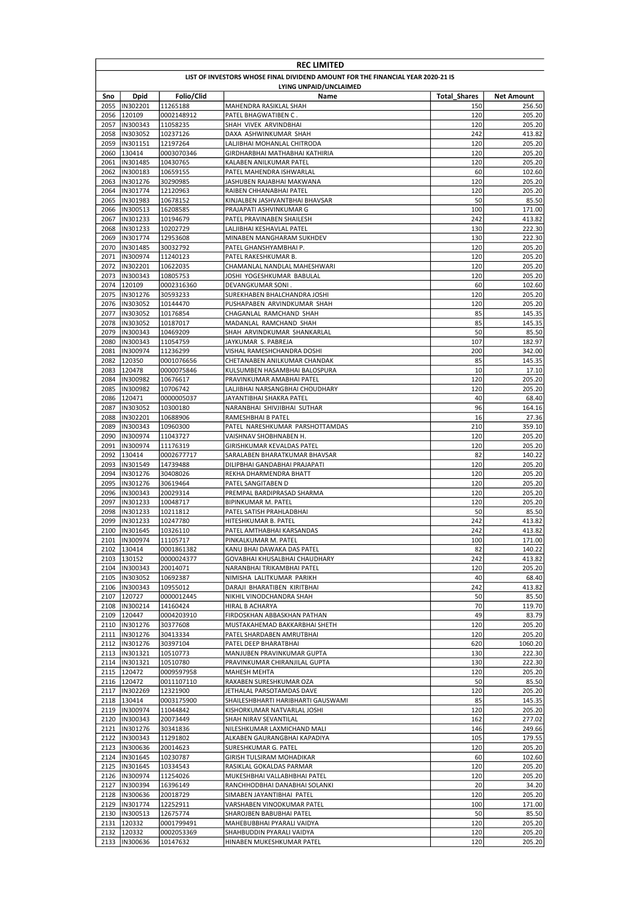|              | <b>REC LIMITED</b>                                                              |                          |                                                             |                     |                   |  |  |
|--------------|---------------------------------------------------------------------------------|--------------------------|-------------------------------------------------------------|---------------------|-------------------|--|--|
|              | LIST OF INVESTORS WHOSE FINAL DIVIDEND AMOUNT FOR THE FINANCIAL YEAR 2020-21 IS |                          |                                                             |                     |                   |  |  |
|              |                                                                                 |                          | LYING UNPAID/UNCLAIMED                                      |                     |                   |  |  |
| Sno          | Dpid                                                                            | Folio/Clid               | Name                                                        | <b>Total Shares</b> | Net Amount        |  |  |
| 2055<br>2056 | IN302201<br>120109                                                              | 11265188<br>0002148912   | MAHENDRA RASIKLAL SHAH<br>PATEL BHAGWATIBEN C.              | 150<br>120          | 256.50<br>205.20  |  |  |
| 2057         | IN300343                                                                        | 11058235                 | SHAH VIVEK ARVINDBHAI                                       | 120                 | 205.20            |  |  |
| 2058         | IN303052                                                                        | 10237126                 | DAXA ASHWINKUMAR SHAH                                       | 242                 | 413.82            |  |  |
| 2059         | IN301151                                                                        | 12197264                 | LALJIBHAI MOHANLAL CHITRODA                                 | 120                 | 205.20            |  |  |
| 2060         | 130414                                                                          | 0003070346               | GIRDHARBHAI MATHABHAI KATHIRIA                              | 120                 | 205.20            |  |  |
| 2061         | IN301485                                                                        | 10430765                 | KALABEN ANILKUMAR PATEL                                     | 120                 | 205.20            |  |  |
| 2062         | IN300183                                                                        | 10659155                 | PATEL MAHENDRA ISHWARLAL                                    | 60                  | 102.60            |  |  |
| 2063         | IN301276                                                                        | 30290985                 | JASHUBEN RAJABHAI MAKWANA                                   | 120                 | 205.20            |  |  |
| 2064<br>2065 | IN301774<br>IN301983                                                            | 12120963<br>10678152     | RAIBEN CHHANABHAI PATEL<br>KINJALBEN JASHVANTBHAI BHAVSAR   | 120<br>50           | 205.20<br>85.50   |  |  |
| 2066         | IN300513                                                                        | 16208585                 | PRAJAPATI ASHVINKUMAR G                                     | 100                 | 171.00            |  |  |
| 2067         | IN301233                                                                        | 10194679                 | PATEL PRAVINABEN SHAILESH                                   | 242                 | 413.82            |  |  |
| 2068         | IN301233                                                                        | 10202729                 | LALJIBHAI KESHAVLAL PATEL                                   | 130                 | 222.30            |  |  |
| 2069         | IN301774                                                                        | 12953608                 | MINABEN MANGHARAM SUKHDEV                                   | 130                 | 222.30            |  |  |
| 2070         | IN301485                                                                        | 30032792                 | PATEL GHANSHYAMBHAI P.                                      | 120                 | 205.20            |  |  |
| 2071         | IN300974                                                                        | 11240123                 | PATEL RAKESHKUMAR B.                                        | 120                 | 205.20            |  |  |
| 2072         | IN302201                                                                        | 10622035                 | CHAMANLAL NANDLAL MAHESHWARI                                | 120                 | 205.20            |  |  |
| 2073<br>2074 | IN300343<br>120109                                                              | 10805753<br>0002316360   | JOSHI YOGESHKUMAR BABULAL<br>DEVANGKUMAR SONI.              | 120<br>60           | 205.20<br>102.60  |  |  |
| 2075         | IN301276                                                                        | 30593233                 | SUREKHABEN BHALCHANDRA JOSHI                                | 120                 | 205.20            |  |  |
| 2076         | IN303052                                                                        | 10144470                 | PUSHAPABEN ARVINDKUMAR SHAH                                 | 120                 | 205.20            |  |  |
| 2077         | <b>IN303052</b>                                                                 | 10176854                 | CHAGANLAL RAMCHAND SHAH                                     | 85                  | 145.35            |  |  |
| 2078         | IN303052                                                                        | 10187017                 | MADANLAL RAMCHAND SHAH                                      | 85                  | 145.35            |  |  |
| 2079         | IN300343                                                                        | 10469209                 | SHAH ARVINDKUMAR SHANKARLAL                                 | 50                  | 85.50             |  |  |
| 2080         | IN300343                                                                        | 11054759                 | JAYKUMAR S. PABREJA                                         | 107                 | 182.97            |  |  |
| 2081         | IN300974                                                                        | 11236299                 | VISHAL RAMESHCHANDRA DOSHI                                  | 200                 | 342.00            |  |  |
| 2082         | 120350                                                                          | 0001076656               | CHETANABEN ANILKUMAR CHANDAK                                | 85                  | 145.35            |  |  |
| 2083<br>2084 | 120478<br>IN300982                                                              | 0000075846<br>10676617   | KULSUMBEN HASAMBHAI BALOSPURA<br>PRAVINKUMAR AMABHAI PATEL  | 10<br>120           | 17.10<br>205.20   |  |  |
| 2085         | IN300982                                                                        | 10706742                 | LALJIBHAI NARSANGBHAI CHOUDHARY                             | 120                 | 205.20            |  |  |
| 2086         | 120471                                                                          | 0000005037               | JAYANTIBHAI SHAKRA PATEL                                    | 40                  | 68.40             |  |  |
| 2087         | IN303052                                                                        | 10300180                 | NARANBHAI SHIVJIBHAI SUTHAR                                 | 96                  | 164.16            |  |  |
| 2088         | IN302201                                                                        | 10688906                 | RAMESHBHAI B PATEL                                          | 16                  | 27.36             |  |  |
| 2089         | IN300343                                                                        | 10960300                 | PATEL NARESHKUMAR PARSHOTTAMDAS                             | 210                 | 359.10            |  |  |
| 2090         | IN300974                                                                        | 11043727                 | VAISHNAV SHOBHNABEN H.                                      | 120                 | 205.20            |  |  |
| 2091         | IN300974                                                                        | 11176319                 | GIRISHKUMAR KEVALDAS PATEL                                  | 120                 | 205.20            |  |  |
| 2092<br>2093 | 130414<br>IN301549                                                              | 0002677717<br>14739488   | SARALABEN BHARATKUMAR BHAVSAR                               | 82<br>120           | 140.22            |  |  |
| 2094         | IN301276                                                                        | 30408026                 | DILIPBHAI GANDABHAI PRAJAPATI<br>REKHA DHARMENDRA BHATT     | 120                 | 205.20<br>205.20  |  |  |
| 2095         | IN301276                                                                        | 30619464                 | PATEL SANGITABEN D                                          | 120                 | 205.20            |  |  |
| 2096         | IN300343                                                                        | 20029314                 | PREMPAL BARDIPRASAD SHARMA                                  | 120                 | 205.20            |  |  |
| 2097         | IN301233                                                                        | 10048717                 | BIPINKUMAR M. PATEL                                         | 120                 | 205.20            |  |  |
| 2098         | IN301233                                                                        | 10211812                 | PATEL SATISH PRAHLADBHAI                                    | 50                  | 85.50             |  |  |
| 2099         | IN301233                                                                        | 10247780                 | HITESHKUMAR B. PATEL                                        | 242                 | 413.82            |  |  |
| 2100         | IN301645                                                                        | 10326110                 | PATEL AMTHABHAI KARSANDAS                                   | 242                 | 413.82            |  |  |
| 2101         | IN300974                                                                        | 11105717                 | PINKALKUMAR M. PATEL                                        | 100                 | 171.00            |  |  |
|              | 2102 130414<br>2103 130152                                                      | 0001861382<br>0000024377 | KANU BHAI DAWAKA DAS PATEL<br>GOVABHAI KHUSALBHAI CHAUDHARY | 82<br>242           | 140.22<br>413.82  |  |  |
|              | 2104  IN300343                                                                  | 20014071                 | NARANBHAI TRIKAMBHAI PATEL                                  | 120                 | 205.20            |  |  |
|              | 2105  IN303052                                                                  | 10692387                 | NIMISHA LALITKUMAR PARIKH                                   | 40                  | 68.40             |  |  |
|              | 2106  IN300343                                                                  | 10955012                 | DARAJI BHARATIBEN KIRITBHAI                                 | 242                 | 413.82            |  |  |
|              | 2107 120727                                                                     | 0000012445               | NIKHIL VINODCHANDRA SHAH                                    | 50                  | 85.50             |  |  |
|              | 2108  IN300214                                                                  | 14160424                 | HIRAL B ACHARYA                                             | 70                  | 119.70            |  |  |
|              | 2109 120447                                                                     | 0004203910               | FIRDOSKHAN ABBASKHAN PATHAN                                 | 49                  | 83.79             |  |  |
|              | 2110  IN301276<br>2111  IN301276                                                | 30377608                 | MUSTAKAHEMAD BAKKARBHAI SHETH                               | 120                 | 205.20            |  |  |
|              | 2112  IN301276                                                                  | 30413334<br>30397104     | PATEL SHARDABEN AMRUTBHAI<br>PATEL DEEP BHARATBHAI          | 120<br>620          | 205.20<br>1060.20 |  |  |
|              | 2113  IN301321                                                                  | 10510773                 | MANJUBEN PRAVINKUMAR GUPTA                                  | 130                 | 222.30            |  |  |
|              | 2114  IN301321                                                                  | 10510780                 | PRAVINKUMAR CHIRANJILAL GUPTA                               | 130                 | 222.30            |  |  |
|              | 2115 120472                                                                     | 0009597958               | MAHESH MEHTA                                                | 120                 | 205.20            |  |  |
|              | 2116 120472                                                                     | 0011107110               | RAXABEN SURESHKUMAR OZA                                     | 50                  | 85.50             |  |  |
|              | 2117  IN302269                                                                  | 12321900                 | JETHALAL PARSOTAMDAS DAVE                                   | 120                 | 205.20            |  |  |
|              | 2118 130414                                                                     | 0003175900               | SHAILESHBHARTI HARIBHARTI GAUSWAMI                          | 85                  | 145.35            |  |  |
|              | 2119  IN300974                                                                  | 11044842                 | KISHORKUMAR NATVARLAL JOSHI                                 | 120                 | 205.20            |  |  |
|              | 2120  IN300343                                                                  | 20073449                 | SHAH NIRAV SEVANTILAL                                       | 162                 | 277.02            |  |  |
|              | 2121  IN301276<br>2122  IN300343                                                | 30341836<br>11291802     | NILESHKUMAR LAXMICHAND MALI<br>ALKABEN GAURANGBHAI KAPADIYA | 146<br>105          | 249.66<br>179.55  |  |  |
|              | 2123  IN300636                                                                  | 20014623                 | SURESHKUMAR G. PATEL                                        | 120                 | 205.20            |  |  |
|              | 2124  IN301645                                                                  | 10230787                 | GIRISH TULSIRAM MOHADIKAR                                   | 60                  | 102.60            |  |  |
| 2125         | IN301645                                                                        | 10334543                 | RASIKLAL GOKALDAS PARMAR                                    | 120                 | 205.20            |  |  |
|              | 2126  IN300974                                                                  | 11254026                 | MUKESHBHAI VALLABHBHAI PATEL                                | 120                 | 205.20            |  |  |
|              | 2127  IN300394                                                                  | 16396149                 | RANCHHODBHAI DANABHAI SOLANKI                               | 20                  | 34.20             |  |  |
|              | 2128  IN300636                                                                  | 20018729                 | SIMABEN JAYANTIBHAI PATEL                                   | 120                 | 205.20            |  |  |
|              | 2129  IN301774                                                                  | 12252911                 | VARSHABEN VINODKUMAR PATEL                                  | 100                 | 171.00            |  |  |
|              | 2130  IN300513<br>2131 120332                                                   | 12675774                 | SHAROJBEN BABUBHAI PATEL                                    | 50<br>120           | 85.50             |  |  |
|              | 2132 120332                                                                     | 0001799491<br>0002053369 | MAHEBUBBHAI PYARALI VAIDYA<br>SHAHBUDDIN PYARALI VAIDYA     | 120                 | 205.20<br>205.20  |  |  |
|              | 2133  IN300636                                                                  | 10147632                 | HINABEN MUKESHKUMAR PATEL                                   | 120                 | 205.20            |  |  |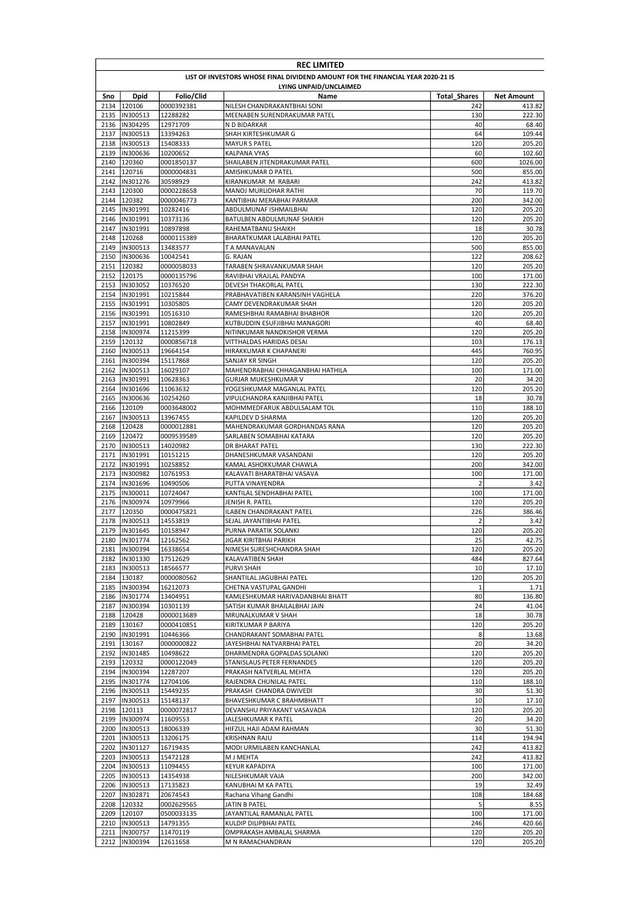|              | <b>REC LIMITED</b>                                                              |                        |                                                        |                     |                  |  |  |
|--------------|---------------------------------------------------------------------------------|------------------------|--------------------------------------------------------|---------------------|------------------|--|--|
|              | LIST OF INVESTORS WHOSE FINAL DIVIDEND AMOUNT FOR THE FINANCIAL YEAR 2020-21 IS |                        |                                                        |                     |                  |  |  |
|              | LYING UNPAID/UNCLAIMED                                                          |                        |                                                        |                     |                  |  |  |
| Sno          | Dpid                                                                            | Folio/Clid             | Name                                                   | <b>Total Shares</b> | Net Amount       |  |  |
| 2135         | 2134 120106<br>IN300513                                                         | 0000392381<br>12288282 | NILESH CHANDRAKANTBHAI SONI                            | 242<br>130          | 413.82<br>222.30 |  |  |
| 2136         | IN304295                                                                        | 12971709               | MEENABEN SURENDRAKUMAR PATEL<br>N D BIDARKAR           | 40                  | 68.40            |  |  |
| 2137         | IN300513                                                                        | 13394263               | SHAH KIRTESHKUMAR G                                    | 64                  | 109.44           |  |  |
| 2138         | IN300513                                                                        | 15408333               | <b>MAYUR S PATEL</b>                                   | 120                 | 205.20           |  |  |
| 2139         | IN300636                                                                        | 10200652               | <b>KALPANA VYAS</b>                                    | 60                  | 102.60           |  |  |
| 2140         | 120360                                                                          | 0001850137             | SHAILABEN JITENDRAKUMAR PATEL                          | 600                 | 1026.00          |  |  |
|              | 2141 120716                                                                     | 0000004831             | AMISHKUMAR D PATEL                                     | 500                 | 855.00           |  |  |
| 2142         | IN301276                                                                        | 30598929               | KIRANKUMAR M RABARI                                    | 242                 | 413.82           |  |  |
|              | 2143 120300<br>2144 120382                                                      | 0000228658             | MANOJ MURLIDHAR RATHI<br>KANTIBHAI MERABHAI PARMAR     | 70<br>200           | 119.70           |  |  |
| 2145         | IN301991                                                                        | 0000046773<br>10282416 | ABDULMUNAF ISHMAILBHAI                                 | 120                 | 342.00<br>205.20 |  |  |
|              | 2146  IN301991                                                                  | 10373136               | BATULBEN ABDULMUNAF SHAIKH                             | 120                 | 205.20           |  |  |
|              | 2147  IN301991                                                                  | 10897898               | RAHEMATBANU SHAIKH                                     | 18                  | 30.78            |  |  |
| 2148         | 120268                                                                          | 0000115389             | BHARATKUMAR LALABHAI PATEL                             | 120                 | 205.20           |  |  |
| 2149         | IN300513                                                                        | 13483577               | T A MANAVALAN                                          | 500                 | 855.00           |  |  |
|              | 2150  IN300636                                                                  | 10042541               | G. RAJAN                                               | 122                 | 208.62           |  |  |
| 2151         | 120382                                                                          | 0000058033             | TARABEN SHRAVANKUMAR SHAH                              | 120                 | 205.20           |  |  |
| 2152         | 120175                                                                          | 0000135796             | RAVIBHAI VRAJLAL PANDYA                                | 100                 | 171.00           |  |  |
|              | 2153  IN303052                                                                  | 10376520               | DEVESH THAKORLAL PATEL                                 | 130                 | 222.30           |  |  |
| 2154         | IN301991                                                                        | 10215844<br>10305805   | PRABHAVATIBEN KARANSINH VAGHELA                        | 220<br>120          | 376.20           |  |  |
|              | 2155  IN301991<br>2156 IN301991                                                 | 10516310               | CAMY DEVENDRAKUMAR SHAH<br>RAMESHBHAI RAMABHAI BHABHOR | 120                 | 205.20<br>205.20 |  |  |
|              | 2157  IN301991                                                                  | 10802849               | KUTBUDDIN ESUFJIBHAI MANAGORI                          | 40                  | 68.40            |  |  |
| 2158         | IN300974                                                                        | 11215399               | NITINKUMAR NANDKISHOR VERMA                            | 120                 | 205.20           |  |  |
|              | 2159 120132                                                                     | 0000856718             | VITTHALDAS HARIDAS DESAI                               | 103                 | 176.13           |  |  |
|              | 2160  IN300513                                                                  | 19664154               | HIRAKKUMAR K CHAPANERI                                 | 445                 | 760.95           |  |  |
| 2161         | IN300394                                                                        | 15117868               | SANJAY KR SINGH                                        | 120                 | 205.20           |  |  |
| 2162         | IN300513                                                                        | 16029107               | MAHENDRABHAI CHHAGANBHAI HATHILA                       | 100                 | 171.00           |  |  |
| 2163         | IN301991                                                                        | 10628363               | <b>GURJAR MUKESHKUMAR V</b>                            | 20                  | 34.20            |  |  |
| 2164         | IN301696                                                                        | 11063632               | YOGESHKUMAR MAGANLAL PATEL                             | 120                 | 205.20           |  |  |
| 2165         | IN300636                                                                        | 10254260               | VIPULCHANDRA KANJIBHAI PATEL                           | 18<br>110           | 30.78            |  |  |
| 2166<br>2167 | 120109<br>IN300513                                                              | 0003648002<br>13967455 | MOHMMEDFARUK ABDULSALAM TOL<br>KAPILDEV D SHARMA       | 120                 | 188.10<br>205.20 |  |  |
| 2168         | 120428                                                                          | 0000012881             | MAHENDRAKUMAR GORDHANDAS RANA                          | 120                 | 205.20           |  |  |
|              | 2169 120472                                                                     | 0009539589             | SARLABEN SOMABHAI KATARA                               | 120                 | 205.20           |  |  |
| 2170         | IN300513                                                                        | 14020982               | DR BHARAT PATEL                                        | 130                 | 222.30           |  |  |
| 2171         | IN301991                                                                        | 10151215               | DHANESHKUMAR VASANDANI                                 | 120                 | 205.20           |  |  |
|              | 2172  IN301991                                                                  | 10258852               | KAMAL ASHOKKUMAR CHAWLA                                | 200                 | 342.00           |  |  |
| 2173         | IN300982                                                                        | 10761953               | KALAVATI BHARATBHAI VASAVA                             | 100                 | 171.00           |  |  |
| 2174         | IN301696                                                                        | 10490506               | PUTTA VINAYENDRA                                       | 2                   | 3.42             |  |  |
| 2175         | IN300011                                                                        | 10724047               | KANTILAL SENDHABHAI PATEL                              | 100                 | 171.00           |  |  |
| 2176         | IN300974                                                                        | 10979966               | JENISH R. PATEL                                        | 120<br>226          | 205.20<br>386.46 |  |  |
| 2177<br>2178 | 120350<br>IN300513                                                              | 0000475821<br>14553819 | ILABEN CHANDRAKANT PATEL<br>SEJAL JAYANTIBHAI PATEL    | $\overline{2}$      | 3.42             |  |  |
| 2179         | IN301645                                                                        | 10158947               | PURNA PARATIK SOLANKI                                  | 120                 | 205.20           |  |  |
|              | 2180  IN301774                                                                  | 12162562               | JIGAR KIRITBHAI PARIKH                                 | 25                  | 42.75            |  |  |
|              | 2181  IN300394                                                                  | 16338654               | NIMESH SURESHCHANDRA SHAH                              | 120                 | 205.20           |  |  |
|              | 2182  IN301330                                                                  | 17512629               | KALAVATIBEN SHAH                                       | 484                 | 827.64           |  |  |
|              | 2183  IN300513                                                                  | 18566577               | PURVI SHAH                                             | 10                  | 17.10            |  |  |
|              | 2184 130187                                                                     | 0000080562             | SHANTILAL JAGUBHAI PATEL                               | 120                 | 205.20           |  |  |
| 2185         | IN300394                                                                        | 16212073               | CHETNA VASTUPAL GANDHI                                 | $\mathbf 1$         | 1.71             |  |  |
| 2186         | IN301774                                                                        | 13404951               | KAMLESHKUMAR HARIVADANBHAI BHATT                       | 80                  | 136.80           |  |  |
| 2187         | IN300394<br>2188 120428                                                         | 10301139<br>0000013689 | SATISH KUMAR BHAILALBHAI JAIN<br>MRUNALKUMAR V SHAH    | 24<br>18            | 41.04<br>30.78   |  |  |
| 2189         | 130167                                                                          | 0000410851             | KIRITKUMAR P BARIYA                                    | 120                 | 205.20           |  |  |
|              | 2190  IN301991                                                                  | 10446366               | CHANDRAKANT SOMABHAI PATEL                             | 8                   | 13.68            |  |  |
|              | 2191 130167                                                                     | 0000000822             | JAYESHBHAI NATVARBHAI PATEL                            | 20                  | 34.20            |  |  |
|              | 2192  IN301485                                                                  | 10498622               | DHARMENDRA GOPALDAS SOLANKI                            | 120                 | 205.20           |  |  |
|              | 2193 120332                                                                     | 0000122049             | STANISLAUS PETER FERNANDES                             | 120                 | 205.20           |  |  |
|              | 2194  IN300394                                                                  | 12287207               | PRAKASH NATVERLAL MEHTA                                | 120                 | 205.20           |  |  |
|              | 2195  IN301774                                                                  | 12704106               | RAJENDRA CHUNILAL PATEL                                | 110                 | 188.10           |  |  |
|              | 2196  IN300513                                                                  | 15449235               | PRAKASH CHANDRA DWIVEDI                                | 30                  | 51.30            |  |  |
|              | 2197  IN300513                                                                  | 15148137               | BHAVESHKUMAR C BRAHMBHATT                              | 10                  | 17.10            |  |  |
| 2199         | 2198 120113<br>IN300974                                                         | 0000072817<br>11609553 | DEVANSHU PRIYAKANT VASAVADA<br>JALESHKUMAR K PATEL     | 120<br>20           | 205.20<br>34.20  |  |  |
|              | 2200  IN300513                                                                  | 18006339               | HIFZUL HAJI ADAM RAHMAN                                | 30                  | 51.30            |  |  |
| 2201         | IN300513                                                                        | 13206175               | KRISHNAN RAJU                                          | 114                 | 194.94           |  |  |
| 2202         | IN301127                                                                        | 16719435               | MODI URMILABEN KANCHANLAL                              | 242                 | 413.82           |  |  |
|              | 2203  IN300513                                                                  | 15472128               | M J MEHTA                                              | 242                 | 413.82           |  |  |
|              | 2204  IN300513                                                                  | 11094455               | <b>KEYUR KAPADIYA</b>                                  | 100                 | 171.00           |  |  |
|              | 2205  IN300513                                                                  | 14354938               | NILESHKUMAR VAJA                                       | 200                 | 342.00           |  |  |
|              | 2206  IN300513                                                                  | 17135823               | KANUBHAI M KA PATEL                                    | 19                  | 32.49            |  |  |
|              | 2207   IN302871                                                                 | 20674543               | Rachana Vihang Gandhi                                  | 108                 | 184.68           |  |  |
|              | 2208 120332                                                                     | 0002629565             | JATIN B PATEL                                          | 5                   | 8.55             |  |  |
|              | 2209 120107<br>2210  IN300513                                                   | 0500033135<br>14791355 | JAYANTILAL RAMANLAL PATEL<br>KULDIP DILIPBHAI PATEL    | 100<br>246          | 171.00<br>420.66 |  |  |
|              | 2211  IN300757                                                                  | 11470119               | OMPRAKASH AMBALAL SHARMA                               | 120                 | 205.20           |  |  |
|              | 2212 IN300394                                                                   | 12611658               | M N RAMACHANDRAN                                       | 120                 | 205.20           |  |  |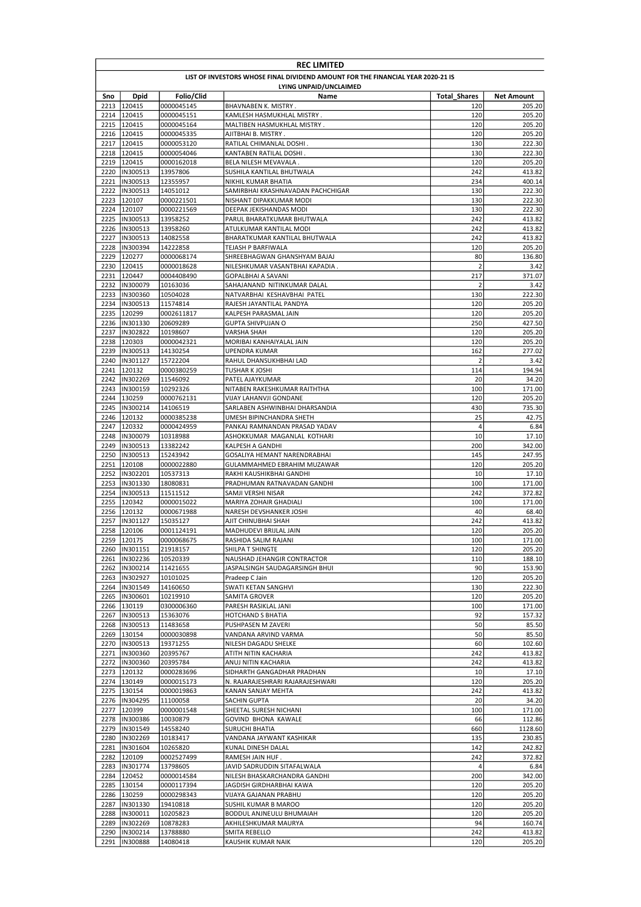|      | <b>REC LIMITED</b>                                                              |                          |                                                              |                     |                  |  |  |  |
|------|---------------------------------------------------------------------------------|--------------------------|--------------------------------------------------------------|---------------------|------------------|--|--|--|
|      | LIST OF INVESTORS WHOSE FINAL DIVIDEND AMOUNT FOR THE FINANCIAL YEAR 2020-21 IS |                          |                                                              |                     |                  |  |  |  |
|      | LYING UNPAID/UNCLAIMED                                                          |                          |                                                              |                     |                  |  |  |  |
| Sno  | Dpid                                                                            | Folio/Clid               | Name                                                         | <b>Total Shares</b> | Net Amount       |  |  |  |
|      | 2213 120415<br>2214 120415                                                      | 0000045145               | BHAVNABEN K. MISTRY.<br>KAMLESH HASMUKHLAL MISTRY.           | 120<br>120          | 205.20<br>205.20 |  |  |  |
|      | 2215 120415                                                                     | 0000045151<br>0000045164 | MALTIBEN HASMUKHLAL MISTRY.                                  | 120                 | 205.20           |  |  |  |
|      | 2216 120415                                                                     | 0000045335               | AJITBHAI B. MISTRY.                                          | 120                 | 205.20           |  |  |  |
| 2217 | 120415                                                                          | 0000053120               | RATILAL CHIMANLAL DOSHI.                                     | 130                 | 222.30           |  |  |  |
| 2218 | 120415                                                                          | 0000054046               | KANTABEN RATILAL DOSHI.                                      | 130                 | 222.30           |  |  |  |
|      | 2219 120415                                                                     | 0000162018               | BELA NILESH MEVAVALA.                                        | 120                 | 205.20           |  |  |  |
|      | 2220  IN300513                                                                  | 13957806                 | SUSHILA KANTILAL BHUTWALA                                    | 242                 | 413.82           |  |  |  |
|      | 2221  IN300513                                                                  | 12355957                 | NIKHIL KUMAR BHATIA                                          | 234                 | 400.14           |  |  |  |
|      | 2222  IN300513<br>2223 120107                                                   | 14051012                 | SAMIRBHAI KRASHNAVADAN PACHCHIGAR<br>NISHANT DIPAKKUMAR MODI | 130<br>130          | 222.30           |  |  |  |
|      | 2224 120107                                                                     | 0000221501<br>0000221569 | DEEPAK JEKISHANDAS MODI                                      | 130                 | 222.30<br>222.30 |  |  |  |
|      | 2225 IN300513                                                                   | 13958252                 | PARUL BHARATKUMAR BHUTWALA                                   | 242                 | 413.82           |  |  |  |
|      | 2226  IN300513                                                                  | 13958260                 | ATULKUMAR KANTILAL MODI                                      | 242                 | 413.82           |  |  |  |
| 2227 | IN300513                                                                        | 14082558                 | BHARATKUMAR KANTILAL BHUTWALA                                | 242                 | 413.82           |  |  |  |
|      | 2228  IN300394                                                                  | 14222858                 | TEJASH P BARFIWALA                                           | 120                 | 205.20           |  |  |  |
| 2229 | 120277                                                                          | 0000068174               | SHREEBHAGWAN GHANSHYAM BAJAJ                                 | 80                  | 136.80           |  |  |  |
|      | 2230 120415                                                                     | 0000018628               | NILESHKUMAR VASANTBHAI KAPADIA.                              | $\overline{2}$      | 3.42             |  |  |  |
|      | 2231 120447                                                                     | 0004408490               | GOPALBHAI A SAVANI                                           | 217                 | 371.07           |  |  |  |
|      | 2232  IN300079                                                                  | 10163036                 | SAHAJANAND NITINKUMAR DALAL                                  | $\overline{2}$      | 3.42             |  |  |  |
|      | 2233  IN300360<br>2234  IN300513                                                | 10504028<br>11574814     | NATVARBHAI KESHAVBHAI PATEL<br>RAJESH JAYANTILAL PANDYA      | 130<br>120          | 222.30<br>205.20 |  |  |  |
|      | 2235 120299                                                                     | 0002611817               | KALPESH PARASMAL JAIN                                        | 120                 | 205.20           |  |  |  |
|      | 2236 IIN301330                                                                  | 20609289                 | <b>GUPTA SHIVPUJAN O</b>                                     | 250                 | 427.50           |  |  |  |
| 2237 | IN302822                                                                        | 10198607                 | VARSHA SHAH                                                  | 120                 | 205.20           |  |  |  |
|      | 2238 120303                                                                     | 0000042321               | MORIBAI KANHAIYALAL JAIN                                     | 120                 | 205.20           |  |  |  |
|      | 2239 IIN300513                                                                  | 14130254                 | UPENDRA KUMAR                                                | 162                 | 277.02           |  |  |  |
| 2240 | IN301127                                                                        | 15722204                 | RAHUL DHANSUKHBHAI LAD                                       | 2                   | 3.42             |  |  |  |
|      | 2241 120132                                                                     | 0000380259               | TUSHAR K JOSHI                                               | 114                 | 194.94           |  |  |  |
| 2242 | IN302269                                                                        | 11546092                 | PATEL AJAYKUMAR                                              | 20                  | 34.20            |  |  |  |
|      | 2243  IN300159                                                                  | 10292326                 | NITABEN RAKESHKUMAR RAITHTHA                                 | 100                 | 171.00           |  |  |  |
| 2244 | 130259<br>2245  IN300214                                                        | 0000762131<br>14106519   | VIJAY LAHANVJI GONDANE                                       | 120<br>430          | 205.20           |  |  |  |
|      | 2246 120132                                                                     | 0000385238               | SARLABEN ASHWINBHAI DHARSANDIA<br>UMESH BIPINCHANDRA SHETH   | 25                  | 735.30<br>42.75  |  |  |  |
|      | 2247 120332                                                                     | 0000424959               | PANKAJ RAMNANDAN PRASAD YADAV                                | 4                   | 6.84             |  |  |  |
|      | 2248  IN300079                                                                  | 10318988                 | ASHOKKUMAR MAGANLAL KOTHARI                                  | 10                  | 17.10            |  |  |  |
|      | 2249  IN300513                                                                  | 13382242                 | KALPESH A GANDHI                                             | 200                 | 342.00           |  |  |  |
|      | 2250  IN300513                                                                  | 15243942                 | GOSALIYA HEMANT NARENDRABHAI                                 | 145                 | 247.95           |  |  |  |
|      | 2251 120108                                                                     | 0000022880               | GULAMMAHMED EBRAHIM MUZAWAR                                  | 120                 | 205.20           |  |  |  |
| 2252 | IN302201                                                                        | 10537313                 | RAKHI KAUSHIKBHAI GANDHI                                     | 10                  | 17.10            |  |  |  |
| 2253 | IN301330                                                                        | 18080831                 | PRADHUMAN RATNAVADAN GANDHI                                  | 100                 | 171.00           |  |  |  |
|      | 2254  IN300513                                                                  | 11511512                 | SAMJI VERSHI NISAR                                           | 242                 | 372.82           |  |  |  |
| 2255 | 120342<br>2256 120132                                                           | 0000015022<br>0000671988 | MARIYA ZOHAIR GHADIALI<br>NARESH DEVSHANKER JOSHI            | 100<br>40           | 171.00<br>68.40  |  |  |  |
| 2257 | IN301127                                                                        | 15035127                 | AJIT CHINUBHAI SHAH                                          | 242                 | 413.82           |  |  |  |
| 2258 | 120106                                                                          | 0001124191               | MADHUDEVI BRIJLAL JAIN                                       | 120                 | 205.20           |  |  |  |
|      | 2259 120175                                                                     | 0000068675               | RASHIDA SALIM RAJANI                                         | 100                 | 171.00           |  |  |  |
|      | 2260  IN301151                                                                  | 21918157                 | SHILPA T SHINGTE                                             | 120                 | 205.20           |  |  |  |
|      | 2261  IN302236                                                                  | 10520339                 | NAUSHAD JEHANGIR CONTRACTOR                                  | 110                 | 188.10           |  |  |  |
| 2262 | IN300214                                                                        | 11421655                 | JASPALSINGH SAUDAGARSINGH BHUI                               | 90                  | 153.90           |  |  |  |
|      | 2263  IN302927                                                                  | 10101025                 | Pradeep C Jain                                               | 120                 | 205.20           |  |  |  |
|      | 2264  IN301549                                                                  | 14160650                 | SWATI KETAN SANGHVI                                          | 130                 | 222.30           |  |  |  |
| 2265 | IN300601                                                                        | 10219910                 | SAMITA GROVER                                                | 120                 | 205.20           |  |  |  |
| 2267 | 2266 130119<br>IN300513                                                         | 0300006360<br>15363076   | PARESH RASIKLAL JANI<br>HOTCHAND S BHATIA                    | 100<br>92           | 171.00<br>157.32 |  |  |  |
| 2268 | IN300513                                                                        | 11483658                 | PUSHPASEN M ZAVERI                                           | 50                  | 85.50            |  |  |  |
|      | 2269 130154                                                                     | 0000030898               | VANDANA ARVIND VARMA                                         | 50                  | 85.50            |  |  |  |
|      | 2270  IN300513                                                                  | 19371255                 | NILESH DAGADU SHELKE                                         | 60                  | 102.60           |  |  |  |
|      | 2271  IN300360                                                                  | 20395767                 | ATITH NITIN KACHARIA                                         | 242                 | 413.82           |  |  |  |
| 2272 | IN300360                                                                        | 20395784                 | ANUJ NITIN KACHARIA                                          | 242                 | 413.82           |  |  |  |
|      | 2273 120132                                                                     | 0000283696               | SIDHARTH GANGADHAR PRADHAN                                   | 10                  | 17.10            |  |  |  |
|      | 2274 130149                                                                     | 0000015173               | N. RAJARAJESHRARI RAJARAJESHWARI                             | 120                 | 205.20           |  |  |  |
|      | 2275 130154                                                                     | 0000019863               | KANAN SANJAY MEHTA                                           | 242                 | 413.82           |  |  |  |
|      | 2276  IN304295<br>2277 120399                                                   | 11100058<br>0000001548   | SACHIN GUPTA<br>SHEETAL SURESH NICHANI                       | 20<br>100           | 34.20<br>171.00  |  |  |  |
|      | 2278  IN300386                                                                  | 10030879                 | GOVIND BHONA KAWALE                                          | 66                  | 112.86           |  |  |  |
|      | 2279  IN301549                                                                  | 14558240                 | SURUCHI BHATIA                                               | 660                 | 1128.60          |  |  |  |
|      | 2280  IN302269                                                                  | 10183417                 | VANDANA JAYWANT KASHIKAR                                     | 135                 | 230.85           |  |  |  |
| 2281 | IN301604                                                                        | 10265820                 | KUNAL DINESH DALAL                                           | 142                 | 242.82           |  |  |  |
|      | 2282 120109                                                                     | 0002527499               | RAMESH JAIN HUF.                                             | 242                 | 372.82           |  |  |  |
| 2283 | IN301774                                                                        | 13798605                 | JAVID SADRUDDIN SITAFALWALA                                  | 4                   | 6.84             |  |  |  |
|      | 2284 120452                                                                     | 0000014584               | NILESH BHASKARCHANDRA GANDHI                                 | 200                 | 342.00           |  |  |  |
|      | 2285 130154                                                                     | 0000117394               | JAGDISH GIRDHARBHAI KAWA                                     | 120                 | 205.20           |  |  |  |
|      | 2286 130259                                                                     | 0000298343               | VIJAYA GAJANAN PRABHU                                        | 120                 | 205.20           |  |  |  |
| 2287 | IN301330                                                                        | 19410818                 | SUSHIL KUMAR B MAROO                                         | 120                 | 205.20           |  |  |  |
|      | 2288  IN300011<br>2289  IN302269                                                | 10205823<br>10878283     | BODDUL ANJNEULU BHUMAIAH<br>AKHILESHKUMAR MAURYA             | 120<br>94           | 205.20<br>160.74 |  |  |  |
| 2290 | IN300214                                                                        | 13788880                 | SMITA REBELLO                                                | 242                 | 413.82           |  |  |  |
| 2291 | IN300888                                                                        | 14080418                 | KAUSHIK KUMAR NAIK                                           | 120                 | 205.20           |  |  |  |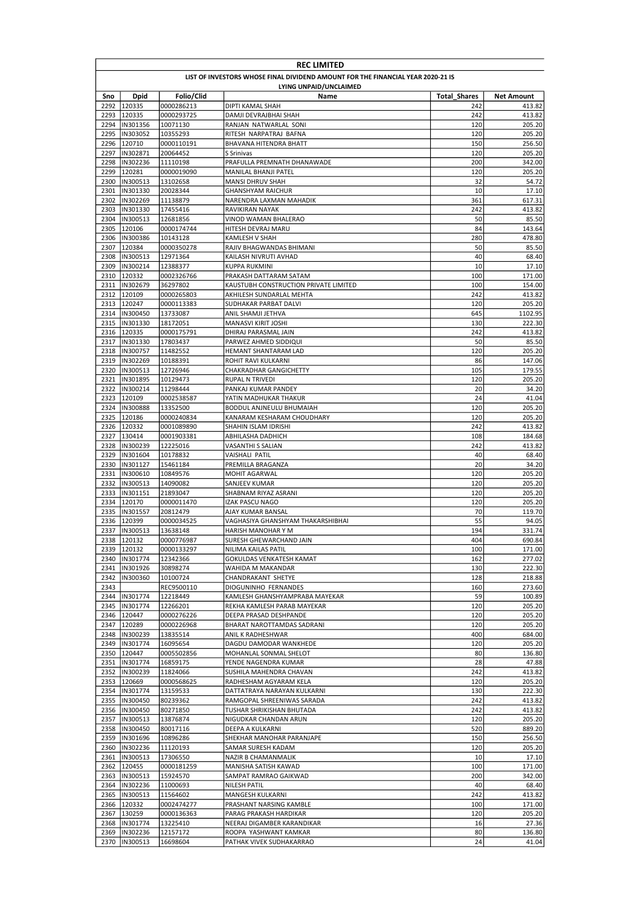|              | <b>REC LIMITED</b>                                                              |                          |                                                   |                     |                   |  |  |  |
|--------------|---------------------------------------------------------------------------------|--------------------------|---------------------------------------------------|---------------------|-------------------|--|--|--|
|              | LIST OF INVESTORS WHOSE FINAL DIVIDEND AMOUNT FOR THE FINANCIAL YEAR 2020-21 IS |                          |                                                   |                     |                   |  |  |  |
|              | LYING UNPAID/UNCLAIMED                                                          |                          |                                                   |                     |                   |  |  |  |
| Sno          | Dpid                                                                            | Folio/Clid               | Name                                              | <b>Total Shares</b> | Net Amount        |  |  |  |
| 2293         | 2292 120335<br>120335                                                           | 0000286213<br>0000293725 | DIPTI KAMAL SHAH<br>DAMJI DEVRAJBHAI SHAH         | 242<br>242          | 413.82<br>413.82  |  |  |  |
| 2294         | IN301356                                                                        | 10071130                 | RANJAN NATWARLAL SONI                             | 120                 | 205.20            |  |  |  |
| 2295         | IN303052                                                                        | 10355293                 | RITESH NARPATRAJ BAFNA                            | 120                 | 205.20            |  |  |  |
| 2296         | 120710                                                                          | 0000110191               | BHAVANA HITENDRA BHATT                            | 150                 | 256.50            |  |  |  |
| 2297         | IN302871                                                                        | 20064452                 | S Srinivas                                        | 120                 | 205.20            |  |  |  |
| 2298         | IN302236                                                                        | 11110198                 | PRAFULLA PREMNATH DHANAWADE                       | 200                 | 342.00            |  |  |  |
| 2299         | 120281                                                                          | 0000019090               | MANILAL BHANJI PATEL                              | 120                 | 205.20            |  |  |  |
| 2300         | IN300513                                                                        | 13102658                 | MANSI DHRUV SHAH                                  | 32                  | 54.72             |  |  |  |
| 2301         | IN301330<br>IN302269                                                            | 20028344                 | <b>GHANSHYAM RAICHUR</b>                          | 10                  | 17.10             |  |  |  |
| 2302<br>2303 | IN301330                                                                        | 11138879<br>17455416     | NARENDRA LAXMAN MAHADIK<br><b>RAVIKIRAN NAYAK</b> | 361<br>242          | 617.31<br>413.82  |  |  |  |
| 2304         | IN300513                                                                        | 12681856                 | VINOD WAMAN BHALERAO                              | 50                  | 85.50             |  |  |  |
| 2305         | 120106                                                                          | 0000174744               | HITESH DEVRAJ MARU                                | 84                  | 143.64            |  |  |  |
| 2306         | IN300386                                                                        | 10143128                 | KAMLESH V SHAH                                    | 280                 | 478.80            |  |  |  |
| 2307         | 120384                                                                          | 0000350278               | RAJIV BHAGWANDAS BHIMANI                          | 50                  | 85.50             |  |  |  |
| 2308         | IN300513                                                                        | 12971364                 | KAILASH NIVRUTI AVHAD                             | 40                  | 68.40             |  |  |  |
| 2309         | IN300214                                                                        | 12388377                 | KUPPA RUKMINI                                     | 10                  | 17.10             |  |  |  |
| 2310         | 120332                                                                          | 0002326766               | PRAKASH DATTARAM SATAM                            | 100                 | 171.00            |  |  |  |
| 2311         | IN302679                                                                        | 36297802                 | KAUSTUBH CONSTRUCTION PRIVATE LIMITED             | 100                 | 154.00            |  |  |  |
| 2312         | 120109                                                                          | 0000265803               | AKHILESH SUNDARLAL MEHTA                          | 242                 | 413.82            |  |  |  |
| 2313         | 120247<br>2314  IN300450                                                        | 0000113383               | SUDHAKAR PARBAT DALVI<br>ANIL SHAMJI JETHVA       | 120<br>645          | 205.20            |  |  |  |
| 2315         | IN301330                                                                        | 13733087<br>18172051     | MANASVI KIRIT JOSHI                               | 130                 | 1102.95<br>222.30 |  |  |  |
|              | 2316 120335                                                                     | 0000175791               | DHIRAJ PARASMAL JAIN                              | 242                 | 413.82            |  |  |  |
|              | 2317 IIN301330                                                                  | 17803437                 | PARWEZ AHMED SIDDIQUI                             | 50                  | 85.50             |  |  |  |
| 2318         | IN300757                                                                        | 11482552                 | HEMANT SHANTARAM LAD                              | 120                 | 205.20            |  |  |  |
| 2319         | IN302269                                                                        | 10188391                 | ROHIT RAVI KULKARNI                               | 86                  | 147.06            |  |  |  |
| 2320         | IN300513                                                                        | 12726946                 | CHAKRADHAR GANGICHETTY                            | 105                 | 179.55            |  |  |  |
| 2321         | IN301895                                                                        | 10129473                 | <b>RUPAL N TRIVEDI</b>                            | 120                 | 205.20            |  |  |  |
| 2322         | IN300214                                                                        | 11298444                 | PANKAJ KUMAR PANDEY                               | 20                  | 34.20             |  |  |  |
| 2323         | 120109                                                                          | 0002538587               | YATIN MADHUKAR THAKUR                             | 24                  | 41.04             |  |  |  |
|              | 2324 IN300888                                                                   | 13352500                 | BODDUL ANJNEULU BHUMAIAH                          | 120                 | 205.20            |  |  |  |
| 2325         | 120186                                                                          | 0000240834               | KANARAM KESHARAM CHOUDHARY                        | 120<br>242          | 205.20<br>413.82  |  |  |  |
| 2326<br>2327 | 120332<br>130414                                                                | 0001089890<br>0001903381 | SHAHIN ISLAM IDRISHI<br>ABHILASHA DADHICH         | 108                 | 184.68            |  |  |  |
| 2328         | IN300239                                                                        | 12225016                 | VASANTHI S SALIAN                                 | 242                 | 413.82            |  |  |  |
| 2329         | IN301604                                                                        | 10178832                 | VAISHALI PATIL                                    | 40                  | 68.40             |  |  |  |
|              | 2330  IN301127                                                                  | 15461184                 | PREMILLA BRAGANZA                                 | 20                  | 34.20             |  |  |  |
| 2331         | IN300610                                                                        | 10849576                 | MOHIT AGARWAL                                     | 120                 | 205.20            |  |  |  |
| 2332         | IN300513                                                                        | 14090082                 | SANJEEV KUMAR                                     | 120                 | 205.20            |  |  |  |
| 2333         | IN301151                                                                        | 21893047                 | SHABNAM RIYAZ ASRANI                              | 120                 | 205.20            |  |  |  |
| 2334         | 120170                                                                          | 0000011470               | <b>IZAK PASCU NAGO</b>                            | 120                 | 205.20            |  |  |  |
|              | 2335  IN301557                                                                  | 20812479                 | AJAY KUMAR BANSAL                                 | 70                  | 119.70            |  |  |  |
| 2336         | 120399                                                                          | 0000034525               | VAGHASIYA GHANSHYAM THAKARSHIBHAI                 | 55<br>194           | 94.05             |  |  |  |
| 2337         | IN300513<br>2338 120132                                                         | 13638148<br>0000776987   | HARISH MANOHAR Y M<br>SURESH GHEWARCHAND JAIN     | 404                 | 331.74<br>690.84  |  |  |  |
|              | 2339 120132                                                                     | 0000133297               | NILIMA KAILAS PATIL                               | 100                 | 171.00            |  |  |  |
|              | 2340  IN301774                                                                  | 12342366                 | GOKULDAS VENKATESH KAMAT                          | 162                 | 277.02            |  |  |  |
| 2341         | IN301926                                                                        | 30898274                 | WAHIDA M MAKANDAR                                 | 130                 | 222.30            |  |  |  |
| 2342         | IN300360                                                                        | 10100724                 | CHANDRAKANT SHETYE                                | 128                 | 218.88            |  |  |  |
| 2343         |                                                                                 | REC9500110               | DIOGUNINHO FERNANDES                              | 160                 | 273.60            |  |  |  |
| 2344         | IN301774                                                                        | 12218449                 | KAMLESH GHANSHYAMPRABA MAYEKAR                    | 59                  | 100.89            |  |  |  |
| 2345         | IN301774                                                                        | 12266201                 | REKHA KAMLESH PARAB MAYEKAR                       | 120                 | 205.20            |  |  |  |
|              | 2346 120447                                                                     | 0000276226               | DEEPA PRASAD DESHPANDE                            | 120                 | 205.20            |  |  |  |
| 2347         | 120289                                                                          | 0000226968               | BHARAT NAROTTAMDAS SADRANI                        | 120<br>400          | 205.20            |  |  |  |
|              | 2348  IN300239<br>2349  IN301774                                                | 13835514<br>16095654     | ANIL K RADHESHWAR<br>DAGDU DAMODAR WANKHEDE       | 120                 | 684.00<br>205.20  |  |  |  |
|              | 2350 120447                                                                     | 0005502856               | MOHANLAL SONMAL SHELOT                            | 80                  | 136.80            |  |  |  |
|              | 2351  IN301774                                                                  | 16859175                 | YENDE NAGENDRA KUMAR                              | 28                  | 47.88             |  |  |  |
|              | 2352  IN300239                                                                  | 11824066                 | SUSHILA MAHENDRA CHAVAN                           | 242                 | 413.82            |  |  |  |
|              | 2353 120669                                                                     | 0000568625               | RADHESHAM AGYARAM KELA                            | 120                 | 205.20            |  |  |  |
|              | 2354  IN301774                                                                  | 13159533                 | DATTATRAYA NARAYAN KULKARNI                       | 130                 | 222.30            |  |  |  |
|              | 2355  IN300450                                                                  | 80239362                 | RAMGOPAL SHREENIWAS SARADA                        | 242                 | 413.82            |  |  |  |
|              | 2356  IN300450                                                                  | 80271850                 | TUSHAR SHRIKISHAN BHUTADA                         | 242                 | 413.82            |  |  |  |
| 2357         | IN300513                                                                        | 13876874                 | NIGUDKAR CHANDAN ARUN                             | 120                 | 205.20            |  |  |  |
|              | 2358  IN300450                                                                  | 80017116                 | DEEPA A KULKARNI                                  | 520                 | 889.20            |  |  |  |
|              | 2359  IN301696                                                                  | 10896286                 | SHEKHAR MANOHAR PARANJAPE                         | 150                 | 256.50            |  |  |  |
| 2360         | IN302236                                                                        | 11120193                 | SAMAR SURESH KADAM                                | 120                 | 205.20            |  |  |  |
|              | 2361  IN300513<br>2362 120455                                                   | 17306550<br>0000181259   | NAZIR B CHAMANMALIK<br>MANISHA SATISH KAWAD       | 10<br>100           | 17.10<br>171.00   |  |  |  |
|              | 2363  IN300513                                                                  | 15924570                 | SAMPAT RAMRAO GAIKWAD                             | 200                 | 342.00            |  |  |  |
|              | 2364  IN302236                                                                  | 11000693                 | <b>NILESH PATIL</b>                               | 40                  | 68.40             |  |  |  |
|              | 2365  IN300513                                                                  | 11564602                 | MANGESH KULKARNI                                  | 242                 | 413.82            |  |  |  |
|              | 2366 120332                                                                     | 0002474277               | PRASHANT NARSING KAMBLE                           | 100                 | 171.00            |  |  |  |
|              | 2367 130259                                                                     | 0000136363               | PARAG PRAKASH HARDIKAR                            | 120                 | 205.20            |  |  |  |
|              | 2368  IN301774                                                                  | 13225410                 | NEERAJ DIGAMBER KARANDIKAR                        | 16                  | 27.36             |  |  |  |
|              | 2369  IN302236                                                                  | 12157172                 | ROOPA YASHWANT KAMKAR                             | 80                  | 136.80            |  |  |  |
|              | 2370  IN300513                                                                  | 16698604                 | PATHAK VIVEK SUDHAKARRAO                          | 24                  | 41.04             |  |  |  |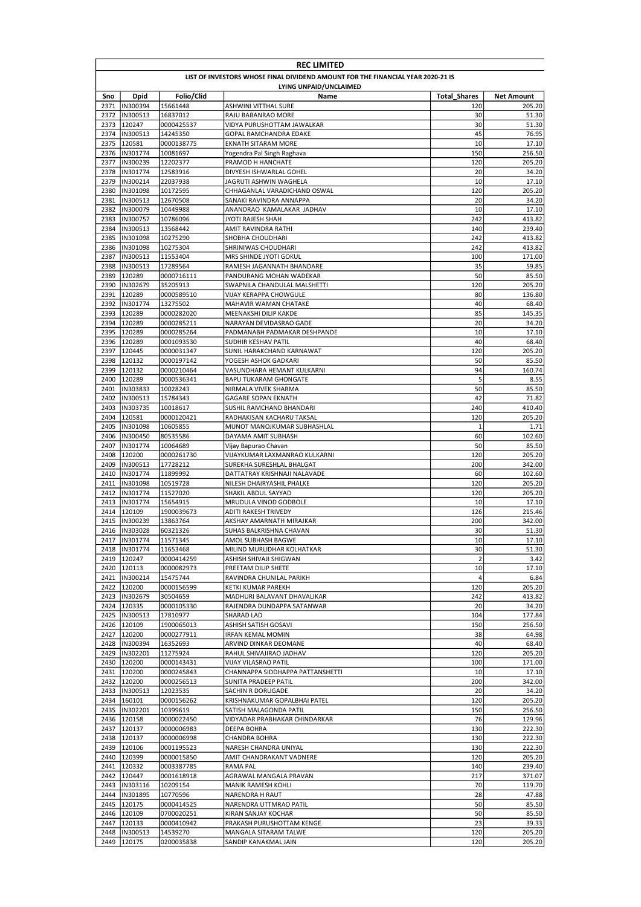|              | <b>REC LIMITED</b>                                                              |                          |                                                         |                     |                   |  |  |  |
|--------------|---------------------------------------------------------------------------------|--------------------------|---------------------------------------------------------|---------------------|-------------------|--|--|--|
|              | LIST OF INVESTORS WHOSE FINAL DIVIDEND AMOUNT FOR THE FINANCIAL YEAR 2020-21 IS |                          |                                                         |                     |                   |  |  |  |
|              | LYING UNPAID/UNCLAIMED                                                          |                          |                                                         |                     |                   |  |  |  |
| Sno          | <b>Dpid</b>                                                                     | Folio/Clid               | Name                                                    | <b>Total Shares</b> | <b>Net Amount</b> |  |  |  |
| 2371         | IN300394                                                                        | 15661448                 | <b>ASHWINI VITTHAL SURE</b>                             | 120                 | 205.20            |  |  |  |
| 2372         | IN300513                                                                        | 16837012                 | RAJU BABANRAO MORE                                      | 30                  | 51.30             |  |  |  |
| 2373         | 120247                                                                          | 0000425537               | VIDYA PURUSHOTTAM JAWALKAR                              | 30                  | 51.30             |  |  |  |
| 2374         | IN300513                                                                        | 14245350                 | GOPAL RAMCHANDRA EDAKE                                  | 45                  | 76.95             |  |  |  |
| 2375         | 120581                                                                          | 0000138775               | EKNATH SITARAM MORE                                     | 10                  | 17.10             |  |  |  |
| 2376         | IN301774                                                                        | 10081697                 | Yogendra Pal Singh Raghava                              | 150                 | 256.50            |  |  |  |
| 2377         | IN300239                                                                        | 12202377                 | PRAMOD H HANCHATE                                       | 120                 | 205.20            |  |  |  |
| 2378         | IN301774                                                                        | 12583916                 | DIVYESH ISHWARLAL GOHEL                                 | 20                  | 34.20             |  |  |  |
| 2379         | IN300214                                                                        | 22037938                 | JAGRUTI ASHWIN WAGHELA                                  | 10                  | 17.10             |  |  |  |
| 2380<br>2381 | IN301098<br>IN300513                                                            | 10172595<br>12670508     | CHHAGANLAL VARADICHAND OSWAL<br>SANAKI RAVINDRA ANNAPPA | 120<br>20           | 205.20<br>34.20   |  |  |  |
| 2382         | IN300079                                                                        | 10449988                 | ANANDRAO KAMALAKAR JADHAV                               | 10                  | 17.10             |  |  |  |
| 2383         | IN300757                                                                        | 10786096                 | JYOTI RAJESH SHAH                                       | 242                 | 413.82            |  |  |  |
| 2384         | IN300513                                                                        | 13568442                 | AMIT RAVINDRA RATHI                                     | 140                 | 239.40            |  |  |  |
| 2385         | IN301098                                                                        | 10275290                 | SHOBHA CHOUDHARI                                        | 242                 | 413.82            |  |  |  |
| 2386         | IN301098                                                                        | 10275304                 | SHRINIWAS CHOUDHARI                                     | 242                 | 413.82            |  |  |  |
| 2387         | IN300513                                                                        | 11553404                 | MRS SHINDE JYOTI GOKUL                                  | 100                 | 171.00            |  |  |  |
| 2388         | IN300513                                                                        | 17289564                 | RAMESH JAGANNATH BHANDARE                               | 35                  | 59.85             |  |  |  |
| 2389         | 120289                                                                          | 0000716111               | PANDURANG MOHAN WADEKAR                                 | 50                  | 85.50             |  |  |  |
| 2390         | IN302679                                                                        | 35205913                 | SWAPNILA CHANDULAL MALSHETTI                            | 120                 | 205.20            |  |  |  |
| 2391         | 120289                                                                          | 0000589510               | VIJAY KERAPPA CHOWGULE                                  | 80                  | 136.80            |  |  |  |
| 2392         | IN301774                                                                        | 13275502                 | MAHAVIR WAMAN CHATAKE                                   | 40                  | 68.40             |  |  |  |
| 2393         | 120289                                                                          | 0000282020               | MEENAKSHI DILIP KAKDE                                   | 85                  | 145.35            |  |  |  |
| 2394         | 120289                                                                          | 0000285211               | NARAYAN DEVIDASRAO GADE                                 | 20                  | 34.20             |  |  |  |
| 2395         | 120289                                                                          | 0000285264               | PADMANABH PADMAKAR DESHPANDE                            | 10                  | 17.10             |  |  |  |
| 2396         | 120289                                                                          | 0001093530               | SUDHIR KESHAV PATIL                                     | 40                  | 68.40             |  |  |  |
| 2397         | 120445<br>2398 120132                                                           | 0000031347               | SUNIL HARAKCHAND KARNAWAT                               | 120<br>50           | 205.20            |  |  |  |
| 2399         | 120132                                                                          | 0000197142<br>0000210464 | YOGESH ASHOK GADKARI<br>VASUNDHARA HEMANT KULKARNI      | 94                  | 85.50<br>160.74   |  |  |  |
| 2400         | 120289                                                                          | 0000536341               | BAPU TUKARAM GHONGATE                                   | 5                   | 8.55              |  |  |  |
| 2401         | IN303833                                                                        | 10028243                 | NIRMALA VIVEK SHARMA                                    | 50                  | 85.50             |  |  |  |
| 2402         | IN300513                                                                        | 15784343                 | <b>GAGARE SOPAN EKNATH</b>                              | 42                  | 71.82             |  |  |  |
| 2403         | IN303735                                                                        | 10018617                 | SUSHIL RAMCHAND BHANDARI                                | 240                 | 410.40            |  |  |  |
| 2404         | 120581                                                                          | 0000120421               | RADHAKISAN KACHARU TAKSAL                               | 120                 | 205.20            |  |  |  |
| 2405         | IN301098                                                                        | 10605855                 | MUNOT MANOJKUMAR SUBHASHLAL                             | $\mathbf{1}$        | 1.71              |  |  |  |
| 2406         | IN300450                                                                        | 80535586                 | DAYAMA AMIT SUBHASH                                     | 60                  | 102.60            |  |  |  |
| 2407         | IN301774                                                                        | 10064689                 | Vijay Bapurao Chavan                                    | 50                  | 85.50             |  |  |  |
| 2408         | 120200                                                                          | 0000261730               | VIJAYKUMAR LAXMANRAO KULKARNI                           | 120                 | 205.20            |  |  |  |
| 2409         | IN300513                                                                        | 17728212                 | SUREKHA SURESHLAL BHALGAT                               | 200                 | 342.00            |  |  |  |
| 2410         | IN301774                                                                        | 11899992                 | DATTATRAY KRISHNAJI NALAVADE                            | 60                  | 102.60            |  |  |  |
| 2411         | IN301098                                                                        | 10519728                 | NILESH DHAIRYASHIL PHALKE                               | 120                 | 205.20            |  |  |  |
| 2412         | IN301774                                                                        | 11527020                 | SHAKIL ABDUL SAYYAD                                     | 120                 | 205.20            |  |  |  |
| 2413         | IN301774                                                                        | 15654915                 | MRUDULA VINOD GODBOLE<br><b>ADITI RAKESH TRIVEDY</b>    | 10<br>126           | 17.10             |  |  |  |
| 2414<br>2415 | 120109<br>IN300239                                                              | 1900039673<br>13863764   | AKSHAY AMARNATH MIRAJKAR                                | 200                 | 215.46<br>342.00  |  |  |  |
| 2416         | IN303028                                                                        | 60321326                 | SUHAS BALKRISHNA CHAVAN                                 | 30                  | 51.30             |  |  |  |
|              | 2417 IN301774                                                                   | 11571345                 | AMOL SUBHASH BAGWE                                      | 10                  | 17.10             |  |  |  |
|              | 2418  IN301774                                                                  | 11653468                 | MILIND MURLIDHAR KOLHATKAR                              | 30                  | 51.30             |  |  |  |
|              | 2419 120247                                                                     | 0000414259               | ASHISH SHIVAJI SHIGWAN                                  | $\overline{2}$      | 3.42              |  |  |  |
|              | 2420 120113                                                                     | 0000082973               | PREETAM DILIP SHETE                                     | 10                  | 17.10             |  |  |  |
|              | 2421  IN300214                                                                  | 15475744                 | RAVINDRA CHUNILAL PARIKH                                | 4                   | 6.84              |  |  |  |
|              | 2422 120200                                                                     | 0000156599               | KETKI KUMAR PAREKH                                      | 120                 | 205.20            |  |  |  |
|              | 2423  IN302679                                                                  | 30504659                 | MADHURI BALAVANT DHAVALIKAR                             | 242                 | 413.82            |  |  |  |
|              | 2424 120335                                                                     | 0000105330               | RAJENDRA DUNDAPPA SATANWAR                              | 20                  | 34.20             |  |  |  |
|              | 2425  IN300513                                                                  | 17810977                 | SHARAD LAD                                              | 104                 | 177.84            |  |  |  |
|              | 2426 120109                                                                     | 1900065013               | ASHISH SATISH GOSAVI                                    | 150                 | 256.50            |  |  |  |
| 2427         | 120200                                                                          | 0000277911               | IRFAN KEMAL MOMIN                                       | 38                  | 64.98             |  |  |  |
|              | 2428  IN300394                                                                  | 16352693                 | ARVIND DINKAR DEOMANE                                   | 40                  | 68.40             |  |  |  |
|              | 2429  IN302201                                                                  | 11275924                 | RAHUL SHIVAJIRAO JADHAV                                 | 120                 | 205.20            |  |  |  |
|              | 2430 120200                                                                     | 0000143431               | VIJAY VILASRAO PATIL                                    | 100                 | 171.00            |  |  |  |
|              | 2431 120200                                                                     | 0000245843<br>0000256513 | CHANNAPPA SIDDHAPPA PATTANSHETTI                        | 10                  | 17.10             |  |  |  |
|              | 2432 120200<br>2433  IN300513                                                   | 12023535                 | SUNITA PRADEEP PATIL<br>SACHIN R DORUGADE               | 200<br>20           | 342.00<br>34.20   |  |  |  |
|              | 2434 160101                                                                     | 0000156262               | KRISHNAKUMAR GOPALBHAI PATEL                            | 120                 | 205.20            |  |  |  |
|              | 2435  IN302201                                                                  | 10399619                 | SATISH MALAGONDA PATIL                                  | 150                 | 256.50            |  |  |  |
|              | 2436 120158                                                                     | 0000022450               | VIDYADAR PRABHAKAR CHINDARKAR                           | 76                  | 129.96            |  |  |  |
|              | 2437 120137                                                                     | 0000006983               | DEEPA BOHRA                                             | 130                 | 222.30            |  |  |  |
|              | 2438 120137                                                                     | 0000006998               | CHANDRA BOHRA                                           | 130                 | 222.30            |  |  |  |
|              | 2439 120106                                                                     | 0001195523               | NARESH CHANDRA UNIYAL                                   | 130                 | 222.30            |  |  |  |
|              | 2440 120399                                                                     | 0000015850               | AMIT CHANDRAKANT VADNERE                                | 120                 | 205.20            |  |  |  |
| 2441         | 120332                                                                          | 0003387785               | RAMA PAL                                                | 140                 | 239.40            |  |  |  |
|              | 2442 120447                                                                     | 0001618918               | AGRAWAL MANGALA PRAVAN                                  | 217                 | 371.07            |  |  |  |
|              | 2443  IN303116                                                                  | 10209154                 | MANIK RAMESH KOHLI                                      | 70                  | 119.70            |  |  |  |
| 2444         | IN301895                                                                        | 10770596                 | NARENDRA H RAUT                                         | 28                  | 47.88             |  |  |  |
|              | 2445 120175                                                                     | 0000414525               | NARENDRA UTTMRAO PATIL                                  | 50                  | 85.50             |  |  |  |
|              | 2446 120109                                                                     | 0700020251               | KIRAN SANJAY KOCHAR                                     | 50                  | 85.50             |  |  |  |
|              | 2447 120133                                                                     | 0000410942               | PRAKASH PURUSHOTTAM KENGE                               | 23                  | 39.33             |  |  |  |
|              | 2448  IN300513                                                                  | 14539270                 | MANGALA SITARAM TALWE                                   | 120                 | 205.20            |  |  |  |
| 2449         | 120175                                                                          | 0200035838               | SANDIP KANAKMAL JAIN                                    | 120                 | 205.20            |  |  |  |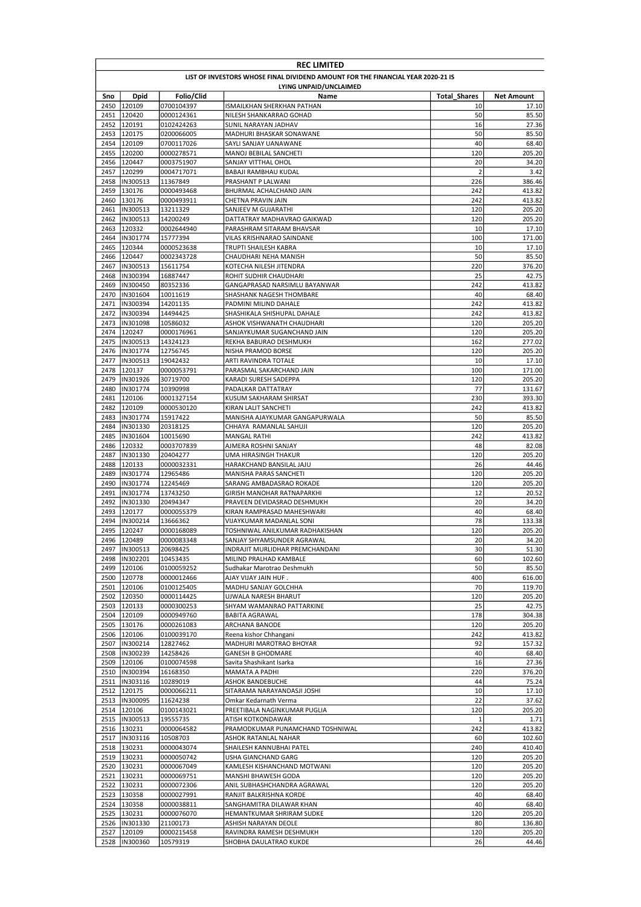|              | <b>REC LIMITED</b>                                                              |                          |                                                           |                     |                   |  |  |
|--------------|---------------------------------------------------------------------------------|--------------------------|-----------------------------------------------------------|---------------------|-------------------|--|--|
|              | LIST OF INVESTORS WHOSE FINAL DIVIDEND AMOUNT FOR THE FINANCIAL YEAR 2020-21 IS |                          |                                                           |                     |                   |  |  |
|              |                                                                                 |                          | LYING UNPAID/UNCLAIMED                                    |                     |                   |  |  |
| Sno          | Dpid                                                                            | Folio/Clid               | Name                                                      | <b>Total Shares</b> | <b>Net Amount</b> |  |  |
|              | 2450 120109                                                                     | 0700104397               | ISMAILKHAN SHERKHAN PATHAN                                | 10                  | 17.10             |  |  |
| 2451<br>2452 | 120420<br>120191                                                                | 0000124361               | NILESH SHANKARRAO GOHAD                                   | 50<br>16            | 85.50<br>27.36    |  |  |
|              | 2453 120175                                                                     | 0102424263<br>0200066005 | SUNIL NARAYAN JADHAV<br>MADHURI BHASKAR SONAWANE          | 50                  | 85.50             |  |  |
| 2454         | 120109                                                                          | 0700117026               | SAYLI SANJAY UANAWANE                                     | 40                  | 68.40             |  |  |
| 2455         | 120200                                                                          | 0000278571               | MANOJ BEBILAL SANCHETI                                    | 120                 | 205.20            |  |  |
| 2456         | 120447                                                                          | 0003751907               | SANJAY VITTHAL OHOL                                       | 20                  | 34.20             |  |  |
| 2457         | 120299                                                                          | 0004717071               | BABAJI RAMBHAU KUDAL                                      | $\overline{2}$      | 3.42              |  |  |
| 2458         | IN300513                                                                        | 11367849                 | PRASHANT P LALWANI                                        | 226                 | 386.46            |  |  |
| 2459         | 130176                                                                          | 0000493468               | BHURMAL ACHALCHAND JAIN                                   | 242                 | 413.82            |  |  |
| 2460<br>2461 | 130176<br>IN300513                                                              | 0000493911<br>13211329   | CHETNA PRAVIN JAIN<br>SANJEEV M GUJARATHI                 | 242<br>120          | 413.82<br>205.20  |  |  |
| 2462         | IN300513                                                                        | 14200249                 | DATTATRAY MADHAVRAO GAIKWAD                               | 120                 | 205.20            |  |  |
| 2463         | 120332                                                                          | 0002644940               | PARASHRAM SITARAM BHAVSAR                                 | 10                  | 17.10             |  |  |
| 2464         | IN301774                                                                        | 15777394                 | VILAS KRISHNARAO SAINDANE                                 | 100                 | 171.00            |  |  |
| 2465         | 120344                                                                          | 0000523638               | TRUPTI SHAILESH KABRA                                     | 10                  | 17.10             |  |  |
| 2466         | 120447                                                                          | 0002343728               | CHAUDHARI NEHA MANISH                                     | 50                  | 85.50             |  |  |
| 2467         | IN300513                                                                        | 15611754                 | KOTECHA NILESH JITENDRA                                   | 220                 | 376.20            |  |  |
| 2468         | IN300394                                                                        | 16887447                 | ROHIT SUDHIR CHAUDHARI                                    | 25                  | 42.75             |  |  |
| 2469         | IN300450                                                                        | 80352336                 | GANGAPRASAD NARSIMLU BAYANWAR                             | 242                 | 413.82            |  |  |
| 2470<br>2471 | IN301604<br>IN300394                                                            | 10011619<br>14201135     | SHASHANK NAGESH THOMBARE<br>PADMINI MILIND DAHALE         | 40<br>242           | 68.40<br>413.82   |  |  |
| 2472         | IN300394                                                                        | 14494425                 | SHASHIKALA SHISHUPAL DAHALE                               | 242                 | 413.82            |  |  |
| 2473         | IN301098                                                                        | 10586032                 | ASHOK VISHWANATH CHAUDHARI                                | 120                 | 205.20            |  |  |
| 2474         | 120247                                                                          | 0000176961               | SANJAYKUMAR SUGANCHAND JAIN                               | 120                 | 205.20            |  |  |
| 2475         | IN300513                                                                        | 14324123                 | REKHA BABURAO DESHMUKH                                    | 162                 | 277.02            |  |  |
| 2476         | IN301774                                                                        | 12756745                 | NISHA PRAMOD BORSE                                        | 120                 | 205.20            |  |  |
| 2477         | IN300513                                                                        | 19042432                 | ARTI RAVINDRA TOTALE                                      | 10                  | 17.10             |  |  |
| 2478         | 120137                                                                          | 0000053791               | PARASMAL SAKARCHAND JAIN                                  | 100                 | 171.00            |  |  |
| 2479         | IN301926                                                                        | 30719700                 | KARADI SURESH SADEPPA                                     | 120                 | 205.20            |  |  |
| 2480         | IN301774                                                                        | 10390998                 | PADALKAR DATTATRAY                                        | 77                  | 131.67            |  |  |
| 2481<br>2482 | 120106<br>120109                                                                | 0001327154<br>0000530120 | KUSUM SAKHARAM SHIRSAT<br>KIRAN LALIT SANCHETI            | 230<br>242          | 393.30<br>413.82  |  |  |
| 2483         | IN301774                                                                        | 15917422                 | MANISHA AJAYKUMAR GANGAPURWALA                            | 50                  | 85.50             |  |  |
| 2484         | IN301330                                                                        | 20318125                 | CHHAYA RAMANLAL SAHUJI                                    | 120                 | 205.20            |  |  |
| 2485         | IN301604                                                                        | 10015690                 | <b>MANGAL RATHI</b>                                       | 242                 | 413.82            |  |  |
| 2486         | 120332                                                                          | 0003707839               | AJMERA ROSHNI SANJAY                                      | 48                  | 82.08             |  |  |
| 2487         | IN301330                                                                        | 20404277                 | UMA HIRASINGH THAKUR                                      | 120                 | 205.20            |  |  |
| 2488         | 120133                                                                          | 0000032331               | HARAKCHAND BANSILAL JAJU                                  | 26                  | 44.46             |  |  |
| 2489         | IN301774                                                                        | 12965486                 | MANISHA PARAS SANCHETI                                    | 120                 | 205.20            |  |  |
| 2490<br>2491 | IN301774<br>IN301774                                                            | 12245469                 | SARANG AMBADASRAO ROKADE                                  | 120<br>12           | 205.20            |  |  |
| 2492         | IN301330                                                                        | 13743250<br>20494347     | GIRISH MANOHAR RATNAPARKHI<br>PRAVEEN DEVIDASRAO DESHMUKH | 20                  | 20.52<br>34.20    |  |  |
| 2493         | 120177                                                                          | 0000055379               | KIRAN RAMPRASAD MAHESHWARI                                | 40                  | 68.40             |  |  |
| 2494         | IN300214                                                                        | 13666362                 | VIJAYKUMAR MADANLAL SONI                                  | 78                  | 133.38            |  |  |
| 2495         | 120247                                                                          | 0000168089               | TOSHNIWAL ANILKUMAR RADHAKISHAN                           | 120                 | 205.20            |  |  |
|              | 2496 120489                                                                     | 0000083348               | SANJAY SHYAMSUNDER AGRAWAL                                | 20                  | 34.20             |  |  |
| 2497         | IN300513                                                                        | 20698425                 | INDRAJIT MURLIDHAR PREMCHANDANI                           | 30                  | 51.30             |  |  |
| 2498         | IN302201                                                                        | 10453435                 | MILIND PRALHAD KAMBALE                                    | 60                  | 102.60            |  |  |
| 2499         | 120106                                                                          | 0100059252               | Sudhakar Marotrao Deshmukh                                | 50                  | 85.50             |  |  |
|              | 2500 120778                                                                     | 0000012466               | AJAY VIJAY JAIN HUF.                                      | 400                 | 616.00            |  |  |
|              | 2501 120106<br>2502 120350                                                      | 0100125405<br>0000114425 | MADHU SANJAY GOLCHHA<br>UJWALA NARESH BHARUT              | 70<br>120           | 119.70<br>205.20  |  |  |
|              | 2503 120133                                                                     | 0000300253               | SHYAM WAMANRAO PATTARKINE                                 | 25                  | 42.75             |  |  |
|              | 2504 120109                                                                     | 0000949760               | <b>BABITA AGRAWAL</b>                                     | 178                 | 304.38            |  |  |
|              | 2505 130176                                                                     | 0000261083               | ARCHANA BANODE                                            | 120                 | 205.20            |  |  |
|              | 2506 120106                                                                     | 0100039170               | Reena kishor Chhangani                                    | 242                 | 413.82            |  |  |
| 2507         | IN300214                                                                        | 12827462                 | MADHURI MAROTRAO BHOYAR                                   | 92                  | 157.32            |  |  |
| 2508         | IN300239                                                                        | 14258426                 | <b>GANESH B GHODMARE</b>                                  | 40                  | 68.40             |  |  |
| 2509         | 120106                                                                          | 0100074598               | Savita Shashikant Isarka                                  | 16                  | 27.36             |  |  |
|              | 2510  IN300394                                                                  | 16168350                 | MAMATA A PADHI                                            | 220                 | 376.20            |  |  |
|              | 2511  IN303116<br>2512 120175                                                   | 10289019                 | ASHOK BANDEBUCHE                                          | 44<br>10            | 75.24<br>17.10    |  |  |
|              | 2513  IN300095                                                                  | 0000066211<br>11624238   | SITARAMA NARAYANDASJI JOSHI<br>Omkar Kedarnath Verma      | 22                  | 37.62             |  |  |
|              | 2514 120106                                                                     | 0100143021               | PREETIBALA NAGINKUMAR PUGLIA                              | 120                 | 205.20            |  |  |
|              | 2515  IN300513                                                                  | 19555735                 | ATISH KOTKONDAWAR                                         | $\mathbf{1}$        | 1.71              |  |  |
|              | 2516 130231                                                                     | 0000064582               | PRAMODKUMAR PUNAMCHAND TOSHNIWAL                          | 242                 | 413.82            |  |  |
|              | 2517  IN303116                                                                  | 10508703                 | ASHOK RATANLAL NAHAR                                      | 60                  | 102.60            |  |  |
|              | 2518 130231                                                                     | 0000043074               | SHAILESH KANNUBHAI PATEL                                  | 240                 | 410.40            |  |  |
|              | 2519 130231                                                                     | 0000050742               | USHA GIANCHAND GARG                                       | 120                 | 205.20            |  |  |
|              | 2520 130231                                                                     | 0000067049               | KAMLESH KISHANCHAND MOTWANI                               | 120                 | 205.20            |  |  |
|              | 2521 130231                                                                     | 0000069751               | MANSHI BHAWESH GODA                                       | 120                 | 205.20            |  |  |
|              | 2522 130231                                                                     | 0000072306               | ANIL SUBHASHCHANDRA AGRAWAL                               | 120                 | 205.20            |  |  |
|              | 2523 130358<br>2524 130358                                                      | 0000027991               | RANJIT BALKRISHNA KORDE                                   | 40<br>40            | 68.40             |  |  |
|              | 2525 130231                                                                     | 0000038811<br>0000076070 | SANGHAMITRA DILAWAR KHAN<br>HEMANTKUMAR SHRIRAM SUDKE     | 120                 | 68.40<br>205.20   |  |  |
|              | 2526  IN301330                                                                  | 21100173                 | ASHISH NARAYAN DEOLE                                      | 80                  | 136.80            |  |  |
|              | 2527 120109                                                                     | 0000215458               | RAVINDRA RAMESH DESHMUKH                                  | 120                 | 205.20            |  |  |
|              | 2528  IN300360                                                                  | 10579319                 | SHOBHA DAULATRAO KUKDE                                    | 26                  | 44.46             |  |  |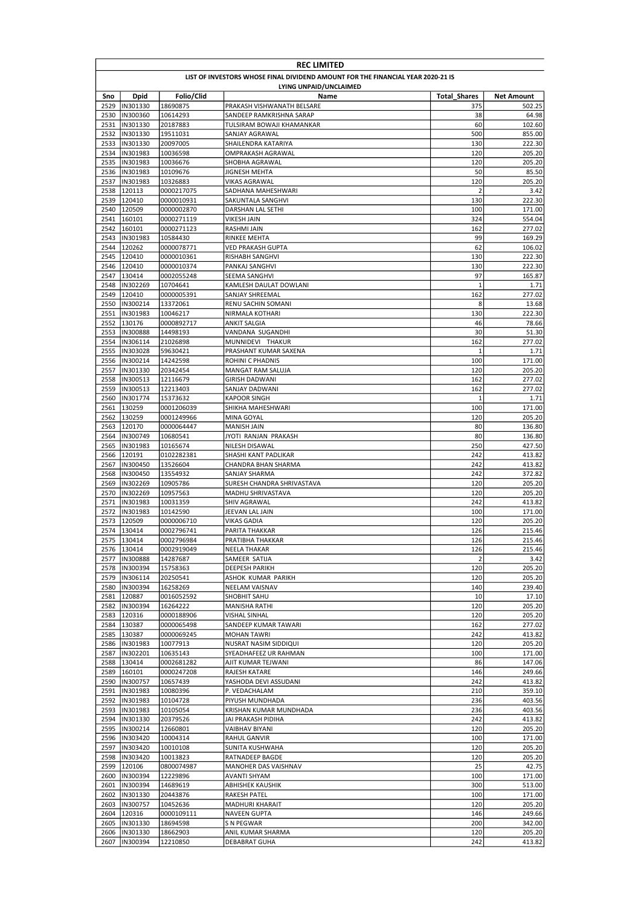|              | <b>REC LIMITED</b>                                                              |                        |                                                       |                       |                  |  |  |
|--------------|---------------------------------------------------------------------------------|------------------------|-------------------------------------------------------|-----------------------|------------------|--|--|
|              | LIST OF INVESTORS WHOSE FINAL DIVIDEND AMOUNT FOR THE FINANCIAL YEAR 2020-21 IS |                        |                                                       |                       |                  |  |  |
|              | LYING UNPAID/UNCLAIMED                                                          |                        |                                                       |                       |                  |  |  |
| Sno          | Dpid                                                                            | Folio/Clid             | Name                                                  | <b>Total Shares</b>   | Net Amount       |  |  |
| 2529         | IN301330                                                                        | 18690875               | PRAKASH VISHWANATH BELSARE                            | 375                   | 502.25           |  |  |
| 2530<br>2531 | IN300360<br>IN301330                                                            | 10614293<br>20187883   | SANDEEP RAMKRISHNA SARAP<br>TULSIRAM BOWAJI KHAMANKAR | 38<br>60              | 64.98<br>102.60  |  |  |
| 2532         | IN301330                                                                        | 19511031               | SANJAY AGRAWAL                                        | 500                   | 855.00           |  |  |
| 2533         | IN301330                                                                        | 20097005               | SHAILENDRA KATARIYA                                   | 130                   | 222.30           |  |  |
| 2534         | IN301983                                                                        | 10036598               | OMPRAKASH AGRAWAL                                     | 120                   | 205.20           |  |  |
| 2535         | IN301983                                                                        | 10036676               | SHOBHA AGRAWAL                                        | 120                   | 205.20           |  |  |
| 2536         | IN301983                                                                        | 10109676               | <b>JIGNESH MEHTA</b>                                  | 50                    | 85.50            |  |  |
| 2537         | IN301983                                                                        | 10326883               | <b>VIKAS AGRAWAL</b>                                  | 120                   | 205.20           |  |  |
| 2538         | 120113                                                                          | 0000217075             | SADHANA MAHESHWARI                                    | $\overline{2}$        | 3.42             |  |  |
| 2539         | 120410                                                                          | 0000010931             | SAKUNTALA SANGHVI                                     | 130                   | 222.30           |  |  |
| 2540         | 120509                                                                          | 0000002870             | DARSHAN LAL SETHI                                     | 100                   | 171.00           |  |  |
| 2541         | 160101                                                                          | 0000271119             | <b>VIKESH JAIN</b>                                    | 324                   | 554.04           |  |  |
| 2542         | 160101                                                                          | 0000271123             | RASHMI JAIN                                           | 162<br>99             | 277.02           |  |  |
| 2543<br>2544 | IN301983<br>120262                                                              | 10584430<br>0000078771 | RINKEE MEHTA<br>VED PRAKASH GUPTA                     | 62                    | 169.29<br>106.02 |  |  |
|              | 2545 120410                                                                     | 0000010361             | RISHABH SANGHVI                                       | 130                   | 222.30           |  |  |
| 2546         | 120410                                                                          | 0000010374             | PANKAJ SANGHVI                                        | 130                   | 222.30           |  |  |
| 2547         | 130414                                                                          | 0002055248             | SEEMA SANGHVI                                         | 97                    | 165.87           |  |  |
| 2548         | IN302269                                                                        | 10704641               | KAMLESH DAULAT DOWLANI                                | $\mathbf{1}$          | 1.71             |  |  |
| 2549         | 120410                                                                          | 0000005391             | SANJAY SHREEMAL                                       | 162                   | 277.02           |  |  |
| 2550         | IN300214                                                                        | 13372061               | RENU SACHIN SOMANI                                    | 8                     | 13.68            |  |  |
| 2551         | IN301983                                                                        | 10046217               | NIRMALA KOTHARI                                       | 130                   | 222.30           |  |  |
| 2552         | 130176                                                                          | 0000892717             | <b>ANKIT SALGIA</b>                                   | 46                    | 78.66            |  |  |
| 2553         | IN300888                                                                        | 14498193               | VANDANA SUGANDHI                                      | 30                    | 51.30            |  |  |
| 2554         | IN306114                                                                        | 21026898               | MUNNIDEVI THAKUR                                      | 162                   | 277.02           |  |  |
| 2555         | IN303028                                                                        | 59630421               | PRASHANT KUMAR SAXENA                                 | 1                     | 1.71             |  |  |
| 2556         | IN300214                                                                        | 14242598               | ROHINI C PHADNIS                                      | 100                   | 171.00           |  |  |
| 2557         | IN301330                                                                        | 20342454               | MANGAT RAM SALUJA                                     | 120                   | 205.20           |  |  |
| 2558         | IN300513                                                                        | 12116679               | <b>GIRISH DADWANI</b>                                 | 162                   | 277.02           |  |  |
| 2559         | IN300513                                                                        | 12213403               | SANJAY DADWANI                                        | 162                   | 277.02           |  |  |
| 2560<br>2561 | IN301774<br>130259                                                              | 15373632<br>0001206039 | <b>KAPOOR SINGH</b><br>SHIKHA MAHESHWARI              | 1<br>100              | 1.71<br>171.00   |  |  |
| 2562         | 130259                                                                          | 0001249966             | MINA GOYAL                                            | 120                   | 205.20           |  |  |
| 2563         | 120170                                                                          | 0000064447             | MANISH JAIN                                           | 80                    | 136.80           |  |  |
| 2564         | IN300749                                                                        | 10680541               | JYOTI RANJAN PRAKASH                                  | 80                    | 136.80           |  |  |
| 2565         | IN301983                                                                        | 10165674               | NILESH DISAWAL                                        | 250                   | 427.50           |  |  |
| 2566         | 120191                                                                          | 0102282381             | SHASHI KANT PADLIKAR                                  | 242                   | 413.82           |  |  |
| 2567         | IN300450                                                                        | 13526604               | CHANDRA BHAN SHARMA                                   | 242                   | 413.82           |  |  |
| 2568         | IN300450                                                                        | 13554932               | SANJAY SHARMA                                         | 242                   | 372.82           |  |  |
| 2569         | IN302269                                                                        | 10905786               | SURESH CHANDRA SHRIVASTAVA                            | 120                   | 205.20           |  |  |
| 2570         | IN302269                                                                        | 10957563               | MADHU SHRIVASTAVA                                     | 120                   | 205.20           |  |  |
| 2571         | IN301983                                                                        | 10031359               | SHIV AGRAWAL                                          | 242                   | 413.82           |  |  |
| 2572         | IN301983                                                                        | 10142590               | JEEVAN LAL JAIN                                       | 100                   | 171.00           |  |  |
| 2573         | 120509                                                                          | 0000006710             | VIKAS GADIA                                           | 120                   | 205.20           |  |  |
|              | 2574 130414                                                                     | 0002796741             | PARITA THAKKAR                                        | 126                   | 215.46           |  |  |
|              | 2575 130414                                                                     | 0002796984             | PRATIBHA THAKKAR                                      | 126                   | 215.46           |  |  |
|              | 2576 130414                                                                     | 0002919049             | <b>NEELA THAKAR</b>                                   | 126                   | 215.46           |  |  |
| 2577         | IN300888<br>IN300394                                                            | 14287687<br>15758363   | SAMEER SATIJA                                         | $\overline{2}$<br>120 | 3.42             |  |  |
| 2578         | 2579  IN306114                                                                  |                        | DEEPESH PARIKH                                        | 120                   | 205.20           |  |  |
| 2580         | IN300394                                                                        | 20250541<br>16258269   | ASHOK KUMAR PARIKH<br>NEELAM VAISNAV                  | 140                   | 205.20<br>239.40 |  |  |
| 2581         | 120887                                                                          | 0016052592             | SHOBHIT SAHU                                          | 10                    | 17.10            |  |  |
|              | 2582  IN300394                                                                  | 16264222               | MANISHA RATHI                                         | 120                   | 205.20           |  |  |
|              | 2583 120316                                                                     | 0000188906             | VISHAL SINHAL                                         | 120                   | 205.20           |  |  |
|              | 2584 130387                                                                     | 0000065498             | SANDEEP KUMAR TAWARI                                  | 162                   | 277.02           |  |  |
| 2585         | 130387                                                                          | 0000069245             | <b>MOHAN TAWRI</b>                                    | 242                   | 413.82           |  |  |
| 2586         | IN301983                                                                        | 10077913               | NUSRAT NASIM SIDDIQUI                                 | 120                   | 205.20           |  |  |
| 2587         | IN302201                                                                        | 10635143               | SYEADHAFEEZ UR RAHMAN                                 | 100                   | 171.00           |  |  |
| 2588         | 130414                                                                          | 0002681282             | AJIT KUMAR TEJWANI                                    | 86                    | 147.06           |  |  |
|              | 2589 160101                                                                     | 0000247208             | RAJESH KATARE                                         | 146                   | 249.66           |  |  |
| 2590         | IN300757                                                                        | 10657439               | YASHODA DEVI ASSUDANI                                 | 242                   | 413.82           |  |  |
| 2591         | IN301983                                                                        | 10080396               | P. VEDACHALAM                                         | 210                   | 359.10           |  |  |
| 2592         | IN301983                                                                        | 10104728               | PIYUSH MUNDHADA                                       | 236                   | 403.56           |  |  |
|              | 2593  IN301983                                                                  | 10105054               | KRISHAN KUMAR MUNDHADA                                | 236                   | 403.56           |  |  |
| 2594         | IN301330                                                                        | 20379526               | JAI PRAKASH PIDIHA                                    | 242                   | 413.82           |  |  |
| 2595         | IN300214                                                                        | 12660801               | VAIBHAV BIYANI                                        | 120                   | 205.20           |  |  |
| 2596<br>2597 | IN303420<br>IN303420                                                            | 10004314               | RAHUL GANVIR                                          | 100<br>120            | 171.00<br>205.20 |  |  |
| 2598         | IN303420                                                                        | 10010108<br>10013823   | SUNITA KUSHWAHA<br>RATNADEEP BAGDE                    | 120                   | 205.20           |  |  |
| 2599         | 120106                                                                          | 0800074987             | MANOHER DAS VAISHNAV                                  | 25                    | 42.75            |  |  |
| 2600         | IN300394                                                                        | 12229896               | AVANTI SHYAM                                          | 100                   | 171.00           |  |  |
| 2601         | IN300394                                                                        | 14689619               | <b>ABHISHEK KAUSHIK</b>                               | 300                   | 513.00           |  |  |
| 2602         | IN301330                                                                        | 20443876               | <b>RAKESH PATEL</b>                                   | 100                   | 171.00           |  |  |
| 2603         | IN300757                                                                        | 10452636               | MADHURI KHARAIT                                       | 120                   | 205.20           |  |  |
| 2604         | 120316                                                                          | 0000109111             | <b>NAVEEN GUPTA</b>                                   | 146                   | 249.66           |  |  |
| 2605         | IN301330                                                                        | 18694598               | S N PEGWAR                                            | 200                   | 342.00           |  |  |
|              | 2606  IN301330                                                                  | 18662903               | ANIL KUMAR SHARMA                                     | 120                   | 205.20           |  |  |
| 2607         | IN300394                                                                        | 12210850               | DEBABRAT GUHA                                         | 242                   | 413.82           |  |  |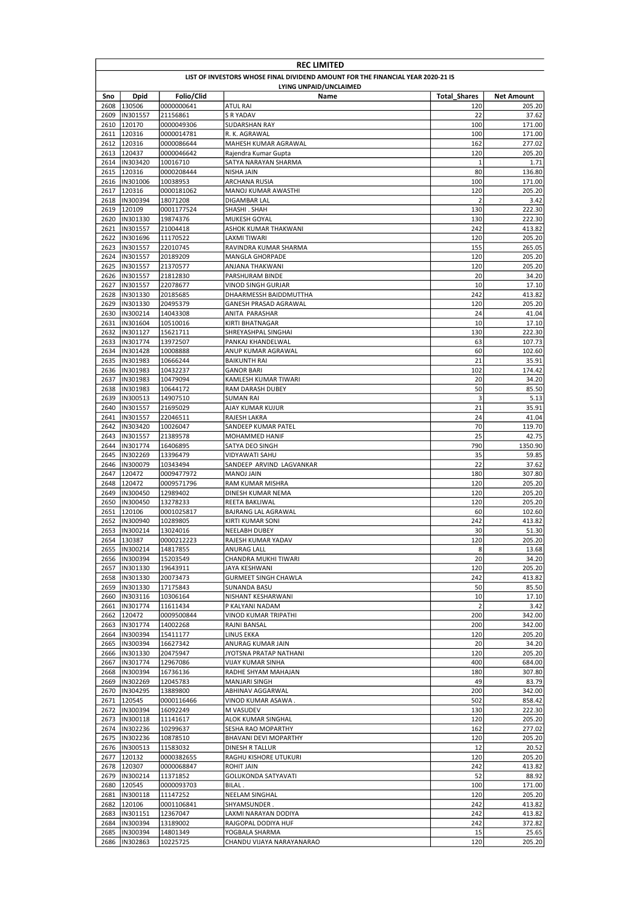|              | <b>REC LIMITED</b>                                                              |                        |                                             |                       |                   |  |  |  |  |
|--------------|---------------------------------------------------------------------------------|------------------------|---------------------------------------------|-----------------------|-------------------|--|--|--|--|
|              | LIST OF INVESTORS WHOSE FINAL DIVIDEND AMOUNT FOR THE FINANCIAL YEAR 2020-21 IS |                        |                                             |                       |                   |  |  |  |  |
|              | LYING UNPAID/UNCLAIMED                                                          |                        |                                             |                       |                   |  |  |  |  |
| Sno          | <b>Dpid</b>                                                                     | Folio/Clid             | Name                                        | <b>Total Shares</b>   | <b>Net Amount</b> |  |  |  |  |
| 2608         | 130506                                                                          | 0000000641             | ATUL RAI<br><b>S R YADAV</b>                | 120                   | 205.20            |  |  |  |  |
| 2609<br>2610 | IN301557<br>120170                                                              | 21156861<br>0000049306 | SUDARSHAN RAY                               | 22<br>100             | 37.62<br>171.00   |  |  |  |  |
| 2611         | 120316                                                                          | 0000014781             | R. K. AGRAWAL                               | 100                   | 171.00            |  |  |  |  |
| 2612         | 120316                                                                          | 0000086644             | MAHESH KUMAR AGRAWAL                        | 162                   | 277.02            |  |  |  |  |
| 2613         | 120437                                                                          | 0000046642             | Rajendra Kumar Gupta                        | 120                   | 205.20            |  |  |  |  |
| 2614         | IN303420                                                                        | 10016710               | SATYA NARAYAN SHARMA                        | $\mathbf{1}$          | 1.71              |  |  |  |  |
| 2615         | 120316                                                                          | 0000208444             | NISHA JAIN                                  | 80                    | 136.80            |  |  |  |  |
| 2616         | IN301006                                                                        | 10038953               | ARCHANA RUSIA                               | 100                   | 171.00            |  |  |  |  |
| 2617         | 120316                                                                          | 0000181062             | MANOJ KUMAR AWASTHI                         | 120                   | 205.20            |  |  |  |  |
| 2618<br>2619 | IN300394<br>120109                                                              | 18071208<br>0001177524 | DIGAMBAR LAL<br>SHASHI. SHAH                | $\overline{2}$<br>130 | 3.42<br>222.30    |  |  |  |  |
| 2620         | IN301330                                                                        | 19874376               | MUKESH GOYAL                                | 130                   | 222.30            |  |  |  |  |
| 2621         | IN301557                                                                        | 21004418               | ASHOK KUMAR THAKWANI                        | 242                   | 413.82            |  |  |  |  |
|              | 2622 IN301696                                                                   | 11170522               | LAXMI TIWARI                                | 120                   | 205.20            |  |  |  |  |
| 2623         | IN301557                                                                        | 22010745               | RAVINDRA KUMAR SHARMA                       | 155                   | 265.05            |  |  |  |  |
| 2624         | IN301557                                                                        | 20189209               | <b>MANGLA GHORPADE</b>                      | 120                   | 205.20            |  |  |  |  |
| 2625         | IN301557                                                                        | 21370577               | ANJANA THAKWANI                             | 120                   | 205.20            |  |  |  |  |
| 2626         | IN301557                                                                        | 21812830               | PARSHURAM BINDE                             | 20                    | 34.20             |  |  |  |  |
| 2627         | IN301557                                                                        | 22078677               | <b>VINOD SINGH GURJAR</b>                   | 10                    | 17.10             |  |  |  |  |
| 2628         | IN301330                                                                        | 20185685               | DHAARMESSH BAIDDMUTTHA                      | 242                   | 413.82            |  |  |  |  |
| 2629<br>2630 | IN301330<br>IN300214                                                            | 20495379<br>14043308   | GANESH PRASAD AGRAWAL<br>ANITA PARASHAR     | 120<br>24             | 205.20<br>41.04   |  |  |  |  |
| 2631         | IN301604                                                                        | 10510016               | KIRTI BHATNAGAR                             | 10                    | 17.10             |  |  |  |  |
| 2632         | IN301127                                                                        | 15621711               | SHREYASHPAL SINGHAI                         | 130                   | 222.30            |  |  |  |  |
| 2633         | IN301774                                                                        | 13972507               | PANKAJ KHANDELWAL                           | 63                    | 107.73            |  |  |  |  |
| 2634         | IN301428                                                                        | 10008888               | ANUP KUMAR AGRAWAL                          | 60                    | 102.60            |  |  |  |  |
| 2635         | IN301983                                                                        | 10666244               | <b>BAIKUNTH RAI</b>                         | 21                    | 35.91             |  |  |  |  |
| 2636         | IN301983                                                                        | 10432237               | <b>GANOR BARI</b>                           | 102                   | 174.42            |  |  |  |  |
| 2637         | IN301983                                                                        | 10479094               | KAMLESH KUMAR TIWARI                        | 20                    | 34.20             |  |  |  |  |
| 2638         | IN301983                                                                        | 10644172               | RAM DARASH DUBEY                            | 50                    | 85.50             |  |  |  |  |
| 2639         | IN300513                                                                        | 14907510               | SUMAN RAI                                   | 3                     | 5.13              |  |  |  |  |
| 2640<br>2641 | IN301557<br>IN301557                                                            | 21695029               | AJAY KUMAR KUJUR<br>RAJESH LAKRA            | 21<br>24              | 35.91<br>41.04    |  |  |  |  |
| 2642         | IN303420                                                                        | 22046511<br>10026047   | SANDEEP KUMAR PATEL                         | 70                    | 119.70            |  |  |  |  |
| 2643         | IN301557                                                                        | 21389578               | MOHAMMED HANIF                              | 25                    | 42.75             |  |  |  |  |
| 2644         | IN301774                                                                        | 16406895               | SATYA DEO SINGH                             | 790                   | 1350.90           |  |  |  |  |
| 2645         | IN302269                                                                        | 13396479               | VIDYAWATI SAHU                              | 35                    | 59.85             |  |  |  |  |
| 2646         | IN300079                                                                        | 10343494               | SANDEEP ARVIND LAGVANKAR                    | 22                    | 37.62             |  |  |  |  |
| 2647         | 120472                                                                          | 0009477972             | <b>MANOJ JAIN</b>                           | 180                   | 307.80            |  |  |  |  |
| 2648         | 120472                                                                          | 0009571796             | RAM KUMAR MISHRA                            | 120                   | 205.20            |  |  |  |  |
| 2649         | IN300450                                                                        | 12989402               | DINESH KUMAR NEMA                           | 120                   | 205.20            |  |  |  |  |
| 2650         | IN300450                                                                        | 13278233               | REETA BAKLIWAL                              | 120                   | 205.20            |  |  |  |  |
| 2651<br>2652 | 120106<br>IN300940                                                              | 0001025817             | BAJRANG LAL AGRAWAL<br>KIRTI KUMAR SONI     | 60<br>242             | 102.60<br>413.82  |  |  |  |  |
| 2653         | IN300214                                                                        | 10289805<br>13024016   | <b>NEELABH DUBEY</b>                        | 30                    | 51.30             |  |  |  |  |
|              | 2654 130387                                                                     | 0000212223             | RAJESH KUMAR YADAV                          | 120                   | 205.20            |  |  |  |  |
|              | 2655 IN300214                                                                   | 14817855               | ANURAG LALL                                 | 8                     | 13.68             |  |  |  |  |
| 2656         | IN300394                                                                        | 15203549               | CHANDRA MUKHI TIWARI                        | 20                    | 34.20             |  |  |  |  |
|              | 2657  IN301330                                                                  | 19643911               | JAYA KESHWANI                               | 120                   | 205.20            |  |  |  |  |
| 2658         | IN301330                                                                        | 20073473               | <b>GURMEET SINGH CHAWLA</b>                 | 242                   | 413.82            |  |  |  |  |
|              | 2659  IN301330                                                                  | 17175843               | SUNANDA BASU                                | 50                    | 85.50             |  |  |  |  |
|              | 2660  IN303116                                                                  | 10306164               | NISHANT KESHARWANI                          | 10                    | 17.10             |  |  |  |  |
|              | 2661  IN301774                                                                  | 11611434               | P KALYANI NADAM                             | $\overline{2}$        | 3.42              |  |  |  |  |
| 2662         | 120472<br>2663  IN301774                                                        | 0009500844<br>14002268 | VINOD KUMAR TRIPATHI<br>RAJNI BANSAL        | 200<br>200            | 342.00<br>342.00  |  |  |  |  |
| 2664         | IN300394                                                                        | 15411177               | LINUS EKKA                                  | 120                   | 205.20            |  |  |  |  |
| 2665         | IN300394                                                                        | 16627342               | ANURAG KUMAR JAIN                           | 20                    | 34.20             |  |  |  |  |
| 2666         | IN301330                                                                        | 20475947               | JYOTSNA PRATAP NATHANI                      | 120                   | 205.20            |  |  |  |  |
| 2667         | IN301774                                                                        | 12967086               | VIJAY KUMAR SINHA                           | 400                   | 684.00            |  |  |  |  |
| 2668         | IN300394                                                                        | 16736136               | RADHE SHYAM MAHAJAN                         | 180                   | 307.80            |  |  |  |  |
| 2669         | IN302269                                                                        | 12045783               | MANJARI SINGH                               | 49                    | 83.79             |  |  |  |  |
|              | 2670  IN304295                                                                  | 13889800               | ABHINAV AGGARWAL                            | 200                   | 342.00            |  |  |  |  |
| 2671         | 120545                                                                          | 0000116466             | VINOD KUMAR ASAWA .                         | 502                   | 858.42            |  |  |  |  |
|              | 2672  IN300394                                                                  | 16092249               | M VASUDEV                                   | 130                   | 222.30            |  |  |  |  |
|              | 2673  IN300118                                                                  | 11141617<br>10299637   | ALOK KUMAR SINGHAL                          | 120<br>162            | 205.20            |  |  |  |  |
|              | 2674  IN302236<br>2675  IN302236                                                | 10878510               | SESHA RAO MOPARTHY<br>BHAVANI DEVI MOPARTHY | 120                   | 277.02<br>205.20  |  |  |  |  |
|              | 2676  IN300513                                                                  | 11583032               | DINESH R TALLUR                             | 12                    | 20.52             |  |  |  |  |
| 2677         | 120132                                                                          | 0000382655             | RAGHU KISHORE UTUKURI                       | 120                   | 205.20            |  |  |  |  |
| 2678         | 120307                                                                          | 0000068847             | <b>ROHIT JAIN</b>                           | 242                   | 413.82            |  |  |  |  |
|              | 2679  IN300214                                                                  | 11371852               | GOLUKONDA SATYAVATI                         | 52                    | 88.92             |  |  |  |  |
|              | 2680 120545                                                                     | 0000093703             | BILAL.                                      | 100                   | 171.00            |  |  |  |  |
|              | 2681  IN300118                                                                  | 11147252               | NEELAM SINGHAL                              | 120                   | 205.20            |  |  |  |  |
| 2682         | 120106                                                                          | 0001106841             | SHYAMSUNDER.                                | 242                   | 413.82            |  |  |  |  |
|              | 2683  IN301151                                                                  | 12367047               | LAXMI NARAYAN DODIYA                        | 242                   | 413.82            |  |  |  |  |
| 2684         | IN300394<br>2685  IN300394                                                      | 13189002               | RAJGOPAL DODIYA HUF                         | 242<br>15             | 372.82            |  |  |  |  |
|              | 2686 IN302863                                                                   | 14801349<br>10225725   | YOGBALA SHARMA<br>CHANDU VIJAYA NARAYANARAO | 120                   | 25.65<br>205.20   |  |  |  |  |
|              |                                                                                 |                        |                                             |                       |                   |  |  |  |  |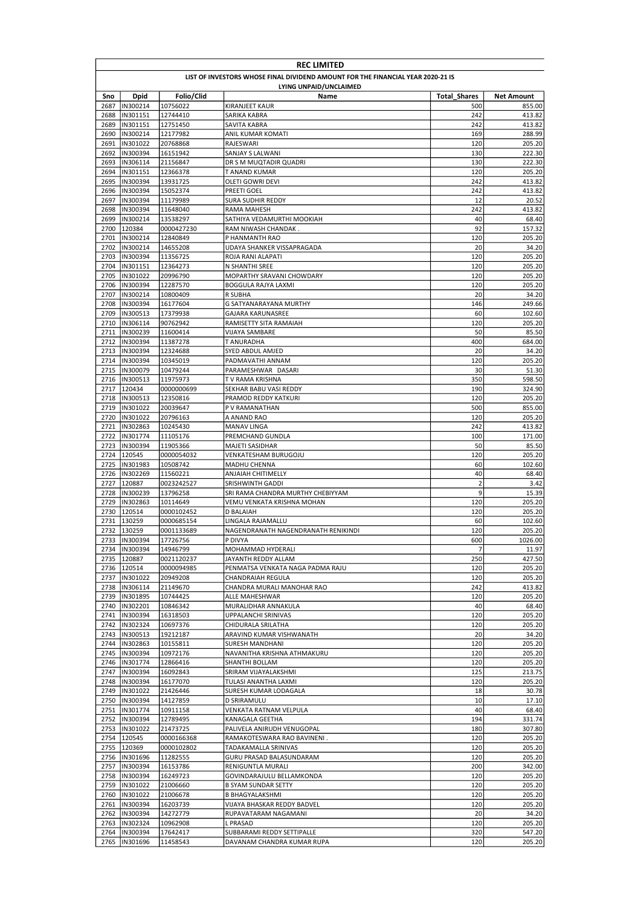|              | <b>REC LIMITED</b>                                                              |                          |                                                     |                     |                   |  |  |
|--------------|---------------------------------------------------------------------------------|--------------------------|-----------------------------------------------------|---------------------|-------------------|--|--|
|              | LIST OF INVESTORS WHOSE FINAL DIVIDEND AMOUNT FOR THE FINANCIAL YEAR 2020-21 IS |                          |                                                     |                     |                   |  |  |
|              |                                                                                 |                          | LYING UNPAID/UNCLAIMED                              |                     |                   |  |  |
| Sno          | <b>Dpid</b>                                                                     | Folio/Clid               | Name                                                | <b>Total Shares</b> | <b>Net Amount</b> |  |  |
| 2687         | IN300214                                                                        | 10756022                 | KIRANJEET KAUR                                      | 500                 | 855.00            |  |  |
| 2688<br>2689 | IN301151<br>IN301151                                                            | 12744410<br>12751450     | SARIKA KABRA<br>SAVITA KABRA                        | 242<br>242          | 413.82<br>413.82  |  |  |
| 2690         | IN300214                                                                        | 12177982                 | ANIL KUMAR KOMATI                                   | 169                 | 288.99            |  |  |
| 2691         | IN301022                                                                        | 20768868                 | RAJESWARI                                           | 120                 | 205.20            |  |  |
| 2692         | IN300394                                                                        | 16151942                 | SANJAY S LALWANI                                    | 130                 | 222.30            |  |  |
| 2693         | IN306114                                                                        | 21156847                 | DR S M MUQTADIR QUADRI                              | 130                 | 222.30            |  |  |
| 2694         | IN301151                                                                        | 12366378                 | T ANAND KUMAR                                       | 120                 | 205.20            |  |  |
| 2695         | IN300394                                                                        | 13931725                 | OLETI GOWRI DEVI                                    | 242                 | 413.82            |  |  |
| 2696         | IN300394                                                                        | 15052374                 | PREETI GOEL                                         | 242                 | 413.82            |  |  |
| 2697         | IN300394                                                                        | 11179989                 | <b>SURA SUDHIR REDDY</b><br><b>RAMA MAHESH</b>      | 12                  | 20.52             |  |  |
| 2698         | IN300394                                                                        | 11648040                 |                                                     | 242<br>40           | 413.82<br>68.40   |  |  |
| 2699<br>2700 | IN300214<br>120384                                                              | 13538297<br>0000427230   | SATHIYA VEDAMURTHI MOOKIAH<br>RAM NIWASH CHANDAK.   | 92                  | 157.32            |  |  |
| 2701         | IN300214                                                                        | 12840849                 | P HANMANTH RAO                                      | 120                 | 205.20            |  |  |
| 2702         | IN300214                                                                        | 14655208                 | UDAYA SHANKER VISSAPRAGADA                          | 20                  | 34.20             |  |  |
| 2703         | IN300394                                                                        | 11356725                 | ROJA RANI ALAPATI                                   | 120                 | 205.20            |  |  |
| 2704         | IN301151                                                                        | 12364273                 | N SHANTHI SREE                                      | 120                 | 205.20            |  |  |
| 2705         | IN301022                                                                        | 20996790                 | MOPARTHY SRAVANI CHOWDARY                           | 120                 | 205.20            |  |  |
| 2706         | IN300394                                                                        | 12287570                 | <b>BOGGULA RAJYA LAXMI</b>                          | 120                 | 205.20            |  |  |
| 2707         | IN300214                                                                        | 10800409                 | R SUBHA                                             | 20                  | 34.20             |  |  |
| 2708         | IN300394                                                                        | 16177604                 | G SATYANARAYANA MURTHY                              | 146                 | 249.66            |  |  |
| 2709<br>2710 | IN300513<br>IN306114                                                            | 17379938<br>90762942     | <b>GAJARA KARUNASREE</b><br>RAMISETTY SITA RAMAIAH  | 60<br>120           | 102.60<br>205.20  |  |  |
| 2711         | IN300239                                                                        | 11600414                 | VIJAYA SAMBARE                                      | 50                  | 85.50             |  |  |
| 2712         | IN300394                                                                        | 11387278                 | T ANURADHA                                          | 400                 | 684.00            |  |  |
| 2713         | IN300394                                                                        | 12324688                 | SYED ABDUL AMJED                                    | 20                  | 34.20             |  |  |
| 2714         | IN300394                                                                        | 10345019                 | PADMAVATHI ANNAM                                    | 120                 | 205.20            |  |  |
| 2715         | IN300079                                                                        | 10479244                 | PARAMESHWAR DASARI                                  | 30                  | 51.30             |  |  |
| 2716         | IN300513                                                                        | 11975973                 | T V RAMA KRISHNA                                    | 350                 | 598.50            |  |  |
| 2717         | 120434                                                                          | 0000000699               | SEKHAR BABU VASI REDDY                              | 190                 | 324.90            |  |  |
| 2718         | IN300513                                                                        | 12350816                 | PRAMOD REDDY KATKURI                                | 120                 | 205.20            |  |  |
| 2719         | IN301022                                                                        | 20039647                 | P V RAMANATHAN                                      | 500                 | 855.00            |  |  |
| 2720         | IN301022                                                                        | 20796163                 | A ANAND RAO                                         | 120<br>242          | 205.20<br>413.82  |  |  |
| 2721<br>2722 | IN302863<br>IN301774                                                            | 10245430<br>11105176     | <b>MANAV LINGA</b><br>PREMCHAND GUNDLA              | 100                 | 171.00            |  |  |
| 2723         | IN300394                                                                        | 11905366                 | MAJETI SASIDHAR                                     | 50                  | 85.50             |  |  |
| 2724         | 120545                                                                          | 0000054032               | VENKATESHAM BURUGOJU                                | 120                 | 205.20            |  |  |
| 2725         | IN301983                                                                        | 10508742                 | <b>MADHU CHENNA</b>                                 | 60                  | 102.60            |  |  |
| 2726         | IN302269                                                                        | 11560221                 | <b>ANJAIAH CHITIMELLY</b>                           | 40                  | 68.40             |  |  |
| 2727         | 120887                                                                          | 0023242527               | <b>SRISHWINTH GADDI</b>                             | $\overline{2}$      | 3.42              |  |  |
| 2728         | IN300239                                                                        | 13796258                 | SRI RAMA CHANDRA MURTHY CHEBIYYAM                   | 9                   | 15.39             |  |  |
| 2729         | IN302863                                                                        | 10114649                 | VEMU VENKATA KRISHNA MOHAN                          | 120                 | 205.20            |  |  |
| 2730         | 120514                                                                          | 0000102452               | D BALAIAH                                           | 120                 | 205.20            |  |  |
| 2731         | 130259                                                                          | 0000685154               | LINGALA RAJAMALLU                                   | 60                  | 102.60            |  |  |
|              | 2732 130259<br>2733 IIN300394                                                   | 0001133689<br>17726756   | NAGENDRANATH NAGENDRANATH RENIKINDI<br>P DIVYA      | 120<br>600          | 205.20<br>1026.00 |  |  |
|              | 2734  IN300394                                                                  | 14946799                 | MOHAMMAD HYDERALI                                   | 7                   | 11.97             |  |  |
|              | 2735 120887                                                                     | 0021120237               | JAYANTH REDDY ALLAM                                 | 250                 | 427.50            |  |  |
|              | 2736 120514                                                                     | 0000094985               | PENMATSA VENKATA NAGA PADMA RAJU                    | 120                 | 205.20            |  |  |
|              | 2737  IN301022                                                                  | 20949208                 | CHANDRAIAH REGULA                                   | 120                 | 205.20            |  |  |
|              | 2738  IN306114                                                                  | 21149670                 | CHANDRA MURALI MANOHAR RAO                          | 242                 | 413.82            |  |  |
|              | 2739  IN301895                                                                  | 10744425                 | ALLE MAHESHWAR                                      | 120                 | 205.20            |  |  |
|              | 2740  IN302201                                                                  | 10846342                 | MURALIDHAR ANNAKULA                                 | 40                  | 68.40             |  |  |
|              | 2741  IN300394                                                                  | 16318503                 | UPPALANCHI SRINIVAS                                 | 120                 | 205.20            |  |  |
|              | 2742  IN302324                                                                  | 10697376                 | CHIDURALA SRILATHA                                  | 120                 | 205.20            |  |  |
|              | 2743  IN300513<br>2744  IN302863                                                | 19212187<br>10155811     | ARAVIND KUMAR VISHWANATH<br><b>SURESH MANDHANI</b>  | 20<br>120           | 34.20<br>205.20   |  |  |
|              | 2745  IN300394                                                                  | 10972176                 | NAVANITHA KRISHNA ATHMAKURU                         | 120                 | 205.20            |  |  |
|              | 2746  IN301774                                                                  | 12866416                 | SHANTHI BOLLAM                                      | 120                 | 205.20            |  |  |
|              | 2747  IN300394                                                                  | 16092843                 | SRIRAM VIJAYALAKSHMI                                | 125                 | 213.75            |  |  |
|              | 2748  IN300394                                                                  | 16177070                 | TULASI ANANTHA LAXMI                                | 120                 | 205.20            |  |  |
|              | 2749  IN301022                                                                  | 21426446                 | SURESH KUMAR LODAGALA                               | 18                  | 30.78             |  |  |
|              | 2750  IN300394                                                                  | 14127859                 | D SRIRAMULU                                         | 10                  | 17.10             |  |  |
|              | 2751  IN301774                                                                  | 10911158                 | VENKATA RATNAM VELPULA                              | 40                  | 68.40             |  |  |
|              | 2752  IN300394                                                                  | 12789495                 | KANAGALA GEETHA                                     | 194                 | 331.74            |  |  |
|              | 2753  IN301022                                                                  | 21473725                 | PALIVELA ANIRUDH VENUGOPAL                          | 180                 | 307.80            |  |  |
|              | 2754 120545<br>2755 120369                                                      | 0000166368<br>0000102802 | RAMAKOTESWARA RAO BAVINENI.<br>TADAKAMALLA SRINIVAS | 120<br>120          | 205.20<br>205.20  |  |  |
|              | 2756  IN301696                                                                  | 11282555                 | GURU PRASAD BALASUNDARAM                            | 120                 | 205.20            |  |  |
| 2757         | IN300394                                                                        | 16153786                 | RENIGUNTLA MURALI                                   | 200                 | 342.00            |  |  |
|              | 2758  IN300394                                                                  | 16249723                 | GOVINDARAJULU BELLAMKONDA                           | 120                 | 205.20            |  |  |
|              | 2759  IN301022                                                                  | 21006660                 | <b>B SYAM SUNDAR SETTY</b>                          | 120                 | 205.20            |  |  |
|              | 2760  IN301022                                                                  | 21006678                 | <b>B BHAGYALAKSHMI</b>                              | 120                 | 205.20            |  |  |
|              | 2761  IN300394                                                                  | 16203739                 | VIJAYA BHASKAR REDDY BADVEL                         | 120                 | 205.20            |  |  |
|              | 2762  IN300394                                                                  | 14272779                 | RUPAVATARAM NAGAMANI                                | 20                  | 34.20             |  |  |
|              | 2763  IN302324                                                                  | 10962908                 | <b>L PRASAD</b>                                     | 120                 | 205.20            |  |  |
|              | 2764  IN300394                                                                  | 17642417                 | SUBBARAMI REDDY SETTIPALLE                          | 320                 | 547.20            |  |  |
|              | 2765  IN301696                                                                  | 11458543                 | DAVANAM CHANDRA KUMAR RUPA                          | 120                 | 205.20            |  |  |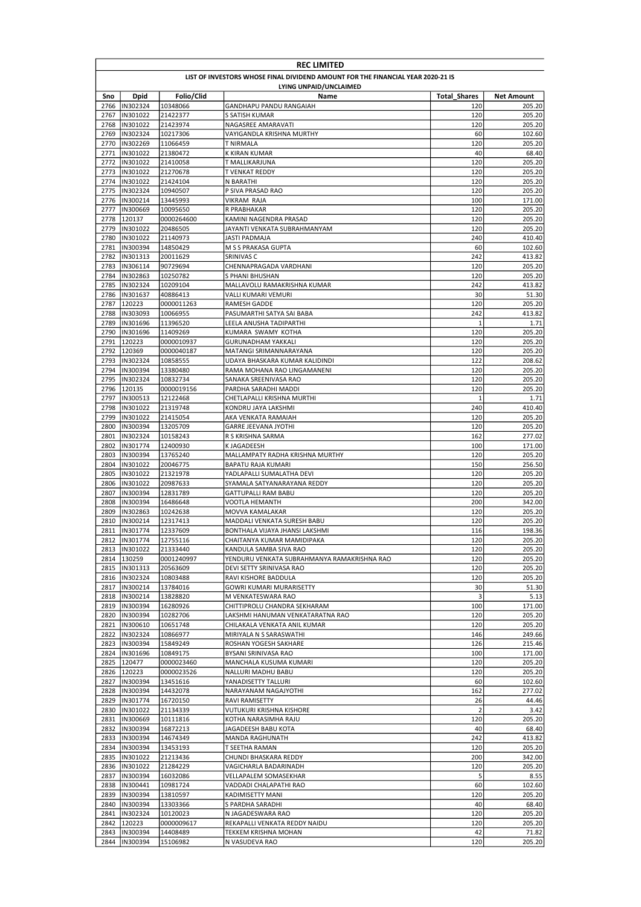|              | <b>REC LIMITED</b>                                                              |                        |                                                               |                     |                   |  |  |
|--------------|---------------------------------------------------------------------------------|------------------------|---------------------------------------------------------------|---------------------|-------------------|--|--|
|              | LIST OF INVESTORS WHOSE FINAL DIVIDEND AMOUNT FOR THE FINANCIAL YEAR 2020-21 IS |                        |                                                               |                     |                   |  |  |
| Sno          | Dpid                                                                            | Folio/Clid             | LYING UNPAID/UNCLAIMED<br>Name                                | <b>Total Shares</b> | <b>Net Amount</b> |  |  |
| 2766         | IN302324                                                                        | 10348066               | GANDHAPU PANDU RANGAIAH                                       | 120                 | 205.20            |  |  |
| 2767         | IN301022                                                                        | 21422377               | S SATISH KUMAR                                                | 120                 | 205.20            |  |  |
| 2768         | IN301022                                                                        | 21423974               | NAGASREE AMARAVATI                                            | 120                 | 205.20            |  |  |
| 2769         | IN302324                                                                        | 10217306               | VAYIGANDLA KRISHNA MURTHY                                     | 60                  | 102.60            |  |  |
| 2770<br>2771 | IN302269<br>IN301022                                                            | 11066459<br>21380472   | <b>T NIRMALA</b><br>K KIRAN KUMAR                             | 120<br>40           | 205.20<br>68.40   |  |  |
| 2772         | IN301022                                                                        | 21410058               | T MALLIKARJUNA                                                | 120                 | 205.20            |  |  |
| 2773         | IN301022                                                                        | 21270678               | <b>T VENKAT REDDY</b>                                         | 120                 | 205.20            |  |  |
|              | 2774  IN301022                                                                  | 21424104               | N BARATHI                                                     | 120                 | 205.20            |  |  |
| 2775         | IN302324                                                                        | 10940507               | P SIVA PRASAD RAO                                             | 120                 | 205.20            |  |  |
| 2776         | IN300214                                                                        | 13445993               | VIKRAM RAJA                                                   | 100                 | 171.00            |  |  |
| 2777         | IN300669                                                                        | 10095650               | R PRABHAKAR                                                   | 120<br>120          | 205.20            |  |  |
| 2778<br>2779 | 120137<br>IN301022                                                              | 0000264600<br>20486505 | KAMINI NAGENDRA PRASAD<br>JAYANTI VENKATA SUBRAHMANYAM        | 120                 | 205.20<br>205.20  |  |  |
|              | 2780  IN301022                                                                  | 21140973               | JASTI PADMAJA                                                 | 240                 | 410.40            |  |  |
| 2781         | IN300394                                                                        | 14850429               | M S S PRAKASA GUPTA                                           | 60                  | 102.60            |  |  |
| 2782         | IN301313                                                                        | 20011629               | SRINIVAS C                                                    | 242                 | 413.82            |  |  |
| 2783         | IN306114                                                                        | 90729694               | CHENNAPRAGADA VARDHANI                                        | 120                 | 205.20            |  |  |
| 2784         | IN302863                                                                        | 10250782               | S PHANI BHUSHAN                                               | 120                 | 205.20            |  |  |
| 2785         | IN302324                                                                        | 10209104               | MALLAVOLU RAMAKRISHNA KUMAR                                   | 242                 | 413.82            |  |  |
| 2786<br>2787 | IN301637<br>120223                                                              | 40886413<br>0000011263 | VALLI KUMARI VEMURI<br>RAMESH GADDE                           | 30<br>120           | 51.30<br>205.20   |  |  |
| 2788         | IN303093                                                                        | 10066955               | PASUMARTHI SATYA SAI BABA                                     | 242                 | 413.82            |  |  |
| 2789         | IN301696                                                                        | 11396520               | LEELA ANUSHA TADIPARTHI                                       | 1                   | 1.71              |  |  |
| 2790         | <b>IN301696</b>                                                                 | 11409269               | KUMARA SWAMY KOTHA                                            | 120                 | 205.20            |  |  |
| 2791         | 120223                                                                          | 0000010937             | <b>GURUNADHAM YAKKALI</b>                                     | 120                 | 205.20            |  |  |
|              | 2792 120369                                                                     | 0000040187             | MATANGI SRIMANNARAYANA                                        | 120                 | 205.20            |  |  |
| 2793         | IN302324                                                                        | 10858555               | UDAYA BHASKARA KUMAR KALIDINDI                                | 122                 | 208.62            |  |  |
| 2794<br>2795 | <b>IN300394</b><br>IN302324                                                     | 13380480<br>10832734   | RAMA MOHANA RAO LINGAMANENI<br>SANAKA SREENIVASA RAO          | 120<br>120          | 205.20<br>205.20  |  |  |
| 2796         | 120135                                                                          | 0000019156             | PARDHA SARADHI MADDI                                          | 120                 | 205.20            |  |  |
| 2797         | IN300513                                                                        | 12122468               | CHETLAPALLI KRISHNA MURTHI                                    | $\mathbf{1}$        | 1.71              |  |  |
| 2798         | IN301022                                                                        | 21319748               | KONDRU JAYA LAKSHMI                                           | 240                 | 410.40            |  |  |
| 2799         | IN301022                                                                        | 21415054               | AKA VENKATA RAMAIAH                                           | 120                 | 205.20            |  |  |
| 2800         | IN300394                                                                        | 13205709               | <b>GARRE JEEVANA JYOTHI</b>                                   | 120                 | 205.20            |  |  |
| 2801         | IN302324                                                                        | 10158243               | R S KRISHNA SARMA                                             | 162                 | 277.02            |  |  |
| 2802<br>2803 | IN301774<br>IN300394                                                            | 12400930<br>13765240   | K JAGADEESH<br>MALLAMPATY RADHA KRISHNA MURTHY                | 100<br>120          | 171.00<br>205.20  |  |  |
| 2804         | IN301022                                                                        | 20046775               | BAPATU RAJA KUMARI                                            | 150                 | 256.50            |  |  |
| 2805         | IN301022                                                                        | 21321978               | YADLAPALLI SUMALATHA DEVI                                     | 120                 | 205.20            |  |  |
| 2806         | IN301022                                                                        | 20987633               | SYAMALA SATYANARAYANA REDDY                                   | 120                 | 205.20            |  |  |
| 2807         | IN300394                                                                        | 12831789               | <b>GATTUPALLI RAM BABU</b>                                    | 120                 | 205.20            |  |  |
| 2808         | IN300394                                                                        | 16486648               | VOOTLA HEMANTH                                                | 200                 | 342.00            |  |  |
| 2809         | IN302863                                                                        | 10242638               | MOVVA KAMALAKAR                                               | 120                 | 205.20            |  |  |
| 2810<br>2811 | IN300214<br>IN301774                                                            | 12317413<br>12337609   | MADDALI VENKATA SURESH BABU<br>BONTHALA VIJAYA JHANSI LAKSHMI | 120<br>116          | 205.20<br>198.36  |  |  |
|              | 2812 IIN301774                                                                  | 12755116               | CHAITANYA KUMAR MAMIDIPAKA                                    | 120                 | 205.20            |  |  |
|              | 2813  IN301022                                                                  | 21333440               | KANDULA SAMBA SIVA RAO                                        | 120                 | 205.20            |  |  |
|              | 2814 130259                                                                     | 0001240997             | YENDURU VENKATA SUBRAHMANYA RAMAKRISHNA RAO                   | 120                 | 205.20            |  |  |
|              | 2815  IN301313                                                                  | 20563609               | DEVI SETTY SRINIVASA RAO                                      | 120                 | 205.20            |  |  |
|              | 2816  IN302324                                                                  | 10803488               | RAVI KISHORE BADDULA                                          | 120                 | 205.20            |  |  |
| 2817         | IN300214                                                                        | 13784016               | GOWRI KUMARI MURARISETTY                                      | 30                  | 51.30             |  |  |
|              | 2818  IN300214<br>2819  IN300394                                                | 13828820<br>16280926   | M VENKATESWARA RAO<br>CHITTIPROLU CHANDRA SEKHARAM            | 3<br>100            | 5.13<br>171.00    |  |  |
| 2820         | IN300394                                                                        | 10282706               | LAKSHMI HANUMAN VENKATARATNA RAO                              | 120                 | 205.20            |  |  |
| 2821         | IN300610                                                                        | 10651748               | CHILAKALA VENKATA ANIL KUMAR                                  | 120                 | 205.20            |  |  |
| 2822         | IN302324                                                                        | 10866977               | MIRIYALA N S SARASWATHI                                       | 146                 | 249.66            |  |  |
| 2823         | IN300394                                                                        | 15849249               | ROSHAN YOGESH SAKHARE                                         | 126                 | 215.46            |  |  |
|              | 2824  IN301696                                                                  | 10849175               | BYSANI SRINIVASA RAO                                          | 100                 | 171.00            |  |  |
|              | 2825 120477                                                                     | 0000023460             | MANCHALA KUSUMA KUMARI                                        | 120                 | 205.20            |  |  |
| 2827         | 2826 120223<br>IN300394                                                         | 0000023526             | NALLURI MADHU BABU                                            | 120<br>60           | 205.20<br>102.60  |  |  |
|              | 2828  IN300394                                                                  | 13451616<br>14432078   | YANADISETTY TALLURI<br>NARAYANAM NAGAJYOTHI                   | 162                 | 277.02            |  |  |
|              | 2829  IN301774                                                                  | 16720150               | RAVI RAMISETTY                                                | 26                  | 44.46             |  |  |
|              | 2830  IN301022                                                                  | 21134339               | VUTUKURI KRISHNA KISHORE                                      | $\overline{2}$      | 3.42              |  |  |
|              | 2831  IN300669                                                                  | 10111816               | KOTHA NARASIMHA RAJU                                          | 120                 | 205.20            |  |  |
| 2832         | IN300394                                                                        | 16872213               | JAGADEESH BABU KOTA                                           | 40                  | 68.40             |  |  |
| 2833         | IN300394                                                                        | 14674349               | MANDA RAGHUNATH                                               | 242                 | 413.82            |  |  |
| 2834         | IN300394                                                                        | 13453193               | T SEETHA RAMAN                                                | 120                 | 205.20            |  |  |
| 2835<br>2836 | IN301022<br>IN301022                                                            | 21213436<br>21284229   | CHUNDI BHASKARA REDDY<br>VAGICHARLA BADARINADH                | 200<br>120          | 342.00<br>205.20  |  |  |
|              | 2837  IN300394                                                                  | 16032086               | VELLAPALEM SOMASEKHAR                                         | 5                   | 8.55              |  |  |
| 2838         | IN300441                                                                        | 10981724               | VADDADI CHALAPATHI RAO                                        | 60                  | 102.60            |  |  |
| 2839         | IN300394                                                                        | 13810597               | KADIMISETTY MANI                                              | 120                 | 205.20            |  |  |
|              | 2840  IN300394                                                                  | 13303366               | S PARDHA SARADHI                                              | 40                  | 68.40             |  |  |
|              | 2841  IN302324                                                                  | 10120023               | N JAGADESWARA RAO                                             | 120                 | 205.20            |  |  |
|              | 2842 120223                                                                     | 0000009617             | REKAPALLI VENKATA REDDY NAIDU                                 | 120                 | 205.20            |  |  |
|              | 2843  IN300394                                                                  | 14408489               | TEKKEM KRISHNA MOHAN                                          | 42                  | 71.82             |  |  |
|              | 2844  IN300394                                                                  | 15106982               | N VASUDEVA RAO                                                | 120                 | 205.20            |  |  |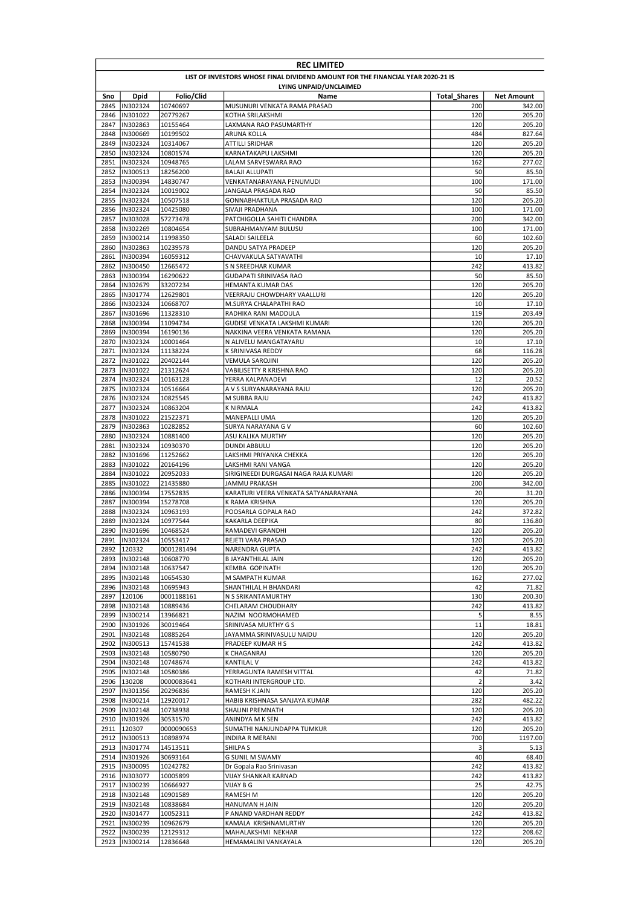|              | <b>REC LIMITED</b>                                                              |                      |                                                       |                     |                   |  |  |
|--------------|---------------------------------------------------------------------------------|----------------------|-------------------------------------------------------|---------------------|-------------------|--|--|
|              | LIST OF INVESTORS WHOSE FINAL DIVIDEND AMOUNT FOR THE FINANCIAL YEAR 2020-21 IS |                      |                                                       |                     |                   |  |  |
|              | LYING UNPAID/UNCLAIMED                                                          |                      |                                                       |                     |                   |  |  |
| Sno          | Dpid                                                                            | Folio/Clid           | Name                                                  | <b>Total Shares</b> | <b>Net Amount</b> |  |  |
| 2845         | IN302324                                                                        | 10740697             | MUSUNURI VENKATA RAMA PRASAD                          | 200                 | 342.00            |  |  |
| 2846         | IN301022                                                                        | 20779267             | KOTHA SRILAKSHMI                                      | 120                 | 205.20            |  |  |
| 2847         | IN302863                                                                        | 10155464             | LAXMANA RAO PASUMARTHY                                | 120                 | 205.20            |  |  |
| 2848<br>2849 | IN300669<br>IN302324                                                            | 10199502<br>10314067 | ARUNA KOLLA<br>ATTILLI SRIDHAR                        | 484<br>120          | 827.64<br>205.20  |  |  |
| 2850         | IN302324                                                                        | 10801574             | KARNATAKAPU LAKSHMI                                   | 120                 | 205.20            |  |  |
| 2851         | IN302324                                                                        | 10948765             | LALAM SARVESWARA RAO                                  | 162                 | 277.02            |  |  |
| 2852         | IN300513                                                                        | 18256200             | <b>BALAJI ALLUPATI</b>                                | 50                  | 85.50             |  |  |
| 2853         | IN300394                                                                        | 14830747             | VENKATANARAYANA PENUMUDI                              | 100                 | 171.00            |  |  |
| 2854         | IN302324                                                                        | 10019002             | JANGALA PRASADA RAO                                   | 50                  | 85.50             |  |  |
| 2855         | IN302324                                                                        | 10507518             | GONNABHAKTULA PRASADA RAO                             | 120                 | 205.20            |  |  |
| 2856         | IN302324                                                                        | 10425080             | SIVAJI PRADHANA                                       | 100                 | 171.00            |  |  |
| 2857         | IN303028                                                                        | 57273478             | PATCHIGOLLA SAHITI CHANDRA                            | 200                 | 342.00            |  |  |
| 2858         | IN302269                                                                        | 10804654             | SUBRAHMANYAM BULUSU                                   | 100                 | 171.00            |  |  |
|              | 2859  IN300214                                                                  | 11998350             | SALADI SAILEELA                                       | 60                  | 102.60            |  |  |
| 2860         | IN302863                                                                        | 10239578             | DANDU SATYA PRADEEP                                   | 120                 | 205.20            |  |  |
| 2861         | IN300394                                                                        | 16059312             | CHAVVAKULA SATYAVATHI                                 | 10                  | 17.10             |  |  |
| 2862         | IN300450                                                                        | 12665472             | S N SREEDHAR KUMAR                                    | 242                 | 413.82            |  |  |
| 2863         | IN300394                                                                        | 16290622             | <b>GUDAPATI SRINIVASA RAO</b>                         | 50                  | 85.50             |  |  |
| 2864         | IN302679                                                                        | 33207234             | HEMANTA KUMAR DAS                                     | 120                 | 205.20            |  |  |
| 2865         | IN301774                                                                        | 12629801             | VEERRAJU CHOWDHARY VAALLURI<br>M.SURYA CHALAPATHI RAO | 120<br>10           | 205.20<br>17.10   |  |  |
| 2866<br>2867 | IN302324<br>IN301696                                                            | 10668707<br>11328310 | RADHIKA RANI MADDULA                                  | 119                 | 203.49            |  |  |
| 2868         | IN300394                                                                        | 11094734             | GUDISE VENKATA LAKSHMI KUMARI                         | 120                 | 205.20            |  |  |
| 2869         | IN300394                                                                        | 16190136             | NAKKINA VEERA VENKATA RAMANA                          | 120                 | 205.20            |  |  |
| 2870         | IN302324                                                                        | 10001464             | N ALIVELU MANGATAYARU                                 | 10                  | 17.10             |  |  |
| 2871         | IN302324                                                                        | 11138224             | K SRINIVASA REDDY                                     | 68                  | 116.28            |  |  |
| 2872         | IN301022                                                                        | 20402144             | VEMULA SAROJINI                                       | 120                 | 205.20            |  |  |
| 2873         | IN301022                                                                        | 21312624             | VABILISETTY R KRISHNA RAO                             | 120                 | 205.20            |  |  |
| 2874         | IN302324                                                                        | 10163128             | YERRA KALPANADEVI                                     | 12                  | 20.52             |  |  |
| 2875         | IN302324                                                                        | 10516664             | A V S SURYANARAYANA RAJU                              | 120                 | 205.20            |  |  |
| 2876         | IN302324                                                                        | 10825545             | M SUBBA RAJU                                          | 242                 | 413.82            |  |  |
| 2877         | IN302324                                                                        | 10863204             | <b>K NIRMALA</b>                                      | 242                 | 413.82            |  |  |
| 2878         | IN301022                                                                        | 21522371             | <b>MANEPALLI UMA</b>                                  | 120                 | 205.20            |  |  |
| 2879         | IN302863                                                                        | 10282852             | SURYA NARAYANA G V                                    | 60                  | 102.60            |  |  |
| 2880         | IN302324                                                                        | 10881400             | ASU KALIKA MURTHY                                     | 120                 | 205.20            |  |  |
| 2881         | IN302324                                                                        | 10930370             | DUNDI ABBULU                                          | 120                 | 205.20            |  |  |
| 2882<br>2883 | IN301696<br>IN301022                                                            | 11252662             | LAKSHMI PRIYANKA CHEKKA<br>LAKSHMI RANI VANGA         | 120<br>120          | 205.20<br>205.20  |  |  |
| 2884         | IN301022                                                                        | 20164196<br>20952033 | SIRIGINEEDI DURGASAI NAGA RAJA KUMARI                 | 120                 | 205.20            |  |  |
| 2885         | IN301022                                                                        | 21435880             | JAMMU PRAKASH                                         | 200                 | 342.00            |  |  |
| 2886         | IN300394                                                                        | 17552835             | KARATURI VEERA VENKATA SATYANARAYANA                  | 20                  | 31.20             |  |  |
| 2887         | IN300394                                                                        | 15278708             | K RAMA KRISHNA                                        | 120                 | 205.20            |  |  |
| 2888         | IN302324                                                                        | 10963193             | POOSARLA GOPALA RAO                                   | 242                 | 372.82            |  |  |
| 2889         | IN302324                                                                        | 10977544             | KAKARLA DEEPIKA                                       | 80                  | 136.80            |  |  |
| 2890         | IN301696                                                                        | 10468524             | RAMADEVI GRANDHI                                      | 120                 | 205.20            |  |  |
| 2891         | IN302324                                                                        | 10553417             | REJETI VARA PRASAD                                    | 120                 | 205.20            |  |  |
|              | 2892 120332                                                                     | 0001281494           | <b>NARENDRA GUPTA</b>                                 | 242                 | 413.82            |  |  |
| 2893         | IN302148                                                                        | 10608770             | <b>B JAYANTHILAL JAIN</b>                             | 120                 | 205.20            |  |  |
|              | 2894  IN302148                                                                  | 10637547             | <b>KEMBA GOPINATH</b>                                 | 120                 | 205.20            |  |  |
|              | 2895  IN302148                                                                  | 10654530             | M SAMPATH KUMAR                                       | 162                 | 277.02            |  |  |
|              | 2896  IN302148                                                                  | 10695943             | SHANTHILAL H BHANDARI                                 | 42                  | 71.82             |  |  |
| 2897         | 120106                                                                          | 0001188161           | N S SRIKANTAMURTHY                                    | 130                 | 200.30            |  |  |
| 2899         | 2898  IN302148<br>IN300214                                                      | 10889436<br>13966821 | CHELARAM CHOUDHARY                                    | 242<br>5            | 413.82<br>8.55    |  |  |
|              | 2900  IN301926                                                                  | 30019464             | NAZIM NOORMOHAMED<br>SRINIVASA MURTHY G S             | 11                  | 18.81             |  |  |
| 2901         | IN302148                                                                        | 10885264             | JAYAMMA SRINIVASULU NAIDU                             | 120                 | 205.20            |  |  |
| 2902         | IN300513                                                                        | 15741538             | PRADEEP KUMAR H S                                     | 242                 | 413.82            |  |  |
| 2903         | IN302148                                                                        | 10580790             | K CHAGANRAJ                                           | 120                 | 205.20            |  |  |
| 2904         | IN302148                                                                        | 10748674             | <b>KANTILAL V</b>                                     | 242                 | 413.82            |  |  |
| 2905         | IN302148                                                                        | 10580386             | YERRAGUNTA RAMESH VITTAL                              | 42                  | 71.82             |  |  |
|              | 2906 130208                                                                     | 0000083641           | KOTHARI INTERGROUP LTD.                               | $\overline{2}$      | 3.42              |  |  |
| 2907         | IN301356                                                                        | 20296836             | RAMESH K JAIN                                         | 120                 | 205.20            |  |  |
|              | 2908  IN300214                                                                  | 12920017             | HABIB KRISHNASA SANJAYA KUMAR                         | 282                 | 482.22            |  |  |
|              | 2909  IN302148                                                                  | 10738938             | SHALINI PREMNATH                                      | 120                 | 205.20            |  |  |
|              | 2910  IN301926                                                                  | 30531570             | ANINDYA M K SEN                                       | 242                 | 413.82            |  |  |
|              | 2911 120307                                                                     | 0000090653           | SUMATHI NANJUNDAPPA TUMKUR                            | 120                 | 205.20            |  |  |
|              | 2912  IN300513                                                                  | 10898974             | INDIRA R MERANI                                       | 700                 | 1197.00           |  |  |
|              | 2913  IN301774                                                                  | 14513511             | SHILPA S                                              | 3                   | 5.13              |  |  |
|              | 2914  IN301926                                                                  | 30693164             | <b>G SUNIL M SWAMY</b>                                | 40                  | 68.40             |  |  |
|              | 2915  IN300095                                                                  | 10242782             | Dr Gopala Rao Srinivasan                              | 242                 | 413.82            |  |  |
|              | 2916  IN303077                                                                  | 10005899             | VIJAY SHANKAR KARNAD                                  | 242<br>25           | 413.82<br>42.75   |  |  |
|              | 2917  IN300239<br>2918  IN302148                                                | 10666927<br>10901589 | VIJAY B G<br>RAMESH M                                 | 120                 | 205.20            |  |  |
|              | 2919  IN302148                                                                  | 10838684             | HANUMAN H JAIN                                        | 120                 | 205.20            |  |  |
|              | 2920  IN301477                                                                  | 10052311             | P ANAND VARDHAN REDDY                                 | 242                 | 413.82            |  |  |
| 2921         | IN300239                                                                        | 10962679             | KAMALA KRISHNAMURTHY                                  | 120                 | 205.20            |  |  |
|              | 2922  IN300239                                                                  | 12129312             | MAHALAKSHMI NEKHAR                                    | 122                 | 208.62            |  |  |
|              | 2923  IN300214                                                                  | 12836648             | HEMAMALINI VANKAYALA                                  | 120                 | 205.20            |  |  |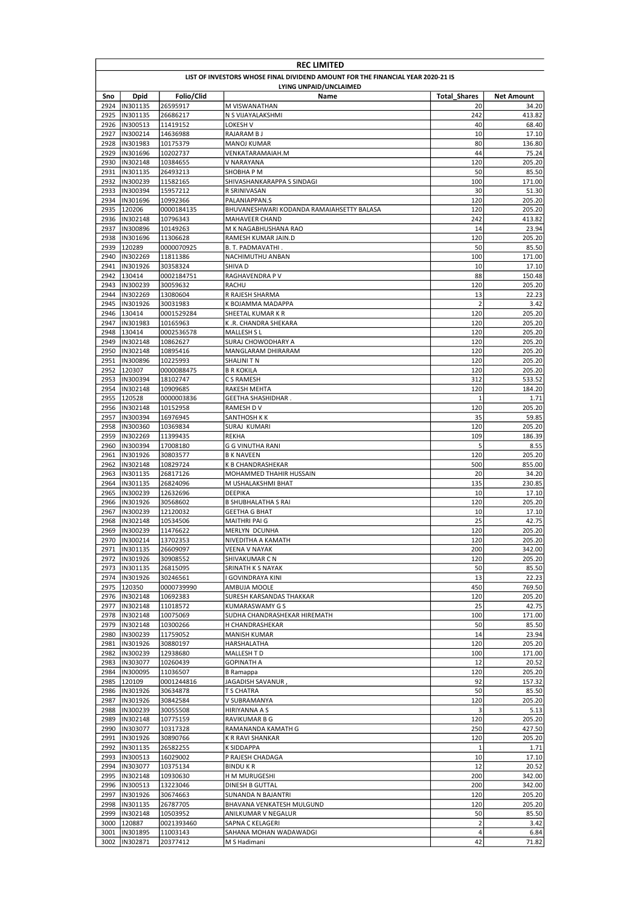|              | <b>REC LIMITED</b>                                                              |                        |                                                    |                     |                   |  |  |
|--------------|---------------------------------------------------------------------------------|------------------------|----------------------------------------------------|---------------------|-------------------|--|--|
|              | LIST OF INVESTORS WHOSE FINAL DIVIDEND AMOUNT FOR THE FINANCIAL YEAR 2020-21 IS |                        |                                                    |                     |                   |  |  |
| Sno          | Dpid                                                                            | Folio/Clid             | LYING UNPAID/UNCLAIMED<br>Name                     | <b>Total Shares</b> | <b>Net Amount</b> |  |  |
| 2924         | IN301135                                                                        | 26595917               | M VISWANATHAN                                      | 20                  | 34.20             |  |  |
| 2925         | IN301135                                                                        | 26686217               | N S VIJAYALAKSHMI                                  | 242                 | 413.82            |  |  |
| 2926         | IN300513                                                                        | 11419152               | LOKESH V                                           | 40                  | 68.40             |  |  |
| 2927         | IN300214                                                                        | 14636988               | RAJARAM B J                                        | 10                  | 17.10             |  |  |
| 2928         | IN301983                                                                        | 10175379               | <b>MANOJ KUMAR</b>                                 | 80                  | 136.80            |  |  |
| 2929<br>2930 | IN301696<br>IN302148                                                            | 10202737<br>10384655   | VENKATARAMAIAH.M<br>V NARAYANA                     | 44<br>120           | 75.24<br>205.20   |  |  |
| 2931         | IN301135                                                                        | 26493213               | SHOBHA P M                                         | 50                  | 85.50             |  |  |
| 2932         | IN300239                                                                        | 11582165               | SHIVASHANKARAPPA S SINDAGI                         | 100                 | 171.00            |  |  |
| 2933         | <b>IN300394</b>                                                                 | 15957212               | R SRINIVASAN                                       | 30                  | 51.30             |  |  |
| 2934         | IN301696                                                                        | 10992366               | PALANIAPPAN.S                                      | 120                 | 205.20            |  |  |
| 2935         | 120206                                                                          | 0000184135             | BHUVANESHWARI KODANDA RAMAIAHSETTY BALASA          | 120                 | 205.20            |  |  |
| 2936         | IN302148                                                                        | 10796343               | <b>MAHAVEER CHAND</b>                              | 242                 | 413.82            |  |  |
| 2937<br>2938 | IN300896<br>IN301696                                                            | 10149263<br>11306628   | M K NAGABHUSHANA RAO<br>RAMESH KUMAR JAIN.D        | 14<br>120           | 23.94<br>205.20   |  |  |
| 2939         | 120289                                                                          | 0000070925             | B. T. PADMAVATHI.                                  | 50                  | 85.50             |  |  |
| 2940         | IN302269                                                                        | 11811386               | NACHIMUTHU ANBAN                                   | 100                 | 171.00            |  |  |
| 2941         | IN301926                                                                        | 30358324               | SHIVA D                                            | 10                  | 17.10             |  |  |
| 2942         | 130414                                                                          | 0002184751             | RAGHAVENDRA P V                                    | 88                  | 150.48            |  |  |
| 2943         | IN300239                                                                        | 30059632               | RACHU                                              | 120                 | 205.20            |  |  |
| 2944         | IN302269                                                                        | 13080604               | R RAJESH SHARMA                                    | 13                  | 22.23             |  |  |
| 2945         | IN301926                                                                        | 30031983               | K BOJAMMA MADAPPA                                  | $\overline{2}$      | 3.42              |  |  |
| 2946<br>2947 | 130414<br>IN301983                                                              | 0001529284<br>10165963 | SHEETAL KUMAR K R<br>K.R. CHANDRA SHEKARA          | 120<br>120          | 205.20<br>205.20  |  |  |
| 2948         | 130414                                                                          | 0002536578             | <b>MALLESH SL</b>                                  | 120                 | 205.20            |  |  |
| 2949         | IN302148                                                                        | 10862627               | SURAJ CHOWODHARY A                                 | 120                 | 205.20            |  |  |
| 2950         | IN302148                                                                        | 10895416               | MANGLARAM DHIRARAM                                 | 120                 | 205.20            |  |  |
| 2951         | IN300896                                                                        | 10225993               | SHALINI T N                                        | 120                 | 205.20            |  |  |
| 2952         | 120307                                                                          | 0000088475             | <b>B R KOKILA</b>                                  | 120                 | 205.20            |  |  |
| 2953         | IN300394                                                                        | 18102747               | C S RAMESH                                         | 312                 | 533.52            |  |  |
| 2954         | IN302148                                                                        | 10909685               | <b>RAKESH MEHTA</b>                                | 120                 | 184.20            |  |  |
| 2955         | 120528                                                                          | 0000003836             | GEETHA SHASHIDHAR.                                 | $\mathbf{1}$        | 1.71              |  |  |
| 2956<br>2957 | IN302148<br>IN300394                                                            | 10152958<br>16976945   | RAMESH D V<br>SANTHOSH K K                         | 120<br>35           | 205.20<br>59.85   |  |  |
| 2958         | IN300360                                                                        | 10369834               | SURAJ KUMARI                                       | 120                 | 205.20            |  |  |
| 2959         | IN302269                                                                        | 11399435               | <b>REKHA</b>                                       | 109                 | 186.39            |  |  |
| 2960         | IN300394                                                                        | 17008180               | G G VINUTHA RANI                                   | 5                   | 8.55              |  |  |
| 2961         | IN301926                                                                        | 30803577               | <b>B K NAVEEN</b>                                  | 120                 | 205.20            |  |  |
| 2962         | IN302148                                                                        | 10829724               | K B CHANDRASHEKAR                                  | 500                 | 855.00            |  |  |
| 2963         | IN301135                                                                        | 26817126               | MOHAMMED THAHIR HUSSAIN                            | 20                  | 34.20             |  |  |
| 2964         | IN301135                                                                        | 26824096               | M USHALAKSHMI BHAT                                 | 135                 | 230.85            |  |  |
| 2965         | IN300239                                                                        | 12632696               | DEEPIKA                                            | 10                  | 17.10             |  |  |
| 2966<br>2967 | IN301926<br>IN300239                                                            | 30568602<br>12120032   | <b>B SHUBHALATHA S RAI</b><br><b>GEETHA G BHAT</b> | 120<br>10           | 205.20<br>17.10   |  |  |
| 2968         | IN302148                                                                        | 10534506               | <b>MAITHRI PAI G</b>                               | 25                  | 42.75             |  |  |
| 2969         | IN300239                                                                        | 11476622               | <b>MERLYN DCUNHA</b>                               | 120                 | 205.20            |  |  |
|              | 2970  IN300214                                                                  | 13702353               | NIVEDITHA A KAMATH                                 | 120                 | 205.20            |  |  |
|              | 2971  IN301135                                                                  | 26609097               | <b>VEENA V NAYAK</b>                               | 200                 | 342.00            |  |  |
| 2972         | IN301926                                                                        | 30908552               | SHIVAKUMAR C N                                     | 120                 | 205.20            |  |  |
|              | 2973  IN301135                                                                  | 26815095               | SRINATH K S NAYAK                                  | 50                  | 85.50             |  |  |
| 2974         | IN301926                                                                        | 30246561               | I GOVINDRAYA KINI<br>AMBUJA MOOLE                  | 13<br>450           | 22.23             |  |  |
|              | 2975 120350<br>2976  IN302148                                                   | 0000739990<br>10692383 | SURESH KARSANDAS THAKKAR                           | 120                 | 769.50<br>205.20  |  |  |
| 2977         | IN302148                                                                        | 11018572               | <b>KUMARASWAMY GS</b>                              | 25                  | 42.75             |  |  |
| 2978         | IN302148                                                                        | 10075069               | SUDHA CHANDRASHEKAR HIREMATH                       | 100                 | 171.00            |  |  |
| 2979         | IN302148                                                                        | 10300266               | H CHANDRASHEKAR                                    | 50                  | 85.50             |  |  |
| 2980         | IN300239                                                                        | 11759052               | <b>MANISH KUMAR</b>                                | 14                  | 23.94             |  |  |
| 2981         | IN301926                                                                        | 30880197               | HARSHALATHA                                        | 120                 | 205.20            |  |  |
| 2982         | IN300239                                                                        | 12938680               | MALLESH T D                                        | 100                 | 171.00            |  |  |
| 2983         | IN303077                                                                        | 10260439               | <b>GOPINATH A</b>                                  | 12                  | 20.52             |  |  |
| 2984<br>2985 | IN300095<br>120109                                                              | 11036507<br>0001244816 | <b>B</b> Ramappa<br>JAGADISH SAVANUR               | 120<br>92           | 205.20<br>157.32  |  |  |
| 2986         | IN301926                                                                        | 30634878               | T S CHATRA                                         | 50                  | 85.50             |  |  |
| 2987         | IN301926                                                                        | 30842584               | V SUBRAMANYA                                       | 120                 | 205.20            |  |  |
| 2988         | IN300239                                                                        | 30055508               | HIRIYANNA A S                                      | 3                   | 5.13              |  |  |
| 2989         | IN302148                                                                        | 10775159               | RAVIKUMAR B G                                      | 120                 | 205.20            |  |  |
| 2990         | IN303077                                                                        | 10317328               | RAMANANDA KAMATH G                                 | 250                 | 427.50            |  |  |
| 2991         | IN301926                                                                        | 30890766               | K R RAVI SHANKAR                                   | 120                 | 205.20            |  |  |
| 2992         | IN301135                                                                        | 26582255               | K SIDDAPPA                                         | $\mathbf 1$         | 1.71              |  |  |
| 2993         | IN300513                                                                        | 16029002               | P RAJESH CHADAGA                                   | 10                  | 17.10             |  |  |
| 2994         | IN303077                                                                        | 10375134               | <b>BINDUKR</b>                                     | 12                  | 20.52             |  |  |
| 2995<br>2996 | IN302148<br>IN300513                                                            | 10930630<br>13223046   | H M MURUGESHI<br>DINESH B GUTTAL                   | 200<br>200          | 342.00<br>342.00  |  |  |
| 2997         | IN301926                                                                        | 30674663               | SUNANDA N BAJANTRI                                 | 120                 | 205.20            |  |  |
| 2998         | IN301135                                                                        | 26787705               | BHAVANA VENKATESH MULGUND                          | 120                 | 205.20            |  |  |
| 2999         | IN302148                                                                        | 10503952               | ANILKUMAR V NEGALUR                                | 50                  | 85.50             |  |  |
| 3000         | 120887                                                                          | 0021393460             | SAPNA C KELAGERI                                   | $\mathbf 2$         | 3.42              |  |  |
|              | 3001  IN301895                                                                  | 11003143               | SAHANA MOHAN WADAWADGI                             | $\pmb{4}$           | 6.84              |  |  |
|              | 3002  IN302871                                                                  | 20377412               | M S Hadimani                                       | 42                  | 71.82             |  |  |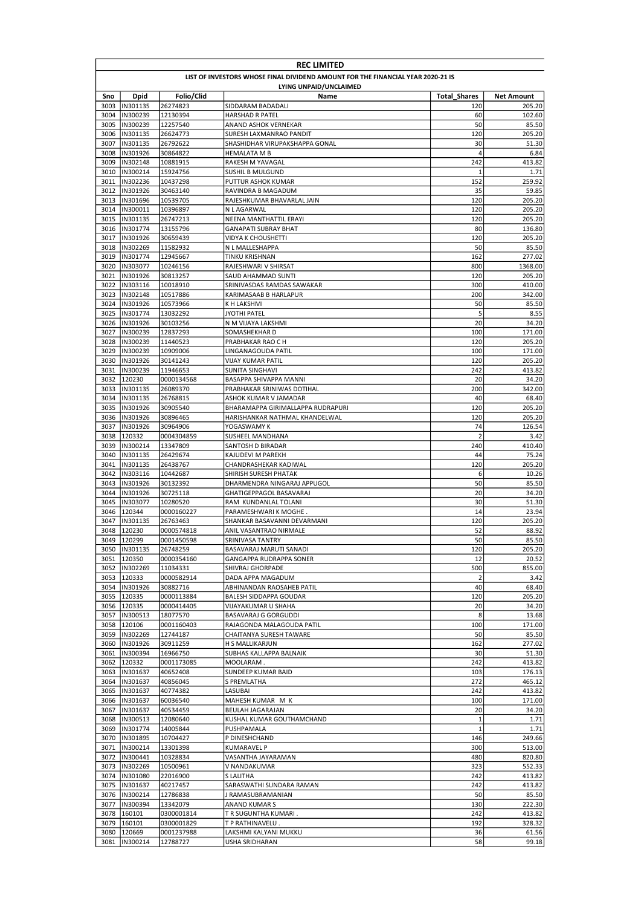|              | <b>REC LIMITED</b>            |                        |                                                                                 |                     |                   |  |
|--------------|-------------------------------|------------------------|---------------------------------------------------------------------------------|---------------------|-------------------|--|
|              |                               |                        | LIST OF INVESTORS WHOSE FINAL DIVIDEND AMOUNT FOR THE FINANCIAL YEAR 2020-21 IS |                     |                   |  |
|              |                               |                        | LYING UNPAID/UNCLAIMED                                                          |                     |                   |  |
| Sno          | <b>Dpid</b>                   | Folio/Clid             | Name                                                                            | <b>Total Shares</b> | <b>Net Amount</b> |  |
| 3003<br>3004 | IN301135<br>IN300239          | 26274823<br>12130394   | SIDDARAM BADADALI<br><b>HARSHAD R PATEL</b>                                     | 120<br>60           | 205.20            |  |
| 3005         | IN300239                      | 12257540               | ANAND ASHOK VERNEKAR                                                            | 50                  | 102.60<br>85.50   |  |
| 3006         | IN301135                      | 26624773               | SURESH LAXMANRAO PANDIT                                                         | 120                 | 205.20            |  |
| 3007         | IN301135                      | 26792622               | SHASHIDHAR VIRUPAKSHAPPA GONAL                                                  | 30                  | 51.30             |  |
| 3008         | IN301926                      | 30864822               | <b>HEMALATA M B</b>                                                             | $\overline{4}$      | 6.84              |  |
| 3009         | IN302148                      | 10881915               | RAKESH M YAVAGAL                                                                | 242                 | 413.82            |  |
| 3010         | IN300214                      | 15924756               | <b>SUSHIL B MULGUND</b>                                                         | $\mathbf{1}$        | 1.71              |  |
| 3011         | IN302236                      | 10437298               | PUTTUR ASHOK KUMAR                                                              | 152                 | 259.92            |  |
| 3012<br>3013 | IN301926<br>IN301696          | 30463140<br>10539705   | RAVINDRA B MAGADUM<br>RAJESHKUMAR BHAVARLAL JAIN                                | 35<br>120           | 59.85<br>205.20   |  |
| 3014         | IN300011                      | 10396897               | N L AGARWAL                                                                     | 120                 | 205.20            |  |
| 3015         | IN301135                      | 26747213               | NEENA MANTHATTIL ERAYI                                                          | 120                 | 205.20            |  |
| 3016         | IN301774                      | 13155796               | <b>GANAPATI SUBRAY BHAT</b>                                                     | 80                  | 136.80            |  |
| 3017         | IN301926                      | 30659439               | VIDYA K CHOUSHETTI                                                              | 120                 | 205.20            |  |
| 3018         | IN302269                      | 11582932               | N L MALLESHAPPA                                                                 | 50                  | 85.50             |  |
| 3019         | IN301774                      | 12945667               | TINKU KRISHNAN                                                                  | 162                 | 277.02            |  |
| 3020         | IN303077                      | 10246156               | RAJESHWARI V SHIRSAT                                                            | 800                 | 1368.00           |  |
| 3021         | IN301926                      | 30813257               | SAUD AHAMMAD SUNTI                                                              | 120                 | 205.20            |  |
| 3022         | IN303116                      | 10018910               | SRINIVASDAS RAMDAS SAWAKAR                                                      | 300                 | 410.00            |  |
| 3023<br>3024 | IN302148<br>IN301926          | 10517886<br>10573966   | KARIMASAAB B HARLAPUR<br>K H LAKSHMI                                            | 200<br>50           | 342.00<br>85.50   |  |
| 3025         | IN301774                      | 13032292               | JYOTHI PATEL                                                                    | 5                   | 8.55              |  |
| 3026         | IN301926                      | 30103256               | N M VIJAYA LAKSHMI                                                              | 20                  | 34.20             |  |
| 3027         | IN300239                      | 12837293               | SOMASHEKHAR D                                                                   | 100                 | 171.00            |  |
| 3028         | IN300239                      | 11440523               | PRABHAKAR RAO C H                                                               | 120                 | 205.20            |  |
| 3029         | IN300239                      | 10909006               | LINGANAGOUDA PATIL                                                              | 100                 | 171.00            |  |
| 3030         | IN301926                      | 30141243               | VIJAY KUMAR PATIL                                                               | 120                 | 205.20            |  |
| 3031         | IN300239                      | 11946653               | SUNITA SINGHAVI                                                                 | 242                 | 413.82            |  |
| 3032         | 120230                        | 0000134568             | BASAPPA SHIVAPPA MANNI                                                          | 20                  | 34.20             |  |
| 3033         | IN301135                      | 26089370               | PRABHAKAR SRINIWAS DOTIHAL                                                      | 200<br>40           | 342.00            |  |
| 3034<br>3035 | IN301135<br>IN301926          | 26768815<br>30905540   | ASHOK KUMAR V JAMADAR<br>BHARAMAPPA GIRIMALLAPPA RUDRAPURI                      | 120                 | 68.40<br>205.20   |  |
| 3036         | IN301926                      | 30896465               | HARISHANKAR NATHMAL KHANDELWAL                                                  | 120                 | 205.20            |  |
| 3037         | IN301926                      | 30964906               | YOGASWAMY K                                                                     | 74                  | 126.54            |  |
| 3038         | 120332                        | 0004304859             | SUSHEEL MANDHANA                                                                | $\overline{2}$      | 3.42              |  |
| 3039         | IN300214                      | 13347809               | SANTOSH D BIRADAR                                                               | 240                 | 410.40            |  |
| 3040         | IN301135                      | 26429674               | KAJUDEVI M PAREKH                                                               | 44                  | 75.24             |  |
| 3041         | IN301135                      | 26438767               | CHANDRASHEKAR KADIWAL                                                           | 120                 | 205.20            |  |
| 3042         | IN303116                      | 10442687               | SHIRISH SURESH PHATAK                                                           | 6                   | 10.26             |  |
| 3043         | IN301926                      | 30132392               | DHARMENDRA NINGARAJ APPUGOL                                                     | 50                  | 85.50             |  |
| 3044<br>3045 | IN301926<br>IIN303077         | 30725118<br>10280520   | GHATIGEPPAGOL BASAVARAJ<br>RAM KUNDANLAL TOLANI                                 | 20<br>30            | 34.20<br>51.30    |  |
| 3046         | 120344                        | 0000160227             | PARAMESHWARI K MOGHE.                                                           | 14                  | 23.94             |  |
| 3047         | IN301135                      | 26763463               | SHANKAR BASAVANNI DEVARMANI                                                     | 120                 | 205.20            |  |
| 3048         | 120230                        | 0000574818             | ANIL VASANTRAO NIRMALE                                                          | 52                  | 88.92             |  |
| 3049         | 120299                        | 0001450598             | SRINIVASA TANTRY                                                                | 50                  | 85.50             |  |
|              | 3050  IN301135                | 26748259               | BASAVARAJ MARUTI SANADI                                                         | 120                 | 205.20            |  |
| 3051         | 120350                        | 0000354160             | GANGAPPA RUDRAPPA SONER                                                         | 12                  | 20.52             |  |
|              | 3052  IN302269                | 11034331               | SHIVRAJ GHORPADE                                                                | 500                 | 855.00            |  |
|              | 3053 120333                   | 0000582914             | DADA APPA MAGADUM                                                               | $\overline{2}$      | 3.42              |  |
|              | 3054  IN301926<br>3055 120335 | 30882716<br>0000113884 | ABHINANDAN RAOSAHEB PATIL<br>BALESH SIDDAPPA GOUDAR                             | 40<br>120           | 68.40<br>205.20   |  |
|              | 3056 120335                   | 0000414405             | VIJAYAKUMAR U SHAHA                                                             | 20                  | 34.20             |  |
|              | 3057  IN300513                | 18077570               | BASAVARAJ G GORGUDDI                                                            | 8                   | 13.68             |  |
|              | 3058 120106                   | 0001160403             | RAJAGONDA MALAGOUDA PATIL                                                       | 100                 | 171.00            |  |
| 3059         | IN302269                      | 12744187               | CHAITANYA SURESH TAWARE                                                         | 50                  | 85.50             |  |
| 3060         | IN301926                      | 30911259               | H S MALLIKARJUN                                                                 | 162                 | 277.02            |  |
| 3061         | IN300394                      | 16966750               | SUBHAS KALLAPPA BALNAIK                                                         | 30                  | 51.30             |  |
| 3062         | 120332                        | 0001173085             | MOOLARAM.                                                                       | 242                 | 413.82            |  |
| 3063         | IN301637<br>3064  IN301637    | 40652408               | SUNDEEP KUMAR BAID                                                              | 103                 | 176.13            |  |
|              | 3065  IN301637                | 40856045<br>40774382   | S PREMLATHA<br>LASUBAI                                                          | 272<br>242          | 465.12<br>413.82  |  |
|              | 3066  IN301637                | 60036540               | MAHESH KUMAR M K                                                                | 100                 | 171.00            |  |
|              | 3067  IN301637                | 40534459               | BEULAH JAGARAJAN                                                                | 20                  | 34.20             |  |
|              | 3068  IN300513                | 12080640               | KUSHAL KUMAR GOUTHAMCHAND                                                       | $\mathbf 1$         | 1.71              |  |
|              | 3069  IN301774                | 14005844               | PUSHPAMALA                                                                      | $\mathbf 1$         | 1.71              |  |
|              | 3070  IN301895                | 10704427               | P DINESHCHAND                                                                   | 146                 | 249.66            |  |
|              | 3071  IN300214                | 13301398               | KUMARAVEL P                                                                     | 300                 | 513.00            |  |
|              | 3072  IN300441                | 10328834               | VASANTHA JAYARAMAN                                                              | 480                 | 820.80            |  |
|              | 3073  IN302269                | 10500961               | V NANDAKUMAR                                                                    | 323                 | 552.33            |  |
|              | 3074  IN301080                | 22016900               | S LALITHA                                                                       | 242                 | 413.82            |  |
| 3075         | IN301637<br>3076  IN300214    | 40217457<br>12786838   | SARASWATHI SUNDARA RAMAN<br>J RAMASUBRAMANIAN                                   | 242<br>50           | 413.82<br>85.50   |  |
| 3077         | IN300394                      | 13342079               | ANAND KUMAR S                                                                   | 130                 | 222.30            |  |
|              | 3078 160101                   | 0300001814             | T R SUGUNTHA KUMARI.                                                            | 242                 | 413.82            |  |
|              | 3079 160101                   | 0300001829             | T P RATHINAVELU.                                                                | 192                 | 328.32            |  |
|              | 3080 120669                   | 0001237988             | LAKSHMI KALYANI MUKKU                                                           | 36                  | 61.56             |  |
|              | 3081  IN300214                | 12788727               | USHA SRIDHARAN                                                                  | 58                  | 99.18             |  |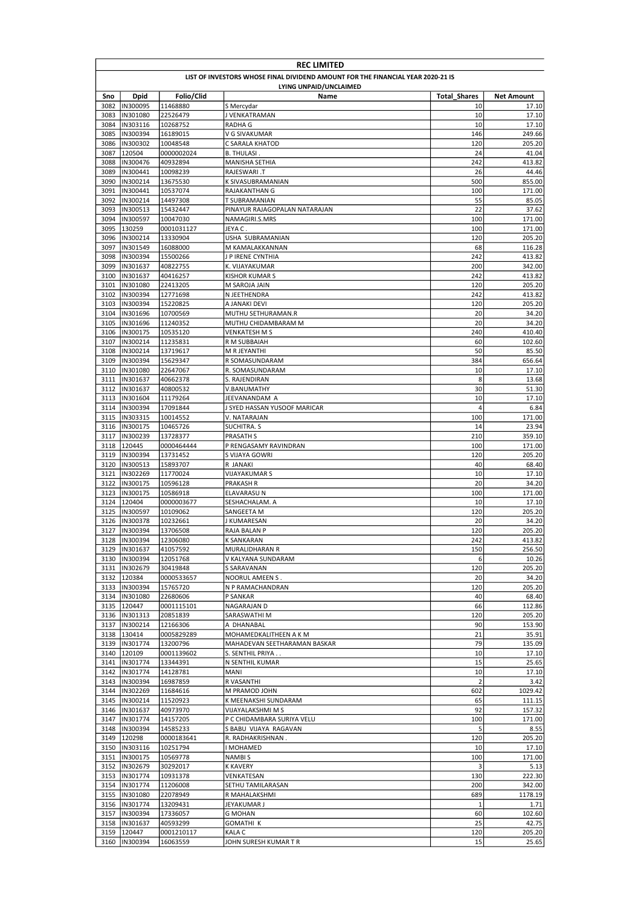|              | <b>REC LIMITED</b>                                                              |                        |                                               |                     |                   |  |  |
|--------------|---------------------------------------------------------------------------------|------------------------|-----------------------------------------------|---------------------|-------------------|--|--|
|              | LIST OF INVESTORS WHOSE FINAL DIVIDEND AMOUNT FOR THE FINANCIAL YEAR 2020-21 IS |                        |                                               |                     |                   |  |  |
|              |                                                                                 |                        | LYING UNPAID/UNCLAIMED                        |                     |                   |  |  |
| Sno          | <b>Dpid</b>                                                                     | Folio/Clid             | Name                                          | <b>Total Shares</b> | <b>Net Amount</b> |  |  |
| 3082<br>3083 | IN300095<br>IN301080                                                            | 11468880<br>22526479   | S Mercydar<br>J VENKATRAMAN                   | 10<br>10            | 17.10<br>17.10    |  |  |
| 3084         | IN303116                                                                        | 10268752               | RADHA G                                       | 10                  | 17.10             |  |  |
| 3085         | IN300394                                                                        | 16189015               | V G SIVAKUMAR                                 | 146                 | 249.66            |  |  |
| 3086         | IN300302                                                                        | 10048548               | C SARALA KHATOD                               | 120                 | 205.20            |  |  |
| 3087         | 120504                                                                          | 0000002024             | <b>B. THULASI.</b>                            | 24                  | 41.04             |  |  |
| 3088         | IN300476                                                                        | 40932894               | <b>MANISHA SETHIA</b>                         | 242                 | 413.82            |  |  |
| 3089         | IN300441                                                                        | 10098239               | <b>RAJESWARI .T</b>                           | 26                  | 44.46             |  |  |
| 3090         | IN300214                                                                        | 13675530               | K SIVASUBRAMANIAN                             | 500                 | 855.00            |  |  |
| 3091<br>3092 | IN300441<br>IN300214                                                            | 10537074<br>14497308   | RAJAKANTHAN G<br>T SUBRAMANIAN                | 100<br>55           | 171.00<br>85.05   |  |  |
| 3093         | IN300513                                                                        | 15432447               | PINAYUR RAJAGOPALAN NATARAJAN                 | 22                  | 37.62             |  |  |
| 3094         | IN300597                                                                        | 10047030               | NAMAGIRI.S.MRS                                | 100                 | 171.00            |  |  |
| 3095         | 130259                                                                          | 0001031127             | JEYA C.                                       | 100                 | 171.00            |  |  |
| 3096         | IN300214                                                                        | 13330904               | USHA SUBRAMANIAN                              | 120                 | 205.20            |  |  |
| 3097         | IN301549                                                                        | 16088000               | M KAMALAKKANNAN                               | 68                  | 116.28            |  |  |
| 3098         | IN300394                                                                        | 15500266               | J P IRENE CYNTHIA                             | 242                 | 413.82            |  |  |
| 3099         | IN301637                                                                        | 40822755               | K. VIJAYAKUMAR                                | 200                 | 342.00            |  |  |
| 3100         | IN301637                                                                        | 40416257               | <b>KISHOR KUMAR S</b>                         | 242                 | 413.82            |  |  |
| 3101<br>3102 | IN301080<br>IN300394                                                            | 22413205<br>12771698   | M SAROJA JAIN<br>N JEETHENDRA                 | 120<br>242          | 205.20<br>413.82  |  |  |
| 3103         | IN300394                                                                        | 15220825               | A JANAKI DEVI                                 | 120                 | 205.20            |  |  |
| 3104         | IN301696                                                                        | 10700569               | MUTHU SETHURAMAN.R                            | 20                  | 34.20             |  |  |
| 3105         | IN301696                                                                        | 11240352               | MUTHU CHIDAMBARAM M                           | 20                  | 34.20             |  |  |
| 3106         | IN300175                                                                        | 10535120               | VENKATESH M S                                 | 240                 | 410.40            |  |  |
| 3107         | IN300214                                                                        | 11235831               | R M SUBBAIAH                                  | 60                  | 102.60            |  |  |
| 3108         | IN300214                                                                        | 13719617               | M R JEYANTHI                                  | 50                  | 85.50             |  |  |
| 3109         | IN300394                                                                        | 15629347               | R SOMASUNDARAM                                | 384                 | 656.64            |  |  |
| 3110         | IN301080                                                                        | 22647067               | R. SOMASUNDARAM                               | 10                  | 17.10             |  |  |
| 3111         | IN301637                                                                        | 40662378               | S. RAJENDIRAN                                 | 8                   | 13.68             |  |  |
| 3112         | IN301637                                                                        | 40800532               | V.BANUMATHY                                   | 30<br>10            | 51.30             |  |  |
| 3113<br>3114 | IN301604<br>IN300394                                                            | 11179264<br>17091844   | JEEVANANDAM A<br>J SYED HASSAN YUSOOF MARICAR | 4                   | 17.10<br>6.84     |  |  |
| 3115         | IN303315                                                                        | 10014552               | V. NATARAJAN                                  | 100                 | 171.00            |  |  |
| 3116         | IN300175                                                                        | 10465726               | SUCHITRA. S                                   | 14                  | 23.94             |  |  |
| 3117         | IN300239                                                                        | 13728377               | <b>PRASATH S</b>                              | 210                 | 359.10            |  |  |
| 3118         | 120445                                                                          | 0000464444             | P RENGASAMY RAVINDRAN                         | 100                 | 171.00            |  |  |
| 3119         | IN300394                                                                        | 13731452               | S VIJAYA GOWRI                                | 120                 | 205.20            |  |  |
| 3120         | IN300513                                                                        | 15893707               | R JANAKI                                      | 40                  | 68.40             |  |  |
| 3121         | IN302269                                                                        | 11770024               | VIJAYAKUMAR S                                 | 10                  | 17.10             |  |  |
| 3122         | IN300175                                                                        | 10596128               | PRAKASH R                                     | 20                  | 34.20             |  |  |
| 3123<br>3124 | IN300175<br>120404                                                              | 10586918               | ELAVARASU N                                   | 100<br>10           | 171.00<br>17.10   |  |  |
| 3125         | IN300597                                                                        | 0000003677<br>10109062 | SESHACHALAM. A<br>SANGEETA M                  | 120                 | 205.20            |  |  |
| 3126         | IN300378                                                                        | 10232661               | J KUMARESAN                                   | 20                  | 34.20             |  |  |
| 3127         | IN300394                                                                        | 13706508               | RAJA BALAN P                                  | 120                 | 205.20            |  |  |
|              | 3128 IIN300394                                                                  | 12306080               | <b>K SANKARAN</b>                             | 242                 | 413.82            |  |  |
|              | 3129  IN301637                                                                  | 41057592               | MURALIDHARAN R                                | 150                 | 256.50            |  |  |
|              | 3130  IN300394                                                                  | 12051768               | V KALYANA SUNDARAM                            | 6                   | 10.26             |  |  |
|              | 3131  IN302679                                                                  | 30419848               | S SARAVANAN                                   | 120                 | 205.20            |  |  |
|              | 3132 120384                                                                     | 0000533657             | NOORUL AMEEN S.                               | 20                  | 34.20             |  |  |
|              | 3133  IN300394<br>3134  IN301080                                                | 15765720               | N P RAMACHANDRAN                              | 120<br>40           | 205.20<br>68.40   |  |  |
|              | 3135 120447                                                                     | 22680606<br>0001115101 | P SANKAR<br>NAGARAJAN D                       | 66                  | 112.86            |  |  |
|              | 3136  IN301313                                                                  | 20851839               | SARASWATHI M                                  | 120                 | 205.20            |  |  |
|              | 3137  IN300214                                                                  | 12166306               | A DHANABAL                                    | 90                  | 153.90            |  |  |
|              | 3138 130414                                                                     | 0005829289             | MOHAMEDKALITHEEN A K M                        | 21                  | 35.91             |  |  |
|              | 3139  IN301774                                                                  | 13200796               | MAHADEVAN SEETHARAMAN BASKAR                  | 79                  | 135.09            |  |  |
|              | 3140 120109                                                                     | 0001139602             | S. SENTHIL PRIYA                              | 10                  | 17.10             |  |  |
| 3141         | IN301774                                                                        | 13344391               | N SENTHIL KUMAR                               | 15                  | 25.65             |  |  |
|              | 3142  IN301774                                                                  | 14128781               | <b>MANI</b>                                   | 10                  | 17.10             |  |  |
|              | 3143  IN300394                                                                  | 16987859               | R VASANTHI                                    | $\overline{2}$      | 3.42              |  |  |
| 3144         | IN302269<br>3145  IN300214                                                      | 11684616<br>11520923   | M PRAMOD JOHN<br>K MEENAKSHI SUNDARAM         | 602<br>65           | 1029.42<br>111.15 |  |  |
|              | 3146  IN301637                                                                  | 40973970               | VIJAYALAKSHMI M S                             | 92                  | 157.32            |  |  |
| 3147         | IN301774                                                                        | 14157205               | P C CHIDAMBARA SURIYA VELU                    | 100                 | 171.00            |  |  |
|              | 3148  IN300394                                                                  | 14585233               | S BABU VIJAYA RAGAVAN                         | 5                   | 8.55              |  |  |
|              | 3149 120298                                                                     | 0000183641             | R. RADHAKRISHNAN.                             | 120                 | 205.20            |  |  |
|              | 3150  IN303116                                                                  | 10251794               | MOHAMED                                       | 10                  | 17.10             |  |  |
| 3151         | IN300175                                                                        | 10569778               | <b>NAMBIS</b>                                 | 100                 | 171.00            |  |  |
| 3152         | IN302679                                                                        | 30292017               | <b>K KAVERY</b>                               | 3                   | 5.13              |  |  |
| 3153         | IN301774                                                                        | 10931378               | VENKATESAN                                    | 130                 | 222.30            |  |  |
| 3154         | IN301774                                                                        | 11206008               | SETHU TAMILARASAN                             | 200                 | 342.00            |  |  |
|              | 3155  IN301080                                                                  | 22078949               | R MAHALAKSHMI                                 | 689                 | 1178.19           |  |  |
|              | 3156  IN301774<br>3157  IN300394                                                | 13209431<br>17336057   | JEYAKUMAR J<br><b>G MOHAN</b>                 | 1<br>60             | 1.71<br>102.60    |  |  |
|              | 3158  IN301637                                                                  | 40593299               | <b>GOMATHI K</b>                              | 25                  | 42.75             |  |  |
|              | 3159 120447                                                                     | 0001210117             | <b>KALA C</b>                                 | 120                 | 205.20            |  |  |
|              | 3160  IN300394                                                                  | 16063559               | JOHN SURESH KUMAR T R                         | 15                  | 25.65             |  |  |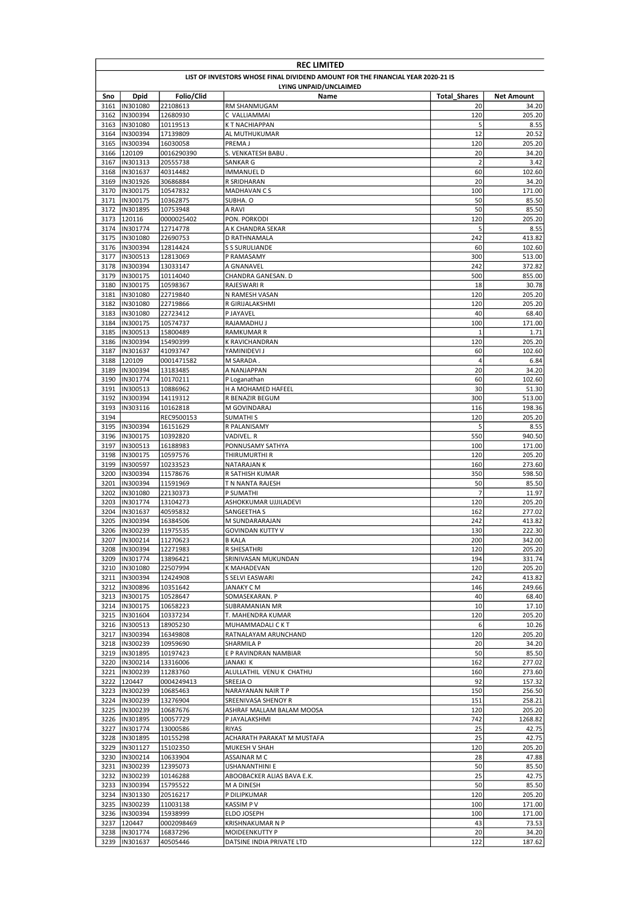|              | <b>REC LIMITED</b>                                                              |                        |                                    |                     |                   |  |  |
|--------------|---------------------------------------------------------------------------------|------------------------|------------------------------------|---------------------|-------------------|--|--|
|              | LIST OF INVESTORS WHOSE FINAL DIVIDEND AMOUNT FOR THE FINANCIAL YEAR 2020-21 IS |                        |                                    |                     |                   |  |  |
|              |                                                                                 |                        | LYING UNPAID/UNCLAIMED             |                     |                   |  |  |
| Sno          | <b>Dpid</b>                                                                     | Folio/Clid             | Name                               | <b>Total Shares</b> | <b>Net Amount</b> |  |  |
| 3161         | IN301080                                                                        | 22108613               | RM SHANMUGAM                       | 20                  | 34.20             |  |  |
| 3162         | IN300394                                                                        | 12680930               | C VALLIAMMAI                       | 120                 | 205.20            |  |  |
| 3163         | IN301080                                                                        | 10119513               | K T NACHIAPPAN                     | 5                   | 8.55              |  |  |
| 3164         | IN300394<br>IN300394                                                            | 17139809               | AL MUTHUKUMAR                      | 12<br>120           | 20.52             |  |  |
| 3165<br>3166 | 120109                                                                          | 16030058               | PREMA J                            | 20                  | 205.20<br>34.20   |  |  |
| 3167         | IN301313                                                                        | 0016290390<br>20555738 | S. VENKATESH BABU.<br>SANKAR G     | $\overline{2}$      | 3.42              |  |  |
| 3168         | IN301637                                                                        | 40314482               | IMMANUEL D                         | 60                  | 102.60            |  |  |
| 3169         | IN301926                                                                        | 30686884               | R SRIDHARAN                        | 20                  | 34.20             |  |  |
| 3170         | IN300175                                                                        | 10547832               | MADHAVAN CS                        | 100                 | 171.00            |  |  |
| 3171         | IN300175                                                                        | 10362875               | SUBHA. O                           | 50                  | 85.50             |  |  |
| 3172         | IN301895                                                                        | 10753948               | A RAVI                             | 50                  | 85.50             |  |  |
| 3173         | 120116                                                                          | 0000025402             | PON. PORKODI                       | 120                 | 205.20            |  |  |
| 3174         | IN301774                                                                        | 12714778               | A K CHANDRA SEKAR                  | 5                   | 8.55              |  |  |
| 3175         | IN301080                                                                        | 22690753               | D RATHNAMALA                       | 242                 | 413.82            |  |  |
| 3176         | IN300394                                                                        | 12814424               | <b>S S SURULIANDE</b>              | 60                  | 102.60            |  |  |
| 3177         | IN300513                                                                        | 12813069               | P RAMASAMY                         | 300                 | 513.00            |  |  |
| 3178         | IN300394                                                                        | 13033147               | A GNANAVEL                         | 242                 | 372.82            |  |  |
| 3179         | IN300175                                                                        | 10114040               | CHANDRA GANESAN. D                 | 500                 | 855.00            |  |  |
| 3180         | IN300175                                                                        | 10598367               | RAJESWARI R                        | 18                  | 30.78             |  |  |
| 3181         | IN301080                                                                        | 22719840               | N RAMESH VASAN                     | 120                 | 205.20            |  |  |
| 3182         | IN301080                                                                        | 22719866               | R GIRIJALAKSHMI                    | 120                 | 205.20            |  |  |
| 3183         | IN301080                                                                        | 22723412               | P JAYAVEL                          | 40                  | 68.40             |  |  |
| 3184         | IN300175                                                                        | 10574737               | RAJAMADHU J                        | 100                 | 171.00            |  |  |
| 3185         | IN300513                                                                        | 15800489               | <b>RAMKUMAR R</b>                  | 1                   | 1.71              |  |  |
| 3186         | IN300394                                                                        | 15490399               | <b>K RAVICHANDRAN</b>              | 120                 | 205.20            |  |  |
| 3187         | IN301637                                                                        | 41093747               | YAMINIDEVI J                       | 60                  | 102.60            |  |  |
| 3188         | 120109                                                                          | 0001471582             | M SARADA.                          | 4                   | 6.84              |  |  |
| 3189         | IN300394                                                                        | 13183485               | A NANJAPPAN                        | 20<br>60            | 34.20             |  |  |
| 3190<br>3191 | IN301774<br>IN300513                                                            | 10170211<br>10886962   | P Loganathan<br>H A MOHAMED HAFEEL | 30                  | 102.60<br>51.30   |  |  |
| 3192         | IN300394                                                                        | 14119312               | R BENAZIR BEGUM                    | 300                 | 513.00            |  |  |
| 3193         | IN303116                                                                        | 10162818               | M GOVINDARAJ                       | 116                 | 198.36            |  |  |
| 3194         |                                                                                 | REC9500153             | <b>SUMATHIS</b>                    | 120                 | 205.20            |  |  |
| 3195         | IN300394                                                                        | 16151629               | R PALANISAMY                       | 5                   | 8.55              |  |  |
| 3196         | IN300175                                                                        | 10392820               | VADIVEL. R                         | 550                 | 940.50            |  |  |
| 3197         | IN300513                                                                        | 16188983               | PONNUSAMY SATHYA                   | 100                 | 171.00            |  |  |
| 3198         | IN300175                                                                        | 10597576               | THIRUMURTHI R                      | 120                 | 205.20            |  |  |
| 3199         | IN300597                                                                        | 10233523               | <b>NATARAJAN K</b>                 | 160                 | 273.60            |  |  |
| 3200         | IN300394                                                                        | 11578676               | R SATHISH KUMAR                    | 350                 | 598.50            |  |  |
| 3201         | IN300394                                                                        | 11591969               | T N NANTA RAJESH                   | 50                  | 85.50             |  |  |
| 3202         | IN301080                                                                        | 22130373               | P SUMATHI                          | $\overline{7}$      | 11.97             |  |  |
| 3203         | IN301774                                                                        | 13104273               | ASHOKKUMAR UJJILADEVI              | 120                 | 205.20            |  |  |
| 3204         | IN301637                                                                        | 40595832               | SANGEETHA S                        | 162                 | 277.02            |  |  |
| 3205         | IN300394                                                                        | 16384506               | M SUNDARARAJAN                     | 242                 | 413.82            |  |  |
| 3206         | IN300239                                                                        | 11975535               | GOVINDAN KUTTY V                   | 130                 | 222.30            |  |  |
| 3207         | IN300214                                                                        | 11270623               | <b>B KALA</b>                      | 200                 | 342.00            |  |  |
| 3208         | IN300394                                                                        | 12271983               | R SHESATHRI                        | 120                 | 205.20            |  |  |
| 3209         | IN301774                                                                        | 13896421               | SRINIVASAN MUKUNDAN                | 194                 | 331.74            |  |  |
|              | 3210  IN301080                                                                  | 22507994               | K MAHADEVAN                        | 120                 | 205.20            |  |  |
| 3211         | IN300394                                                                        | 12424908               | S SELVI EASWARI                    | 242                 | 413.82            |  |  |
| 3212         | IN300896                                                                        | 10351642               | JANAKY C M                         | 146                 | 249.66            |  |  |
|              | 3213  IN300175                                                                  | 10528647               | SOMASEKARAN. P                     | 40                  | 68.40             |  |  |
|              | 3214  IN300175                                                                  | 10658223               | SUBRAMANIAN MR                     | 10                  | 17.10             |  |  |
| 3215         | IN301604                                                                        | 10337234               | T. MAHENDRA KUMAR                  | 120                 | 205.20            |  |  |
|              | 3216  IN300513<br>IN300394                                                      | 18905230               | MUHAMMADALI C K T                  | 6<br>120            | 10.26<br>205.20   |  |  |
| 3217         | 3218  IN300239                                                                  | 16349808<br>10959690   | RATNALAYAM ARUNCHAND<br>SHARMILA P | 20                  | 34.20             |  |  |
| 3219         | IN301895                                                                        | 10197423               | E P RAVINDRAN NAMBIAR              | 50                  | 85.50             |  |  |
| 3220         | IN300214                                                                        | 13316006               | <b>JANAKI K</b>                    | 162                 | 277.02            |  |  |
| 3221         | IN300239                                                                        | 11283760               | ALULLATHIL VENU K CHATHU           | 160                 | 273.60            |  |  |
| 3222         | 120447                                                                          | 0004249413             | SREEJA O                           | 92                  | 157.32            |  |  |
|              | 3223  IN300239                                                                  | 10685463               | NARAYANAN NAIR T P                 | 150                 | 256.50            |  |  |
|              | 3224  IN300239                                                                  | 13276904               | SREENIVASA SHENOY R                | 151                 | 258.21            |  |  |
|              | 3225  IN300239                                                                  | 10687676               | ASHRAF MALLAM BALAM MOOSA          | 120                 | 205.20            |  |  |
|              | 3226  IN301895                                                                  | 10057729               | P JAYALAKSHMI                      | 742                 | 1268.82           |  |  |
| 3227         | IN301774                                                                        | 13000586               | <b>RIYAS</b>                       | 25                  | 42.75             |  |  |
|              | 3228  IN301895                                                                  | 10155298               | ACHARATH PARAKAT M MUSTAFA         | 25                  | 42.75             |  |  |
|              | 3229  IN301127                                                                  | 15102350               | MUKESH V SHAH                      | 120                 | 205.20            |  |  |
|              | 3230  IN300214                                                                  | 10633904               | ASSAINAR M C                       | 28                  | 47.88             |  |  |
| 3231         | IN300239                                                                        | 12395073               | USHANANTHINI E                     | 50                  | 85.50             |  |  |
| 3232         | IN300239                                                                        | 10146288               | ABOOBACKER ALIAS BAVA E.K.         | 25                  | 42.75             |  |  |
| 3233         | IN300394                                                                        | 15795522               | <b>MADINESH</b>                    | 50                  | 85.50             |  |  |
| 3234         | IN301330                                                                        | 20516217               | P DILIPKUMAR                       | 120                 | 205.20            |  |  |
| 3235         | IN300239                                                                        | 11003138               | <b>KASSIMPV</b>                    | 100                 | 171.00            |  |  |
|              | 3236  IN300394                                                                  | 15938999               | ELDO JOSEPH                        | 100                 | 171.00            |  |  |
| 3237         | 120447                                                                          | 0002098469             | KRISHNAKUMAR N P                   | 43                  | 73.53             |  |  |
| 3238         | IN301774                                                                        | 16837296               | MOIDEENKUTTY P                     | 20                  | 34.20             |  |  |
| 3239         | IN301637                                                                        | 40505446               | DATSINE INDIA PRIVATE LTD          | 122                 | 187.62            |  |  |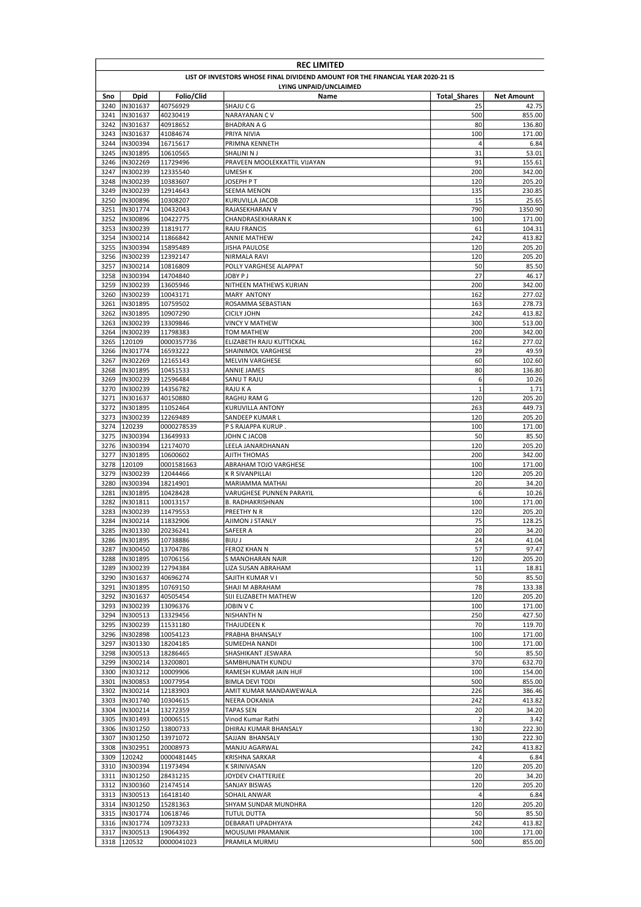|              | <b>REC LIMITED</b>         |                        |                                                                                 |                     |                   |  |
|--------------|----------------------------|------------------------|---------------------------------------------------------------------------------|---------------------|-------------------|--|
|              |                            |                        | LIST OF INVESTORS WHOSE FINAL DIVIDEND AMOUNT FOR THE FINANCIAL YEAR 2020-21 IS |                     |                   |  |
|              |                            |                        | LYING UNPAID/UNCLAIMED                                                          |                     |                   |  |
| Sno          | Dpid                       | Folio/Clid             | Name                                                                            | <b>Total Shares</b> | <b>Net Amount</b> |  |
| 3240         | IN301637                   | 40756929               | SHAJU C G                                                                       | 25                  | 42.75             |  |
| 3241<br>3242 | IN301637<br>IN301637       | 40230419<br>40918652   | <b>NARAYANAN CV</b><br><b>BHADRAN A G</b>                                       | 500<br>80           | 855.00<br>136.80  |  |
| 3243         | IN301637                   | 41084674               | PRIYA NIVIA                                                                     | 100                 | 171.00            |  |
| 3244         | IN300394                   | 16715617               | PRIMNA KENNETH                                                                  | 4                   | 6.84              |  |
| 3245         | IN301895                   | 10610565               | SHALINI N J                                                                     | 31                  | 53.01             |  |
| 3246         | IN302269                   | 11729496               | PRAVEEN MOOLEKKATTIL VIJAYAN                                                    | 91                  | 155.61            |  |
| 3247         | IN300239                   | 12335540               | <b>UMESH K</b>                                                                  | 200                 | 342.00            |  |
| 3248         | IN300239                   | 10383607               | JOSEPH P T                                                                      | 120                 | 205.20            |  |
| 3249         | IN300239                   | 12914643               | <b>SEEMA MENON</b>                                                              | 135                 | 230.85            |  |
| 3250         | IN300896                   | 10308207               | KURUVILLA JACOB                                                                 | 15                  | 25.65             |  |
| 3251         | IN301774                   | 10432043               | RAJASEKHARAN V                                                                  | 790                 | 1350.90           |  |
| 3252         | IN300896                   | 10422775               | CHANDRASEKHARAN K                                                               | 100                 | 171.00            |  |
| 3253         | IN300239                   | 11819177               | <b>RAJU FRANCIS</b>                                                             | 61                  | 104.31            |  |
| 3254         | IN300214                   | 11866842               | ANNIE MATHEW                                                                    | 242                 | 413.82            |  |
| 3255         | IN300394                   | 15895489               | JISHA PAULOSE                                                                   | 120                 | 205.20            |  |
| 3256<br>3257 | IN300239<br>IN300214       | 12392147<br>10816809   | <b>NIRMALA RAVI</b>                                                             | 120<br>50           | 205.20            |  |
| 3258         | IN300394                   | 14704840               | POLLY VARGHESE ALAPPAT<br>JOBY P J                                              | 27                  | 85.50<br>46.17    |  |
| 3259         | IN300239                   | 13605946               | NITHEEN MATHEWS KURIAN                                                          | 200                 | 342.00            |  |
| 3260         | IN300239                   | 10043171               | <b>MARY ANTONY</b>                                                              | 162                 | 277.02            |  |
| 3261         | IN301895                   | 10759502               | ROSAMMA SEBASTIAN                                                               | 163                 | 278.73            |  |
| 3262         | IN301895                   | 10907290               | <b>CICILY JOHN</b>                                                              | 242                 | 413.82            |  |
| 3263         | IN300239                   | 13309846               | <b>VINCY V MATHEW</b>                                                           | 300                 | 513.00            |  |
| 3264         | IN300239                   | 11798383               | TOM MATHEW                                                                      | 200                 | 342.00            |  |
| 3265         | 120109                     | 0000357736             | ELIZABETH RAJU KUTTICKAL                                                        | 162                 | 277.02            |  |
| 3266         | IN301774                   | 16593222               | SHAINIMOL VARGHESE                                                              | 29                  | 49.59             |  |
| 3267         | IN302269                   | 12165143               | <b>MELVIN VARGHESE</b>                                                          | 60                  | 102.60            |  |
| 3268         | IN301895                   | 10451533               | ANNIE JAMES                                                                     | 80                  | 136.80            |  |
| 3269         | IN300239                   | 12596484               | SANU T RAJU                                                                     | 6                   | 10.26             |  |
| 3270         | IN300239                   | 14356782               | RAJU K A                                                                        | $\mathbf{1}$        | 1.71              |  |
| 3271         | IN301637                   | 40150880               | RAGHU RAM G                                                                     | 120                 | 205.20            |  |
| 3272         | IN301895                   | 11052464               | KURUVILLA ANTONY                                                                | 263                 | 449.73            |  |
| 3273         | IN300239                   | 12269489               | SANDEEP KUMAR L                                                                 | 120                 | 205.20            |  |
| 3274<br>3275 | 120239<br>IN300394         | 0000278539<br>13649933 | P S RAJAPPA KURUP<br>JOHN C JACOB                                               | 100<br>50           | 171.00<br>85.50   |  |
| 3276         | IN300394                   | 12174070               | LEELA JANARDHANAN                                                               | 120                 | 205.20            |  |
| 3277         | IN301895                   | 10600602               | AJITH THOMAS                                                                    | 200                 | 342.00            |  |
| 3278         | 120109                     | 0001581663             | ABRAHAM TOJO VARGHESE                                                           | 100                 | 171.00            |  |
| 3279         | IN300239                   | 12044466               | K R SIVANPILLAI                                                                 | 120                 | 205.20            |  |
| 3280         | IN300394                   | 18214901               | MARIAMMA MATHAI                                                                 | 20                  | 34.20             |  |
| 3281         | IN301895                   | 10428428               | VARUGHESE PUNNEN PARAYIL                                                        | 6                   | 10.26             |  |
| 3282         | IN301811                   | 10013157               | <b>B. RADHAKRISHNAN</b>                                                         | 100                 | 171.00            |  |
| 3283         | IN300239                   | 11479553               | PREETHY N R                                                                     | 120                 | 205.20            |  |
| 3284         | IN300214                   | 11832906               | AJIMON J STANLY                                                                 | 75                  | 128.25            |  |
| 3285         | IN301330                   | 20236241               | SAFEER A                                                                        | 20                  | 34.20             |  |
| 3286         | IN301895                   | 10738886               | <b>BIJU J</b>                                                                   | 24                  | 41.04             |  |
|              | 3287  IN300450             | 13704786               | <b>FEROZ KHAN N</b>                                                             | 57                  | 97.47             |  |
| 3288         | IN301895                   | 10706156               | S MANOHARAN NAIR                                                                | 120                 | 205.20            |  |
| 3289         | IN300239                   | 12794384               | LIZA SUSAN ABRAHAM                                                              | 11                  | 18.81             |  |
| 3291         | 3290  IN301637<br>IN301895 | 40696274               | SAJITH KUMAR V I                                                                | 50<br>78            | 85.50             |  |
| 3292         | IN301637                   | 10769150<br>40505454   | SHAJI M ABRAHAM<br>SIJI ELIZABETH MATHEW                                        | 120                 | 133.38<br>205.20  |  |
|              | 3293  IN300239             | 13096376               | JOBIN V C                                                                       | 100                 | 171.00            |  |
|              | 3294  IN300513             | 13329456               | <b>NISHANTH N</b>                                                               | 250                 | 427.50            |  |
|              | 3295  IN300239             | 11531180               | THAJUDEEN K                                                                     | 70                  | 119.70            |  |
|              | 3296  IN302898             | 10054123               | PRABHA BHANSALY                                                                 | 100                 | 171.00            |  |
| 3297         | IN301330                   | 18204185               | SUMEDHA NANDI                                                                   | 100                 | 171.00            |  |
| 3298         | IN300513                   | 18286465               | SHASHIKANT JESWARA                                                              | 50                  | 85.50             |  |
| 3299         | IN300214                   | 13200801               | SAMBHUNATH KUNDU                                                                | 370                 | 632.70            |  |
| 3300         | IN303212                   | 10009906               | RAMESH KUMAR JAIN HUF                                                           | 100                 | 154.00            |  |
| 3301         | IN300853                   | 10077954               | <b>BIMLA DEVI TODI</b>                                                          | 500                 | 855.00            |  |
| 3302         | IN300214                   | 12183903               | AMIT KUMAR MANDAWEWALA                                                          | 226                 | 386.46            |  |
| 3303         | IN301740                   | 10304615               | NEERA DOKANIA                                                                   | 242                 | 413.82            |  |
|              | 3304  IN300214             | 13272359               | <b>TAPAS SEN</b>                                                                | 20                  | 34.20             |  |
| 3305         | IN301493                   | 10006515               | Vinod Kumar Rathi                                                               | $\overline{2}$      | 3.42              |  |
|              | 3306  IN301250             | 13800733               | DHIRAJ KUMAR BHANSALY                                                           | 130                 | 222.30            |  |
| 3307         | IN301250                   | 13971072               | SAJJAN BHANSALY                                                                 | 130                 | 222.30            |  |
|              | 3308  IN302951             | 20008973               | MANJU AGARWAL                                                                   | 242                 | 413.82            |  |
| 3309         | 120242<br>3310  IN300394   | 0000481445             | KRISHNA SARKAR<br>K SRINIVASAN                                                  | 4<br>120            | 6.84<br>205.20    |  |
|              | 3311  IN301250             | 11973494<br>28431235   | JOYDEV CHATTERJEE                                                               | 20                  | 34.20             |  |
|              | 3312  IN300360             | 21474514               | SANJAY BISWAS                                                                   | 120                 | 205.20            |  |
|              | 3313  IN300513             | 16418140               | SOHAIL ANWAR                                                                    | 4                   | 6.84              |  |
|              | 3314  IN301250             | 15281363               | SHYAM SUNDAR MUNDHRA                                                            | 120                 | 205.20            |  |
|              | 3315  IN301774             | 10618746               | <b>TUTUL DUTTA</b>                                                              | 50                  | 85.50             |  |
|              | 3316  IN301774             | 10973233               | DEBARATI UPADHYAYA                                                              | 242                 | 413.82            |  |
|              | 3317  IN300513             | 19064392               | MOUSUMI PRAMANIK                                                                | 100                 | 171.00            |  |
|              | 3318 120532                | 0000041023             | PRAMILA MURMU                                                                   | 500                 | 855.00            |  |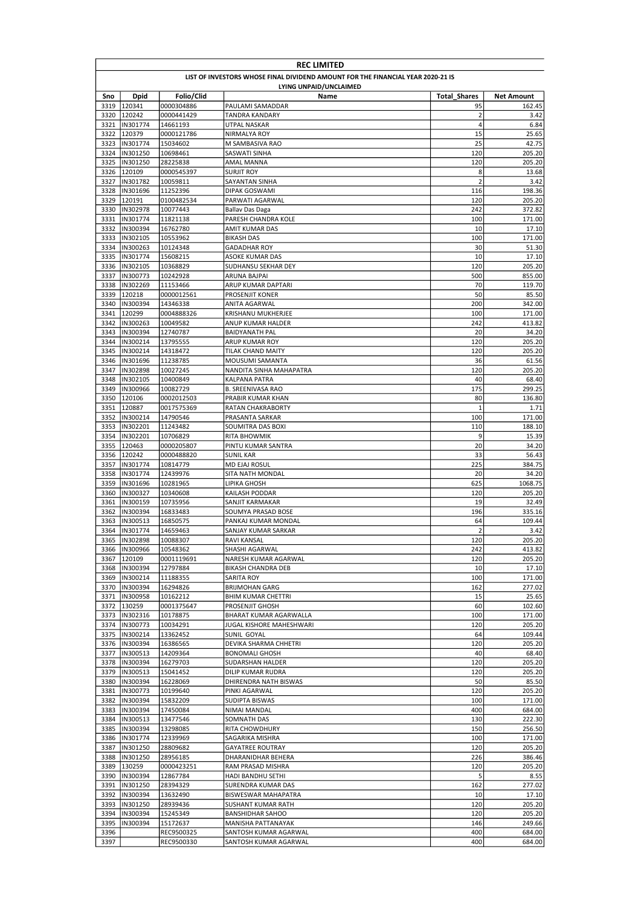|              | <b>REC LIMITED</b>                                                              |                      |                                          |                     |                   |  |  |  |
|--------------|---------------------------------------------------------------------------------|----------------------|------------------------------------------|---------------------|-------------------|--|--|--|
|              | LIST OF INVESTORS WHOSE FINAL DIVIDEND AMOUNT FOR THE FINANCIAL YEAR 2020-21 IS |                      |                                          |                     |                   |  |  |  |
|              |                                                                                 |                      | LYING UNPAID/UNCLAIMED                   |                     |                   |  |  |  |
| Sno          | <b>Dpid</b>                                                                     | Folio/Clid           | Name                                     | <b>Total Shares</b> | <b>Net Amount</b> |  |  |  |
| 3319         | 120341                                                                          | 0000304886           | PAULAMI SAMADDAR                         | 95                  | 162.45            |  |  |  |
| 3320         | 120242                                                                          | 0000441429           | <b>TANDRA KANDARY</b>                    | $\overline{2}$      | 3.42              |  |  |  |
| 3321         | IN301774                                                                        | 14661193             | UTPAL NASKAR                             | 4                   | 6.84              |  |  |  |
| 3323         | 3322 120379                                                                     | 0000121786           | NIRMALYA ROY                             | 15<br>25            | 25.65<br>42.75    |  |  |  |
| 3324         | IN301774<br>IN301250                                                            | 15034602<br>10698461 | M SAMBASIVA RAO<br>SASWATI SINHA         | 120                 | 205.20            |  |  |  |
| 3325         | IN301250                                                                        | 28225838             | AMAL MANNA                               | 120                 | 205.20            |  |  |  |
| 3326         | 120109                                                                          | 0000545397           | <b>SURJIT ROY</b>                        | 8                   | 13.68             |  |  |  |
| 3327         | IN301782                                                                        | 10059811             | SAYANTAN SINHA                           | $\overline{2}$      | 3.42              |  |  |  |
| 3328         | IN301696                                                                        | 11252396             | <b>DIPAK GOSWAMI</b>                     | 116                 | 198.36            |  |  |  |
| 3329         | 120191                                                                          | 0100482534           | PARWATI AGARWAL                          | 120                 | 205.20            |  |  |  |
| 3330         | IN302978                                                                        | 10077443             | Ballav Das Daga                          | 242                 | 372.82            |  |  |  |
| 3331         | IN301774                                                                        | 11821138             | PARESH CHANDRA KOLE                      | 100                 | 171.00            |  |  |  |
| 3332         | IN300394                                                                        | 16762780             | AMIT KUMAR DAS                           | 10                  | 17.10             |  |  |  |
| 3333         | IN302105                                                                        | 10553962             | <b>BIKASH DAS</b>                        | 100                 | 171.00            |  |  |  |
| 3334         | IN300263                                                                        | 10124348             | <b>GADADHAR ROY</b>                      | 30                  | 51.30             |  |  |  |
| 3335         | IN301774                                                                        | 15608215             | ASOKE KUMAR DAS                          | 10                  | 17.10             |  |  |  |
| 3336         | IN302105                                                                        | 10368829             | SUDHANSU SEKHAR DEY                      | 120                 | 205.20            |  |  |  |
| 3337         | IN300773                                                                        | 10242928             | ARUNA BAJPAI                             | 500                 | 855.00            |  |  |  |
| 3338         | IN302269                                                                        | 11153466             | ARUP KUMAR DAPTARI                       | 70                  | 119.70            |  |  |  |
| 3339         | 120218                                                                          | 0000012561           | PROSENJIT KONER                          | 50                  | 85.50             |  |  |  |
| 3340         | IN300394                                                                        | 14346338             | ANITA AGARWAL                            | 200                 | 342.00            |  |  |  |
| 3341         | 120299                                                                          | 0004888326           | <b>KRISHANU MUKHERJEE</b>                | 100                 | 171.00            |  |  |  |
| 3342         | IN300263                                                                        | 10049582             | ANUP KUMAR HALDER                        | 242                 | 413.82            |  |  |  |
| 3343         | IN300394                                                                        | 12740787             | <b>BAIDYANATH PAL</b>                    | 20                  | 34.20             |  |  |  |
| 3344         | IN300214                                                                        | 13795555             | ARUP KUMAR ROY                           | 120                 | 205.20            |  |  |  |
| 3345         | IN300214                                                                        | 14318472             | TILAK CHAND MAITY                        | 120                 | 205.20            |  |  |  |
| 3346         | IN301696                                                                        | 11238785             | MOUSUMI SAMANTA                          | 36<br>120           | 61.56             |  |  |  |
| 3347<br>3348 | IN302898<br>IN302105                                                            | 10027245             | NANDITA SINHA MAHAPATRA<br>KALPANA PATRA | 40                  | 205.20<br>68.40   |  |  |  |
| 3349         | IN300966                                                                        | 10400849<br>10082729 | <b>B. SREENIVASA RAO</b>                 | 175                 | 299.25            |  |  |  |
| 3350         | 120106                                                                          | 0002012503           | PRABIR KUMAR KHAN                        | 80                  | 136.80            |  |  |  |
| 3351         | 120887                                                                          | 0017575369           | RATAN CHAKRABORTY                        | $\mathbf{1}$        | 1.71              |  |  |  |
| 3352         | IN300214                                                                        | 14790546             | PRASANTA SARKAR                          | 100                 | 171.00            |  |  |  |
| 3353         | IN302201                                                                        | 11243482             | SOUMITRA DAS BOXI                        | 110                 | 188.10            |  |  |  |
| 3354         | IN302201                                                                        | 10706829             | <b>RITA BHOWMIK</b>                      | 9                   | 15.39             |  |  |  |
| 3355         | 120463                                                                          | 0000205807           | PINTU KUMAR SANTRA                       | 20                  | 34.20             |  |  |  |
| 3356         | 120242                                                                          | 0000488820           | <b>SUNIL KAR</b>                         | 33                  | 56.43             |  |  |  |
| 3357         | IN301774                                                                        | 10814779             | MD EJAJ ROSUL                            | 225                 | 384.75            |  |  |  |
| 3358         | IN301774                                                                        | 12439976             | SITA NATH MONDAL                         | 20                  | 34.20             |  |  |  |
| 3359         | IN301696                                                                        | 10281965             | LIPIKA GHOSH                             | 625                 | 1068.75           |  |  |  |
| 3360         | IN300327                                                                        | 10340608             | KAILASH PODDAR                           | 120                 | 205.20            |  |  |  |
| 3361         | IN300159                                                                        | 10735956             | SANJIT KARMAKAR                          | 19                  | 32.49             |  |  |  |
| 3362         | IN300394                                                                        | 16833483             | SOUMYA PRASAD BOSE                       | 196                 | 335.16            |  |  |  |
| 3363         | IN300513                                                                        | 16850575             | PANKAJ KUMAR MONDAL                      | 64                  | 109.44            |  |  |  |
| 3364         | IN301774                                                                        | 14659463             | SANJAY KUMAR SARKAR                      | $\overline{2}$      | 3.42              |  |  |  |
|              | 3365 IIN302898                                                                  | 10088307             | <b>RAVI KANSAL</b>                       | 120                 | 205.20            |  |  |  |
|              | 3366 IN300966                                                                   | 10548362             | SHASHI AGARWAL                           | 242                 | 413.82            |  |  |  |
| 3367         | 120109                                                                          | 0001119691           | NARESH KUMAR AGARWAL                     | 120                 | 205.20            |  |  |  |
| 3368         | IN300394                                                                        | 12797884             | <b>BIKASH CHANDRA DEB</b>                | 10                  | 17.10             |  |  |  |
| 3369         | IN300214                                                                        | 11188355             | SARITA ROY                               | 100                 | 171.00            |  |  |  |
|              | 3370  IN300394                                                                  | 16294826             | <b>BRIJMOHAN GARG</b>                    | 162                 | 277.02            |  |  |  |
| 3371         | IN300958                                                                        | 10162212             | <b>BHIM KUMAR CHETTRI</b>                | 15                  | 25.65             |  |  |  |
|              | 3372 130259                                                                     | 0001375647           | PROSENJIT GHOSH                          | 60                  | 102.60            |  |  |  |
|              | 3373   IN302316<br>3374  IN300773                                               | 10178875<br>10034291 | BHARAT KUMAR AGARWALLA                   | 100<br>120          | 171.00<br>205.20  |  |  |  |
|              | 3375  IN300214                                                                  | 13362452             | JUGAL KISHORE MAHESHWARI<br>SUNIL GOYAL  | 64                  | 109.44            |  |  |  |
|              | 3376  IN300394                                                                  | 16386565             | DEVIKA SHARMA CHHETRI                    | 120                 | 205.20            |  |  |  |
| 3377         | IN300513                                                                        | 14209364             | <b>BONOMALI GHOSH</b>                    | 40                  | 68.40             |  |  |  |
|              | 3378  IN300394                                                                  | 16279703             | SUDARSHAN HALDER                         | 120                 | 205.20            |  |  |  |
|              | 3379  IN300513                                                                  | 15041452             | DILIP KUMAR RUDRA                        | 120                 | 205.20            |  |  |  |
|              | 3380  IN300394                                                                  | 16228069             | DHIRENDRA NATH BISWAS                    | 50                  | 85.50             |  |  |  |
| 3381         | IN300773                                                                        | 10199640             | PINKI AGARWAL                            | 120                 | 205.20            |  |  |  |
| 3382         | IN300394                                                                        | 15832209             | SUDIPTA BISWAS                           | 100                 | 171.00            |  |  |  |
|              | 3383  IN300394                                                                  | 17450084             | NIMAI MANDAL                             | 400                 | 684.00            |  |  |  |
| 3384         | IN300513                                                                        | 13477546             | SOMNATH DAS                              | 130                 | 222.30            |  |  |  |
|              | 3385  IN300394                                                                  | 13298085             | RITA CHOWDHURY                           | 150                 | 256.50            |  |  |  |
|              | 3386  IN301774                                                                  | 12339969             | SAGARIKA MISHRA                          | 100                 | 171.00            |  |  |  |
| 3387         | IN301250                                                                        | 28809682             | <b>GAYATREE ROUTRAY</b>                  | 120                 | 205.20            |  |  |  |
| 3388         | IN301250                                                                        | 28956185             | DHARANIDHAR BEHERA                       | 226                 | 386.46            |  |  |  |
| 3389         | 130259                                                                          | 0000423251           | RAM PRASAD MISHRA                        | 120                 | 205.20            |  |  |  |
|              | 3390  IN300394                                                                  | 12867784             | HADI BANDHU SETHI                        | 5                   | 8.55              |  |  |  |
| 3391         | IN301250                                                                        | 28394329             | SURENDRA KUMAR DAS                       | 162                 | 277.02            |  |  |  |
|              | 3392  IN300394                                                                  | 13632490             | <b>BISWESWAR MAHAPATRA</b>               | 10                  | 17.10             |  |  |  |
| 3393         | IN301250                                                                        | 28939436             | SUSHANT KUMAR RATH                       | 120                 | 205.20            |  |  |  |
| 3394         | IN300394                                                                        | 15245349             | <b>BANSHIDHAR SAHOO</b>                  | 120                 | 205.20            |  |  |  |
| 3395         | IN300394                                                                        | 15172637             | MANISHA PATTANAYAK                       | 146                 | 249.66            |  |  |  |
| 3396         |                                                                                 | REC9500325           | SANTOSH KUMAR AGARWAL                    | 400                 | 684.00            |  |  |  |
| 3397         |                                                                                 | REC9500330           | SANTOSH KUMAR AGARWAL                    | 400                 | 684.00            |  |  |  |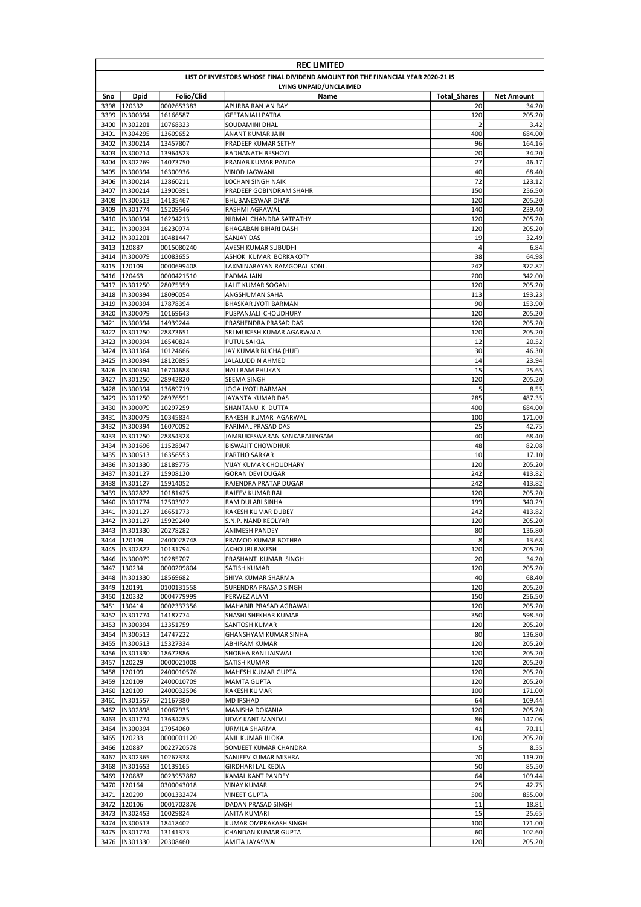|              | <b>REC LIMITED</b>               |                      |                                                                                 |                     |                   |  |
|--------------|----------------------------------|----------------------|---------------------------------------------------------------------------------|---------------------|-------------------|--|
|              |                                  |                      | LIST OF INVESTORS WHOSE FINAL DIVIDEND AMOUNT FOR THE FINANCIAL YEAR 2020-21 IS |                     |                   |  |
|              |                                  |                      | LYING UNPAID/UNCLAIMED                                                          |                     |                   |  |
| Sno          | <b>Dpid</b>                      | Folio/Clid           | Name                                                                            | <b>Total Shares</b> | <b>Net Amount</b> |  |
| 3398         | 120332                           | 0002653383           | APURBA RANJAN RAY                                                               | 20                  | 34.20             |  |
| 3399<br>3400 | IN300394<br>IN302201             | 16166587<br>10768323 | <b>GEETANJALI PATRA</b><br><b>SOUDAMINI DHAL</b>                                | 120<br>2            | 205.20<br>3.42    |  |
| 3401         | IN304295                         | 13609652             | ANANT KUMAR JAIN                                                                | 400                 | 684.00            |  |
| 3402         | IN300214                         | 13457807             | PRADEEP KUMAR SETHY                                                             | 96                  | 164.16            |  |
| 3403         | IN300214                         | 13964523             | RADHANATH BESHOYI                                                               | 20                  | 34.20             |  |
| 3404         | IN302269                         | 14073750             | PRANAB KUMAR PANDA                                                              | 27                  | 46.17             |  |
| 3405         | IN300394                         | 16300936             | VINOD JAGWANI                                                                   | 40                  | 68.40             |  |
| 3406         | IN300214                         | 12860211             | LOCHAN SINGH NAIK                                                               | 72                  | 123.12            |  |
| 3407         | IN300214                         | 13900391             | PRADEEP GOBINDRAM SHAHRI                                                        | 150                 | 256.50            |  |
| 3408<br>3409 | IN300513<br>IN301774             | 14135467             | <b>BHUBANESWAR DHAR</b>                                                         | 120<br>140          | 205.20<br>239.40  |  |
| 3410         | IN300394                         | 15209546<br>16294213 | RASHMI AGRAWAL<br>NIRMAL CHANDRA SATPATHY                                       | 120                 | 205.20            |  |
| 3411         | IN300394                         | 16230974             | BHAGABAN BIHARI DASH                                                            | 120                 | 205.20            |  |
| 3412         | IN302201                         | 10481447             | SANJAY DAS                                                                      | 19                  | 32.49             |  |
|              | 3413 120887                      | 0015080240           | AVESH KUMAR SUBUDHI                                                             | 4                   | 6.84              |  |
|              | 3414  IN300079                   | 10083655             | ASHOK KUMAR BORKAKOTY                                                           | 38                  | 64.98             |  |
| 3415         | 120109                           | 0000699408           | LAXMINARAYAN RAMGOPAL SONI.                                                     | 242                 | 372.82            |  |
|              | 3416 120463                      | 0000421510           | PADMA JAIN                                                                      | 200                 | 342.00            |  |
| 3417         | IN301250                         | 28075359             | LALIT KUMAR SOGANI                                                              | 120                 | 205.20            |  |
| 3418         | IN300394                         | 18090054             | ANGSHUMAN SAHA                                                                  | 113                 | 193.23            |  |
| 3419<br>3420 | IN300394<br>IN300079             | 17878394             | <b>BHASKAR JYOTI BARMAN</b><br>PUSPANJALI CHOUDHURY                             | 90<br>120           | 153.90            |  |
| 3421         | IN300394                         | 10169643<br>14939244 | PRASHENDRA PRASAD DAS                                                           | 120                 | 205.20<br>205.20  |  |
| 3422         | IN301250                         | 28873651             | SRI MUKESH KUMAR AGARWALA                                                       | 120                 | 205.20            |  |
| 3423         | IN300394                         | 16540824             | <b>PUTUL SAIKIA</b>                                                             | 12                  | 20.52             |  |
| 3424         | IN301364                         | 10124666             | JAY KUMAR BUCHA (HUF)                                                           | 30                  | 46.30             |  |
| 3425         | IN300394                         | 18120895             | JALALUDDIN AHMED                                                                | 14                  | 23.94             |  |
| 3426         | IN300394                         | 16704688             | <b>HALI RAM PHUKAN</b>                                                          | 15                  | 25.65             |  |
| 3427         | IN301250                         | 28942820             | SEEMA SINGH                                                                     | 120                 | 205.20            |  |
| 3428         | IN300394                         | 13689719             | JOGA JYOTI BARMAN                                                               | 5                   | 8.55              |  |
| 3429         | IN301250                         | 28976591             | JAYANTA KUMAR DAS                                                               | 285                 | 487.35            |  |
| 3430<br>3431 | IN300079<br>IN300079             | 10297259             | SHANTANU K DUTTA                                                                | 400<br>100          | 684.00            |  |
| 3432         | IN300394                         | 10345834<br>16070092 | RAKESH KUMAR AGARWAL<br>PARIMAL PRASAD DAS                                      | 25                  | 171.00<br>42.75   |  |
| 3433         | IN301250                         | 28854328             | JAMBUKESWARAN SANKARALINGAM                                                     | 40                  | 68.40             |  |
| 3434         | IN301696                         | 11528947             | <b>BISWAJIT CHOWDHURI</b>                                                       | 48                  | 82.08             |  |
| 3435         | IN300513                         | 16356553             | PARTHO SARKAR                                                                   | 10                  | 17.10             |  |
| 3436         | IN301330                         | 18189775             | VIJAY KUMAR CHOUDHARY                                                           | 120                 | 205.20            |  |
| 3437         | IN301127                         | 15908120             | <b>GORAN DEVI DUGAR</b>                                                         | 242                 | 413.82            |  |
| 3438         | IN301127                         | 15914052             | RAJENDRA PRATAP DUGAR                                                           | 242                 | 413.82            |  |
| 3439         | IN302822                         | 10181425             | RAJEEV KUMAR RAI                                                                | 120                 | 205.20            |  |
| 3440         | IN301774                         | 12503922             | RAM DULARI SINHA                                                                | 199                 | 340.29            |  |
| 3441         | IN301127                         | 16651773             | RAKESH KUMAR DUBEY                                                              | 242                 | 413.82            |  |
| 3442<br>3443 | IN301127<br>IN301330             | 15929240<br>20278282 | S.N.P. NAND KEOLYAR<br>ANIMESH PANDEY                                           | 120<br>80           | 205.20<br>136.80  |  |
| 3444         | 120109                           | 2400028748           | PRAMOD KUMAR BOTHRA                                                             | 8                   | 13.68             |  |
| 3445         | IN302822                         | 10131794             | AKHOURI RAKESH                                                                  | 120                 | 205.20            |  |
| 3446         | IN300079                         | 10285707             | PRASHANT KUMAR SINGH                                                            | 20                  | 34.20             |  |
| 3447         | 130234                           | 0000209804           | SATISH KUMAR                                                                    | 120                 | 205.20            |  |
|              | 3448  IN301330                   | 18569682             | SHIVA KUMAR SHARMA                                                              | 40                  | 68.40             |  |
| 3449         | 120191                           | 0100131558           | SURENDRA PRASAD SINGH                                                           | 120                 | 205.20            |  |
|              | 3450 120332                      | 0004779999           | PERWEZ ALAM                                                                     | 150                 | 256.50            |  |
|              | 3451 130414                      | 0002337356           | MAHABIR PRASAD AGRAWAL                                                          | 120                 | 205.20            |  |
|              | 3452  IN301774<br>3453  IN300394 | 14187774<br>13351759 | SHASHI SHEKHAR KUMAR<br>SANTOSH KUMAR                                           | 350<br>120          | 598.50<br>205.20  |  |
|              | 3454  IN300513                   | 14747222             | GHANSHYAM KUMAR SINHA                                                           | 80                  | 136.80            |  |
|              | 3455  IN300513                   | 15327334             | ABHIRAM KUMAR                                                                   | 120                 | 205.20            |  |
|              | 3456  IN301330                   | 18672886             | SHOBHA RANI JAISWAL                                                             | 120                 | 205.20            |  |
| 3457         | 120229                           | 0000021008           | SATISH KUMAR                                                                    | 120                 | 205.20            |  |
| 3458         | 120109                           | 2400010576           | MAHESH KUMAR GUPTA                                                              | 120                 | 205.20            |  |
|              | 3459 120109                      | 2400010709           | <b>MAMTA GUPTA</b>                                                              | 120                 | 205.20            |  |
|              | 3460 120109                      | 2400032596           | RAKESH KUMAR                                                                    | 100                 | 171.00            |  |
| 3461         | IN301557                         | 21167380             | <b>MD IRSHAD</b>                                                                | 64                  | 109.44            |  |
|              | 3462  IN302898                   | 10067935             | MANISHA DOKANIA                                                                 | 120                 | 205.20            |  |
| 3463         | IN301774<br>3464  IN300394       | 13634285<br>17954060 | UDAY KANT MANDAL                                                                | 86<br>41            | 147.06<br>70.11   |  |
|              | 3465 120233                      | 0000001120           | URMILA SHARMA<br>ANIL KUMAR JILOKA                                              | 120                 | 205.20            |  |
|              | 3466 120887                      | 0022720578           | SOMJEET KUMAR CHANDRA                                                           | 5                   | 8.55              |  |
| 3467         | IN302365                         | 10267338             | SANJEEV KUMAR MISHRA                                                            | 70                  | 119.70            |  |
| 3468         | IN301653                         | 10139165             | GIRDHARI LAL KEDIA                                                              | 50                  | 85.50             |  |
| 3469         | 120887                           | 0023957882           | KAMAL KANT PANDEY                                                               | 64                  | 109.44            |  |
| 3470         | 120164                           | 0300043018           | <b>VINAY KUMAR</b>                                                              | 25                  | 42.75             |  |
|              | 3471 120299                      | 0001332474           | <b>VINEET GUPTA</b>                                                             | 500                 | 855.00            |  |
|              | 3472 120106                      | 0001702876           | DADAN PRASAD SINGH                                                              | 11                  | 18.81             |  |
|              | 3473  IN302453                   | 10029824             | ANITA KUMARI                                                                    | 15                  | 25.65             |  |
|              | 3474  IN300513<br>3475  IN301774 | 18418402             | KUMAR OMPRAKASH SINGH                                                           | 100<br>60           | 171.00<br>102.60  |  |
|              | 3476  IN301330                   | 13141373<br>20308460 | CHANDAN KUMAR GUPTA<br>AMITA JAYASWAL                                           | 120                 | 205.20            |  |
|              |                                  |                      |                                                                                 |                     |                   |  |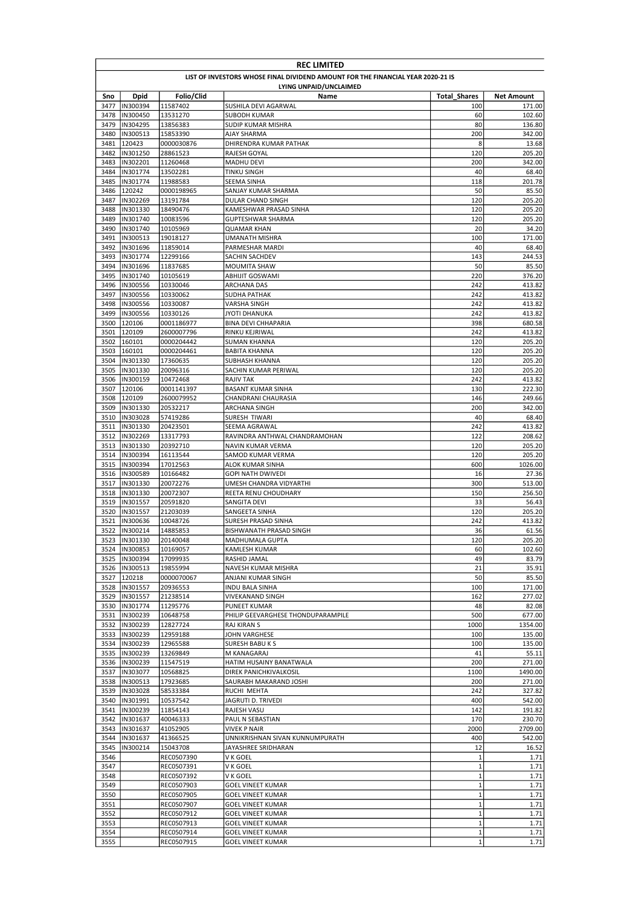|              | <b>REC LIMITED</b>                                                              |                          |                                       |                     |                   |  |  |
|--------------|---------------------------------------------------------------------------------|--------------------------|---------------------------------------|---------------------|-------------------|--|--|
|              | LIST OF INVESTORS WHOSE FINAL DIVIDEND AMOUNT FOR THE FINANCIAL YEAR 2020-21 IS |                          |                                       |                     |                   |  |  |
|              |                                                                                 |                          | LYING UNPAID/UNCLAIMED                |                     |                   |  |  |
| Sno          | Dpid                                                                            | Folio/Clid               | Name                                  | <b>Total Shares</b> | <b>Net Amount</b> |  |  |
| 3477         | IN300394                                                                        | 11587402                 | SUSHILA DEVI AGARWAL                  | 100                 | 171.00            |  |  |
| 3478         | IN300450                                                                        | 13531270                 | <b>SUBODH KUMAR</b>                   | 60                  | 102.60            |  |  |
| 3479         | IN304295                                                                        | 13856383                 | SUDIP KUMAR MISHRA                    | 80                  | 136.80            |  |  |
| 3480<br>3481 | IN300513<br>120423                                                              | 15853390                 | AJAY SHARMA<br>DHIRENDRA KUMAR PATHAK | 200<br>8            | 342.00            |  |  |
| 3482         | IN301250                                                                        | 0000030876<br>28861523   | RAJESH GOYAL                          | 120                 | 13.68<br>205.20   |  |  |
| 3483         | IN302201                                                                        | 11260468                 | <b>MADHU DEVI</b>                     | 200                 | 342.00            |  |  |
| 3484         | IN301774                                                                        | 13502281                 | <b>TINKU SINGH</b>                    | 40                  | 68.40             |  |  |
| 3485         | IN301774                                                                        | 11988583                 | SEEMA SINHA                           | 118                 | 201.78            |  |  |
| 3486         | 120242                                                                          | 0000198965               | SANJAY KUMAR SHARMA                   | 50                  | 85.50             |  |  |
| 3487         | IN302269                                                                        | 13191784                 | <b>DULAR CHAND SINGH</b>              | 120                 | 205.20            |  |  |
| 3488         | IN301330                                                                        | 18490476                 | KAMESHWAR PRASAD SINHA                | 120                 | 205.20            |  |  |
| 3489         | IN301740                                                                        | 10083596                 | GUPTESHWAR SHARMA                     | 120                 | 205.20            |  |  |
| 3490         | IN301740                                                                        | 10105969                 | QUAMAR KHAN                           | 20                  | 34.20             |  |  |
| 3491         | IN300513                                                                        | 19018127                 | UMANATH MISHRA                        | 100                 | 171.00            |  |  |
| 3492         | IN301696                                                                        | 11859014                 | PARMESHAR MARDI                       | 40                  | 68.40             |  |  |
| 3493         | IN301774                                                                        | 12299166                 | SACHIN SACHDEV                        | 143                 | 244.53            |  |  |
| 3494         | IN301696                                                                        | 11837685                 | <b>MOUMITA SHAW</b>                   | 50                  | 85.50             |  |  |
| 3495         | IN301740                                                                        | 10105619                 | <b>ABHIJIT GOSWAMI</b>                | 220                 | 376.20            |  |  |
| 3496         | IN300556                                                                        | 10330046                 | ARCHANA DAS                           | 242                 | 413.82            |  |  |
| 3497         | IN300556                                                                        | 10330062                 | SUDHA PATHAK                          | 242                 | 413.82            |  |  |
| 3498         | IN300556                                                                        | 10330087                 | VARSHA SINGH                          | 242                 | 413.82            |  |  |
| 3499         | IN300556                                                                        | 10330126                 | <b>JYOTI DHANUKA</b>                  | 242                 | 413.82            |  |  |
| 3500         | 120106                                                                          | 0001186977               | <b>BINA DEVI CHHAPARIA</b>            | 398                 | 680.58            |  |  |
| 3501         | 120109                                                                          | 2600007796               | RINKU KEJRIWAL                        | 242                 | 413.82            |  |  |
| 3502         | 160101                                                                          | 0000204442               | <b>SUMAN KHANNA</b>                   | 120                 | 205.20            |  |  |
| 3503         | 160101                                                                          | 0000204461               | <b>BABITA KHANNA</b>                  | 120                 | 205.20            |  |  |
| 3504         | IN301330                                                                        | 17360635                 | SUBHASH KHANNA                        | 120                 | 205.20            |  |  |
| 3505         | IN301330                                                                        | 20096316                 | SACHIN KUMAR PERIWAL                  | 120                 | 205.20            |  |  |
| 3506         | IN300159                                                                        | 10472468                 | <b>RAJIV TAK</b>                      | 242                 | 413.82            |  |  |
| 3507         | 120106                                                                          | 0001141397               | <b>BASANT KUMAR SINHA</b>             | 130                 | 222.30            |  |  |
| 3508         | 120109                                                                          | 2600079952               | CHANDRANI CHAURASIA                   | 146                 | 249.66            |  |  |
| 3509         | IN301330                                                                        | 20532217                 | ARCHANA SINGH                         | 200                 | 342.00            |  |  |
| 3510         | IN303028                                                                        | 57419286                 | SURESH TIWARI                         | 40                  | 68.40             |  |  |
| 3511         | IN301330                                                                        | 20423501                 | SEEMA AGRAWAL                         | 242                 | 413.82            |  |  |
| 3512         | IN302269                                                                        | 13317793                 | RAVINDRA ANTHWAL CHANDRAMOHAN         | 122                 | 208.62            |  |  |
| 3513         | IN301330                                                                        | 20392710                 | NAVIN KUMAR VERMA                     | 120                 | 205.20            |  |  |
| 3514<br>3515 | IN300394<br>IN300394                                                            | 16113544                 | SAMOD KUMAR VERMA<br>ALOK KUMAR SINHA | 120<br>600          | 205.20<br>1026.00 |  |  |
| 3516         | IN300589                                                                        | 17012563                 | <b>GOPI NATH DWIVEDI</b>              | 16                  |                   |  |  |
| 3517         | IN301330                                                                        | 10166482<br>20072276     | UMESH CHANDRA VIDYARTHI               | 300                 | 27.36<br>513.00   |  |  |
|              | 3518  IN301330                                                                  | 20072307                 | REETA RENU CHOUDHARY                  | 150                 | 256.50            |  |  |
| 3519         | IN301557                                                                        | 20591820                 | SANGITA DEVI                          | 33                  | 56.43             |  |  |
| 3520         | IN301557                                                                        | 21203039                 | SANGEETA SINHA                        | 120                 | 205.20            |  |  |
| 3521         | IN300636                                                                        | 10048726                 | SURESH PRASAD SINHA                   | 242                 | 413.82            |  |  |
| 3522         | IN300214                                                                        | 14885853                 | BISHWANATH PRASAD SINGH               | 36                  | 61.56             |  |  |
|              | 3523  IN301330                                                                  | 20140048                 | <b>MADHUMALA GUPTA</b>                | 120                 | 205.20            |  |  |
|              | 3524  IN300853                                                                  | 10169057                 | <b>KAMLESH KUMAR</b>                  | 60                  | 102.60            |  |  |
| 3525         | IN300394                                                                        | 17099935                 | RASHID JAMAL                          | 49                  | 83.79             |  |  |
|              | 3526  IN300513                                                                  | 19855994                 | NAVESH KUMAR MISHRA                   | 21                  | 35.91             |  |  |
| 3527         | 120218                                                                          | 0000070067               | ANJANI KUMAR SINGH                    | 50                  | 85.50             |  |  |
| 3528         | IN301557                                                                        | 20936553                 | INDU BALA SINHA                       | 100                 | 171.00            |  |  |
| 3529         | IN301557                                                                        | 21238514                 | VIVEKANAND SINGH                      | 162                 | 277.02            |  |  |
|              | 3530  IN301774                                                                  | 11295776                 | <b>PUNEET KUMAR</b>                   | 48                  | 82.08             |  |  |
|              | 3531  IN300239                                                                  | 10648758                 | PHILIP GEEVARGHESE THONDUPARAMPILE    | 500                 | 677.00            |  |  |
| 3532         | IN300239                                                                        | 12827724                 | RAJ KIRAN S                           | 1000                | 1354.00           |  |  |
| 3533         | IN300239                                                                        | 12959188                 | JOHN VARGHESE                         | 100                 | 135.00            |  |  |
| 3534         | IN300239                                                                        | 12965588                 | <b>SURESH BABUKS</b>                  | 100                 | 135.00            |  |  |
| 3535         | IN300239                                                                        | 13269849                 | M KANAGARAJ                           | 41                  | 55.11             |  |  |
| 3536         | IN300239                                                                        | 11547519                 | HATIM HUSAINY BANATWALA               | 200                 | 271.00            |  |  |
| 3537         | IN303077                                                                        | 10568825                 | DIREK PANICHKIVALKOSIL                | 1100                | 1490.00           |  |  |
| 3538         | IN300513                                                                        | 17923685                 | SAURABH MAKARAND JOSHI                | 200                 | 271.00            |  |  |
| 3539         | IN303028                                                                        | 58533384                 | RUCHI MEHTA                           | 242                 | 327.82            |  |  |
| 3540         | IN301991                                                                        | 10537542                 | JAGRUTI D. TRIVEDI                    | 400                 | 542.00            |  |  |
| 3541         | IN300239                                                                        | 11854143                 | RAJESH VASU                           | 142                 | 191.82            |  |  |
| 3542         | IN301637                                                                        | 40046333                 | PAUL N SEBASTIAN                      | 170                 | 230.70            |  |  |
| 3543         | IN301637                                                                        | 41052905                 | VIVEK P NAIR                          | 2000                | 2709.00           |  |  |
| 3544         | IN301637                                                                        | 41366525                 | UNNIKRISHNAN SIVAN KUNNUMPURATH       | 400<br>12           | 542.00            |  |  |
| 3545         | IN300214                                                                        | 15043708                 | JAYASHREE SRIDHARAN                   | $\mathbf 1$         | 16.52             |  |  |
| 3546<br>3547 |                                                                                 | REC0507390<br>REC0507391 | V K GOEL                              | $\mathbf 1$         | 1.71<br>1.71      |  |  |
| 3548         |                                                                                 | REC0507392               | V K GOEL<br>V K GOEL                  | $\mathbf 1$         | 1.71              |  |  |
| 3549         |                                                                                 | REC0507903               | GOEL VINEET KUMAR                     | $\mathbf{1}$        | 1.71              |  |  |
| 3550         |                                                                                 | REC0507905               | <b>GOEL VINEET KUMAR</b>              | $\mathbf 1$         | 1.71              |  |  |
| 3551         |                                                                                 | REC0507907               | <b>GOEL VINEET KUMAR</b>              | $\mathbf 1$         | 1.71              |  |  |
| 3552         |                                                                                 | REC0507912               | <b>GOEL VINEET KUMAR</b>              | $\mathbf 1$         | 1.71              |  |  |
| 3553         |                                                                                 | REC0507913               | <b>GOEL VINEET KUMAR</b>              | $\mathbf 1$         | 1.71              |  |  |
| 3554         |                                                                                 | REC0507914               | <b>GOEL VINEET KUMAR</b>              | $\mathbf 1$         | 1.71              |  |  |
| 3555         |                                                                                 | REC0507915               | GOEL VINEET KUMAR                     | $\mathbf 1$         | 1.71              |  |  |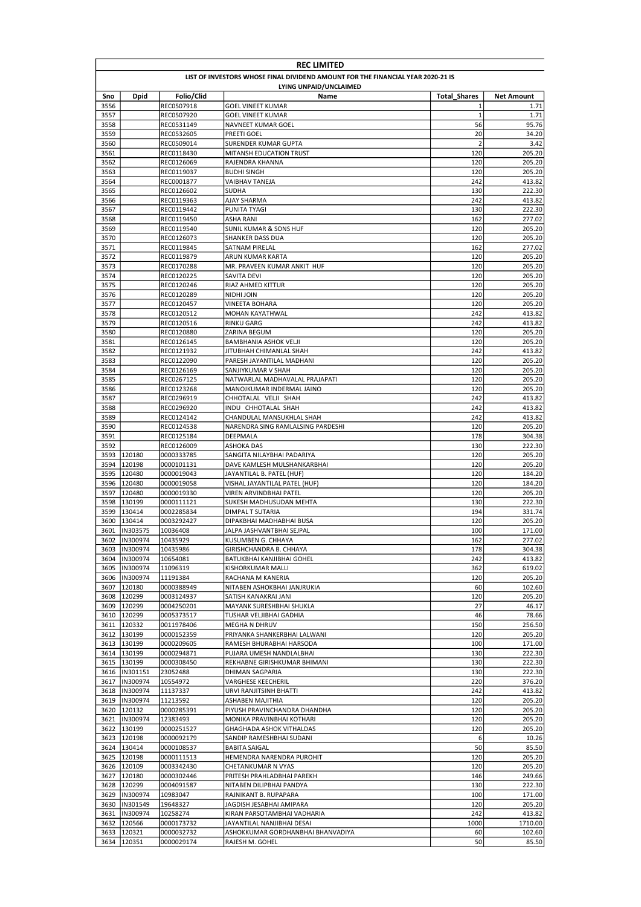|              | <b>REC LIMITED</b>            |                          |                                                                                 |                     |                   |  |  |
|--------------|-------------------------------|--------------------------|---------------------------------------------------------------------------------|---------------------|-------------------|--|--|
|              |                               |                          | LIST OF INVESTORS WHOSE FINAL DIVIDEND AMOUNT FOR THE FINANCIAL YEAR 2020-21 IS |                     |                   |  |  |
|              |                               |                          | LYING UNPAID/UNCLAIMED                                                          |                     |                   |  |  |
| Sno          | Dpid                          | Folio/Clid               | Name                                                                            | <b>Total Shares</b> | Net Amount        |  |  |
| 3556<br>3557 |                               | REC0507918<br>REC0507920 | <b>GOEL VINEET KUMAR</b><br><b>GOEL VINEET KUMAR</b>                            | 1<br>$\mathbf 1$    | 1.71<br>1.71      |  |  |
| 3558         |                               | REC0531149               | NAVNEET KUMAR GOEL                                                              | 56                  | 95.76             |  |  |
| 3559         |                               | REC0532605               | PREETI GOEL                                                                     | 20                  | 34.20             |  |  |
| 3560         |                               | REC0509014               | SURENDER KUMAR GUPTA                                                            | $\overline{2}$      | 3.42              |  |  |
| 3561         |                               | REC0118430               | MITANSH EDUCATION TRUST                                                         | 120                 | 205.20            |  |  |
| 3562         |                               | REC0126069               | RAJENDRA KHANNA                                                                 | 120                 | 205.20<br>205.20  |  |  |
| 3563<br>3564 |                               | REC0119037<br>REC0001877 | <b>BUDHI SINGH</b><br><b>VAIBHAV TANEJA</b>                                     | 120<br>242          | 413.82            |  |  |
| 3565         |                               | REC0126602               | <b>SUDHA</b>                                                                    | 130                 | 222.30            |  |  |
| 3566         |                               | REC0119363               | AJAY SHARMA                                                                     | 242                 | 413.82            |  |  |
| 3567         |                               | REC0119442               | PUNITA TYAGI                                                                    | 130                 | 222.30            |  |  |
| 3568         |                               | REC0119450               | ASHA RANI                                                                       | 162                 | 277.02            |  |  |
| 3569         |                               | REC0119540               | <b>SUNIL KUMAR &amp; SONS HUF</b>                                               | 120                 | 205.20            |  |  |
| 3570<br>3571 |                               | REC0126073<br>REC0119845 | SHANKER DASS DUA<br>SATNAM PIRELAL                                              | 120<br>162          | 205.20<br>277.02  |  |  |
| 3572         |                               | REC0119879               | ARUN KUMAR KARTA                                                                | 120                 | 205.20            |  |  |
| 3573         |                               | REC0170288               | MR. PRAVEEN KUMAR ANKIT HUF                                                     | 120                 | 205.20            |  |  |
| 3574         |                               | REC0120225               | SAVITA DEVI                                                                     | 120                 | 205.20            |  |  |
| 3575         |                               | REC0120246               | RIAZ AHMED KITTUR                                                               | 120                 | 205.20            |  |  |
| 3576         |                               | REC0120289               | NIDHI JOIN                                                                      | 120                 | 205.20            |  |  |
| 3577<br>3578 |                               | REC0120457<br>REC0120512 | VINEETA BOHARA<br>MOHAN KAYATHWAL                                               | 120<br>242          | 205.20<br>413.82  |  |  |
| 3579         |                               | REC0120516               | <b>RINKU GARG</b>                                                               | 242                 | 413.82            |  |  |
| 3580         |                               | REC0120880               | ZARINA BEGUM                                                                    | 120                 | 205.20            |  |  |
| 3581         |                               | REC0126145               | <b>BAMBHANIA ASHOK VELJI</b>                                                    | 120                 | 205.20            |  |  |
| 3582         |                               | REC0121932               | JITUBHAH CHIMANLAL SHAH                                                         | 242                 | 413.82            |  |  |
| 3583         |                               | REC0122090               | PARESH JAYANTILAL MADHANI                                                       | 120                 | 205.20            |  |  |
| 3584         |                               | REC0126169               | SANJIYKUMAR V SHAH                                                              | 120                 | 205.20            |  |  |
| 3585<br>3586 |                               | REC0267125<br>REC0123268 | NATWARLAL MADHAVALAL PRAJAPATI<br>MANOJKUMAR INDERMAL JAINO                     | 120<br>120          | 205.20<br>205.20  |  |  |
| 3587         |                               | REC0296919               | CHHOTALAL VELJI SHAH                                                            | 242                 | 413.82            |  |  |
| 3588         |                               | REC0296920               | INDU CHHOTALAL SHAH                                                             | 242                 | 413.82            |  |  |
| 3589         |                               | REC0124142               | CHANDULAL MANSUKHLAL SHAH                                                       | 242                 | 413.82            |  |  |
| 3590         |                               | REC0124538               | NARENDRA SING RAMLALSING PARDESHI                                               | 120                 | 205.20            |  |  |
| 3591         |                               | REC0125184               | DEEPMALA                                                                        | 178                 | 304.38            |  |  |
| 3592<br>3593 | 120180                        | REC0126009<br>0000333785 | <b>ASHOKA DAS</b><br>SANGITA NILAYBHAI PADARIYA                                 | 130<br>120          | 222.30<br>205.20  |  |  |
| 3594         | 120198                        | 0000101131               | DAVE KAMLESH MULSHANKARBHAI                                                     | 120                 | 205.20            |  |  |
| 3595         | 120480                        | 0000019043               | JAYANTILAL B. PATEL (HUF)                                                       | 120                 | 184.20            |  |  |
| 3596         | 120480                        | 0000019058               | VISHAL JAYANTILAL PATEL (HUF)                                                   | 120                 | 184.20            |  |  |
| 3597         | 120480                        | 0000019330               | VIREN ARVINDBHAI PATEL                                                          | 120                 | 205.20            |  |  |
| 3598         | 130199                        | 0000111121               | SUKESH MADHUSUDAN MEHTA                                                         | 130                 | 222.30            |  |  |
| 3599         | 130414                        | 0002285834               | DIMPAL T SUTARIA                                                                | 194                 | 331.74            |  |  |
| 3600<br>3601 | 130414<br>IN303575            | 0003292427<br>10036408   | DIPAKBHAI MADHABHAI BUSA<br>JALPA JASHVANTBHAI SEJPAL                           | 120<br>100          | 205.20<br>171.00  |  |  |
|              | 3602  IN300974                | 10435929                 | <b>KUSUMBEN G. CHHAYA</b>                                                       | 162                 | 277.02            |  |  |
| 3603         | IN300974                      | 10435986                 | GIRISHCHANDRA B. CHHAYA                                                         | 178                 | 304.38            |  |  |
| 3604         | IN300974                      | 10654081                 | BATUKBHAI KANJIBHAI GOHEL                                                       | 242                 | 413.82            |  |  |
| 3605         | IN300974                      | 11096319                 | KISHORKUMAR MALLI                                                               | 362                 | 619.02            |  |  |
| 3606         | IN300974                      | 11191384                 | RACHANA M KANERIA                                                               | 120                 | 205.20            |  |  |
| 3607<br>3608 | 120180<br>120299              | 0000388949<br>0003124937 | NITABEN ASHOKBHAI JANJRUKIA<br>SATISH KANAKRAI JANI                             | 60<br>120           | 102.60<br>205.20  |  |  |
|              | 3609 120299                   | 0004250201               | MAYANK SURESHBHAI SHUKLA                                                        | 27                  | 46.17             |  |  |
|              | 3610 120299                   | 0005373517               | TUSHAR VELJIBHAI GADHIA                                                         | 46                  | 78.66             |  |  |
|              | 3611 120332                   | 0011978406               | MEGHA N DHRUV                                                                   | 150                 | 256.50            |  |  |
|              | 3612 130199                   | 0000152359               | PRIYANKA SHANKERBHAI LALWANI                                                    | 120                 | 205.20            |  |  |
|              | 3613 130199                   | 0000209605               | RAMESH BHURABHAI HARSODA                                                        | 100                 | 171.00            |  |  |
|              | 3614 130199                   | 0000294871               | PUJARA UMESH NANDLALBHAI                                                        | 130                 | 222.30            |  |  |
|              | 3615 130199<br>3616  IN301151 | 0000308450<br>23052488   | REKHABNE GIRISHKUMAR BHIMANI<br>DHIMAN SAGPARIA                                 | 130<br>130          | 222.30<br>222.30  |  |  |
|              | 3617  IN300974                | 10554972                 | VARGHESE KEECHERIL                                                              | 220                 | 376.20            |  |  |
|              | 3618  IN300974                | 11137337                 | URVI RANJITSINH BHATTI                                                          | 242                 | 413.82            |  |  |
|              | 3619  IN300974                | 11213592                 | ASHABEN MAJITHIA                                                                | 120                 | 205.20            |  |  |
|              | 3620 120132                   | 0000285391               | PIYUSH PRAVINCHANDRA DHANDHA                                                    | 120                 | 205.20            |  |  |
| 3621         | IN300974                      | 12383493                 | MONIKA PRAVINBHAI KOTHARI                                                       | 120                 | 205.20            |  |  |
|              | 3622 130199                   | 0000251527               | GHAGHADA ASHOK VITHALDAS                                                        | 120                 | 205.20            |  |  |
|              | 3623 120198<br>3624 130414    | 0000092179<br>0000108537 | SANDIP RAMESHBHAI SUDANI<br><b>BABITA SAIGAL</b>                                | 6<br>50             | 10.26<br>85.50    |  |  |
|              | 3625 120198                   | 0000111513               | HEMENDRA NARENDRA PUROHIT                                                       | 120                 | 205.20            |  |  |
|              | 3626 120109                   | 0003342430               | CHETANKUMAR N VYAS                                                              | 120                 | 205.20            |  |  |
| 3627         | 120180                        | 0000302446               | PRITESH PRAHLADBHAI PAREKH                                                      | 146                 | 249.66            |  |  |
|              | 3628 120299                   | 0004091587               | NITABEN DILIPBHAI PANDYA                                                        | 130                 | 222.30            |  |  |
|              | 3629  IN300974                | 10983047                 | RAJNIKANT B. RUPAPARA                                                           | 100                 | 171.00            |  |  |
| 3630         | IN301549                      | 19648327                 | JAGDISH JESABHAI AMIPARA                                                        | 120                 | 205.20            |  |  |
| 3632         | 3631  IN300974<br>120566      | 10258274<br>0000173732   | KIRAN PARSOTAMBHAI VADHARIA<br>JAYANTILAL NANJIBHAI DESAI                       | 242<br>1000         | 413.82<br>1710.00 |  |  |
|              | 3633 120321                   | 0000032732               | ASHOKKUMAR GORDHANBHAI BHANVADIYA                                               | 60                  | 102.60            |  |  |
|              | 3634 120351                   | 0000029174               | RAJESH M. GOHEL                                                                 | 50                  | 85.50             |  |  |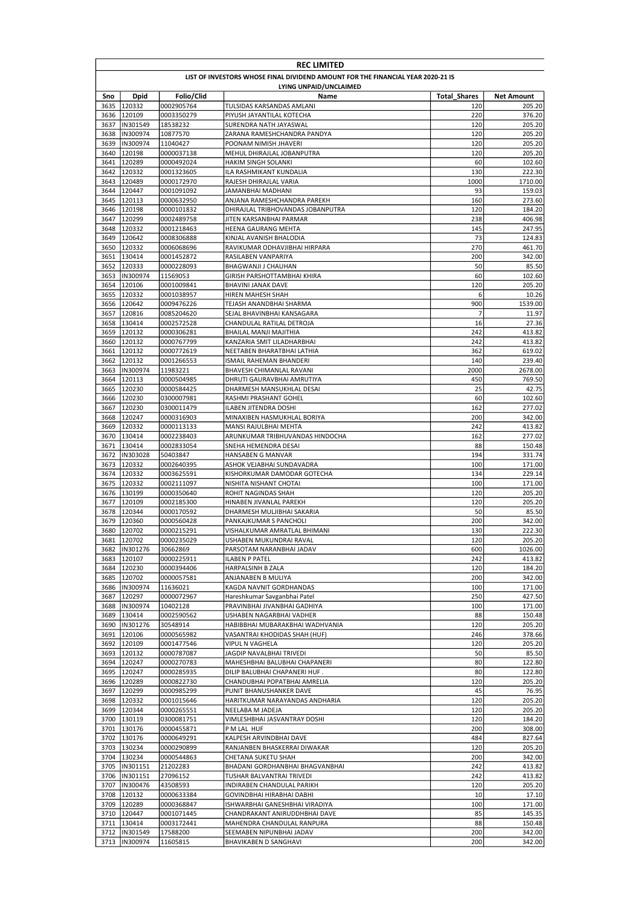|              | <b>REC LIMITED</b>                                                              |                          |                                                          |                            |                             |  |  |  |
|--------------|---------------------------------------------------------------------------------|--------------------------|----------------------------------------------------------|----------------------------|-----------------------------|--|--|--|
|              | LIST OF INVESTORS WHOSE FINAL DIVIDEND AMOUNT FOR THE FINANCIAL YEAR 2020-21 IS |                          |                                                          |                            |                             |  |  |  |
| Sno          | LYING UNPAID/UNCLAIMED                                                          |                          |                                                          |                            |                             |  |  |  |
| 3635         | Dpid<br>120332                                                                  | Folio/Clid<br>0002905764 | Name<br>TULSIDAS KARSANDAS AMLANI                        | <b>Total Shares</b><br>120 | <b>Net Amount</b><br>205.20 |  |  |  |
|              | 3636 120109                                                                     | 0003350279               | PIYUSH JAYANTILAL KOTECHA                                | 220                        | 376.20                      |  |  |  |
| 3637         | IN301549                                                                        | 18538232                 | SURENDRA NATH JAYASWAL                                   | 120                        | 205.20                      |  |  |  |
| 3638         | IN300974                                                                        | 10877570                 | ZARANA RAMESHCHANDRA PANDYA                              | 120                        | 205.20                      |  |  |  |
| 3639         | IN300974                                                                        | 11040427                 | POONAM NIMISH JHAVERI                                    | 120                        | 205.20                      |  |  |  |
| 3640         | 120198                                                                          | 0000037138               | MEHUL DHIRAJLAL JOBANPUTRA                               | 120<br>60                  | 205.20                      |  |  |  |
| 3641<br>3642 | 120289<br>120332                                                                | 0000492024<br>0001323605 | HAKIM SINGH SOLANKI<br>ILA RASHMIKANT KUNDALIA           | 130                        | 102.60<br>222.30            |  |  |  |
| 3643         | 120489                                                                          | 0000172970               | RAJESH DHIRAJLAL VARIA                                   | 1000                       | 1710.00                     |  |  |  |
| 3644         | 120447                                                                          | 0001091092               | JAMANBHAI MADHANI                                        | 93                         | 159.03                      |  |  |  |
| 3645         | 120113                                                                          | 0000632950               | ANJANA RAMESHCHANDRA PAREKH                              | 160                        | 273.60                      |  |  |  |
| 3646         | 120198                                                                          | 0000101832               | DHIRAJLAL TRIBHOVANDAS JOBANPUTRA                        | 120                        | 184.20                      |  |  |  |
| 3647         | 120299                                                                          | 0002489758               | JITEN KARSANBHAI PARMAR                                  | 238                        | 406.98                      |  |  |  |
| 3648         | 120332                                                                          | 0001218463               | HEENA GAURANG MEHTA                                      | 145                        | 247.95                      |  |  |  |
| 3650         | 3649 120642<br>120332                                                           | 0008306888<br>0006068696 | KINJAL AVANISH BHALODIA<br>RAVIKUMAR ODHAVJIBHAI HIRPARA | 73<br>270                  | 124.83<br>461.70            |  |  |  |
| 3651         | 130414                                                                          | 0001452872               | RASILABEN VANPARIYA                                      | 200                        | 342.00                      |  |  |  |
| 3652         | 120333                                                                          | 0000228093               | BHAGWANJI J CHAUHAN                                      | 50                         | 85.50                       |  |  |  |
| 3653         | IN300974                                                                        | 11569053                 | <b>GIRISH PARSHOTTAMBHAI KHIRA</b>                       | 60                         | 102.60                      |  |  |  |
| 3654         | 120106                                                                          | 0001009841               | BHAVINI JANAK DAVE                                       | 120                        | 205.20                      |  |  |  |
| 3655         | 120332                                                                          | 0001038957               | HIREN MAHESH SHAH                                        | 6                          | 10.26                       |  |  |  |
| 3656         | 120642                                                                          | 0009476226<br>0085204620 | TEJASH ANANDBHAI SHARMA<br>SEJAL BHAVINBHAI KANSAGARA    | 900                        | 1539.00                     |  |  |  |
| 3657<br>3658 | 120816<br>130414                                                                | 0002572528               | CHANDULAL RATILAL DETROJA                                | 7<br>16                    | 11.97<br>27.36              |  |  |  |
| 3659         | 120132                                                                          | 0000306281               | BHAILAL MANJI MAJITHIA                                   | 242                        | 413.82                      |  |  |  |
| 3660         | 120132                                                                          | 0000767799               | KANZARIA SMIT LILADHARBHAI                               | 242                        | 413.82                      |  |  |  |
| 3661         | 120132                                                                          | 0000772619               | NEETABEN BHARATBHAI LATHIA                               | 362                        | 619.02                      |  |  |  |
| 3662         | 120132                                                                          | 0001266553               | ISMAIL RAHEMAN BHANDERI                                  | 140                        | 239.40                      |  |  |  |
| 3663         | IN300974                                                                        | 11983221                 | BHAVESH CHIMANLAL RAVANI                                 | 2000                       | 2678.00                     |  |  |  |
| 3664         | 120113                                                                          | 0000504985               | DHRUTI GAURAVBHAI AMRUTIYA                               | 450<br>25                  | 769.50                      |  |  |  |
| 3665<br>3666 | 120230<br>120230                                                                | 0000584425<br>0300007981 | DHARMESH MANSUKHLAL DESAI<br>RASHMI PRASHANT GOHEL       | 60                         | 42.75<br>102.60             |  |  |  |
| 3667         | 120230                                                                          | 0300011479               | ILABEN JITENDRA DOSHI                                    | 162                        | 277.02                      |  |  |  |
| 3668         | 120247                                                                          | 0000316903               | MINAXIBEN HASMUKHLAL BORIYA                              | 200                        | 342.00                      |  |  |  |
| 3669         | 120332                                                                          | 0000113133               | MANSI RAJULBHAI MEHTA                                    | 242                        | 413.82                      |  |  |  |
| 3670         | 130414                                                                          | 0002238403               | ARUNKUMAR TRIBHUVANDAS HINDOCHA                          | 162                        | 277.02                      |  |  |  |
| 3671         | 130414                                                                          | 0002833054               | SNEHA HEMENDRA DESAI                                     | 88                         | 150.48                      |  |  |  |
| 3672<br>3673 | IN303028<br>120332                                                              | 50403847                 | HANSABEN G MANVAR                                        | 194<br>100                 | 331.74<br>171.00            |  |  |  |
|              | 3674 120332                                                                     | 0002640395<br>0003625591 | ASHOK VEJABHAI SUNDAVADRA<br>KISHORKUMAR DAMODAR GOTECHA | 134                        | 229.14                      |  |  |  |
| 3675         | 120332                                                                          | 0002111097               | NISHITA NISHANT CHOTAI                                   | 100                        | 171.00                      |  |  |  |
| 3676         | 130199                                                                          | 0000350640               | ROHIT NAGINDAS SHAH                                      | 120                        | 205.20                      |  |  |  |
| 3677         | 120109                                                                          | 0002185300               | HINABEN JIVANLAL PAREKH                                  | 120                        | 205.20                      |  |  |  |
| 3678         | 120344                                                                          | 0000170592               | DHARMESH MULJIBHAI SAKARIA                               | 50                         | 85.50                       |  |  |  |
| 3679         | 120360                                                                          | 0000560428               | PANKAJKUMAR S PANCHOLI                                   | 200                        | 342.00                      |  |  |  |
| 3680         | 120702<br>3681 120702                                                           | 0000215291<br>0000235029 | VISHALKUMAR AMRATLAL BHIMANI<br>USHABEN MUKUNDRAI RAVAL  | 130<br>120                 | 222.30<br>205.20            |  |  |  |
|              | 3682  IN301276                                                                  | 30662869                 | PARSOTAM NARANBHAI JADAV                                 | 600                        | 1026.00                     |  |  |  |
|              | 3683 120107                                                                     | 0000225911               | ILABEN P PATEL                                           | 242                        | 413.82                      |  |  |  |
|              | 3684 120230                                                                     | 0000394406               | HARPALSINH B ZALA                                        | 120                        | 184.20                      |  |  |  |
|              | 3685 120702                                                                     | 0000057581               | ANJANABEN B MULIYA                                       | 200                        | 342.00                      |  |  |  |
| 3686         | IN300974                                                                        | 11636021                 | KAGDA NAVNIT GORDHANDAS                                  | 100                        | 171.00                      |  |  |  |
| 3687         | 120297                                                                          | 0000072967               | Hareshkumar Savganbhai Patel                             | 250                        | 427.50                      |  |  |  |
| 3689         | 3688  IN300974<br>130414                                                        | 10402128<br>0002590562   | PRAVINBHAI JIVANBHAI GADHIYA<br>USHABEN NAGARBHAI VADHER | 100<br>88                  | 171.00<br>150.48            |  |  |  |
|              | 3690  IN301276                                                                  | 30548914                 | HABIBBHAI MUBARAKBHAI WADHVANIA                          | 120                        | 205.20                      |  |  |  |
| 3691         | 120106                                                                          | 0000565982               | VASANTRAI KHODIDAS SHAH (HUF)                            | 246                        | 378.66                      |  |  |  |
| 3692         | 120109                                                                          | 0001477546               | VIPUL N VAGHELA                                          | 120                        | 205.20                      |  |  |  |
|              | 3693 120132                                                                     | 0000787087               | JAGDIP NAVALBHAI TRIVEDI                                 | 50                         | 85.50                       |  |  |  |
|              | 3694 120247                                                                     | 0000270783               | MAHESHBHAI BALUBHAI CHAPANERI                            | 80                         | 122.80                      |  |  |  |
|              | 3695 120247                                                                     | 0000285935               | DILIP BALUBHAI CHAPANERI HUF.                            | 80                         | 122.80                      |  |  |  |
|              | 3696 120289<br>3697 120299                                                      | 0000822730<br>0000985299 | CHANDUBHAI POPATBHAI AMRELIA<br>PUNIT BHANUSHANKER DAVE  | 120<br>45                  | 205.20<br>76.95             |  |  |  |
|              | 3698 120332                                                                     | 0001015646               | HARITKUMAR NARAYANDAS ANDHARIA                           | 120                        | 205.20                      |  |  |  |
|              | 3699 120344                                                                     | 0000265551               | NEELABA M JADEJA                                         | 120                        | 205.20                      |  |  |  |
|              | 3700 130119                                                                     | 0300081751               | VIMLESHBHAI JASVANTRAY DOSHI                             | 120                        | 184.20                      |  |  |  |
|              | 3701 130176                                                                     | 0000455871               | P M LAL HUF                                              | 200                        | 308.00                      |  |  |  |
|              | 3702 130176                                                                     | 0000649291               | KALPESH ARVINDBHAI DAVE                                  | 484                        | 827.64                      |  |  |  |
|              | 3703 130234                                                                     | 0000290899               | RANJANBEN BHASKERRAI DIWAKAR                             | 120                        | 205.20                      |  |  |  |
|              | 3704 130234                                                                     | 0000544863               | CHETANA SUKETU SHAH                                      | 200                        | 342.00                      |  |  |  |
| 3705         | IN301151                                                                        | 21202283                 | BHADANI GORDHANBHAI BHAGVANBHAI                          | 242<br>242                 | 413.82                      |  |  |  |
|              | 3706  IN301151<br>3707  IN300476                                                | 27096152<br>43508593     | TUSHAR BALVANTRAI TRIVEDI<br>INDIRABEN CHANDULAL PARIKH  | 120                        | 413.82<br>205.20            |  |  |  |
|              | 3708 120132                                                                     | 0000633384               | GOVINDBHAI HIRABHAI DABHI                                | 10                         | 17.10                       |  |  |  |
|              | 3709 120289                                                                     | 0000368847               | ISHWARBHAI GANESHBHAI VIRADIYA                           | 100                        | 171.00                      |  |  |  |
|              | 3710 120447                                                                     | 0001071445               | CHANDRAKANT ANIRUDDHBHAI DAVE                            | 85                         | 145.35                      |  |  |  |
|              | 3711 130414                                                                     | 0003172441               | MAHENDRA CHANDULAL RANPURA                               | 88                         | 150.48                      |  |  |  |
|              | 3712  IN301549                                                                  | 17588200                 | SEEMABEN NIPUNBHAI JADAV                                 | 200                        | 342.00                      |  |  |  |
|              | 3713  IN300974                                                                  | 11605815                 | BHAVIKABEN D SANGHAVI                                    | 200                        | 342.00                      |  |  |  |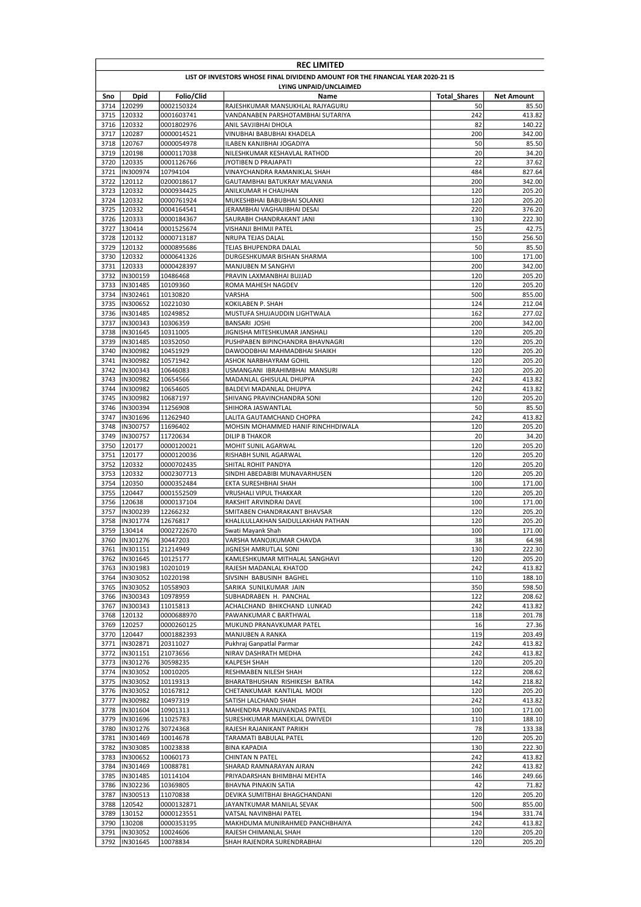|              | <b>REC LIMITED</b>                                                              |                          |                                                                       |                     |                  |  |  |  |
|--------------|---------------------------------------------------------------------------------|--------------------------|-----------------------------------------------------------------------|---------------------|------------------|--|--|--|
|              | LIST OF INVESTORS WHOSE FINAL DIVIDEND AMOUNT FOR THE FINANCIAL YEAR 2020-21 IS |                          |                                                                       |                     |                  |  |  |  |
|              | LYING UNPAID/UNCLAIMED                                                          |                          |                                                                       |                     |                  |  |  |  |
| Sno          | Dpid                                                                            | Folio/Clid               | Name                                                                  | <b>Total Shares</b> | Net Amount       |  |  |  |
|              | 3714 120299<br>3715 120332                                                      | 0002150324               | RAJESHKUMAR MANSUKHLAL RAJYAGURU<br>VANDANABEN PARSHOTAMBHAI SUTARIYA | 50<br>242           | 85.50<br>413.82  |  |  |  |
|              | 3716 120332                                                                     | 0001603741<br>0001802976 | ANIL SAVJIBHAI DHOLA                                                  | 82                  | 140.22           |  |  |  |
| 3717         | 120287                                                                          | 0000014521               | VINUBHAI BABUBHAI KHADELA                                             | 200                 | 342.00           |  |  |  |
| 3718         | 120767                                                                          | 0000054978               | ILABEN KANJIBHAI JOGADIYA                                             | 50                  | 85.50            |  |  |  |
| 3719         | 120198                                                                          | 0000117038               | NILESHKUMAR KESHAVLAL RATHOD                                          | 20                  | 34.20            |  |  |  |
|              | 3720 120335                                                                     | 0001126766               | JYOTIBEN D PRAJAPATI                                                  | 22                  | 37.62            |  |  |  |
| 3721         | IN300974                                                                        | 10794104                 | VINAYCHANDRA RAMANIKLAL SHAH                                          | 484                 | 827.64           |  |  |  |
| 3722         | 120112                                                                          | 0200018617               | GAUTAMBHAI BATUKRAY MALVANIA                                          | 200                 | 342.00           |  |  |  |
|              | 3723 120332<br>3724 120332                                                      | 0000934425<br>0000761924 | ANILKUMAR H CHAUHAN<br>MUKESHBHAI BABUBHAI SOLANKI                    | 120<br>120          | 205.20<br>205.20 |  |  |  |
|              | 3725 120332                                                                     | 0004164541               | JERAMBHAI VAGHAJIBHAI DESAI                                           | 220                 | 376.20           |  |  |  |
|              | 3726 120333                                                                     | 0000184367               | SAURABH CHANDRAKANT JANI                                              | 130                 | 222.30           |  |  |  |
|              | 3727 130414                                                                     | 0001525674               | VISHANJI BHIMJI PATEL                                                 | 25                  | 42.75            |  |  |  |
| 3728         | 120132                                                                          | 0000713187               | NRUPA TEJAS DALAL                                                     | 150                 | 256.50           |  |  |  |
|              | 3729 120132                                                                     | 0000895686               | TEJAS BHUPENDRA DALAL                                                 | 50                  | 85.50            |  |  |  |
|              | 3730 120332                                                                     | 0000641326               | DURGESHKUMAR BISHAN SHARMA                                            | 100                 | 171.00           |  |  |  |
| 3731         | 120333                                                                          | 0000428397               | MANJUBEN M SANGHVI                                                    | 200                 | 342.00           |  |  |  |
| 3732         | IN300159                                                                        | 10486468                 | PRAVIN LAXMANBHAI BUJJAD                                              | 120                 | 205.20           |  |  |  |
|              | 3733  IN301485                                                                  | 10109360                 | ROMA MAHESH NAGDEV                                                    | 120                 | 205.20           |  |  |  |
| 3734         | IN302461<br>3735  IN300652                                                      | 10130820<br>10221030     | <b>VARSHA</b><br>KOKILABEN P. SHAH                                    | 500<br>124          | 855.00<br>212.04 |  |  |  |
|              | 3736  IN301485                                                                  | 10249852                 | MUSTUFA SHUJAUDDIN LIGHTWALA                                          | 162                 | 277.02           |  |  |  |
|              | 3737  IN300343                                                                  | 10306359                 | <b>BANSARI JOSHI</b>                                                  | 200                 | 342.00           |  |  |  |
| 3738         | IN301645                                                                        | 10311005                 | JIGNISHA MITESHKUMAR JANSHALI                                         | 120                 | 205.20           |  |  |  |
|              | 3739 IIN301485                                                                  | 10352050                 | PUSHPABEN BIPINCHANDRA BHAVNAGRI                                      | 120                 | 205.20           |  |  |  |
| 3740         | IN300982                                                                        | 10451929                 | DAWOODBHAI MAHMADBHAI SHAIKH                                          | 120                 | 205.20           |  |  |  |
| 3741         | IN300982                                                                        | 10571942                 | ASHOK NARBHAYRAM GOHIL                                                | 120                 | 205.20           |  |  |  |
| 3742         | IN300343                                                                        | 10646083                 | USMANGANI IBRAHIMBHAI MANSURI                                         | 120                 | 205.20           |  |  |  |
| 3743         | IN300982                                                                        | 10654566                 | MADANLAL GHISULAL DHUPYA                                              | 242                 | 413.82           |  |  |  |
| 3744         | IN300982                                                                        | 10654605                 | BALDEVI MADANLAL DHUPYA                                               | 242                 | 413.82           |  |  |  |
| 3745<br>3746 | IN300982<br>IN300394                                                            | 10687197<br>11256908     | SHIVANG PRAVINCHANDRA SONI<br>SHIHORA JASWANTLAL                      | 120<br>50           | 205.20<br>85.50  |  |  |  |
| 3747         | IN301696                                                                        | 11262940                 | LALITA GAUTAMCHAND CHOPRA                                             | 242                 | 413.82           |  |  |  |
| 3748         | IN300757                                                                        | 11696402                 | MOHSIN MOHAMMED HANIF RINCHHDIWALA                                    | 120                 | 205.20           |  |  |  |
| 3749         | IN300757                                                                        | 11720634                 | <b>DILIP B THAKOR</b>                                                 | 20                  | 34.20            |  |  |  |
|              | 3750 120177                                                                     | 0000120021               | MOHIT SUNIL AGARWAL                                                   | 120                 | 205.20           |  |  |  |
|              | 3751 120177                                                                     | 0000120036               | RISHABH SUNIL AGARWAL                                                 | 120                 | 205.20           |  |  |  |
|              | 3752 120332                                                                     | 0000702435               | SHITAL ROHIT PANDYA                                                   | 120                 | 205.20           |  |  |  |
|              | 3753 120332                                                                     | 0002307713               | SINDHI ABEDABIBI MUNAVARHUSEN                                         | 120                 | 205.20           |  |  |  |
| 3754         | 120350                                                                          | 0000352484               | EKTA SURESHBHAI SHAH                                                  | 100                 | 171.00           |  |  |  |
| 3755         | 120447                                                                          | 0001552509               | VRUSHALI VIPUL THAKKAR                                                | 120                 | 205.20           |  |  |  |
| 3756<br>3757 | 120638<br>IN300239                                                              | 0000137104<br>12266232   | RAKSHIT ARVINDRAI DAVE<br>SMITABEN CHANDRAKANT BHAVSAR                | 100<br>120          | 171.00<br>205.20 |  |  |  |
| 3758         | IN301774                                                                        | 12676817                 | KHALILULLAKHAN SAIDULLAKHAN PATHAN                                    | 120                 | 205.20           |  |  |  |
| 3759         | 130414                                                                          | 0002722670               | Swati Mayank Shah                                                     | 100                 | 171.00           |  |  |  |
|              | 3760  IN301276                                                                  | 30447203                 | VARSHA MANOJKUMAR CHAVDA                                              | 38                  | 64.98            |  |  |  |
|              | 3761  IN301151                                                                  | 21214949                 | JIGNESH AMRUTLAL SONI                                                 | 130                 | 222.30           |  |  |  |
|              | 3762  IN301645                                                                  | 10125177                 | KAMLESHKUMAR MITHALAL SANGHAVI                                        | 120                 | 205.20           |  |  |  |
|              | 3763  IN301983                                                                  | 10201019                 | RAJESH MADANLAL KHATOD                                                | 242                 | 413.82           |  |  |  |
|              | 3764  IN303052                                                                  | 10220198                 | SIVSINH BABUSINH BAGHEL                                               | 110                 | 188.10           |  |  |  |
|              | 3765  IN303052                                                                  | 10558903                 | SARIKA SUNILKUMAR JAIN                                                | 350                 | 598.50           |  |  |  |
|              | 3766  IN300343                                                                  | 10978959                 | SUBHADRABEN H. PANCHAL                                                | 122                 | 208.62           |  |  |  |
| 3767         | IN300343<br>3768 120132                                                         | 11015813<br>0000688970   | ACHALCHAND BHIKCHAND LUNKAD<br>PAWANKUMAR C BARTHWAL                  | 242<br>118          | 413.82<br>201.78 |  |  |  |
|              | 3769 120257                                                                     | 0000260125               | MUKUND PRANAVKUMAR PATEL                                              | 16                  | 27.36            |  |  |  |
|              | 3770 120447                                                                     | 0001882393               | MANJUBEN A RANKA                                                      | 119                 | 203.49           |  |  |  |
|              | 3771  IN302871                                                                  | 20311027                 | Pukhraj Ganpatlal Parmar                                              | 242                 | 413.82           |  |  |  |
|              | 3772  IN301151                                                                  | 21073656                 | NIRAV DASHRATH MEDHA                                                  | 242                 | 413.82           |  |  |  |
|              | 3773  IN301276                                                                  | 30598235                 | KALPESH SHAH                                                          | 120                 | 205.20           |  |  |  |
|              | 3774  IN303052                                                                  | 10010205                 | RESHMABEN NILESH SHAH                                                 | 122                 | 208.62           |  |  |  |
|              | 3775  IN303052                                                                  | 10119313                 | BHARATBHUSHAN RISHIKESH BATRA                                         | 142                 | 218.82           |  |  |  |
|              | 3776  IN303052                                                                  | 10167812                 | CHETANKUMAR KANTILAL MODI                                             | 120                 | 205.20           |  |  |  |
|              | 3777  IN300982<br>3778  IN301604                                                | 10497319<br>10901313     | SATISH LALCHAND SHAH<br>MAHENDRA PRANJIVANDAS PATEL                   | 242<br>100          | 413.82<br>171.00 |  |  |  |
|              | 3779  IN301696                                                                  | 11025783                 | SURESHKUMAR MANEKLAL DWIVEDI                                          | 110                 | 188.10           |  |  |  |
|              | 3780  IN301276                                                                  | 30724368                 | RAJESH RAJANIKANT PARIKH                                              | 78                  | 133.38           |  |  |  |
| 3781         | IN301469                                                                        | 10014678                 | TARAMATI BABULAL PATEL                                                | 120                 | 205.20           |  |  |  |
| 3782         | IN303085                                                                        | 10023838                 | <b>BINA KAPADIA</b>                                                   | 130                 | 222.30           |  |  |  |
|              | 3783  IN300652                                                                  | 10060173                 | CHINTAN N PATEL                                                       | 242                 | 413.82           |  |  |  |
|              | 3784  IN301469                                                                  | 10088781                 | SHARAD RAMNARAYAN AIRAN                                               | 242                 | 413.82           |  |  |  |
|              | 3785  IN301485                                                                  | 10114104                 | PRIYADARSHAN BHIMBHAI MEHTA                                           | 146                 | 249.66           |  |  |  |
|              | 3786  IN302236                                                                  | 10369805                 | BHAVNA PINAKIN SATIA                                                  | 42                  | 71.82            |  |  |  |
|              | 3787  IN300513                                                                  | 11070838                 | DEVIKA SUMITBHAI BHAGCHANDANI                                         | 120                 | 205.20           |  |  |  |
|              | 3788 120542<br>3789 130152                                                      | 0000132871<br>0000123551 | JAYANTKUMAR MANILAL SEVAK<br>VATSAL NAVINBHAI PATEL                   | 500<br>194          | 855.00<br>331.74 |  |  |  |
|              | 3790 130208                                                                     | 0000353195               | MAKHDUMA MUNIRAHMED PANCHBHAIYA                                       | 242                 | 413.82           |  |  |  |
|              | 3791  IN303052                                                                  | 10024606                 | RAJESH CHIMANLAL SHAH                                                 | 120                 | 205.20           |  |  |  |
|              | 3792 IN301645                                                                   | 10078834                 | SHAH RAJENDRA SURENDRABHAI                                            | 120                 | 205.20           |  |  |  |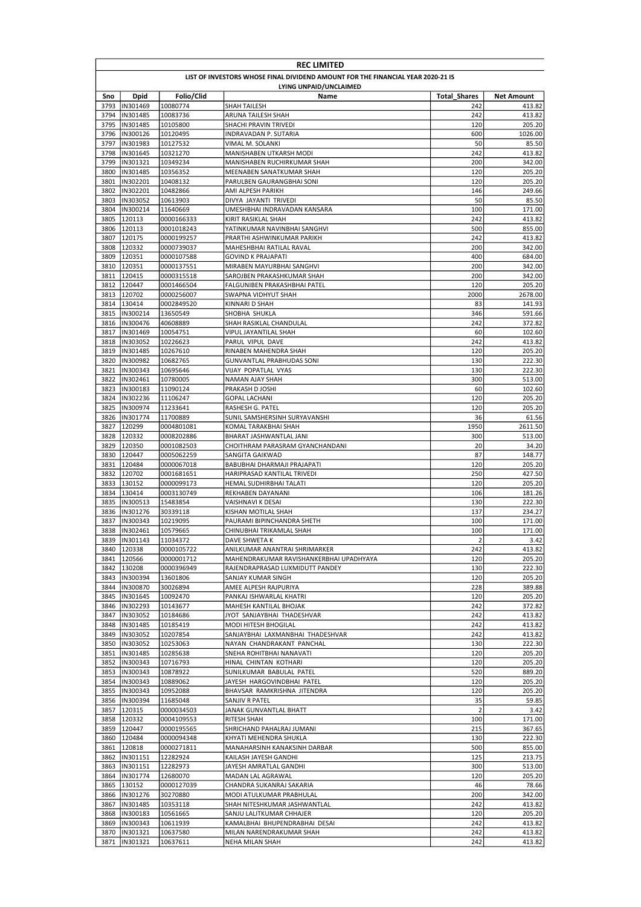|              | <b>REC LIMITED</b>                                                              |                          |                                                                          |                       |                  |  |  |
|--------------|---------------------------------------------------------------------------------|--------------------------|--------------------------------------------------------------------------|-----------------------|------------------|--|--|
|              | LIST OF INVESTORS WHOSE FINAL DIVIDEND AMOUNT FOR THE FINANCIAL YEAR 2020-21 IS |                          |                                                                          |                       |                  |  |  |
|              |                                                                                 |                          | LYING UNPAID/UNCLAIMED                                                   |                       |                  |  |  |
| Sno          | <b>Dpid</b>                                                                     | Folio/Clid               | Name                                                                     | <b>Total Shares</b>   | Net Amount       |  |  |
| 3793         | IN301469                                                                        | 10080774                 | SHAH TAILESH                                                             | 242                   | 413.82           |  |  |
| 3794<br>3795 | IN301485<br>IN301485                                                            | 10083736<br>10105800     | ARUNA TAILESH SHAH<br>SHACHI PRAVIN TRIVEDI                              | 242<br>120            | 413.82<br>205.20 |  |  |
| 3796         | IN300126                                                                        | 10120495                 | INDRAVADAN P. SUTARIA                                                    | 600                   | 1026.00          |  |  |
| 3797         | IN301983                                                                        | 10127532                 | VIMAL M. SOLANKI                                                         | 50                    | 85.50            |  |  |
| 3798         | IN301645                                                                        | 10321270                 | MANISHABEN UTKARSH MODI                                                  | 242                   | 413.82           |  |  |
| 3799         | IN301321                                                                        | 10349234                 | MANISHABEN RUCHIRKUMAR SHAH                                              | 200                   | 342.00           |  |  |
| 3800         | IN301485                                                                        | 10356352                 | MEENABEN SANATKUMAR SHAH                                                 | 120                   | 205.20           |  |  |
| 3801         | IN302201                                                                        | 10408132                 | PARULBEN GAURANGBHAI SONI                                                | 120                   | 205.20           |  |  |
| 3802         | IN302201                                                                        | 10482866                 | AMI ALPESH PARIKH                                                        | 146                   | 249.66           |  |  |
| 3803         | IN303052                                                                        | 10613903                 | DIVYA JAYANTI TRIVEDI                                                    | 50                    | 85.50            |  |  |
| 3804<br>3805 | IN300214<br>120113                                                              | 11640669<br>0000166333   | UMESHBHAI INDRAVADAN KANSARA<br>KIRIT RASIKLAL SHAH                      | 100<br>242            | 171.00<br>413.82 |  |  |
| 3806         | 120113                                                                          | 0001018243               | YATINKUMAR NAVINBHAI SANGHVI                                             | 500                   | 855.00           |  |  |
| 3807         | 120175                                                                          | 0000199257               | PRARTHI ASHWINKUMAR PARIKH                                               | 242                   | 413.82           |  |  |
| 3808         | 120332                                                                          | 0000739037               | MAHESHBHAI RATILAL RAVAL                                                 | 200                   | 342.00           |  |  |
| 3809         | 120351                                                                          | 0000107588               | <b>GOVIND K PRAJAPATI</b>                                                | 400                   | 684.00           |  |  |
| 3810         | 120351                                                                          | 0000137551               | MIRABEN MAYURBHAI SANGHVI                                                | 200                   | 342.00           |  |  |
|              | 3811 120415                                                                     | 0000315518               | SAROJBEN PRAKASHKUMAR SHAH                                               | 200                   | 342.00           |  |  |
| 3812         | 120447                                                                          | 0001466504               | FALGUNIBEN PRAKASHBHAI PATEL                                             | 120                   | 205.20           |  |  |
| 3813         | 120702                                                                          | 0000256007               | SWAPNA VIDHYUT SHAH                                                      | 2000                  | 2678.00          |  |  |
| 3814         | 130414                                                                          | 0002849520               | KINNARI D SHAH                                                           | 83                    | 141.93           |  |  |
| 3815         | IN300214                                                                        | 13650549                 | SHOBHA SHUKLA                                                            | 346                   | 591.66           |  |  |
| 3816<br>3817 | IN300476<br>IN301469                                                            | 40608889<br>10054751     | SHAH RASIKLAL CHANDULAL<br>VIPUL JAYANTILAL SHAH                         | 242<br>60             | 372.82<br>102.60 |  |  |
| 3818         | IN303052                                                                        | 10226623                 | PARUL VIPUL DAVE                                                         | 242                   | 413.82           |  |  |
| 3819         | IN301485                                                                        | 10267610                 | RINABEN MAHENDRA SHAH                                                    | 120                   | 205.20           |  |  |
| 3820         | IN300982                                                                        | 10682765                 | GUNVANTLAL PRABHUDAS SONI                                                | 130                   | 222.30           |  |  |
| 3821         | IN300343                                                                        | 10695646                 | VIJAY POPATLAL VYAS                                                      | 130                   | 222.30           |  |  |
| 3822         | IN302461                                                                        | 10780005                 | NAMAN AJAY SHAH                                                          | 300                   | 513.00           |  |  |
| 3823         | IN300183                                                                        | 11090124                 | PRAKASH D JOSHI                                                          | 60                    | 102.60           |  |  |
| 3824         | IN302236                                                                        | 11106247                 | <b>GOPAL LACHANI</b>                                                     | 120                   | 205.20           |  |  |
| 3825         | IN300974                                                                        | 11233641                 | RASHESH G. PATEL                                                         | 120                   | 205.20           |  |  |
| 3826         | IN301774                                                                        | 11700889                 | SUNIL SAMSHERSINH SURYAVANSHI                                            | 36                    | 61.56            |  |  |
| 3827         | 120299                                                                          | 0004801081               | KOMAL TARAKBHAI SHAH                                                     | 1950                  | 2611.50          |  |  |
| 3828<br>3829 | 120332<br>120350                                                                | 0008202886<br>0001082503 | BHARAT JASHWANTLAL JANI<br>CHOITHRAM PARASRAM GYANCHANDANI               | 300<br>20             | 513.00<br>34.20  |  |  |
| 3830         | 120447                                                                          | 0005062259               | SANGITA GAIKWAD                                                          | 87                    | 148.77           |  |  |
| 3831         | 120484                                                                          | 0000067018               | BABUBHAI DHARMAJI PRAJAPATI                                              | 120                   | 205.20           |  |  |
| 3832         | 120702                                                                          | 0001681651               | HARIPRASAD KANTILAL TRIVEDI                                              | 250                   | 427.50           |  |  |
|              | 3833 130152                                                                     | 0000099173               | HEMAL SUDHIRBHAI TALATI                                                  | 120                   | 205.20           |  |  |
|              | 3834 130414                                                                     | 0003130749               | REKHABEN DAYANANI                                                        | 106                   | 181.26           |  |  |
| 3835         | IN300513                                                                        | 15483854                 | VAISHNAVI K DESAI                                                        | 130                   | 222.30           |  |  |
| 3836         | IN301276                                                                        | 30339118                 | KISHAN MOTILAL SHAH                                                      | 137                   | 234.27           |  |  |
| 3837         | IN300343                                                                        | 10219095                 | PAURAMI BIPINCHANDRA SHETH                                               | 100                   | 171.00           |  |  |
| 3838         | IN302461                                                                        | 10579665                 | CHINUBHAI TRIKAMLAL SHAH                                                 | 100<br>$\overline{2}$ | 171.00           |  |  |
| 3839         | IN301143<br>3840 120338                                                         | 11034372<br>0000105722   | DAVE SHWETA K                                                            | 242                   | 3.42             |  |  |
|              | 3841 120566                                                                     | 0000001712               | ANILKUMAR ANANTRAI SHRIMARKER<br>MAHENDRAKUMAR RAVISHANKERBHAI UPADHYAYA | 120                   | 413.82<br>205.20 |  |  |
|              | 3842 130208                                                                     | 0000396949               | RAJENDRAPRASAD LUXMIDUTT PANDEY                                          | 130                   | 222.30           |  |  |
|              | 3843  IN300394                                                                  | 13601806                 | SANJAY KUMAR SINGH                                                       | 120                   | 205.20           |  |  |
|              | 3844  IN300870                                                                  | 30026894                 | AMEE ALPESH RAJPURIYA                                                    | 228                   | 389.88           |  |  |
| 3845         | IN301645                                                                        | 10092470                 | PANKAJ ISHWARLAL KHATRI                                                  | 120                   | 205.20           |  |  |
|              | 3846  IN302293                                                                  | 10143677                 | MAHESH KANTILAL BHOJAK                                                   | 242                   | 372.82           |  |  |
|              | 3847  IN303052                                                                  | 10184686                 | JYOT SANJAYBHAI THADESHVAR                                               | 242                   | 413.82           |  |  |
|              | 3848  IN301485                                                                  | 10185419                 | MODI HITESH BHOGILAL                                                     | 242                   | 413.82           |  |  |
|              | 3849  IN303052                                                                  | 10207854                 | SANJAYBHAI LAXMANBHAI THADESHVAR                                         | 242                   | 413.82           |  |  |
|              | 3850  IN303052<br>3851  IN301485                                                | 10253063                 | NAYAN CHANDRAKANT PANCHAL                                                | 130<br>120            | 222.30           |  |  |
|              | 3852  IN300343                                                                  | 10285638<br>10716793     | SNEHA ROHITBHAI NANAVATI<br>HINAL CHINTAN KOTHARI                        | 120                   | 205.20<br>205.20 |  |  |
|              | 3853  IN300343                                                                  | 10878922                 | SUNILKUMAR BABULAL PATEL                                                 | 520                   | 889.20           |  |  |
|              | 3854  IN300343                                                                  | 10889062                 | JAYESH HARGOVINDBHAI PATEL                                               | 120                   | 205.20           |  |  |
|              | 3855  IN300343                                                                  | 10952088                 | BHAVSAR RAMKRISHNA JITENDRA                                              | 120                   | 205.20           |  |  |
|              | 3856  IN300394                                                                  | 11685048                 | SANJIV R PATEL                                                           | 35                    | 59.85            |  |  |
|              | 3857 120315                                                                     | 0000034503               | JANAK GUNVANTLAL BHATT                                                   | $\overline{2}$        | 3.42             |  |  |
|              | 3858 120332                                                                     | 0004109553               | RITESH SHAH                                                              | 100                   | 171.00           |  |  |
|              | 3859 120447                                                                     | 0000195565               | SHRICHAND PAHALRAJ JUMANI                                                | 215                   | 367.65           |  |  |
|              | 3860 120484                                                                     | 0000094348               | KHYATI MEHENDRA SHUKLA                                                   | 130                   | 222.30           |  |  |
|              | 3861 120818                                                                     | 0000271811               | MANAHARSINH KANAKSINH DARBAR                                             | 500                   | 855.00           |  |  |
|              | 3862  IN301151                                                                  | 12282924                 | KAILASH JAYESH GANDHI                                                    | 125                   | 213.75           |  |  |
|              | 3863  IN301151<br>3864  IN301774                                                | 12282973<br>12680070     | JAYESH AMRATLAL GANDHI<br>MADAN LAL AGRAWAL                              | 300<br>120            | 513.00<br>205.20 |  |  |
| 3865         | 130152                                                                          | 0000127039               | CHANDRA SUKANRAJ SAKARIA                                                 | 46                    | 78.66            |  |  |
|              | 3866 IN301276                                                                   | 30270880                 | MODI ATULKUMAR PRABHULAL                                                 | 200                   | 342.00           |  |  |
| 3867         | IN301485                                                                        | 10353118                 | SHAH NITESHKUMAR JASHWANTLAL                                             | 242                   | 413.82           |  |  |
|              | 3868  IN300183                                                                  | 10561665                 | SANJU LALITKUMAR CHHAJER                                                 | 120                   | 205.20           |  |  |
|              | 3869  IN300343                                                                  | 10611939                 | KAMALBHAI BHUPENDRABHAI DESAI                                            | 242                   | 413.82           |  |  |
|              | 3870  IN301321                                                                  | 10637580                 | MILAN NARENDRAKUMAR SHAH                                                 | 242                   | 413.82           |  |  |
|              | 3871  IN301321                                                                  | 10637611                 | NEHA MILAN SHAH                                                          | 242                   | 413.82           |  |  |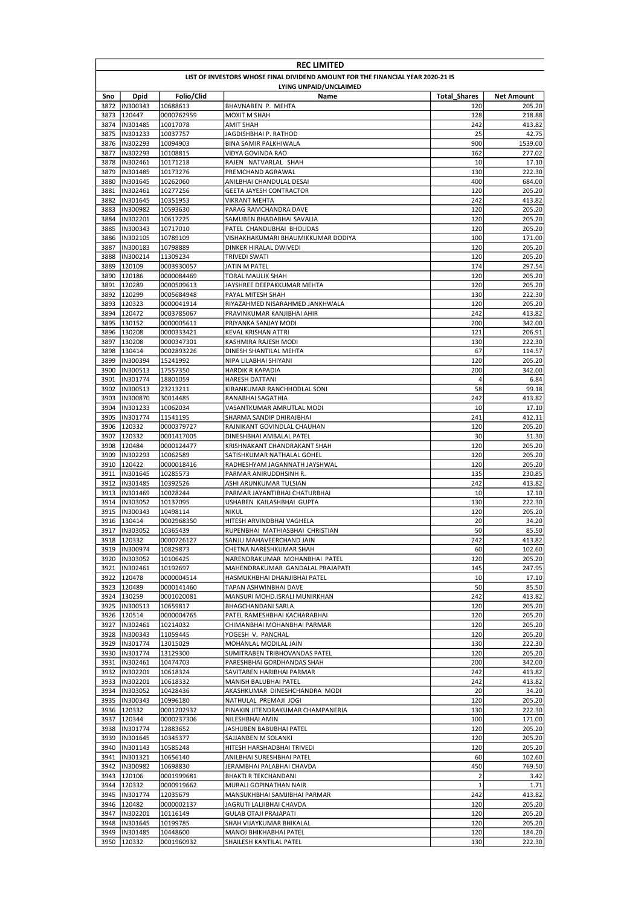|              | <b>REC LIMITED</b>                                                              |                          |                                                               |                     |                   |  |  |
|--------------|---------------------------------------------------------------------------------|--------------------------|---------------------------------------------------------------|---------------------|-------------------|--|--|
|              | LIST OF INVESTORS WHOSE FINAL DIVIDEND AMOUNT FOR THE FINANCIAL YEAR 2020-21 IS |                          |                                                               |                     |                   |  |  |
|              |                                                                                 |                          | LYING UNPAID/UNCLAIMED                                        |                     |                   |  |  |
| Sno          | Dpid                                                                            | Folio/Clid               | Name                                                          | <b>Total Shares</b> | <b>Net Amount</b> |  |  |
| 3872<br>3873 | IN300343<br>120447                                                              | 10688613<br>0000762959   | BHAVNABEN P. MEHTA<br><b>MOXIT M SHAH</b>                     | 120<br>128          | 205.20<br>218.88  |  |  |
| 3874         | IN301485                                                                        | 10017078                 | AMIT SHAH                                                     | 242                 | 413.82            |  |  |
| 3875         | IN301233                                                                        | 10037757                 | JAGDISHBHAI P. RATHOD                                         | 25                  | 42.75             |  |  |
| 3876         | IN302293                                                                        | 10094903                 | <b>BINA SAMIR PALKHIWALA</b>                                  | 900                 | 1539.00           |  |  |
| 3877         | IN302293                                                                        | 10108815                 | VIDYA GOVINDA RAO                                             | 162                 | 277.02            |  |  |
| 3878         | IN302461                                                                        | 10171218                 | RAJEN NATVARLAL SHAH                                          | 10                  | 17.10             |  |  |
| 3879<br>3880 | IN301485<br>IN301645                                                            | 10173276<br>10262060     | PREMCHAND AGRAWAL<br>ANILBHAI CHANDULAL DESAI                 | 130<br>400          | 222.30<br>684.00  |  |  |
| 3881         | IN302461                                                                        | 10277256                 | GEETA JAYESH CONTRACTOR                                       | 120                 | 205.20            |  |  |
| 3882         | IN301645                                                                        | 10351953                 | <b>VIKRANT MEHTA</b>                                          | 242                 | 413.82            |  |  |
| 3883         | IN300982                                                                        | 10593630                 | PARAG RAMCHANDRA DAVE                                         | 120                 | 205.20            |  |  |
| 3884         | IN302201                                                                        | 10617225                 | SAMUBEN BHADABHAI SAVALIA                                     | 120                 | 205.20            |  |  |
| 3885         | IN300343                                                                        | 10717010                 | PATEL CHANDUBHAI BHOLIDAS                                     | 120                 | 205.20            |  |  |
| 3886<br>3887 | IN302105<br>IN300183                                                            | 10789109<br>10798889     | VISHAKHAKUMARI BHAUMIKKUMAR DODIYA<br>DINKER HIRALAL DWIVEDI  | 100<br>120          | 171.00<br>205.20  |  |  |
| 3888         | IN300214                                                                        | 11309234                 | TRIVEDI SWATI                                                 | 120                 | 205.20            |  |  |
| 3889         | 120109                                                                          | 0003930057               | JATIN M PATEL                                                 | 174                 | 297.54            |  |  |
| 3890         | 120186                                                                          | 0000084469               | <b>TORAL MAULIK SHAH</b>                                      | 120                 | 205.20            |  |  |
| 3891         | 120289                                                                          | 0000509613               | JAYSHREE DEEPAKKUMAR MEHTA                                    | 120                 | 205.20            |  |  |
| 3892         | 120299                                                                          | 0005684948               | PAYAL MITESH SHAH                                             | 130                 | 222.30            |  |  |
| 3893         | 120323                                                                          | 0000041914               | RIYAZAHMED NISARAHMED JANKHWALA<br>PRAVINKUMAR KANJIBHAI AHIR | 120                 | 205.20            |  |  |
| 3894<br>3895 | 120472<br>130152                                                                | 0003785067<br>0000005611 | PRIYANKA SANJAY MODI                                          | 242<br>200          | 413.82<br>342.00  |  |  |
| 3896         | 130208                                                                          | 0000333421               | KEVAL KRISHAN ATTRI                                           | 121                 | 206.91            |  |  |
| 3897         | 130208                                                                          | 0000347301               | KASHMIRA RAJESH MODI                                          | 130                 | 222.30            |  |  |
|              | 3898 130414                                                                     | 0002893226               | DINESH SHANTILAL MEHTA                                        | 67                  | 114.57            |  |  |
| 3899         | IN300394                                                                        | 15241992                 | NIPA LILABHAI SHIYANI                                         | 120                 | 205.20            |  |  |
| 3900         | IN300513                                                                        | 17557350                 | <b>HARDIK R KAPADIA</b>                                       | 200                 | 342.00            |  |  |
| 3901         | IN301774                                                                        | 18801059                 | HARESH DATTANI                                                | 4                   | 6.84              |  |  |
| 3902<br>3903 | IN300513<br>IN300870                                                            | 23213211<br>30014485     | KIRANKUMAR RANCHHODLAL SONI<br>RANABHAI SAGATHIA              | 58<br>242           | 99.18<br>413.82   |  |  |
| 3904         | IN301233                                                                        | 10062034                 | VASANTKUMAR AMRUTLAL MODI                                     | 10                  | 17.10             |  |  |
| 3905         | IN301774                                                                        | 11541195                 | SHARMA SANDIP DHIRAJBHAI                                      | 241                 | 412.11            |  |  |
| 3906         | 120332                                                                          | 0000379727               | RAJNIKANT GOVINDLAL CHAUHAN                                   | 120                 | 205.20            |  |  |
| 3907         | 120332                                                                          | 0001417005               | DINESHBHAI AMBALAL PATEL                                      | 30                  | 51.30             |  |  |
| 3908         | 120484                                                                          | 0000124477               | KRISHNAKANT CHANDRAKANT SHAH                                  | 120                 | 205.20            |  |  |
| 3909         | IN302293                                                                        | 10062589                 | SATISHKUMAR NATHALAL GOHEL                                    | 120                 | 205.20            |  |  |
| 3910<br>3911 | 120422<br>IN301645                                                              | 0000018416<br>10285573   | RADHESHYAM JAGANNATH JAYSHWAL<br>PARMAR ANIRUDDHSINH R.       | 120<br>135          | 205.20<br>230.85  |  |  |
| 3912         | IN301485                                                                        | 10392526                 | ASHI ARUNKUMAR TULSIAN                                        | 242                 | 413.82            |  |  |
| 3913         | IN301469                                                                        | 10028244                 | PARMAR JAYANTIBHAI CHATURBHAI                                 | 10                  | 17.10             |  |  |
| 3914         | <b>IN303052</b>                                                                 | 10137095                 | USHABEN KAILASHBHAI GUPTA                                     | 130                 | 222.30            |  |  |
| 3915         | IN300343                                                                        | 10498114                 | <b>NIKUL</b>                                                  | 120                 | 205.20            |  |  |
| 3916         | 130414                                                                          | 0002968350               | HITESH ARVINDBHAI VAGHELA                                     | 20                  | 34.20             |  |  |
| 3917         | IN303052<br>3918 120332                                                         | 10365439<br>0000726127   | RUPENBHAI MATHIASBHAI CHRISTIAN                               | 50<br>242           | 85.50<br>413.82   |  |  |
|              | 3919  IN300974                                                                  | 10829873                 | SANJU MAHAVEERCHAND JAIN<br>CHETNA NARESHKUMAR SHAH           | 60                  | 102.60            |  |  |
|              | 3920  IN303052                                                                  | 10106425                 | NARENDRAKUMAR MOHANBHAI PATEL                                 | 120                 | 205.20            |  |  |
|              | 3921  IN302461                                                                  | 10192697                 | MAHENDRAKUMAR GANDALAL PRAJAPATI                              | 145                 | 247.95            |  |  |
|              | 3922 120478                                                                     | 0000004514               | HASMUKHBHAI DHANJIBHAI PATEL                                  | 10                  | 17.10             |  |  |
|              | 3923 120489                                                                     | 0000141460               | TAPAN ASHWINBHAI DAVE                                         | 50                  | 85.50             |  |  |
|              | 3924 130259                                                                     | 0001020081               | MANSURI MOHD.ISRALI MUNIRKHAN                                 | 242                 | 413.82            |  |  |
|              | 3925  IN300513                                                                  | 10659817                 | <b>BHAGCHANDANI SARLA</b>                                     | 120                 | 205.20            |  |  |
| 3927         | 3926 120514<br>IN302461                                                         | 0000004765<br>10214032   | PATEL RAMESHBHAI KACHARABHAI<br>CHIMANBHAI MOHANBHAI PARMAR   | 120<br>120          | 205.20<br>205.20  |  |  |
|              | 3928  IN300343                                                                  | 11059445                 | YOGESH V. PANCHAL                                             | 120                 | 205.20            |  |  |
| 3929         | IN301774                                                                        | 13015029                 | MOHANLAL MODILAL JAIN                                         | 130                 | 222.30            |  |  |
|              | 3930  IN301774                                                                  | 13129300                 | SUMITRABEN TRIBHOVANDAS PATEL                                 | 120                 | 205.20            |  |  |
| 3931         | IN302461                                                                        | 10474703                 | PARESHBHAI GORDHANDAS SHAH                                    | 200                 | 342.00            |  |  |
|              | 3932  IN302201                                                                  | 10618324                 | SAVITABEN HARIBHAI PARMAR                                     | 242                 | 413.82            |  |  |
|              | 3933  IN302201                                                                  | 10618332                 | MANISH BALUBHAI PATEL                                         | 242                 | 413.82            |  |  |
|              | 3934  IN303052<br>3935  IN300343                                                | 10428436<br>10996180     | AKASHKUMAR DINESHCHANDRA MODI<br>NATHULAL PREMAJI JOGI        | 20<br>120           | 34.20<br>205.20   |  |  |
|              | 3936 120332                                                                     | 0001202932               | PINAKIN JITENDRAKUMAR CHAMPANERIA                             | 130                 | 222.30            |  |  |
|              | 3937 120344                                                                     | 0000237306               | NILESHBHAI AMIN                                               | 100                 | 171.00            |  |  |
|              | 3938  IN301774                                                                  | 12883652                 | JASHUBEN BABUBHAI PATEL                                       | 120                 | 205.20            |  |  |
|              | 3939  IN301645                                                                  | 10345377                 | SAJJANBEN M SOLANKI                                           | 120                 | 205.20            |  |  |
| 3940         | IN301143                                                                        | 10585248                 | HITESH HARSHADBHAI TRIVEDI                                    | 120                 | 205.20            |  |  |
| 3941         | IN301321                                                                        | 10656140                 | ANILBHAI SURESHBHAI PATEL                                     | 60                  | 102.60            |  |  |
| 3942         | IN300982<br>3943 120106                                                         | 10698830                 | JERAMBHAI PALABHAI CHAVDA                                     | 450<br>$\mathbf 2$  | 769.50<br>3.42    |  |  |
| 3944         | 120332                                                                          | 0001999681<br>0000919662 | BHAKTI R TEKCHANDANI<br>MURALI GOPINATHAN NAIR                | $\mathbf 1$         | 1.71              |  |  |
|              | 3945  IN301774                                                                  | 12035679                 | MANSUKHBHAI SAMJIBHAI PARMAR                                  | 242                 | 413.82            |  |  |
|              | 3946 120482                                                                     | 0000002137               | JAGRUTI LALJIBHAI CHAVDA                                      | 120                 | 205.20            |  |  |
|              | 3947  IN302201                                                                  | 10116149                 | <b>GULAB OTAJI PRAJAPATI</b>                                  | 120                 | 205.20            |  |  |
|              | 3948  IN301645                                                                  | 10199785                 | SHAH VIJAYKUMAR BHIKALAL                                      | 120                 | 205.20            |  |  |
|              | 3949  IN301485                                                                  | 10448600                 | MANOJ BHIKHABHAI PATEL                                        | 120                 | 184.20            |  |  |
|              | 3950 120332                                                                     | 0001960932               | SHAILESH KANTILAL PATEL                                       | 130                 | 222.30            |  |  |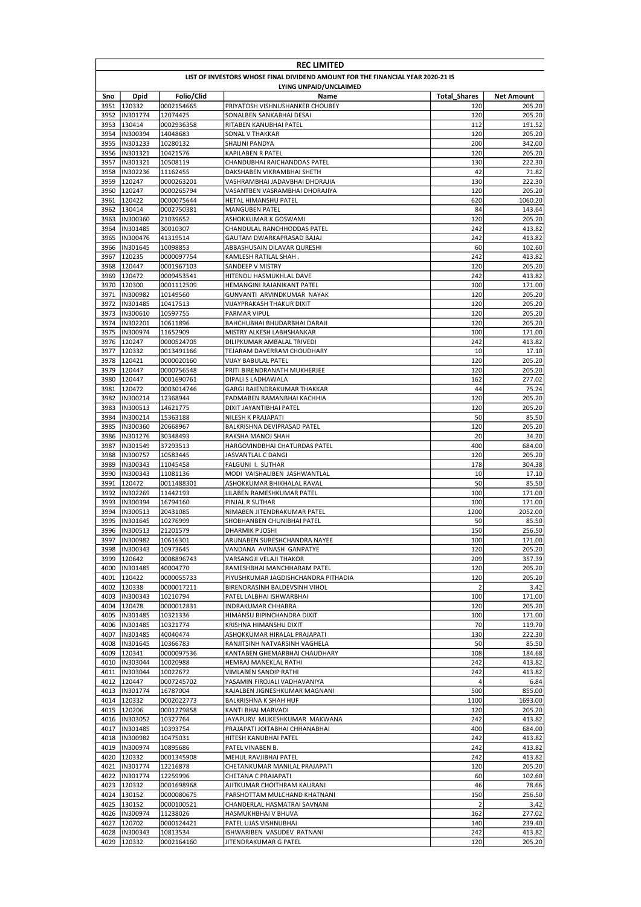|              | <b>REC LIMITED</b>                                                              |                          |                                                                |                     |                   |  |  |  |
|--------------|---------------------------------------------------------------------------------|--------------------------|----------------------------------------------------------------|---------------------|-------------------|--|--|--|
|              | LIST OF INVESTORS WHOSE FINAL DIVIDEND AMOUNT FOR THE FINANCIAL YEAR 2020-21 IS |                          |                                                                |                     |                   |  |  |  |
|              | LYING UNPAID/UNCLAIMED                                                          |                          |                                                                |                     |                   |  |  |  |
| Sno          | <b>Dpid</b>                                                                     | Folio/Clid               | Name                                                           | <b>Total Shares</b> | <b>Net Amount</b> |  |  |  |
| 3951         | 120332                                                                          | 0002154665               | PRIYATOSH VISHNUSHANKER CHOUBEY                                | 120                 | 205.20<br>205.20  |  |  |  |
| 3952<br>3953 | IN301774<br>130414                                                              | 12074425<br>0002936358   | SONALBEN SANKABHAI DESAI<br>RITABEN KANUBHAI PATEL             | 120<br>112          | 191.52            |  |  |  |
| 3954         | IN300394                                                                        | 14048683                 | SONAL V THAKKAR                                                | 120                 | 205.20            |  |  |  |
| 3955         | IN301233                                                                        | 10280132                 | SHALINI PANDYA                                                 | 200                 | 342.00            |  |  |  |
| 3956         | IN301321                                                                        | 10421576                 | KAPILABEN R PATEL                                              | 120                 | 205.20            |  |  |  |
| 3957         | IN301321                                                                        | 10508119                 | CHANDUBHAI RAICHANDDAS PATEL                                   | 130                 | 222.30            |  |  |  |
| 3958         | IN302236                                                                        | 11162455                 | DAKSHABEN VIKRAMBHAI SHETH                                     | 42                  | 71.82             |  |  |  |
| 3959         | 120247<br>120247                                                                | 0000263201               | VASHRAMBHAI JADAVBHAI DHORAJIA                                 | 130                 | 222.30            |  |  |  |
| 3960<br>3961 | 120422                                                                          | 0000265794<br>0000075644 | VASANTBEN VASRAMBHAI DHORAJIYA<br>HETAL HIMANSHU PATEL         | 120<br>620          | 205.20<br>1060.20 |  |  |  |
| 3962         | 130414                                                                          | 0002750381               | <b>MANGUBEN PATEL</b>                                          | 84                  | 143.64            |  |  |  |
| 3963         | IN300360                                                                        | 21039652                 | ASHOKKUMAR K GOSWAMI                                           | 120                 | 205.20            |  |  |  |
| 3964         | IN301485                                                                        | 30010307                 | CHANDULAL RANCHHODDAS PATEL                                    | 242                 | 413.82            |  |  |  |
|              | 3965  IN300476                                                                  | 41319514                 | GAUTAM DWARKAPRASAD BAJAJ                                      | 242                 | 413.82            |  |  |  |
| 3966         | IN301645                                                                        | 10098853                 | ABBASHUSAIN DILAVAR QURESHI                                    | 60                  | 102.60            |  |  |  |
| 3967         | 120235                                                                          | 0000097754               | KAMLESH RATILAL SHAH.                                          | 242                 | 413.82            |  |  |  |
| 3968         | 120447                                                                          | 0001967103<br>0009453541 | SANDEEP V MISTRY                                               | 120                 | 205.20            |  |  |  |
| 3969<br>3970 | 120472<br>120300                                                                | 0001112509               | HITENDU HASMUKHLAL DAVE<br>HEMANGINI RAJANIKANT PATEL          | 242<br>100          | 413.82<br>171.00  |  |  |  |
| 3971         | IN300982                                                                        | 10149560                 | GUNVANTI ARVINDKUMAR NAYAK                                     | 120                 | 205.20            |  |  |  |
| 3972         | IN301485                                                                        | 10417513                 | VIJAYPRAKASH THAKUR DIXIT                                      | 120                 | 205.20            |  |  |  |
| 3973         | IN300610                                                                        | 10597755                 | PARMAR VIPUL                                                   | 120                 | 205.20            |  |  |  |
| 3974         | IN302201                                                                        | 10611896                 | BAHCHUBHAI BHUDARBHAI DARAJI                                   | 120                 | 205.20            |  |  |  |
| 3975         | IN300974                                                                        | 11652909                 | MISTRY ALKESH LABHSHANKAR                                      | 100                 | 171.00            |  |  |  |
| 3976         | 120247                                                                          | 0000524705               | DILIPKUMAR AMBALAL TRIVEDI                                     | 242                 | 413.82            |  |  |  |
| 3977         | 120332                                                                          | 0013491166               | TEJARAM DAVERRAM CHOUDHARY                                     | 10                  | 17.10             |  |  |  |
| 3978         | 120421<br>120447                                                                | 0000020160               | VIJAY BABULAL PATEL                                            | 120                 | 205.20            |  |  |  |
| 3979<br>3980 | 120447                                                                          | 0000756548<br>0001690761 | PRITI BIRENDRANATH MUKHERJEE<br>DIPALI S LADHAWALA             | 120<br>162          | 205.20<br>277.02  |  |  |  |
| 3981         | 120472                                                                          | 0003014746               | GARGI RAJENDRAKUMAR THAKKAR                                    | 44                  | 75.24             |  |  |  |
| 3982         | IN300214                                                                        | 12368944                 | PADMABEN RAMANBHAI KACHHIA                                     | 120                 | 205.20            |  |  |  |
| 3983         | IN300513                                                                        | 14621775                 | DIXIT JAYANTIBHAI PATEL                                        | 120                 | 205.20            |  |  |  |
| 3984         | IN300214                                                                        | 15363188                 | NILESH K PRAJAPATI                                             | 50                  | 85.50             |  |  |  |
| 3985         | IN300360                                                                        | 20668967                 | BALKRISHNA DEVIPRASAD PATEL                                    | 120                 | 205.20            |  |  |  |
| 3986         | IN301276                                                                        | 30348493                 | RAKSHA MANOJ SHAH                                              | 20                  | 34.20             |  |  |  |
| 3987         | IN301549                                                                        | 37293513                 | HARGOVINDBHAI CHATURDAS PATEL                                  | 400                 | 684.00            |  |  |  |
| 3988<br>3989 | IN300757<br>IN300343                                                            | 10583445<br>11045458     | JASVANTLAL C DANGI                                             | 120<br>178          | 205.20<br>304.38  |  |  |  |
| 3990         | IN300343                                                                        | 11081136                 | FALGUNI I. SUTHAR<br>MODI VAISHALIBEN JASHWANTLAL              | 10                  | 17.10             |  |  |  |
| 3991         | 120472                                                                          | 0011488301               | ASHOKKUMAR BHIKHALAL RAVAL                                     | 50                  | 85.50             |  |  |  |
| 3992         | IN302269                                                                        | 11442193                 | LILABEN RAMESHKUMAR PATEL                                      | 100                 | 171.00            |  |  |  |
| 3993         | IN300394                                                                        | 16794160                 | PINJAL R SUTHAR                                                | 100                 | 171.00            |  |  |  |
| 3994         | IN300513                                                                        | 20431085                 | NIMABEN JITENDRAKUMAR PATEL                                    | 1200                | 2052.00           |  |  |  |
| 3995         | IN301645                                                                        | 10276999                 | SHOBHANBEN CHUNIBHAI PATEL                                     | 50                  | 85.50             |  |  |  |
| 3996         | IN300513                                                                        | 21201579                 | DHARMIK P JOSHI                                                | 150                 | 256.50            |  |  |  |
|              | 3997  IN300982<br>3998  IN300343                                                | 10616301                 | ARUNABEN SURESHCHANDRA NAYEE                                   | 100<br>120          | 171.00            |  |  |  |
| 3999         | 120642                                                                          | 10973645<br>0008896743   | VANDANA AVINASH GANPATYE<br>VARSANGJI VELAJI THAKOR            | 209                 | 205.20<br>357.39  |  |  |  |
|              | 4000  IN301485                                                                  | 40004770                 | RAMESHBHAI MANCHHARAM PATEL                                    | 120                 | 205.20            |  |  |  |
| 4001         | 120422                                                                          | 0000055733               | PIYUSHKUMAR JAGDISHCHANDRA PITHADIA                            | 120                 | 205.20            |  |  |  |
|              | 4002 120338                                                                     | 0000017211               | BIRENDRASINH BALDEVSINH VIHOL                                  | $\overline{2}$      | 3.42              |  |  |  |
|              | 4003  IN300343                                                                  | 10210794                 | PATEL LALBHAI ISHWARBHAI                                       | 100                 | 171.00            |  |  |  |
|              | 4004 120478                                                                     | 0000012831               | <b>INDRAKUMAR CHHABRA</b>                                      | 120                 | 205.20            |  |  |  |
| 4005         | IN301485                                                                        | 10321336                 | HIMANSU BIPINCHANDRA DIXIT                                     | 100                 | 171.00            |  |  |  |
| 4007         | 4006  IN301485<br>IN301485                                                      | 10321774<br>40040474     | KRISHNA HIMANSHU DIXIT<br>ASHOKKUMAR HIRALAL PRAJAPATI         | 70<br>130           | 119.70<br>222.30  |  |  |  |
| 4008         | IN301645                                                                        | 10366783                 | RANJITSINH NATVARSINH VAGHELA                                  | 50                  | 85.50             |  |  |  |
| 4009         | 120341                                                                          | 0000097536               | KANTABEN GHEMARBHAI CHAUDHARY                                  | 108                 | 184.68            |  |  |  |
|              | 4010  IN303044                                                                  | 10020988                 | HEMRAJ MANEKLAL RATHI                                          | 242                 | 413.82            |  |  |  |
|              | 4011  IN303044                                                                  | 10022672                 | VIMLABEN SANDIP RATHI                                          | 242                 | 413.82            |  |  |  |
| 4012         | 120447                                                                          | 0007245702               | YASAMIN FIROJALI VADHAVANIYA                                   | 4                   | 6.84              |  |  |  |
|              | 4013  IN301774                                                                  | 16787004                 | KAJALBEN JIGNESHKUMAR MAGNANI                                  | 500                 | 855.00            |  |  |  |
|              | 4014 120332                                                                     | 0002022773               | BALKRISHNA K SHAH HUF                                          | 1100                | 1693.00           |  |  |  |
|              | 4015 120206                                                                     | 0001279858               | KANTI BHAI MARVADI                                             | 120<br>242          | 205.20            |  |  |  |
|              | 4016  IN303052<br>4017  IN301485                                                | 10327764<br>10393754     | JAYAPURV MUKESHKUMAR MAKWANA<br>PRAJAPATI JOITABHAI CHHANABHAI | 400                 | 413.82<br>684.00  |  |  |  |
|              | 4018  IN300982                                                                  | 10475031                 | HITESH KANUBHAI PATEL                                          | 242                 | 413.82            |  |  |  |
|              | 4019  IN300974                                                                  | 10895686                 | PATEL VINABEN B.                                               | 242                 | 413.82            |  |  |  |
|              | 4020 120332                                                                     | 0001345908               | MEHUL RAVJIBHAI PATEL                                          | 242                 | 413.82            |  |  |  |
| 4021         | IN301774                                                                        | 12216878                 | CHETANKUMAR MANILAL PRAJAPATI                                  | 120                 | 205.20            |  |  |  |
|              | 4022  IN301774                                                                  | 12259996                 | CHETANA C PRAJAPATI                                            | 60                  | 102.60            |  |  |  |
|              | 4023 120332                                                                     | 0001698968               | AJITKUMAR CHOITHRAM KAURANI                                    | 46                  | 78.66             |  |  |  |
|              | 4024 130152                                                                     | 0000080675               | PARSHOTTAM MULCHAND KHATNANI                                   | 150                 | 256.50            |  |  |  |
|              | 4025 130152                                                                     | 0000100521               | CHANDERLAL HASMATRAI SAVNANI                                   | $\overline{2}$      | 3.42              |  |  |  |
|              | 4026  IN300974<br>4027 120702                                                   | 11238026<br>0000124421   | HASMUKHBHAI V BHUVA<br>PATEL UJAS VISHNUBHAI                   | 162<br>140          | 277.02<br>239.40  |  |  |  |
|              | 4028  IN300343                                                                  | 10813534                 | ISHWARIBEN VASUDEV RATNANI                                     | 242                 | 413.82            |  |  |  |
|              | 4029 120332                                                                     | 0002164160               | JITENDRAKUMAR G PATEL                                          | 120                 | 205.20            |  |  |  |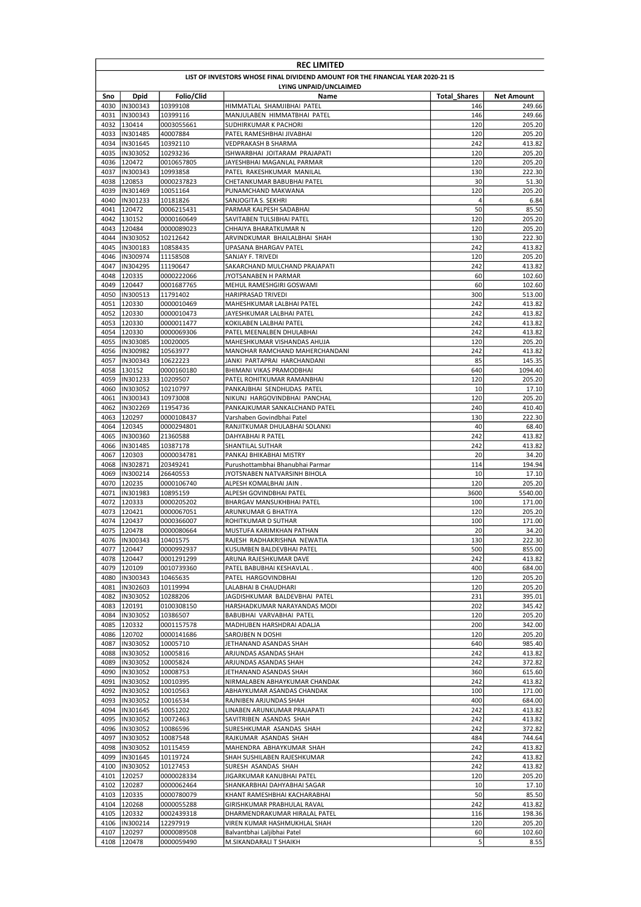|              | <b>REC LIMITED</b>                                                              |                          |                                                              |                     |                   |  |  |  |
|--------------|---------------------------------------------------------------------------------|--------------------------|--------------------------------------------------------------|---------------------|-------------------|--|--|--|
|              | LIST OF INVESTORS WHOSE FINAL DIVIDEND AMOUNT FOR THE FINANCIAL YEAR 2020-21 IS |                          |                                                              |                     |                   |  |  |  |
|              | LYING UNPAID/UNCLAIMED                                                          |                          |                                                              |                     |                   |  |  |  |
| Sno          | Dpid                                                                            | Folio/Clid               | Name                                                         | <b>Total Shares</b> | Net Amount        |  |  |  |
| 4031         | 4030  IN300343<br>IN300343                                                      | 10399108<br>10399116     | HIMMATLAL SHAMJIBHAI PATEL<br>MANJULABEN HIMMATBHAI PATEL    | 146<br>146          | 249.66<br>249.66  |  |  |  |
| 4032         | 130414                                                                          | 0003055661               | SUDHIRKUMAR K PACHORI                                        | 120                 | 205.20            |  |  |  |
| 4033         | IN301485                                                                        | 40007884                 | PATEL RAMESHBHAI JIVABHAI                                    | 120                 | 205.20            |  |  |  |
| 4034         | IN301645                                                                        | 10392110                 | VEDPRAKASH B SHARMA                                          | 242                 | 413.82            |  |  |  |
| 4035         | IN303052                                                                        | 10293236                 | ISHWARBHAI JOITARAM PRAJAPATI                                | 120                 | 205.20            |  |  |  |
| 4036         | 120472                                                                          | 0010657805               | JAYESHBHAI MAGANLAL PARMAR                                   | 120                 | 205.20            |  |  |  |
| 4037         | IN300343                                                                        | 10993858                 | PATEL RAKESHKUMAR MANILAL                                    | 130                 | 222.30            |  |  |  |
| 4038<br>4039 | 120853<br>IN301469                                                              | 0000237823<br>10051164   | CHETANKUMAR BABUBHAI PATEL<br>PUNAMCHAND MAKWANA             | 30<br>120           | 51.30<br>205.20   |  |  |  |
| 4040         | IN301233                                                                        | 10181826                 | SANJOGITA S. SEKHRI                                          | 4                   | 6.84              |  |  |  |
| 4041         | 120472                                                                          | 0006215431               | PARMAR KALPESH SADABHAI                                      | 50                  | 85.50             |  |  |  |
| 4042         | 130152                                                                          | 0000160649               | SAVITABEN TULSIBHAI PATEL                                    | 120                 | 205.20            |  |  |  |
| 4043         | 120484                                                                          | 0000089023               | CHHAIYA BHARATKUMAR N                                        | 120                 | 205.20            |  |  |  |
| 4044         | IN303052                                                                        | 10212642                 | ARVINDKUMAR BHAILALBHAI SHAH                                 | 130                 | 222.30            |  |  |  |
| 4045         | IN300183                                                                        | 10858435                 | UPASANA BHARGAV PATEL                                        | 242                 | 413.82            |  |  |  |
| 4046         | IN300974                                                                        | 11158508                 | SANJAY F. TRIVEDI                                            | 120                 | 205.20            |  |  |  |
| 4047<br>4048 | IN304295<br>120335                                                              | 11190647<br>0000222066   | SAKARCHAND MULCHAND PRAJAPATI<br>JYOTSANABEN H PARMAR        | 242<br>60           | 413.82<br>102.60  |  |  |  |
| 4049         | 120447                                                                          | 0001687765               | MEHUL RAMESHGIRI GOSWAMI                                     | 60                  | 102.60            |  |  |  |
| 4050         | IN300513                                                                        | 11791402                 | <b>HARIPRASAD TRIVEDI</b>                                    | 300                 | 513.00            |  |  |  |
| 4051         | 120330                                                                          | 0000010469               | MAHESHKUMAR LALBHAI PATEL                                    | 242                 | 413.82            |  |  |  |
| 4052         | 120330                                                                          | 0000010473               | JAYESHKUMAR LALBHAI PATEL                                    | 242                 | 413.82            |  |  |  |
| 4053         | 120330                                                                          | 0000011477               | KOKILABEN LALBHAI PATEL                                      | 242                 | 413.82            |  |  |  |
| 4054         | 120330                                                                          | 0000069306               | PATEL MEENALBEN DHULABHAI                                    | 242                 | 413.82            |  |  |  |
| 4055         | IN303085                                                                        | 10020005                 | MAHESHKUMAR VISHANDAS AHUJA                                  | 120                 | 205.20            |  |  |  |
| 4056         | IN300982                                                                        | 10563977                 | MANOHAR RAMCHAND MAHERCHANDANI                               | 242                 | 413.82            |  |  |  |
| 4057         | IN300343                                                                        | 10622223                 | JANKI PARTAPRAI HARCHANDANI                                  | 85                  | 145.35            |  |  |  |
| 4058<br>4059 | 130152<br>IN301233                                                              | 0000160180<br>10209507   | BHIMANI VIKAS PRAMODBHAI<br>PATEL ROHITKUMAR RAMANBHAI       | 640<br>120          | 1094.40<br>205.20 |  |  |  |
| 4060         | IN303052                                                                        | 10210797                 | PANKAJBHAI SENDHUDAS PATEL                                   | 10                  | 17.10             |  |  |  |
| 4061         | IN300343                                                                        | 10973008                 | NIKUNJ HARGOVINDBHAI PANCHAL                                 | 120                 | 205.20            |  |  |  |
| 4062         | IN302269                                                                        | 11954736                 | PANKAJKUMAR SANKALCHAND PATEL                                | 240                 | 410.40            |  |  |  |
| 4063         | 120297                                                                          | 0000108437               | Varshaben Govindbhai Patel                                   | 130                 | 222.30            |  |  |  |
| 4064         | 120345                                                                          | 0000294801               | RANJITKUMAR DHULABHAI SOLANKI                                | 40                  | 68.40             |  |  |  |
| 4065         | IN300360                                                                        | 21360588                 | DAHYABHAI R PATEL                                            | 242                 | 413.82            |  |  |  |
| 4066         | IN301485                                                                        | 10387178                 | SHANTILAL SUTHAR                                             | 242                 | 413.82            |  |  |  |
| 4067<br>4068 | 120303<br>IN302871                                                              | 0000034781<br>20349241   | PANKAJ BHIKABHAI MISTRY<br>Purushottambhai Bhanubhai Parmar  | 20<br>114           | 34.20<br>194.94   |  |  |  |
| 4069         | IN300214                                                                        | 26640553                 | JYOTSNABEN NATVARSINH BIHOLA                                 | 10                  | 17.10             |  |  |  |
| 4070         | 120235                                                                          | 0000106740               | ALPESH KOMALBHAI JAIN.                                       | 120                 | 205.20            |  |  |  |
| 4071         | IN301983                                                                        | 10895159                 | ALPESH GOVINDBHAI PATEL                                      | 3600                | 5540.00           |  |  |  |
| 4072         | 120333                                                                          | 0000205202               | <b>BHARGAV MANSUKHBHAI PATEL</b>                             | 100                 | 171.00            |  |  |  |
| 4073         | 120421                                                                          | 0000067051               | ARUNKUMAR G BHATIYA                                          | 120                 | 205.20            |  |  |  |
| 4074         | 120437                                                                          | 0000366007               | ROHITKUMAR D SUTHAR                                          | 100                 | 171.00            |  |  |  |
| 4075         | 120478                                                                          | 0000080664               | MUSTUFA KARIMKHAN PATHAN                                     | 20                  | 34.20             |  |  |  |
|              | 4076  IN300343<br>4077 120447                                                   | 10401575<br>0000992937   | RAJESH RADHAKRISHNA NEWATIA<br>KUSUMBEN BALDEVBHAI PATEL     | 130<br>500          | 222.30<br>855.00  |  |  |  |
|              | 4078 120447                                                                     | 0001291299               | ARUNA RAJESHKUMAR DAVE                                       | 242                 | 413.82            |  |  |  |
|              | 4079 120109                                                                     | 0010739360               | PATEL BABUBHAI KESHAVLAL.                                    | 400                 | 684.00            |  |  |  |
|              | 4080  IN300343                                                                  | 10465635                 | PATEL HARGOVINDBHAI                                          | 120                 | 205.20            |  |  |  |
| 4081         | IN302603                                                                        | 10119994                 | LALABHAI B CHAUDHARI                                         | 120                 | 205.20            |  |  |  |
| 4082         | IN303052                                                                        | 10288206                 | JAGDISHKUMAR BALDEVBHAI PATEL                                | 231                 | 395.01            |  |  |  |
| 4083         | 120191                                                                          | 0100308150               | HARSHADKUMAR NARAYANDAS MODI                                 | 202                 | 345.42            |  |  |  |
| 4084         | IN303052                                                                        | 10386507                 | BABUBHAI VARVABHAI PATEL                                     | 120                 | 205.20            |  |  |  |
| 4085         | 120332<br>4086 120702                                                           | 0001157578<br>0000141686 | MADHUBEN HARSHDRAI ADALJA<br>SAROJBEN N DOSHI                | 200<br>120          | 342.00<br>205.20  |  |  |  |
| 4087         | IN303052                                                                        | 10005710                 | JETHANAND ASANDAS SHAH                                       | 640                 | 985.40            |  |  |  |
| 4088         | IN303052                                                                        | 10005816                 | ARJUNDAS ASANDAS SHAH                                        | 242                 | 413.82            |  |  |  |
| 4089         | IN303052                                                                        | 10005824                 | ARJUNDAS ASANDAS SHAH                                        | 242                 | 372.82            |  |  |  |
| 4090         | IN303052                                                                        | 10008753                 | JETHANAND ASANDAS SHAH                                       | 360                 | 615.60            |  |  |  |
| 4091         | IN303052                                                                        | 10010395                 | NIRMALABEN ABHAYKUMAR CHANDAK                                | 242                 | 413.82            |  |  |  |
| 4092         | IN303052                                                                        | 10010563                 | ABHAYKUMAR ASANDAS CHANDAK                                   | 100                 | 171.00            |  |  |  |
| 4093         | IN303052                                                                        | 10016534                 | RAJNIBEN ARJUNDAS SHAH                                       | 400                 | 684.00            |  |  |  |
| 4094<br>4095 | IN301645                                                                        | 10051202                 | LINABEN ARUNKUMAR PRAJAPATI                                  | 242                 | 413.82            |  |  |  |
| 4096         | IN303052<br>IN303052                                                            | 10072463<br>10086596     | SAVITRIBEN ASANDAS SHAH<br>SURESHKUMAR ASANDAS SHAH          | 242<br>242          | 413.82<br>372.82  |  |  |  |
| 4097         | IN303052                                                                        | 10087548                 | RAJKUMAR ASANDAS SHAH                                        | 484                 | 744.64            |  |  |  |
| 4098         | IN303052                                                                        | 10115459                 | MAHENDRA ABHAYKUMAR SHAH                                     | 242                 | 413.82            |  |  |  |
| 4099         | IN301645                                                                        | 10119724                 | SHAH SUSHILABEN RAJESHKUMAR                                  | 242                 | 413.82            |  |  |  |
|              | 4100  IN303052                                                                  | 10127453                 | SURESH ASANDAS SHAH                                          | 242                 | 413.82            |  |  |  |
|              | 4101 120257                                                                     | 0000028334               | JIGARKUMAR KANUBHAI PATEL                                    | 120                 | 205.20            |  |  |  |
|              | 4102 120287                                                                     | 0000062464               | SHANKARBHAI DAHYABHAI SAGAR                                  | 10                  | 17.10             |  |  |  |
|              | 4103 120335                                                                     | 0000780079               | KHANT RAMESHBHAI KACHARABHAI                                 | 50                  | 85.50             |  |  |  |
|              | 4104 120268<br>4105 120332                                                      | 0000055288<br>0002439318 | GIRISHKUMAR PRABHULAL RAVAL<br>DHARMENDRAKUMAR HIRALAL PATEL | 242<br>116          | 413.82<br>198.36  |  |  |  |
|              | 4106  IN300214                                                                  | 12297919                 | VIREN KUMAR HASHMUKHLAL SHAH                                 | 120                 | 205.20            |  |  |  |
|              | 4107 120297                                                                     | 0000089508               | Balvantbhai Laljibhai Patel                                  | 60                  | 102.60            |  |  |  |
|              | 4108 120478                                                                     | 0000059490               | M.SIKANDARALI T SHAIKH                                       | 5                   | 8.55              |  |  |  |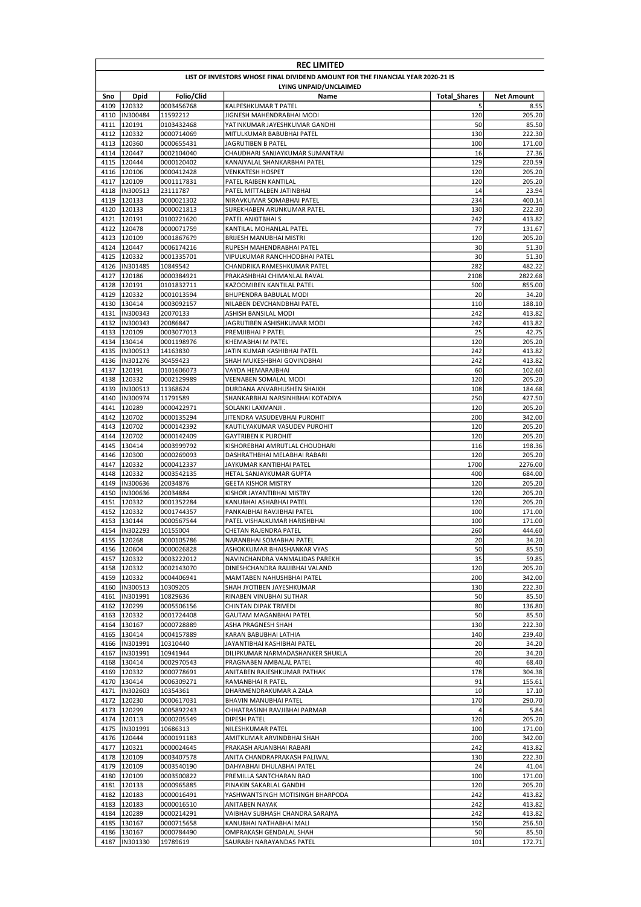|              | <b>REC LIMITED</b>                                                              |                          |                                                         |                     |                   |  |  |  |
|--------------|---------------------------------------------------------------------------------|--------------------------|---------------------------------------------------------|---------------------|-------------------|--|--|--|
|              | LIST OF INVESTORS WHOSE FINAL DIVIDEND AMOUNT FOR THE FINANCIAL YEAR 2020-21 IS |                          |                                                         |                     |                   |  |  |  |
|              | LYING UNPAID/UNCLAIMED                                                          |                          |                                                         |                     |                   |  |  |  |
| Sno          | Dpid                                                                            | Folio/Clid               | Name                                                    | <b>Total Shares</b> | <b>Net Amount</b> |  |  |  |
|              | 4109 120332                                                                     | 0003456768               | KALPESHKUMAR T PATEL                                    | 5                   | 8.55              |  |  |  |
|              | 4110  IN300484                                                                  | 11592212                 | JIGNESH MAHENDRABHAI MODI                               | 120                 | 205.20            |  |  |  |
|              | 4111 120191                                                                     | 0103432468               | YATINKUMAR JAYESHKUMAR GANDHI                           | 50                  | 85.50             |  |  |  |
| 4112         | 120332                                                                          | 0000714069               | MITULKUMAR BABUBHAI PATEL                               | 130                 | 222.30            |  |  |  |
| 4113<br>4114 | 120360<br>120447                                                                | 0000655431<br>0002104040 | JAGRUTIBEN B PATEL<br>CHAUDHARI SANJAYKUMAR SUMANTRAI   | 100<br>16           | 171.00<br>27.36   |  |  |  |
| 4115         | 120444                                                                          | 0000120402               | KANAIYALAL SHANKARBHAI PATEL                            | 129                 | 220.59            |  |  |  |
|              | 4116 120106                                                                     | 0000412428               | <b>VENKATESH HOSPET</b>                                 | 120                 | 205.20            |  |  |  |
|              | 4117 120109                                                                     | 0001117831               | PATEL RAIBEN KANTILAL                                   | 120                 | 205.20            |  |  |  |
|              | 4118  IN300513                                                                  | 23111787                 | PATEL MITTALBEN JATINBHAI                               | 14                  | 23.94             |  |  |  |
|              | 4119 120133                                                                     | 0000021302               | NIRAVKUMAR SOMABHAI PATEL                               | 234                 | 400.14            |  |  |  |
|              | 4120 120133                                                                     | 0000021813               | SUREKHABEN ARUNKUMAR PATEL                              | 130                 | 222.30            |  |  |  |
|              | 4121 120191                                                                     | 0100221620               | PATEL ANKITBHAI S                                       | 242                 | 413.82            |  |  |  |
|              | 4122 120478                                                                     | 0000071759               | KANTILAL MOHANLAL PATEL                                 | 77                  | 131.67            |  |  |  |
|              | 4123 120109                                                                     | 0001867679               | BRIJESH MANUBHAI MISTRI                                 | 120                 | 205.20            |  |  |  |
|              | 4124 120447                                                                     | 0006174216               | RUPESH MAHENDRABHAI PATEL                               | 30                  | 51.30             |  |  |  |
|              | 4125 120332                                                                     | 0001335701               | VIPULKUMAR RANCHHODBHAI PATEL                           | 30                  | 51.30             |  |  |  |
|              | 4126  IN301485                                                                  | 10849542                 | CHANDRIKA RAMESHKUMAR PATEL                             | 282                 | 482.22            |  |  |  |
| 4127         | 120186                                                                          | 0000384921               | PRAKASHBHAI CHIMANLAL RAVAL                             | 2108                | 2822.68           |  |  |  |
| 4128         | 120191                                                                          | 0101832711               | KAZOOMIBEN KANTILAL PATEL                               | 500                 | 855.00            |  |  |  |
|              | 4129 120332                                                                     | 0001013594               | <b>BHUPENDRA BABULAL MODI</b>                           | 20                  | 34.20             |  |  |  |
|              | 4130 130414                                                                     | 0003092157               | NILABEN DEVCHANDBHAI PATEL                              | 110                 | 188.10            |  |  |  |
| 4131         | IN300343                                                                        | 20070133                 | ASHISH BANSILAL MODI                                    | 242                 | 413.82            |  |  |  |
| 4132         | IN300343<br>4133 120109                                                         | 20086847<br>0003077013   | JAGRUTIBEN ASHISHKUMAR MODI<br>PREMJIBHAI P PATEL       | 242<br>25           | 413.82<br>42.75   |  |  |  |
|              | 4134 130414                                                                     | 0001198976               | KHEMABHAI M PATEL                                       | 120                 | 205.20            |  |  |  |
| 4135         | IN300513                                                                        | 14163830                 | JATIN KUMAR KASHIBHAI PATEL                             | 242                 | 413.82            |  |  |  |
| 4136         | IN301276                                                                        | 30459423                 | SHAH MUKESHBHAI GOVINDBHAI                              | 242                 | 413.82            |  |  |  |
| 4137         | 120191                                                                          | 0101606073               | VAYDA HEMARAJBHAI                                       | 60                  | 102.60            |  |  |  |
|              | 4138 120332                                                                     | 0002129989               | VEENABEN SOMALAL MODI                                   | 120                 | 205.20            |  |  |  |
| 4139         | IN300513                                                                        | 11368624                 | DURDANA ANVARHUSHEN SHAIKH                              | 108                 | 184.68            |  |  |  |
| 4140         | IN300974                                                                        | 11791589                 | SHANKARBHAI NARSINHBHAI KOTADIYA                        | 250                 | 427.50            |  |  |  |
| 4141         | 120289                                                                          | 0000422971               | SOLANKI LAXMANJI.                                       | 120                 | 205.20            |  |  |  |
| 4142         | 120702                                                                          | 0000135294               | JITENDRA VASUDEVBHAI PUROHIT                            | 200                 | 342.00            |  |  |  |
|              | 4143 120702                                                                     | 0000142392               | KAUTILYAKUMAR VASUDEV PUROHIT                           | 120                 | 205.20            |  |  |  |
| 4144         | 120702                                                                          | 0000142409               | <b>GAYTRIBEN K PUROHIT</b>                              | 120                 | 205.20            |  |  |  |
|              | 4145 130414                                                                     | 0003999792               | KISHOREBHAI AMRUTLAL CHOUDHARI                          | 116                 | 198.36            |  |  |  |
|              | 4146 120300                                                                     | 0000269093               | DASHRATHBHAI MELABHAI RABARI                            | 120                 | 205.20            |  |  |  |
| 4147         | 120332                                                                          | 0000412337               | JAYKUMAR KANTIBHAI PATEL                                | 1700                | 2276.00           |  |  |  |
| 4149         | 4148 120332<br>IN300636                                                         | 0003542135               | HETAL SANJAYKUMAR GUPTA                                 | 400<br>120          | 684.00<br>205.20  |  |  |  |
| 4150         | IN300636                                                                        | 20034876<br>20034884     | <b>GEETA KISHOR MISTRY</b><br>KISHOR JAYANTIBHAI MISTRY | 120                 | 205.20            |  |  |  |
| 4151         | 120332                                                                          | 0001352284               | KANUBHAI ASHABHAI PATEL                                 | 120                 | 205.20            |  |  |  |
|              | 4152 120332                                                                     | 0001744357               | PANKAJBHAI RAVJIBHAI PATEL                              | 100                 | 171.00            |  |  |  |
| 4153         | 130144                                                                          | 0000567544               | PATEL VISHALKUMAR HARISHBHAI                            | 100                 | 171.00            |  |  |  |
| 4154         | IN302293                                                                        | 10155004                 | CHETAN RAJENDRA PATEL                                   | 260                 | 444.60            |  |  |  |
|              | 4155 120268                                                                     | 0000105786               | NARANBHAI SOMABHAI PATEL                                | 20                  | 34.20             |  |  |  |
|              | 4156 120604                                                                     | 0000026828               | ASHOKKUMAR BHAISHANKAR VYAS                             | 50                  | 85.50             |  |  |  |
|              | 4157 120332                                                                     | 0003222012               | NAVINCHANDRA VANMALIDAS PAREKH                          | 35                  | 59.85             |  |  |  |
|              | 4158 120332                                                                     | 0002143070               | DINESHCHANDRA RAIJIBHAI VALAND                          | 120                 | 205.20            |  |  |  |
|              | 4159 120332                                                                     | 0004406941               | MAMTABEN NAHUSHBHAI PATEL                               | 200                 | 342.00            |  |  |  |
|              | 4160  IN300513                                                                  | 10309205                 | SHAH JYOTIBEN JAYESHKUMAR                               | 130                 | 222.30            |  |  |  |
|              | 4161  IN301991                                                                  | 10829636                 | RINABEN VINUBHAI SUTHAR                                 | 50                  | 85.50             |  |  |  |
|              | 4162 120299                                                                     | 0005506156               | CHINTAN DIPAK TRIVEDI                                   | 80                  | 136.80            |  |  |  |
|              | 4163 120332<br>4164 130167                                                      | 0001724408               | GAUTAM MAGANBHAI PATEL                                  | 50                  | 85.50             |  |  |  |
|              | 4165 130414                                                                     | 0000728889<br>0004157889 | ASHA PRAGNESH SHAH<br>KARAN BABUBHAI LATHIA             | 130<br>140          | 222.30<br>239.40  |  |  |  |
| 4166         | IN301991                                                                        | 10310440                 | JAYANTIBHAI KASHIBHAI PATEL                             | 20                  | 34.20             |  |  |  |
| 4167         | IN301991                                                                        | 10941944                 | DILIPKUMAR NARMADASHANKER SHUKLA                        | 20                  | 34.20             |  |  |  |
|              | 4168 130414                                                                     | 0002970543               | PRAGNABEN AMBALAL PATEL                                 | 40                  | 68.40             |  |  |  |
|              | 4169 120332                                                                     | 0000778691               | ANITABEN RAJESHKUMAR PATHAK                             | 178                 | 304.38            |  |  |  |
|              | 4170 130414                                                                     | 0006309271               | RAMANBHAI R PATEL                                       | 91                  | 155.61            |  |  |  |
|              | 4171  IN302603                                                                  | 10354361                 | DHARMENDRAKUMAR A ZALA                                  | 10                  | 17.10             |  |  |  |
|              | 4172 120230                                                                     | 0000617031               | BHAVIN MANUBHAI PATEL                                   | 170                 | 290.70            |  |  |  |
|              | 4173 120299                                                                     | 0005892243               | CHHATRASINH RAVJIBHAI PARMAR                            | 4                   | 5.84              |  |  |  |
|              | 4174 120113                                                                     | 0000205549               | DIPESH PATEL                                            | 120                 | 205.20            |  |  |  |
| 4175         | IN301991                                                                        | 10686313                 | NILESHKUMAR PATEL                                       | 100                 | 171.00            |  |  |  |
|              | 4176 120444                                                                     | 0000191183               | AMITKUMAR ARVINDBHAI SHAH                               | 200                 | 342.00            |  |  |  |
| 4177         | 120321                                                                          | 0000024645               | PRAKASH ARJANBHAI RABARI                                | 242                 | 413.82            |  |  |  |
|              | 4178 120109                                                                     | 0003407578               | ANITA CHANDRAPRAKASH PALIWAL                            | 130                 | 222.30            |  |  |  |
|              | 4179 120109                                                                     | 0003540190               | DAHYABHAI DHULABHAI PATEL                               | 24                  | 41.04             |  |  |  |
|              | 4180 120109                                                                     | 0003500822               | PREMILLA SANTCHARAN RAO                                 | 100                 | 171.00            |  |  |  |
|              | 4181 120133                                                                     | 0000965885               | PINAKIN SAKARLAL GANDHI                                 | 120                 | 205.20            |  |  |  |
|              | 4182 120183                                                                     | 0000016491               | YASHWANTSINGH MOTISINGH BHARPODA                        | 242                 | 413.82            |  |  |  |
|              | 4183 120183                                                                     | 0000016510               | ANITABEN NAYAK                                          | 242                 | 413.82            |  |  |  |
|              | 4184 120289                                                                     | 0000214291               | VAIBHAV SUBHASH CHANDRA SARAIYA                         | 242                 | 413.82            |  |  |  |
|              | 4185 130167<br>4186 130167                                                      | 0000715658<br>0000784490 | KANUBHAI NATHABHAI MALI                                 | 150<br>50           | 256.50<br>85.50   |  |  |  |
|              | 4187  IN301330                                                                  | 19789619                 | OMPRAKASH GENDALAL SHAH<br>SAURABH NARAYANDAS PATEL     | 101                 | 172.71            |  |  |  |
|              |                                                                                 |                          |                                                         |                     |                   |  |  |  |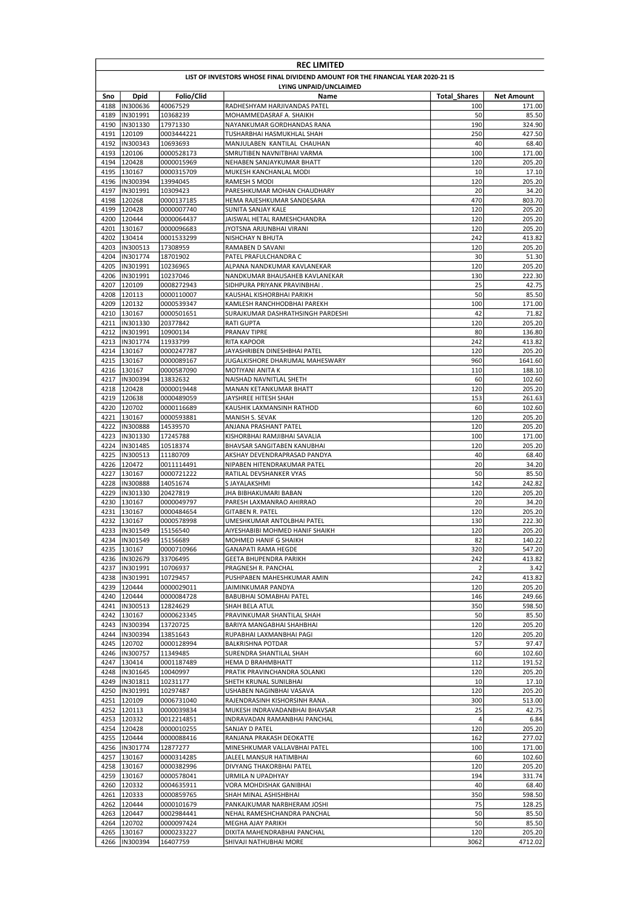|      | <b>REC LIMITED</b>                                                              |                          |                                                                  |                     |                   |  |  |  |
|------|---------------------------------------------------------------------------------|--------------------------|------------------------------------------------------------------|---------------------|-------------------|--|--|--|
|      | LIST OF INVESTORS WHOSE FINAL DIVIDEND AMOUNT FOR THE FINANCIAL YEAR 2020-21 IS |                          |                                                                  |                     |                   |  |  |  |
|      | LYING UNPAID/UNCLAIMED                                                          |                          |                                                                  |                     |                   |  |  |  |
| Sno  | Dpid                                                                            | Folio/Clid               | Name                                                             | <b>Total Shares</b> | <b>Net Amount</b> |  |  |  |
| 4189 | 4188  IN300636<br>IN301991                                                      | 40067529<br>10368239     | RADHESHYAM HARJIVANDAS PATEL<br>MOHAMMEDASRAF A. SHAIKH          | 100<br>50           | 171.00<br>85.50   |  |  |  |
| 4190 | IN301330                                                                        | 17971330                 | NAYANKUMAR GORDHANDAS RANA                                       | 190                 | 324.90            |  |  |  |
| 4191 | 120109                                                                          | 0003444221               | TUSHARBHAI HASMUKHLAL SHAH                                       | 250                 | 427.50            |  |  |  |
| 4192 | IN300343                                                                        | 10693693                 | MANJULABEN KANTILAL CHAUHAN                                      | 40                  | 68.40             |  |  |  |
| 4193 | 120106                                                                          | 0000528173               | SMRUTIBEN NAVNITBHAI VARMA                                       | 100                 | 171.00            |  |  |  |
|      | 4194 120428                                                                     | 0000015969               | NEHABEN SANJAYKUMAR BHATT                                        | 120                 | 205.20            |  |  |  |
| 4195 | 130167                                                                          | 0000315709               | MUKESH KANCHANLAL MODI                                           | 10                  | 17.10             |  |  |  |
| 4196 | IN300394                                                                        | 13994045                 | RAMESH S MODI                                                    | 120                 | 205.20            |  |  |  |
| 4197 | IN301991<br>4198 120268                                                         | 10309423                 | PARESHKUMAR MOHAN CHAUDHARY                                      | 20<br>470           | 34.20             |  |  |  |
| 4199 | 120428                                                                          | 0000137185<br>0000007740 | HEMA RAJESHKUMAR SANDESARA<br>SUNITA SANJAY KALE                 | 120                 | 803.70<br>205.20  |  |  |  |
|      | 4200 120444                                                                     | 0000064437               | JAISWAL HETAL RAMESHCHANDRA                                      | 120                 | 205.20            |  |  |  |
|      | 4201 130167                                                                     | 0000096683               | JYOTSNA ARJUNBHAI VIRANI                                         | 120                 | 205.20            |  |  |  |
| 4202 | 130414                                                                          | 0001533299               | NISHCHAY N BHUTA                                                 | 242                 | 413.82            |  |  |  |
| 4203 | IN300513                                                                        | 17308959                 | RAMABEN D SAVANI                                                 | 120                 | 205.20            |  |  |  |
| 4204 | IN301774                                                                        | 18701902                 | PATEL PRAFULCHANDRA C                                            | 30                  | 51.30             |  |  |  |
| 4205 | IN301991                                                                        | 10236965                 | ALPANA NANDKUMAR KAVLANEKAR                                      | 120                 | 205.20            |  |  |  |
| 4206 | IN301991                                                                        | 10237046                 | NANDKUMAR BHAUSAHEB KAVLANEKAR                                   | 130                 | 222.30            |  |  |  |
| 4207 | 120109                                                                          | 0008272943               | SIDHPURA PRIYANK PRAVINBHAI.                                     | 25                  | 42.75             |  |  |  |
| 4208 | 120113                                                                          | 0000110007               | KAUSHAL KISHORBHAI PARIKH                                        | 50                  | 85.50             |  |  |  |
| 4209 | 120132<br>4210 130167                                                           | 0000539347<br>0000501651 | KAMLESH RANCHHODBHAI PAREKH<br>SURAJKUMAR DASHRATHSINGH PARDESHI | 100<br>42           | 171.00<br>71.82   |  |  |  |
| 4211 | IN301330                                                                        | 20377842                 | <b>RATI GUPTA</b>                                                | 120                 | 205.20            |  |  |  |
| 4212 | IN301991                                                                        | 10900134                 | PRANAV TIPRE                                                     | 80                  | 136.80            |  |  |  |
|      | 4213  IN301774                                                                  | 11933799                 | <b>RITA KAPOOR</b>                                               | 242                 | 413.82            |  |  |  |
|      | 4214 130167                                                                     | 0000247787               | JAYASHRIBEN DINESHBHAI PATEL                                     | 120                 | 205.20            |  |  |  |
|      | 4215 130167                                                                     | 0000089167               | JUGALKISHORE DHARUMAL MAHESWARY                                  | 960                 | 1641.60           |  |  |  |
|      | 4216 130167                                                                     | 0000587090               | MOTIYANI ANITA K                                                 | 110                 | 188.10            |  |  |  |
| 4217 | IN300394                                                                        | 13832632                 | NAISHAD NAVNITLAL SHETH                                          | 60                  | 102.60            |  |  |  |
|      | 4218 120428                                                                     | 0000019448               | MANAN KETANKUMAR BHATT                                           | 120                 | 205.20            |  |  |  |
|      | 4219 120638                                                                     | 0000489059               | JAYSHREE HITESH SHAH                                             | 153                 | 261.63            |  |  |  |
| 4221 | 4220 120702<br>130167                                                           | 0000116689<br>0000593881 | KAUSHIK LAXMANSINH RATHOD<br>MANISH S. SEVAK                     | 60<br>120           | 102.60<br>205.20  |  |  |  |
| 4222 | IN300888                                                                        | 14539570                 | ANJANA PRASHANT PATEL                                            | 120                 | 205.20            |  |  |  |
|      | 4223  IN301330                                                                  | 17245788                 | KISHORBHAI RAMJIBHAI SAVALIA                                     | 100                 | 171.00            |  |  |  |
|      | 4224  IN301485                                                                  | 10518374                 | BHAVSAR SANGITABEN KANUBHAI                                      | 120                 | 205.20            |  |  |  |
| 4225 | IN300513                                                                        | 11180709                 | AKSHAY DEVENDRAPRASAD PANDYA                                     | 40                  | 68.40             |  |  |  |
|      | 4226 120472                                                                     | 0011114491               | NIPABEN HITENDRAKUMAR PATEL                                      | 20                  | 34.20             |  |  |  |
| 4227 | 130167                                                                          | 0000721222               | RATILAL DEVSHANKER VYAS                                          | 50                  | 85.50             |  |  |  |
| 4228 | IN300888                                                                        | 14051674                 | S JAYALAKSHMI                                                    | 142                 | 242.82            |  |  |  |
| 4229 | IN301330                                                                        | 20427819                 | JHA BIBHAKUMARI BABAN                                            | 120                 | 205.20            |  |  |  |
| 4230 | 130167                                                                          | 0000049797               | PARESH LAXMANRAO AHIRRAO                                         | 20                  | 34.20             |  |  |  |
| 4232 | 4231 130167<br>130167                                                           | 0000484654<br>0000578998 | <b>GITABEN R. PATEL</b><br>UMESHKUMAR ANTOLBHAI PATEL            | 120<br>130          | 205.20<br>222.30  |  |  |  |
| 4233 | IN301549                                                                        | 15156540                 | AIYESHABIBI MOHMED HANIF SHAIKH                                  | 120                 | 205.20            |  |  |  |
|      | 4234  IN301549                                                                  | 15156689                 | MOHMED HANIF G SHAIKH                                            | 82                  | 140.22            |  |  |  |
|      | 4235 130167                                                                     | 0000710966               | GANAPATI RAMA HEGDE                                              | 320                 | 547.20            |  |  |  |
|      | 4236  IN302679                                                                  | 33706495                 | <b>GEETA BHUPENDRA PARIKH</b>                                    | 242                 | 413.82            |  |  |  |
|      | 4237  IN301991                                                                  | 10706937                 | PRAGNESH R. PANCHAL                                              | $\overline{2}$      | 3.42              |  |  |  |
|      | 4238  IN301991                                                                  | 10729457                 | PUSHPABEN MAHESHKUMAR AMIN                                       | 242                 | 413.82            |  |  |  |
|      | 4239 120444                                                                     | 0000029011               | JAIMINKUMAR PANDYA                                               | 120                 | 205.20            |  |  |  |
| 4240 | 120444                                                                          | 0000084728               | BABUBHAI SOMABHAI PATEL                                          | 146                 | 249.66            |  |  |  |
|      | 4241  IN300513                                                                  | 12824629                 | SHAH BELA ATUL                                                   | 350                 | 598.50            |  |  |  |
|      | 4242 130167<br>4243  IN300394                                                   | 0000623345<br>13720725   | PRAVINKUMAR SHANTILAL SHAH<br>BARIYA MANGABHAI SHAHBHAI          | 50<br>120           | 85.50<br>205.20   |  |  |  |
|      | 4244  IN300394                                                                  | 13851643                 | RUPABHAI LAXMANBHAI PAGI                                         | 120                 | 205.20            |  |  |  |
|      | 4245 120702                                                                     | 0000128994               | <b>BALKRISHNA POTDAR</b>                                         | 57                  | 97.47             |  |  |  |
|      | 4246  IN300757                                                                  | 11349485                 | SURENDRA SHANTILAL SHAH                                          | 60                  | 102.60            |  |  |  |
|      | 4247 130414                                                                     | 0001187489               | HEMA D BRAHMBHATT                                                | 112                 | 191.52            |  |  |  |
|      | 4248  IN301645                                                                  | 10040997                 | PRATIK PRAVINCHANDRA SOLANKI                                     | 120                 | 205.20            |  |  |  |
|      | 4249  IN301811                                                                  | 10231177                 | SHETH KRUNAL SUNILBHAI                                           | 10                  | 17.10             |  |  |  |
|      | 4250  IN301991                                                                  | 10297487                 | USHABEN NAGINBHAI VASAVA                                         | 120                 | 205.20            |  |  |  |
|      | 4251 120109                                                                     | 0006731040               | RAJENDRASINH KISHORSINH RANA.                                    | 300                 | 513.00            |  |  |  |
|      | 4252 120113                                                                     | 0000039834               | MUKESH INDRAVADANBHAI BHAVSAR                                    | 25<br>4             | 42.75             |  |  |  |
|      | 4253 120332<br>4254 120428                                                      | 0012214851<br>0000010255 | INDRAVADAN RAMANBHAI PANCHAL<br>SANJAY D PATEL                   | 120                 | 6.84<br>205.20    |  |  |  |
|      | 4255 120444                                                                     | 0000088416               | RANJANA PRAKASH DEOKATTE                                         | 162                 | 277.02            |  |  |  |
|      | 4256 IN301774                                                                   | 12877277                 | MINESHKUMAR VALLAVBHAI PATEL                                     | 100                 | 171.00            |  |  |  |
|      | 4257 130167                                                                     | 0000314285               | JALEEL MANSUR HATIMBHAI                                          | 60                  | 102.60            |  |  |  |
|      | 4258 130167                                                                     | 0000382996               | DIVYANG THAKORBHAI PATEL                                         | 120                 | 205.20            |  |  |  |
|      | 4259 130167                                                                     | 0000578041               | URMILA N UPADHYAY                                                | 194                 | 331.74            |  |  |  |
|      | 4260 120332                                                                     | 0004635911               | VORA MOHDISHAK GANIBHAI                                          | 40                  | 68.40             |  |  |  |
|      | 4261 120333                                                                     | 0000859765               | SHAH MINAL ASHISHBHAI                                            | 350                 | 598.50            |  |  |  |
|      | 4262 120444                                                                     | 0000101679               | PANKAJKUMAR NARBHERAM JOSHI                                      | 75                  | 128.25            |  |  |  |
|      | 4263 120447                                                                     | 0002984441               | NEHAL RAMESHCHANDRA PANCHAL                                      | 50                  | 85.50             |  |  |  |
|      | 4264 120702<br>4265 130167                                                      | 0000097424<br>0000233227 | MEGHA AJAY PARIKH<br>DIXITA MAHENDRABHAI PANCHAL                 | 50<br>120           | 85.50<br>205.20   |  |  |  |
|      | 4266 IN300394                                                                   | 16407759                 | SHIVAJI NATHUBHAI MORE                                           | 3062                | 4712.02           |  |  |  |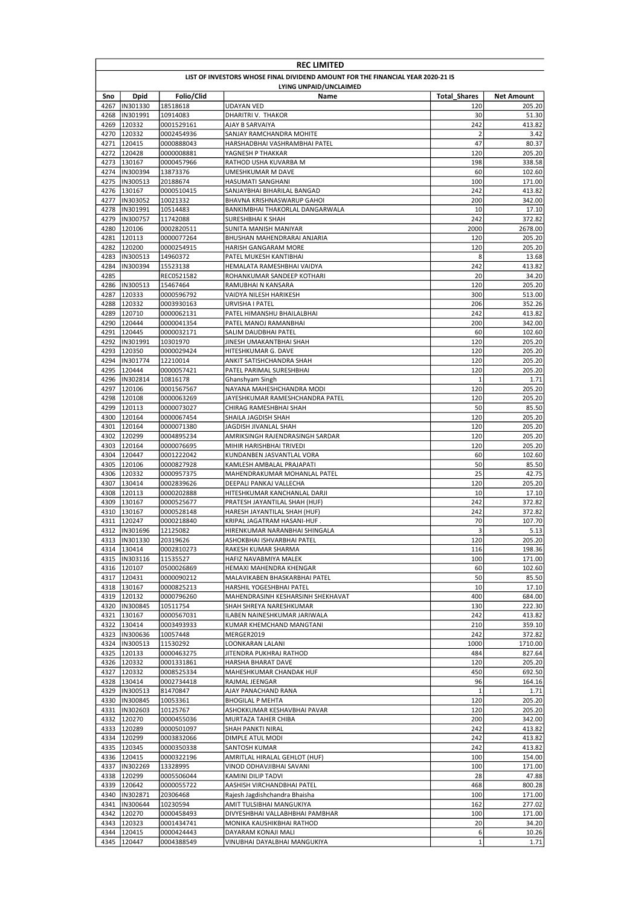| <b>REC LIMITED</b> |                                                                                 |                          |                                                               |                     |                   |  |  |  |
|--------------------|---------------------------------------------------------------------------------|--------------------------|---------------------------------------------------------------|---------------------|-------------------|--|--|--|
|                    | LIST OF INVESTORS WHOSE FINAL DIVIDEND AMOUNT FOR THE FINANCIAL YEAR 2020-21 IS |                          |                                                               |                     |                   |  |  |  |
|                    | LYING UNPAID/UNCLAIMED                                                          |                          |                                                               |                     |                   |  |  |  |
| Sno                | Dpid                                                                            | Folio/Clid               | Name                                                          | <b>Total Shares</b> | <b>Net Amount</b> |  |  |  |
| 4267<br>4268       | IN301330<br>IN301991                                                            | 18518618<br>10914083     | UDAYAN VED<br>DHARITRI V. THAKOR                              | 120<br>30           | 205.20<br>51.30   |  |  |  |
| 4269               | 120332                                                                          | 0001529161               | AJAY B SARVAIYA                                               | 242                 | 413.82            |  |  |  |
| 4270               | 120332                                                                          | 0002454936               | SANJAY RAMCHANDRA MOHITE                                      | $\overline{2}$      | 3.42              |  |  |  |
| 4271               | 120415                                                                          | 0000888043               | HARSHADBHAI VASHRAMBHAI PATEL                                 | 47                  | 80.37             |  |  |  |
| 4272               | 120428                                                                          | 0000008881               | YAGNESH P THAKKAR                                             | 120                 | 205.20            |  |  |  |
| 4273               | 130167                                                                          | 0000457966               | RATHOD USHA KUVARBA M                                         | 198                 | 338.58            |  |  |  |
|                    | 4274  IN300394                                                                  | 13873376                 | UMESHKUMAR M DAVE                                             | 60                  | 102.60            |  |  |  |
| 4275               | IN300513                                                                        | 20188674                 | HASUMATI SANGHANI                                             | 100                 | 171.00            |  |  |  |
| 4276               | 130167                                                                          | 0000510415               | SANJAYBHAI BIHARILAL BANGAD                                   | 242                 | 413.82            |  |  |  |
| 4277<br>4278       | IN303052<br>IN301991                                                            | 10021332<br>10514483     | BHAVNA KRISHNASWARUP GAHOI<br>BANKIMBHAI THAKORLAL DANGARWALA | 200<br>10           | 342.00<br>17.10   |  |  |  |
|                    | 4279  IN300757                                                                  | 11742088                 | SURESHBHAI K SHAH                                             | 242                 | 372.82            |  |  |  |
| 4280               | 120106                                                                          | 0002820511               | SUNITA MANISH MANIYAR                                         | 2000                | 2678.00           |  |  |  |
| 4281               | 120113                                                                          | 0000077264               | BHUSHAN MAHENDRARAI ANJARIA                                   | 120                 | 205.20            |  |  |  |
| 4282               | 120200                                                                          | 0000254915               | HARISH GANGARAM MORE                                          | 120                 | 205.20            |  |  |  |
| 4283               | IN300513                                                                        | 14960372                 | PATEL MUKESH KANTIBHAI                                        | 8                   | 13.68             |  |  |  |
| 4284               | IN300394                                                                        | 15523138                 | HEMALATA RAMESHBHAI VAIDYA                                    | 242                 | 413.82            |  |  |  |
| 4285               |                                                                                 | REC0521582               | ROHANKUMAR SANDEEP KOTHARI                                    | 20                  | 34.20             |  |  |  |
|                    | 4286  IN300513                                                                  | 15467464                 | RAMUBHAI N KANSARA                                            | 120                 | 205.20            |  |  |  |
| 4287               | 120333                                                                          | 0000596792               | VAIDYA NILESH HARIKESH                                        | 300                 | 513.00            |  |  |  |
| 4288<br>4289       | 120332<br>120710                                                                | 0003930163<br>0000062131 | URVISHA I PATEL<br>PATEL HIMANSHU BHAILALBHAI                 | 206<br>242          | 352.26<br>413.82  |  |  |  |
| 4290               | 120444                                                                          | 0000041354               | PATEL MANOJ RAMANBHAI                                         | 200                 | 342.00            |  |  |  |
| 4291               | 120445                                                                          | 0000032171               | SALIM DAUDBHAI PATEL                                          | 60                  | 102.60            |  |  |  |
|                    | 4292  IN301991                                                                  | 10301970                 | JINESH UMAKANTBHAI SHAH                                       | 120                 | 205.20            |  |  |  |
| 4293               | 120350                                                                          | 0000029424               | HITESHKUMAR G. DAVE                                           | 120                 | 205.20            |  |  |  |
| 4294               | IN301774                                                                        | 12210014                 | ANKIT SATISHCHANDRA SHAH                                      | 120                 | 205.20            |  |  |  |
| 4295               | 120444                                                                          | 0000057421               | PATEL PARIMAL SURESHBHAI                                      | 120                 | 205.20            |  |  |  |
|                    | 4296  IN302814                                                                  | 10816178                 | Ghanshyam Singh                                               | 1                   | 1.71              |  |  |  |
| 4297               | 120106                                                                          | 0001567567               | NAYANA MAHESHCHANDRA MODI                                     | 120                 | 205.20            |  |  |  |
| 4298               | 120108                                                                          | 0000063269               | JAYESHKUMAR RAMESHCHANDRA PATEL                               | 120                 | 205.20            |  |  |  |
| 4299<br>4300       | 120113<br>120164                                                                | 0000073027<br>0000067454 | CHIRAG RAMESHBHAI SHAH<br>SHAILA JAGDISH SHAH                 | 50<br>120           | 85.50<br>205.20   |  |  |  |
| 4301               | 120164                                                                          | 0000071380               | JAGDISH JIVANLAL SHAH                                         | 120                 | 205.20            |  |  |  |
| 4302               | 120299                                                                          | 0004895234               | AMRIKSINGH RAJENDRASINGH SARDAR                               | 120                 | 205.20            |  |  |  |
|                    | 4303 120164                                                                     | 0000076695               | MIHIR HARISHBHAI TRIVEDI                                      | 120                 | 205.20            |  |  |  |
|                    | 4304 120447                                                                     | 0001222042               | KUNDANBEN JASVANTLAL VORA                                     | 60                  | 102.60            |  |  |  |
|                    | 4305 120106                                                                     | 0000827928               | KAMLESH AMBALAL PRAJAPATI                                     | 50                  | 85.50             |  |  |  |
| 4306               | 120332                                                                          | 0000957375               | MAHENDRAKUMAR MOHANLAL PATEL                                  | 25                  | 42.75             |  |  |  |
| 4307               | 130414                                                                          | 0002839626               | DEEPALI PANKAJ VALLECHA                                       | 120                 | 205.20            |  |  |  |
| 4308               | 120113                                                                          | 0000202888               | HITESHKUMAR KANCHANLAL DARJI                                  | 10                  | 17.10             |  |  |  |
| 4309               | 130167                                                                          | 0000525677               | PRATESH JAYANTILAL SHAH (HUF)                                 | 242                 | 372.82            |  |  |  |
| 4310<br>4311       | 130167<br>120247                                                                | 0000528148<br>0000218840 | HARESH JAYANTILAL SHAH (HUF)<br>KRIPAL JAGATRAM HASANI-HUF    | 242<br>70           | 372.82<br>107.70  |  |  |  |
|                    | 4312  IN301696                                                                  | 12125082                 | HIRENKUMAR NARANBHAI SHINGALA                                 | 3                   | 5.13              |  |  |  |
|                    | 4313  IN301330                                                                  | 20319626                 | ASHOKBHAI ISHVARBHAI PATEL                                    | 120                 | 205.20            |  |  |  |
|                    | 4314 130414                                                                     | 0002810273               | RAKESH KUMAR SHARMA                                           | 116                 | 198.36            |  |  |  |
|                    | 4315  IN303116                                                                  | 11535527                 | HAFIZ NAVABMIYA MALEK                                         | 100                 | 171.00            |  |  |  |
|                    | 4316 120107                                                                     | 0500026869               | HEMAXI MAHENDRA KHENGAR                                       | 60                  | 102.60            |  |  |  |
|                    | 4317 120431                                                                     | 0000090212               | MALAVIKABEN BHASKARBHAI PATEL                                 | 50                  | 85.50             |  |  |  |
|                    | 4318 130167                                                                     | 0000825213               | HARSHIL YOGESHBHAI PATEL                                      | 10                  | 17.10             |  |  |  |
|                    | 4319 120132                                                                     | 0000796260               | MAHENDRASINH KESHARSINH SHEKHAVAT                             | 400                 | 684.00            |  |  |  |
|                    | 4320  IN300845                                                                  | 10511754                 | SHAH SHREYA NARESHKUMAR                                       | 130                 | 222.30            |  |  |  |
| 4322               | 4321 130167<br>130414                                                           | 0000567031<br>0003493933 | ILABEN NAINESHKUMAR JARIWALA<br>KUMAR KHEMCHAND MANGTANI      | 242<br>210          | 413.82<br>359.10  |  |  |  |
|                    | 4323  IN300636                                                                  | 10057448                 | MERGER2019                                                    | 242                 | 372.82            |  |  |  |
|                    | 4324  IN300513                                                                  | 11530292                 | LOONKARAN LALANI                                              | 1000                | 1710.00           |  |  |  |
|                    | 4325 120133                                                                     | 0000463275               | JITENDRA PUKHRAJ RATHOD                                       | 484                 | 827.64            |  |  |  |
|                    | 4326 120332                                                                     | 0001331861               | HARSHA BHARAT DAVE                                            | 120                 | 205.20            |  |  |  |
|                    | 4327 120332                                                                     | 0008525334               | MAHESHKUMAR CHANDAK HUF                                       | 450                 | 692.50            |  |  |  |
|                    | 4328 130414                                                                     | 0002734418               | RAJMAL JEENGAR                                                | 96                  | 164.16            |  |  |  |
|                    | 4329  IN300513                                                                  | 81470847                 | AJAY PANACHAND RANA                                           | $\mathbf 1$         | 1.71              |  |  |  |
|                    | 4330  IN300845                                                                  | 10053361                 | <b>BHOGILAL P MEHTA</b>                                       | 120                 | 205.20            |  |  |  |
|                    | 4331  IN302603                                                                  | 10125767                 | ASHOKKUMAR KESHAVBHAI PAVAR                                   | 120                 | 205.20            |  |  |  |
|                    | 4332 120270<br>4333 120289                                                      | 0000455036<br>0000501097 | MURTAZA TAHER CHIBA<br>SHAH PANKTI NIRAL                      | 200<br>242          | 342.00<br>413.82  |  |  |  |
|                    | 4334 120299                                                                     | 0003832066               | DIMPLE ATUL MODI                                              | 242                 | 413.82            |  |  |  |
| 4335               | 120345                                                                          | 0000350338               | SANTOSH KUMAR                                                 | 242                 | 413.82            |  |  |  |
|                    | 4336 120415                                                                     | 0000322196               | AMRITLAL HIRALAL GEHLOT (HUF)                                 | 100                 | 154.00            |  |  |  |
|                    | 4337  IN302269                                                                  | 13328995                 | VINOD ODHAVJIBHAI SAVANI                                      | 100                 | 171.00            |  |  |  |
|                    | 4338 120299                                                                     | 0005506044               | KAMINI DILIP TADVI                                            | 28                  | 47.88             |  |  |  |
| 4339               | 120642                                                                          | 0000055722               | AASHISH VIRCHANDBHAI PATEL                                    | 468                 | 800.28            |  |  |  |
|                    | 4340  IN302871                                                                  | 20306468                 | Rajesh Jagdishchandra Bhaisha                                 | 100                 | 171.00            |  |  |  |
| 4341               | IN300644                                                                        | 10230594                 | AMIT TULSIBHAI MANGUKIYA                                      | 162                 | 277.02            |  |  |  |
|                    | 4342 120270                                                                     | 0000458493               | DIVYESHBHAI VALLABHBHAI PAMBHAR                               | 100                 | 171.00            |  |  |  |
| 4344               | 4343 120323<br>120415                                                           | 0001434741<br>0000424443 | MONIKA KAUSHIKBHAI RATHOD<br>DAYARAM KONAJI MALI              | 20<br>6             | 34.20<br>10.26    |  |  |  |
| 4345               | 120447                                                                          | 0004388549               | VINUBHAI DAYALBHAI MANGUKIYA                                  | $\mathbf 1$         | 1.71              |  |  |  |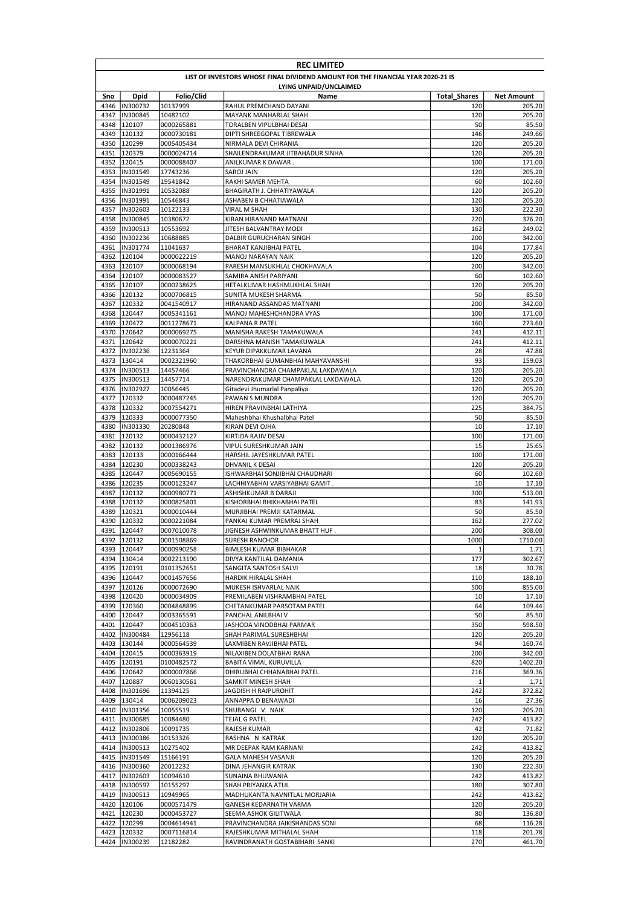|              | <b>REC LIMITED</b>               |                          |                                                                                 |                     |                  |  |  |  |
|--------------|----------------------------------|--------------------------|---------------------------------------------------------------------------------|---------------------|------------------|--|--|--|
|              |                                  |                          | LIST OF INVESTORS WHOSE FINAL DIVIDEND AMOUNT FOR THE FINANCIAL YEAR 2020-21 IS |                     |                  |  |  |  |
|              | LYING UNPAID/UNCLAIMED           |                          |                                                                                 |                     |                  |  |  |  |
| Sno          | Dpid                             | Folio/Clid               | Name                                                                            | <b>Total Shares</b> | Net Amount       |  |  |  |
| 4347         | 4346  IN300732<br>IN300845       | 10137999<br>10482102     | RAHUL PREMCHAND DAYANI<br><b>MAYANK MANHARLAL SHAH</b>                          | 120<br>120          | 205.20<br>205.20 |  |  |  |
| 4348         | 120107                           | 0000265881               | TORALBEN VIPULBHAI DESAI                                                        | 50                  | 85.50            |  |  |  |
| 4349         | 120132                           | 0000730181               | DIPTI SHREEGOPAL TIBREWALA                                                      | 146                 | 249.66           |  |  |  |
| 4350         | 120299                           | 0005405434               | NIRMALA DEVI CHIRANIA                                                           | 120                 | 205.20           |  |  |  |
| 4351         | 120379                           | 0000024714               | SHAILENDRAKUMAR JITBAHADUR SINHA                                                | 120                 | 205.20           |  |  |  |
| 4352         | 120415                           | 0000088407               | ANILKUMAR K DAWAR.                                                              | 100                 | 171.00           |  |  |  |
| 4353<br>4354 | IN301549<br>IN301549             | 17743236<br>19541842     | SAROJ JAIN<br>RAKHI SAMER MEHTA                                                 | 120<br>60           | 205.20<br>102.60 |  |  |  |
| 4355         | IN301991                         | 10532088                 | BHAGIRATH J. CHHATIYAWALA                                                       | 120                 | 205.20           |  |  |  |
| 4356         | IN301991                         | 10546843                 | ASHABEN B CHHATIAWALA                                                           | 120                 | 205.20           |  |  |  |
| 4357         | IN302603                         | 10122133                 | <b>VIRAL M SHAH</b>                                                             | 130                 | 222.30           |  |  |  |
| 4358         | IN300845                         | 10380672                 | KIRAN HIRANAND MATNANI                                                          | 220                 | 376.20           |  |  |  |
| 4359         | IN300513                         | 10553692                 | JITESH BALVANTRAY MODI                                                          | 162                 | 249.02           |  |  |  |
| 4360         | IN302236                         | 10688885                 | DALBIR GURUCHARAN SINGH                                                         | 200                 | 342.00           |  |  |  |
| 4361         | IN301774                         | 11041637                 | BHARAT KANJIBHAI PATEL                                                          | 104                 | 177.84           |  |  |  |
| 4362<br>4363 | 120104<br>120107                 | 0000022219<br>0000068194 | MANOJ NARAYAN NAIK<br>PARESH MANSUKHLAL CHOKHAVALA                              | 120<br>200          | 205.20<br>342.00 |  |  |  |
| 4364         | 120107                           | 0000083527               | SAMIRA ANISH PARIYANI                                                           | 60                  | 102.60           |  |  |  |
| 4365         | 120107                           | 0000238625               | HETALKUMAR HASHMUKHLAL SHAH                                                     | 120                 | 205.20           |  |  |  |
| 4366         | 120132                           | 0000706815               | SUNITA MUKESH SHARMA                                                            | 50                  | 85.50            |  |  |  |
| 4367         | 120332                           | 0041540917               | HIRANAND ASSANDAS MATNANI                                                       | 200                 | 342.00           |  |  |  |
|              | 4368 120447                      | 0005341161               | MANOJ MAHESHCHANDRA VYAS                                                        | 100                 | 171.00           |  |  |  |
| 4369         | 120472                           | 0011278671               | <b>KALPANA R PATEL</b>                                                          | 160                 | 273.60           |  |  |  |
| 4370         | 120642                           | 0000069275               | MANISHA RAKESH TAMAKUWALA                                                       | 241                 | 412.11           |  |  |  |
| 4372         | 4371 120642<br>IN302236          | 0000070221<br>12231364   | DARSHNA MANISH TAMAKUWALA<br>KEYUR DIPAKKUMAR LAVANA                            | 241<br>28           | 412.11<br>47.88  |  |  |  |
| 4373         | 130414                           | 0002321960               | THAKORBHAI GUMANBHAI MAHYAVANSHI                                                | 93                  | 159.03           |  |  |  |
| 4374         | IN300513                         | 14457466                 | PRAVINCHANDRA CHAMPAKLAL LAKDAWALA                                              | 120                 | 205.20           |  |  |  |
| 4375         | IN300513                         | 14457714                 | NARENDRAKUMAR CHAMPAKLAL LAKDAWALA                                              | 120                 | 205.20           |  |  |  |
| 4376         | IN302927                         | 10056445                 | Gitadevi Jhumarlal Panpaliya                                                    | 120                 | 205.20           |  |  |  |
| 4377         | 120332                           | 0000487245               | PAWAN S MUNDRA                                                                  | 120                 | 205.20           |  |  |  |
|              | 4378 120332                      | 0007554271               | HIREN PRAVINBHAI LATHIYA                                                        | 225                 | 384.75           |  |  |  |
| 4379         | 120333                           | 0000077350               | Maheshbhai Khushalbhai Patel                                                    | 50                  | 85.50            |  |  |  |
| 4380<br>4381 | IN301330<br>120132               | 20280848<br>0000432127   | KIRAN DEVI OJHA<br>KIRTIDA RAJIV DESAI                                          | 10<br>100           | 17.10<br>171.00  |  |  |  |
| 4382         | 120132                           | 0001386976               | VIPUL SURESHKUMAR JAIN                                                          | 15                  | 25.65            |  |  |  |
|              | 4383 120133                      | 0000166444               | HARSHIL JAYESHKUMAR PATEL                                                       | 100                 | 171.00           |  |  |  |
|              | 4384 120230                      | 0000338243               | DHVANIL K DESAI                                                                 | 120                 | 205.20           |  |  |  |
| 4385         | 120447                           | 0005690155               | ISHWARBHAI SONJIBHAI CHAUDHARI                                                  | 60                  | 102.60           |  |  |  |
| 4386         | 120235                           | 0000123247               | LACHHIYABHAI VARSIYABHAI GAMIT.                                                 | 10                  | 17.10            |  |  |  |
| 4387         | 120132                           | 0000980771               | ASHISHKUMAR B DARAJI                                                            | 300                 | 513.00           |  |  |  |
| 4388         | 120132                           | 0000825801               | KISHORBHAI BHIKHABHAI PATEL                                                     | 83                  | 141.93           |  |  |  |
| 4389<br>4390 | 120321<br>120332                 | 0000010444<br>0000221084 | MURJIBHAI PREMJI KATARMAL<br>PANKAJ KUMAR PREMRAJ SHAH                          | 50<br>162           | 85.50<br>277.02  |  |  |  |
| 4391         | 120447                           | 0007010078               | JIGNESH ASHWINKUMAR BHATT HUF.                                                  | 200                 | 308.00           |  |  |  |
|              | 4392 120132                      | 0001508869               | SURESH RANCHOR.                                                                 | 1000                | 1710.00          |  |  |  |
|              | 4393 120447                      | 0000990258               | BIMLESH KUMAR BIBHAKAR                                                          | $\mathbf{1}$        | 1.71             |  |  |  |
|              | 4394 130414                      | 0002213190               | DIVYA KANTILAL DAMANIA                                                          | 177                 | 302.67           |  |  |  |
|              | 4395 120191                      | 0101352651               | SANGITA SANTOSH SALVI                                                           | 18                  | 30.78            |  |  |  |
|              | 4396 120447                      | 0001457656               | HARDIK HIRALAL SHAH                                                             | 110                 | 188.10           |  |  |  |
|              | 4397 120126                      | 0000072690               | MUKESH ISHVARLAL NAIK                                                           | 500                 | 855.00           |  |  |  |
|              | 4398 120420<br>4399 120360       | 0000034909<br>0004848899 | PREMILABEN VISHRAMBHAI PATEL<br>CHETANKUMAR PARSOTAM PATEL                      | 10<br>64            | 17.10<br>109.44  |  |  |  |
|              | 4400 120447                      | 0003365591               | PANCHAL ANILBHAI V                                                              | 50                  | 85.50            |  |  |  |
| 4401         | 120447                           | 0004510363               | JASHODA VINODBHAI PARMAR                                                        | 350                 | 598.50           |  |  |  |
|              | 4402 IIN300484                   | 12956118                 | SHAH PARIMAL SURESHBHAI                                                         | 120                 | 205.20           |  |  |  |
|              | 4403 130144                      | 0000564539               | LAXMIBEN RAVJIBHAI PATEL                                                        | 94                  | 160.74           |  |  |  |
|              | 4404 120415                      | 0000363919               | NILAXIBEN DOLATBHAI RANA                                                        | 200                 | 342.00           |  |  |  |
|              | 4405 120191                      | 0100482572               | BABITA VIMAL KURUVILLA                                                          | 820                 | 1402.20          |  |  |  |
|              | 4406 120642                      | 0000007866               | DHIRUBHAI CHHANABHAI PATEL                                                      | 216                 | 369.36           |  |  |  |
| 4408         | 4407 120887<br>IN301696          | 0060130561<br>11394125   | SAMKIT MINESH SHAH<br>JAGDISH H RAJPUROHIT                                      | 1<br>242            | 1.71<br>372.82   |  |  |  |
|              | 4409 130414                      | 0006209023               | ANNAPPA D BENAWADI                                                              | 16                  | 27.36            |  |  |  |
|              | 4410  IN301356                   | 10055519                 | SHUBANGI V. NAIK                                                                | 120                 | 205.20           |  |  |  |
| 4411         | IN300685                         | 10084480                 | TEJAL G PATEL                                                                   | 242                 | 413.82           |  |  |  |
| 4412         | IN302806                         | 10091735                 | RAJESH KUMAR                                                                    | 42                  | 71.82            |  |  |  |
| 4413         | IN300386                         | 10153326                 | RASHNA N KATRAK                                                                 | 120                 | 205.20           |  |  |  |
| 4414         | IN300513                         | 10275402                 | MR DEEPAK RAM KARNANI                                                           | 242                 | 413.82           |  |  |  |
|              | 4415  IN301549                   | 15166191                 | GALA MAHESH VASANJI                                                             | 120                 | 205.20           |  |  |  |
|              | 4416  IN300360<br>4417  IN302603 | 20012232                 | DINA JEHANGIR KATRAK                                                            | 130<br>242          | 222.30<br>413.82 |  |  |  |
|              | 4418  IN300597                   | 10094610<br>10155297     | SUNAINA BHUWANIA<br>SHAH PRIYANKA ATUL                                          | 180                 | 307.80           |  |  |  |
|              | 4419  IN300513                   | 10949965                 | MADHUKANTA NAVNITLAL MORJARIA                                                   | 242                 | 413.82           |  |  |  |
|              | 4420 120106                      | 0000571479               | GANESH KEDARNATH VARMA                                                          | 120                 | 205.20           |  |  |  |
|              | 4421 120230                      | 0000453727               | SEEMA ASHOK GILITWALA                                                           | 80                  | 136.80           |  |  |  |
|              | 4422 120299                      | 0004614941               | PRAVINCHANDRA JAIKISHANDAS SONI                                                 | 68                  | 116.28           |  |  |  |
|              | 4423 120332                      | 0007116814               | RAJESHKUMAR MITHALAL SHAH                                                       | 118                 | 201.78           |  |  |  |
|              | 4424  IN300239                   | 12182282                 | RAVINDRANATH GOSTABIHARI SANKI                                                  | 270                 | 461.70           |  |  |  |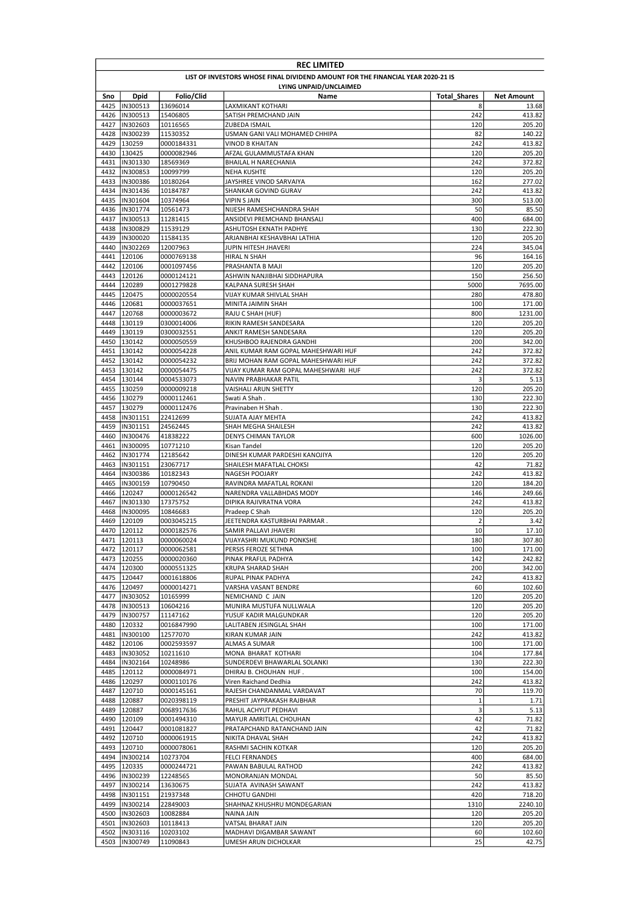|              | <b>REC LIMITED</b>                                                              |                          |                                               |                     |                   |  |  |  |
|--------------|---------------------------------------------------------------------------------|--------------------------|-----------------------------------------------|---------------------|-------------------|--|--|--|
|              | LIST OF INVESTORS WHOSE FINAL DIVIDEND AMOUNT FOR THE FINANCIAL YEAR 2020-21 IS |                          |                                               |                     |                   |  |  |  |
|              | LYING UNPAID/UNCLAIMED                                                          |                          |                                               |                     |                   |  |  |  |
| Sno          | Dpid                                                                            | Folio/Clid               | Name                                          | <b>Total Shares</b> | <b>Net Amount</b> |  |  |  |
| 4425         | IN300513                                                                        | 13696014                 | LAXMIKANT KOTHARI                             | 8                   | 13.68             |  |  |  |
| 4426<br>4427 | IN300513<br>IN302603                                                            | 15406805                 | SATISH PREMCHAND JAIN<br><b>ZUBEDA ISMAIL</b> | 242<br>120          | 413.82<br>205.20  |  |  |  |
| 4428         | IN300239                                                                        | 10116565<br>11530352     | USMAN GANI VALI MOHAMED CHHIPA                | 82                  | 140.22            |  |  |  |
| 4429         | 130259                                                                          | 0000184331               | VINOD B KHAITAN                               | 242                 | 413.82            |  |  |  |
| 4430         | 130425                                                                          | 0000082946               | AFZAL GULAMMUSTAFA KHAN                       | 120                 | 205.20            |  |  |  |
| 4431         | IN301330                                                                        | 18569369                 | <b>BHAILAL H NARECHANIA</b>                   | 242                 | 372.82            |  |  |  |
| 4432         | IN300853                                                                        | 10099799                 | <b>NEHA KUSHTE</b>                            | 120                 | 205.20            |  |  |  |
| 4433         | IN300386                                                                        | 10180264                 | JAYSHREE VINOD SARVAIYA                       | 162                 | 277.02            |  |  |  |
| 4434         | IN301436                                                                        | 10184787                 | SHANKAR GOVIND GURAV                          | 242                 | 413.82            |  |  |  |
| 4435         | IN301604                                                                        | 10374964                 | <b>VIPIN S JAIN</b>                           | 300                 | 513.00            |  |  |  |
| 4436         | IN301774                                                                        | 10561473                 | NIJESH RAMESHCHANDRA SHAH                     | 50                  | 85.50             |  |  |  |
| 4437         | IN300513                                                                        | 11281415                 | ANSIDEVI PREMCHAND BHANSALI                   | 400                 | 684.00            |  |  |  |
| 4438         | IN300829                                                                        | 11539129                 | ASHUTOSH EKNATH PADHYE                        | 130                 | 222.30            |  |  |  |
| 4439         | IN300020                                                                        | 11584135                 | ARJANBHAI KESHAVBHAI LATHIA                   | 120                 | 205.20            |  |  |  |
| 4440         | IN302269                                                                        | 12007963                 | JUPIN HITESH JHAVERI                          | 224                 | 345.04            |  |  |  |
| 4441         | 120106                                                                          | 0000769138               | HIRAL N SHAH                                  | 96                  | 164.16            |  |  |  |
| 4442         | 120106                                                                          | 0001097456               | PRASHANTA B MAJI                              | 120                 | 205.20            |  |  |  |
| 4443         | 120126                                                                          | 0000124121               | ASHWIN NANJIBHAI SIDDHAPURA                   | 150                 | 256.50            |  |  |  |
| 4444         | 120289                                                                          | 0001279828               | KALPANA SURESH SHAH                           | 5000                | 7695.00           |  |  |  |
| 4445<br>4446 | 120475<br>120681                                                                | 0000020554<br>0000037651 | VIJAY KUMAR SHIVLAL SHAH                      | 280<br>100          | 478.80<br>171.00  |  |  |  |
| 4447         | 120768                                                                          | 0000003672               | MINITA JAIMIN SHAH<br>RAJU C SHAH (HUF)       | 800                 | 1231.00           |  |  |  |
| 4448         | 130119                                                                          | 0300014006               | RIKIN RAMESH SANDESARA                        | 120                 | 205.20            |  |  |  |
| 4449         | 130119                                                                          | 0300032551               | ANKIT RAMESH SANDESARA                        | 120                 | 205.20            |  |  |  |
| 4450         | 130142                                                                          | 0000050559               | KHUSHBOO RAJENDRA GANDHI                      | 200                 | 342.00            |  |  |  |
| 4451         | 130142                                                                          | 0000054228               | ANIL KUMAR RAM GOPAL MAHESHWARI HUF           | 242                 | 372.82            |  |  |  |
| 4452         | 130142                                                                          | 0000054232               | BRIJ MOHAN RAM GOPAL MAHESHWARI HUF           | 242                 | 372.82            |  |  |  |
| 4453         | 130142                                                                          | 0000054475               | VIJAY KUMAR RAM GOPAL MAHESHWARI HUF          | 242                 | 372.82            |  |  |  |
| 4454         | 130144                                                                          | 0004533073               | NAVIN PRABHAKAR PATIL                         | 3                   | 5.13              |  |  |  |
| 4455         | 130259                                                                          | 0000009218               | VAISHALI ARUN SHETTY                          | 120                 | 205.20            |  |  |  |
| 4456         | 130279                                                                          | 0000112461               | Swati A Shah.                                 | 130                 | 222.30            |  |  |  |
| 4457         | 130279                                                                          | 0000112476               | Pravinaben H Shah                             | 130                 | 222.30            |  |  |  |
| 4458         | IN301151                                                                        | 22412699                 | <b>SUJATA AJAY MEHTA</b>                      | 242                 | 413.82            |  |  |  |
| 4459         | IN301151                                                                        | 24562445                 | SHAH MEGHA SHAILESH                           | 242                 | 413.82            |  |  |  |
| 4460         | IN300476                                                                        | 41838222                 | DENYS CHIMAN TAYLOR                           | 600                 | 1026.00           |  |  |  |
| 4461         | IN300095                                                                        | 10771210                 | Kisan Tandel                                  | 120                 | 205.20            |  |  |  |
| 4462<br>4463 | IN301774<br>IN301151                                                            | 12185642                 | DINESH KUMAR PARDESHI KANOJIYA                | 120<br>42           | 205.20<br>71.82   |  |  |  |
| 4464         | IN300386                                                                        | 23067717<br>10182343     | SHAILESH MAFATLAL CHOKSI                      | 242                 | 413.82            |  |  |  |
| 4465         | IN300159                                                                        | 10790450                 | NAGESH POOJARY<br>RAVINDRA MAFATLAL ROKANI    | 120                 | 184.20            |  |  |  |
| 4466         | 120247                                                                          | 0000126542               | NARENDRA VALLABHDAS MODY                      | 146                 | 249.66            |  |  |  |
| 4467         | IN301330                                                                        | 17375752                 | DIPIKA RAJIVRATNA VORA                        | 242                 | 413.82            |  |  |  |
| 4468         | IN300095                                                                        | 10846683                 | Pradeep C Shah                                | 120                 | 205.20            |  |  |  |
| 4469         | 120109                                                                          | 0003045215               | JEETENDRA KASTURBHAI PARMAR.                  | $\overline{2}$      | 3.42              |  |  |  |
| 4470         | 120112                                                                          | 0000182576               | SAMIR PALLAVI JHAVERI                         | 10                  | 17.10             |  |  |  |
|              | 4471 120113                                                                     | 0000060024               | VIJAYASHRI MUKUND PONKSHE                     | 180                 | 307.80            |  |  |  |
|              | 4472 120117                                                                     | 0000062581               | PERSIS FEROZE SETHNA                          | 100                 | 171.00            |  |  |  |
|              | 4473 120255                                                                     | 0000020360               | PINAK PRAFUL PADHYA                           | 142                 | 242.82            |  |  |  |
|              | 4474 120300                                                                     | 0000551325               | KRUPA SHARAD SHAH                             | 200                 | 342.00            |  |  |  |
|              | 4475 120447                                                                     | 0001618806               | RUPAL PINAK PADHYA                            | 242                 | 413.82            |  |  |  |
|              | 4476 120497                                                                     | 0000014271               | VARSHA VASANT BENDRE                          | 60                  | 102.60            |  |  |  |
| 4477         | IN303052                                                                        | 10165999                 | NEMICHAND C JAIN                              | 120                 | 205.20            |  |  |  |
| 4478         | IN300513                                                                        | 10604216                 | MUNIRA MUSTUFA NULLWALA                       | 120                 | 205.20            |  |  |  |
| 4479         | IN300757<br>4480 120332                                                         | 11147162                 | YUSUF KADIR MALGUNDKAR                        | 120                 | 205.20            |  |  |  |
| 4481         | IN300100                                                                        | 0016847990<br>12577070   | LALITABEN JESINGLAL SHAH<br>KIRAN KUMAR JAIN  | 100<br>242          | 171.00<br>413.82  |  |  |  |
| 4482         | 120106                                                                          | 0002593597               | ALMAS A SUMAR                                 | 100                 | 171.00            |  |  |  |
| 4483         | IN303052                                                                        | 10211610                 | MONA BHARAT KOTHARI                           | 104                 | 177.84            |  |  |  |
| 4484         | IN302164                                                                        | 10248986                 | SUNDERDEVI BHAWARLAL SOLANKI                  | 130                 | 222.30            |  |  |  |
|              | 4485 120112                                                                     | 0000084971               | DHIRAJ B. CHOUHAN HUF.                        | 100                 | 154.00            |  |  |  |
|              | 4486 120297                                                                     | 0000110176               | Viren Raichand Dedhia                         | 242                 | 413.82            |  |  |  |
|              | 4487 120710                                                                     | 0000145161               | RAJESH CHANDANMAL VARDAVAT                    | 70                  | 119.70            |  |  |  |
|              | 4488 120887                                                                     | 0020398119               | PRESHIT JAYPRAKASH RAJBHAR                    | $\mathbf 1$         | 1.71              |  |  |  |
|              | 4489 120887                                                                     | 0068917636               | RAHUL ACHYUT PEDHAVI                          | 3                   | 5.13              |  |  |  |
|              | 4490 120109                                                                     | 0001494310               | MAYUR AMRITLAL CHOUHAN                        | 42                  | 71.82             |  |  |  |
| 4491         | 120447                                                                          | 0001081827               | PRATAPCHAND RATANCHAND JAIN                   | 42                  | 71.82             |  |  |  |
| 4492         | 120710                                                                          | 0000061915               | NIKITA DHAVAL SHAH                            | 242                 | 413.82            |  |  |  |
| 4493         | 120710                                                                          | 0000078061               | RASHMI SACHIN KOTKAR                          | 120                 | 205.20            |  |  |  |
|              | 4494  IN300214                                                                  | 10273704                 | <b>FELCI FERNANDES</b>                        | 400                 | 684.00            |  |  |  |
| 4495         | 120335                                                                          | 0000244721               | PAWAN BABULAL RATHOD                          | 242                 | 413.82            |  |  |  |
|              | 4496  IN300239                                                                  | 12248565                 | MONORANJAN MONDAL                             | 50                  | 85.50             |  |  |  |
| 4497         | IN300214                                                                        | 13630675                 | SUJATA AVINASH SAWANT                         | 242                 | 413.82            |  |  |  |
| 4498         | IN301151                                                                        | 21937348                 | CHHOTU GANDHI                                 | 420                 | 718.20            |  |  |  |
| 4499         | IN300214                                                                        | 22849003                 | SHAHNAZ KHUSHRU MONDEGARIAN                   | 1310                | 2240.10           |  |  |  |
|              | 4500  IN302603                                                                  | 10082884                 | NAINA JAIN                                    | 120<br>120          | 205.20            |  |  |  |
| 4501         | IN302603<br>4502  IN303116                                                      | 10118413<br>10203102     | VATSAL BHARAT JAIN<br>MADHAVI DIGAMBAR SAWANT | 60                  | 205.20<br>102.60  |  |  |  |
| 4503         | IN300749                                                                        | 11090843                 | UMESH ARUN DICHOLKAR                          | 25                  | 42.75             |  |  |  |
|              |                                                                                 |                          |                                               |                     |                   |  |  |  |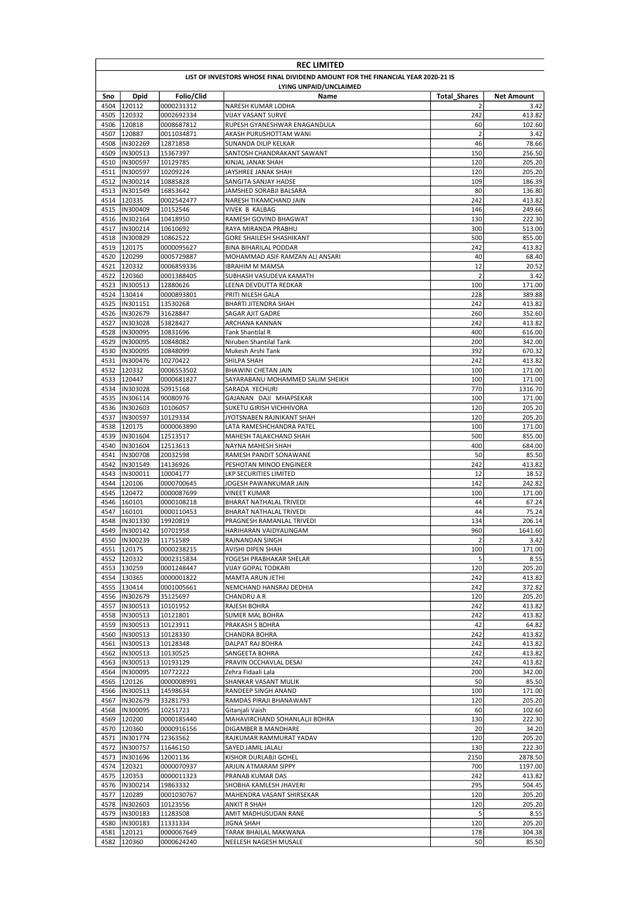|              | <b>REC LIMITED</b>                                                              |                          |                                                                 |                          |                           |  |  |  |
|--------------|---------------------------------------------------------------------------------|--------------------------|-----------------------------------------------------------------|--------------------------|---------------------------|--|--|--|
|              | LIST OF INVESTORS WHOSE FINAL DIVIDEND AMOUNT FOR THE FINANCIAL YEAR 2020-21 IS |                          |                                                                 |                          |                           |  |  |  |
|              | LYING UNPAID/UNCLAIMED                                                          |                          |                                                                 |                          |                           |  |  |  |
| Sno          | <b>Dpid</b><br>4504 120112                                                      | Folio/Clid<br>0000231312 | Name<br>NARESH KUMAR LODHA                                      | <b>Total Shares</b><br>2 | <b>Net Amount</b><br>3.42 |  |  |  |
|              | 4505 120332                                                                     | 0002692334               | VIJAY VASANT SURVE                                              | 242                      | 413.82                    |  |  |  |
| 4506         | 120818                                                                          | 0008687812               | RUPESH GYANESHWAR ENAGANDULA                                    | 60                       | 102.60                    |  |  |  |
| 4507         | 120887                                                                          | 0011034871               | AKASH PURUSHOTTAM WANI                                          | $\overline{2}$           | 3.42                      |  |  |  |
| 4508         | IN302269                                                                        | 12871858                 | SUNANDA DILIP KELKAR                                            | 46                       | 78.66                     |  |  |  |
| 4509         | IN300513                                                                        | 15367397                 | SANTOSH CHANDRAKANT SAWANT                                      | 150                      | 256.50                    |  |  |  |
| 4510         | IN300597<br>IN300597                                                            | 10129785                 | KINJAL JANAK SHAH                                               | 120                      | 205.20                    |  |  |  |
| 4511         | 4512  IN300214                                                                  | 10209224<br>10885828     | JAYSHREE JANAK SHAH<br>SANGITA SANJAY HADSE                     | 120<br>109               | 205.20<br>186.39          |  |  |  |
| 4513         | IN301549                                                                        | 16853642                 | JAMSHED SORABJI BALSARA                                         | 80                       | 136.80                    |  |  |  |
| 4514         | 120335                                                                          | 0002542477               | NARESH TIKAMCHAND JAIN                                          | 242                      | 413.82                    |  |  |  |
|              | 4515 IIN300409                                                                  | 10152546                 | VIVEK B KALBAG                                                  | 146                      | 249.66                    |  |  |  |
|              | 4516  IN302164                                                                  | 10418950                 | RAMESH GOVIND BHAGWAT                                           | 130                      | 222.30                    |  |  |  |
| 4517         | IN300214                                                                        | 10610692                 | RAYA MIRANDA PRABHU                                             | 300                      | 513.00                    |  |  |  |
|              | 4518  IN300829                                                                  | 10862522                 | GORE SHAILESH SHASHIKANT                                        | 500                      | 855.00                    |  |  |  |
| 4520         | 4519 120175<br>120299                                                           | 0000095627<br>0005729887 | <b>BINA BIHARILAL PODDAR</b><br>MOHAMMAD ASIF RAMZAN ALI ANSARI | 242<br>40                | 413.82<br>68.40           |  |  |  |
| 4521         | 120332                                                                          | 0006859336               | <b>IBRAHIM M MAMSA</b>                                          | 12                       | 20.52                     |  |  |  |
| 4522         | 120360                                                                          | 0001388405               | SUBHASH VASUDEVA KAMATH                                         | $\overline{2}$           | 3.42                      |  |  |  |
| 4523         | IN300513                                                                        | 12880626                 | LEENA DEVDUTTA REDKAR                                           | 100                      | 171.00                    |  |  |  |
| 4524         | 130414                                                                          | 0000893801               | PRITI NILESH GALA                                               | 228                      | 389.88                    |  |  |  |
| 4525         | IN301151                                                                        | 13530268                 | BHARTI JITENDRA SHAH                                            | 242                      | 413.82                    |  |  |  |
| 4526         | IN302679                                                                        | 31628847                 | SAGAR AJIT GADRE                                                | 260                      | 352.60                    |  |  |  |
| 4527         | IN303028                                                                        | 53828427                 | ARCHANA KANNAN                                                  | 242<br>400               | 413.82                    |  |  |  |
| 4528<br>4529 | IN300095<br>IN300095                                                            | 10831696<br>10848082     | <b>Tank Shantilal R</b><br>Niruben Shantilal Tank               | 200                      | 616.00<br>342.00          |  |  |  |
| 4530         | <b>IN300095</b>                                                                 | 10848099                 | Mukesh Arshi Tank                                               | 392                      | 670.32                    |  |  |  |
| 4531         | IN300476                                                                        | 10270422                 | SHILPA SHAH                                                     | 242                      | 413.82                    |  |  |  |
| 4532         | 120332                                                                          | 0006553502               | <b>BHAWINI CHETAN JAIN</b>                                      | 100                      | 171.00                    |  |  |  |
| 4533         | 120447                                                                          | 0000681827               | SAYARABANU MOHAMMED SALIM SHEIKH                                | 100                      | 171.00                    |  |  |  |
| 4534         | IN303028                                                                        | 50915168                 | SARADA YECHURI                                                  | 770                      | 1316.70                   |  |  |  |
| 4535         | IN306114                                                                        | 90080976                 | GAJANAN DAJI MHAPSEKAR                                          | 100                      | 171.00                    |  |  |  |
| 4536<br>4537 | IN302603<br>IN300597                                                            | 10106057<br>10129334     | SUKETU GIRISH VICHHIVORA<br>JYOTSNABEN RAJNIKANT SHAH           | 120<br>120               | 205.20<br>205.20          |  |  |  |
| 4538         | 120175                                                                          | 0000063890               | LATA RAMESHCHANDRA PATEL                                        | 100                      | 171.00                    |  |  |  |
| 4539         | IN301604                                                                        | 12513517                 | MAHESH TALAKCHAND SHAH                                          | 500                      | 855.00                    |  |  |  |
| 4540         | IN301604                                                                        | 12513613                 | NAYNA MAHESH SHAH                                               | 400                      | 684.00                    |  |  |  |
| 4541         | IN300708                                                                        | 20032598                 | RAMESH PANDIT SONAWANE                                          | 50                       | 85.50                     |  |  |  |
| 4542         | IN301549                                                                        | 14136926                 | PESHOTAN MINOO ENGINEER                                         | 242                      | 413.82                    |  |  |  |
| 4543         | IN300011                                                                        | 10004177                 | LKP SECURITIES LIMITED                                          | 12                       | 18.52                     |  |  |  |
| 4544<br>4545 | 120106<br>120472                                                                | 0000700645<br>0000087699 | JOGESH PAWANKUMAR JAIN<br>VINEET KUMAR                          | 142<br>100               | 242.82<br>171.00          |  |  |  |
| 4546         | 160101                                                                          | 0000108218               | BHARAT NATHALAL TRIVEDI                                         | 44                       | 67.24                     |  |  |  |
| 4547         | 160101                                                                          | 0000110453               | BHARAT NATHALAL TRIVEDI                                         | 44                       | 75.24                     |  |  |  |
| 4548         | IN301330                                                                        | 19920819                 | PRAGNESH RAMANLAL TRIVEDI                                       | 134                      | 206.14                    |  |  |  |
| 4549         | IN300142                                                                        | 10701958                 | HARIHARAN VAIDYALINGAM                                          | 960                      | 1641.60                   |  |  |  |
|              | 4550  IN300239                                                                  | 11751589                 | <b>RAJNANDAN SINGH</b>                                          | $\overline{2}$           | 3.42                      |  |  |  |
|              | 4551 120175                                                                     | 0000238215               | AVISHI DIPEN SHAH                                               | 100                      | 171.00                    |  |  |  |
|              | 4552 120332                                                                     | 0002315834<br>0001248447 | YOGESH PRABHAKAR SHELAR<br><b>VIJAY GOPAL TODKARI</b>           | 5<br>120                 | 8.55<br>205.20            |  |  |  |
|              | 4553 130259<br>4554 130365                                                      | 0000001822               | MAMTA ARUN JETHI                                                | 242                      | 413.82                    |  |  |  |
|              | 4555 130414                                                                     | 0001005661               | NEMCHAND HANSRAJ DEDHIA                                         | 242                      | 372.82                    |  |  |  |
|              | 4556 IN302679                                                                   | 35125697                 | CHANDRU A R                                                     | 120                      | 205.20                    |  |  |  |
|              | 4557  IN300513                                                                  | 10101952                 | RAJESH BOHRA                                                    | 242                      | 413.82                    |  |  |  |
|              | 4558  IN300513                                                                  | 10121801                 | SUMER MAL BOHRA                                                 | 242                      | 413.82                    |  |  |  |
|              | 4559  IN300513                                                                  | 10123911                 | PRAKASH S BOHRA                                                 | 42                       | 64.82                     |  |  |  |
| 4561         | 4560  IN300513                                                                  | 10128330                 | CHANDRA BOHRA                                                   | 242<br>242               | 413.82<br>413.82          |  |  |  |
|              | IN300513<br>4562  IN300513                                                      | 10128348<br>10130525     | DALPAT RAJ BOHRA<br>SANGEETA BOHRA                              | 242                      | 413.82                    |  |  |  |
| 4563         | IN300513                                                                        | 10193129                 | PRAVIN OCCHAVLAL DESAI                                          | 242                      | 413.82                    |  |  |  |
| 4564         | IN300095                                                                        | 10772222                 | Zehra Fidaali Lala                                              | 200                      | 342.00                    |  |  |  |
| 4565         | 120126                                                                          | 0000008991               | SHANKAR VASANT MULIK                                            | 50                       | 85.50                     |  |  |  |
|              | 4566  IN300513                                                                  | 14598634                 | RANDEEP SINGH ANAND                                             | 100                      | 171.00                    |  |  |  |
| 4567         | IN302679                                                                        | 33281793                 | RAMDAS PIRAJI BHANAWANT                                         | 120                      | 205.20                    |  |  |  |
|              | 4568  IN300095                                                                  | 10251723                 | Gitanjali Vaish                                                 | 60                       | 102.60                    |  |  |  |
|              | 4569 120200<br>4570 120360                                                      | 0000185440               | MAHAVIRCHAND SOHANLALJI BOHRA<br>DIGAMBER B MANDHARE            | 130<br>20                | 222.30<br>34.20           |  |  |  |
|              | 4571  IN301774                                                                  | 0000916156<br>12363562   | RAJKUMAR RAMMURAT YADAV                                         | 120                      | 205.20                    |  |  |  |
|              | 4572  IN300757                                                                  | 11646150                 | SAYED JAMIL JALALI                                              | 130                      | 222.30                    |  |  |  |
|              | 4573  IN301696                                                                  | 12001136                 | KISHOR DURLABJI GOHEL                                           | 2150                     | 2878.50                   |  |  |  |
| 4574         | 120321                                                                          | 0000070937               | ARJUN ATMARAM SIPPY                                             | 700                      | 1197.00                   |  |  |  |
|              | 4575 120353                                                                     | 0000011323               | PRANAB KUMAR DAS                                                | 242                      | 413.82                    |  |  |  |
|              | 4576  IN300214                                                                  | 19863332                 | SHOBHA KAMLESH JHAVERI                                          | 295                      | 504.45                    |  |  |  |
|              | 4577 120289                                                                     | 0001030767               | MAHENDRA VASANT SHIRSEKAR                                       | 120                      | 205.20                    |  |  |  |
|              | 4578  IN302603                                                                  | 10123556                 | ANKIT R SHAH                                                    | 120                      | 205.20                    |  |  |  |
| 4580         | 4579  IN300183<br>IN300183                                                      | 11283508<br>11331334     | AMIT MADHUSUDAN RANE<br>JIGNA SHAH                              | 5<br>120                 | 8.55<br>205.20            |  |  |  |
|              | 4581 120121                                                                     | 0000067649               | TARAK BHAILAL MAKWANA                                           | 178                      | 304.38                    |  |  |  |
|              | 4582 120360                                                                     | 0000624240               | NEELESH NAGESH MUSALE                                           | 50                       | 85.50                     |  |  |  |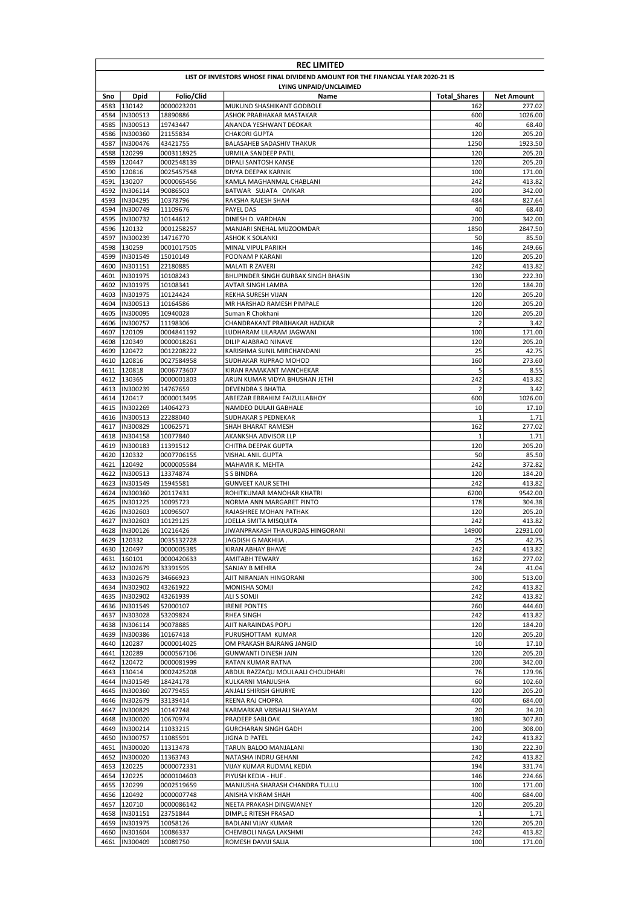|              | <b>REC LIMITED</b>                                                              |                          |                                                          |                       |                   |  |  |
|--------------|---------------------------------------------------------------------------------|--------------------------|----------------------------------------------------------|-----------------------|-------------------|--|--|
|              | LIST OF INVESTORS WHOSE FINAL DIVIDEND AMOUNT FOR THE FINANCIAL YEAR 2020-21 IS |                          |                                                          |                       |                   |  |  |
|              | LYING UNPAID/UNCLAIMED                                                          |                          |                                                          |                       |                   |  |  |
| Sno          | <b>Dpid</b>                                                                     | Folio/Clid               | Name                                                     | <b>Total Shares</b>   | Net Amount        |  |  |
| 4583         | 130142                                                                          | 0000023201               | MUKUND SHASHIKANT GODBOLE                                | 162                   | 277.02            |  |  |
| 4584<br>4585 | IN300513<br>IN300513                                                            | 18890886<br>19743447     | ASHOK PRABHAKAR MASTAKAR<br>ANANDA YESHWANT DEOKAR       | 600<br>40             | 1026.00<br>68.40  |  |  |
| 4586         | IN300360                                                                        | 21155834                 | CHAKORI GUPTA                                            | 120                   | 205.20            |  |  |
| 4587         | IN300476                                                                        | 43421755                 | BALASAHEB SADASHIV THAKUR                                | 1250                  | 1923.50           |  |  |
| 4588         | 120299                                                                          | 0003118925               | URMILA SANDEEP PATIL                                     | 120                   | 205.20            |  |  |
| 4589         | 120447                                                                          | 0002548139               | DIPALI SANTOSH KANSE                                     | 120                   | 205.20            |  |  |
| 4590         | 120816                                                                          | 0025457548               | DIVYA DEEPAK KARNIK                                      | 100                   | 171.00            |  |  |
| 4591         | 130207                                                                          | 0000065456               | KAMLA MAGHANMAL CHABLANI                                 | 242                   | 413.82            |  |  |
| 4592         | IN306114                                                                        | 90086503                 | BATWAR SUJATA OMKAR                                      | 200                   | 342.00            |  |  |
| 4593         | IN304295                                                                        | 10378796                 | RAKSHA RAJESH SHAH                                       | 484                   | 827.64            |  |  |
| 4594         | IN300749                                                                        | 11109676                 | PAYEL DAS                                                | 40                    | 68.40             |  |  |
| 4595<br>4596 | IN300732<br>120132                                                              | 10144612<br>0001258257   | DINESH D. VARDHAN<br>MANJARI SNEHAL MUZOOMDAR            | 200<br>1850           | 342.00<br>2847.50 |  |  |
| 4597         | IN300239                                                                        | 14716770                 | <b>ASHOK K SOLANKI</b>                                   | 50                    | 85.50             |  |  |
| 4598         | 130259                                                                          | 0001017505               | MINAL VIPUL PARIKH                                       | 146                   | 249.66            |  |  |
| 4599         | IN301549                                                                        | 15010149                 | POONAM P KARANI                                          | 120                   | 205.20            |  |  |
| 4600         | IN301151                                                                        | 22180885                 | MALATI R ZAVERI                                          | 242                   | 413.82            |  |  |
| 4601         | IN301975                                                                        | 10108243                 | BHUPINDER SINGH GURBAX SINGH BHASIN                      | 130                   | 222.30            |  |  |
| 4602         | IN301975                                                                        | 10108341                 | AVTAR SINGH LAMBA                                        | 120                   | 184.20            |  |  |
| 4603         | IN301975                                                                        | 10124424                 | REKHA SURESH VIJAN                                       | 120                   | 205.20            |  |  |
| 4604         | IN300513                                                                        | 10164586                 | MR HARSHAD RAMESH PIMPALE                                | 120                   | 205.20            |  |  |
| 4605         | IN300095                                                                        | 10940028                 | Suman R Chokhani                                         | 120<br>$\overline{2}$ | 205.20            |  |  |
| 4606<br>4607 | IN300757<br>120109                                                              | 11198306<br>0004841192   | CHANDRAKANT PRABHAKAR HADKAR<br>LUDHARAM LILARAM JAGWANI | 100                   | 3.42<br>171.00    |  |  |
| 4608         | 120349                                                                          | 0000018261               | DILIP AJABRAO NINAVE                                     | 120                   | 205.20            |  |  |
| 4609         | 120472                                                                          | 0012208222               | KARISHMA SUNIL MIRCHANDANI                               | 25                    | 42.75             |  |  |
| 4610         | 120816                                                                          | 0027584958               | SUDHAKAR RUPRAO MOHOD                                    | 160                   | 273.60            |  |  |
| 4611         | 120818                                                                          | 0006773607               | KIRAN RAMAKANT MANCHEKAR                                 | 5                     | 8.55              |  |  |
| 4612         | 130365                                                                          | 0000001803               | ARUN KUMAR VIDYA BHUSHAN JETHI                           | 242                   | 413.82            |  |  |
| 4613         | IN300239                                                                        | 14767659                 | DEVENDRA S BHATIA                                        | 2                     | 3.42              |  |  |
| 4614         | 120417                                                                          | 0000013495               | ABEEZAR EBRAHIM FAIZULLABHOY                             | 600                   | 1026.00           |  |  |
| 4615         | IN302269                                                                        | 14064273                 | NAMDEO DULAJI GABHALE                                    | 10                    | 17.10             |  |  |
| 4616         | IN300513                                                                        | 22288040                 | SUDHAKAR S PEDNEKAR                                      | $\mathbf{1}$          | 1.71              |  |  |
| 4617         | IN300829<br>IN304158                                                            | 10062571                 | SHAH BHARAT RAMESH                                       | 162<br>$\mathbf 1$    | 277.02<br>1.71    |  |  |
| 4618<br>4619 | IN300183                                                                        | 10077840<br>11391512     | AKANKSHA ADVISOR LLP<br>CHITRA DEEPAK GUPTA              | 120                   | 205.20            |  |  |
| 4620         | 120332                                                                          | 0007706155               | VISHAL ANIL GUPTA                                        | 50                    | 85.50             |  |  |
| 4621         | 120492                                                                          | 0000005584               | MAHAVIR K. MEHTA                                         | 242                   | 372.82            |  |  |
| 4622         | IN300513                                                                        | 13374874                 | <b>S S BINDRA</b>                                        | 120                   | 184.20            |  |  |
| 4623         | IN301549                                                                        | 15945581                 | <b>GUNVEET KAUR SETHI</b>                                | 242                   | 413.82            |  |  |
|              | 4624 IIN300360                                                                  | 20117431                 | ROHITKUMAR MANOHAR KHATRI                                | 6200                  | 9542.00           |  |  |
| 4625         | IN301225                                                                        | 10095723                 | NORMA ANN MARGARET PINTO                                 | 178                   | 304.38            |  |  |
| 4626         | IN302603                                                                        | 10096507                 | RAJASHREE MOHAN PATHAK                                   | 120                   | 205.20            |  |  |
| 4627         | IN302603                                                                        | 10129125                 | JOELLA SMITA MISQUITA                                    | 242                   | 413.82            |  |  |
| 4628         | IN300126<br>4629 120332                                                         | 10216426                 | JIWANPRAKASH THAKURDAS HINGORANI                         | 14900<br>25           | 22931.00<br>42.75 |  |  |
|              | 4630 120497                                                                     | 0035132728<br>0000005385 | JAGDISH G MAKHIJA.<br>KIRAN ABHAY BHAVE                  | 242                   | 413.82            |  |  |
|              | 4631 160101                                                                     | 0000420633               | AMITABH TEWARY                                           | 162                   | 277.02            |  |  |
|              | 4632  IN302679                                                                  | 33391595                 | SANJAY B MEHRA                                           | 24                    | 41.04             |  |  |
| 4633         | IN302679                                                                        | 34666923                 | AJIT NIRANJAN HINGORANI                                  | 300                   | 513.00            |  |  |
| 4634         | IN302902                                                                        | 43261922                 | MONISHA SOMJI                                            | 242                   | 413.82            |  |  |
| 4635         | IN302902                                                                        | 43261939                 | ALI S SOMJI                                              | 242                   | 413.82            |  |  |
|              | 4636  IN301549                                                                  | 52000107                 | IRENE PONTES                                             | 260                   | 444.60            |  |  |
| 4637         | IN303028                                                                        | 53209824                 | <b>RHEA SINGH</b>                                        | 242                   | 413.82            |  |  |
| 4638         | IN306114                                                                        | 90078885                 | AJIT NARAINDAS POPLI                                     | 120                   | 184.20            |  |  |
| 4639         | IN300386                                                                        | 10167418                 | PURUSHOTTAM KUMAR                                        | 120<br>10             | 205.20<br>17.10   |  |  |
| 4640<br>4641 | 120287<br>120289                                                                | 0000014025<br>0000567106 | OM PRAKASH BAJRANG JANGID<br>GUNWANTI DINESH JAIN        | 120                   | 205.20            |  |  |
| 4642         | 120472                                                                          | 0000081999               | RATAN KUMAR RATNA                                        | 200                   | 342.00            |  |  |
|              | 4643 130414                                                                     | 0002425208               | ABDUL RAZZAQU MOULAALI CHOUDHARI                         | 76                    | 129.96            |  |  |
|              | 4644  IN301549                                                                  | 18424178                 | KULKARNI MANJUSHA                                        | 60                    | 102.60            |  |  |
| 4645         | IN300360                                                                        | 20779455                 | ANJALI SHIRISH GHURYE                                    | 120                   | 205.20            |  |  |
|              | 4646  IN302679                                                                  | 33139414                 | REENA RAJ CHOPRA                                         | 400                   | 684.00            |  |  |
|              | 4647  IN300829                                                                  | 10147748                 | KARMARKAR VRISHALI SHAYAM                                | 20                    | 34.20             |  |  |
| 4648         | IN300020                                                                        | 10670974                 | PRADEEP SABLOAK                                          | 180                   | 307.80            |  |  |
|              | 4649  IN300214                                                                  | 11033215                 | GURCHARAN SINGH GADH                                     | 200                   | 308.00            |  |  |
| 4650         | IN300757                                                                        | 11085591                 | JIGNA D PATEL                                            | 242                   | 413.82            |  |  |
| 4651         | IN300020                                                                        | 11313478                 | TARUN BALOO MANJALANI                                    | 130                   | 222.30            |  |  |
| 4652         | IN300020                                                                        | 11363743                 | NATASHA INDRU GEHANI                                     | 242                   | 413.82            |  |  |
| 4653         | 120225<br>4654 120225                                                           | 0000072331<br>0000104603 | VIJAY KUMAR RUDMAL KEDIA<br>PIYUSH KEDIA - HUF.          | 194<br>146            | 331.74<br>224.66  |  |  |
| 4655         | 120299                                                                          | 0002519659               | MANJUSHA SHARASH CHANDRA TULLU                           | 100                   | 171.00            |  |  |
|              | 4656 120492                                                                     | 0000007748               | ANISHA VIKRAM SHAH                                       | 400                   | 684.00            |  |  |
|              | 4657 120710                                                                     | 0000086142               | NEETA PRAKASH DINGWANEY                                  | 120                   | 205.20            |  |  |
|              | 4658  IN301151                                                                  | 23751844                 | DIMPLE RITESH PRASAD                                     | $\mathbf 1$           | 1.71              |  |  |
| 4659         | IN301975                                                                        | 10058126                 | BADLANI VIJAY KUMAR                                      | 120                   | 205.20            |  |  |
| 4660         | IN301604                                                                        | 10086337                 | CHEMBOLI NAGA LAKSHMI                                    | 242                   | 413.82            |  |  |
| 4661         | IN300409                                                                        | 10089750                 | ROMESH DAMJI SALIA                                       | 100                   | 171.00            |  |  |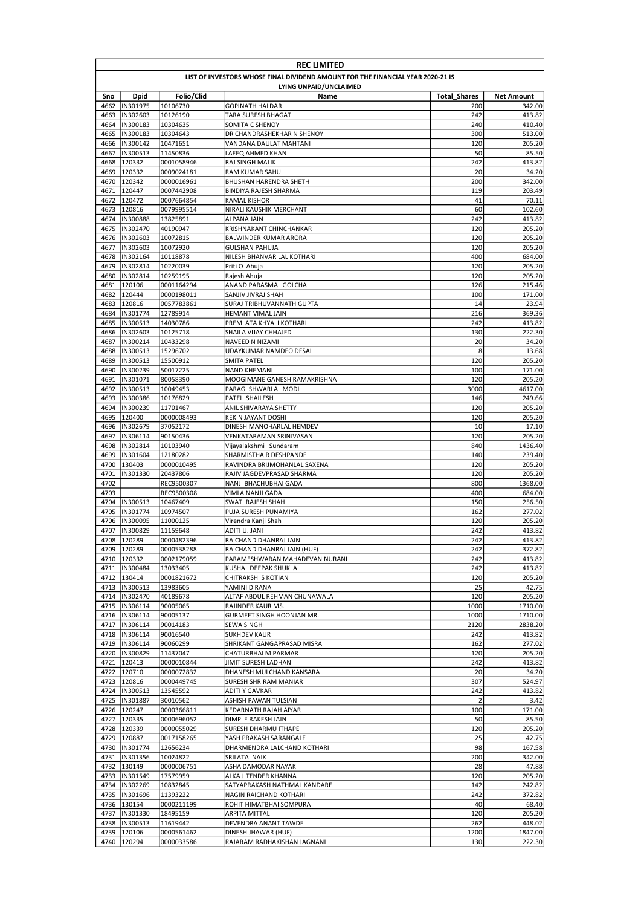|              | <b>REC LIMITED</b>                                                              |                        |                                                       |                     |                   |  |  |
|--------------|---------------------------------------------------------------------------------|------------------------|-------------------------------------------------------|---------------------|-------------------|--|--|
|              | LIST OF INVESTORS WHOSE FINAL DIVIDEND AMOUNT FOR THE FINANCIAL YEAR 2020-21 IS |                        |                                                       |                     |                   |  |  |
|              |                                                                                 |                        | LYING UNPAID/UNCLAIMED                                |                     |                   |  |  |
| Sno          | <b>Dpid</b>                                                                     | Folio/Clid             | Name                                                  | <b>Total Shares</b> | Net Amount        |  |  |
| 4662         | IN301975                                                                        | 10106730               | <b>GOPINATH HALDAR</b>                                | 200                 | 342.00            |  |  |
| 4663<br>4664 | IN302603<br>IN300183                                                            | 10126190<br>10304635   | TARA SURESH BHAGAT<br>SOMITA C SHENOY                 | 242<br>240          | 413.82<br>410.40  |  |  |
| 4665         | IN300183                                                                        | 10304643               | DR CHANDRASHEKHAR N SHENOY                            | 300                 | 513.00            |  |  |
| 4666         | IN300142                                                                        | 10471651               | VANDANA DAULAT MAHTANI                                | 120                 | 205.20            |  |  |
| 4667         | IN300513                                                                        | 11450836               | LAEEQ AHMED KHAN                                      | 50                  | 85.50             |  |  |
| 4668         | 120332                                                                          | 0001058946             | RAJ SINGH MALIK                                       | 242                 | 413.82            |  |  |
| 4669         | 120332                                                                          | 0009024181             | <b>RAM KUMAR SAHU</b>                                 | 20                  | 34.20             |  |  |
| 4670         | 120342                                                                          | 0000016961             | <b>BHUSHAN HARENDRA SHETH</b>                         | 200                 | 342.00            |  |  |
| 4671         | 120447                                                                          | 0007442908             | <b>BINDIYA RAJESH SHARMA</b>                          | 119                 | 203.49            |  |  |
| 4672         | 120472                                                                          | 0007664854             | <b>KAMAL KISHOR</b>                                   | 41                  | 70.11             |  |  |
| 4673<br>4674 | 120816                                                                          | 0079995514             | NIRALI KAUSHIK MERCHANT                               | 60<br>242           | 102.60<br>413.82  |  |  |
| 4675         | IN300888<br>IN302470                                                            | 13825891<br>40190947   | <b>ALPANA JAIN</b><br>KRISHNAKANT CHINCHANKAR         | 120                 | 205.20            |  |  |
| 4676         | IN302603                                                                        | 10072815               | BALWINDER KUMAR ARORA                                 | 120                 | 205.20            |  |  |
| 4677         | IN302603                                                                        | 10072920               | <b>GULSHAN PAHUJA</b>                                 | 120                 | 205.20            |  |  |
| 4678         | IN302164                                                                        | 10118878               | NILESH BHANVAR LAL KOTHARI                            | 400                 | 684.00            |  |  |
| 4679         | IN302814                                                                        | 10220039               | Priti O Ahuja                                         | 120                 | 205.20            |  |  |
| 4680         | IN302814                                                                        | 10259195               | Rajesh Ahuja                                          | 120                 | 205.20            |  |  |
| 4681         | 120106                                                                          | 0001164294             | ANAND PARASMAL GOLCHA                                 | 126                 | 215.46            |  |  |
| 4682         | 120444                                                                          | 0000198011             | SANJIV JIVRAJ SHAH                                    | 100                 | 171.00            |  |  |
| 4683         | 120816                                                                          | 0057783861             | SURAJ TRIBHUVANNATH GUPTA                             | 14                  | 23.94             |  |  |
| 4684<br>4685 | IN301774<br>IN300513                                                            | 12789914<br>14030786   | HEMANT VIMAL JAIN<br>PREMLATA KHYALI KOTHARI          | 216<br>242          | 369.36<br>413.82  |  |  |
| 4686         | IN302603                                                                        | 10125718               | SHAILA VIJAY CHHAJED                                  | 130                 | 222.30            |  |  |
| 4687         | IN300214                                                                        | 10433298               | NAVEED N NIZAMI                                       | 20                  | 34.20             |  |  |
| 4688         | IN300513                                                                        | 15296702               | UDAYKUMAR NAMDEO DESAI                                | 8                   | 13.68             |  |  |
| 4689         | IN300513                                                                        | 15500912               | <b>SMITA PATEL</b>                                    | 120                 | 205.20            |  |  |
| 4690         | IN300239                                                                        | 50017225               | <b>NAND KHEMANI</b>                                   | 100                 | 171.00            |  |  |
| 4691         | IN301071                                                                        | 80058390               | MOOGIMANE GANESH RAMAKRISHNA                          | 120                 | 205.20            |  |  |
| 4692         | IN300513                                                                        | 10049453               | PARAG ISHWARLAL MODI                                  | 3000                | 4617.00           |  |  |
| 4693         | IN300386                                                                        | 10176829               | PATEL SHAILESH                                        | 146                 | 249.66            |  |  |
| 4694         | IN300239                                                                        | 11701467               | ANIL SHIVARAYA SHETTY                                 | 120                 | 205.20            |  |  |
| 4695<br>4696 | 120400<br>IN302679                                                              | 0000008493             | <b>KEKIN JAYANT DOSHI</b>                             | 120<br>10           | 205.20<br>17.10   |  |  |
| 4697         | IN306114                                                                        | 37052172<br>90150436   | DINESH MANOHARLAL HEMDEV<br>VENKATARAMAN SRINIVASAN   | 120                 | 205.20            |  |  |
| 4698         | IN302814                                                                        | 10103940               | Vijayalakshmi Sundaram                                | 840                 | 1436.40           |  |  |
| 4699         | IN301604                                                                        | 12180282               | SHARMISTHA R DESHPANDE                                | 140                 | 239.40            |  |  |
| 4700         | 130403                                                                          | 0000010495             | RAVINDRA BRIJMOHANLAL SAXENA                          | 120                 | 205.20            |  |  |
| 4701         | IN301330                                                                        | 20437806               | RAJIV JAGDEVPRASAD SHARMA                             | 120                 | 205.20            |  |  |
| 4702         |                                                                                 | REC9500307             | NANJI BHACHUBHAI GADA                                 | 800                 | 1368.00           |  |  |
| 4703         |                                                                                 | REC9500308             | VIMLA NANJI GADA                                      | 400                 | 684.00            |  |  |
| 4704         | IN300513                                                                        | 10467409               | <b>SWATI RAJESH SHAH</b>                              | 150                 | 256.50            |  |  |
| 4705         | IN301774                                                                        | 10974507               | PUJA SURESH PUNAMIYA                                  | 162                 | 277.02            |  |  |
| 4706         | IN300095                                                                        | 11000125               | Virendra Kanji Shah                                   | 120                 | 205.20            |  |  |
| 4707         | IN300829<br>4708 120289                                                         | 11159648<br>0000482396 | ADITI U. JANI<br>RAICHAND DHANRAJ JAIN                | 242<br>242          | 413.82<br>413.82  |  |  |
|              | 4709 120289                                                                     | 0000538288             | RAICHAND DHANRAJ JAIN (HUF)                           | 242                 | 372.82            |  |  |
|              | 4710 120332                                                                     | 0002179059             | PARAMESHWARAN MAHADEVAN NURANI                        | 242                 | 413.82            |  |  |
|              | 4711  IN300484                                                                  | 13033405               | KUSHAL DEEPAK SHUKLA                                  | 242                 | 413.82            |  |  |
|              | 4712 130414                                                                     | 0001821672             | CHITRAKSHI S KOTIAN                                   | 120                 | 205.20            |  |  |
|              | 4713  IN300513                                                                  | 13983605               | YAMINI D RANA                                         | 25                  | 42.75             |  |  |
|              | 4714  IN302470                                                                  | 40189678               | ALTAF ABDUL REHMAN CHUNAWALA                          | 120                 | 205.20            |  |  |
|              | 4715  IN306114                                                                  | 90005065               | RAJINDER KAUR MS.                                     | 1000                | 1710.00           |  |  |
|              | 4716  IN306114                                                                  | 90005137               | GURMEET SINGH HOONJAN MR.                             | 1000                | 1710.00           |  |  |
| 4717         | IN306114<br>4718  IN306114                                                      | 90014183<br>90016540   | SEWA SINGH<br>SUKHDEV KAUR                            | 2120<br>242         | 2838.20<br>413.82 |  |  |
|              | 4719  IN306114                                                                  | 90060299               | SHRIKANT GANGAPRASAD MISRA                            | 162                 | 277.02            |  |  |
|              | 4720  IN300829                                                                  | 11437047               | CHATURBHAI M PARMAR                                   | 120                 | 205.20            |  |  |
|              | 4721 120413                                                                     | 0000010844             | JIMIT SURESH LADHANI                                  | 242                 | 413.82            |  |  |
|              | 4722 120710                                                                     | 0000072832             | DHANESH MULCHAND KANSARA                              | 20                  | 34.20             |  |  |
|              | 4723 120816                                                                     | 0000449745             | SURESH SHRIRAM MANIAR                                 | 307                 | 524.97            |  |  |
|              | 4724  IN300513                                                                  | 13545592               | ADITI Y GAVKAR                                        | 242                 | 413.82            |  |  |
|              | 4725  IN301887                                                                  | 30010562               | ASHISH PAWAN TULSIAN                                  | $\overline{2}$      | 3.42              |  |  |
|              | 4726 120247                                                                     | 0000366811             | KEDARNATH RAJAH AIYAR                                 | 100                 | 171.00            |  |  |
|              | 4727 120335                                                                     | 0000696052             | DIMPLE RAKESH JAIN                                    | 50                  | 85.50             |  |  |
|              | 4728 120339                                                                     | 0000055029             | SURESH DHARMU ITHAPE                                  | 120                 | 205.20            |  |  |
| 4730         | 4729 120887<br>IN301774                                                         | 0017158265<br>12656234 | YASH PRAKASH SARANGALE<br>DHARMENDRA LALCHAND KOTHARI | 25<br>98            | 42.75<br>167.58   |  |  |
|              | 4731  IN301356                                                                  | 10024822               | SRILATA NAIK                                          | 200                 | 342.00            |  |  |
|              | 4732 130149                                                                     | 0000006751             | ASHA DAMODAR NAYAK                                    | 28                  | 47.88             |  |  |
|              | 4733  IN301549                                                                  | 17579959               | ALKA JITENDER KHANNA                                  | 120                 | 205.20            |  |  |
|              | 4734  IN302269                                                                  | 10832845               | SATYAPRAKASH NATHMAL KANDARE                          | 142                 | 242.82            |  |  |
|              | 4735  IN301696                                                                  | 11393222               | NAGIN RAICHAND KOTHARI                                | 242                 | 372.82            |  |  |
|              | 4736 130154                                                                     | 0000211199             | ROHIT HIMATBHAI SOMPURA                               | 40                  | 68.40             |  |  |
|              | 4737  IN301330                                                                  | 18495159               | ARPITA MITTAL                                         | 120                 | 205.20            |  |  |
|              | 4738  IN300513                                                                  | 11619442               | DEVENDRA ANANT TAWDE                                  | 262                 | 448.02            |  |  |
|              | 4739 120106                                                                     | 0000561462             | DINESH JHAWAR (HUF)                                   | 1200                | 1847.00           |  |  |
|              | 4740 120294                                                                     | 0000033586             | RAJARAM RADHAKISHAN JAGNANI                           | 130                 | 222.30            |  |  |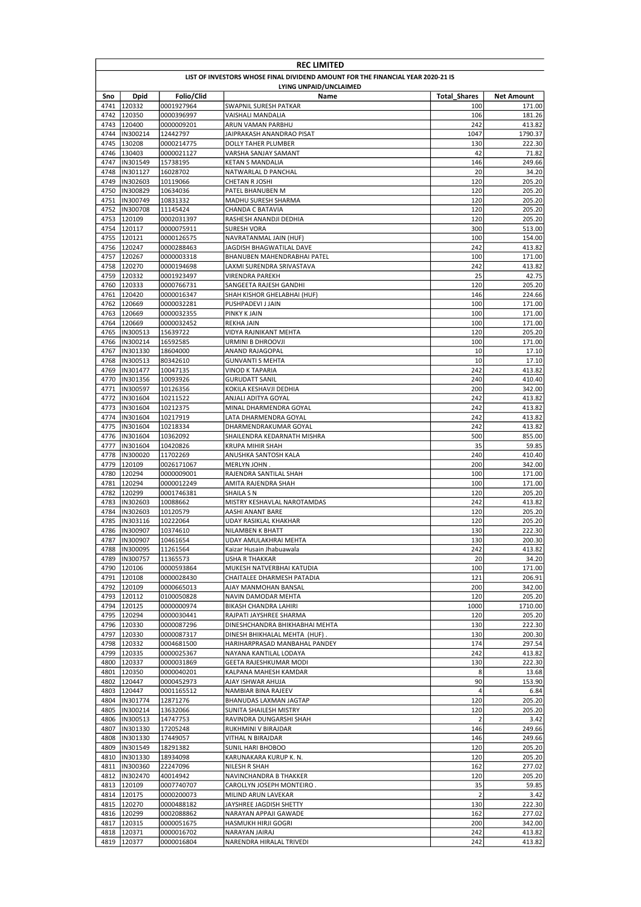| <b>REC LIMITED</b>                                                              |                                  |                          |                                                                |                     |                   |  |
|---------------------------------------------------------------------------------|----------------------------------|--------------------------|----------------------------------------------------------------|---------------------|-------------------|--|
| LIST OF INVESTORS WHOSE FINAL DIVIDEND AMOUNT FOR THE FINANCIAL YEAR 2020-21 IS |                                  |                          |                                                                |                     |                   |  |
|                                                                                 |                                  |                          | LYING UNPAID/UNCLAIMED                                         |                     |                   |  |
| Sno                                                                             | <b>Dpid</b>                      | Folio/Clid               | Name                                                           | <b>Total Shares</b> | <b>Net Amount</b> |  |
| 4741<br>4742                                                                    | 120332<br>120350                 | 0001927964<br>0000396997 | SWAPNIL SURESH PATKAR<br>VAISHALI MANDALIA                     | 100<br>106          | 171.00<br>181.26  |  |
| 4743                                                                            | 120400                           | 0000009201               | ARUN VAMAN PARBHU                                              | 242                 | 413.82            |  |
| 4744                                                                            | IN300214                         | 12442797                 | JAIPRAKASH ANANDRAO PISAT                                      | 1047                | 1790.37           |  |
| 4745                                                                            | 130208                           | 0000214775               | DOLLY TAHER PLUMBER                                            | 130                 | 222.30            |  |
| 4746                                                                            | 130403                           | 0000021127               | VARSHA SANJAY SAMANT                                           | 42                  | 71.82             |  |
| 4747                                                                            | IN301549                         | 15738195                 | KETAN S MANDALIA                                               | 146                 | 249.66            |  |
| 4748                                                                            | IN301127                         | 16028702                 | NATWARLAL D PANCHAL                                            | 20                  | 34.20             |  |
| 4749                                                                            | IN302603                         | 10119066                 | CHETAN R JOSHI<br>PATEL BHANUBEN M                             | 120                 | 205.20            |  |
| 4750<br>4751                                                                    | IN300829<br>IN300749             | 10634036<br>10831332     | MADHU SURESH SHARMA                                            | 120<br>120          | 205.20<br>205.20  |  |
| 4752                                                                            | IN300708                         | 11145424                 | CHANDA C BATAVIA                                               | 120                 | 205.20            |  |
| 4753                                                                            | 120109                           | 0002031397               | RASHESH ANANDJI DEDHIA                                         | 120                 | 205.20            |  |
| 4754                                                                            | 120117                           | 0000075911               | <b>SURESH VORA</b>                                             | 300                 | 513.00            |  |
| 4755                                                                            | 120121                           | 0000126575               | NAVRATANMAL JAIN (HUF)                                         | 100                 | 154.00            |  |
|                                                                                 | 4756 120247                      | 0000288463               | JAGDISH BHAGWATILAL DAVE                                       | 242                 | 413.82            |  |
| 4757                                                                            | 120267                           | 0000003318               | BHANUBEN MAHENDRABHAI PATEL                                    | 100                 | 171.00            |  |
| 4758                                                                            | 120270                           | 0000194698               | LAXMI SURENDRA SRIVASTAVA                                      | 242                 | 413.82            |  |
| 4759<br>4760                                                                    | 120332<br>120333                 | 0001923497<br>0000766731 | <b>VIRENDRA PAREKH</b><br>SANGEETA RAJESH GANDHI               | 25<br>120           | 42.75<br>205.20   |  |
| 4761                                                                            | 120420                           | 0000016347               | SHAH KISHOR GHELABHAI (HUF)                                    | 146                 | 224.66            |  |
| 4762                                                                            | 120669                           | 0000032281               | PUSHPADEVI J JAIN                                              | 100                 | 171.00            |  |
| 4763                                                                            | 120669                           | 0000032355               | PINKY K JAIN                                                   | 100                 | 171.00            |  |
| 4764                                                                            | 120669                           | 0000032452               | <b>REKHA JAIN</b>                                              | 100                 | 171.00            |  |
| 4765                                                                            | IN300513                         | 15639722                 | VIDYA RAJNIKANT MEHTA                                          | 120                 | 205.20            |  |
| 4766                                                                            | IN300214                         | 16592585                 | URMINI B DHROOVJI                                              | 100                 | 171.00            |  |
| 4767                                                                            | IN301330                         | 18604000                 | ANAND RAJAGOPAL                                                | 10                  | 17.10             |  |
| 4768                                                                            | IN300513                         | 80342610                 | <b>GUNVANTI S MEHTA</b>                                        | 10                  | 17.10             |  |
| 4769<br>4770                                                                    | IN301477<br>IN301356             | 10047135                 | VINOD K TAPARIA                                                | 242<br>240          | 413.82<br>410.40  |  |
| 4771                                                                            | IN300597                         | 10093926<br>10126356     | <b>GURUDATT SANIL</b><br>KOKILA KESHAVJI DEDHIA                | 200                 | 342.00            |  |
| 4772                                                                            | IN301604                         | 10211522                 | ANJALI ADITYA GOYAL                                            | 242                 | 413.82            |  |
| 4773                                                                            | IN301604                         | 10212375                 | MINAL DHARMENDRA GOYAL                                         | 242                 | 413.82            |  |
| 4774                                                                            | IN301604                         | 10217919                 | LATA DHARMENDRA GOYAL                                          | 242                 | 413.82            |  |
| 4775                                                                            | IN301604                         | 10218334                 | DHARMENDRAKUMAR GOYAL                                          | 242                 | 413.82            |  |
| 4776                                                                            | IN301604                         | 10362092                 | SHAILENDRA KEDARNATH MISHRA                                    | 500                 | 855.00            |  |
| 4777                                                                            | IN301604                         | 10420826                 | <b>KRUPA MIHIR SHAH</b>                                        | 35                  | 59.85             |  |
| 4778                                                                            | IN300020                         | 11702269                 | ANUSHKA SANTOSH KALA                                           | 240                 | 410.40            |  |
| 4779                                                                            | 120109                           | 0026171067               | MERLYN JOHN.                                                   | 200                 | 342.00            |  |
| 4780<br>4781                                                                    | 120294<br>120294                 | 0000009001<br>0000012249 | RAJENDRA SANTILAL SHAH<br>AMITA RAJENDRA SHAH                  | 100<br>100          | 171.00<br>171.00  |  |
| 4782                                                                            | 120299                           | 0001746381               | SHAILA S N                                                     | 120                 | 205.20            |  |
| 4783                                                                            | IN302603                         | 10088662                 | MISTRY KESHAVLAL NAROTAMDAS                                    | 242                 | 413.82            |  |
| 4784                                                                            | IN302603                         | 10120579                 | AASHI ANANT BARE                                               | 120                 | 205.20            |  |
| 4785                                                                            | IN303116                         | 10222064                 | UDAY RASIKLAL KHAKHAR                                          | 120                 | 205.20            |  |
|                                                                                 | 4786 IN300907                    | 10374610                 | <b>NILAMBEN K BHATT</b>                                        | 130                 | 222.30            |  |
|                                                                                 | 4787  IN300907                   | 10461654                 | UDAY AMULAKHRAI MEHTA                                          | 130                 | 200.30            |  |
|                                                                                 | 4788  IN300095                   | 11261564                 | Kaizar Husain Jhabuawala<br>USHA R THAKKAR                     | 242<br>20           | 413.82<br>34.20   |  |
| 4789                                                                            | IN300757<br>4790 120106          | 11365573<br>0000593864   | MUKESH NATVERBHAI KATUDIA                                      | 100                 | 171.00            |  |
|                                                                                 | 4791 120108                      | 0000028430               | CHAITALEE DHARMESH PATADIA                                     | 121                 | 206.91            |  |
|                                                                                 | 4792 120109                      | 0000665013               | AJAY MANMOHAN BANSAL                                           | 200                 | 342.00            |  |
|                                                                                 | 4793 120112                      | 0100050828               | NAVIN DAMODAR MEHTA                                            | 120                 | 205.20            |  |
|                                                                                 | 4794 120125                      | 0000000974               | BIKASH CHANDRA LAHIRI                                          | 1000                | 1710.00           |  |
|                                                                                 | 4795 120294                      | 0000030441               | RAJPATI JAYSHREE SHARMA                                        | 120                 | 205.20            |  |
|                                                                                 | 4796 120330                      | 0000087296               | DINESHCHANDRA BHIKHABHAI MEHTA                                 | 130                 | 222.30            |  |
| 4797<br>4798                                                                    | 120330<br>120332                 | 0000087317<br>0004681500 | DINESH BHIKHALAL MEHTA (HUF).<br>HARIHARPRASAD MANBAHAL PANDEY | 130<br>174          | 200.30<br>297.54  |  |
| 4799                                                                            | 120335                           | 0000025367               | NAYANA KANTILAL LODAYA                                         | 242                 | 413.82            |  |
|                                                                                 | 4800 120337                      | 0000031869               | GEETA RAJESHKUMAR MODI                                         | 130                 | 222.30            |  |
|                                                                                 | 4801 120350                      | 0000040201               | KALPANA MAHESH KAMDAR                                          | 8                   | 13.68             |  |
| 4802                                                                            | 120447                           | 0000452973               | AJAY ISHWAR AHUJA                                              | 90                  | 153.90            |  |
| 4803                                                                            | 120447                           | 0001165512               | NAMBIAR BINA RAJEEV                                            | 4                   | 6.84              |  |
|                                                                                 | 4804  IN301774                   | 12871276                 | BHANUDAS LAXMAN JAGTAP                                         | 120                 | 205.20            |  |
|                                                                                 | 4805  IN300214                   | 13632066                 | SUNITA SHAILESH MISTRY                                         | 120                 | 205.20            |  |
|                                                                                 | 4806  IN300513                   | 14747753                 | RAVINDRA DUNGARSHI SHAH                                        | $\overline{2}$      | 3.42              |  |
|                                                                                 | 4807  IN301330<br>4808  IN301330 | 17205248<br>17449057     | RUKHMINI V BIRAJDAR<br>VITHAL N BIRAJDAR                       | 146<br>146          | 249.66<br>249.66  |  |
|                                                                                 | 4809  IN301549                   | 18291382                 | SUNIL HARI BHOBOO                                              | 120                 | 205.20            |  |
|                                                                                 | 4810  IN301330                   | 18934098                 | KARUNAKARA KURUP K. N.                                         | 120                 | 205.20            |  |
|                                                                                 | 4811  IN300360                   | 22247096                 | NILESH R SHAH                                                  | 162                 | 277.02            |  |
|                                                                                 | 4812  IN302470                   | 40014942                 | NAVINCHANDRA B THAKKER                                         | 120                 | 205.20            |  |
| 4813                                                                            | 120109                           | 0007740707               | CAROLLYN JOSEPH MONTEIRO.                                      | 35                  | 59.85             |  |
|                                                                                 | 4814 120175                      | 0000200073               | MILIND ARUN LAVEKAR                                            | $\overline{2}$      | 3.42              |  |
| 4815                                                                            | 120270                           | 0000488182               | JAYSHREE JAGDISH SHETTY                                        | 130                 | 222.30            |  |
|                                                                                 | 4816 120299                      | 0002088862               | NARAYAN APPAJI GAWADE                                          | 162                 | 277.02            |  |
|                                                                                 | 4817 120315<br>4818 120371       | 0000051675<br>0000016702 | HASMUKH HIRJI GOGRI<br>NARAYAN JAIRAJ                          | 200<br>242          | 342.00<br>413.82  |  |
| 4819                                                                            | 120377                           | 0000016804               | NARENDRA HIRALAL TRIVEDI                                       | 242                 | 413.82            |  |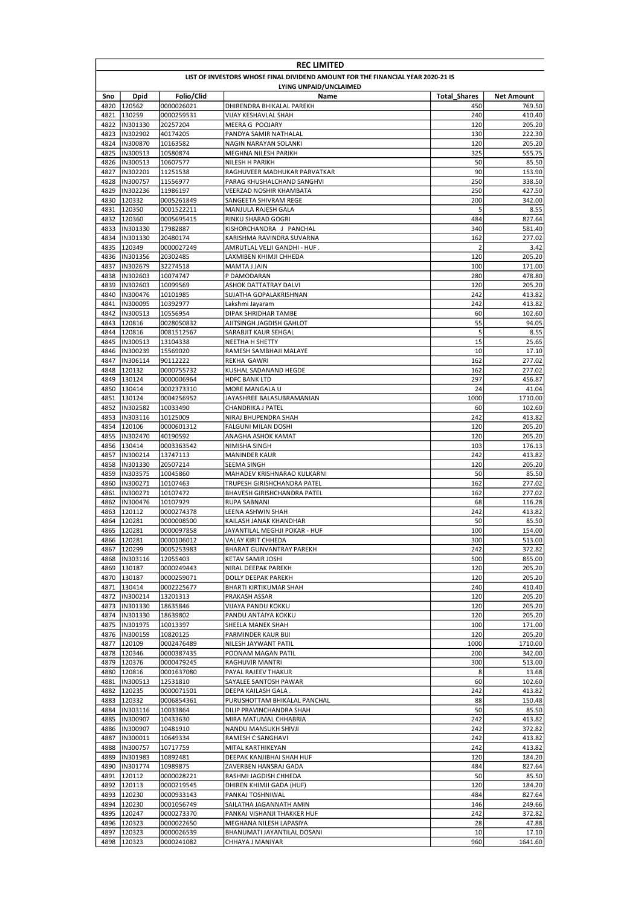|                                                                                 | <b>REC LIMITED</b>         |                          |                                                            |                     |                   |  |  |
|---------------------------------------------------------------------------------|----------------------------|--------------------------|------------------------------------------------------------|---------------------|-------------------|--|--|
| LIST OF INVESTORS WHOSE FINAL DIVIDEND AMOUNT FOR THE FINANCIAL YEAR 2020-21 IS |                            |                          |                                                            |                     |                   |  |  |
| LYING UNPAID/UNCLAIMED                                                          |                            |                          |                                                            |                     |                   |  |  |
| Sno                                                                             | Dpid                       | Folio/Clid               | Name                                                       | <b>Total Shares</b> | <b>Net Amount</b> |  |  |
| 4820                                                                            | 120562                     | 0000026021               | DHIRENDRA BHIKALAL PAREKH                                  | 450                 | 769.50            |  |  |
| 4821                                                                            | 130259                     | 0000259531               | VIJAY KESHAVLAL SHAH                                       | 240                 | 410.40            |  |  |
| 4822                                                                            | IN301330                   | 20257204                 | MEERA G POOJARY                                            | 120                 | 205.20            |  |  |
| 4823                                                                            | IN302902                   | 40174205                 | PANDYA SAMIR NATHALAL                                      | 130                 | 222.30            |  |  |
| 4824<br>4825                                                                    | IN300870<br>IN300513       | 10163582<br>10580874     | NAGIN NARAYAN SOLANKI<br>MEGHNA NILESH PARIKH              | 120<br>325          | 205.20<br>555.75  |  |  |
| 4826                                                                            | IN300513                   | 10607577                 | NILESH H PARIKH                                            | 50                  | 85.50             |  |  |
| 4827                                                                            | IN302201                   | 11251538                 | RAGHUVEER MADHUKAR PARVATKAR                               | 90                  | 153.90            |  |  |
| 4828                                                                            | IN300757                   | 11556977                 | PARAG KHUSHALCHAND SANGHVI                                 | 250                 | 338.50            |  |  |
| 4829                                                                            | IN302236                   | 11986197                 | VEERZAD NOSHIR KHAMBATA                                    | 250                 | 427.50            |  |  |
| 4830                                                                            | 120332                     | 0005261849               | SANGEETA SHIVRAM REGE                                      | 200                 | 342.00            |  |  |
| 4831                                                                            | 120350                     | 0001522211               | MANJULA RAJESH GALA                                        | 5                   | 8.55              |  |  |
| 4832                                                                            | 120360                     | 0005695415               | RINKU SHARAD GOGRI                                         | 484                 | 827.64            |  |  |
| 4833                                                                            | IN301330                   | 17982887                 | KISHORCHANDRA J PANCHAL                                    | 340                 | 581.40            |  |  |
|                                                                                 | 4834  IN301330             | 20480174                 | KARISHMA RAVINDRA SUVARNA                                  | 162                 | 277.02            |  |  |
| 4835                                                                            | 120349                     | 0000027249               | AMRUTLAL VELJI GANDHI - HUF .                              | $\overline{2}$      | 3.42              |  |  |
| 4836                                                                            | IN301356                   | 20302485                 | LAXMIBEN KHIMJI CHHEDA                                     | 120                 | 205.20            |  |  |
| 4837                                                                            | IN302679                   | 32274518                 | MAMTA J JAIN                                               | 100                 | 171.00            |  |  |
| 4838                                                                            | IN302603                   | 10074747                 | P DAMODARAN                                                | 280                 | 478.80            |  |  |
| 4839                                                                            | IN302603                   | 10099569                 | ASHOK DATTATRAY DALVI                                      | 120                 | 205.20            |  |  |
| 4840                                                                            | IN300476                   | 10101985                 | SUJATHA GOPALAKRISHNAN                                     | 242                 | 413.82            |  |  |
| 4841                                                                            | IN300095                   | 10392977                 | Lakshmi Jayaram                                            | 242                 | 413.82            |  |  |
| 4842                                                                            | IN300513                   | 10556954                 | DIPAK SHRIDHAR TAMBE                                       | 60                  | 102.60            |  |  |
| 4843<br>4844                                                                    | 120816<br>120816           | 0028050832<br>0081512567 | AJITSINGH JAGDISH GAHLOT<br>SARABJIT KAUR SEHGAL           | 55<br>5             | 94.05<br>8.55     |  |  |
| 4845                                                                            | IN300513                   | 13104338                 | <b>NEETHA H SHETTY</b>                                     | 15                  | 25.65             |  |  |
| 4846                                                                            | IN300239                   | 15569020                 | RAMESH SAMBHAJI MALAYE                                     | 10                  | 17.10             |  |  |
| 4847                                                                            | IN306114                   | 90112222                 | <b>REKHA GAWRI</b>                                         | 162                 | 277.02            |  |  |
| 4848                                                                            | 120132                     | 0000755732               | KUSHAL SADANAND HEGDE                                      | 162                 | 277.02            |  |  |
| 4849                                                                            | 130124                     | 0000006964               | HDFC BANK LTD                                              | 297                 | 456.87            |  |  |
| 4850                                                                            | 130414                     | 0002373310               | MORE MANGALA U                                             | 24                  | 41.04             |  |  |
| 4851                                                                            | 130124                     | 0004256952               | JAYASHREE BALASUBRAMANIAN                                  | 1000                | 1710.00           |  |  |
| 4852                                                                            | IN302582                   | 10033490                 | CHANDRIKA J PATEL                                          | 60                  | 102.60            |  |  |
| 4853                                                                            | IN303116                   | 10125009                 | NIRAJ BHUPENDRA SHAH                                       | 242                 | 413.82            |  |  |
| 4854                                                                            | 120106                     | 0000601312               | FALGUNI MILAN DOSHI                                        | 120                 | 205.20            |  |  |
| 4855                                                                            | IN302470                   | 40190592                 | ANAGHA ASHOK KAMAT                                         | 120                 | 205.20            |  |  |
| 4856                                                                            | 130414                     | 0003363542               | NIMISHA SINGH                                              | 103                 | 176.13            |  |  |
| 4857                                                                            | IN300214                   | 13747113                 | <b>MANINDER KAUR</b>                                       | 242                 | 413.82            |  |  |
| 4858                                                                            | IN301330                   | 20507214                 | SEEMA SINGH                                                | 120                 | 205.20            |  |  |
| 4859<br>4860                                                                    | IN303575<br>IN300271       | 10045860<br>10107463     | MAHADEV KRISHNARAO KULKARNI<br>TRUPESH GIRISHCHANDRA PATEL | 50<br>162           | 85.50<br>277.02   |  |  |
| 4861                                                                            | IN300271                   | 10107472                 | BHAVESH GIRISHCHANDRA PATEL                                | 162                 | 277.02            |  |  |
| 4862                                                                            | IN300476                   | 10107929                 | RUPA SABNANI                                               | 68                  | 116.28            |  |  |
| 4863                                                                            | 120112                     | 0000274378               | LEENA ASHWIN SHAH                                          | 242                 | 413.82            |  |  |
| 4864                                                                            | 120281                     | 0000008500               | KAILASH JANAK KHANDHAR                                     | 50                  | 85.50             |  |  |
| 4865                                                                            | 120281                     | 0000097858               | JAYANTILAL MEGHJI POKAR - HUF                              | 100                 | 154.00            |  |  |
|                                                                                 | 4866 120281                | 0000106012               | VALAY KIRIT CHHEDA                                         | 300                 | 513.00            |  |  |
|                                                                                 | 4867 120299                | 0005253983               | BHARAT GUNVANTRAY PAREKH                                   | 242                 | 372.82            |  |  |
| 4868                                                                            | IN303116                   | 12055403                 | KETAV SAMIR JOSHI                                          | 500                 | 855.00            |  |  |
| 4869                                                                            | 130187                     | 0000249443               | NIRAL DEEPAK PAREKH                                        | 120                 | 205.20            |  |  |
|                                                                                 | 4870 130187                | 0000259071               | DOLLY DEEPAK PAREKH                                        | 120                 | 205.20            |  |  |
|                                                                                 | 4871 130414                | 0002225677               | BHARTI KIRTIKUMAR SHAH                                     | 240                 | 410.40            |  |  |
|                                                                                 | 4872  IN300214             | 13201313                 | PRAKASH ASSAR                                              | 120                 | 205.20            |  |  |
| 4873                                                                            | IN301330                   | 18635846                 | VIJAYA PANDU KOKKU                                         | 120                 | 205.20            |  |  |
| 4874                                                                            | IN301330                   | 18639802                 | PANDU ANTAIYA KOKKU                                        | 120                 | 205.20            |  |  |
| 4875                                                                            | IN301975<br>4876  IN300159 | 10013397<br>10820125     | SHEELA MANEK SHAH<br>PARMINDER KAUR BIJI                   | 100<br>120          | 171.00<br>205.20  |  |  |
| 4877                                                                            | 120109                     | 0002476489               | NILESH JAYWANT PATIL                                       | 1000                | 1710.00           |  |  |
| 4878                                                                            | 120346                     | 0000387435               | POONAM MAGAN PATIL                                         | 200                 | 342.00            |  |  |
|                                                                                 | 4879 120376                | 0000479245               | RAGHUVIR MANTRI                                            | 300                 | 513.00            |  |  |
| 4880                                                                            | 120816                     | 0001637080               | PAYAL RAJEEV THAKUR                                        | 8                   | 13.68             |  |  |
| 4881                                                                            | IN300513                   | 12531810                 | SAYALEE SANTOSH PAWAR                                      | 60                  | 102.60            |  |  |
| 4882                                                                            | 120235                     | 0000071501               | DEEPA KAILASH GALA.                                        | 242                 | 413.82            |  |  |
| 4883                                                                            | 120332                     | 0006854361               | PURUSHOTTAM BHIKALAL PANCHAL                               | 88                  | 150.48            |  |  |
| 4884                                                                            | IN303116                   | 10033864                 | DILIP PRAVINCHANDRA SHAH                                   | 50                  | 85.50             |  |  |
| 4885                                                                            | IN300907                   | 10433630                 | MIRA MATUMAL CHHABRIA                                      | 242                 | 413.82            |  |  |
| 4886                                                                            | IN300907                   | 10481910                 | NANDU MANSUKH SHIVJI                                       | 242                 | 372.82            |  |  |
| 4887                                                                            | IN300011                   | 10649334                 | RAMESH C SANGHAVI                                          | 242                 | 413.82            |  |  |
| 4888                                                                            | IN300757                   | 10717759                 | MITAL KARTHIKEYAN                                          | 242                 | 413.82            |  |  |
| 4889                                                                            | IN301983                   | 10892481                 | DEEPAK KANJIBHAI SHAH HUF                                  | 120                 | 184.20            |  |  |
| 4890                                                                            | IN301774                   | 10989875                 | ZAVERBEN HANSRAJ GADA                                      | 484                 | 827.64            |  |  |
| 4891                                                                            | 120112                     | 0000028221               | RASHMI JAGDISH CHHEDA                                      | 50                  | 85.50             |  |  |
| 4892                                                                            | 120113                     | 0000219545               | DHIREN KHIMJI GADA (HUF)                                   | 120                 | 184.20            |  |  |
| 4893                                                                            | 120230                     | 0000933143               | PANKAJ TOSHNIWAL                                           | 484                 | 827.64            |  |  |
|                                                                                 | 4894 120230                | 0001056749               | SAILATHA JAGANNATH AMIN                                    | 146                 | 249.66            |  |  |
|                                                                                 | 4895 120247                | 0000273370               | PANKAJ VISHANJI THAKKER HUF                                | 242                 | 372.82            |  |  |
|                                                                                 | 4896 120323<br>4897 120323 | 0000022650<br>0000026539 | MEGHANA NILESH LAPASIYA<br>BHANUMATI JAYANTILAL DOSANI     | 28<br>10            | 47.88<br>17.10    |  |  |
|                                                                                 | 4898 120323                | 0000241082               | CHHAYA J MANIYAR                                           | 960                 | 1641.60           |  |  |
|                                                                                 |                            |                          |                                                            |                     |                   |  |  |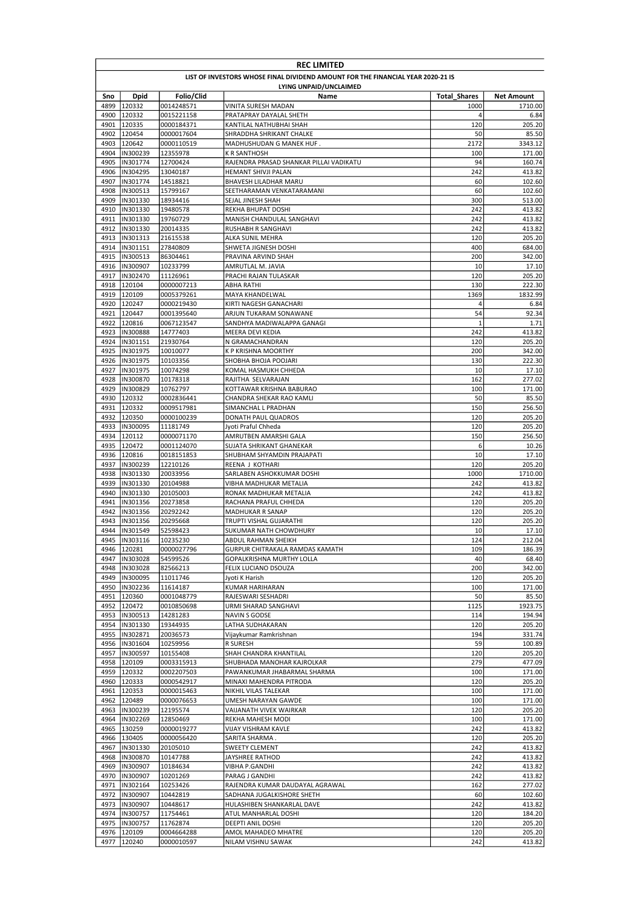| <b>REC LIMITED</b>     |                                                                                 |                          |                                                   |                             |                              |  |  |
|------------------------|---------------------------------------------------------------------------------|--------------------------|---------------------------------------------------|-----------------------------|------------------------------|--|--|
|                        | LIST OF INVESTORS WHOSE FINAL DIVIDEND AMOUNT FOR THE FINANCIAL YEAR 2020-21 IS |                          |                                                   |                             |                              |  |  |
| LYING UNPAID/UNCLAIMED |                                                                                 |                          |                                                   |                             |                              |  |  |
| Sno<br>4899            | Dpid<br>120332                                                                  | Folio/Clid<br>0014248571 | Name<br>VINITA SURESH MADAN                       | <b>Total Shares</b><br>1000 | <b>Net Amount</b><br>1710.00 |  |  |
| 4900                   | 120332                                                                          | 0015221158               | PRATAPRAY DAYALAL SHETH                           | 4                           | 6.84                         |  |  |
| 4901                   | 120335                                                                          | 0000184371               | KANTILAL NATHUBHAI SHAH                           | 120                         | 205.20                       |  |  |
| 4902                   | 120454                                                                          | 0000017604               | SHRADDHA SHRIKANT CHALKE                          | 50                          | 85.50                        |  |  |
| 4903                   | 120642                                                                          | 0000110519               | MADHUSHUDAN G MANEK HUF.                          | 2172                        | 3343.12                      |  |  |
| 4904                   | IN300239                                                                        | 12355978                 | <b>K R SANTHOSH</b>                               | 100                         | 171.00                       |  |  |
| 4905                   | IN301774                                                                        | 12700424                 | RAJENDRA PRASAD SHANKAR PILLAI VADIKATU           | 94                          | 160.74                       |  |  |
| 4906<br>4907           | IN304295<br>IN301774                                                            | 13040187<br>14518821     | HEMANT SHIVJI PALAN<br>BHAVESH LILADHAR MARU      | 242<br>60                   | 413.82<br>102.60             |  |  |
| 4908                   | IN300513                                                                        | 15799167                 | SEETHARAMAN VENKATARAMANI                         | 60                          | 102.60                       |  |  |
| 4909                   | IN301330                                                                        | 18934416                 | SEJAL JINESH SHAH                                 | 300                         | 513.00                       |  |  |
| 4910                   | IN301330                                                                        | 19480578                 | REKHA BHUPAT DOSHI                                | 242                         | 413.82                       |  |  |
| 4911                   | IN301330                                                                        | 19760729                 | MANISH CHANDULAL SANGHAVI                         | 242                         | 413.82                       |  |  |
| 4912                   | IN301330                                                                        | 20014335                 | RUSHABH R SANGHAVI                                | 242                         | 413.82                       |  |  |
| 4913                   | IN301313                                                                        | 21615538                 | ALKA SUNIL MEHRA                                  | 120                         | 205.20                       |  |  |
| 4914<br>4915           | IN301151<br>IN300513                                                            | 27840809<br>86304461     | SHWETA JIGNESH DOSHI<br>PRAVINA ARVIND SHAH       | 400<br>200                  | 684.00<br>342.00             |  |  |
| 4916                   | IN300907                                                                        | 10233799                 | AMRUTLAL M. JAVIA                                 | 10                          | 17.10                        |  |  |
| 4917                   | IN302470                                                                        | 11126961                 | PRACHI RAJAN TULASKAR                             | 120                         | 205.20                       |  |  |
| 4918                   | 120104                                                                          | 0000007213               | ABHA RATHI                                        | 130                         | 222.30                       |  |  |
| 4919                   | 120109                                                                          | 0005379261               | MAYA KHANDELWAL                                   | 1369                        | 1832.99                      |  |  |
| 4920                   | 120247                                                                          | 0000219430               | KIRTI NAGESH GANACHARI                            | 4                           | 6.84                         |  |  |
| 4921                   | 120447                                                                          | 0001395640               | ARJUN TUKARAM SONAWANE                            | 54                          | 92.34                        |  |  |
| 4922                   | 120816                                                                          | 0067123547               | SANDHYA MADIWALAPPA GANAGI                        | 1                           | 1.71                         |  |  |
| 4923<br>4924           | IN300888<br>IN301151                                                            | 14777403<br>21930764     | MEERA DEVI KEDIA<br>N GRAMACHANDRAN               | 242<br>120                  | 413.82<br>205.20             |  |  |
| 4925                   | IN301975                                                                        | 10010077                 | K P KRISHNA MOORTHY                               | 200                         | 342.00                       |  |  |
| 4926                   | IN301975                                                                        | 10103356                 | SHOBHA BHOJA POOJARI                              | 130                         | 222.30                       |  |  |
| 4927                   | IN301975                                                                        | 10074298                 | KOMAL HASMUKH CHHEDA                              | 10                          | 17.10                        |  |  |
| 4928                   | IN300870                                                                        | 10178318                 | RAJITHA SELVARAJAN                                | 162                         | 277.02                       |  |  |
| 4929                   | IN300829                                                                        | 10762797                 | KOTTAWAR KRISHNA BABURAO                          | 100                         | 171.00                       |  |  |
| 4930                   | 120332                                                                          | 0002836441               | CHANDRA SHEKAR RAO KAMLI                          | 50                          | 85.50                        |  |  |
| 4931<br>4932           | 120332<br>120350                                                                | 0009517981<br>0000100239 | SIMANCHAL L PRADHAN<br>DONATH PAUL QUADROS        | 150<br>120                  | 256.50<br>205.20             |  |  |
| 4933                   | IN300095                                                                        | 11181749                 | Jyoti Praful Chheda                               | 120                         | 205.20                       |  |  |
| 4934                   | 120112                                                                          | 0000071170               | AMRUTBEN AMARSHI GALA                             | 150                         | 256.50                       |  |  |
| 4935                   | 120472                                                                          | 0001124070               | SUJATA SHRIKANT GHANEKAR                          | 6                           | 10.26                        |  |  |
|                        | 4936 120816                                                                     | 0018151853               | SHUBHAM SHYAMDIN PRAJAPATI                        | 10                          | 17.10                        |  |  |
| 4937                   | IN300239                                                                        | 12210126                 | REENA J KOTHARI                                   | 120                         | 205.20                       |  |  |
| 4938                   | IN301330                                                                        | 20033956                 | SARLABEN ASHOKKUMAR DOSHI                         | 1000                        | 1710.00                      |  |  |
| 4939<br>4940           | <b>IN301330</b><br>IN301330                                                     | 20104988<br>20105003     | VIBHA MADHUKAR METALIA<br>RONAK MADHUKAR METALIA  | 242<br>242                  | 413.82<br>413.82             |  |  |
| 4941                   | IN301356                                                                        | 20273858                 | RACHANA PRAFUL CHHEDA                             | 120                         | 205.20                       |  |  |
| 4942                   | <b>IN301356</b>                                                                 | 20292242                 | <b>MADHUKAR R SANAP</b>                           | 120                         | 205.20                       |  |  |
| 4943                   | IN301356                                                                        | 20295668                 | TRUPTI VISHAL GUJARATHI                           | 120                         | 205.20                       |  |  |
| 4944                   | IN301549                                                                        | 52598423                 | SUKUMAR NATH CHOWDHURY                            | 10                          | 17.10                        |  |  |
| 4945                   | IN303116                                                                        | 10235230                 | ABDUL RAHMAN SHEIKH                               | 124                         | 212.04                       |  |  |
|                        | 4946 120281                                                                     | 0000027796               | GURPUR CHITRAKALA RAMDAS KAMATH                   | 109                         | 186.39                       |  |  |
| 4947<br>4948           | IN303028<br>IN303028                                                            | 54599526                 | GOPALKRISHNA MURTHY LOLLA<br>FELIX LUCIANO DSOUZA | 40                          | 68.40                        |  |  |
| 4949                   | IN300095                                                                        | 82566213<br>11011746     | Jyoti K Harish                                    | 200<br>120                  | 342.00<br>205.20             |  |  |
| 4950                   | IN302236                                                                        | 11614187                 | KUMAR HARIHARAN                                   | 100                         | 171.00                       |  |  |
|                        | 4951 120360                                                                     | 0001048779               | RAJESWARI SESHADRI                                | 50                          | 85.50                        |  |  |
| 4952                   | 120472                                                                          | 0010850698               | URMI SHARAD SANGHAVI                              | 1125                        | 1923.75                      |  |  |
| 4953                   | IN300513                                                                        | 14281283                 | <b>NAVIN S GODSE</b>                              | 114                         | 194.94                       |  |  |
| 4954                   | IN301330                                                                        | 19344935                 | LATHA SUDHAKARAN                                  | 120                         | 205.20                       |  |  |
| 4955<br>4956           | IN302871<br>IN301604                                                            | 20036573                 | Vijaykumar Ramkrishnan                            | 194<br>59                   | 331.74                       |  |  |
| 4957                   | IN300597                                                                        | 10259956<br>10155408     | R SURESH<br>SHAH CHANDRA KHANTILAL                | 120                         | 100.89<br>205.20             |  |  |
| 4958                   | 120109                                                                          | 0003315913               | SHUBHADA MANOHAR KAJROLKAR                        | 279                         | 477.09                       |  |  |
| 4959                   | 120332                                                                          | 0002207503               | PAWANKUMAR JHABARMAL SHARMA                       | 100                         | 171.00                       |  |  |
|                        | 4960 120333                                                                     | 0000542917               | MINAXI MAHENDRA PITRODA                           | 120                         | 205.20                       |  |  |
|                        | 4961 120353                                                                     | 0000015463               | NIKHIL VILAS TALEKAR                              | 100                         | 171.00                       |  |  |
|                        | 4962 120489                                                                     | 0000076653               | UMESH NARAYAN GAWDE                               | 100                         | 171.00                       |  |  |
|                        | 4963  IN300239                                                                  | 12195574                 | VAIJANATH VIVEK WAIRKAR                           | 120                         | 205.20                       |  |  |
|                        | 4964  IN302269                                                                  | 12850469                 | REKHA MAHESH MODI                                 | 100                         | 171.00                       |  |  |
| 4965                   | 130259<br>4966 130405                                                           | 0000019277<br>0000056420 | VIJAY VISHRAM KAVLE<br>SARITA SHARMA .            | 242<br>120                  | 413.82<br>205.20             |  |  |
| 4967                   | IN301330                                                                        | 20105010                 | <b>SWEETY CLEMENT</b>                             | 242                         | 413.82                       |  |  |
| 4968                   | IN300870                                                                        | 10147788                 | JAYSHREE RATHOD                                   | 242                         | 413.82                       |  |  |
| 4969                   | IN300907                                                                        | 10184634                 | VIBHA P.GANDHI                                    | 242                         | 413.82                       |  |  |
|                        | 4970  IN300907                                                                  | 10201269                 | PARAG J GANDHI                                    | 242                         | 413.82                       |  |  |
| 4971                   | IN302164                                                                        | 10253426                 | RAJENDRA KUMAR DAUDAYAL AGRAWAL                   | 162                         | 277.02                       |  |  |
| 4972                   | IN300907                                                                        | 10442819                 | SADHANA JUGALKISHORE SHETH                        | 60                          | 102.60                       |  |  |
| 4973                   | IN300907                                                                        | 10448617                 | HULASHIBEN SHANKARLAL DAVE                        | 242                         | 413.82                       |  |  |
| 4975                   | 4974  IN300757<br>IN300757                                                      | 11754461                 | ATUL MANHARLAL DOSHI<br>DEEPTI ANIL DOSHI         | 120<br>120                  | 184.20<br>205.20             |  |  |
|                        | 4976 120109                                                                     | 11762874<br>0004664288   | AMOL MAHADEO MHATRE                               | 120                         | 205.20                       |  |  |
| 4977                   | 120240                                                                          | 0000010597               | NILAM VISHNU SAWAK                                | 242                         | 413.82                       |  |  |